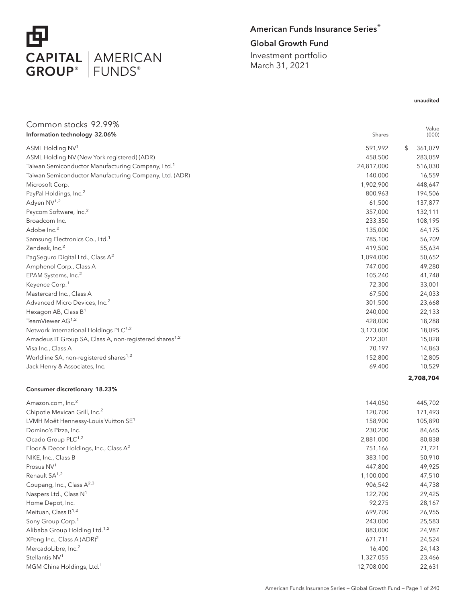

## American Funds Insurance Series®

## Global Growth Fund

Investment portfolio March 31, 2021

### unaudited

| Common stocks 92.99%                                               |            |                |
|--------------------------------------------------------------------|------------|----------------|
| Information technology 32.06%                                      | Shares     | Value<br>(000) |
| ASML Holding NV <sup>1</sup>                                       | 591,992    | \$<br>361,079  |
| ASML Holding NV (New York registered) (ADR)                        | 458,500    | 283,059        |
| Taiwan Semiconductor Manufacturing Company, Ltd. <sup>1</sup>      | 24,817,000 | 516,030        |
| Taiwan Semiconductor Manufacturing Company, Ltd. (ADR)             | 140,000    | 16,559         |
| Microsoft Corp.                                                    | 1,902,900  | 448,647        |
| PayPal Holdings, Inc. <sup>2</sup>                                 | 800,963    | 194,506        |
| Adyen NV <sup>1,2</sup>                                            | 61,500     | 137,877        |
| Paycom Software, Inc. <sup>2</sup>                                 | 357,000    | 132,111        |
| Broadcom Inc.                                                      | 233,350    | 108,195        |
| Adobe Inc. <sup>2</sup>                                            | 135,000    | 64,175         |
| Samsung Electronics Co., Ltd. <sup>1</sup>                         | 785,100    | 56,709         |
| Zendesk, Inc. <sup>2</sup>                                         | 419,500    | 55,634         |
| PagSeguro Digital Ltd., Class A <sup>2</sup>                       | 1,094,000  | 50,652         |
| Amphenol Corp., Class A                                            | 747,000    | 49,280         |
| EPAM Systems, Inc. <sup>2</sup>                                    | 105,240    | 41,748         |
| Keyence Corp. <sup>1</sup>                                         | 72,300     | 33,001         |
| Mastercard Inc., Class A                                           | 67,500     | 24,033         |
| Advanced Micro Devices, Inc. <sup>2</sup>                          | 301,500    | 23,668         |
| Hexagon AB, Class $B^1$                                            | 240,000    | 22,133         |
| TeamViewer AG <sup>1,2</sup>                                       | 428,000    | 18,288         |
| Network International Holdings PLC <sup>1,2</sup>                  | 3,173,000  | 18,095         |
| Amadeus IT Group SA, Class A, non-registered shares <sup>1,2</sup> | 212,301    | 15,028         |
| Visa Inc., Class A                                                 | 70,197     | 14,863         |
| Worldline SA, non-registered shares <sup>1,2</sup>                 | 152,800    | 12,805         |
| Jack Henry & Associates, Inc.                                      | 69,400     | 10,529         |
|                                                                    |            | 2,708,704      |

#### Consumer discretionary 18.23%

| Amazon.com, Inc. <sup>2</sup>                      | 144,050    | 445,702 |
|----------------------------------------------------|------------|---------|
| Chipotle Mexican Grill, Inc. <sup>2</sup>          | 120,700    | 171,493 |
| LVMH Moët Hennessy-Louis Vuitton SE <sup>1</sup>   | 158,900    | 105,890 |
| Domino's Pizza, Inc.                               | 230,200    | 84,665  |
| Ocado Group PLC <sup>1,2</sup>                     | 2,881,000  | 80,838  |
| Floor & Decor Holdings, Inc., Class A <sup>2</sup> | 751,166    | 71,721  |
| NIKE, Inc., Class B                                | 383,100    | 50,910  |
| Prosus NV <sup>1</sup>                             | 447,800    | 49,925  |
| Renault SA <sup>1,2</sup>                          | 1,100,000  | 47,510  |
| Coupang, Inc., Class A <sup>2,3</sup>              | 906,542    | 44,738  |
| Naspers Ltd., Class N <sup>1</sup>                 | 122,700    | 29,425  |
| Home Depot, Inc.                                   | 92,275     | 28,167  |
| Meituan, Class B <sup>1,2</sup>                    | 699,700    | 26,955  |
| Sony Group Corp. <sup>1</sup>                      | 243,000    | 25,583  |
| Alibaba Group Holding Ltd. <sup>1,2</sup>          | 883,000    | 24,987  |
| XPeng Inc., Class A $(ADR)^2$                      | 671,711    | 24,524  |
| MercadoLibre, Inc. <sup>2</sup>                    | 16,400     | 24,143  |
| Stellantis NV <sup>1</sup>                         | 1,327,055  | 23,466  |
| MGM China Holdings, Ltd. <sup>1</sup>              | 12,708,000 | 22,631  |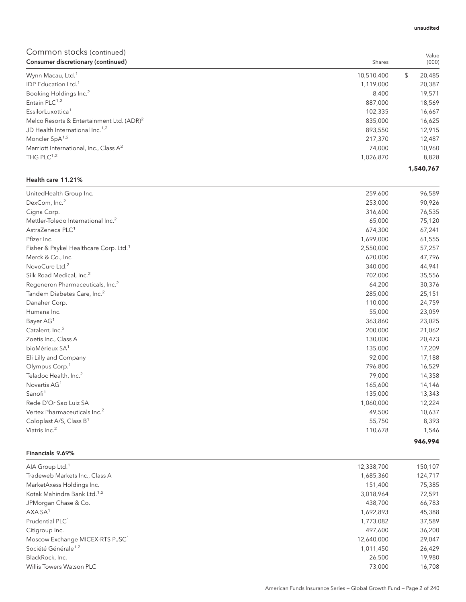| Consumer discretionary (continued)                    | Shares     |    | (000)     |
|-------------------------------------------------------|------------|----|-----------|
| Wynn Macau, Ltd. <sup>1</sup>                         | 10,510,400 | S. | 20,485    |
| IDP Education Ltd. <sup>1</sup>                       | 1,119,000  |    | 20,387    |
| Booking Holdings Inc. <sup>2</sup>                    | 8,400      |    | 19,571    |
| Entain PLC <sup>1,2</sup>                             | 887,000    |    | 18,569    |
| EssilorLuxottica <sup>1</sup>                         | 102.335    |    | 16,667    |
| Melco Resorts & Entertainment Ltd. (ADR) <sup>2</sup> | 835,000    |    | 16,625    |
| JD Health International Inc. <sup>1,2</sup>           | 893.550    |    | 12,915    |
| Moncler SpA <sup>1,2</sup>                            | 217.370    |    | 12,487    |
| Marriott International, Inc., Class A <sup>2</sup>    | 74.000     |    | 10,960    |
| THG PLC $1,2$                                         | 1,026,870  |    | 8,828     |
|                                                       |            |    | 1,540,767 |

### Health care 11.21%

| UnitedHealth Group Inc.                            | 259,600   | 96,589  |
|----------------------------------------------------|-----------|---------|
| DexCom, Inc. <sup>2</sup>                          | 253,000   | 90,926  |
| Cigna Corp.                                        | 316,600   | 76,535  |
| Mettler-Toledo International Inc. <sup>2</sup>     | 65,000    | 75,120  |
| AstraZeneca PLC <sup>1</sup>                       | 674,300   | 67,241  |
| Pfizer Inc.                                        | 1,699,000 | 61,555  |
| Fisher & Paykel Healthcare Corp. Ltd. <sup>1</sup> | 2,550,000 | 57,257  |
| Merck & Co., Inc.                                  | 620,000   | 47,796  |
| NovoCure Ltd. <sup>2</sup>                         | 340,000   | 44,941  |
| Silk Road Medical, Inc. <sup>2</sup>               | 702,000   | 35,556  |
| Regeneron Pharmaceuticals, Inc. <sup>2</sup>       | 64,200    | 30,376  |
| Tandem Diabetes Care, Inc. <sup>2</sup>            | 285,000   | 25,151  |
| Danaher Corp.                                      | 110,000   | 24,759  |
| Humana Inc.                                        | 55,000    | 23,059  |
| Bayer AG <sup>1</sup>                              | 363,860   | 23,025  |
| Catalent, Inc. <sup>2</sup>                        | 200,000   | 21,062  |
| Zoetis Inc., Class A                               | 130,000   | 20,473  |
| bioMérieux SA <sup>1</sup>                         | 135,000   | 17,209  |
|                                                    | 92,000    |         |
| Eli Lilly and Company                              | 796,800   | 17,188  |
| Olympus Corp. <sup>1</sup>                         |           | 16,529  |
| Teladoc Health, Inc. <sup>2</sup>                  | 79,000    | 14,358  |
| Novartis AG <sup>1</sup>                           | 165,600   | 14,146  |
| Sanofi <sup>1</sup>                                | 135,000   | 13,343  |
| Rede D'Or Sao Luiz SA                              | 1,060,000 | 12,224  |
| Vertex Pharmaceuticals Inc. <sup>2</sup>           | 49,500    | 10,637  |
| Coloplast A/S, Class B <sup>1</sup>                | 55,750    | 8,393   |
| Viatris Inc. <sup>2</sup>                          | 110,678   | 1,546   |
|                                                    |           | 946,994 |

### Financials 9.69%

| AIA Group Ltd. <sup>1</sup>                 | 12,338,700 | 150,107 |
|---------------------------------------------|------------|---------|
| Tradeweb Markets Inc., Class A              | 1,685,360  | 124,717 |
| MarketAxess Holdings Inc.                   | 151.400    | 75,385  |
| Kotak Mahindra Bank Ltd. <sup>1,2</sup>     | 3,018,964  | 72,591  |
| JPMorgan Chase & Co.                        | 438,700    | 66,783  |
| AXA SA <sup>1</sup>                         | 1,692,893  | 45,388  |
| Prudential PLC <sup>1</sup>                 | 1,773,082  | 37,589  |
| Citigroup Inc.                              | 497.600    | 36,200  |
| Moscow Exchange MICEX-RTS PJSC <sup>1</sup> | 12,640,000 | 29,047  |
| Société Générale <sup>1,2</sup>             | 1,011,450  | 26,429  |
| BlackRock, Inc.                             | 26,500     | 19,980  |
| Willis Towers Watson PLC                    | 73.000     | 16,708  |
|                                             |            |         |

#### unaudited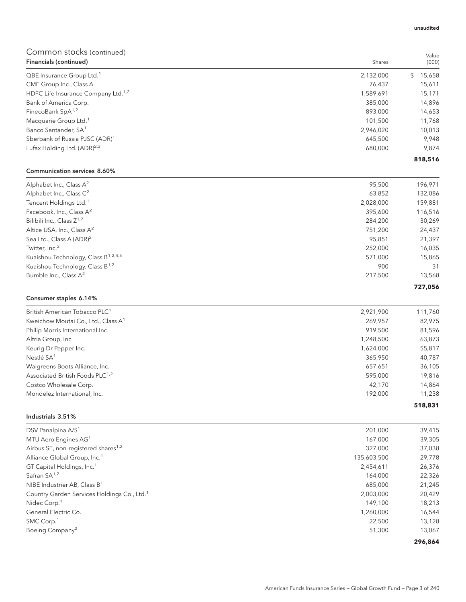| Financials (continued)                                  | Shares      | (000)        |
|---------------------------------------------------------|-------------|--------------|
| QBE Insurance Group Ltd. <sup>1</sup>                   | 2,132,000   | 15,658<br>\$ |
| CME Group Inc., Class A                                 | 76,437      | 15,611       |
| HDFC Life Insurance Company Ltd. <sup>1,2</sup>         | 1,589,691   | 15,171       |
| Bank of America Corp.                                   | 385,000     | 14,896       |
| FinecoBank SpA <sup>1,2</sup>                           | 893,000     | 14,653       |
| Macquarie Group Ltd. <sup>1</sup>                       | 101,500     | 11,768       |
| Banco Santander, SA <sup>1</sup>                        | 2,946,020   | 10,013       |
| Sberbank of Russia PJSC (ADR) <sup>1</sup>              | 645,500     | 9,948        |
| Lufax Holding Ltd. (ADR) <sup>2,3</sup>                 | 680,000     | 9,874        |
|                                                         |             | 818,516      |
| Communication services 8.60%                            |             |              |
| Alphabet Inc., Class $A^2$                              | 95,500      | 196,971      |
| Alphabet Inc., Class C <sup>2</sup>                     | 63,852      | 132,086      |
| Tencent Holdings Ltd. <sup>1</sup>                      | 2,028,000   | 159,881      |
| Facebook, Inc., Class A <sup>2</sup>                    | 395,600     | 116,516      |
| Bilibili Inc., Class Z <sup>1,2</sup>                   | 284,200     | 30,269       |
| Altice USA, Inc., Class $A^2$                           | 751,200     | 24,437       |
| Sea Ltd., Class A (ADR) <sup>2</sup>                    | 95,851      | 21,397       |
| Twitter, Inc. <sup>2</sup>                              | 252,000     | 16,035       |
| Kuaishou Technology, Class B <sup>1,2,4,5</sup>         | 571,000     | 15,865       |
| Kuaishou Technology, Class B <sup>1,2</sup>             | 900         | 31           |
| Bumble Inc., Class A <sup>2</sup>                       | 217,500     | 13,568       |
|                                                         |             | 727,056      |
| Consumer staples 6.14%                                  |             |              |
| British American Tobacco PLC <sup>1</sup>               | 2,921,900   | 111,760      |
| Kweichow Moutai Co., Ltd., Class A <sup>1</sup>         | 269,957     | 82,975       |
| Philip Morris International Inc.                        | 919,500     | 81,596       |
| Altria Group, Inc.                                      | 1,248,500   | 63,873       |
| Keurig Dr Pepper Inc.                                   | 1,624,000   | 55,817       |
| Nestlé SA <sup>1</sup>                                  | 365,950     | 40,787       |
| Walgreens Boots Alliance, Inc.                          | 657,651     | 36,105       |
| Associated British Foods PLC <sup>1,2</sup>             | 595,000     | 19,816       |
| Costco Wholesale Corp.                                  | 42,170      | 14,864       |
| Mondelez International, Inc.                            | 192,000     | 11,238       |
|                                                         |             | 518,831      |
| Industrials 3.51%                                       |             |              |
| DSV Panalpina A/S <sup>1</sup>                          | 201,000     | 39,415       |
| MTU Aero Engines AG <sup>1</sup>                        | 167,000     | 39,305       |
| Airbus SE, non-registered shares <sup>1,2</sup>         | 327,000     | 37,038       |
| Alliance Global Group, Inc. <sup>1</sup>                | 135,603,500 | 29,778       |
| GT Capital Holdings, Inc. <sup>1</sup>                  | 2,454,611   | 26,376       |
| Safran SA <sup>1,2</sup>                                | 164,000     | 22,326       |
| NIBE Industrier AB, Class B <sup>1</sup>                | 685,000     | 21,245       |
| Country Garden Services Holdings Co., Ltd. <sup>1</sup> | 2,003,000   | 20,429       |
| Nidec Corp. <sup>1</sup>                                | 149,100     | 18,213       |
| General Electric Co.                                    | 1,260,000   | 16,544       |
| SMC Corp. <sup>1</sup>                                  | 22,500      | 13,128       |
| Boeing Company <sup>2</sup>                             | 51,300      | 13,067       |
|                                                         |             |              |
|                                                         |             | 296,864      |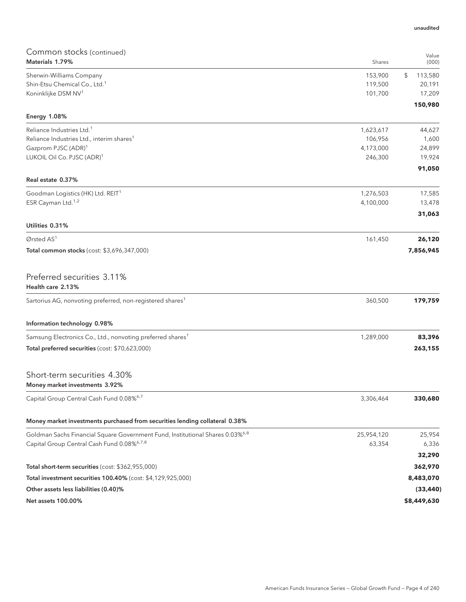| Common stocks (continued)<br>Materials 1.79%                                              |                        | Value            |
|-------------------------------------------------------------------------------------------|------------------------|------------------|
|                                                                                           | Shares                 | (000)            |
| Sherwin-Williams Company<br>Shin-Etsu Chemical Co., Ltd. <sup>1</sup>                     | 153,900                | \$<br>113,580    |
| Koninklijke DSM NV <sup>1</sup>                                                           | 119,500<br>101,700     | 20,191<br>17,209 |
|                                                                                           |                        | 150,980          |
| Energy 1.08%                                                                              |                        |                  |
| Reliance Industries Ltd. <sup>1</sup>                                                     | 1,623,617              | 44,627           |
| Reliance Industries Ltd., interim shares <sup>1</sup>                                     | 106,956                | 1,600            |
| Gazprom PJSC (ADR) <sup>1</sup>                                                           | 4,173,000              | 24,899           |
| LUKOIL Oil Co. PJSC (ADR) <sup>1</sup>                                                    | 246,300                | 19,924           |
| Real estate 0.37%                                                                         |                        | 91,050           |
| Goodman Logistics (HK) Ltd. REIT <sup>1</sup>                                             |                        |                  |
| ESR Cayman Ltd. <sup>1,2</sup>                                                            | 1,276,503<br>4,100,000 | 17,585<br>13,478 |
|                                                                                           |                        | 31,063           |
| Utilities 0.31%                                                                           |                        |                  |
| Ørsted $AS1$                                                                              | 161,450                | 26,120           |
| Total common stocks (cost: \$3,696,347,000)                                               |                        | 7,856,945        |
| Preferred securities 3.11%<br>Health care 2.13%                                           |                        |                  |
| Sartorius AG, nonvoting preferred, non-registered shares <sup>1</sup>                     | 360,500                | 179,759          |
| Information technology 0.98%                                                              |                        |                  |
| Samsung Electronics Co., Ltd., nonvoting preferred shares <sup>1</sup>                    | 1,289,000              | 83,396           |
| Total preferred securities (cost: \$70,623,000)                                           |                        | 263,155          |
| Short-term securities 4.30%<br>Money market investments 3.92%                             |                        |                  |
| Capital Group Central Cash Fund 0.08%6,7                                                  | 3,306,464              | 330,680          |
| Money market investments purchased from securities lending collateral 0.38%               |                        |                  |
| Goldman Sachs Financial Square Government Fund, Institutional Shares 0.03% <sup>6,8</sup> | 25,954,120             | 25,954           |
| Capital Group Central Cash Fund 0.08% <sup>6,7,8</sup>                                    | 63,354                 | 6,336            |
|                                                                                           |                        | 32,290           |
| Total short-term securities (cost: \$362,955,000)                                         |                        | 362,970          |
| Total investment securities 100.40% (cost: \$4,129,925,000)                               |                        | 8,483,070        |
| Other assets less liabilities (0.40)%                                                     |                        | (33, 440)        |
| Net assets 100.00%                                                                        |                        | \$8,449,630      |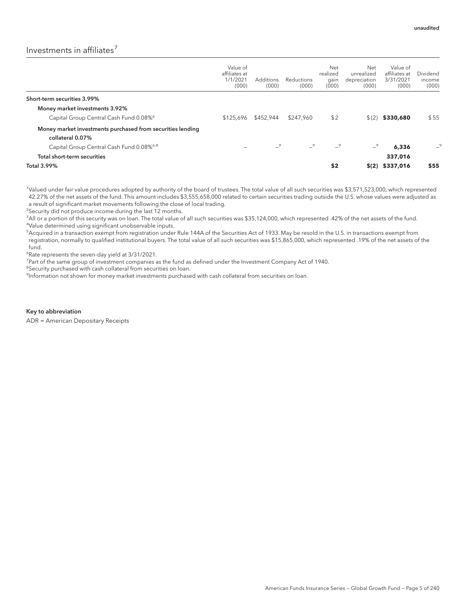## Investments in affiliates<sup>7</sup>

|                                                                                | Value of<br>affiliates at<br>1/1/2021<br>(000) | <b>Additions</b><br>(000) | Reductions<br>(000) | Net<br>realized<br>gain<br>(000) | Net<br>unrealized<br>depreciation<br>(000) | Value of<br>affiliates at<br>3/31/2021<br>(000) | Dividend<br>income<br>(000) |
|--------------------------------------------------------------------------------|------------------------------------------------|---------------------------|---------------------|----------------------------------|--------------------------------------------|-------------------------------------------------|-----------------------------|
| Short-term securities 3.99%                                                    |                                                |                           |                     |                                  |                                            |                                                 |                             |
| Money market investments 3.92%                                                 |                                                |                           |                     |                                  |                                            |                                                 |                             |
| Capital Group Central Cash Fund 0.08% <sup>6</sup>                             | \$125,696                                      | \$452,944                 | \$247,960           | \$2                              | \$(2)                                      | \$330,680                                       | \$55                        |
| Money market investments purchased from securities lending<br>collateral 0.07% |                                                |                           |                     |                                  |                                            |                                                 |                             |
| Capital Group Central Cash Fund 0.08%6,8                                       |                                                | $-9$                      | $-9$                | $-9$                             | $-9$                                       | 6,336                                           | $-$ 9                       |
| Total short-term securities                                                    |                                                |                           |                     |                                  |                                            | 337,016                                         |                             |
| <b>Total 3.99%</b>                                                             |                                                |                           |                     | \$2                              | \$(2)                                      | \$337,016                                       | \$55                        |

1 Valued under fair value procedures adopted by authority of the board of trustees. The total value of all such securities was \$3,571,523,000, which represented 42.27% of the net assets of the fund. This amount includes \$3,555,658,000 related to certain securities trading outside the U.S. whose values were adjusted as a result of significant market movements following the close of local trading.

<sup>2</sup>Security did not produce income during the last 12 months.

3 All or a portion of this security was on loan. The total value of all such securities was \$35,124,000, which represented .42% of the net assets of the fund. 4 Value determined using significant unobservable inputs.

5 Acquired in a transaction exempt from registration under Rule 144A of the Securities Act of 1933. May be resold in the U.S. in transactions exempt from registration, normally to qualified institutional buyers. The total value of all such securities was \$15,865,000, which represented .19% of the net assets of the fund.

6 Rate represents the seven-day yield at 3/31/2021.

<sup>7</sup>Part of the same group of investment companies as the fund as defined under the Investment Company Act of 1940.

<sup>8</sup>Security purchased with cash collateral from securities on loan.

9 Information not shown for money market investments purchased with cash collateral from securities on loan.

Key to abbreviation ADR = American Depositary Receipts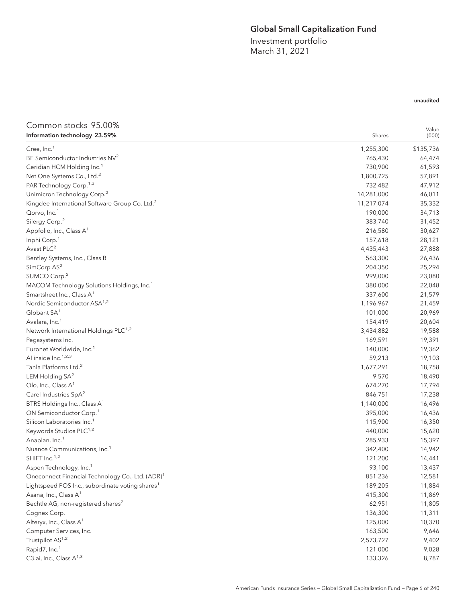## Global Small Capitalization Fund

Investment portfolio March 31, 2021

| Common stocks 95.00%                                         |            | Value     |
|--------------------------------------------------------------|------------|-----------|
| Information technology 23.59%                                | Shares     | (000)     |
| Cree, $Inc.1$                                                | 1,255,300  | \$135,736 |
| BE Semiconductor Industries NV <sup>2</sup>                  | 765,430    | 64,474    |
| Ceridian HCM Holding Inc. <sup>1</sup>                       | 730,900    | 61,593    |
| Net One Systems Co., Ltd. <sup>2</sup>                       | 1,800,725  | 57,891    |
| PAR Technology Corp. <sup>1,3</sup>                          | 732,482    | 47,912    |
| Unimicron Technology Corp. <sup>2</sup>                      | 14,281,000 | 46,011    |
| Kingdee International Software Group Co. Ltd. <sup>2</sup>   | 11,217,074 | 35,332    |
| Qorvo, Inc. <sup>1</sup>                                     | 190,000    | 34,713    |
| Silergy Corp. <sup>2</sup>                                   | 383,740    | 31,452    |
| Appfolio, Inc., Class A <sup>1</sup>                         | 216,580    | 30,627    |
| Inphi Corp. <sup>1</sup>                                     | 157,618    | 28,121    |
| Avast PLC <sup>2</sup>                                       | 4,435,443  | 27,888    |
| Bentley Systems, Inc., Class B                               | 563,300    | 26,436    |
| SimCorp AS <sup>2</sup>                                      | 204,350    | 25,294    |
| SUMCO Corp. <sup>2</sup>                                     | 999,000    | 23,080    |
| MACOM Technology Solutions Holdings, Inc. <sup>1</sup>       | 380,000    | 22,048    |
| Smartsheet Inc., Class $A1$                                  | 337,600    | 21,579    |
| Nordic Semiconductor ASA <sup>1,2</sup>                      | 1,196,967  | 21,459    |
| Globant SA <sup>1</sup>                                      | 101,000    | 20,969    |
| Avalara, Inc. <sup>1</sup>                                   | 154,419    | 20,604    |
| Network International Holdings PLC <sup>1,2</sup>            | 3,434,882  | 19,588    |
| Pegasystems Inc.                                             | 169,591    | 19,391    |
| Euronet Worldwide, Inc. <sup>1</sup>                         | 140,000    | 19,362    |
| Al inside Inc. <sup>1,2,3</sup>                              | 59,213     | 19,103    |
| Tanla Platforms Ltd. <sup>2</sup>                            | 1,677,291  | 18,758    |
| LEM Holding SA <sup>2</sup>                                  | 9,570      | 18,490    |
| Olo, Inc., Class A <sup>1</sup>                              | 674,270    | 17,794    |
| Carel Industries SpA <sup>2</sup>                            | 846,751    | 17,238    |
| BTRS Holdings Inc., Class A <sup>1</sup>                     | 1,140,000  | 16,496    |
| ON Semiconductor Corp. <sup>1</sup>                          | 395,000    | 16,436    |
| Silicon Laboratories Inc. <sup>1</sup>                       | 115,900    | 16,350    |
| Keywords Studios PLC <sup>1,2</sup>                          | 440,000    | 15,620    |
| Anaplan, Inc. <sup>1</sup>                                   | 285,933    | 15,397    |
| Nuance Communications, Inc. <sup>1</sup>                     | 342,400    | 14,942    |
| SHIFT Inc. <sup>1,2</sup>                                    | 121,200    | 14,441    |
| Aspen Technology, Inc. <sup>1</sup>                          | 93,100     | 13,437    |
| Oneconnect Financial Technology Co., Ltd. (ADR) <sup>1</sup> | 851,236    | 12,581    |
| Lightspeed POS Inc., subordinate voting shares <sup>1</sup>  | 189,205    | 11,884    |
| Asana, Inc., Class A <sup>1</sup>                            | 415,300    | 11,869    |
| Bechtle AG, non-registered shares <sup>2</sup>               | 62,951     | 11,805    |
| Cognex Corp.                                                 | 136,300    | 11,311    |
| Alteryx, Inc., Class A <sup>1</sup>                          | 125,000    | 10,370    |
| Computer Services, Inc.                                      | 163,500    | 9,646     |
| Trustpilot AS <sup>1,2</sup>                                 | 2,573,727  | 9,402     |
| Rapid7, Inc. <sup>1</sup>                                    | 121,000    | 9,028     |
| C3.ai, Inc., Class A <sup>1,3</sup>                          | 133,326    | 8,787     |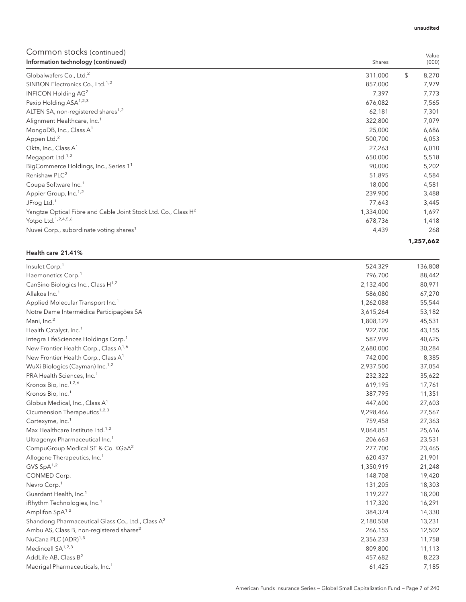#### unaudited

Value

## Common stocks (continued)

| Information technology (continued)                                         | Shares    | (000)       |
|----------------------------------------------------------------------------|-----------|-------------|
| Globalwafers Co., Ltd. <sup>2</sup>                                        | 311,000   | \$<br>8,270 |
| SINBON Electronics Co., Ltd. <sup>1,2</sup>                                | 857,000   | 7,979       |
| INFICON Holding AG <sup>2</sup>                                            | 7,397     | 7,773       |
| Pexip Holding ASA <sup>1,2,3</sup>                                         | 676,082   | 7,565       |
| ALTEN SA, non-registered shares <sup>1,2</sup>                             | 62,181    | 7,301       |
| Alignment Healthcare, Inc. <sup>1</sup>                                    | 322,800   | 7,079       |
| MongoDB, Inc., Class $A^1$                                                 | 25,000    | 6,686       |
| Appen Ltd. <sup>2</sup>                                                    | 500,700   | 6,053       |
| Okta, Inc., Class A <sup>1</sup>                                           | 27,263    | 6,010       |
| Megaport Ltd. <sup>1,2</sup>                                               | 650,000   | 5,518       |
| BigCommerce Holdings, Inc., Series 1 <sup>1</sup>                          | 90,000    | 5,202       |
| Renishaw PLC <sup>2</sup>                                                  | 51,895    | 4,584       |
| Coupa Software Inc. <sup>1</sup>                                           | 18,000    | 4,581       |
| Appier Group, Inc. <sup>1,2</sup>                                          | 239,900   | 3,488       |
| JFrog Ltd. <sup>1</sup>                                                    | 77,643    | 3,445       |
| Yangtze Optical Fibre and Cable Joint Stock Ltd. Co., Class H <sup>2</sup> | 1,334,000 | 1,697       |
| Yotpo Ltd. <sup>1,2,4,5,6</sup>                                            | 678,736   | 1,418       |
| Nuvei Corp., subordinate voting shares <sup>1</sup>                        | 4,439     | 268         |
|                                                                            |           | 1,257,662   |

### Health care 21.41%

| Insulet Corp. <sup>1</sup>                                    | 524,329   | 136,808 |
|---------------------------------------------------------------|-----------|---------|
| Haemonetics Corp. <sup>1</sup>                                | 796,700   | 88,442  |
| CanSino Biologics Inc., Class H <sup>1,2</sup>                | 2,132,400 | 80,971  |
| Allakos Inc. <sup>1</sup>                                     | 586,080   | 67,270  |
| Applied Molecular Transport Inc. <sup>1</sup>                 | 1,262,088 | 55,544  |
| Notre Dame Intermédica Participações SA                       | 3,615,264 | 53,182  |
| Mani, Inc. <sup>2</sup>                                       | 1,808,129 | 45,531  |
| Health Catalyst, Inc. <sup>1</sup>                            | 922,700   | 43,155  |
| Integra LifeSciences Holdings Corp. <sup>1</sup>              | 587,999   | 40,625  |
| New Frontier Health Corp., Class A <sup>1,6</sup>             | 2,680,000 | 30,284  |
| New Frontier Health Corp., Class A <sup>1</sup>               | 742,000   | 8,385   |
| WuXi Biologics (Cayman) Inc. <sup>1,2</sup>                   | 2,937,500 | 37,054  |
| PRA Health Sciences, Inc. <sup>1</sup>                        | 232,322   | 35,622  |
| Kronos Bio, Inc. <sup>1,2,6</sup>                             | 619,195   | 17,761  |
| Kronos Bio, Inc. <sup>1</sup>                                 | 387,795   | 11,351  |
| Globus Medical, Inc., Class A <sup>1</sup>                    | 447,600   | 27,603  |
| Ocumension Therapeutics <sup>1,2,3</sup>                      | 9,298,466 | 27,567  |
| Cortexyme, Inc. <sup>1</sup>                                  | 759,458   | 27,363  |
| Max Healthcare Institute Ltd. <sup>1,2</sup>                  | 9,064,851 | 25,616  |
| Ultragenyx Pharmaceutical Inc. <sup>1</sup>                   | 206,663   | 23,531  |
| CompuGroup Medical SE & Co. KGaA <sup>2</sup>                 | 277,700   | 23,465  |
| Allogene Therapeutics, Inc. <sup>1</sup>                      | 620,437   | 21,901  |
| GVS $SpA^{1,2}$                                               | 1,350,919 | 21,248  |
| CONMED Corp.                                                  | 148,708   | 19,420  |
| Nevro Corp. <sup>1</sup>                                      | 131,205   | 18,303  |
| Guardant Health, Inc. <sup>1</sup>                            | 119,227   | 18,200  |
| iRhythm Technologies, Inc. <sup>1</sup>                       | 117,320   | 16,291  |
| Amplifon SpA <sup>1,2</sup>                                   | 384,374   | 14,330  |
| Shandong Pharmaceutical Glass Co., Ltd., Class A <sup>2</sup> | 2,180,508 | 13,231  |
| Ambu AS, Class B, non-registered shares <sup>2</sup>          | 266,155   | 12,502  |
| NuCana PLC (ADR) <sup>1,3</sup>                               | 2,356,233 | 11,758  |
| Medincell SA <sup>1,2,3</sup>                                 | 809,800   | 11,113  |
| AddLife AB, Class B <sup>2</sup>                              | 457,682   | 8,223   |
| Madrigal Pharmaceuticals, Inc. <sup>1</sup>                   | 61,425    | 7,185   |

American Funds Insurance Series — Global Small Capitalization Fund — Page 7 of 240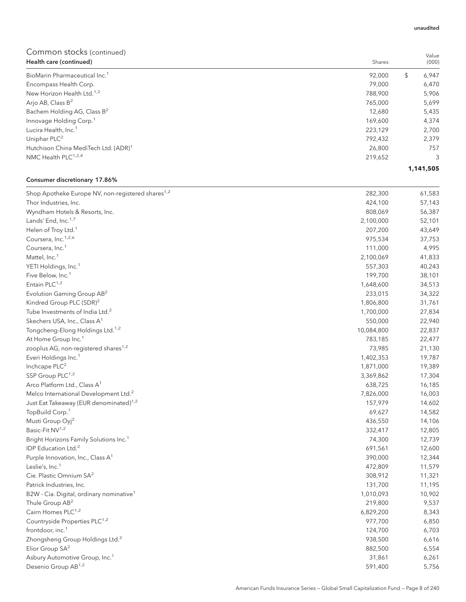| Health care (continued)                          | Shares  | (000)       |
|--------------------------------------------------|---------|-------------|
| BioMarin Pharmaceutical Inc. <sup>1</sup>        | 92,000  | \$<br>6,947 |
| Encompass Health Corp.                           | 79,000  | 6,470       |
| New Horizon Health Ltd. <sup>1,2</sup>           | 788,900 | 5,906       |
| Arjo AB, Class $B^2$                             | 765,000 | 5,699       |
| Bachem Holding AG, Class B <sup>2</sup>          | 12.680  | 5,435       |
| Innovage Holding Corp. <sup>1</sup>              | 169,600 | 4,374       |
| Lucira Health, Inc. <sup>1</sup>                 | 223.129 | 2,700       |
| Uniphar PLC <sup>2</sup>                         | 792,432 | 2,379       |
| Hutchison China MediTech Ltd. (ADR) <sup>1</sup> | 26,800  | 757         |
| NMC Health PLC <sup>1,2,4</sup>                  | 219,652 | 3           |
|                                                  |         | 1,141,505   |

### Consumer discretionary 17.86%

| Shop Apotheke Europe NV, non-registered shares <sup>1,2</sup> | 282,300    | 61,583 |
|---------------------------------------------------------------|------------|--------|
| Thor Industries, Inc.                                         | 424,100    | 57,143 |
| Wyndham Hotels & Resorts, Inc.                                | 808,069    | 56,387 |
| Lands' End, Inc. <sup>1,7</sup>                               | 2,100,000  | 52,101 |
| Helen of Troy Ltd. <sup>1</sup>                               | 207,200    | 43,649 |
| Coursera, Inc. <sup>1,2,6</sup>                               | 975,534    | 37,753 |
| Coursera, Inc. <sup>1</sup>                                   | 111,000    | 4,995  |
| Mattel, Inc. <sup>1</sup>                                     | 2,100,069  | 41,833 |
| YETI Holdings, Inc. <sup>1</sup>                              | 557,303    | 40,243 |
| Five Below, Inc. <sup>1</sup>                                 | 199,700    | 38,101 |
| Entain PLC <sup>1,2</sup>                                     | 1,648,600  | 34,513 |
| Evolution Gaming Group AB <sup>2</sup>                        | 233,015    | 34,322 |
| Kindred Group PLC (SDR) <sup>2</sup>                          | 1,806,800  | 31,761 |
| Tube Investments of India Ltd. <sup>2</sup>                   | 1,700,000  | 27,834 |
| Skechers USA, Inc., Class A <sup>1</sup>                      | 550,000    | 22,940 |
| Tongcheng-Elong Holdings Ltd. <sup>1,2</sup>                  | 10,084,800 | 22,837 |
| At Home Group Inc. <sup>1</sup>                               | 783,185    | 22,477 |
| zooplus AG, non-registered shares <sup>1,2</sup>              | 73,985     | 21,130 |
| Everi Holdings Inc. <sup>1</sup>                              | 1,402,353  | 19,787 |
| Inchcape PLC <sup>2</sup>                                     | 1,871,000  | 19,389 |
| SSP Group PLC <sup>1,2</sup>                                  | 3,369,862  | 17,304 |
| Arco Platform Ltd., Class A <sup>1</sup>                      | 638,725    | 16,185 |
| Melco International Development Ltd. <sup>2</sup>             | 7,826,000  | 16,003 |
| Just Eat Takeaway (EUR denominated) <sup>1,2</sup>            | 157,979    | 14,602 |
| TopBuild Corp. <sup>1</sup>                                   | 69,627     | 14,582 |
| Musti Group Oyj <sup>2</sup>                                  | 436,550    | 14,106 |
| Basic-Fit NV <sup>1,2</sup>                                   | 332,417    | 12,805 |
| Bright Horizons Family Solutions Inc. <sup>1</sup>            | 74,300     | 12,739 |
| IDP Education Ltd. <sup>2</sup>                               | 691,561    | 12,600 |
| Purple Innovation, Inc., Class A <sup>1</sup>                 | 390,000    | 12,344 |
| Leslie's, Inc. <sup>1</sup>                                   | 472,809    | 11,579 |
| Cie. Plastic Omnium SA <sup>2</sup>                           | 308,912    | 11,321 |
| Patrick Industries, Inc.                                      | 131,700    | 11,195 |
| B2W - Cia. Digital, ordinary nominative <sup>1</sup>          | 1,010,093  | 10,902 |
| Thule Group AB <sup>2</sup>                                   | 219,800    | 9,537  |
| Cairn Homes PLC <sup>1,2</sup>                                | 6,829,200  | 8,343  |
| Countryside Properties PLC <sup>1,2</sup>                     | 977,700    | 6,850  |
| frontdoor, inc. <sup>1</sup>                                  | 124,700    | 6,703  |
| Zhongsheng Group Holdings Ltd. <sup>2</sup>                   | 938,500    | 6,616  |
| Elior Group SA <sup>2</sup>                                   | 882,500    | 6,554  |
| Asbury Automotive Group, Inc. <sup>1</sup>                    | 31,861     | 6,261  |
| Desenio Group AB <sup>1,2</sup>                               | 591,400    | 5,756  |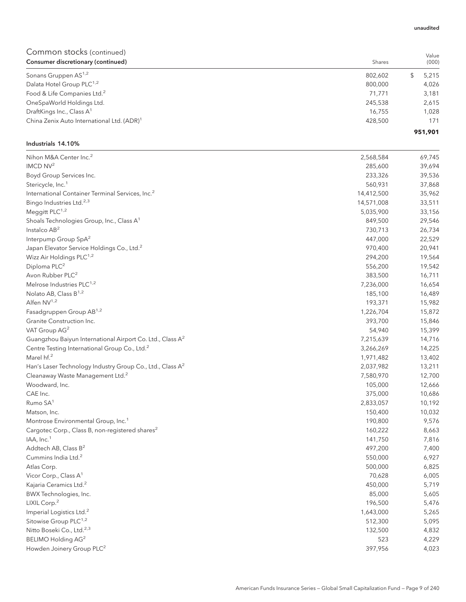| Consumer discretionary (continued)                     | Shares  | (000)   |
|--------------------------------------------------------|---------|---------|
| Sonans Gruppen AS <sup>1,2</sup>                       | 802.602 | 5.215   |
| Dalata Hotel Group PLC <sup>1,2</sup>                  | 800,000 | 4,026   |
| Food & Life Companies Ltd. <sup>2</sup>                | 71.771  | 3,181   |
| OneSpaWorld Holdings Ltd.                              | 245,538 | 2,615   |
| DraftKings Inc., Class A <sup>1</sup>                  | 16.755  | 1.028   |
| China Zenix Auto International Ltd. (ADR) <sup>1</sup> | 428,500 | 171     |
|                                                        |         | 951,901 |

## Industrials 14.10%

| Nihon M&A Center Inc. <sup>2</sup>                                    | 2,568,584<br>69,745  |
|-----------------------------------------------------------------------|----------------------|
| $IMCD$ $NV2$                                                          | 285,600<br>39,694    |
| Boyd Group Services Inc.                                              | 233,326<br>39,536    |
| Stericycle, Inc. <sup>1</sup>                                         | 560,931<br>37,868    |
| International Container Terminal Services, Inc. <sup>2</sup>          | 14,412,500<br>35,962 |
| Bingo Industries Ltd. <sup>2,3</sup>                                  | 14,571,008<br>33,511 |
| Meggitt PLC <sup>1,2</sup>                                            | 5,035,900<br>33,156  |
| Shoals Technologies Group, Inc., Class A <sup>1</sup>                 | 849,500<br>29,546    |
| Instalco $AB^2$                                                       | 730,713<br>26,734    |
| Interpump Group SpA <sup>2</sup>                                      | 447,000<br>22,529    |
| Japan Elevator Service Holdings Co., Ltd. <sup>2</sup>                | 970,400<br>20,941    |
| Wizz Air Holdings PLC <sup>1,2</sup>                                  | 294,200<br>19,564    |
| Diploma PLC <sup>2</sup>                                              | 556,200<br>19,542    |
| Avon Rubber PLC <sup>2</sup>                                          | 383,500<br>16,711    |
| Melrose Industries PLC <sup>1,2</sup>                                 | 7,236,000<br>16,654  |
| Nolato AB, Class B <sup>1,2</sup>                                     | 185,100<br>16,489    |
| Alfen NV <sup>1,2</sup>                                               | 193,371<br>15,982    |
| Fasadgruppen Group AB <sup>1,2</sup>                                  | 1,226,704<br>15,872  |
| Granite Construction Inc.                                             | 393,700<br>15,846    |
| VAT Group AG <sup>2</sup>                                             | 54,940<br>15,399     |
| Guangzhou Baiyun International Airport Co. Ltd., Class A <sup>2</sup> | 7,215,639<br>14,716  |
| Centre Testing International Group Co., Ltd. <sup>2</sup>             | 3,266,269<br>14,225  |
| Marel hf. <sup>2</sup>                                                | 1,971,482<br>13,402  |
| Han's Laser Technology Industry Group Co., Ltd., Class A <sup>2</sup> | 2,037,982<br>13,211  |
| Cleanaway Waste Management Ltd. <sup>2</sup>                          | 7,580,970<br>12,700  |
| Woodward, Inc.                                                        | 105,000<br>12,666    |
| CAE Inc.                                                              | 375,000<br>10,686    |
| Rumo SA <sup>1</sup>                                                  | 2,833,057<br>10,192  |
| Matson, Inc.                                                          | 150,400<br>10,032    |
| Montrose Environmental Group, Inc. <sup>1</sup>                       | 190,800<br>9,576     |
| Cargotec Corp., Class B, non-registered shares <sup>2</sup>           | 160,222<br>8,663     |
| IAA, Inc. <sup>1</sup>                                                | 141,750<br>7,816     |
| Addtech AB, Class B <sup>2</sup>                                      | 497,200<br>7,400     |
| Cummins India Ltd. <sup>2</sup>                                       | 550,000<br>6,927     |
| Atlas Corp.                                                           | 500,000<br>6,825     |
| Vicor Corp., Class A <sup>1</sup>                                     | 70,628<br>6,005      |
| Kajaria Ceramics Ltd. <sup>2</sup>                                    | 450,000<br>5,719     |
| BWX Technologies, Inc.                                                | 85,000<br>5,605      |
| LIXIL Corp. <sup>2</sup>                                              | 196,500<br>5,476     |
| Imperial Logistics Ltd. <sup>2</sup>                                  | 1,643,000<br>5,265   |
| Sitowise Group PLC <sup>1,2</sup>                                     | 5,095<br>512,300     |
| Nitto Boseki Co., Ltd. <sup>2,3</sup>                                 | 132,500<br>4,832     |
| BELIMO Holding AG <sup>2</sup>                                        | 4,229<br>523         |
| Howden Joinery Group PLC <sup>2</sup>                                 | 397,956<br>4,023     |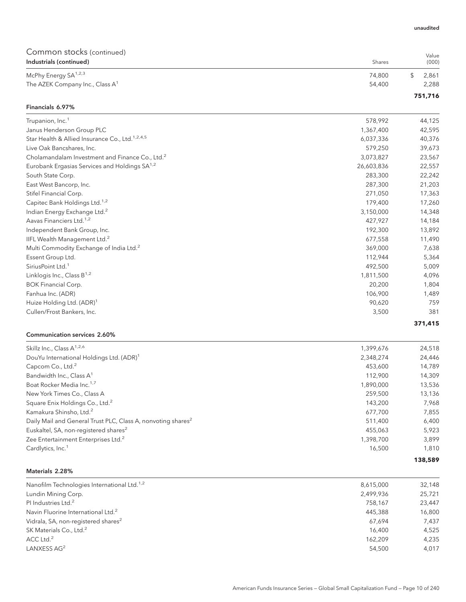| Common stocks (continued)                                   |            | Value       |
|-------------------------------------------------------------|------------|-------------|
| Industrials (continued)                                     | Shares     | (000)       |
| McPhy Energy SA <sup>1,2,3</sup>                            | 74,800     | \$<br>2,861 |
| The AZEK Company Inc., Class A <sup>1</sup>                 | 54,400     | 2,288       |
|                                                             |            | 751,716     |
| Financials 6.97%                                            |            |             |
| Trupanion, Inc. <sup>1</sup>                                | 578,992    | 44,125      |
| Janus Henderson Group PLC                                   | 1,367,400  | 42,595      |
| Star Health & Allied Insurance Co., Ltd. <sup>1,2,4,5</sup> | 6,037,336  | 40,376      |
| Live Oak Bancshares, Inc.                                   | 579,250    | 39,673      |
| Cholamandalam Investment and Finance Co., Ltd. <sup>2</sup> | 3,073,827  | 23,567      |
| Eurobank Ergasias Services and Holdings SA <sup>1,2</sup>   | 26,603,836 | 22,557      |
| South State Corp.                                           | 283,300    | 22,242      |
| East West Bancorp, Inc.                                     | 287,300    | 21,203      |
| Stifel Financial Corp.                                      | 271,050    | 17,363      |
| Capitec Bank Holdings Ltd. <sup>1,2</sup>                   | 179,400    | 17,260      |
| Indian Energy Exchange Ltd. <sup>2</sup>                    | 3,150,000  | 14,348      |
| Aavas Financiers Ltd. <sup>1,2</sup>                        | 427,927    | 14,184      |
| Independent Bank Group, Inc.                                | 192,300    | 13,892      |
| IIFL Wealth Management Ltd. <sup>2</sup>                    | 677,558    | 11,490      |
| Multi Commodity Exchange of India Ltd. <sup>2</sup>         | 369,000    | 7,638       |
| Essent Group Ltd.                                           | 112,944    | 5,364       |
| SiriusPoint Ltd. <sup>1</sup>                               | 492,500    | 5,009       |
| Linklogis Inc., Class B <sup>1,2</sup>                      | 1,811,500  | 4,096       |
| <b>BOK Financial Corp.</b>                                  | 20,200     | 1,804       |
| Fanhua Inc. (ADR)                                           | 106,900    | 1,489       |
| Huize Holding Ltd. (ADR) <sup>1</sup>                       | 90,620     | 759         |
| Cullen/Frost Bankers, Inc.                                  | 3,500      | 381         |

### Communication services 2.60%

|                                                                          |           | 138,589 |
|--------------------------------------------------------------------------|-----------|---------|
| Cardlytics, Inc. <sup>1</sup>                                            | 16,500    | 1,810   |
| Zee Entertainment Enterprises Ltd. <sup>2</sup>                          | 1.398.700 | 3,899   |
| Euskaltel, SA, non-registered shares <sup>2</sup>                        | 455,063   | 5,923   |
| Daily Mail and General Trust PLC, Class A, nonvoting shares <sup>2</sup> | 511,400   | 6,400   |
| Kamakura Shinsho, Ltd. <sup>2</sup>                                      | 677,700   | 7,855   |
| Square Enix Holdings Co., Ltd. <sup>2</sup>                              | 143,200   | 7,968   |
| New York Times Co., Class A                                              | 259.500   | 13,136  |
| Boat Rocker Media Inc. <sup>1,7</sup>                                    | 1,890,000 | 13,536  |
| Bandwidth Inc., Class A <sup>1</sup>                                     | 112.900   | 14.309  |
| Capcom Co., Ltd. <sup>2</sup>                                            | 453.600   | 14.789  |
| DouYu International Holdings Ltd. (ADR) <sup>1</sup>                     | 2,348,274 | 24,446  |
| Skillz Inc., Class A <sup>1,2,6</sup>                                    | 1,399,676 | 24,518  |
|                                                                          |           |         |

#### Materials 2.28%

| Nanofilm Technologies International Ltd. <sup>1,2</sup> | 8,615,000 | 32,148 |
|---------------------------------------------------------|-----------|--------|
| Lundin Mining Corp.                                     | 2,499,936 | 25.721 |
| PI Industries Ltd. <sup>2</sup>                         | 758.167   | 23.447 |
| Navin Fluorine International Ltd. <sup>2</sup>          | 445,388   | 16,800 |
| Vidrala, SA, non-registered shares <sup>2</sup>         | 67.694    | 7.437  |
| SK Materials Co., Ltd. <sup>2</sup>                     | 16,400    | 4,525  |
| ACC Ltd. $2$                                            | 162.209   | 4.235  |
| LANXESS AG <sup>2</sup>                                 | 54,500    | 4.017  |

**371,415**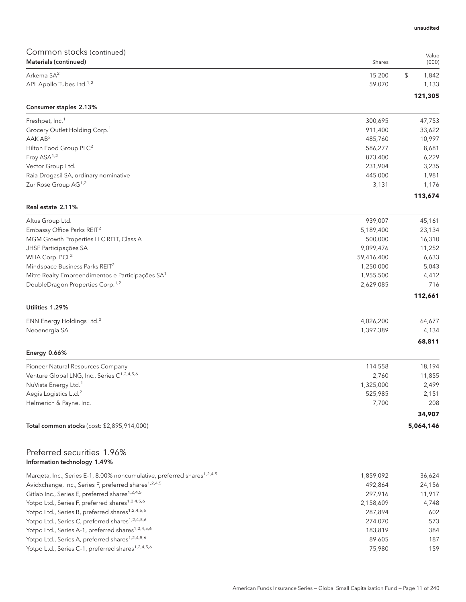| Common stocks (continued)<br>Materials (continued)                                  | Shares             | Value<br>(000) |
|-------------------------------------------------------------------------------------|--------------------|----------------|
| Arkema $SA2$                                                                        | 15,200             | \$<br>1,842    |
| APL Apollo Tubes Ltd. <sup>1,2</sup>                                                | 59,070             | 1,133          |
|                                                                                     |                    | 121,305        |
| Consumer staples 2.13%                                                              |                    |                |
| Freshpet, Inc. <sup>1</sup>                                                         | 300,695            | 47,753         |
| Grocery Outlet Holding Corp. <sup>1</sup>                                           | 911,400            | 33,622         |
| AAKAB <sup>2</sup>                                                                  | 485,760            | 10,997         |
| Hilton Food Group PLC <sup>2</sup><br>Froy ASA <sup>1,2</sup>                       | 586,277<br>873,400 | 8,681          |
| Vector Group Ltd.                                                                   | 231,904            | 6,229<br>3,235 |
| Raia Drogasil SA, ordinary nominative                                               | 445,000            | 1,981          |
| Zur Rose Group AG <sup>1,2</sup>                                                    | 3,131              | 1,176          |
|                                                                                     |                    |                |
| Real estate 2.11%                                                                   |                    | 113,674        |
| Altus Group Ltd.                                                                    | 939,007            | 45,161         |
| Embassy Office Parks REIT <sup>2</sup>                                              | 5,189,400          | 23,134         |
| MGM Growth Properties LLC REIT, Class A                                             | 500,000            | 16,310         |
| JHSF Participações SA                                                               | 9,099,476          | 11,252         |
| WHA Corp. PCL <sup>2</sup>                                                          | 59,416,400         | 6,633          |
| Mindspace Business Parks REIT <sup>2</sup>                                          | 1,250,000          | 5,043          |
| Mitre Realty Empreendimentos e Participações SA <sup>1</sup>                        | 1,955,500          | 4,412          |
| DoubleDragon Properties Corp. <sup>1,2</sup>                                        | 2,629,085          | 716            |
|                                                                                     |                    | 112,661        |
| Utilities 1.29%                                                                     |                    |                |
| ENN Energy Holdings Ltd. <sup>2</sup>                                               | 4,026,200          | 64,677         |
| Neoenergia SA                                                                       | 1,397,389          | 4,134          |
|                                                                                     |                    | 68,811         |
| Energy 0.66%                                                                        |                    |                |
| Pioneer Natural Resources Company                                                   | 114,558            | 18,194         |
| Venture Global LNG, Inc., Series C <sup>1,2,4,5,6</sup>                             | 2,760              | 11,855         |
| NuVista Energy Ltd. <sup>1</sup>                                                    | 1,325,000          | 2,499          |
| Aegis Logistics Ltd. <sup>2</sup>                                                   | 525,985            | 2,151          |
| Helmerich & Payne, Inc.                                                             | 7,700              | 208            |
|                                                                                     |                    | 34,907         |
| Total common stocks (cost: \$2,895,914,000)                                         |                    | 5,064,146      |
|                                                                                     |                    |                |
| Preferred securities 1.96%<br>Information technology 1.49%                          |                    |                |
| Marqeta, Inc., Series E-1, 8.00% noncumulative, preferred shares <sup>1,2,4,5</sup> | 1,859,092          | 36,624         |
| Avidxchange, Inc., Series F, preferred shares <sup>1,2,4,5</sup>                    | 492,864            | 24,156         |
| Gitlab Inc., Series E, preferred shares <sup>1,2,4,5</sup>                          | 297,916            | 11,917         |
| Yotpo Ltd., Series F, preferred shares <sup>1,2,4,5,6</sup>                         | 2,158,609          | 4,748          |
| Yotpo Ltd., Series B, preferred shares <sup>1,2,4,5,6</sup>                         | 287,894            | 602            |
| Yotpo Ltd., Series C, preferred shares <sup>1,2,4,5,6</sup>                         | 274,070            | 573            |
| Yotpo Ltd., Series A-1, preferred shares <sup>1,2,4,5,6</sup>                       | 183,819            | 384            |
| Yotpo Ltd., Series A, preferred shares <sup>1,2,4,5,6</sup>                         | 89,605             | 187            |
| Yotpo Ltd., Series C-1, preferred shares <sup>1,2,4,5,6</sup>                       | 75,980             | 159            |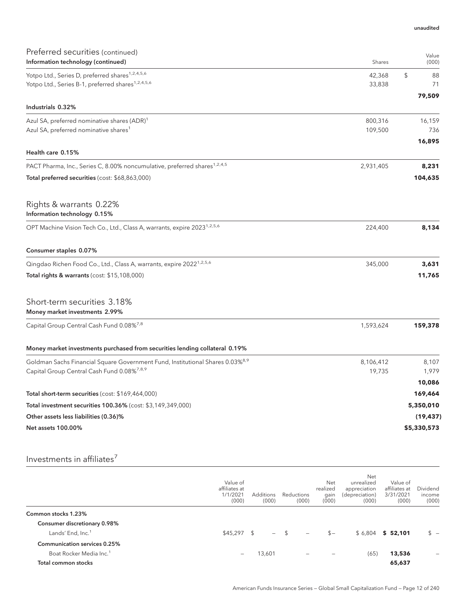| Preferred securities (continued)                                                          |           | Value       |
|-------------------------------------------------------------------------------------------|-----------|-------------|
| Information technology (continued)                                                        | Shares    | (000)       |
| Yotpo Ltd., Series D, preferred shares <sup>1,2,4,5,6</sup>                               | 42,368    | \$<br>88    |
| Yotpo Ltd., Series B-1, preferred shares <sup>1,2,4,5,6</sup>                             | 33,838    | 71          |
|                                                                                           |           | 79,509      |
| Industrials 0.32%                                                                         |           |             |
| Azul SA, preferred nominative shares (ADR) <sup>1</sup>                                   | 800,316   | 16,159      |
| Azul SA, preferred nominative shares <sup>1</sup>                                         | 109,500   | 736         |
|                                                                                           |           | 16,895      |
| Health care 0.15%                                                                         |           |             |
| PACT Pharma, Inc., Series C, 8.00% noncumulative, preferred shares <sup>1,2,4,5</sup>     | 2,931,405 | 8,231       |
| Total preferred securities (cost: \$68,863,000)                                           |           | 104,635     |
|                                                                                           |           |             |
| Rights & warrants 0.22%                                                                   |           |             |
| Information technology 0.15%                                                              |           |             |
| OPT Machine Vision Tech Co., Ltd., Class A, warrants, expire 2023 <sup>1,2,5,6</sup>      | 224,400   | 8,134       |
| Consumer staples 0.07%                                                                    |           |             |
|                                                                                           |           |             |
| Qingdao Richen Food Co., Ltd., Class A, warrants, expire 2022 <sup>1,2,5,6</sup>          | 345,000   | 3,631       |
| <b>Total rights &amp; warrants (cost: \$15,108,000)</b>                                   |           | 11,765      |
| Short-term securities 3.18%                                                               |           |             |
| Money market investments 2.99%                                                            |           |             |
| Capital Group Central Cash Fund 0.08% <sup>7,8</sup>                                      | 1,593,624 | 159,378     |
| Money market investments purchased from securities lending collateral 0.19%               |           |             |
| Goldman Sachs Financial Square Government Fund, Institutional Shares 0.03% <sup>8,9</sup> | 8,106,412 | 8,107       |
| Capital Group Central Cash Fund 0.08% <sup>7,8,9</sup>                                    | 19,735    | 1,979       |
|                                                                                           |           | 10,086      |
| Total short-term securities (cost: \$169,464,000)                                         |           | 169,464     |
| Total investment securities 100.36% (cost: \$3,149,349,000)                               |           | 5,350,010   |
| Other assets less liabilities (0.36)%                                                     |           | (19, 437)   |
| <b>Net assets 100.00%</b>                                                                 |           | \$5,330,573 |
|                                                                                           |           |             |

## Investments in affiliates $<sup>7</sup>$ </sup>

|                                     | Value of<br>affiliates at<br>1/1/2021<br>(000) | Additions<br>(000) | Reductions<br>(000)       | Net<br>realized<br>qain<br>(000) | Net<br>unrealized<br>appreciation<br>(depreciation)<br>(000) | Value of<br>affiliates at<br>3/31/2021<br>(000) | Dividend<br>income<br>(000) |
|-------------------------------------|------------------------------------------------|--------------------|---------------------------|----------------------------------|--------------------------------------------------------------|-------------------------------------------------|-----------------------------|
| Common stocks 1.23%                 |                                                |                    |                           |                                  |                                                              |                                                 |                             |
| Consumer discretionary 0.98%        |                                                |                    |                           |                                  |                                                              |                                                 |                             |
| Lands' End, Inc. <sup>1</sup>       | $$45,297$ \$                                   |                    | $-5$<br>$\qquad \qquad -$ | $S -$                            | \$6,804                                                      | \$52,101                                        | $s -$                       |
| Communication services 0.25%        |                                                |                    |                           |                                  |                                                              |                                                 |                             |
| Boat Rocker Media Inc. <sup>1</sup> | -                                              | 13,601             | $\overline{\phantom{m}}$  | $\overline{\phantom{0}}$         | (65)                                                         | 13,536                                          |                             |
| Total common stocks                 |                                                |                    |                           |                                  |                                                              | 65,637                                          |                             |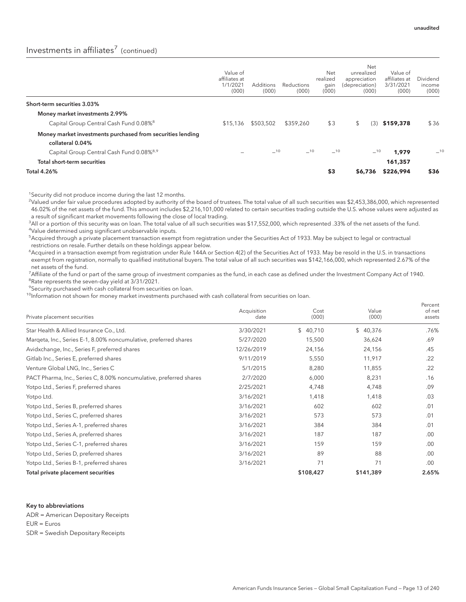## Investments in affiliates<sup>7</sup> (continued)

|                                                            | Value of<br>affiliates at<br>1/1/2021<br>(000) | Additions<br>(000) | Reductions<br>(000) | Net<br>realized<br>gain<br>(000) | unrealized<br>appreciation<br>(depreciation)<br>(000) | Net<br>Value of<br>affiliates at<br>3/31/2021<br>(000) | Dividend<br>income<br>(000) |
|------------------------------------------------------------|------------------------------------------------|--------------------|---------------------|----------------------------------|-------------------------------------------------------|--------------------------------------------------------|-----------------------------|
| Short-term securities 3.03%                                |                                                |                    |                     |                                  |                                                       |                                                        |                             |
| Money market investments 2.99%                             |                                                |                    |                     |                                  |                                                       |                                                        |                             |
| Capital Group Central Cash Fund 0.08% <sup>8</sup>         | \$15,136                                       | \$503,502          | \$359,260           | \$3                              | \$                                                    | \$159,378<br>(3)                                       | \$36                        |
| Money market investments purchased from securities lending |                                                |                    |                     |                                  |                                                       |                                                        |                             |
| collateral 0.04%                                           |                                                |                    |                     |                                  |                                                       |                                                        |                             |
| Capital Group Central Cash Fund 0.08% <sup>8,9</sup>       |                                                | $-10$              | $-10$               | $-10$                            |                                                       | $-10$<br>1,979                                         | $-10$                       |
| Total short-term securities                                |                                                |                    |                     |                                  |                                                       | 161,357                                                |                             |
| <b>Total 4.26%</b>                                         |                                                |                    |                     | \$3                              | \$6,736                                               | \$226,994                                              | \$36                        |

<sup>1</sup> Security did not produce income during the last 12 months.

2 Valued under fair value procedures adopted by authority of the board of trustees. The total value of all such securities was \$2,453,386,000, which represented 46.02% of the net assets of the fund. This amount includes \$2,216,101,000 related to certain securities trading outside the U.S. whose values were adjusted as a result of significant market movements following the close of local trading.

3 All or a portion of this security was on loan. The total value of all such securities was \$17,552,000, which represented .33% of the net assets of the fund. 4 Value determined using significant unobservable inputs.

5 Acquired through a private placement transaction exempt from registration under the Securities Act of 1933. May be subject to legal or contractual restrictions on resale. Further details on these holdings appear below.

6 Acquired in a transaction exempt from registration under Rule 144A or Section 4(2) of the Securities Act of 1933. May be resold in the U.S. in transactions exempt from registration, normally to qualified institutional buyers. The total value of all such securities was \$142,166,000, which represented 2.67% of the net assets of the fund.

7 Affiliate of the fund or part of the same group of investment companies as the fund, in each case as defined under the Investment Company Act of 1940. <sup>8</sup>Rate represents the seven-day yield at 3/31/2021.

<sup>9</sup>Security purchased with cash collateral from securities on loan.

<sup>10</sup>Information not shown for money market investments purchased with cash collateral from securities on loan.

| Private placement securities                                       | Acquisition<br>date | Cost<br>(000) | Value<br>(000) | Percent<br>of net<br>assets |
|--------------------------------------------------------------------|---------------------|---------------|----------------|-----------------------------|
| Star Health & Allied Insurance Co., Ltd.                           | 3/30/2021           | \$40,710      | \$40,376       | .76%                        |
| Margeta, Inc., Series E-1, 8.00% noncumulative, preferred shares   | 5/27/2020           | 15,500        | 36,624         | .69                         |
| Avidxchange, Inc., Series F, preferred shares                      | 12/26/2019          | 24,156        | 24,156         | .45                         |
| Gitlab Inc., Series E, preferred shares                            | 9/11/2019           | 5,550         | 11,917         | .22                         |
| Venture Global LNG, Inc., Series C                                 | 5/1/2015            | 8,280         | 11,855         | .22                         |
| PACT Pharma, Inc., Series C, 8.00% noncumulative, preferred shares | 2/7/2020            | 6,000         | 8,231          | .16                         |
| Yotpo Ltd., Series F, preferred shares                             | 2/25/2021           | 4,748         | 4,748          | .09                         |
| Yotpo Ltd.                                                         | 3/16/2021           | 1,418         | 1,418          | .03                         |
| Yotpo Ltd., Series B, preferred shares                             | 3/16/2021           | 602           | 602            | .01                         |
| Yotpo Ltd., Series C, preferred shares                             | 3/16/2021           | 573           | 573            | .01                         |
| Yotpo Ltd., Series A-1, preferred shares                           | 3/16/2021           | 384           | 384            | .01                         |
| Yotpo Ltd., Series A, preferred shares                             | 3/16/2021           | 187           | 187            | .00.                        |
| Yotpo Ltd., Series C-1, preferred shares                           | 3/16/2021           | 159           | 159            | .00.                        |
| Yotpo Ltd., Series D, preferred shares                             | 3/16/2021           | 89            | 88             | .00.                        |
| Yotpo Ltd., Series B-1, preferred shares                           | 3/16/2021           | 71            | 71             | .00                         |
| Total private placement securities                                 |                     | \$108,427     | \$141,389      | 2.65%                       |

#### Key to abbreviations

ADR = American Depositary Receipts EUR = Euros SDR = Swedish Depositary Receipts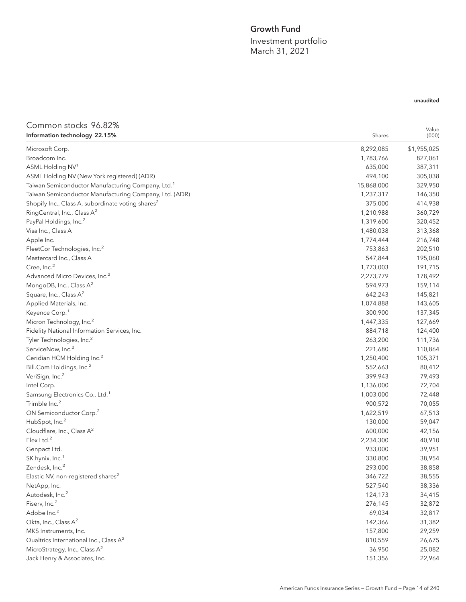## Growth Fund

Investment portfolio March 31, 2021

| Common stocks 96.82%                                          |            |                |
|---------------------------------------------------------------|------------|----------------|
| Information technology 22.15%                                 | Shares     | Value<br>(000) |
| Microsoft Corp.                                               | 8,292,085  | \$1,955,025    |
| Broadcom Inc.                                                 | 1,783,766  | 827,061        |
| ASML Holding NV <sup>1</sup>                                  | 635,000    | 387,311        |
| ASML Holding NV (New York registered) (ADR)                   | 494,100    | 305,038        |
| Taiwan Semiconductor Manufacturing Company, Ltd. <sup>1</sup> | 15,868,000 | 329,950        |
| Taiwan Semiconductor Manufacturing Company, Ltd. (ADR)        | 1,237,317  | 146,350        |
| Shopify Inc., Class A, subordinate voting shares <sup>2</sup> | 375,000    | 414,938        |
| RingCentral, Inc., Class A <sup>2</sup>                       | 1,210,988  | 360,729        |
| PayPal Holdings, Inc. <sup>2</sup>                            | 1,319,600  | 320,452        |
| Visa Inc., Class A                                            | 1,480,038  | 313,368        |
| Apple Inc.                                                    | 1,774,444  | 216,748        |
| FleetCor Technologies, Inc. <sup>2</sup>                      | 753,863    | 202,510        |
| Mastercard Inc., Class A                                      | 547,844    | 195,060        |
| Cree, Inc. <sup>2</sup>                                       | 1,773,003  | 191,715        |
| Advanced Micro Devices, Inc. <sup>2</sup>                     | 2,273,779  | 178,492        |
| MongoDB, Inc., Class A <sup>2</sup>                           | 594,973    | 159,114        |
| Square, Inc., Class A <sup>2</sup>                            | 642,243    | 145,821        |
| Applied Materials, Inc.                                       | 1,074,888  | 143,605        |
| Keyence Corp. <sup>1</sup>                                    | 300,900    | 137,345        |
| Micron Technology, Inc. <sup>2</sup>                          | 1,447,335  | 127,669        |
| Fidelity National Information Services, Inc.                  | 884,718    | 124,400        |
| Tyler Technologies, Inc. <sup>2</sup>                         | 263,200    | 111,736        |
| ServiceNow, Inc. <sup>2</sup>                                 | 221,680    | 110,864        |
| Ceridian HCM Holding Inc. <sup>2</sup>                        | 1,250,400  | 105,371        |
| Bill.Com Holdings, Inc. <sup>2</sup>                          | 552,663    | 80,412         |
| VeriSign, Inc. <sup>2</sup>                                   | 399,943    | 79,493         |
| Intel Corp.                                                   | 1,136,000  | 72,704         |
| Samsung Electronics Co., Ltd. <sup>1</sup>                    | 1,003,000  | 72,448         |
| Trimble Inc. <sup>2</sup>                                     | 900,572    | 70,055         |
| ON Semiconductor Corp. <sup>2</sup>                           | 1,622,519  | 67,513         |
| HubSpot, Inc. <sup>2</sup>                                    | 130,000    | 59,047         |
| Cloudflare, Inc., Class A <sup>2</sup>                        | 600,000    | 42,156         |
| Flex Ltd. <sup>2</sup>                                        | 2,234,300  | 40,910         |
| Genpact Ltd.                                                  | 933,000    | 39,951         |
| SK hynix, Inc. <sup>1</sup>                                   | 330,800    | 38,954         |
| Zendesk, Inc. <sup>2</sup>                                    | 293,000    | 38,858         |
| Elastic NV, non-registered shares <sup>2</sup>                | 346,722    | 38,555         |
| NetApp, Inc.                                                  | 527,540    | 38,336         |
| Autodesk, Inc. <sup>2</sup>                                   | 124,173    | 34,415         |
| Fiserv, Inc. <sup>2</sup>                                     | 276,145    | 32,872         |
| Adobe Inc. <sup>2</sup>                                       | 69,034     | 32,817         |
| Okta, Inc., Class A <sup>2</sup>                              | 142,366    | 31,382         |
| MKS Instruments, Inc.                                         | 157,800    | 29,259         |
| Qualtrics International Inc., Class A <sup>2</sup>            | 810,559    | 26,675         |
| MicroStrategy, Inc., Class A <sup>2</sup>                     | 36,950     | 25,082         |
| Jack Henry & Associates, Inc.                                 | 151,356    | 22,964         |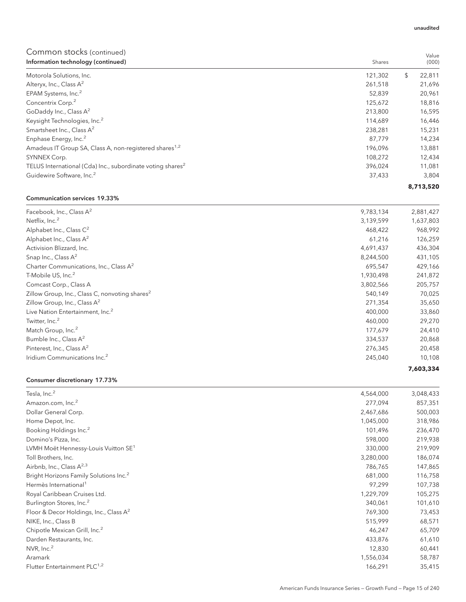| Information technology (continued)                                     | Shares  | (000)        |
|------------------------------------------------------------------------|---------|--------------|
| Motorola Solutions, Inc.                                               | 121,302 | \$<br>22,811 |
| Alteryx, Inc., Class $A^2$                                             | 261,518 | 21,696       |
| EPAM Systems, Inc. <sup>2</sup>                                        | 52,839  | 20,961       |
| Concentrix Corp. <sup>2</sup>                                          | 125,672 | 18,816       |
| GoDaddy Inc., Class A <sup>2</sup>                                     | 213.800 | 16,595       |
| Keysight Technologies, Inc. <sup>2</sup>                               | 114,689 | 16,446       |
| Smartsheet Inc., Class A <sup>2</sup>                                  | 238,281 | 15,231       |
| Enphase Energy, Inc. <sup>2</sup>                                      | 87.779  | 14,234       |
| Amadeus IT Group SA, Class A, non-registered shares <sup>1,2</sup>     | 196.096 | 13,881       |
| SYNNEX Corp.                                                           | 108,272 | 12,434       |
| TELUS International (Cda) Inc., subordinate voting shares <sup>2</sup> | 396,024 | 11,081       |
| Guidewire Software, Inc. <sup>2</sup>                                  | 37.433  | 3,804        |
|                                                                        |         | 8,713,520    |

#### Communication services 19.33%

| Facebook, Inc., Class A <sup>2</sup>                       | 9,783,134 | 2,881,427 |
|------------------------------------------------------------|-----------|-----------|
| Netflix, Inc. <sup>2</sup>                                 | 3,139,599 | 1,637,803 |
| Alphabet Inc., Class $C^2$                                 | 468,422   | 968,992   |
| Alphabet Inc., Class $A^2$                                 | 61,216    | 126,259   |
| Activision Blizzard, Inc.                                  | 4,691,437 | 436,304   |
| Snap Inc., Class $A^2$                                     | 8,244,500 | 431,105   |
| Charter Communications, Inc., Class A <sup>2</sup>         | 695,547   | 429,166   |
| T-Mobile US, Inc. <sup>2</sup>                             | 1,930,498 | 241,872   |
| Comcast Corp., Class A                                     | 3,802,566 | 205,757   |
| Zillow Group, Inc., Class C, nonvoting shares <sup>2</sup> | 540,149   | 70,025    |
| Zillow Group, Inc., Class A <sup>2</sup>                   | 271,354   | 35,650    |
| Live Nation Entertainment, Inc. <sup>2</sup>               | 400,000   | 33,860    |
| Twitter, Inc. <sup>2</sup>                                 | 460,000   | 29,270    |
| Match Group, Inc. <sup>2</sup>                             | 177,679   | 24,410    |
| Bumble Inc., Class A <sup>2</sup>                          | 334,537   | 20,868    |
| Pinterest, Inc., Class A <sup>2</sup>                      | 276,345   | 20,458    |
| Iridium Communications Inc. <sup>2</sup>                   | 245,040   | 10,108    |
|                                                            |           | 7,603,334 |

### Consumer discretionary 17.73%

| Tesla, Inc. <sup>2</sup>                           | 4,564,000 | 3,048,433 |
|----------------------------------------------------|-----------|-----------|
| Amazon.com, Inc. <sup>2</sup>                      | 277,094   | 857,351   |
| Dollar General Corp.                               | 2,467,686 | 500,003   |
| Home Depot, Inc.                                   | 1,045,000 | 318,986   |
| Booking Holdings Inc. <sup>2</sup>                 | 101,496   | 236,470   |
| Domino's Pizza, Inc.                               | 598,000   | 219,938   |
| LVMH Moët Hennessy-Louis Vuitton SE <sup>1</sup>   | 330,000   | 219,909   |
| Toll Brothers, Inc.                                | 3,280,000 | 186,074   |
| Airbnb, Inc., Class A <sup>2,3</sup>               | 786,765   | 147,865   |
| Bright Horizons Family Solutions Inc. <sup>2</sup> | 681,000   | 116,758   |
| Hermès International <sup>1</sup>                  | 97,299    | 107,738   |
| Royal Caribbean Cruises Ltd.                       | 1,229,709 | 105,275   |
| Burlington Stores, Inc. <sup>2</sup>               | 340,061   | 101,610   |
| Floor & Decor Holdings, Inc., Class $A^2$          | 769,300   | 73,453    |
| NIKE, Inc., Class B                                | 515,999   | 68,571    |
| Chipotle Mexican Grill, Inc. <sup>2</sup>          | 46,247    | 65,709    |
| Darden Restaurants, Inc.                           | 433,876   | 61,610    |
| NVR, $Inc.2$                                       | 12,830    | 60,441    |
| Aramark                                            | 1,556,034 | 58,787    |
| Flutter Entertainment PLC <sup>1,2</sup>           | 166,291   | 35,415    |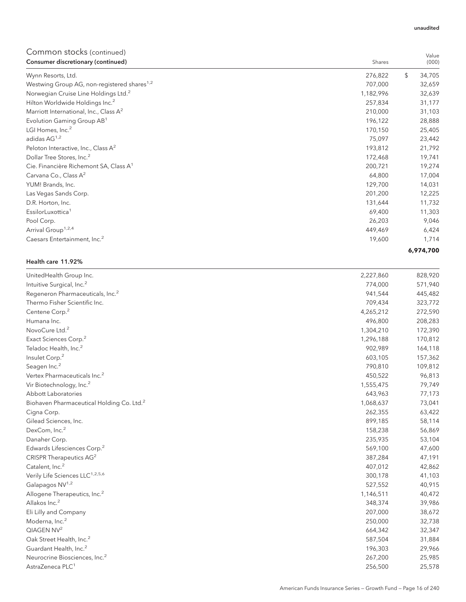| COMMITMON SLOCKS (CONTINUED)<br>Consumer discretionary (continued) | Shares    | Value<br>(000) |
|--------------------------------------------------------------------|-----------|----------------|
| Wynn Resorts, Ltd.                                                 | 276,822   | \$<br>34,705   |
| Westwing Group AG, non-registered shares <sup>1,2</sup>            | 707,000   | 32,659         |
| Norwegian Cruise Line Holdings Ltd. <sup>2</sup>                   | 1,182,996 | 32,639         |
| Hilton Worldwide Holdings Inc. <sup>2</sup>                        | 257,834   | 31,177         |
| Marriott International, Inc., Class A <sup>2</sup>                 | 210,000   | 31,103         |
| Evolution Gaming Group AB <sup>1</sup>                             | 196,122   | 28,888         |
| LGI Homes, Inc. <sup>2</sup>                                       | 170,150   | 25,405         |
| adidas AG <sup>1,2</sup>                                           | 75,097    | 23,442         |
| Peloton Interactive, Inc., Class A <sup>2</sup>                    | 193,812   | 21,792         |
| Dollar Tree Stores, Inc. <sup>2</sup>                              | 172,468   | 19,741         |
| Cie. Financière Richemont SA, Class A <sup>1</sup>                 | 200,721   | 19,274         |
| Carvana Co., Class A <sup>2</sup>                                  | 64,800    | 17,004         |
| YUM! Brands, Inc.                                                  | 129,700   | 14,031         |
| Las Vegas Sands Corp.                                              | 201,200   | 12,225         |
| D.R. Horton, Inc.                                                  | 131,644   | 11,732         |
| EssilorLuxottica <sup>1</sup>                                      | 69,400    | 11,303         |
| Pool Corp.                                                         | 26,203    | 9,046          |
| Arrival Group <sup>1,2,4</sup>                                     | 449,469   | 6,424          |
| Caesars Entertainment, Inc. <sup>2</sup>                           | 19,600    | 1,714          |
|                                                                    |           | 6,974,700      |

### Health care 11.92%

| UnitedHealth Group Inc.                               | 2,227,860 | 828,920 |
|-------------------------------------------------------|-----------|---------|
| Intuitive Surgical, Inc. <sup>2</sup>                 | 774,000   | 571,940 |
| Regeneron Pharmaceuticals, Inc. <sup>2</sup>          | 941,544   | 445,482 |
| Thermo Fisher Scientific Inc.                         | 709,434   | 323,772 |
| Centene Corp. <sup>2</sup>                            | 4,265,212 | 272,590 |
| Humana Inc.                                           | 496,800   | 208,283 |
| NovoCure Ltd. <sup>2</sup>                            | 1,304,210 | 172,390 |
| Exact Sciences Corp. <sup>2</sup>                     | 1,296,188 | 170,812 |
| Teladoc Health, Inc. <sup>2</sup>                     | 902,989   | 164,118 |
| Insulet Corp. <sup>2</sup>                            | 603,105   | 157,362 |
| Seagen Inc. <sup>2</sup>                              | 790,810   | 109,812 |
| Vertex Pharmaceuticals Inc. <sup>2</sup>              | 450,522   | 96,813  |
| Vir Biotechnology, Inc. <sup>2</sup>                  | 1,555,475 | 79,749  |
| Abbott Laboratories                                   | 643,963   | 77,173  |
| Biohaven Pharmaceutical Holding Co. Ltd. <sup>2</sup> | 1,068,637 | 73,041  |
| Cigna Corp.                                           | 262,355   | 63,422  |
| Gilead Sciences, Inc.                                 | 899,185   | 58,114  |
| DexCom, Inc. <sup>2</sup>                             | 158,238   | 56,869  |
| Danaher Corp.                                         | 235,935   | 53,104  |
| Edwards Lifesciences Corp. <sup>2</sup>               | 569,100   | 47,600  |
| CRISPR Therapeutics AG <sup>2</sup>                   | 387,284   | 47,191  |
| Catalent, Inc. <sup>2</sup>                           | 407,012   | 42,862  |
| Verily Life Sciences LLC <sup>1,2,5,6</sup>           | 300,178   | 41,103  |
| Galapagos NV <sup>1,2</sup>                           | 527,552   | 40,915  |
| Allogene Therapeutics, Inc. <sup>2</sup>              | 1,146,511 | 40,472  |
| Allakos Inc. <sup>2</sup>                             | 348,374   | 39,986  |
| Eli Lilly and Company                                 | 207,000   | 38,672  |
| Moderna, Inc. <sup>2</sup>                            | 250,000   | 32,738  |
| QIAGEN NV <sup>2</sup>                                | 664,342   | 32,347  |
| Oak Street Health, Inc. <sup>2</sup>                  | 587,504   | 31,884  |
| Guardant Health, Inc. <sup>2</sup>                    | 196,303   | 29,966  |
| Neurocrine Biosciences, Inc. <sup>2</sup>             | 267,200   | 25,985  |
| AstraZeneca PLC <sup>1</sup>                          | 256,500   | 25,578  |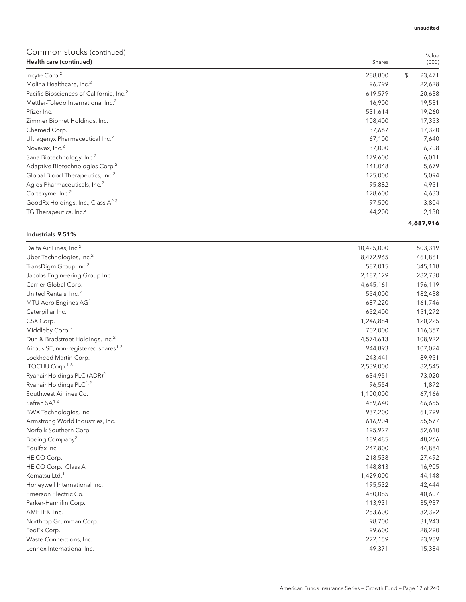| Health care (continued)                              | Shares  | (000)        |
|------------------------------------------------------|---------|--------------|
| Incyte Corp. <sup>2</sup>                            | 288,800 | \$<br>23,471 |
| Molina Healthcare, Inc. <sup>2</sup>                 | 96,799  | 22,628       |
| Pacific Biosciences of California, Inc. <sup>2</sup> | 619,579 | 20,638       |
| Mettler-Toledo International Inc. <sup>2</sup>       | 16,900  | 19,531       |
| Pfizer Inc.                                          | 531,614 | 19,260       |
| Zimmer Biomet Holdings, Inc.                         | 108,400 | 17,353       |
| Chemed Corp.                                         | 37,667  | 17,320       |
| Ultragenyx Pharmaceutical Inc. <sup>2</sup>          | 67,100  | 7,640        |
| Novavax, Inc. <sup>2</sup>                           | 37,000  | 6,708        |
| Sana Biotechnology, Inc. <sup>2</sup>                | 179,600 | 6,011        |
| Adaptive Biotechnologies Corp. <sup>2</sup>          | 141,048 | 5,679        |
| Global Blood Therapeutics, Inc. <sup>2</sup>         | 125,000 | 5,094        |
| Agios Pharmaceuticals, Inc. <sup>2</sup>             | 95,882  | 4,951        |
| Cortexyme, Inc. <sup>2</sup>                         | 128,600 | 4,633        |
| GoodRx Holdings, Inc., Class A <sup>2,3</sup>        | 97,500  | 3,804        |
| TG Therapeutics, Inc. <sup>2</sup>                   | 44,200  | 2,130        |
|                                                      |         | 4,687,916    |

## Industrials 9.51%

| Delta Air Lines, Inc. <sup>2</sup>              | 10,425,000 | 503,319 |
|-------------------------------------------------|------------|---------|
| Uber Technologies, Inc. <sup>2</sup>            | 8,472,965  | 461,861 |
| TransDigm Group Inc. <sup>2</sup>               | 587,015    | 345,118 |
| Jacobs Engineering Group Inc.                   | 2,187,129  | 282,730 |
| Carrier Global Corp.                            | 4,645,161  | 196,119 |
| United Rentals, Inc. <sup>2</sup>               | 554,000    | 182,438 |
| MTU Aero Engines AG <sup>1</sup>                | 687,220    | 161,746 |
| Caterpillar Inc.                                | 652,400    | 151,272 |
| CSX Corp.                                       | 1,246,884  | 120,225 |
| Middleby Corp. <sup>2</sup>                     | 702,000    | 116,357 |
| Dun & Bradstreet Holdings, Inc. <sup>2</sup>    | 4,574,613  | 108,922 |
| Airbus SE, non-registered shares <sup>1,2</sup> | 944,893    | 107,024 |
| Lockheed Martin Corp.                           | 243,441    | 89,951  |
| ITOCHU Corp. <sup>1,3</sup>                     | 2,539,000  | 82,545  |
| Ryanair Holdings PLC (ADR) <sup>2</sup>         | 634,951    | 73,020  |
| Ryanair Holdings PLC <sup>1,2</sup>             | 96,554     | 1,872   |
| Southwest Airlines Co.                          | 1,100,000  | 67,166  |
| Safran SA <sup>1,2</sup>                        | 489,640    | 66,655  |
| BWX Technologies, Inc.                          | 937,200    | 61,799  |
| Armstrong World Industries, Inc.                | 616,904    | 55,577  |
| Norfolk Southern Corp.                          | 195,927    | 52,610  |
| Boeing Company <sup>2</sup>                     | 189,485    | 48,266  |
| Equifax Inc.                                    | 247,800    | 44,884  |
| HEICO Corp.                                     | 218,538    | 27,492  |
| HEICO Corp., Class A                            | 148,813    | 16,905  |
| Komatsu Ltd. <sup>1</sup>                       | 1,429,000  | 44,148  |
| Honeywell International Inc.                    | 195,532    | 42,444  |
| Emerson Electric Co.                            | 450,085    | 40,607  |
| Parker-Hannifin Corp.                           | 113,931    | 35,937  |
| AMETEK, Inc.                                    | 253,600    | 32,392  |
| Northrop Grumman Corp.                          | 98,700     | 31,943  |
| FedEx Corp.                                     | 99,600     | 28,290  |
| Waste Connections, Inc.                         | 222,159    | 23,989  |
| Lennox International Inc.                       | 49,371     | 15,384  |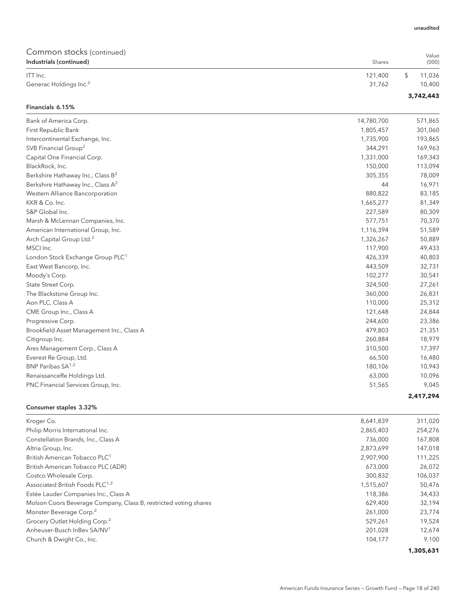| Common stocks (continued)<br>Industrials (continued) | Shares     | Value<br>(000) |
|------------------------------------------------------|------------|----------------|
| ITT Inc.                                             | 121,400    | \$<br>11,036   |
| Generac Holdings Inc. <sup>2</sup>                   | 31,762     | 10,400         |
|                                                      |            | 3,742,443      |
| Financials 6.15%                                     |            |                |
| Bank of America Corp.                                | 14,780,700 | 571,865        |
| First Republic Bank                                  | 1,805,457  | 301,060        |
| Intercontinental Exchange, Inc.                      | 1,735,900  | 193,865        |
| SVB Financial Group <sup>2</sup>                     | 344,291    | 169,963        |
| Capital One Financial Corp.                          | 1,331,000  | 169,343        |
| BlackRock, Inc.                                      | 150,000    | 113,094        |
| Berkshire Hathaway Inc., Class B <sup>2</sup>        | 305,355    | 78,009         |
| Berkshire Hathaway Inc., Class A <sup>2</sup>        | 44         | 16,971         |
| Western Alliance Bancorporation                      | 880,822    | 83,185         |

| DEINSTILLE FIALITAWAY ITIC., Class D         | JUJ,JJJ   | 10,001 |
|----------------------------------------------|-----------|--------|
| Berkshire Hathaway Inc., Class $A^2$         | 44        | 16,971 |
| Western Alliance Bancorporation              | 880,822   | 83,185 |
| KKR & Co. Inc.                               | 1,665,277 | 81,349 |
| S&P Global Inc.                              | 227,589   | 80,309 |
| Marsh & McLennan Companies, Inc.             | 577,751   | 70,370 |
| American International Group, Inc.           | 1,116,394 | 51,589 |
| Arch Capital Group Ltd. <sup>2</sup>         | 1,326,267 | 50,889 |
| MSCI Inc.                                    | 117,900   | 49,433 |
| London Stock Exchange Group PLC <sup>1</sup> | 426,339   | 40,803 |
| East West Bancorp, Inc.                      | 443,509   | 32,731 |
| Moody's Corp.                                | 102,277   | 30,541 |
| State Street Corp.                           | 324,500   | 27,261 |
| The Blackstone Group Inc.                    | 360,000   | 26,831 |
| Aon PLC, Class A                             | 110,000   | 25,312 |
| CME Group Inc., Class A                      | 121,648   | 24,844 |
| Progressive Corp.                            | 244,600   | 23,386 |
| Brookfield Asset Management Inc., Class A    | 479,803   | 21,351 |
| Citigroup Inc.                               | 260,884   | 18,979 |
| Ares Management Corp., Class A               | 310,500   | 17,397 |
| Everest Re Group, Ltd.                       | 66,500    | 16,480 |
| BNP Paribas SA <sup>1,2</sup>                | 180,106   | 10,943 |
| RenaissanceRe Holdings Ltd.                  | 63,000    | 10,096 |
| PNC Financial Services Group, Inc.           | 51,565    | 9,045  |

### Consumer staples 3.32%

|           | 1,305,631 |
|-----------|-----------|
| 104.177   | 9,100     |
| 201,028   | 12,674    |
| 529.261   | 19,524    |
| 261,000   | 23,774    |
| 629,400   | 32,194    |
| 118,386   | 34,433    |
| 1,515,607 | 50,476    |
| 300.832   | 106,037   |
| 673,000   | 26,072    |
| 2.907.900 | 111,225   |
| 2,873,699 | 147,018   |
| 736,000   | 167,808   |
| 2,865,403 | 254,276   |
|           | 311,020   |
|           | 8,641,839 |

**2,417,294**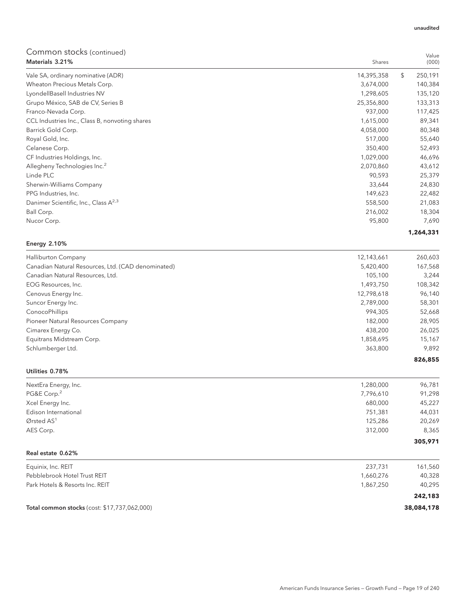| Materials 3.21%                                  | Shares     | (000)         |
|--------------------------------------------------|------------|---------------|
| Vale SA, ordinary nominative (ADR)               | 14,395,358 | \$<br>250,191 |
| Wheaton Precious Metals Corp.                    | 3,674,000  | 140,384       |
| LyondellBasell Industries NV                     | 1,298,605  | 135,120       |
| Grupo México, SAB de CV, Series B                | 25,356,800 | 133,313       |
| Franco-Nevada Corp.                              | 937,000    | 117,425       |
| CCL Industries Inc., Class B, nonvoting shares   | 1,615,000  | 89,341        |
| Barrick Gold Corp.                               | 4,058,000  | 80,348        |
| Royal Gold, Inc.                                 | 517,000    | 55,640        |
| Celanese Corp.                                   | 350,400    | 52,493        |
| CF Industries Holdings, Inc.                     | 1,029,000  | 46,696        |
| Allegheny Technologies Inc. <sup>2</sup>         | 2,070,860  | 43,612        |
| Linde PLC                                        | 90,593     | 25,379        |
| Sherwin-Williams Company                         | 33,644     | 24,830        |
| PPG Industries, Inc.                             | 149,623    | 22,482        |
| Danimer Scientific, Inc., Class A <sup>2,3</sup> | 558,500    | 21,083        |
| Ball Corp.                                       | 216,002    | 18,304        |
| Nucor Corp.                                      | 95,800     | 7,690         |
|                                                  |            | 1,264,331     |

## Energy 2.10%

| <b>Halliburton Company</b>                         | 12,143,661 | 260,603 |
|----------------------------------------------------|------------|---------|
| Canadian Natural Resources, Ltd. (CAD denominated) | 5,420,400  | 167,568 |
| Canadian Natural Resources, Ltd.                   | 105,100    | 3,244   |
| EOG Resources, Inc.                                | 1,493,750  | 108,342 |
| Cenovus Energy Inc.                                | 12,798,618 | 96,140  |
| Suncor Energy Inc.                                 | 2,789,000  | 58,301  |
| ConocoPhillips                                     | 994.305    | 52,668  |
| Pioneer Natural Resources Company                  | 182,000    | 28,905  |
| Cimarex Energy Co.                                 | 438.200    | 26,025  |
| Equitrans Midstream Corp.                          | 1,858,695  | 15,167  |
| Schlumberger Ltd.                                  | 363,800    | 9,892   |
|                                                    |            |         |

#### Utilities 0.78%

Real estate 0.62%

| NextEra Energy, Inc.    | 1,280,000 | 96,781  |
|-------------------------|-----------|---------|
| PG&E Corp. <sup>2</sup> | 7,796,610 | 91,298  |
| Xcel Energy Inc.        | 680,000   | 45,227  |
| Edison International    | 751.381   | 44,031  |
| Ørsted $AS1$            | 125,286   | 20,269  |
| AES Corp.               | 312,000   | 8,365   |
|                         |           | 305,971 |

| Equinix, Inc. REIT              | 237.731   | 161,560 |
|---------------------------------|-----------|---------|
| Pebblebrook Hotel Trust REIT    | 1,660,276 | 40,328  |
| Park Hotels & Resorts Inc. REIT | 1.867.250 | 40,295  |
|                                 |           | 242,183 |

Total common stocks (cost: \$17,737,062,000) **38,084,178**

Value

unaudited

**826,855**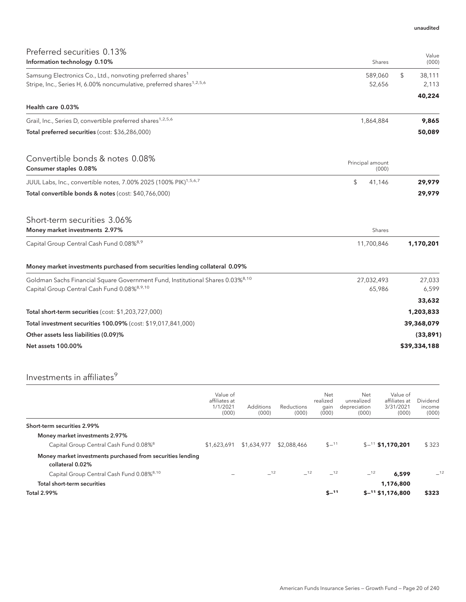| Preferred securities 0.13%                                                                 |                           |                |
|--------------------------------------------------------------------------------------------|---------------------------|----------------|
| Information technology 0.10%                                                               | Shares                    | Value<br>(000) |
| Samsung Electronics Co., Ltd., nonvoting preferred shares <sup>1</sup>                     | 589,060                   | \$<br>38,111   |
| Stripe, Inc., Series H, 6.00% noncumulative, preferred shares <sup>1,2,5,6</sup>           | 52,656                    | 2,113          |
|                                                                                            |                           | 40,224         |
| Health care 0.03%                                                                          |                           |                |
| Grail, Inc., Series D, convertible preferred shares <sup>1,2,5,6</sup>                     | 1,864,884                 | 9,865          |
| Total preferred securities (cost: \$36,286,000)                                            |                           | 50,089         |
| Convertible bonds & notes 0.08%<br>Consumer staples 0.08%                                  | Principal amount<br>(000) |                |
| JUUL Labs, Inc., convertible notes, 7.00% 2025 (100% PIK) <sup>1,5,6,7</sup>               | \$<br>41,146              | 29,979         |
| Total convertible bonds & notes (cost: \$40,766,000)                                       |                           | 29,979         |
| Short-term securities 3.06%                                                                |                           |                |
| Money market investments 2.97%                                                             | Shares                    |                |
| Capital Group Central Cash Fund 0.08% <sup>8,9</sup>                                       | 11,700,846                | 1,170,201      |
| Money market investments purchased from securities lending collateral 0.09%                |                           |                |
| Goldman Sachs Financial Square Government Fund, Institutional Shares 0.03% <sup>8,10</sup> | 27,032,493                | 27,033         |
| Capital Group Central Cash Fund 0.08%8,9,10                                                | 65,986                    | 6,599          |
|                                                                                            |                           | 33,632         |
| Total short-term securities (cost: \$1,203,727,000)                                        |                           | 1,203,833      |
| Total investment securities 100.09% (cost: \$19,017,841,000)                               |                           | 39,368,079     |
| Other assets less liabilities (0.09)%                                                      |                           | (33,891)       |
| <b>Net assets 100.00%</b>                                                                  |                           | \$39,334,188   |

## Investments in affiliates $^9$

|                                                                                | Value of<br>affiliates at<br>1/1/2021<br>(000) | <b>Additions</b><br>(000) | <b>Reductions</b><br>(000) | Net<br>realized<br>gain<br>(000) | Net<br>unrealized<br>depreciation<br>(000) | Value of<br>affiliates at<br>3/31/2021<br>(000) | Dividend<br>income<br>(000) |
|--------------------------------------------------------------------------------|------------------------------------------------|---------------------------|----------------------------|----------------------------------|--------------------------------------------|-------------------------------------------------|-----------------------------|
| Short-term securities 2.99%                                                    |                                                |                           |                            |                                  |                                            |                                                 |                             |
| Money market investments 2.97%                                                 |                                                |                           |                            |                                  |                                            |                                                 |                             |
| Capital Group Central Cash Fund 0.08% <sup>8</sup>                             | \$1,623,691                                    | \$1,634,977               | \$2,088,466                | $$ -11$                          |                                            | $$^{-11}$ \$1,170,201                           | \$323                       |
| Money market investments purchased from securities lending<br>collateral 0.02% |                                                |                           |                            |                                  |                                            |                                                 |                             |
| Capital Group Central Cash Fund 0.08% <sup>8,10</sup>                          |                                                | $-12$                     | $-12$                      | $-12$                            | $-12$                                      | 6.599                                           | $-12$                       |
| Total short-term securities                                                    |                                                |                           |                            |                                  |                                            | 1,176,800                                       |                             |
| <b>Total 2.99%</b>                                                             |                                                |                           |                            | $S-11$                           |                                            | $$^{-11}$ \$1,176,800                           | \$323                       |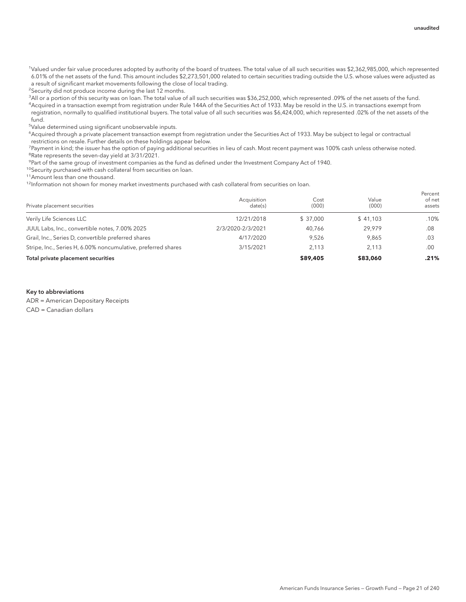Percent

1 Valued under fair value procedures adopted by authority of the board of trustees. The total value of all such securities was \$2,362,985,000, which represented 6.01% of the net assets of the fund. This amount includes \$2,273,501,000 related to certain securities trading outside the U.S. whose values were adjusted as a result of significant market movements following the close of local trading.

<sup>2</sup>Security did not produce income during the last 12 months.

3 All or a portion of this security was on loan. The total value of all such securities was \$36,252,000, which represented .09% of the net assets of the fund. 4 Acquired in a transaction exempt from registration under Rule 144A of the Securities Act of 1933. May be resold in the U.S. in transactions exempt from registration, normally to qualified institutional buyers. The total value of all such securities was \$6,424,000, which represented .02% of the net assets of the fund.

5 Value determined using significant unobservable inputs.

6 Acquired through a private placement transaction exempt from registration under the Securities Act of 1933. May be subject to legal or contractual restrictions on resale. Further details on these holdings appear below.

<sup>7</sup>Payment in kind; the issuer has the option of paying additional securities in lieu of cash. Most recent payment was 100% cash unless otherwise noted. <sup>8</sup>Rate represents the seven-day yield at 3/31/2021.

9 Part of the same group of investment companies as the fund as defined under the Investment Company Act of 1940.

10Security purchased with cash collateral from securities on loan.

<sup>11</sup> Amount less than one thousand.

<sup>12</sup>Information not shown for money market investments purchased with cash collateral from securities on loan.

| Private placement securities                                  | Acquisition<br>date(s) | Cost<br>(000) | Value<br>(000) | rercent<br>of net<br>assets |
|---------------------------------------------------------------|------------------------|---------------|----------------|-----------------------------|
| Verily Life Sciences LLC                                      | 12/21/2018             | \$37.000      | \$41.103       | .10%                        |
| JUUL Labs, Inc., convertible notes, 7.00% 2025                | 2/3/2020-2/3/2021      | 40.766        | 29.979         | .08                         |
| Grail, Inc., Series D, convertible preferred shares           | 4/17/2020              | 9.526         | 9.865          | .03                         |
| Stripe, Inc., Series H, 6.00% noncumulative, preferred shares | 3/15/2021              | 2.113         | 2.113          | .00                         |
| Total private placement securities                            |                        | \$89,405      | \$83,060       | .21%                        |

#### Key to abbreviations

ADR = American Depositary Receipts CAD = Canadian dollars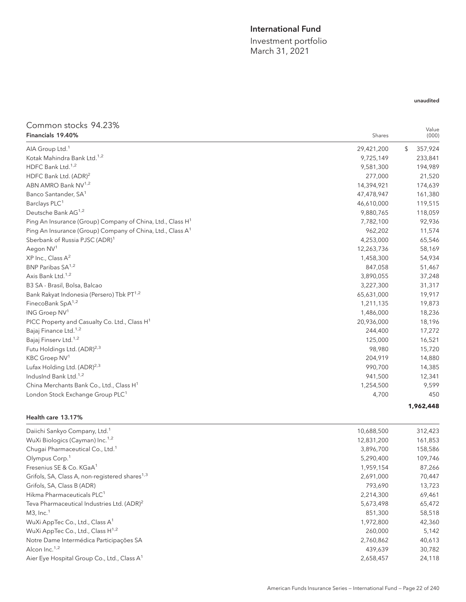## International Fund

Investment portfolio March 31, 2021

## unaudited

Value

## Common stocks 94.23%

| Financials 19.40%                                                      | Shares     | (000)         |
|------------------------------------------------------------------------|------------|---------------|
| AIA Group Ltd. <sup>1</sup>                                            | 29,421,200 | \$<br>357,924 |
| Kotak Mahindra Bank Ltd. <sup>1,2</sup>                                | 9,725,149  | 233,841       |
| HDFC Bank Ltd. <sup>1,2</sup>                                          | 9,581,300  | 194,989       |
| HDFC Bank Ltd. (ADR) <sup>2</sup>                                      | 277,000    | 21,520        |
| ABN AMRO Bank NV <sup>1,2</sup>                                        | 14,394,921 | 174,639       |
| Banco Santander, SA <sup>1</sup>                                       | 47,478,947 | 161,380       |
| Barclays PLC <sup>1</sup>                                              | 46,610,000 | 119,515       |
| Deutsche Bank AG <sup>1,2</sup>                                        | 9,880,765  | 118,059       |
| Ping An Insurance (Group) Company of China, Ltd., Class H <sup>1</sup> | 7,782,100  | 92,936        |
| Ping An Insurance (Group) Company of China, Ltd., Class A <sup>1</sup> | 962,202    | 11,574        |
| Sberbank of Russia PJSC (ADR) <sup>1</sup>                             | 4,253,000  | 65,546        |
| Aegon NV <sup>1</sup>                                                  | 12,263,736 | 58,169        |
| XP Inc., Class $A^2$                                                   | 1,458,300  | 54,934        |
| BNP Paribas SA <sup>1,2</sup>                                          | 847,058    | 51,467        |
| Axis Bank Ltd. <sup>1,2</sup>                                          | 3,890,055  | 37,248        |
| B3 SA - Brasil, Bolsa, Balcao                                          | 3,227,300  | 31,317        |
| Bank Rakyat Indonesia (Persero) Tbk PT <sup>1,2</sup>                  | 65,631,000 | 19,917        |
| FinecoBank SpA <sup>1,2</sup>                                          | 1,211,135  | 19,873        |
| ING Groep NV <sup>1</sup>                                              | 1,486,000  | 18,236        |
| PICC Property and Casualty Co. Ltd., Class H <sup>1</sup>              | 20,936,000 | 18,196        |
| Bajaj Finance Ltd. <sup>1,2</sup>                                      | 244,400    | 17,272        |
| Bajaj Finserv Ltd. <sup>1,2</sup>                                      | 125,000    | 16,521        |
| Futu Holdings Ltd. (ADR) <sup>2,3</sup>                                | 98,980     | 15,720        |
| KBC Groep NV <sup>1</sup>                                              | 204,919    | 14,880        |
| Lufax Holding Ltd. (ADR) <sup>2,3</sup>                                | 990,700    | 14,385        |
| IndusInd Bank Ltd. <sup>1,2</sup>                                      | 941,500    | 12,341        |
| China Merchants Bank Co., Ltd., Class H <sup>1</sup>                   | 1,254,500  | 9,599         |
| London Stock Exchange Group PLC <sup>1</sup>                           | 4,700      | 450           |
|                                                                        |            | 1,962,448     |

#### Health care 13.17%

| Daiichi Sankyo Company, Ltd. <sup>1</sup>                  | 10,688,500 | 312,423 |
|------------------------------------------------------------|------------|---------|
| WuXi Biologics (Cayman) Inc. <sup>1,2</sup>                | 12,831,200 | 161,853 |
| Chugai Pharmaceutical Co., Ltd. <sup>1</sup>               | 3,896,700  | 158,586 |
| Olympus Corp. <sup>1</sup>                                 | 5,290,400  | 109,746 |
| Fresenius SE & Co. KGaA <sup>1</sup>                       | 1,959,154  | 87,266  |
| Grifols, SA, Class A, non-registered shares <sup>1,3</sup> | 2,691,000  | 70,447  |
| Grifols, SA, Class B (ADR)                                 | 793.690    | 13,723  |
| Hikma Pharmaceuticals PLC <sup>1</sup>                     | 2,214,300  | 69,461  |
| Teva Pharmaceutical Industries Ltd. (ADR) <sup>2</sup>     | 5,673,498  | 65,472  |
| $M3$ , Inc. <sup>1</sup>                                   | 851,300    | 58,518  |
| WuXi AppTec Co., Ltd., Class A <sup>1</sup>                | 1,972,800  | 42,360  |
| WuXi AppTec Co., Ltd., Class H <sup>1,2</sup>              | 260,000    | 5,142   |
| Notre Dame Intermédica Participações SA                    | 2,760,862  | 40,613  |
| Alcon Inc. <sup>1,2</sup>                                  | 439.639    | 30,782  |
| Aier Eye Hospital Group Co., Ltd., Class A <sup>1</sup>    | 2,658,457  | 24,118  |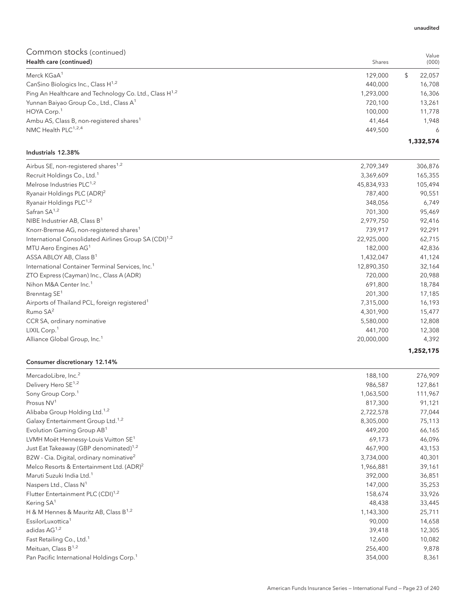| COMMITTION SLUCKS (CONTINUED)                               |           | Value        |
|-------------------------------------------------------------|-----------|--------------|
| Health care (continued)                                     | Shares    | (000)        |
| Merck KGaA <sup>1</sup>                                     | 129,000   | \$<br>22,057 |
| CanSino Biologics Inc., Class H <sup>1,2</sup>              | 440,000   | 16,708       |
| Ping An Healthcare and Technology Co. Ltd., Class $H^{1,2}$ | 1,293,000 | 16,306       |
| Yunnan Baiyao Group Co., Ltd., Class A <sup>1</sup>         | 720.100   | 13,261       |
| HOYA Corp. <sup>1</sup>                                     | 100,000   | 11,778       |
| Ambu AS, Class B, non-registered shares <sup>1</sup>        | 41.464    | 1.948        |
| NMC Health PLC <sup>1,2,4</sup>                             | 449.500   | 6            |
|                                                             |           | 1,332,574    |

### Industrials 12.38%

|                                                                                 | 1,252,175 |
|---------------------------------------------------------------------------------|-----------|
| Alliance Global Group, Inc. <sup>1</sup><br>20,000,000                          | 4,392     |
| LIXIL Corp. <sup>1</sup><br>441,700                                             | 12,308    |
| 5,580,000<br>CCR SA, ordinary nominative                                        | 12,808    |
| Rumo SA <sup>2</sup><br>4,301,900                                               | 15,477    |
| Airports of Thailand PCL, foreign registered <sup>1</sup><br>7,315,000          | 16,193    |
| Brenntag SE <sup>1</sup><br>201,300                                             | 17,185    |
| Nihon M&A Center Inc. <sup>1</sup><br>691,800                                   | 18,784    |
| ZTO Express (Cayman) Inc., Class A (ADR)<br>720,000                             | 20,988    |
| International Container Terminal Services, Inc. <sup>1</sup><br>12,890,350      | 32,164    |
| ASSA ABLOY AB, Class B <sup>1</sup><br>1,432,047                                | 41,124    |
| MTU Aero Engines AG <sup>1</sup><br>182,000                                     | 42,836    |
| International Consolidated Airlines Group SA (CDI) <sup>1,2</sup><br>22,925,000 | 62,715    |
| 739,917<br>Knorr-Bremse AG, non-registered shares <sup>1</sup>                  | 92,291    |
| NIBE Industrier AB, Class B <sup>1</sup><br>2,979,750                           | 92,416    |
| Safran $SA^{1,2}$<br>701,300                                                    | 95,469    |
| Ryanair Holdings PLC <sup>1,2</sup><br>348,056                                  | 6,749     |
| Ryanair Holdings PLC (ADR) <sup>2</sup><br>787,400                              | 90,551    |
| Melrose Industries PLC <sup>1,2</sup><br>45,834,933                             | 105,494   |
| Recruit Holdings Co., Ltd. <sup>1</sup><br>3,369,609                            | 165,355   |
| Airbus SE, non-registered shares <sup>1,2</sup><br>2,709,349                    | 306,876   |

### Consumer discretionary 12.14%

| MercadoLibre, Inc. <sup>2</sup>                       | 188,100   | 276,909 |
|-------------------------------------------------------|-----------|---------|
| Delivery Hero SE <sup>1,2</sup>                       | 986,587   | 127,861 |
| Sony Group Corp. <sup>1</sup>                         | 1,063,500 | 111,967 |
| Prosus NV <sup>1</sup>                                | 817,300   | 91,121  |
| Alibaba Group Holding Ltd. <sup>1,2</sup>             | 2,722,578 | 77,044  |
| Galaxy Entertainment Group Ltd. <sup>1,2</sup>        | 8,305,000 | 75,113  |
| Evolution Gaming Group AB <sup>1</sup>                | 449,200   | 66,165  |
| LVMH Moët Hennessy-Louis Vuitton SE <sup>1</sup>      | 69,173    | 46,096  |
| Just Eat Takeaway (GBP denominated) <sup>1,2</sup>    | 467,900   | 43,153  |
| B2W - Cia. Digital, ordinary nominative <sup>2</sup>  | 3,734,000 | 40,301  |
| Melco Resorts & Entertainment Ltd. (ADR) <sup>2</sup> | 1,966,881 | 39,161  |
| Maruti Suzuki India Ltd. <sup>1</sup>                 | 392,000   | 36,851  |
| Naspers Ltd., Class N <sup>1</sup>                    | 147,000   | 35,253  |
| Flutter Entertainment PLC (CDI) <sup>1,2</sup>        | 158,674   | 33,926  |
| Kering SA <sup>1</sup>                                | 48,438    | 33,445  |
| H & M Hennes & Mauritz AB, Class $B^{1,2}$            | 1,143,300 | 25,711  |
| EssilorLuxottica <sup>1</sup>                         | 90,000    | 14,658  |
| adidas AG <sup>1,2</sup>                              | 39,418    | 12,305  |
| Fast Retailing Co., Ltd. <sup>1</sup>                 | 12,600    | 10,082  |
| Meituan, Class B <sup>1,2</sup>                       | 256,400   | 9,878   |
| Pan Pacific International Holdings Corp. <sup>1</sup> | 354,000   | 8,361   |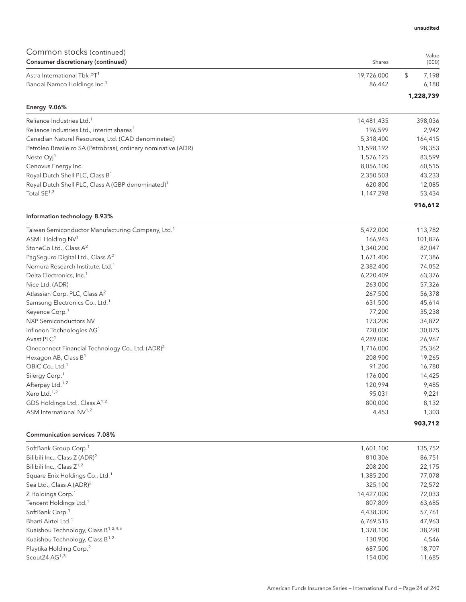| Common stocks (continued)                                     |            |                |
|---------------------------------------------------------------|------------|----------------|
| Consumer discretionary (continued)                            | Shares     | Value<br>(000) |
| Astra International Tbk PT <sup>1</sup>                       | 19,726,000 | \$<br>7,198    |
| Bandai Namco Holdings Inc. <sup>1</sup>                       | 86,442     | 6,180          |
|                                                               |            | 1,228,739      |
| Energy 9.06%                                                  |            |                |
| Reliance Industries Ltd. <sup>1</sup>                         | 14,481,435 | 398,036        |
| Reliance Industries Ltd., interim shares <sup>1</sup>         | 196,599    | 2,942          |
| Canadian Natural Resources, Ltd. (CAD denominated)            | 5,318,400  | 164,415        |
| Petróleo Brasileiro SA (Petrobras), ordinary nominative (ADR) | 11,598,192 | 98,353         |
| Neste Oyj <sup>1</sup>                                        | 1,576,125  | 83,599         |
| Cenovus Energy Inc.                                           | 8,056,100  | 60,515         |
| Royal Dutch Shell PLC, Class B <sup>1</sup>                   | 2,350,503  | 43,233         |
| Royal Dutch Shell PLC, Class A (GBP denominated) <sup>1</sup> | 620,800    | 12,085         |
| Total $SE^{1,3}$                                              | 1,147,298  | 53,434         |
|                                                               |            | 916,612        |
| Information technology 8.93%                                  |            |                |
| Taiwan Semiconductor Manufacturing Company, Ltd. <sup>1</sup> | 5,472,000  | 113,782        |
| ASML Holding NV <sup>1</sup>                                  | 166,945    | 101,826        |
| StoneCo Ltd., Class A <sup>2</sup>                            | 1,340,200  | 82,047         |
| PagSeguro Digital Ltd., Class A <sup>2</sup>                  | 1,671,400  | 77,386         |
| Nomura Research Institute, Ltd. <sup>1</sup>                  | 2,382,400  | 74,052         |
| Delta Electronics, Inc. <sup>1</sup>                          | 6,220,409  | 63,376         |
| Nice Ltd. (ADR)                                               | 263,000    | 57,326         |
| Atlassian Corp. PLC, Class A <sup>2</sup>                     | 267,500    | 56,378         |
| Samsung Electronics Co., Ltd. <sup>1</sup>                    | 631,500    | 45,614         |
| Keyence Corp. <sup>1</sup>                                    | 77,200     | 35,238         |
| <b>NXP Semiconductors NV</b>                                  | 173,200    | 34,872         |
| Infineon Technologies AG <sup>1</sup>                         | 728,000    | 30,875         |
| Avast PLC <sup>1</sup>                                        | 4,289,000  | 26,967         |
| Oneconnect Financial Technology Co., Ltd. (ADR) <sup>2</sup>  | 1,716,000  | 25,362         |
| Hexagon AB, Class B <sup>1</sup>                              | 208,900    | 19,265         |
| OBIC Co., Ltd. <sup>1</sup>                                   | 91,200     | 16,780         |
| Silergy Corp. <sup>1</sup>                                    | 176,000    | 14,425         |
| Afterpay Ltd. <sup>1,2</sup>                                  | 120,994    | 9,485          |
| Xero Ltd. <sup>1,2</sup>                                      | 95,031     | 9,221          |
| GDS Holdings Ltd., Class A <sup>1,2</sup>                     | 800,000    | 8,132          |
| ASM International NV <sup>1,2</sup>                           | 4,453      | 1,303          |

## **903,712**

| SoftBank Group Corp. <sup>1</sup>               | 1,601,100  | 135,752 |
|-------------------------------------------------|------------|---------|
| Bilibili Inc., Class Z (ADR) <sup>2</sup>       | 810.306    | 86,751  |
| Bilibili Inc., Class $Z^{1,2}$                  | 208,200    | 22,175  |
| Square Enix Holdings Co., Ltd. <sup>1</sup>     | 1,385,200  | 77,078  |
| Sea Ltd., Class A (ADR) <sup>2</sup>            | 325.100    | 72,572  |
| Z Holdings Corp. <sup>1</sup>                   | 14,427,000 | 72,033  |
| Tencent Holdings Ltd. <sup>1</sup>              | 807.809    | 63,685  |
| SoftBank Corp. <sup>1</sup>                     | 4,438,300  | 57,761  |
| Bharti Airtel Ltd. <sup>1</sup>                 | 6,769,515  | 47,963  |
| Kuaishou Technology, Class B <sup>1,2,4,5</sup> | 1,378,100  | 38,290  |
| Kuaishou Technology, Class B <sup>1,2</sup>     | 130.900    | 4.546   |
| Playtika Holding Corp. <sup>2</sup>             | 687,500    | 18,707  |
| Scout $24AG^{1,3}$                              | 154,000    | 11,685  |

Communication services 7.08%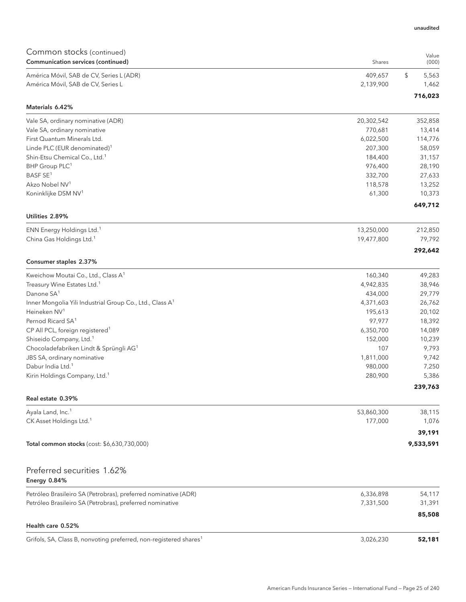| Common stocks (continued)<br>Communication services (continued)                | Shares               | Value<br>(000)       |
|--------------------------------------------------------------------------------|----------------------|----------------------|
|                                                                                |                      |                      |
| América Móvil, SAB de CV, Series L (ADR)<br>América Móvil, SAB de CV, Series L | 409,657<br>2,139,900 | \$<br>5,563<br>1,462 |
|                                                                                |                      | 716,023              |
| Materials 6.42%                                                                |                      |                      |
| Vale SA, ordinary nominative (ADR)                                             | 20,302,542           | 352,858              |
| Vale SA, ordinary nominative                                                   | 770,681              | 13,414               |
| First Quantum Minerals Ltd.                                                    | 6,022,500            | 114,776              |
| Linde PLC (EUR denominated) <sup>1</sup>                                       | 207,300              | 58,059               |
| Shin-Etsu Chemical Co., Ltd. <sup>1</sup>                                      | 184,400              | 31,157               |
| BHP Group PLC <sup>1</sup>                                                     | 976,400              | 28,190               |
| BASF SE <sup>1</sup>                                                           | 332,700              | 27,633               |
| Akzo Nobel NV <sup>1</sup>                                                     | 118,578              | 13,252               |
| Koninklijke DSM NV <sup>1</sup>                                                | 61,300               | 10,373               |
|                                                                                |                      | 649,712              |
| Utilities 2.89%                                                                |                      |                      |
| ENN Energy Holdings Ltd. <sup>1</sup>                                          | 13,250,000           | 212,850              |
| China Gas Holdings Ltd. <sup>1</sup>                                           | 19,477,800           | 79,792<br>292,642    |
| Consumer staples 2.37%                                                         |                      |                      |
| Kweichow Moutai Co., Ltd., Class A <sup>1</sup>                                | 160,340              | 49,283               |
| Treasury Wine Estates Ltd. <sup>1</sup>                                        | 4,942,835            | 38,946               |
| Danone SA <sup>1</sup>                                                         | 434,000              | 29,779               |
| Inner Mongolia Yili Industrial Group Co., Ltd., Class A <sup>1</sup>           | 4,371,603            | 26,762               |
| Heineken NV <sup>1</sup>                                                       | 195,613              | 20,102               |
| Pernod Ricard SA <sup>1</sup>                                                  | 97,977               | 18,392               |
| CP All PCL, foreign registered <sup>1</sup>                                    | 6,350,700            | 14,089               |
| Shiseido Company, Ltd. <sup>1</sup>                                            | 152,000              | 10,239               |
| Chocoladefabriken Lindt & Sprüngli AG <sup>1</sup>                             | 107                  | 9,793                |
| JBS SA, ordinary nominative                                                    | 1,811,000            | 9,742                |
| Dabur India Ltd. <sup>1</sup>                                                  | 980,000              | 7,250                |
| Kirin Holdings Company, Ltd. <sup>1</sup>                                      | 280,900              | 5,386                |
|                                                                                |                      | 239,763              |
| Real estate 0.39%                                                              |                      |                      |
| Ayala Land, Inc. <sup>1</sup>                                                  | 53,860,300           | 38,115               |
| CK Asset Holdings Ltd. <sup>1</sup>                                            | 177,000              | 1,076                |
|                                                                                |                      | 39,191               |
| Total common stocks (cost: \$6,630,730,000)                                    |                      | 9,533,591            |
|                                                                                |                      |                      |
| Preferred securities 1.62%                                                     |                      |                      |
| Energy 0.84%                                                                   |                      |                      |
| Petróleo Brasileiro SA (Petrobras), preferred nominative (ADR)                 | 6,336,898            | 54,117               |
| Petróleo Brasileiro SA (Petrobras), preferred nominative                       | 7,331,500            | 31,391               |
|                                                                                |                      | 85,508               |
| Health care 0.52%                                                              |                      |                      |
| Grifols, SA, Class B, nonvoting preferred, non-registered shares <sup>1</sup>  | 3,026,230            | 52,181               |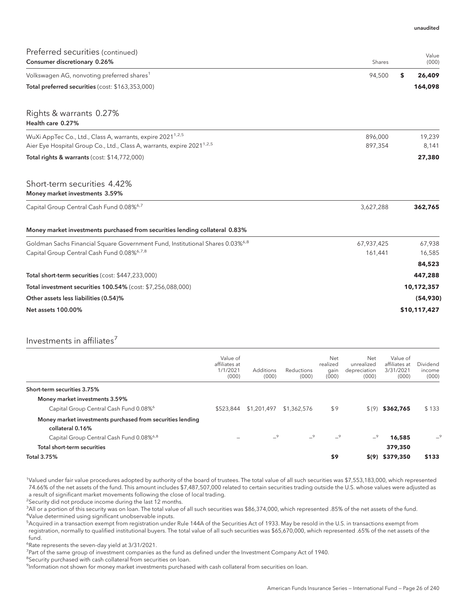| Preferred securities (continued)                                                          |            | Value        |
|-------------------------------------------------------------------------------------------|------------|--------------|
| Consumer discretionary 0.26%                                                              | Shares     | (000)        |
| Volkswagen AG, nonvoting preferred shares <sup>1</sup>                                    | 94,500     | \$<br>26,409 |
| Total preferred securities (cost: \$163,353,000)                                          |            | 164,098      |
| Rights & warrants 0.27%<br>Health care 0.27%                                              |            |              |
| WuXi AppTec Co., Ltd., Class A, warrants, expire 2021 <sup>1,2,5</sup>                    | 896.000    | 19,239       |
| Aier Eye Hospital Group Co., Ltd., Class A, warrants, expire 2021 <sup>1,2,5</sup>        | 897,354    | 8,141        |
| Total rights & warrants (cost: \$14,772,000)                                              |            | 27,380       |
| Short-term securities 4.42%<br>Money market investments 3.59%                             |            |              |
| Capital Group Central Cash Fund 0.08% <sup>6,7</sup>                                      | 3,627,288  | 362,765      |
| Money market investments purchased from securities lending collateral 0.83%               |            |              |
| Goldman Sachs Financial Square Government Fund, Institutional Shares 0.03% <sup>6,8</sup> | 67,937,425 | 67,938       |
| Capital Group Central Cash Fund 0.08% <sup>6,7,8</sup>                                    | 161,441    | 16,585       |
|                                                                                           |            | 84,523       |
| Total short-term securities (cost: \$447,233,000)                                         |            | 447,288      |
| Total investment securities 100.54% (cost: \$7,256,088,000)                               |            | 10,172,357   |
| Other assets less liabilities (0.54)%                                                     |            | (54,930)     |
| <b>Net assets 100.00%</b>                                                                 |            | \$10,117,427 |

## Investments in affiliates<sup>7</sup>

|                                                                                | Value of<br>affiliates at<br>1/1/2021<br>(000) | <b>Additions</b><br>(000) | Reductions<br>(000) | Net<br>realized<br>gain<br>(000) | Net<br>unrealized<br>depreciation<br>(000) | Value of<br>affiliates at<br>3/31/2021<br>(000) | Dividend<br>income<br>(000) |
|--------------------------------------------------------------------------------|------------------------------------------------|---------------------------|---------------------|----------------------------------|--------------------------------------------|-------------------------------------------------|-----------------------------|
| Short-term securities 3.75%                                                    |                                                |                           |                     |                                  |                                            |                                                 |                             |
| Money market investments 3.59%                                                 |                                                |                           |                     |                                  |                                            |                                                 |                             |
| Capital Group Central Cash Fund 0.08% <sup>6</sup>                             | \$523,844                                      | \$1,201,497               | \$1,362,576         | \$9                              |                                            | $$(9)$ \$362.765                                | \$133                       |
| Money market investments purchased from securities lending<br>collateral 0.16% |                                                |                           |                     |                                  |                                            |                                                 |                             |
| Capital Group Central Cash Fund 0.08%6,8                                       |                                                | $-9$                      | $-9$                | $-9$                             | $-9$                                       | 16,585                                          | $-9$                        |
| Total short-term securities                                                    |                                                |                           |                     |                                  |                                            | 379,350                                         |                             |
| <b>Total 3.75%</b>                                                             |                                                |                           |                     | \$9                              | \$(9)                                      | \$379,350                                       | \$133                       |

1 Valued under fair value procedures adopted by authority of the board of trustees. The total value of all such securities was \$7,553,183,000, which represented 74.66% of the net assets of the fund. This amount includes \$7,487,507,000 related to certain securities trading outside the U.S. whose values were adjusted as a result of significant market movements following the close of local trading.

<sup>2</sup>Security did not produce income during the last 12 months.

3 All or a portion of this security was on loan. The total value of all such securities was \$86,374,000, which represented .85% of the net assets of the fund. 4 Value determined using significant unobservable inputs.

5 Acquired in a transaction exempt from registration under Rule 144A of the Securities Act of 1933. May be resold in the U.S. in transactions exempt from

registration, normally to qualified institutional buyers. The total value of all such securities was \$65,670,000, which represented .65% of the net assets of the fund.

6 Rate represents the seven-day yield at 3/31/2021.

<sup>7</sup> Part of the same group of investment companies as the fund as defined under the Investment Company Act of 1940.

<sup>8</sup>Security purchased with cash collateral from securities on loan.

9 Information not shown for money market investments purchased with cash collateral from securities on loan.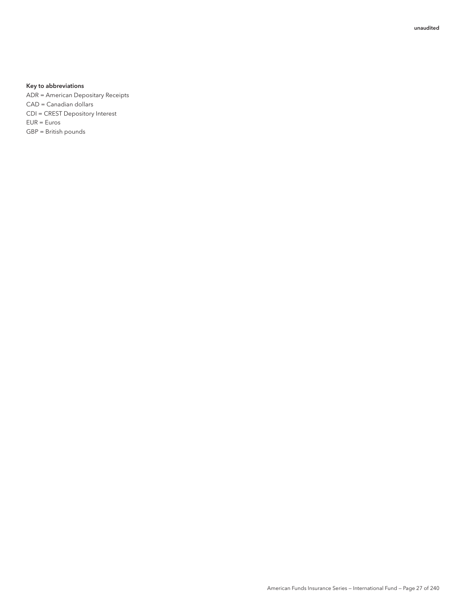### Key to abbreviations

ADR = American Depositary Receipts CAD = Canadian dollars CDI = CREST Depository Interest EUR = Euros GBP = British pounds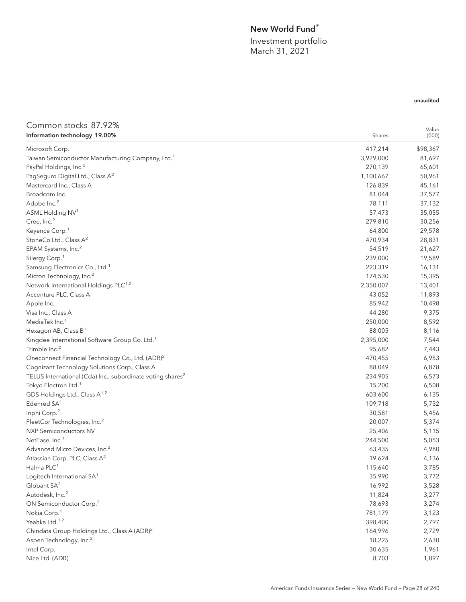## New World Fund®

Investment portfolio March 31, 2021

| Common stocks 87.92%                                                   |           | Value    |
|------------------------------------------------------------------------|-----------|----------|
| Information technology 19.00%                                          | Shares    | (000)    |
| Microsoft Corp.                                                        | 417,214   | \$98,367 |
| Taiwan Semiconductor Manufacturing Company, Ltd. <sup>1</sup>          | 3,929,000 | 81,697   |
| PayPal Holdings, Inc. <sup>2</sup>                                     | 270,139   | 65,601   |
| PagSeguro Digital Ltd., Class A <sup>2</sup>                           | 1,100,667 | 50,961   |
| Mastercard Inc., Class A                                               | 126,839   | 45,161   |
| Broadcom Inc.                                                          | 81,044    | 37,577   |
| Adobe Inc. <sup>2</sup>                                                | 78,111    | 37,132   |
| ASML Holding NV1                                                       | 57,473    | 35,055   |
| Cree, Inc. <sup>2</sup>                                                | 279,810   | 30,256   |
| Keyence Corp. <sup>1</sup>                                             | 64,800    | 29,578   |
| StoneCo Ltd., Class A <sup>2</sup>                                     | 470,934   | 28,831   |
| EPAM Systems, Inc. <sup>2</sup>                                        | 54,519    | 21,627   |
| Silergy Corp. <sup>1</sup>                                             | 239,000   | 19,589   |
| Samsung Electronics Co., Ltd. <sup>1</sup>                             | 223,319   | 16,131   |
| Micron Technology, Inc. <sup>2</sup>                                   | 174,530   | 15,395   |
| Network International Holdings PLC <sup>1,2</sup>                      | 2,350,007 | 13,401   |
| Accenture PLC, Class A                                                 | 43,052    | 11,893   |
| Apple Inc.                                                             | 85,942    | 10,498   |
| Visa Inc., Class A                                                     | 44,280    | 9,375    |
| MediaTek Inc. <sup>1</sup>                                             | 250,000   | 8,592    |
| Hexagon AB, Class B <sup>1</sup>                                       | 88,005    | 8,116    |
| Kingdee International Software Group Co. Ltd. <sup>1</sup>             | 2,395,000 | 7,544    |
| Trimble Inc. <sup>2</sup>                                              | 95,682    | 7,443    |
| Oneconnect Financial Technology Co., Ltd. (ADR) <sup>2</sup>           | 470,455   | 6,953    |
| Cognizant Technology Solutions Corp., Class A                          | 88,049    | 6,878    |
| TELUS International (Cda) Inc., subordinate voting shares <sup>2</sup> | 234,905   | 6,573    |
| Tokyo Electron Ltd. <sup>1</sup>                                       | 15,200    | 6,508    |
| GDS Holdings Ltd., Class A <sup>1,2</sup>                              | 603,600   | 6,135    |
| Edenred SA <sup>1</sup>                                                | 109,718   | 5,732    |
| Inphi Corp. <sup>2</sup>                                               | 30,581    | 5,456    |
| FleetCor Technologies, Inc. <sup>2</sup>                               | 20,007    | 5,374    |
| NXP Semiconductors NV                                                  | 25,406    | 5,115    |
| NetEase, Inc. <sup>1</sup>                                             | 244,500   | 5,053    |
| Advanced Micro Devices, Inc. <sup>2</sup>                              | 63,435    | 4,980    |
| Atlassian Corp. PLC, Class A <sup>2</sup>                              | 19,624    | 4,136    |
| Halma PLC <sup>1</sup>                                                 | 115,640   | 3,785    |
| Logitech International SA <sup>1</sup>                                 | 35,990    | 3,772    |
| Globant SA <sup>2</sup>                                                | 16,992    | 3,528    |
| Autodesk, Inc. <sup>2</sup>                                            | 11,824    | 3,277    |
| ON Semiconductor Corp. <sup>2</sup>                                    | 78,693    | 3,274    |
| Nokia Corp. <sup>1</sup>                                               | 781,179   | 3,123    |
| Yeahka Ltd. <sup>1,2</sup>                                             | 398,400   | 2,797    |
| Chindata Group Holdings Ltd., Class A (ADR) <sup>2</sup>               | 164,996   | 2,729    |
| Aspen Technology, Inc. <sup>2</sup>                                    | 18,225    | 2,630    |
| Intel Corp.                                                            | 30,635    | 1,961    |
| Nice Ltd. (ADR)                                                        | 8,703     | 1,897    |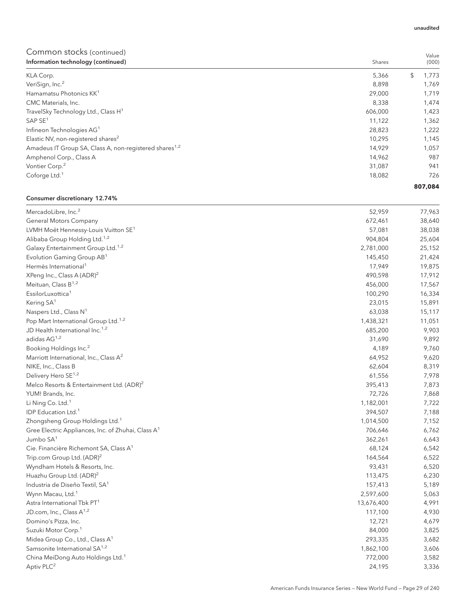| Information technology (continued)                                 | Shares  | (000)       |
|--------------------------------------------------------------------|---------|-------------|
| KLA Corp.                                                          | 5,366   | 1,773<br>\$ |
| VeriSign, Inc. <sup>2</sup>                                        | 8,898   | 1,769       |
| Hamamatsu Photonics KK <sup>1</sup>                                | 29,000  | 1,719       |
| CMC Materials, Inc.                                                | 8,338   | 1,474       |
| TravelSky Technology Ltd., Class H <sup>1</sup>                    | 606,000 | 1,423       |
| SAP SE <sup>1</sup>                                                | 11,122  | 1,362       |
| Infineon Technologies AG <sup>1</sup>                              | 28,823  | 1,222       |
| Elastic NV, non-registered shares <sup>2</sup>                     | 10,295  | 1,145       |
| Amadeus IT Group SA, Class A, non-registered shares <sup>1,2</sup> | 14.929  | 1,057       |
| Amphenol Corp., Class A                                            | 14,962  | 987         |
| Vontier Corp. <sup>2</sup>                                         | 31,087  | 941         |
| Coforge Ltd. <sup>1</sup>                                          | 18,082  | 726         |
|                                                                    |         | 807.084     |

### Consumer discretionary 12.74%

| MercadoLibre, Inc. <sup>2</sup>                                | 52,959<br>77,963    |
|----------------------------------------------------------------|---------------------|
| General Motors Company                                         | 672,461<br>38,640   |
| LVMH Moët Hennessy-Louis Vuitton SE <sup>1</sup>               | 57,081<br>38,038    |
| Alibaba Group Holding Ltd. <sup>1,2</sup>                      | 904,804<br>25,604   |
| Galaxy Entertainment Group Ltd. <sup>1,2</sup>                 | 2,781,000<br>25,152 |
| Evolution Gaming Group AB <sup>1</sup>                         | 145,450<br>21,424   |
| Hermès International <sup>1</sup>                              | 17,949<br>19,875    |
| XPeng Inc., Class A (ADR) <sup>2</sup>                         | 490,598<br>17,912   |
| Meituan, Class B <sup>1,2</sup>                                | 456,000<br>17,567   |
| EssilorLuxottica <sup>1</sup>                                  | 100,290<br>16,334   |
| Kering SA <sup>1</sup>                                         | 23,015<br>15,891    |
| Naspers Ltd., Class N <sup>1</sup>                             | 63,038<br>15,117    |
| Pop Mart International Group Ltd. <sup>1,2</sup>               | 1,438,321<br>11,051 |
| JD Health International Inc. <sup>1,2</sup>                    | 685,200<br>9,903    |
| adidas $AG^{1,2}$                                              | 31,690<br>9,892     |
| Booking Holdings Inc. <sup>2</sup>                             | 4,189<br>9,760      |
| Marriott International, Inc., Class A <sup>2</sup>             | 64,952<br>9,620     |
| NIKE, Inc., Class B                                            | 62,604<br>8,319     |
| Delivery Hero SE <sup>1,2</sup>                                | 61,556<br>7,978     |
| Melco Resorts & Entertainment Ltd. (ADR) <sup>2</sup>          | 395,413<br>7,873    |
| YUM! Brands, Inc.                                              | 72,726<br>7,868     |
| Li Ning Co. Ltd. <sup>1</sup>                                  | 1,182,001<br>7,722  |
| IDP Education Ltd. <sup>1</sup>                                | 394,507<br>7,188    |
| Zhongsheng Group Holdings Ltd. <sup>1</sup>                    | 1,014,500<br>7,152  |
| Gree Electric Appliances, Inc. of Zhuhai, Class A <sup>1</sup> | 706,646<br>6,762    |
| Jumbo SA <sup>1</sup>                                          | 362,261<br>6,643    |
| Cie. Financière Richemont SA, Class A <sup>1</sup>             | 68,124<br>6,542     |
| Trip.com Group Ltd. (ADR) <sup>2</sup>                         | 164,564<br>6,522    |
| Wyndham Hotels & Resorts, Inc.                                 | 93,431<br>6,520     |
| Huazhu Group Ltd. (ADR) <sup>2</sup>                           | 113,475<br>6,230    |
| Industria de Diseño Textil, SA <sup>1</sup>                    | 157,413<br>5,189    |
| Wynn Macau, Ltd. <sup>1</sup>                                  | 2,597,600<br>5,063  |
| Astra International Tbk PT <sup>1</sup>                        | 13,676,400<br>4,991 |
| JD.com, Inc., Class A <sup>1,2</sup>                           | 117,100<br>4,930    |
| Domino's Pizza, Inc.                                           | 12,721<br>4,679     |
| Suzuki Motor Corp. <sup>1</sup>                                | 84,000<br>3,825     |
| Midea Group Co., Ltd., Class A <sup>1</sup>                    | 293,335<br>3,682    |
| Samsonite International SA <sup>1,2</sup>                      | 1,862,100<br>3,606  |
| China MeiDong Auto Holdings Ltd. <sup>1</sup>                  | 772,000<br>3,582    |
| Aptiv PLC <sup>2</sup>                                         | 24,195<br>3,336     |

#### unaudited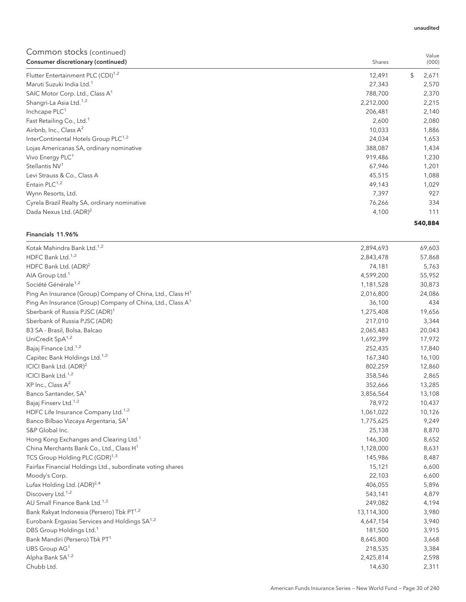| Consumer discretionary (continued)               | Shares    | (000)       |
|--------------------------------------------------|-----------|-------------|
| Flutter Entertainment PLC (CDI) <sup>1,2</sup>   | 12,491    | \$<br>2,671 |
| Maruti Suzuki India Ltd. <sup>1</sup>            | 27,343    | 2,570       |
| SAIC Motor Corp. Ltd., Class A <sup>1</sup>      | 788,700   | 2,370       |
| Shangri-La Asia Ltd. <sup>1,2</sup>              | 2,212,000 | 2,215       |
| Inchcape PLC <sup>1</sup>                        | 206,481   | 2,140       |
| Fast Retailing Co., Ltd. <sup>1</sup>            | 2,600     | 2,080       |
| Airbnb, Inc., Class $A^2$                        | 10,033    | 1,886       |
| InterContinental Hotels Group PLC <sup>1,2</sup> | 24,034    | 1,653       |
| Lojas Americanas SA, ordinary nominative         | 388,087   | 1,434       |
| Vivo Energy PLC <sup>1</sup>                     | 919,486   | 1,230       |
| Stellantis NV <sup>1</sup>                       | 67,946    | 1,201       |
| Levi Strauss & Co., Class A                      | 45,515    | 1,088       |
| Entain $PLC^{1,2}$                               | 49,143    | 1,029       |
| Wynn Resorts, Ltd.                               | 7,397     | 927         |
| Cyrela Brazil Realty SA, ordinary nominative     | 76,266    | 334         |
| Dada Nexus Ltd. (ADR) <sup>2</sup>               | 4,100     | 111         |
|                                                  |           | 540,884     |

### Financials 11.96%

| Kotak Mahindra Bank Ltd. <sup>1,2</sup>                                | 2,894,693  | 69,603 |
|------------------------------------------------------------------------|------------|--------|
| HDFC Bank Ltd. <sup>1,2</sup>                                          | 2,843,478  | 57,868 |
| HDFC Bank Ltd. (ADR) <sup>2</sup>                                      | 74,181     | 5,763  |
| AIA Group Ltd. <sup>1</sup>                                            | 4,599,200  | 55,952 |
| Société Générale <sup>1,2</sup>                                        | 1,181,528  | 30,873 |
| Ping An Insurance (Group) Company of China, Ltd., Class H <sup>1</sup> | 2,016,800  | 24,086 |
| Ping An Insurance (Group) Company of China, Ltd., Class A <sup>1</sup> | 36,100     | 434    |
| Sberbank of Russia PJSC (ADR) <sup>1</sup>                             | 1,275,408  | 19,656 |
| Sberbank of Russia PJSC (ADR)                                          | 217,010    | 3,344  |
| B3 SA - Brasil, Bolsa, Balcao                                          | 2,065,483  | 20,043 |
| UniCredit SpA <sup>1,2</sup>                                           | 1,692,399  | 17,972 |
| Bajaj Finance Ltd. <sup>1,2</sup>                                      | 252,435    | 17,840 |
| Capitec Bank Holdings Ltd. <sup>1,2</sup>                              | 167,340    | 16,100 |
| ICICI Bank Ltd. (ADR) <sup>2</sup>                                     | 802,259    | 12,860 |
| ICICI Bank Ltd. <sup>1,2</sup>                                         | 358,546    | 2,865  |
| XP Inc., Class A <sup>2</sup>                                          | 352,666    | 13,285 |
| Banco Santander, SA <sup>1</sup>                                       | 3,856,564  | 13,108 |
| Bajaj Finserv Ltd. <sup>1,2</sup>                                      | 78,972     | 10,437 |
| HDFC Life Insurance Company Ltd. <sup>1,2</sup>                        | 1,061,022  | 10,126 |
| Banco Bilbao Vizcaya Argentaria, SA <sup>1</sup>                       | 1,775,625  | 9,249  |
| S&P Global Inc.                                                        | 25,138     | 8,870  |
| Hong Kong Exchanges and Clearing Ltd. <sup>1</sup>                     | 146,300    | 8,652  |
| China Merchants Bank Co., Ltd., Class H <sup>1</sup>                   | 1,128,000  | 8,631  |
| TCS Group Holding PLC (GDR) <sup>1,3</sup>                             | 145,986    | 8,487  |
| Fairfax Financial Holdings Ltd., subordinate voting shares             | 15,121     | 6,600  |
| Moody's Corp.                                                          | 22,103     | 6,600  |
| Lufax Holding Ltd. (ADR) <sup>2,4</sup>                                | 406,055    | 5,896  |
| Discovery Ltd. <sup>1,2</sup>                                          | 543,141    | 4,879  |
| AU Small Finance Bank Ltd. <sup>1,2</sup>                              | 249,082    | 4,194  |
| Bank Rakyat Indonesia (Persero) Tbk PT <sup>1,2</sup>                  | 13,114,300 | 3,980  |
| Eurobank Ergasias Services and Holdings SA <sup>1,2</sup>              | 4,647,154  | 3,940  |
| DBS Group Holdings Ltd. <sup>1</sup>                                   | 181,500    | 3,915  |
| Bank Mandiri (Persero) Tbk PT <sup>1</sup>                             | 8,645,800  | 3,668  |
| UBS Group AG1                                                          | 218,535    | 3,384  |
| Alpha Bank SA <sup>1,2</sup>                                           | 2,425,814  | 2,598  |
| Chubb Ltd.                                                             | 14,630     | 2,311  |

unaudited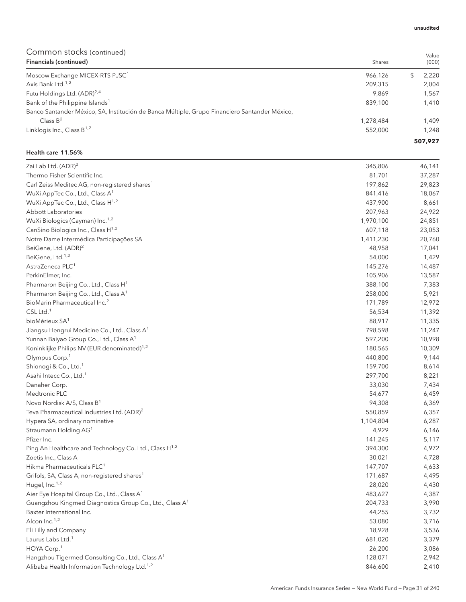| Financials (continued)                                                                        | Shares    | (000)   |
|-----------------------------------------------------------------------------------------------|-----------|---------|
| Moscow Exchange MICEX-RTS PJSC <sup>1</sup>                                                   | 966,126   | 2,220   |
| Axis Bank Ltd. <sup>1,2</sup>                                                                 | 209,315   | 2,004   |
| Futu Holdings Ltd. (ADR) <sup>2,4</sup>                                                       | 9.869     | 1,567   |
| Bank of the Philippine Islands <sup>1</sup>                                                   | 839,100   | 1,410   |
| Banco Santander México, SA, Institución de Banca Múltiple, Grupo Financiero Santander México, |           |         |
| Class $B^2$                                                                                   | 1,278,484 | 1.409   |
| Linklogis Inc., Class B <sup>1,2</sup>                                                        | 552,000   | 1.248   |
|                                                                                               |           | 507,927 |

### Health care 11.56%

| Zai Lab Ltd. (ADR) <sup>2</sup>                                     | 345,806   | 46,141 |
|---------------------------------------------------------------------|-----------|--------|
| Thermo Fisher Scientific Inc.                                       | 81,701    | 37,287 |
| Carl Zeiss Meditec AG, non-registered shares <sup>1</sup>           | 197,862   | 29,823 |
| WuXi AppTec Co., Ltd., Class A <sup>1</sup>                         | 841,416   | 18,067 |
| WuXi AppTec Co., Ltd., Class H <sup>1,2</sup>                       | 437,900   | 8,661  |
| Abbott Laboratories                                                 | 207,963   | 24,922 |
| WuXi Biologics (Cayman) Inc. <sup>1,2</sup>                         | 1,970,100 | 24,851 |
| CanSino Biologics Inc., Class H <sup>1,2</sup>                      | 607,118   | 23,053 |
| Notre Dame Intermédica Participações SA                             | 1,411,230 | 20,760 |
| BeiGene, Ltd. (ADR) <sup>2</sup>                                    | 48,958    | 17,041 |
| BeiGene, Ltd. <sup>1,2</sup>                                        | 54,000    | 1,429  |
| AstraZeneca PLC <sup>1</sup>                                        | 145,276   | 14,487 |
| PerkinElmer, Inc.                                                   | 105,906   | 13,587 |
| Pharmaron Beijing Co., Ltd., Class H <sup>1</sup>                   | 388,100   | 7,383  |
| Pharmaron Beijing Co., Ltd., Class A <sup>1</sup>                   | 258,000   | 5,921  |
| BioMarin Pharmaceutical Inc. <sup>2</sup>                           | 171,789   | 12,972 |
| CSL Ltd. <sup>1</sup>                                               | 56,534    | 11,392 |
| bioMérieux SA <sup>1</sup>                                          | 88,917    | 11,335 |
| Jiangsu Hengrui Medicine Co., Ltd., Class A <sup>1</sup>            | 798,598   | 11,247 |
| Yunnan Baiyao Group Co., Ltd., Class A <sup>1</sup>                 | 597,200   | 10,998 |
| Koninklijke Philips NV (EUR denominated) <sup>1,2</sup>             | 180,565   | 10,309 |
| Olympus Corp. <sup>1</sup>                                          | 440,800   | 9,144  |
| Shionogi & Co., Ltd. <sup>1</sup>                                   | 159,700   | 8,614  |
| Asahi Intecc Co., Ltd. <sup>1</sup>                                 | 297,700   | 8,221  |
| Danaher Corp.                                                       | 33,030    | 7,434  |
| Medtronic PLC                                                       | 54,677    | 6,459  |
| Novo Nordisk A/S, Class B <sup>1</sup>                              | 94,308    | 6,369  |
| Teva Pharmaceutical Industries Ltd. (ADR) <sup>2</sup>              | 550,859   | 6,357  |
| Hypera SA, ordinary nominative                                      | 1,104,804 | 6,287  |
| Straumann Holding AG <sup>1</sup>                                   | 4,929     | 6,146  |
| Pfizer Inc.                                                         | 141,245   | 5,117  |
| Ping An Healthcare and Technology Co. Ltd., Class H <sup>1,2</sup>  | 394,300   | 4,972  |
| Zoetis Inc., Class A                                                | 30,021    | 4,728  |
| Hikma Pharmaceuticals PLC <sup>1</sup>                              | 147,707   | 4,633  |
| Grifols, SA, Class A, non-registered shares <sup>1</sup>            | 171,687   | 4,495  |
| Hugel, Inc. <sup>1,2</sup>                                          | 28,020    | 4,430  |
| Aier Eye Hospital Group Co., Ltd., Class A <sup>1</sup>             | 483,627   | 4,387  |
| Guangzhou Kingmed Diagnostics Group Co., Ltd., Class A <sup>1</sup> | 204,733   | 3,990  |
| Baxter International Inc.                                           | 44,255    | 3,732  |
| Alcon Inc. <sup>1,2</sup>                                           | 53,080    | 3,716  |
| Eli Lilly and Company                                               | 18,928    | 3,536  |
| Laurus Labs Ltd. <sup>1</sup>                                       | 681,020   | 3,379  |
| HOYA Corp. <sup>1</sup>                                             | 26,200    | 3,086  |
| Hangzhou Tigermed Consulting Co., Ltd., Class A <sup>1</sup>        | 128,071   | 2,942  |
| Alibaba Health Information Technology Ltd. <sup>1,2</sup>           | 846,600   | 2,410  |

unaudited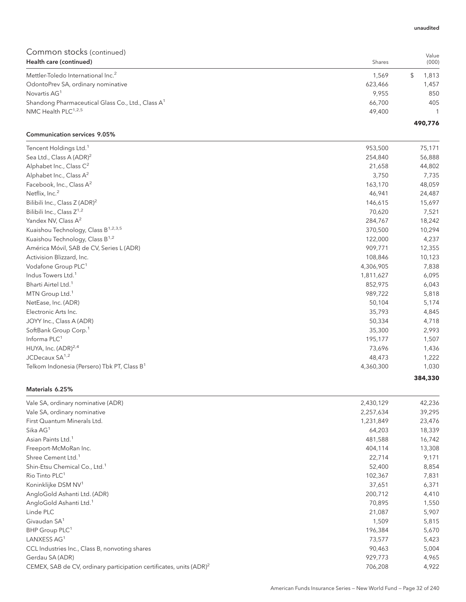## Common stocks (continued) Health care (continued) Shares

| $\sim$<br>Health care (continued)                             | Shares  | Value<br>(000) |
|---------------------------------------------------------------|---------|----------------|
| Mettler-Toledo International Inc. <sup>2</sup>                | 1.569   | 1.813          |
| OdontoPrev SA, ordinary nominative                            | 623.466 | 1.457          |
| Novartis AG <sup>1</sup>                                      | 9.955   | 850            |
| Shandong Pharmaceutical Glass Co., Ltd., Class A <sup>1</sup> | 66,700  | 405            |
| NMC Health PLC <sup>1,2,5</sup>                               | 49,400  | 1              |
|                                                               |         | 490.776        |

### Communication services 9.05%

| Tencent Holdings Ltd. <sup>1</sup>                      | 953,500   | 75,171  |
|---------------------------------------------------------|-----------|---------|
| Sea Ltd., Class A (ADR) <sup>2</sup>                    | 254,840   | 56,888  |
| Alphabet Inc., Class $C^2$                              | 21,658    | 44,802  |
| Alphabet Inc., Class A <sup>2</sup>                     | 3,750     | 7,735   |
| Facebook, Inc., Class A <sup>2</sup>                    | 163,170   | 48,059  |
| Netflix, Inc. <sup>2</sup>                              | 46,941    | 24,487  |
| Bilibili Inc., Class Z (ADR) <sup>2</sup>               | 146,615   | 15,697  |
| Bilibili Inc., Class $Z^{1,2}$                          | 70,620    | 7,521   |
| Yandex NV, Class A <sup>2</sup>                         | 284,767   | 18,242  |
| Kuaishou Technology, Class B <sup>1,2,3,5</sup>         | 370,500   | 10,294  |
| Kuaishou Technology, Class B <sup>1,2</sup>             | 122,000   | 4,237   |
| América Móvil, SAB de CV, Series L (ADR)                | 909,771   | 12,355  |
| Activision Blizzard, Inc.                               | 108,846   | 10,123  |
| Vodafone Group PLC <sup>1</sup>                         | 4,306,905 | 7,838   |
| Indus Towers Ltd. <sup>1</sup>                          | 1,811,627 | 6,095   |
| Bharti Airtel Ltd. <sup>1</sup>                         | 852,975   | 6,043   |
| MTN Group Ltd. <sup>1</sup>                             | 989,722   | 5,818   |
| NetEase, Inc. (ADR)                                     | 50,104    | 5,174   |
| Electronic Arts Inc.                                    | 35,793    | 4,845   |
| JOYY Inc., Class A (ADR)                                | 50,334    | 4,718   |
| SoftBank Group Corp. <sup>1</sup>                       | 35,300    | 2,993   |
| Informa $PLC1$                                          | 195,177   | 1,507   |
| HUYA, Inc. (ADR) <sup>2,4</sup>                         | 73,696    | 1,436   |
| JCDecaux $SA^{1,2}$                                     | 48,473    | 1,222   |
| Telkom Indonesia (Persero) Tbk PT, Class B <sup>1</sup> | 4,360,300 | 1,030   |
|                                                         |           | 384,330 |

#### Materials 6.25%

| Vale SA, ordinary nominative (ADR)                                              | 2,430,129 | 42,236 |
|---------------------------------------------------------------------------------|-----------|--------|
| Vale SA, ordinary nominative                                                    | 2,257,634 | 39,295 |
| First Quantum Minerals Ltd.                                                     | 1,231,849 | 23,476 |
| Sika AG <sup>1</sup>                                                            | 64,203    | 18,339 |
| Asian Paints Ltd. <sup>1</sup>                                                  | 481,588   | 16,742 |
| Freeport-McMoRan Inc.                                                           | 404,114   | 13,308 |
| Shree Cement Ltd. <sup>1</sup>                                                  | 22,714    | 9,171  |
| Shin-Etsu Chemical Co., Ltd. <sup>1</sup>                                       | 52,400    | 8,854  |
| Rio Tinto PLC <sup>1</sup>                                                      | 102,367   | 7,831  |
| Koninklijke DSM NV <sup>1</sup>                                                 | 37,651    | 6,371  |
| AngloGold Ashanti Ltd. (ADR)                                                    | 200,712   | 4,410  |
| AngloGold Ashanti Ltd. <sup>1</sup>                                             | 70,895    | 1,550  |
| Linde PLC                                                                       | 21,087    | 5,907  |
| Givaudan SA <sup>1</sup>                                                        | 1,509     | 5,815  |
| BHP Group PLC <sup>1</sup>                                                      | 196,384   | 5,670  |
| LANXESS AG1                                                                     | 73,577    | 5,423  |
| CCL Industries Inc., Class B, nonvoting shares                                  | 90,463    | 5,004  |
| Gerdau SA (ADR)                                                                 | 929,773   | 4,965  |
| CEMEX, SAB de CV, ordinary participation certificates, units (ADR) <sup>2</sup> | 706,208   | 4,922  |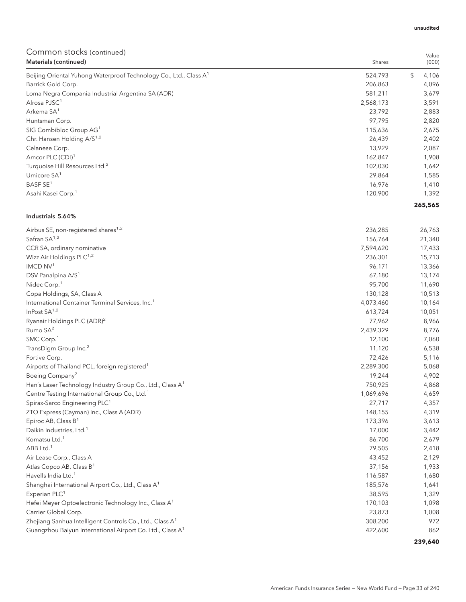#### unaudited

## Common stocks (continued)

| <u>UUITIITUIT SEUCKS TEOITAITUCU/</u><br><b>Materials (continued)</b>         | Shares    | Value<br>(000) |
|-------------------------------------------------------------------------------|-----------|----------------|
| Beijing Oriental Yuhong Waterproof Technology Co., Ltd., Class A <sup>1</sup> | 524,793   | \$<br>4,106    |
| Barrick Gold Corp.                                                            | 206,863   | 4,096          |
| Loma Negra Compania Industrial Argentina SA (ADR)                             | 581,211   | 3,679          |
| Alrosa PJSC <sup>1</sup>                                                      | 2,568,173 | 3,591          |
| Arkema SA <sup>1</sup>                                                        | 23,792    | 2,883          |
| Huntsman Corp.                                                                | 97,795    | 2,820          |
| SIG Combibloc Group AG <sup>1</sup>                                           | 115,636   | 2,675          |
| Chr. Hansen Holding A/S <sup>1,2</sup>                                        | 26,439    | 2,402          |
| Celanese Corp.                                                                | 13,929    | 2,087          |
| Amcor PLC (CDI) <sup>1</sup>                                                  | 162,847   | 1,908          |
| Turquoise Hill Resources Ltd. <sup>2</sup>                                    | 102,030   | 1,642          |
| Umicore SA <sup>1</sup>                                                       | 29,864    | 1,585          |
| BASF SE <sup>1</sup>                                                          | 16,976    | 1,410          |
| Asahi Kasei Corp. <sup>1</sup>                                                | 120,900   | 1,392          |
|                                                                               |           | 265,565        |

#### Industrials 5.64%

| Airbus SE, non-registered shares <sup>1,2</sup>                       | 236,285   | 26,763 |
|-----------------------------------------------------------------------|-----------|--------|
| Safran SA <sup>1,2</sup>                                              | 156,764   | 21,340 |
| CCR SA, ordinary nominative                                           | 7,594,620 | 17,433 |
| Wizz Air Holdings PLC <sup>1,2</sup>                                  | 236,301   | 15,713 |
| IMCD NV <sup>1</sup>                                                  | 96,171    | 13,366 |
| DSV Panalpina A/S <sup>1</sup>                                        | 67,180    | 13,174 |
| Nidec Corp. <sup>1</sup>                                              | 95,700    | 11,690 |
| Copa Holdings, SA, Class A                                            | 130,128   | 10,513 |
| International Container Terminal Services, Inc. <sup>1</sup>          | 4,073,460 | 10,164 |
| InPost $SA^{1,2}$                                                     | 613,724   | 10,051 |
| Ryanair Holdings PLC (ADR) <sup>2</sup>                               | 77,962    | 8,966  |
| Rumo SA <sup>2</sup>                                                  | 2,439,329 | 8,776  |
| SMC Corp. <sup>1</sup>                                                | 12,100    | 7,060  |
| TransDigm Group Inc. <sup>2</sup>                                     | 11,120    | 6,538  |
| Fortive Corp.                                                         | 72,426    | 5,116  |
| Airports of Thailand PCL, foreign registered <sup>1</sup>             | 2,289,300 | 5,068  |
| Boeing Company <sup>2</sup>                                           | 19,244    | 4,902  |
| Han's Laser Technology Industry Group Co., Ltd., Class A <sup>1</sup> | 750,925   | 4,868  |
| Centre Testing International Group Co., Ltd. <sup>1</sup>             | 1,069,696 | 4,659  |
| Spirax-Sarco Engineering PLC <sup>1</sup>                             | 27,717    | 4,357  |
| ZTO Express (Cayman) Inc., Class A (ADR)                              | 148,155   | 4,319  |
| Epiroc AB, Class B <sup>1</sup>                                       | 173,396   | 3,613  |
| Daikin Industries, Ltd. <sup>1</sup>                                  | 17,000    | 3,442  |
| Komatsu Ltd. <sup>1</sup>                                             | 86,700    | 2,679  |
| ABB Ltd. <sup>1</sup>                                                 | 79,505    | 2,418  |
| Air Lease Corp., Class A                                              | 43,452    | 2,129  |
| Atlas Copco AB, Class B <sup>1</sup>                                  | 37,156    | 1,933  |
| Havells India Ltd. <sup>1</sup>                                       | 116,587   | 1,680  |
| Shanghai International Airport Co., Ltd., Class A <sup>1</sup>        | 185,576   | 1,641  |
| Experian PLC <sup>1</sup>                                             | 38,595    | 1,329  |
| Hefei Meyer Optoelectronic Technology Inc., Class A <sup>1</sup>      | 170,103   | 1,098  |
| Carrier Global Corp.                                                  | 23,873    | 1,008  |
| Zhejiang Sanhua Intelligent Controls Co., Ltd., Class A <sup>1</sup>  | 308,200   | 972    |
| Guangzhou Baiyun International Airport Co. Ltd., Class A <sup>1</sup> | 422,600   | 862    |
|                                                                       |           |        |

**239,640**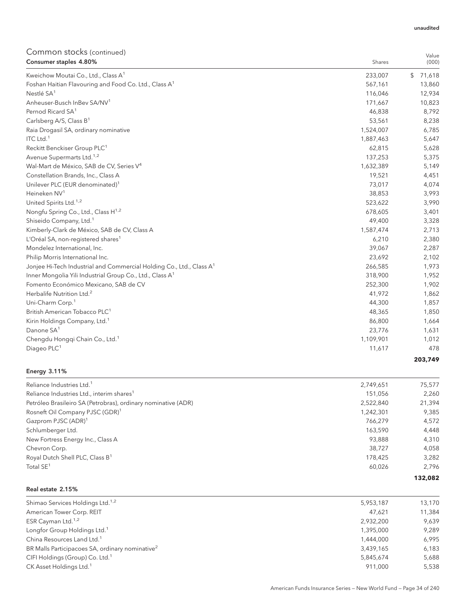| Consumer staples 4.80%                                                           | Shares    | (000)        |
|----------------------------------------------------------------------------------|-----------|--------------|
| Kweichow Moutai Co., Ltd., Class A <sup>1</sup>                                  | 233,007   | \$<br>71,618 |
| Foshan Haitian Flavouring and Food Co. Ltd., Class A <sup>1</sup>                | 567,161   | 13,860       |
| Nestlé SA <sup>1</sup>                                                           | 116,046   | 12,934       |
| Anheuser-Busch InBev SA/NV <sup>1</sup>                                          | 171,667   | 10,823       |
| Pernod Ricard SA <sup>1</sup>                                                    | 46,838    | 8,792        |
| Carlsberg A/S, Class B <sup>1</sup>                                              | 53,561    | 8,238        |
| Raia Drogasil SA, ordinary nominative                                            | 1,524,007 | 6,785        |
| ITC Ltd. <sup>1</sup>                                                            | 1,887,463 | 5,647        |
| Reckitt Benckiser Group PLC <sup>1</sup>                                         | 62,815    | 5,628        |
| Avenue Supermarts Ltd. <sup>1,2</sup>                                            | 137,253   | 5,375        |
| Wal-Mart de México, SAB de CV, Series V <sup>4</sup>                             | 1,632,389 | 5,149        |
| Constellation Brands, Inc., Class A                                              | 19,521    | 4,451        |
| Unilever PLC (EUR denominated) <sup>1</sup>                                      | 73,017    | 4,074        |
| Heineken NV <sup>1</sup>                                                         | 38,853    | 3,993        |
| United Spirits Ltd. <sup>1,2</sup>                                               | 523,622   | 3,990        |
| Nongfu Spring Co., Ltd., Class H <sup>1,2</sup>                                  | 678,605   | 3,401        |
| Shiseido Company, Ltd. <sup>1</sup>                                              | 49,400    | 3,328        |
| Kimberly-Clark de México, SAB de CV, Class A                                     | 1,587,474 | 2,713        |
| L'Oréal SA, non-registered shares <sup>1</sup>                                   | 6,210     | 2,380        |
| Mondelez International, Inc.                                                     | 39,067    | 2,287        |
| Philip Morris International Inc.                                                 | 23,692    | 2,102        |
| Jonjee Hi-Tech Industrial and Commercial Holding Co., Ltd., Class A <sup>1</sup> | 266,585   | 1,973        |
| Inner Mongolia Yili Industrial Group Co., Ltd., Class A <sup>1</sup>             | 318,900   | 1,952        |
| Fomento Económico Mexicano, SAB de CV                                            | 252,300   | 1,902        |
| Herbalife Nutrition Ltd. <sup>2</sup>                                            | 41,972    | 1,862        |
| Uni-Charm Corp. <sup>1</sup>                                                     | 44,300    | 1,857        |
| British American Tobacco PLC <sup>1</sup>                                        | 48,365    | 1,850        |
| Kirin Holdings Company, Ltd. <sup>1</sup>                                        | 86,800    | 1,664        |
| Danone SA <sup>1</sup>                                                           | 23,776    | 1,631        |
| Chengdu Hongqi Chain Co., Ltd. <sup>1</sup>                                      | 1,109,901 | 1,012        |
| Diageo PLC <sup>1</sup>                                                          | 11,617    | 478          |
|                                                                                  |           | 203,749      |

### Energy 3.11%

| Reliance Industries Ltd. <sup>1</sup>                         | 2,749,651 | 75,577  |
|---------------------------------------------------------------|-----------|---------|
| Reliance Industries Ltd., interim shares <sup>1</sup>         | 151.056   | 2,260   |
| Petróleo Brasileiro SA (Petrobras), ordinary nominative (ADR) | 2,522,840 | 21,394  |
| Rosneft Oil Company PJSC (GDR) <sup>1</sup>                   | 1,242,301 | 9,385   |
| Gazprom PJSC (ADR) <sup>1</sup>                               | 766,279   | 4,572   |
| Schlumberger Ltd.                                             | 163,590   | 4.448   |
| New Fortress Energy Inc., Class A                             | 93.888    | 4,310   |
| Chevron Corp.                                                 | 38,727    | 4,058   |
| Royal Dutch Shell PLC, Class B <sup>1</sup>                   | 178,425   | 3.282   |
| Total $SE1$                                                   | 60,026    | 2,796   |
|                                                               |           | 132.082 |

### Real estate 2.15%

| Shimao Services Holdings Ltd. <sup>1,2</sup>                | 5,953,187 | 13,170 |
|-------------------------------------------------------------|-----------|--------|
| American Tower Corp. REIT                                   | 47,621    | 11,384 |
| ESR Cayman Ltd. <sup>1,2</sup>                              | 2,932,200 | 9,639  |
| Longfor Group Holdings Ltd. <sup>1</sup>                    | 1,395,000 | 9,289  |
| China Resources Land Ltd. <sup>1</sup>                      | 1,444,000 | 6.995  |
| BR Malls Participacoes SA, ordinary nominative <sup>2</sup> | 3,439,165 | 6,183  |
| CIFI Holdings (Group) Co. Ltd. <sup>1</sup>                 | 5,845,674 | 5,688  |
| CK Asset Holdings Ltd. <sup>1</sup>                         | 911.000   | 5,538  |
|                                                             |           |        |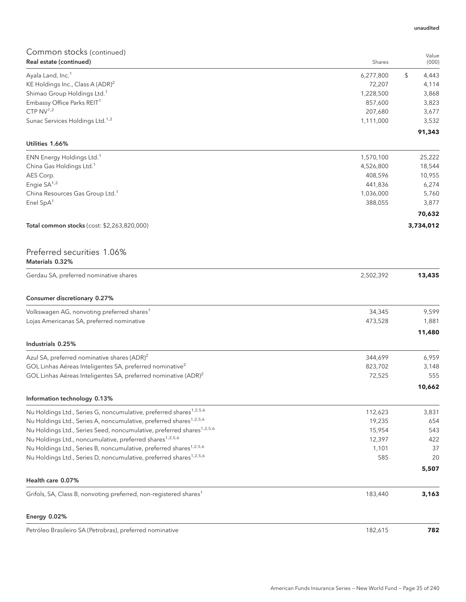| Common stocks (continued)                                                         |           | Value       |
|-----------------------------------------------------------------------------------|-----------|-------------|
| Real estate (continued)                                                           | Shares    | (000)       |
| Ayala Land, Inc. <sup>1</sup>                                                     | 6,277,800 | \$<br>4,443 |
| KE Holdings Inc., Class A (ADR) <sup>2</sup>                                      | 72,207    | 4,114       |
| Shimao Group Holdings Ltd. <sup>1</sup>                                           | 1,228,500 | 3,868       |
| Embassy Office Parks REIT <sup>1</sup>                                            | 857,600   | 3,823       |
| CTP $NV^{1,2}$                                                                    | 207,680   | 3,677       |
| Sunac Services Holdings Ltd. <sup>1,2</sup>                                       | 1,111,000 | 3,532       |
| Utilities 1.66%                                                                   |           | 91,343      |
| ENN Energy Holdings Ltd. <sup>1</sup>                                             | 1,570,100 | 25,222      |
| China Gas Holdings Ltd. <sup>1</sup>                                              | 4,526,800 | 18,544      |
| AES Corp.                                                                         | 408,596   | 10,955      |
| Engie SA <sup>1,2</sup>                                                           | 441,836   | 6,274       |
| China Resources Gas Group Ltd. <sup>1</sup>                                       | 1,036,000 | 5,760       |
| Enel SpA <sup>1</sup>                                                             | 388,055   | 3,877       |
|                                                                                   |           | 70,632      |
| Total common stocks (cost: \$2,263,820,000)                                       |           | 3,734,012   |
| Preferred securities 1.06%                                                        |           |             |
| Materials 0.32%                                                                   |           |             |
| Gerdau SA, preferred nominative shares                                            | 2,502,392 | 13,435      |
| Consumer discretionary 0.27%                                                      |           |             |
| Volkswagen AG, nonvoting preferred shares <sup>1</sup>                            | 34,345    | 9,599       |
| Lojas Americanas SA, preferred nominative                                         | 473,528   | 1,881       |
|                                                                                   |           | 11,480      |
| Industrials 0.25%                                                                 |           |             |
| Azul SA, preferred nominative shares (ADR) <sup>2</sup>                           | 344,699   | 6,959       |
| GOL Linhas Aéreas Inteligentes SA, preferred nominative <sup>2</sup>              | 823,702   | 3,148       |
| GOL Linhas Aéreas Inteligentes SA, preferred nominative (ADR) <sup>2</sup>        | 72,525    | 555         |
|                                                                                   |           | 10,662      |
| Information technology 0.13%                                                      |           |             |
| Nu Holdings Ltd., Series G, noncumulative, preferred shares <sup>1,2,5,6</sup>    | 112,623   | 3,831       |
| Nu Holdings Ltd., Series A, noncumulative, preferred shares <sup>1,2,5,6</sup>    | 19,235    | 654         |
| Nu Holdings Ltd., Series Seed, noncumulative, preferred shares <sup>1,2,5,6</sup> | 15,954    | 543         |
| Nu Holdings Ltd., noncumulative, preferred shares <sup>1,2,5,6</sup>              | 12,397    | 422         |
| Nu Holdings Ltd., Series B, noncumulative, preferred shares <sup>1,2,5,6</sup>    | 1,101     | 37          |
| Nu Holdings Ltd., Series D, noncumulative, preferred shares <sup>1,2,5,6</sup>    | 585       | 20          |
|                                                                                   |           | 5,507       |
| Health care 0.07%                                                                 |           |             |
| Grifols, SA, Class B, nonvoting preferred, non-registered shares <sup>1</sup>     | 183,440   | 3,163       |
| Energy 0.02%                                                                      |           |             |
| Petróleo Brasileiro SA (Petrobras), preferred nominative                          | 182,615   | 782         |

American Funds Insurance Series — New World Fund — Page 35 of 240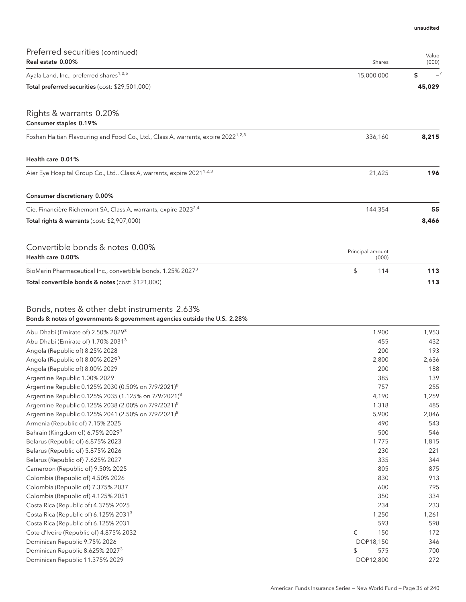| Preferred securities (continued)                                                                                         |                           | Value        |
|--------------------------------------------------------------------------------------------------------------------------|---------------------------|--------------|
| Real estate 0.00%                                                                                                        | Shares                    | (000)        |
| Ayala Land, Inc., preferred shares <sup>1,2,5</sup>                                                                      | 15,000,000                | \$           |
| Total preferred securities (cost: \$29,501,000)                                                                          |                           | 45,029       |
| Rights & warrants 0.20%<br>Consumer staples 0.19%                                                                        |                           |              |
| Foshan Haitian Flavouring and Food Co., Ltd., Class A, warrants, expire 2022 <sup>1,2,3</sup>                            | 336,160                   | 8,215        |
| Health care 0.01%                                                                                                        |                           |              |
| Aier Eye Hospital Group Co., Ltd., Class A, warrants, expire 2021 <sup>1,2,3</sup>                                       | 21,625                    | 196          |
| Consumer discretionary 0.00%                                                                                             |                           |              |
| Cie. Financière Richemont SA, Class A, warrants, expire 2023 <sup>2,4</sup>                                              | 144,354                   | 55           |
| Total rights & warrants (cost: \$2,907,000)                                                                              |                           | 8,466        |
| Convertible bonds & notes 0.00%<br>Health care 0.00%                                                                     | Principal amount<br>(000) |              |
| BioMarin Pharmaceutical Inc., convertible bonds, 1.25% 2027 <sup>3</sup>                                                 | \$<br>114                 | 113          |
| Total convertible bonds & notes (cost: \$121,000)                                                                        |                           | 113          |
| Bonds, notes & other debt instruments 2.63%<br>Bonds & notes of governments & government agencies outside the U.S. 2.28% |                           |              |
| Abu Dhabi (Emirate of) 2.50% 2029 <sup>3</sup>                                                                           | 1,900                     | 1,953        |
| Abu Dhabi (Emirate of) 1.70% 2031 <sup>3</sup>                                                                           | 455                       | 432          |
| Angola (Republic of) 8.25% 2028                                                                                          | 200                       | 193          |
| Angola (Republic of) 8.00% 2029 <sup>3</sup>                                                                             | 2,800                     | 2,636        |
| Angola (Republic of) 8.00% 2029                                                                                          | 200                       | 188          |
| Argentine Republic 1.00% 2029<br>Argentine Republic 0.125% 2030 (0.50% on 7/9/2021) <sup>8</sup>                         | 385<br>757                | 139<br>255   |
| Argentine Republic 0.125% 2035 (1.125% on 7/9/2021) <sup>8</sup>                                                         | 4,190                     | 1,259        |
| Argentine Republic 0.125% 2038 (2.00% on 7/9/2021) <sup>8</sup>                                                          | 1,318                     | 485          |
| Argentine Republic 0.125% 2041 (2.50% on 7/9/2021) <sup>8</sup>                                                          | 5,900                     | 2,046        |
| Armenia (Republic of) 7.15% 2025                                                                                         | 490                       | 543          |
| Bahrain (Kingdom of) 6.75% 2029 <sup>3</sup>                                                                             | 500                       | 546          |
| Belarus (Republic of) 6.875% 2023                                                                                        | 1,775                     | 1,815        |
| Belarus (Republic of) 5.875% 2026                                                                                        | 230                       | 221          |
| Belarus (Republic of) 7.625% 2027                                                                                        | 335                       | 344          |
| Cameroon (Republic of) 9.50% 2025                                                                                        | 805                       | 875          |
| Colombia (Republic of) 4.50% 2026                                                                                        | 830                       | 913          |
| Colombia (Republic of) 7.375% 2037                                                                                       | 600                       | 795          |
| Colombia (Republic of) 4.125% 2051                                                                                       | 350                       | 334          |
| Costa Rica (Republic of) 4.375% 2025<br>Costa Rica (Republic of) 6.125% 2031 <sup>3</sup>                                | 234<br>1,250              | 233<br>1,261 |
| Costa Rica (Republic of) 6.125% 2031                                                                                     | 593                       | 598          |
| Cote d'Ivoire (Republic of) 4.875% 2032                                                                                  | €<br>150                  | 172          |
| Dominican Republic 9.75% 2026                                                                                            | DOP18,150                 | 346          |
| Dominican Republic 8.625% 20273                                                                                          | \$<br>575                 | 700          |
| Dominican Republic 11.375% 2029                                                                                          | DOP12,800                 | 272          |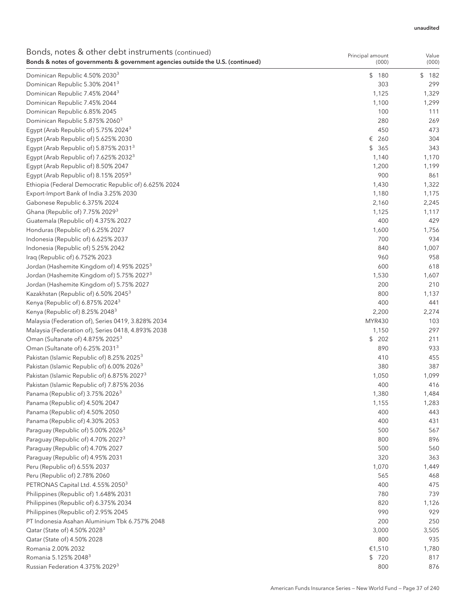| Bonds, notes & other debt instruments (continued)                               | Principal amount | Value     |
|---------------------------------------------------------------------------------|------------------|-----------|
| Bonds & notes of governments & government agencies outside the U.S. (continued) | (000)            | (000)     |
| Dominican Republic 4.50% 2030 <sup>3</sup>                                      | \$180            | \$<br>182 |
| Dominican Republic 5.30% 2041 <sup>3</sup>                                      | 303              | 299       |
| Dominican Republic 7.45% 2044 <sup>3</sup>                                      | 1,125            | 1,329     |
| Dominican Republic 7.45% 2044                                                   | 1,100            | 1,299     |
| Dominican Republic 6.85% 2045                                                   | 100              | 111       |
| Dominican Republic 5.875% 2060 <sup>3</sup>                                     | 280              | 269       |
| Egypt (Arab Republic of) 5.75% 2024 <sup>3</sup>                                | 450              | 473       |
| Egypt (Arab Republic of) 5.625% 2030                                            | € 260            | 304       |
| Egypt (Arab Republic of) 5.875% 2031 <sup>3</sup>                               | 365<br>\$        | 343       |
| Egypt (Arab Republic of) 7.625% 2032 <sup>3</sup>                               | 1,140            | 1,170     |
| Egypt (Arab Republic of) 8.50% 2047                                             | 1,200            | 1,199     |
| Egypt (Arab Republic of) 8.15% 2059 <sup>3</sup>                                | 900              | 861       |
| Ethiopia (Federal Democratic Republic of) 6.625% 2024                           | 1,430            | 1,322     |
| Export-Import Bank of India 3.25% 2030                                          | 1,180            | 1,175     |
| Gabonese Republic 6.375% 2024                                                   | 2,160            | 2,245     |
| Ghana (Republic of) 7.75% 2029 <sup>3</sup>                                     | 1,125            | 1,117     |
| Guatemala (Republic of) 4.375% 2027                                             | 400              | 429       |
| Honduras (Republic of) 6.25% 2027                                               | 1,600            | 1,756     |
| Indonesia (Republic of) 6.625% 2037                                             | 700              | 934       |
| Indonesia (Republic of) 5.25% 2042                                              | 840              | 1,007     |
| Iraq (Republic of) 6.752% 2023                                                  | 960              | 958       |
| Jordan (Hashemite Kingdom of) 4.95% 2025 <sup>3</sup>                           | 600              | 618       |
| Jordan (Hashemite Kingdom of) 5.75% 2027 <sup>3</sup>                           | 1,530            | 1,607     |
| Jordan (Hashemite Kingdom of) 5.75% 2027                                        | 200              | 210       |
| Kazakhstan (Republic of) 6.50% 2045 <sup>3</sup>                                | 800              | 1,137     |
| Kenya (Republic of) 6.875% 2024 <sup>3</sup>                                    | 400              | 441       |
| Kenya (Republic of) 8.25% 2048 <sup>3</sup>                                     | 2,200            | 2,274     |
| Malaysia (Federation of), Series 0419, 3.828% 2034                              | MYR430           | 103       |
| Malaysia (Federation of), Series 0418, 4.893% 2038                              | 1,150            | 297       |
| Oman (Sultanate of) 4.875% 2025 <sup>3</sup>                                    | \$202            | 211       |
| Oman (Sultanate of) 6.25% 2031 <sup>3</sup>                                     | 890              | 933       |
| Pakistan (Islamic Republic of) 8.25% 2025 <sup>3</sup>                          | 410              | 455       |
| Pakistan (Islamic Republic of) 6.00% 2026 <sup>3</sup>                          | 380              | 387       |
| Pakistan (Islamic Republic of) 6.875% 2027 <sup>3</sup>                         | 1,050            | 1,099     |
| Pakistan (Islamic Republic of) 7.875% 2036                                      | 400              | 416       |
| Panama (Republic of) 3.75% 2026 <sup>3</sup>                                    | 1,380            | 1,484     |
| Panama (Republic of) 4.50% 2047                                                 | 1,155            | 1,283     |
| Panama (Republic of) 4.50% 2050                                                 | 400              | 443       |
| Panama (Republic of) 4.30% 2053                                                 | 400              | 431       |
| Paraguay (Republic of) 5.00% 2026 <sup>3</sup>                                  | 500              | 567       |
| Paraguay (Republic of) 4.70% 2027 <sup>3</sup>                                  | 800              | 896       |
| Paraguay (Republic of) 4.70% 2027                                               | 500              | 560       |
| Paraguay (Republic of) 4.95% 2031                                               | 320              | 363       |
| Peru (Republic of) 6.55% 2037                                                   | 1,070            | 1,449     |
| Peru (Republic of) 2.78% 2060                                                   | 565              | 468       |
| PETRONAS Capital Ltd. 4.55% 2050 <sup>3</sup>                                   | 400              | 475       |
| Philippines (Republic of) 1.648% 2031                                           | 780              | 739       |
| Philippines (Republic of) 6.375% 2034                                           | 820              | 1,126     |
| Philippines (Republic of) 2.95% 2045                                            | 990              | 929       |
| PT Indonesia Asahan Aluminium Tbk 6.757% 2048                                   | 200              | 250       |
| Qatar (State of) 4.50% 2028 <sup>3</sup>                                        | 3,000            | 3,505     |
| Qatar (State of) 4.50% 2028                                                     | 800              | 935       |
| Romania 2.00% 2032                                                              | €1,510           | 1,780     |
| Romania 5.125% 2048 <sup>3</sup>                                                | \$720            | 817       |
| Russian Federation 4.375% 2029 <sup>3</sup>                                     | 800              | 876       |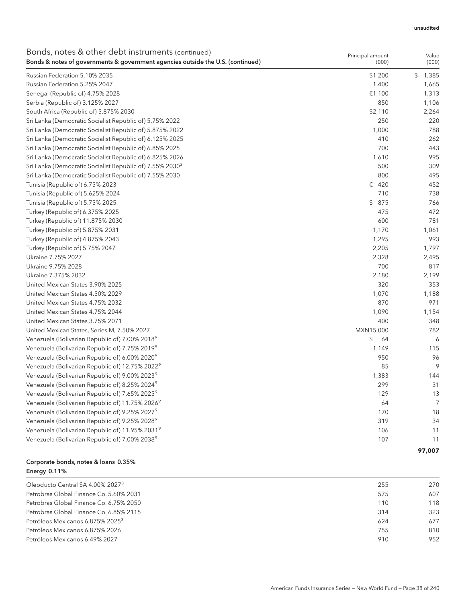#### unaudited

| Bonds, notes & other debt instruments (continued)<br>Bonds & notes of governments & government agencies outside the U.S. (continued) | Principal amount<br>(000) | Value<br>(000) |
|--------------------------------------------------------------------------------------------------------------------------------------|---------------------------|----------------|
| Russian Federation 5.10% 2035                                                                                                        | \$1,200                   | \$<br>1,385    |
| Russian Federation 5.25% 2047                                                                                                        | 1,400                     | 1,665          |
| Senegal (Republic of) 4.75% 2028                                                                                                     | €1,100                    | 1,313          |
| Serbia (Republic of) 3.125% 2027                                                                                                     | 850                       | 1,106          |
| South Africa (Republic of) 5.875% 2030                                                                                               | \$2,110                   | 2,264          |
| Sri Lanka (Democratic Socialist Republic of) 5.75% 2022                                                                              | 250                       | 220            |
| Sri Lanka (Democratic Socialist Republic of) 5.875% 2022                                                                             | 1,000                     | 788            |
| Sri Lanka (Democratic Socialist Republic of) 6.125% 2025                                                                             | 410                       | 262            |
| Sri Lanka (Democratic Socialist Republic of) 6.85% 2025                                                                              | 700                       | 443            |
| Sri Lanka (Democratic Socialist Republic of) 6.825% 2026                                                                             | 1,610                     | 995            |
| Sri Lanka (Democratic Socialist Republic of) 7.55% 2030 <sup>3</sup>                                                                 | 500                       | 309            |
| Sri Lanka (Democratic Socialist Republic of) 7.55% 2030                                                                              | 800                       | 495            |
| Tunisia (Republic of) 6.75% 2023                                                                                                     | € 420                     | 452            |
| Tunisia (Republic of) 5.625% 2024                                                                                                    | 710                       | 738            |
| Tunisia (Republic of) 5.75% 2025                                                                                                     | $$\mathbb{S}$$<br>875     | 766            |
| Turkey (Republic of) 6.375% 2025                                                                                                     | 475                       | 472            |
| Turkey (Republic of) 11.875% 2030                                                                                                    | 600                       | 781            |
| Turkey (Republic of) 5.875% 2031                                                                                                     | 1,170                     | 1,061          |
| Turkey (Republic of) 4.875% 2043                                                                                                     | 1,295                     | 993            |
| Turkey (Republic of) 5.75% 2047                                                                                                      | 2,205                     | 1,797          |
| Ukraine 7.75% 2027                                                                                                                   | 2,328                     | 2,495          |
| Ukraine 9.75% 2028                                                                                                                   | 700                       | 817            |
| Ukraine 7.375% 2032                                                                                                                  | 2,180                     | 2,199          |
| United Mexican States 3.90% 2025                                                                                                     | 320                       | 353            |
| United Mexican States 4.50% 2029                                                                                                     | 1,070                     | 1,188          |
| United Mexican States 4.75% 2032                                                                                                     | 870                       | 971            |
| United Mexican States 4.75% 2044                                                                                                     | 1,090                     | 1,154          |
| United Mexican States 3.75% 2071                                                                                                     | 400                       | 348            |
| United Mexican States, Series M, 7.50% 2027                                                                                          | MXN15,000                 | 782            |
| Venezuela (Bolivarian Republic of) 7.00% 2018 <sup>9</sup>                                                                           | \$<br>64                  | 6              |
| Venezuela (Bolivarian Republic of) 7.75% 2019 <sup>9</sup>                                                                           | 1,149                     | 115            |
| Venezuela (Bolivarian Republic of) 6.00% 2020 <sup>9</sup>                                                                           | 950                       | 96             |
| Venezuela (Bolivarian Republic of) 12.75% 2022 <sup>9</sup>                                                                          | 85                        | 9              |
| Venezuela (Bolivarian Republic of) 9.00% 2023 <sup>9</sup>                                                                           | 1,383                     | 144            |
| Venezuela (Bolivarian Republic of) 8.25% 2024 <sup>9</sup>                                                                           | 299                       | 31             |
| Venezuela (Bolivarian Republic of) 7.65% 2025 <sup>9</sup>                                                                           | 129                       | 13             |
| Venezuela (Bolivarian Republic of) 11.75% 2026 <sup>9</sup>                                                                          | 64                        | $\overline{7}$ |
| Venezuela (Bolivarian Republic of) 9.25% 20279                                                                                       | 170                       | 18             |
| Venezuela (Bolivarian Republic of) 9.25% 20289                                                                                       | 319                       | 34             |
| Venezuela (Bolivarian Republic of) 11.95% 2031 <sup>9</sup>                                                                          | 106                       | 11             |
| Venezuela (Bolivarian Republic of) 7.00% 20389                                                                                       | 107                       | 11             |
|                                                                                                                                      |                           | 97,007         |

### Corporate bonds, notes & loans 0.35% Energy 0.11%

| Oleoducto Central SA 4.00% 2027 <sup>3</sup> | 255 | 270 |
|----------------------------------------------|-----|-----|
| Petrobras Global Finance Co. 5.60% 2031      | 575 | 607 |
| Petrobras Global Finance Co. 6.75% 2050      | 110 | 118 |
| Petrobras Global Finance Co. 6.85% 2115      | 314 | 323 |
| Petróleos Mexicanos 6.875% 2025 <sup>3</sup> | 624 | 677 |
| Petróleos Mexicanos 6.875% 2026              | 755 | 810 |
| Petróleos Mexicanos 6.49% 2027               | 910 | 952 |

American Funds Insurance Series — New World Fund — Page 38 of 240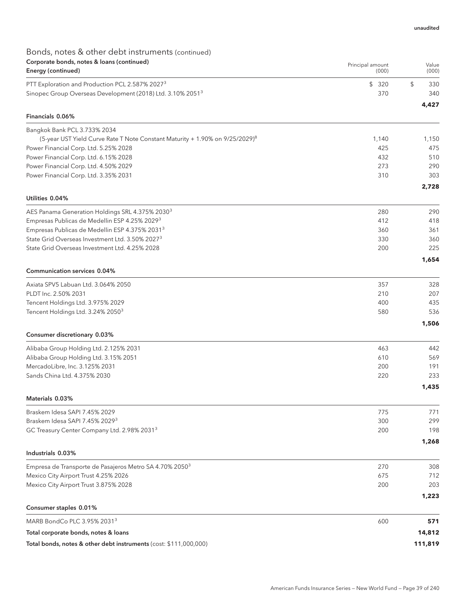| Corporate bonds, notes & Ioans (continued)<br>Energy (continued)                                                                      | Principal amount<br>(000) | Value<br>(000)           |
|---------------------------------------------------------------------------------------------------------------------------------------|---------------------------|--------------------------|
| PTT Exploration and Production PCL 2.587% 2027 <sup>3</sup><br>Sinopec Group Overseas Development (2018) Ltd. 3.10% 2051 <sup>3</sup> | \$320<br>370              | $\sqrt{2}$<br>330<br>340 |
| Financials 0.06%                                                                                                                      |                           | 4,427                    |
| Bangkok Bank PCL 3.733% 2034                                                                                                          |                           |                          |
| (5-year UST Yield Curve Rate T Note Constant Maturity + 1.90% on 9/25/2029) <sup>8</sup>                                              | 1,140                     | 1,150                    |
| Power Financial Corp. Ltd. 5.25% 2028                                                                                                 | 425                       | 475                      |
| Power Financial Corp. Ltd. 6.15% 2028                                                                                                 | 432                       | 510                      |
| Power Financial Corp. Ltd. 4.50% 2029                                                                                                 | 273                       | 290                      |
| Power Financial Corp. Ltd. 3.35% 2031                                                                                                 | 310                       | 303                      |
| Utilities 0.04%                                                                                                                       |                           | 2,728                    |
| AES Panama Generation Holdings SRL 4.375% 2030 <sup>3</sup>                                                                           | 280                       | 290                      |
| Empresas Publicas de Medellin ESP 4.25% 2029 <sup>3</sup>                                                                             | 412                       | 418                      |
| Empresas Publicas de Medellin ESP 4.375% 2031 <sup>3</sup>                                                                            | 360                       | 361                      |
| State Grid Overseas Investment Ltd. 3.50% 2027 <sup>3</sup>                                                                           | 330                       | 360                      |
| State Grid Overseas Investment Ltd. 4.25% 2028                                                                                        | 200                       | 225                      |
|                                                                                                                                       |                           | 1,654                    |
| <b>Communication services 0.04%</b>                                                                                                   |                           |                          |
| Axiata SPV5 Labuan Ltd. 3.064% 2050                                                                                                   | 357                       | 328                      |
| PLDT Inc. 2.50% 2031                                                                                                                  | 210                       | 207                      |
| Tencent Holdings Ltd. 3.975% 2029                                                                                                     | 400                       | 435                      |
| Tencent Holdings Ltd. 3.24% 2050 <sup>3</sup>                                                                                         | 580                       | 536                      |
| Consumer discretionary 0.03%                                                                                                          |                           | 1,506                    |
|                                                                                                                                       | 463                       | 442                      |
| Alibaba Group Holding Ltd. 2.125% 2031<br>Alibaba Group Holding Ltd. 3.15% 2051                                                       | 610                       | 569                      |
| MercadoLibre, Inc. 3.125% 2031                                                                                                        | 200                       | 191                      |
| Sands China Ltd. 4.375% 2030                                                                                                          | 220                       | 233                      |
|                                                                                                                                       |                           | 1,435                    |
| Materials 0.03%                                                                                                                       |                           |                          |
| Braskem Idesa SAPI 7.45% 2029                                                                                                         | 775                       | 771                      |
| Braskem Idesa SAPI 7.45% 2029 <sup>3</sup>                                                                                            | 300                       | 299                      |
| GC Treasury Center Company Ltd. 2.98% 2031 <sup>3</sup>                                                                               | 200                       | 198                      |
| Industrials 0.03%                                                                                                                     |                           | 1,268                    |
| Empresa de Transporte de Pasajeros Metro SA 4.70% 2050 <sup>3</sup>                                                                   | 270                       | 308                      |
| Mexico City Airport Trust 4.25% 2026                                                                                                  | 675                       | 712                      |
| Mexico City Airport Trust 3.875% 2028                                                                                                 | 200                       | 203                      |
|                                                                                                                                       |                           | 1,223                    |
| Consumer staples 0.01%                                                                                                                |                           |                          |
| MARB BondCo PLC 3.95% 2031 <sup>3</sup>                                                                                               | 600                       | 571                      |
| Total corporate bonds, notes & loans                                                                                                  |                           | 14,812                   |
| Total bonds, notes & other debt instruments (cost: \$111,000,000)                                                                     |                           | 111,819                  |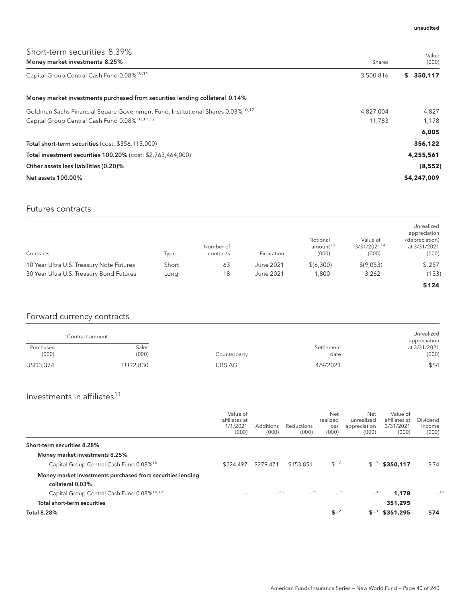| Short-term securities 8.39%<br>Money market investments 8.25%                               | Shares    | Value<br>(000) |
|---------------------------------------------------------------------------------------------|-----------|----------------|
| Capital Group Central Cash Fund 0.08% <sup>10,11</sup>                                      | 3,500,816 | \$350,117      |
| Money market investments purchased from securities lending collateral 0.14%                 |           |                |
| Goldman Sachs Financial Square Government Fund, Institutional Shares 0.03% <sup>10,12</sup> | 4,827,004 | 4,827          |
| Capital Group Central Cash Fund 0.08% <sup>10,11,12</sup>                                   | 11.783    | 1,178          |
|                                                                                             |           | 6,005          |
| Total short-term securities (cost: \$356,115,000)                                           |           | 356,122        |
| Total investment securities 100.20% (cost: \$2,763,464,000)                                 |           | 4,255,561      |
| Other assets less liabilities (0.20)%                                                       |           | (8, 552)       |
| <b>Net assets 100.00%</b>                                                                   |           | \$4,247,009    |

### Futures contracts

| Contracts                                | Type  | Number of<br>contracts | Expiration | Notional<br>amount <sup>13</sup><br>(000) | Value at<br>3/31/2021 <sup>14</sup><br>(000) | Unrealized<br>appreciation<br>(depreciation)<br>at 3/31/2021<br>(000) |
|------------------------------------------|-------|------------------------|------------|-------------------------------------------|----------------------------------------------|-----------------------------------------------------------------------|
| 10 Year Ultra U.S. Treasury Note Futures | Short | 63                     | June 2021  | \$(6,300)                                 | \$(9,053)                                    | \$257                                                                 |
| 30 Year Ultra U.S. Treasury Bond Futures | Long  | 18                     | June 2021  | 0.800                                     | 3,262                                        | (133)                                                                 |
|                                          |       |                        |            |                                           |                                              | \$124                                                                 |

## Forward currency contracts

|                    | Contract amount |              |                    | Unrealized<br>appreciation |
|--------------------|-----------------|--------------|--------------------|----------------------------|
| Purchases<br>(000) | Sales<br>(000)  | Counterparty | Settlement<br>date | at 3/31/2021<br>(000)      |
| USD3,374           | EUR2,830        | UBS AG       | 4/9/2021           | \$54                       |

## Investments in affiliates $11$

|                                                                                | Value of<br>affiliates at<br>1/1/2021<br>(000) | Additions<br>(000) | Reductions<br>(000) | Net<br>realized<br>loss<br>(000) | Net<br>unrealized<br>appreciation<br>(000) | Value of<br>affiliates at<br>3/31/2021<br>(000) | Dividend<br>income<br>(000) |
|--------------------------------------------------------------------------------|------------------------------------------------|--------------------|---------------------|----------------------------------|--------------------------------------------|-------------------------------------------------|-----------------------------|
| Short-term securities 8.28%                                                    |                                                |                    |                     |                                  |                                            |                                                 |                             |
| Money market investments 8.25%                                                 |                                                |                    |                     |                                  |                                            |                                                 |                             |
| Capital Group Central Cash Fund 0.08% <sup>10</sup>                            | \$224,497                                      | \$279,471          | \$153,851           | $$ -7$                           |                                            | $$-7$ \$350.117                                 | \$74                        |
| Money market investments purchased from securities lending<br>collateral 0.03% |                                                |                    |                     |                                  |                                            |                                                 |                             |
| Capital Group Central Cash Fund 0.08% <sup>10,12</sup>                         |                                                | $-15$              | $-15$               | $-15$                            | $-15$                                      | 1,178                                           | $-15$                       |
| Total short-term securities                                                    |                                                |                    |                     |                                  |                                            | 351,295                                         |                             |
| <b>Total 8.28%</b>                                                             |                                                |                    |                     | $S-7$                            | $S-7$                                      | \$351,295                                       | \$74                        |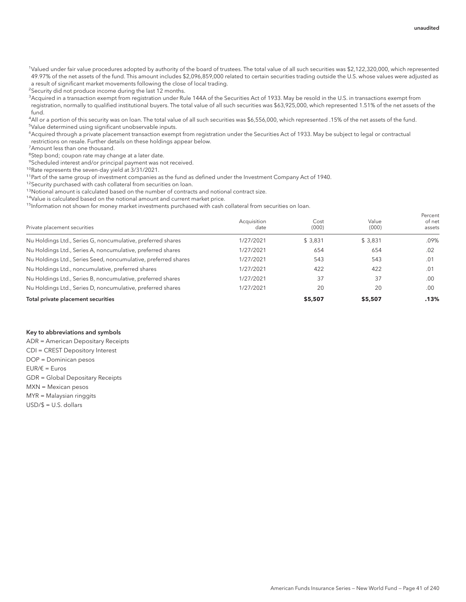<sup>1</sup>Valued under fair value procedures adopted by authority of the board of trustees. The total value of all such securities was \$2,122,320,000, which represented 49.97% of the net assets of the fund. This amount includes \$2,096,859,000 related to certain securities trading outside the U.S. whose values were adjusted as a result of significant market movements following the close of local trading.

<sup>2</sup>Security did not produce income during the last 12 months.

 $^3$ Acquired in a transaction exempt from registration under Rule 144A of the Securities Act of 1933. May be resold in the U.S. in transactions exempt from registration, normally to qualified institutional buyers. The total value of all such securities was \$63,925,000, which represented 1.51% of the net assets of the fund.

4 All or a portion of this security was on loan. The total value of all such securities was \$6,556,000, which represented .15% of the net assets of the fund. 5 Value determined using significant unobservable inputs.

6 Acquired through a private placement transaction exempt from registration under the Securities Act of 1933. May be subject to legal or contractual restrictions on resale. Further details on these holdings appear below.

<sup>7</sup> Amount less than one thousand.

<sup>8</sup>Step bond; coupon rate may change at a later date.

9 Scheduled interest and/or principal payment was not received.

10Rate represents the seven-day yield at 3/31/2021.

 $11$ Part of the same group of investment companies as the fund as defined under the Investment Company Act of 1940.

<sup>12</sup>Security purchased with cash collateral from securities on loan.

<sup>13</sup>Notional amount is calculated based on the number of contracts and notional contract size.

<sup>14</sup>Value is calculated based on the notional amount and current market price.

<sup>15</sup>Information not shown for money market investments purchased with cash collateral from securities on loan.

| Private placement securities                                   | Acquisition<br>date | Cost<br>(000) | Value<br>(000) | Percent<br>of net<br>assets |
|----------------------------------------------------------------|---------------------|---------------|----------------|-----------------------------|
| Nu Holdings Ltd., Series G, noncumulative, preferred shares    | 1/27/2021           | \$3,831       | \$3,831        | .09%                        |
| Nu Holdings Ltd., Series A, noncumulative, preferred shares    | 1/27/2021           | 654           | 654            | .02                         |
| Nu Holdings Ltd., Series Seed, noncumulative, preferred shares | 1/27/2021           | 543           | 543            | .01                         |
| Nu Holdings Ltd., noncumulative, preferred shares              | 1/27/2021           | 422           | 422            | .01                         |
| Nu Holdings Ltd., Series B, noncumulative, preferred shares    | 1/27/2021           | 37            | 37             | .00                         |
| Nu Holdings Ltd., Series D, noncumulative, preferred shares    | 1/27/2021           | 20            | 20             | .00.                        |
| Total private placement securities                             |                     | \$5,507       | \$5,507        | .13%                        |

#### Key to abbreviations and symbols

ADR = American Depositary Receipts CDI = CREST Depository Interest DOP = Dominican pesos EUR/€ = Euros GDR = Global Depositary Receipts MXN = Mexican pesos MYR = Malaysian ringgits USD/\$ = U.S. dollars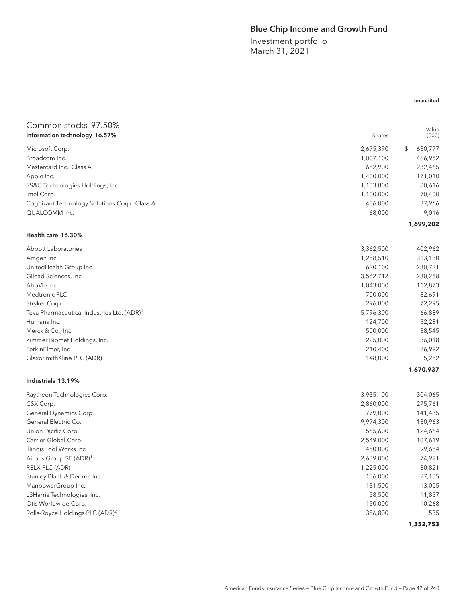## Blue Chip Income and Growth Fund

Investment portfolio March 31, 2021

#### unaudited

### Common stocks 97.50% **Information technology 16.57%** Shares **Shares** Shares **Shares** Shares **Shares** Shares **Shares** Shares **Shares** Shares **Shares** Shares **Shares** Shares **Shares** Shares **Shares** Shares **Shares** Shares **Shares** Shares **Shares** Value (000) Microsoft Corp. 2,675,390 \$ 630,777 Broadcom Inc. 1,007,100 466,952 Mastercard Inc., Class A 652,900 232,465 Apple Inc. 1,400,000 171,010 SS&C Technologies Holdings, Inc. 2006 80,616 and 2008 80,616 and 2008 80,616 and 2008 80,616 and 2008 80,616 and 2008 80,616 and 2008 80,616 and 2008 80,616 and 2008 80,616 and 2008 80,616 and 2008 80,616 and 2008 80,616 a Intel Corp. 1,100,000 70,400 Cognizant Technology Solutions Corp., Class A 486,000 37,966 QUALCOMM Inc. 68,000 9,016 **1,699,202** Health care 16.30% Abbott Laboratories 3,362,500 402,962 Amgen Inc. 1,258,510 313,130 UnitedHealth Group Inc. 620,100 230,721 Gilead Sciences, Inc. 230,258 AbbVie Inc. 1,043,000 112,873 Medtronic PLC 700,000 82,691 Stryker Corp. 296,800 72,295 Teva Pharmaceutical Industries Ltd. (ADR)<sup>1</sup> 5,796,300 66,889  $\,$  5,796,300 66,889 Humana Inc. 124,700 52,281 Merck & Co., Inc. 38,545 Zimmer Biomet Holdings, Inc. 225,000 36,018 PerkinElmer, Inc. 210,400 26,992 GlaxoSmithKline PLC (ADR) 148,000 5,282 **1,670,937** Industrials 13.19% Raytheon Technologies Corp. 3,935,100 304,065 CSX Corp. 2,860,000 275,761 General Dynamics Corp. 2014 141,435 General Electric Co. 2008 130,963 Union Pacific Corp. 24,664 (1996) 224,664 Carrier Global Corp. 2,549,000 107,619 Illinois Tool Works Inc. 450,000 99,684 Airbus Group SE (ADR)<sup>1</sup> 2,639,000 74,921 RELX PLC (ADR) 1,225,000 30,821 Stanley Black & Decker, Inc. 27,155 ManpowerGroup Inc. 2008 2012 13,005 13,000 13,000 13,000 13,000 13,000 13,000 13,000 13,000 13,000 13,000 13,000 L3Harris Technologies, Inc. 58,500 11,857 Otis Worldwide Corp. 268 and 2009 10,268 and 2009 10,268 and 2009 10,268 and 2009 10,268 and 2009 10,268 and 2009 10,268 and 2009 10,268 and 2009 10,268 and 2009 10,268 and 2009 10,268 and 2009 10,268 and 2009 10,268 and 2 Rolls-Royce Holdings PLC (ADR)<sup>2</sup> 3356,800 5356,800 5356,800 5356,800 5356,800 5356,800 5356,800 5356,800 5356 535 **1,352,753**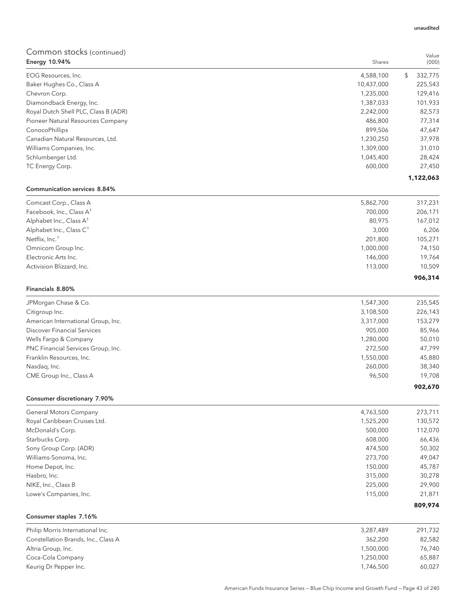| Energy 10.94%                        | Shares     | (000)         |
|--------------------------------------|------------|---------------|
| EOG Resources, Inc.                  | 4,588,100  | \$<br>332,775 |
| Baker Hughes Co., Class A            | 10,437,000 | 225,543       |
| Chevron Corp.                        | 1,235,000  | 129,416       |
| Diamondback Energy, Inc.             | 1,387,033  | 101,933       |
| Royal Dutch Shell PLC, Class B (ADR) | 2,242,000  | 82,573        |
| Pioneer Natural Resources Company    | 486,800    | 77,314        |
| ConocoPhillips                       | 899,506    | 47,647        |
| Canadian Natural Resources, Ltd.     | 1,230,250  | 37,978        |
| Williams Companies, Inc.             | 1,309,000  | 31,010        |
| Schlumberger Ltd.                    | 1,045,400  | 28,424        |
| TC Energy Corp.                      | 600,000    | 27,450        |
|                                      |            | 1,122,063     |

#### Communication services 8.84%

| Comcast Corp., Class A               | 5,862,700 | 317,231 |
|--------------------------------------|-----------|---------|
| Facebook, Inc., Class A <sup>1</sup> | 700,000   | 206,171 |
| Alphabet Inc., Class $A^1$           | 80,975    | 167,012 |
| Alphabet Inc., Class $C^1$           | 3,000     | 6,206   |
| Netflix, Inc. <sup>1</sup>           | 201,800   | 105,271 |
| Omnicom Group Inc.                   | 1,000,000 | 74,150  |
| Electronic Arts Inc.                 | 146,000   | 19,764  |
| Activision Blizzard, Inc.            | 113,000   | 10,509  |
|                                      |           | 906.314 |

#### Financials 8.80%

| JPMorgan Chase & Co.               | 1,547,300 | 235,545 |
|------------------------------------|-----------|---------|
| Citigroup Inc.                     | 3,108,500 | 226,143 |
| American International Group, Inc. | 3,317,000 | 153,279 |
| <b>Discover Financial Services</b> | 905.000   | 85,966  |
| Wells Fargo & Company              | 1,280,000 | 50,010  |
| PNC Financial Services Group, Inc. | 272,500   | 47,799  |
| Franklin Resources, Inc.           | 1,550,000 | 45,880  |
| Nasdag, Inc.                       | 260,000   | 38,340  |
| CME Group Inc., Class A            | 96,500    | 19,708  |
|                                    |           | 902,670 |

## Consumer discretionary 7.90%

| General Motors Company       | 4,763,500 | 273,711 |
|------------------------------|-----------|---------|
| Royal Caribbean Cruises Ltd. | 1,525,200 | 130,572 |
| McDonald's Corp.             | 500,000   | 112,070 |
| Starbucks Corp.              | 608,000   | 66,436  |
| Sony Group Corp. (ADR)       | 474,500   | 50,302  |
| Williams-Sonoma, Inc.        | 273,700   | 49,047  |
| Home Depot, Inc.             | 150,000   | 45,787  |
| Hasbro, Inc.                 | 315,000   | 30,278  |
| NIKE, Inc., Class B          | 225,000   | 29,900  |
| Lowe's Companies, Inc.       | 115,000   | 21,871  |
|                              |           | 809,974 |

#### Consumer staples 7.16%

| Philip Morris International Inc.    | 3.287.489 | 291.732 |
|-------------------------------------|-----------|---------|
| Constellation Brands, Inc., Class A | 362.200   | 82,582  |
| Altria Group, Inc.                  | 1,500,000 | 76,740  |
| Coca-Cola Company                   | 1,250,000 | 65.887  |
| Keurig Dr Pepper Inc.               | 1.746.500 | 60,027  |

Value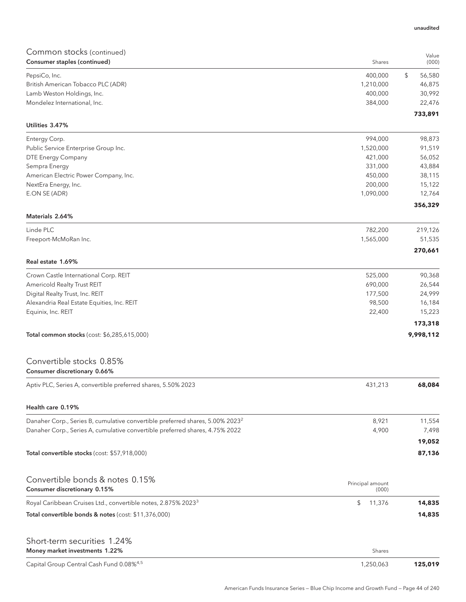| Common stocks (continued)                                                                 |                           | Value        |
|-------------------------------------------------------------------------------------------|---------------------------|--------------|
| Consumer staples (continued)                                                              | Shares                    | (000)        |
| PepsiCo, Inc.                                                                             | 400,000                   | \$<br>56,580 |
| British American Tobacco PLC (ADR)                                                        | 1,210,000                 | 46,875       |
| Lamb Weston Holdings, Inc.                                                                | 400,000                   | 30,992       |
| Mondelez International, Inc.                                                              | 384,000                   | 22,476       |
| Utilities 3.47%                                                                           |                           | 733,891      |
| Entergy Corp.                                                                             | 994,000                   | 98,873       |
| Public Service Enterprise Group Inc.                                                      | 1,520,000                 | 91,519       |
| DTE Energy Company                                                                        | 421,000                   | 56,052       |
| Sempra Energy                                                                             | 331,000                   | 43,884       |
| American Electric Power Company, Inc.                                                     | 450,000                   | 38,115       |
| NextEra Energy, Inc.                                                                      | 200,000                   | 15,122       |
| E.ON SE (ADR)                                                                             | 1,090,000                 | 12,764       |
|                                                                                           |                           | 356,329      |
| Materials 2.64%                                                                           |                           |              |
| Linde PLC                                                                                 | 782,200                   | 219,126      |
| Freeport-McMoRan Inc.                                                                     | 1,565,000                 | 51,535       |
|                                                                                           |                           | 270,661      |
| Real estate 1.69%                                                                         |                           |              |
| Crown Castle International Corp. REIT                                                     | 525,000                   | 90,368       |
| Americold Realty Trust REIT                                                               | 690,000                   | 26,544       |
| Digital Realty Trust, Inc. REIT                                                           | 177,500                   | 24,999       |
| Alexandria Real Estate Equities, Inc. REIT                                                | 98,500                    | 16,184       |
| Equinix, Inc. REIT                                                                        | 22,400                    | 15,223       |
|                                                                                           |                           | 173,318      |
| Total common stocks (cost: \$6,285,615,000)                                               |                           | 9,998,112    |
| Convertible stocks 0.85%                                                                  |                           |              |
| Consumer discretionary 0.66%                                                              |                           |              |
| Aptiv PLC, Series A, convertible preferred shares, 5.50% 2023                             | 431,213                   | 68,084       |
| Health care 0.19%                                                                         |                           |              |
| Danaher Corp., Series B, cumulative convertible preferred shares, 5.00% 2023 <sup>2</sup> | 8,921                     | 11,554       |
| Danaher Corp., Series A, cumulative convertible preferred shares, 4.75% 2022              | 4,900                     | 7,498        |
|                                                                                           |                           | 19,052       |
| Total convertible stocks (cost: \$57,918,000)                                             |                           | 87,136       |
|                                                                                           |                           |              |
| Convertible bonds & notes 0.15%<br>Consumer discretionary 0.15%                           | Principal amount<br>(000) |              |
| Royal Caribbean Cruises Ltd., convertible notes, 2.875% 2023 <sup>3</sup>                 | \$<br>11,376              | 14,835       |
| Total convertible bonds & notes (cost: \$11,376,000)                                      |                           | 14,835       |
| Short-term securities 1.24%                                                               |                           |              |
| Money market investments 1.22%                                                            | Shares                    |              |

Capital Group Central Cash Fund 0.08%<sup>4,5</sup> 125,019 1,250,063 125,019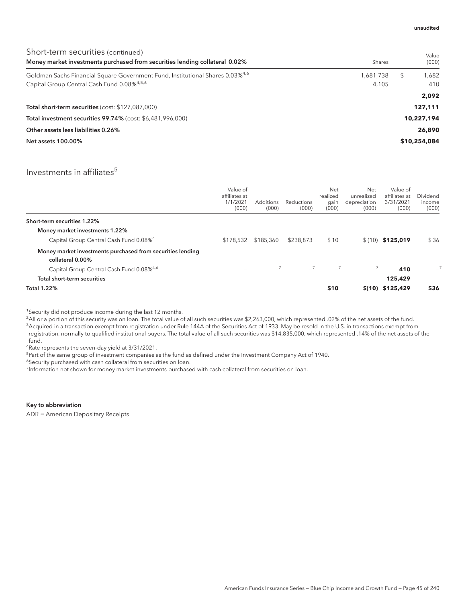| Short-term securities (continued)<br>Money market investments purchased from securities lending collateral 0.02% | Shares    |   | Value<br>(000) |
|------------------------------------------------------------------------------------------------------------------|-----------|---|----------------|
| Goldman Sachs Financial Square Government Fund, Institutional Shares 0.03% $^{4,6}$                              | 1.681.738 | S | 1.682          |
| Capital Group Central Cash Fund 0.08% <sup>4,5,6</sup>                                                           | 4.105     |   | 410            |
|                                                                                                                  |           |   | 2.092          |
| <b>Total short-term securities</b> (cost: \$127,087,000)                                                         |           |   | 127,111        |
| Total investment securities 99.74% (cost: \$6,481,996,000)                                                       |           |   | 10,227,194     |
| Other assets less liabilities 0.26%                                                                              |           |   | 26,890         |
| <b>Net assets 100.00%</b>                                                                                        |           |   | \$10,254,084   |

## Investments in affiliates $5$

|                                                                                | Value of<br>affiliates at<br>1/1/2021<br>(000) | <b>Additions</b><br>(000) | <b>Reductions</b><br>(000) | Net<br>realized<br>gain<br>(000) | Net<br>unrealized<br>depreciation<br>(000) | Value of<br>affiliates at<br>3/31/2021<br>(000) | Dividend<br>income<br>(000) |
|--------------------------------------------------------------------------------|------------------------------------------------|---------------------------|----------------------------|----------------------------------|--------------------------------------------|-------------------------------------------------|-----------------------------|
| Short-term securities 1.22%                                                    |                                                |                           |                            |                                  |                                            |                                                 |                             |
| Money market investments 1.22%                                                 |                                                |                           |                            |                                  |                                            |                                                 |                             |
| Capital Group Central Cash Fund 0.08% <sup>4</sup>                             | \$178,532                                      | \$185,360                 | \$238,873                  | \$10                             |                                            | $$(10)$ \$125,019                               | \$36                        |
| Money market investments purchased from securities lending<br>collateral 0.00% |                                                |                           |                            |                                  |                                            |                                                 |                             |
| Capital Group Central Cash Fund 0.08% <sup>4,6</sup>                           |                                                | $-7$                      | $-7$                       | $-7$                             | $-7$                                       | 410                                             | $-7$                        |
| Total short-term securities                                                    |                                                |                           |                            |                                  |                                            | 125,429                                         |                             |
| <b>Total 1.22%</b>                                                             |                                                |                           |                            | \$10                             |                                            | $$(10)$ \$125,429                               | \$36                        |

<sup>1</sup>Security did not produce income during the last 12 months.

2 All or a portion of this security was on loan. The total value of all such securities was \$2,263,000, which represented .02% of the net assets of the fund.  $^3$ Acquired in a transaction exempt from registration under Rule 144A of the Securities Act of 1933. May be resold in the U.S. in transactions exempt from registration, normally to qualified institutional buyers. The total value of all such securities was \$14,835,000, which represented .14% of the net assets of the fund.

4 Rate represents the seven-day yield at 3/31/2021.

<sup>5</sup>Part of the same group of investment companies as the fund as defined under the Investment Company Act of 1940.

6 Security purchased with cash collateral from securities on loan.

<sup>7</sup>Information not shown for money market investments purchased with cash collateral from securities on loan.

Key to abbreviation

ADR = American Depositary Receipts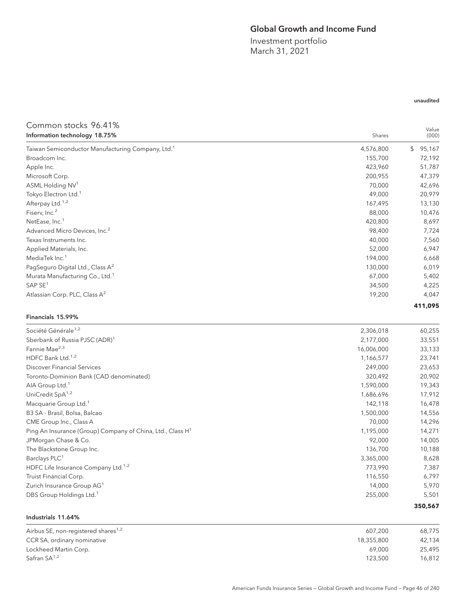## Global Growth and Income Fund

Investment portfolio March 31, 2021

| Common stocks 96.41%                                                   |            |                |
|------------------------------------------------------------------------|------------|----------------|
| Information technology 18.75%                                          | Shares     | Value<br>(000) |
| Taiwan Semiconductor Manufacturing Company, Ltd. <sup>1</sup>          | 4,576,800  | 95,167<br>\$   |
| Broadcom Inc.                                                          | 155,700    | 72,192         |
| Apple Inc.                                                             | 423,960    | 51,787         |
| Microsoft Corp.                                                        | 200,955    | 47,379         |
| ASML Holding NV <sup>1</sup>                                           | 70,000     | 42,696         |
| Tokyo Electron Ltd. <sup>1</sup>                                       | 49,000     | 20,979         |
| Afterpay Ltd. <sup>1,2</sup>                                           | 167,495    | 13,130         |
| Fiserv, Inc. <sup>2</sup>                                              | 88,000     | 10,476         |
| NetEase, Inc. <sup>1</sup>                                             | 420,800    | 8,697          |
| Advanced Micro Devices, Inc. <sup>2</sup>                              | 98,400     | 7,724          |
| Texas Instruments Inc.                                                 | 40,000     | 7,560          |
| Applied Materials, Inc.                                                | 52,000     | 6,947          |
| MediaTek Inc. <sup>1</sup>                                             | 194,000    | 6,668          |
| PagSeguro Digital Ltd., Class A <sup>2</sup>                           | 130,000    | 6,019          |
| Murata Manufacturing Co., Ltd. <sup>1</sup>                            | 67,000     | 5,402          |
| SAP SE <sup>1</sup>                                                    | 34,500     | 4,225          |
| Atlassian Corp. PLC, Class A <sup>2</sup>                              | 19,200     | 4,047          |
|                                                                        |            | 411,095        |
| Financials 15.99%                                                      |            |                |
| Société Générale <sup>1,2</sup>                                        | 2,306,018  | 60,255         |
| Sberbank of Russia PJSC (ADR) <sup>1</sup>                             | 2,177,000  | 33,551         |
| Fannie Mae <sup>2,3</sup>                                              | 16,006,000 | 33,133         |
| HDFC Bank Ltd. <sup>1,2</sup>                                          | 1,166,577  | 23,741         |
| <b>Discover Financial Services</b>                                     | 249,000    | 23,653         |
| Toronto-Dominion Bank (CAD denominated)                                | 320,492    | 20,902         |
| AIA Group Ltd. <sup>1</sup>                                            | 1,590,000  | 19,343         |
| UniCredit SpA <sup>1,2</sup>                                           | 1,686,696  | 17,912         |
| Macquarie Group Ltd. <sup>1</sup>                                      | 142,118    | 16,478         |
| B3 SA - Brasil, Bolsa, Balcao                                          | 1,500,000  | 14,556         |
| CME Group Inc., Class A                                                | 70,000     | 14,296         |
| Ping An Insurance (Group) Company of China, Ltd., Class H <sup>1</sup> | 1,195,000  | 14,271         |
| JPMorgan Chase & Co.                                                   | 92,000     | 14,005         |
| The Blackstone Group Inc.                                              | 136,700    | 10,188         |
| Barclays PLC <sup>1</sup>                                              | 3,365,000  | 8,628          |
| HDFC Life Insurance Company Ltd. <sup>1,2</sup>                        | 773,990    | 7,387          |
| Truist Financial Corp.                                                 | 116,550    | 6,797          |
| Zurich Insurance Group AG1                                             | 14,000     | 5,970          |
| DBS Group Holdings Ltd. <sup>1</sup>                                   | 255,000    | 5,501          |
|                                                                        |            | 350,567        |
| Industrials 11.64%                                                     |            |                |

| Airbus SE, non-registered shares <sup>1,2</sup> | 607.200    | 68,775 |
|-------------------------------------------------|------------|--------|
| CCR SA, ordinary nominative                     | 18,355,800 | 42.134 |
| Lockheed Martin Corp.                           | 69.000     | 25,495 |
| Safran SA <sup>1,2</sup>                        | 123,500    | 16,812 |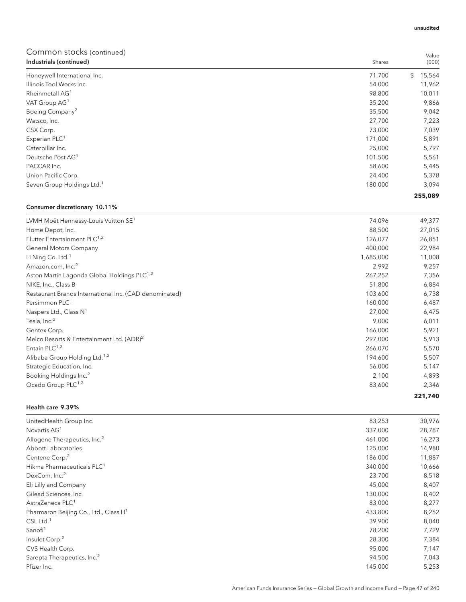| Industrials (continued)                | Shares  | (000)        |
|----------------------------------------|---------|--------------|
| Honeywell International Inc.           | 71,700  | \$<br>15,564 |
| Illinois Tool Works Inc.               | 54,000  | 11,962       |
| Rheinmetall AG <sup>1</sup>            | 98,800  | 10,011       |
| VAT Group AG <sup>1</sup>              | 35,200  | 9,866        |
| Boeing Company <sup>2</sup>            | 35,500  | 9,042        |
| Watsco, Inc.                           | 27,700  | 7,223        |
| CSX Corp.                              | 73,000  | 7,039        |
| Experian PLC <sup>1</sup>              | 171,000 | 5,891        |
| Caterpillar Inc.                       | 25,000  | 5,797        |
| Deutsche Post AG <sup>1</sup>          | 101,500 | 5,561        |
| PACCAR Inc.                            | 58,600  | 5,445        |
| Union Pacific Corp.                    | 24,400  | 5,378        |
| Seven Group Holdings Ltd. <sup>1</sup> | 180,000 | 3,094        |
|                                        |         | 255,089      |

### Consumer discretionary 10.11%

| LVMH Moët Hennessy-Louis Vuitton SE <sup>1</sup>        | 74,096    | 49,377 |
|---------------------------------------------------------|-----------|--------|
| Home Depot, Inc.                                        | 88,500    | 27,015 |
| Flutter Entertainment PLC <sup>1,2</sup>                | 126,077   | 26,851 |
| <b>General Motors Company</b>                           | 400,000   | 22,984 |
| Li Ning Co. Ltd. <sup>1</sup>                           | 1,685,000 | 11,008 |
| Amazon.com, Inc. <sup>2</sup>                           | 2,992     | 9,257  |
| Aston Martin Lagonda Global Holdings PLC <sup>1,2</sup> | 267,252   | 7,356  |
| NIKE, Inc., Class B                                     | 51,800    | 6,884  |
| Restaurant Brands International Inc. (CAD denominated)  | 103,600   | 6,738  |
| Persimmon PLC <sup>1</sup>                              | 160,000   | 6,487  |
| Naspers Ltd., Class $N^1$                               | 27,000    | 6,475  |
| Tesla, Inc. <sup>2</sup>                                | 9,000     | 6,011  |
| Gentex Corp.                                            | 166,000   | 5,921  |
| Melco Resorts & Entertainment Ltd. (ADR) <sup>2</sup>   | 297,000   | 5,913  |
| Entain $PLC^{1,2}$                                      | 266,070   | 5,570  |
| Alibaba Group Holding Ltd. <sup>1,2</sup>               | 194,600   | 5,507  |
| Strategic Education, Inc.                               | 56,000    | 5,147  |
| Booking Holdings Inc. <sup>2</sup>                      | 2,100     | 4,893  |
| Ocado Group PLC <sup>1,2</sup>                          | 83,600    | 2,346  |

#### Health care 9.39%

| UnitedHealth Group Inc.                           | 83,253  | 30,976 |
|---------------------------------------------------|---------|--------|
| Novartis AG <sup>1</sup>                          | 337,000 | 28,787 |
| Allogene Therapeutics, Inc. <sup>2</sup>          | 461,000 | 16,273 |
| Abbott Laboratories                               | 125,000 | 14,980 |
| Centene Corp. <sup>2</sup>                        | 186,000 | 11,887 |
| Hikma Pharmaceuticals PLC <sup>1</sup>            | 340,000 | 10,666 |
| DexCom, Inc. <sup>2</sup>                         | 23,700  | 8,518  |
| Eli Lilly and Company                             | 45,000  | 8,407  |
| Gilead Sciences, Inc.                             | 130,000 | 8,402  |
| AstraZeneca PLC <sup>1</sup>                      | 83,000  | 8,277  |
| Pharmaron Beijing Co., Ltd., Class H <sup>1</sup> | 433,800 | 8,252  |
| $CSL$ Ltd. <sup>1</sup>                           | 39,900  | 8,040  |
| Sanofi <sup>1</sup>                               | 78,200  | 7,729  |
| Insulet Corp. <sup>2</sup>                        | 28,300  | 7,384  |
| CVS Health Corp.                                  | 95,000  | 7,147  |
| Sarepta Therapeutics, Inc. <sup>2</sup>           | 94,500  | 7,043  |
| Pfizer Inc.                                       | 145,000 | 5,253  |

Value

**221,740**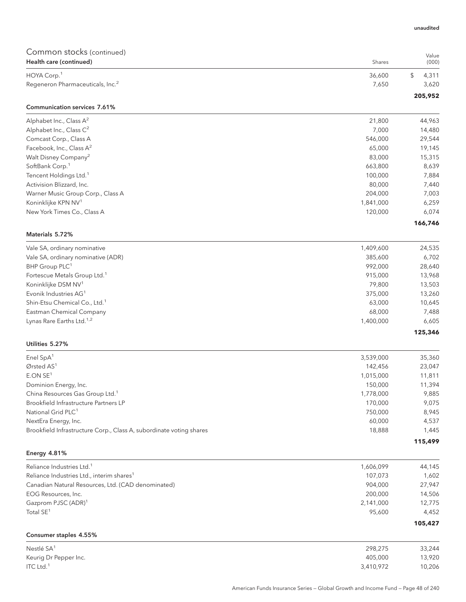| Common stocks (continued)<br>Health care (continued)                | Shares    | Value<br>(000)   |
|---------------------------------------------------------------------|-----------|------------------|
| HOYA Corp. <sup>1</sup>                                             | 36,600    | \$<br>4,311      |
| Regeneron Pharmaceuticals, Inc. <sup>2</sup>                        | 7,650     | 3,620            |
|                                                                     |           | 205,952          |
| <b>Communication services 7.61%</b>                                 |           |                  |
| Alphabet Inc., Class A <sup>2</sup>                                 | 21,800    | 44,963           |
| Alphabet Inc., Class C <sup>2</sup>                                 | 7,000     | 14,480           |
| Comcast Corp., Class A                                              | 546,000   | 29,544           |
| Facebook, Inc., Class A <sup>2</sup>                                | 65,000    | 19,145           |
| Walt Disney Company <sup>2</sup>                                    | 83,000    | 15,315           |
| SoftBank Corp. <sup>1</sup>                                         | 663,800   | 8,639            |
| Tencent Holdings Ltd. <sup>1</sup>                                  | 100,000   | 7,884            |
| Activision Blizzard, Inc.                                           | 80,000    | 7,440            |
| Warner Music Group Corp., Class A                                   | 204,000   | 7,003            |
| Koninklijke KPN NV <sup>1</sup>                                     | 1,841,000 | 6,259            |
| New York Times Co., Class A                                         | 120,000   | 6,074            |
|                                                                     |           | 166,746          |
| Materials 5.72%                                                     |           |                  |
| Vale SA, ordinary nominative                                        | 1,409,600 | 24,535           |
| Vale SA, ordinary nominative (ADR)                                  | 385,600   | 6,702            |
| BHP Group PLC <sup>1</sup>                                          | 992,000   | 28,640           |
| Fortescue Metals Group Ltd. <sup>1</sup>                            | 915,000   | 13,968           |
| Koninklijke DSM NV <sup>1</sup>                                     | 79,800    | 13,503           |
| Evonik Industries AG <sup>1</sup>                                   | 375,000   | 13,260           |
| Shin-Etsu Chemical Co., Ltd. <sup>1</sup>                           | 63,000    | 10,645           |
| Eastman Chemical Company                                            | 68,000    | 7,488            |
| Lynas Rare Earths Ltd. <sup>1,2</sup>                               | 1,400,000 | 6,605            |
| Utilities 5.27%                                                     |           | 125,346          |
|                                                                     |           |                  |
| Enel SpA <sup>1</sup>                                               | 3,539,000 | 35,360           |
| Ørsted $AS1$                                                        | 142,456   | 23,047           |
| E.ONSE <sup>1</sup>                                                 | 1,015,000 | 11,811           |
| Dominion Energy, Inc.                                               | 150,000   | 11,394           |
| China Resources Gas Group Ltd. <sup>1</sup>                         | 1,778,000 | 9,885            |
| Brookfield Infrastructure Partners LP                               | 170,000   | 9,075            |
| National Grid PLC <sup>1</sup>                                      | 750,000   | 8,945            |
| NextEra Energy, Inc.                                                | 60,000    | 4,537            |
| Brookfield Infrastructure Corp., Class A, subordinate voting shares | 18,888    | 1,445            |
| Energy 4.81%                                                        |           | 115,499          |
| Reliance Industries Ltd. <sup>1</sup>                               | 1,606,099 | 44,145           |
| Reliance Industries Ltd., interim shares <sup>1</sup>               | 107,073   | 1,602            |
| Canadian Natural Resources, Ltd. (CAD denominated)                  | 904,000   | 27,947           |
| EOG Resources, Inc.                                                 | 200,000   | 14,506           |
| Gazprom PJSC (ADR) <sup>1</sup>                                     | 2,141,000 | 12,775           |
| Total SE <sup>1</sup>                                               |           |                  |
|                                                                     | 95,600    | 4,452<br>105,427 |
| Consumer staples 4.55%                                              |           |                  |
| Nestlé SA <sup>1</sup>                                              | 298,275   | 33,244           |
| Keurig Dr Pepper Inc.                                               | 405,000   | 13,920           |
| ITC Ltd. $1$                                                        | 3,410,972 | 10,206           |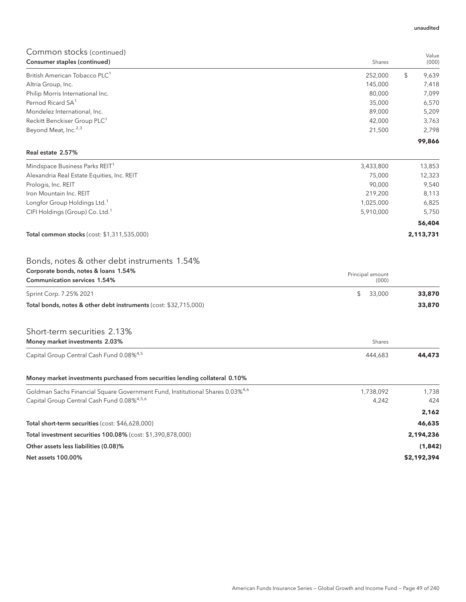| Common stocks (continued)                                                                 |                  | Value       |
|-------------------------------------------------------------------------------------------|------------------|-------------|
| Consumer staples (continued)                                                              | Shares           | (000)       |
| British American Tobacco PLC <sup>1</sup>                                                 | 252,000          | \$<br>9,639 |
| Altria Group, Inc.                                                                        | 145,000          | 7,418       |
| Philip Morris International Inc.                                                          | 80,000           | 7,099       |
| Pernod Ricard SA <sup>1</sup>                                                             | 35,000           | 6,570       |
| Mondelez International, Inc.                                                              | 89,000           | 5,209       |
| Reckitt Benckiser Group PLC <sup>1</sup>                                                  | 42,000           | 3,763       |
| Beyond Meat, Inc. <sup>2,3</sup>                                                          | 21,500           | 2,798       |
| Real estate 2.57%                                                                         |                  | 99,866      |
|                                                                                           |                  |             |
| Mindspace Business Parks REIT <sup>1</sup>                                                | 3,433,800        | 13,853      |
| Alexandria Real Estate Equities, Inc. REIT                                                | 75,000           | 12,323      |
| Prologis, Inc. REIT                                                                       | 90,000           | 9,540       |
| Iron Mountain Inc. REIT                                                                   | 219,200          | 8,113       |
| Longfor Group Holdings Ltd. <sup>1</sup><br>CIFI Holdings (Group) Co. Ltd. <sup>1</sup>   | 1,025,000        | 6,825       |
|                                                                                           | 5,910,000        | 5,750       |
|                                                                                           |                  | 56,404      |
| Total common stocks (cost: \$1,311,535,000)                                               |                  | 2,113,731   |
| Bonds, notes & other debt instruments 1.54%                                               |                  |             |
| Corporate bonds, notes & loans 1.54%                                                      | Principal amount |             |
| <b>Communication services 1.54%</b>                                                       | (000)            |             |
| Sprint Corp. 7.25% 2021                                                                   | \$<br>33,000     | 33,870      |
| Total bonds, notes & other debt instruments (cost: \$32,715,000)                          |                  | 33,870      |
| Short-term securities 2.13%                                                               |                  |             |
| Money market investments 2.03%                                                            | Shares           |             |
| Capital Group Central Cash Fund 0.08% <sup>4,5</sup>                                      | 444,683          | 44,473      |
| Money market investments purchased from securities lending collateral 0.10%               |                  |             |
| Goldman Sachs Financial Square Government Fund, Institutional Shares 0.03% <sup>4,6</sup> | 1,738,092        | 1,738       |
| Capital Group Central Cash Fund 0.08%4,5,6                                                | 4,242            | 424         |
|                                                                                           |                  | 2,162       |
| Total short-term securities (cost: \$46,628,000)                                          |                  | 46,635      |
| Total investment securities 100.08% (cost: \$1,390,878,000)                               |                  | 2,194,236   |
| Other assets less liabilities (0.08)%                                                     |                  | (1,842)     |
| Net assets 100.00%                                                                        |                  | \$2,192,394 |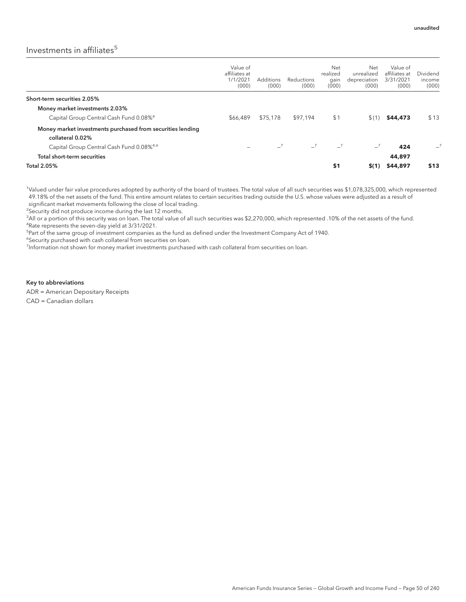## Investments in affiliates $5$

|                                                                                | Value of<br>affiliates at<br>1/1/2021<br>(000) | <b>Additions</b><br>(000) | <b>Reductions</b><br>(000) | Net<br>realized<br>gain<br>(000) | Net<br>unrealized<br>depreciation<br>(000) | Value of<br>affiliates at<br>3/31/2021<br>(000) | Dividend<br>income<br>(000) |
|--------------------------------------------------------------------------------|------------------------------------------------|---------------------------|----------------------------|----------------------------------|--------------------------------------------|-------------------------------------------------|-----------------------------|
| Short-term securities 2.05%                                                    |                                                |                           |                            |                                  |                                            |                                                 |                             |
| Money market investments 2.03%                                                 |                                                |                           |                            |                                  |                                            |                                                 |                             |
| Capital Group Central Cash Fund 0.08% <sup>4</sup>                             | \$66,489                                       | \$75,178                  | \$97.194                   | \$1                              | \$(1)                                      | \$44,473                                        | \$13                        |
| Money market investments purchased from securities lending<br>collateral 0.02% |                                                |                           |                            |                                  |                                            |                                                 |                             |
| Capital Group Central Cash Fund 0.08% <sup>4,6</sup>                           |                                                | $-7$                      | $-7$                       | $-7$                             | $-7$                                       | 424                                             | $-7$                        |
| Total short-term securities                                                    |                                                |                           |                            |                                  |                                            | 44,897                                          |                             |
| <b>Total 2.05%</b>                                                             |                                                |                           |                            | \$1                              | \$(1)                                      | \$44,897                                        | \$13                        |

1 Valued under fair value procedures adopted by authority of the board of trustees. The total value of all such securities was \$1,078,325,000, which represented 49.18% of the net assets of the fund. This entire amount relates to certain securities trading outside the U.S. whose values were adjusted as a result of significant market movements following the close of local trading.

<sup>2</sup>Security did not produce income during the last 12 months.

 $^3$ All or a portion of this security was on loan. The total value of all such securities was \$2,270,000, which represented .10% of the net assets of the fund. 4 Rate represents the seven-day yield at 3/31/2021.

<sup>5</sup>Part of the same group of investment companies as the fund as defined under the Investment Company Act of 1940.

6 Security purchased with cash collateral from securities on loan.

<sup>7</sup>Information not shown for money market investments purchased with cash collateral from securities on loan.

#### Key to abbreviations

ADR = American Depositary Receipts CAD = Canadian dollars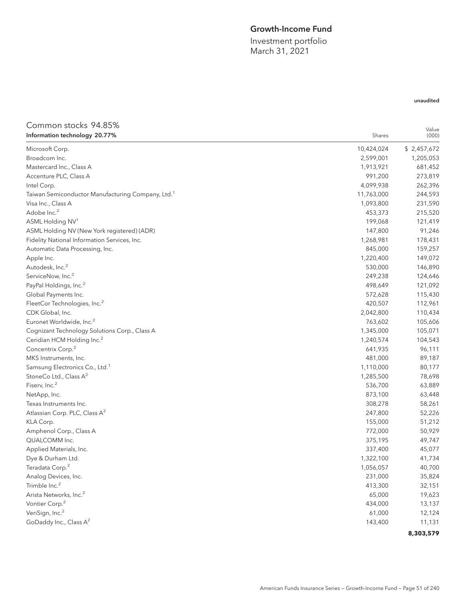## Growth-Income Fund

Investment portfolio March 31, 2021

| Common stocks 94.85%                                          |            |                |
|---------------------------------------------------------------|------------|----------------|
| Information technology 20.77%                                 | Shares     | Value<br>(000) |
| Microsoft Corp.                                               | 10,424,024 | \$2,457,672    |
| Broadcom Inc.                                                 | 2,599,001  | 1,205,053      |
| Mastercard Inc., Class A                                      | 1,913,921  | 681,452        |
| Accenture PLC, Class A                                        | 991,200    | 273,819        |
| Intel Corp.                                                   | 4,099,938  | 262,396        |
| Taiwan Semiconductor Manufacturing Company, Ltd. <sup>1</sup> | 11,763,000 | 244,593        |
| Visa Inc., Class A                                            | 1,093,800  | 231,590        |
| Adobe Inc. <sup>2</sup>                                       | 453,373    | 215,520        |
| ASML Holding NV1                                              | 199,068    | 121,419        |
| ASML Holding NV (New York registered) (ADR)                   | 147,800    | 91,246         |
| Fidelity National Information Services, Inc.                  | 1,268,981  | 178,431        |
| Automatic Data Processing, Inc.                               | 845,000    | 159,257        |
| Apple Inc.                                                    | 1,220,400  | 149,072        |
| Autodesk, Inc. <sup>2</sup>                                   | 530,000    | 146,890        |
| ServiceNow, Inc. <sup>2</sup>                                 | 249,238    |                |
| PayPal Holdings, Inc. <sup>2</sup>                            | 498,649    | 124,646        |
| Global Payments Inc.                                          | 572,628    | 121,092        |
|                                                               |            | 115,430        |
| FleetCor Technologies, Inc. <sup>2</sup>                      | 420,507    | 112,961        |
| CDK Global, Inc.                                              | 2,042,800  | 110,434        |
| Euronet Worldwide, Inc. <sup>2</sup>                          | 763,602    | 105,606        |
| Cognizant Technology Solutions Corp., Class A                 | 1,345,000  | 105,071        |
| Ceridian HCM Holding Inc. <sup>2</sup>                        | 1,240,574  | 104,543        |
| Concentrix Corp. <sup>2</sup>                                 | 641,935    | 96,111         |
| MKS Instruments, Inc.                                         | 481,000    | 89,187         |
| Samsung Electronics Co., Ltd. <sup>1</sup>                    | 1,110,000  | 80,177         |
| StoneCo Ltd., Class A <sup>2</sup>                            | 1,285,500  | 78,698         |
| Fiserv, Inc. <sup>2</sup>                                     | 536,700    | 63,889         |
| NetApp, Inc.                                                  | 873,100    | 63,448         |
| Texas Instruments Inc.                                        | 308,278    | 58,261         |
| Atlassian Corp. PLC, Class A <sup>2</sup>                     | 247,800    | 52,226         |
| KLA Corp.                                                     | 155,000    | 51,212         |
| Amphenol Corp., Class A                                       | 772,000    | 50,929         |
| QUALCOMM Inc.                                                 | 375,195    | 49,747         |
| Applied Materials, Inc.                                       | 337,400    | 45,077         |
| Dye & Durham Ltd.                                             | 1,322,100  | 41,734         |
| Teradata Corp. <sup>2</sup>                                   | 1,056,057  | 40,700         |
| Analog Devices, Inc.                                          | 231,000    | 35,824         |
| Trimble Inc. <sup>2</sup>                                     | 413,300    | 32,151         |
| Arista Networks, Inc. <sup>2</sup>                            | 65,000     | 19,623         |
| Vontier Corp. <sup>2</sup>                                    | 434,000    | 13,137         |
| VeriSign, Inc. <sup>2</sup>                                   | 61,000     | 12,124         |
| GoDaddy Inc., Class A <sup>2</sup>                            | 143,400    | 11,131         |
|                                                               |            | 8,303,579      |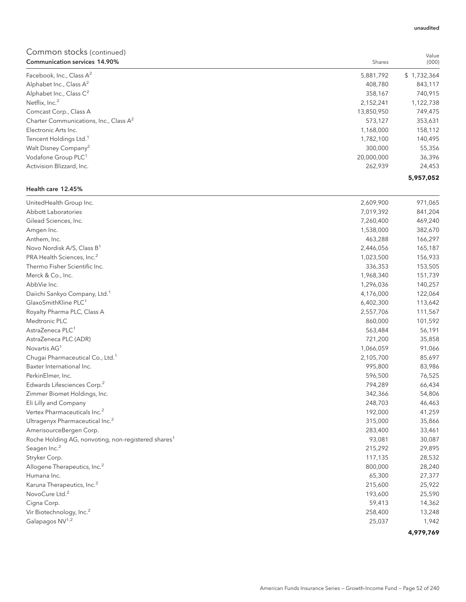| <b>Communication services 14.90%</b>               | Shares     | (000)       |
|----------------------------------------------------|------------|-------------|
| Facebook, Inc., Class A <sup>2</sup>               | 5,881,792  | \$1,732,364 |
| Alphabet Inc., Class $A^2$                         | 408,780    | 843,117     |
| Alphabet Inc., Class $C^2$                         | 358,167    | 740,915     |
| Netflix, Inc. <sup>2</sup>                         | 2,152,241  | 1,122,738   |
| Comcast Corp., Class A                             | 13,850,950 | 749,475     |
| Charter Communications, Inc., Class A <sup>2</sup> | 573,127    | 353,631     |
| Electronic Arts Inc.                               | 1,168,000  | 158,112     |
| Tencent Holdings Ltd. <sup>1</sup>                 | 1,782,100  | 140,495     |
| Walt Disney Company <sup>2</sup>                   | 300,000    | 55,356      |
| Vodafone Group PLC <sup>1</sup>                    | 20,000,000 | 36,396      |
| Activision Blizzard, Inc.                          | 262,939    | 24,453      |
|                                                    |            | 5,957,052   |

#### Health care 12.45%

| UnitedHealth Group Inc.                                         | 2,609,900 | 971,065   |
|-----------------------------------------------------------------|-----------|-----------|
| Abbott Laboratories                                             | 7,019,392 | 841,204   |
| Gilead Sciences, Inc.                                           | 7,260,400 | 469,240   |
| Amgen Inc.                                                      | 1,538,000 | 382,670   |
| Anthem, Inc.                                                    | 463,288   | 166,297   |
| Novo Nordisk A/S, Class B <sup>1</sup>                          | 2,446,056 | 165,187   |
| PRA Health Sciences, Inc. <sup>2</sup>                          | 1,023,500 | 156,933   |
| Thermo Fisher Scientific Inc.                                   | 336,353   | 153,505   |
| Merck & Co., Inc.                                               | 1,968,340 | 151,739   |
| AbbVie Inc.                                                     | 1,296,036 | 140,257   |
| Daiichi Sankyo Company, Ltd. <sup>1</sup>                       | 4,176,000 | 122,064   |
| GlaxoSmithKline PLC <sup>1</sup>                                | 6,402,300 | 113,642   |
| Royalty Pharma PLC, Class A                                     | 2,557,706 | 111,567   |
| Medtronic PLC                                                   | 860,000   | 101,592   |
| AstraZeneca PLC <sup>1</sup>                                    | 563,484   | 56,191    |
| AstraZeneca PLC (ADR)                                           | 721,200   | 35,858    |
| Novartis AG <sup>1</sup>                                        | 1,066,059 | 91,066    |
| Chugai Pharmaceutical Co., Ltd. <sup>1</sup>                    | 2,105,700 | 85,697    |
| Baxter International Inc.                                       | 995,800   | 83,986    |
| PerkinElmer, Inc.                                               | 596,500   | 76,525    |
| Edwards Lifesciences Corp. <sup>2</sup>                         | 794,289   | 66,434    |
| Zimmer Biomet Holdings, Inc.                                    | 342,366   | 54,806    |
| Eli Lilly and Company                                           | 248,703   | 46,463    |
| Vertex Pharmaceuticals Inc. <sup>2</sup>                        | 192,000   | 41,259    |
| Ultragenyx Pharmaceutical Inc. <sup>2</sup>                     | 315,000   | 35,866    |
| AmerisourceBergen Corp.                                         | 283,400   | 33,461    |
| Roche Holding AG, nonvoting, non-registered shares <sup>1</sup> | 93,081    | 30,087    |
| Seagen Inc. <sup>2</sup>                                        | 215,292   | 29,895    |
| Stryker Corp.                                                   | 117,135   | 28,532    |
| Allogene Therapeutics, Inc. <sup>2</sup>                        | 800,000   | 28,240    |
| Humana Inc.                                                     | 65,300    | 27,377    |
| Karuna Therapeutics, Inc. <sup>2</sup>                          | 215,600   | 25,922    |
| NovoCure Ltd. <sup>2</sup>                                      | 193,600   | 25,590    |
| Cigna Corp.                                                     | 59,413    | 14,362    |
| Vir Biotechnology, Inc. <sup>2</sup>                            | 258,400   | 13,248    |
| Galapagos NV <sup>1,2</sup>                                     | 25,037    | 1,942     |
|                                                                 |           | 4,979,769 |

Value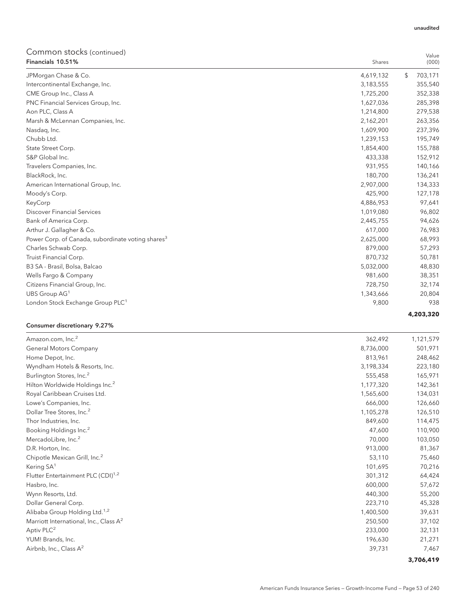#### unaudited

Value

# Common stocks (continued)

| Financials 10.51%                                             | Shares    | (000)         |
|---------------------------------------------------------------|-----------|---------------|
| JPMorgan Chase & Co.                                          | 4,619,132 | 703,171<br>\$ |
| Intercontinental Exchange, Inc.                               | 3,183,555 | 355,540       |
| CME Group Inc., Class A                                       | 1,725,200 | 352,338       |
| PNC Financial Services Group, Inc.                            | 1,627,036 | 285,398       |
| Aon PLC, Class A                                              | 1,214,800 | 279,538       |
| Marsh & McLennan Companies, Inc.                              | 2,162,201 | 263,356       |
| Nasdag, Inc.                                                  | 1,609,900 | 237,396       |
| Chubb Ltd.                                                    | 1,239,153 | 195,749       |
| State Street Corp.                                            | 1,854,400 | 155,788       |
| S&P Global Inc.                                               | 433,338   | 152,912       |
| Travelers Companies, Inc.                                     | 931,955   | 140,166       |
| BlackRock, Inc.                                               | 180,700   | 136,241       |
| American International Group, Inc.                            | 2,907,000 | 134,333       |
| Moody's Corp.                                                 | 425,900   | 127,178       |
| KeyCorp                                                       | 4,886,953 | 97,641        |
| <b>Discover Financial Services</b>                            | 1,019,080 | 96,802        |
| Bank of America Corp.                                         | 2,445,755 | 94,626        |
| Arthur J. Gallagher & Co.                                     | 617,000   | 76,983        |
| Power Corp. of Canada, subordinate voting shares <sup>3</sup> | 2,625,000 | 68,993        |
| Charles Schwab Corp.                                          | 879,000   | 57,293        |
| Truist Financial Corp.                                        | 870,732   | 50,781        |
| B3 SA - Brasil, Bolsa, Balcao                                 | 5,032,000 | 48,830        |
| Wells Fargo & Company                                         | 981,600   | 38,351        |
| Citizens Financial Group, Inc.                                | 728,750   | 32,174        |
| UBS Group AG <sup>1</sup>                                     | 1,343,666 | 20,804        |
| London Stock Exchange Group PLC <sup>1</sup>                  | 9,800     | 938           |
|                                                               |           | 4,203,320     |

### Consumer discretionary 9.27%

| Amazon.com, Inc. <sup>2</sup>                      | 362,492   | 1,121,579 |
|----------------------------------------------------|-----------|-----------|
| <b>General Motors Company</b>                      | 8,736,000 | 501,971   |
| Home Depot, Inc.                                   | 813,961   | 248,462   |
| Wyndham Hotels & Resorts, Inc.                     | 3,198,334 | 223,180   |
| Burlington Stores, Inc. <sup>2</sup>               | 555,458   | 165,971   |
| Hilton Worldwide Holdings Inc. <sup>2</sup>        | 1,177,320 | 142,361   |
| Royal Caribbean Cruises Ltd.                       | 1,565,600 | 134,031   |
| Lowe's Companies, Inc.                             | 666,000   | 126,660   |
| Dollar Tree Stores, Inc. <sup>2</sup>              | 1,105,278 | 126,510   |
| Thor Industries, Inc.                              | 849,600   | 114,475   |
| Booking Holdings Inc. <sup>2</sup>                 | 47,600    | 110,900   |
| MercadoLibre, Inc. <sup>2</sup>                    | 70,000    | 103,050   |
| D.R. Horton, Inc.                                  | 913,000   | 81,367    |
| Chipotle Mexican Grill, Inc. <sup>2</sup>          | 53,110    | 75,460    |
| Kering SA <sup>1</sup>                             | 101,695   | 70,216    |
| Flutter Entertainment PLC (CDI) <sup>1,2</sup>     | 301,312   | 64,424    |
| Hasbro, Inc.                                       | 600,000   | 57,672    |
| Wynn Resorts, Ltd.                                 | 440,300   | 55,200    |
| Dollar General Corp.                               | 223,710   | 45,328    |
| Alibaba Group Holding Ltd. <sup>1,2</sup>          | 1,400,500 | 39,631    |
| Marriott International, Inc., Class A <sup>2</sup> | 250,500   | 37,102    |
| Aptiv PLC <sup>2</sup>                             | 233,000   | 32,131    |
| YUM! Brands, Inc.                                  | 196,630   | 21,271    |
| Airbnb, Inc., Class A <sup>2</sup>                 | 39,731    | 7,467     |
|                                                    |           |           |

#### **3,706,419**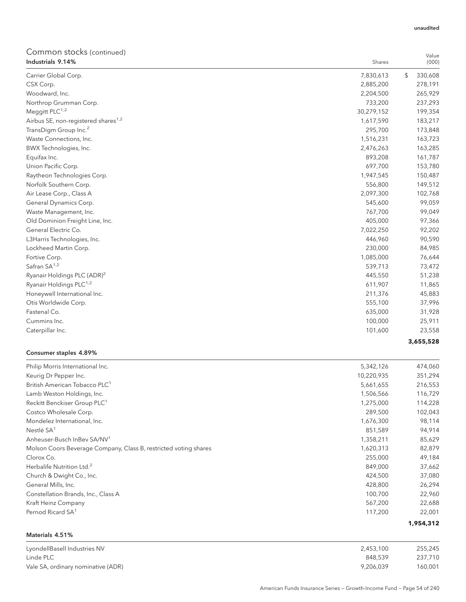| COMMITMON SLOCKS (CONTINUED)<br>Industrials 9.14% | Shares     | Value<br>(000) |
|---------------------------------------------------|------------|----------------|
| Carrier Global Corp.                              | 7,830,613  | \$<br>330,608  |
| CSX Corp.                                         | 2,885,200  | 278,191        |
| Woodward, Inc.                                    | 2,204,500  | 265,929        |
| Northrop Grumman Corp.                            | 733,200    | 237,293        |
| Meggitt PLC <sup>1,2</sup>                        | 30,279,152 | 199,354        |
| Airbus SE, non-registered shares <sup>1,2</sup>   | 1,617,590  | 183,217        |
| TransDigm Group Inc. <sup>2</sup>                 | 295,700    | 173,848        |
| Waste Connections, Inc.                           | 1,516,231  | 163,723        |
| BWX Technologies, Inc.                            | 2,476,263  | 163,285        |
| Equifax Inc.                                      | 893,208    | 161,787        |
| Union Pacific Corp.                               | 697,700    | 153,780        |
| Raytheon Technologies Corp.                       | 1,947,545  | 150,487        |
| Norfolk Southern Corp.                            | 556,800    | 149,512        |
| Air Lease Corp., Class A                          | 2,097,300  | 102,768        |
| General Dynamics Corp.                            | 545,600    | 99,059         |
| Waste Management, Inc.                            | 767,700    | 99,049         |
| Old Dominion Freight Line, Inc.                   | 405,000    | 97,366         |
| General Electric Co.                              | 7,022,250  | 92,202         |
| L3Harris Technologies, Inc.                       | 446,960    | 90,590         |
| Lockheed Martin Corp.                             | 230,000    | 84,985         |
| Fortive Corp.                                     | 1,085,000  | 76,644         |
| Safran SA <sup>1,2</sup>                          | 539,713    | 73,472         |
| Ryanair Holdings PLC (ADR) <sup>2</sup>           | 445,550    | 51,238         |
| Ryanair Holdings PLC <sup>1,2</sup>               | 611,907    | 11,865         |
| Honeywell International Inc.                      | 211,376    | 45,883         |
| Otis Worldwide Corp.                              | 555,100    | 37,996         |
| Fastenal Co.                                      | 635,000    | 31,928         |
| Cummins Inc.                                      | 100,000    | 25,911         |
| Caterpillar Inc.                                  | 101,600    | 23,558         |
|                                                   |            | 3,655,528      |

### Consumer staples 4.89%

| Philip Morris International Inc.                                 | 5,342,126  | 474,060   |
|------------------------------------------------------------------|------------|-----------|
| Keurig Dr Pepper Inc.                                            | 10,220,935 | 351,294   |
| British American Tobacco PLC <sup>1</sup>                        | 5,661,655  | 216,553   |
| Lamb Weston Holdings, Inc.                                       | 1,506,566  | 116,729   |
| Reckitt Benckiser Group PLC <sup>1</sup>                         | 1,275,000  | 114,228   |
| Costco Wholesale Corp.                                           | 289,500    | 102,043   |
| Mondelez International, Inc.                                     | 1,676,300  | 98,114    |
| Nestlé SA <sup>1</sup>                                           | 851,589    | 94,914    |
| Anheuser-Busch InBey SA/NV <sup>1</sup>                          | 1,358,211  | 85,629    |
| Molson Coors Beverage Company, Class B, restricted voting shares | 1,620,313  | 82,879    |
| Clorox Co.                                                       | 255,000    | 49,184    |
| Herbalife Nutrition Ltd. <sup>2</sup>                            | 849,000    | 37,662    |
| Church & Dwight Co., Inc.                                        | 424,500    | 37,080    |
| General Mills, Inc.                                              | 428,800    | 26,294    |
| Constellation Brands, Inc., Class A                              | 100,700    | 22,960    |
| Kraft Heinz Company                                              | 567,200    | 22,688    |
| Pernod Ricard SA <sup>1</sup>                                    | 117,200    | 22,001    |
|                                                                  |            | 1,954,312 |

#### Materials 4.51%

| LyondellBasell Industries NV       | 2.453.100 | 255.245 |
|------------------------------------|-----------|---------|
| Linde PLC                          | 848.539   | 237.710 |
| Vale SA, ordinary nominative (ADR) | 9.206.039 | 160.001 |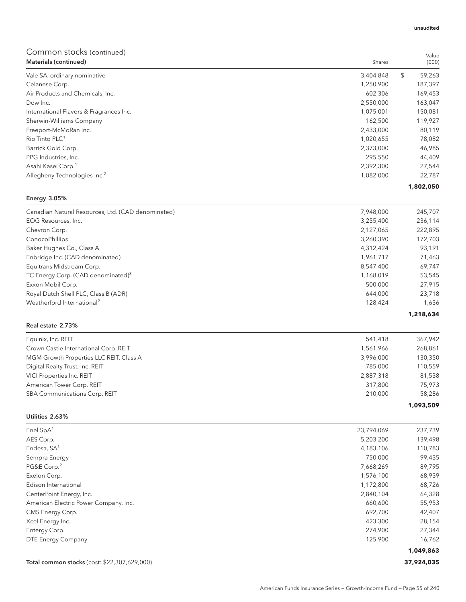| Materials (continued)                    | Shares    | (000)        |
|------------------------------------------|-----------|--------------|
| Vale SA, ordinary nominative             | 3,404,848 | \$<br>59,263 |
| Celanese Corp.                           | 1,250,900 | 187,397      |
| Air Products and Chemicals, Inc.         | 602,306   | 169,453      |
| Dow Inc.                                 | 2,550,000 | 163,047      |
| International Flavors & Fragrances Inc.  | 1,075,001 | 150,081      |
| Sherwin-Williams Company                 | 162,500   | 119,927      |
| Freeport-McMoRan Inc.                    | 2,433,000 | 80,119       |
| Rio Tinto PLC <sup>1</sup>               | 1,020,655 | 78,082       |
| Barrick Gold Corp.                       | 2,373,000 | 46,985       |
| PPG Industries, Inc.                     | 295,550   | 44,409       |
| Asahi Kasei Corp. <sup>1</sup>           | 2,392,300 | 27,544       |
| Allegheny Technologies Inc. <sup>2</sup> | 1,082,000 | 22,787       |
|                                          |           | 1,802,050    |

### Energy 3.05%

| ConocoPhillips                                               | 3,260,390              | 172,703          |
|--------------------------------------------------------------|------------------------|------------------|
| Baker Hughes Co., Class A                                    | 4,312,424              | 93,191           |
| Enbridge Inc. (CAD denominated)<br>Equitrans Midstream Corp. | 1.961.717<br>8,547,400 | 71,463<br>69,747 |
| TC Energy Corp. (CAD denominated) <sup>3</sup>               | 1,168,019              | 53,545           |
| Exxon Mobil Corp.                                            | 500.000                | 27.915           |
| Royal Dutch Shell PLC, Class B (ADR)                         | 644,000                | 23.718           |
| Weatherford International <sup>2</sup>                       | 128.424                | 1,636            |
|                                                              |                        | 1,218,634        |

#### Real estate 2.73%

| Equinix, Inc. REIT                      | 541.418   | 367,942   |
|-----------------------------------------|-----------|-----------|
| Crown Castle International Corp. REIT   | 1,561,966 | 268,861   |
| MGM Growth Properties LLC REIT, Class A | 3,996,000 | 130,350   |
| Digital Realty Trust, Inc. REIT         | 785,000   | 110.559   |
| <b>VICI Properties Inc. REIT</b>        | 2,887,318 | 81,538    |
| American Tower Corp. REIT               | 317,800   | 75,973    |
| <b>SBA Communications Corp. REIT</b>    | 210,000   | 58,286    |
|                                         |           | 1.093.509 |

#### Utilities 2.63%

| Enel $SpA1$                                  | 23,794,069 | 237,739    |
|----------------------------------------------|------------|------------|
| AES Corp.                                    | 5,203,200  | 139,498    |
| Endesa, SA <sup>1</sup>                      | 4,183,106  | 110,783    |
| Sempra Energy                                | 750,000    | 99,435     |
| PG&E Corp. <sup>2</sup>                      | 7,668,269  | 89,795     |
| Exelon Corp.                                 | 1,576,100  | 68,939     |
| Edison International                         | 1,172,800  | 68,726     |
| CenterPoint Energy, Inc.                     | 2,840,104  | 64,328     |
| American Electric Power Company, Inc.        | 660,600    | 55,953     |
| CMS Energy Corp.                             | 692,700    | 42,407     |
| Xcel Energy Inc.                             | 423,300    | 28,154     |
| Entergy Corp.                                | 274,900    | 27,344     |
| DTE Energy Company                           | 125,900    | 16,762     |
|                                              |            | 1,049,863  |
| Total common stocks (cost: \$22,307,629,000) |            | 37,924,035 |

Value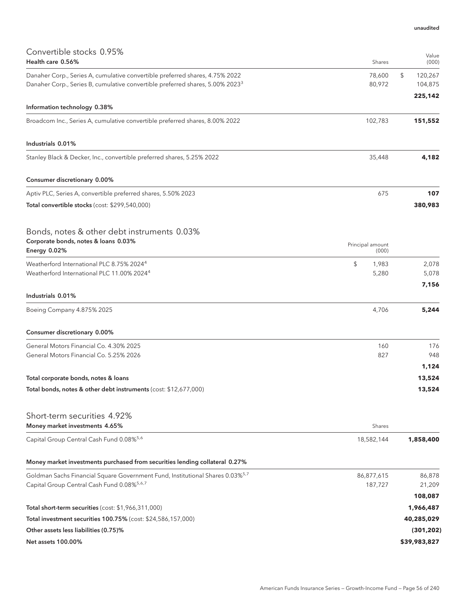| Convertible stocks 0.95%<br>Health care 0.56%                                             | Shares                    | Value<br>(000)            |
|-------------------------------------------------------------------------------------------|---------------------------|---------------------------|
| Danaher Corp., Series A, cumulative convertible preferred shares, 4.75% 2022              | 78,600                    | $\mathfrak{L}$<br>120,267 |
| Danaher Corp., Series B, cumulative convertible preferred shares, 5.00% 2023 <sup>3</sup> | 80,972                    | 104,875                   |
|                                                                                           |                           | 225,142                   |
| Information technology 0.38%                                                              |                           |                           |
| Broadcom Inc., Series A, cumulative convertible preferred shares, 8.00% 2022              | 102,783                   | 151,552                   |
| Industrials 0.01%                                                                         |                           |                           |
| Stanley Black & Decker, Inc., convertible preferred shares, 5.25% 2022                    | 35,448                    | 4,182                     |
| Consumer discretionary 0.00%                                                              |                           |                           |
| Aptiv PLC, Series A, convertible preferred shares, 5.50% 2023                             | 675                       | 107                       |
| Total convertible stocks (cost: \$299,540,000)                                            |                           | 380,983                   |
| Bonds, notes & other debt instruments 0.03%                                               |                           |                           |
| Corporate bonds, notes & loans 0.03%<br>Energy 0.02%                                      | Principal amount<br>(000) |                           |
| Weatherford International PLC 8.75% 2024 <sup>4</sup>                                     | \$<br>1,983               | 2,078                     |
| Weatherford International PLC 11.00% 2024 <sup>4</sup>                                    | 5,280                     | 5,078                     |
| Industrials 0.01%                                                                         |                           | 7,156                     |
| Boeing Company 4.875% 2025                                                                | 4,706                     | 5,244                     |
| Consumer discretionary 0.00%                                                              |                           |                           |
| General Motors Financial Co. 4.30% 2025                                                   | 160                       | 176                       |
| General Motors Financial Co. 5.25% 2026                                                   | 827                       | 948                       |
|                                                                                           |                           | 1,124                     |
| Total corporate bonds, notes & loans                                                      |                           | 13,524                    |
| Total bonds, notes & other debt instruments (cost: \$12,677,000)                          |                           | 13,524                    |
| Short-term securities 4.92%                                                               |                           |                           |
| Money market investments 4.65%                                                            | Shares                    |                           |
| Capital Group Central Cash Fund 0.08% <sup>5,6</sup>                                      | 18,582,144                | 1,858,400                 |
| Money market investments purchased from securities lending collateral 0.27%               |                           |                           |
| Goldman Sachs Financial Square Government Fund, Institutional Shares 0.03% <sup>5,7</sup> | 86,877,615                | 86,878                    |
| Capital Group Central Cash Fund 0.08% <sup>5,6,7</sup>                                    | 187,727                   | 21,209                    |
| Total short-term securities (cost: \$1,966,311,000)                                       |                           | 108,087<br>1,966,487      |
| Total investment securities 100.75% (cost: \$24,586,157,000)                              |                           | 40,285,029                |
| Other assets less liabilities (0.75)%                                                     |                           | (301, 202)                |
| Net assets 100.00%                                                                        |                           | \$39,983,827              |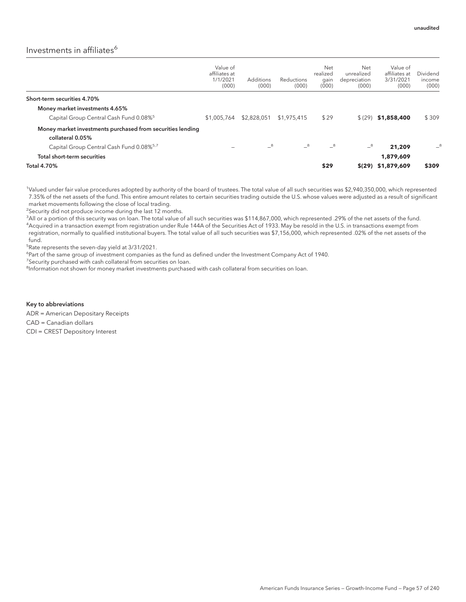## Investments in affiliates<sup>6</sup>

|                                                                                | Value of<br>affiliates at<br>1/1/2021<br>(000) | <b>Additions</b><br>(000) | Reductions<br>(000) | Net<br>realized<br>gain<br>(000) | <b>Net</b><br>unrealized<br>depreciation<br>(000) | Value of<br>affiliates at<br>3/31/2021<br>(000) | Dividend<br>income<br>(000) |
|--------------------------------------------------------------------------------|------------------------------------------------|---------------------------|---------------------|----------------------------------|---------------------------------------------------|-------------------------------------------------|-----------------------------|
| Short-term securities 4.70%                                                    |                                                |                           |                     |                                  |                                                   |                                                 |                             |
| Money market investments 4.65%                                                 |                                                |                           |                     |                                  |                                                   |                                                 |                             |
| Capital Group Central Cash Fund 0.08% <sup>5</sup>                             | \$1,005,764                                    | \$2,828,051               | \$1,975,415         | \$29                             | \$(29)                                            | \$1,858,400                                     | \$309                       |
| Money market investments purchased from securities lending<br>collateral 0.05% |                                                |                           |                     |                                  |                                                   |                                                 |                             |
| Capital Group Central Cash Fund 0.08% <sup>5,7</sup>                           |                                                | $-8$                      | $-8$                | $-8$                             | $-8$                                              | 21,209                                          | $-8$                        |
| Total short-term securities                                                    |                                                |                           |                     |                                  |                                                   | 1,879,609                                       |                             |
| <b>Total 4.70%</b>                                                             |                                                |                           |                     | \$29                             |                                                   | $$(29)$ \$1,879,609                             | \$309                       |

1 Valued under fair value procedures adopted by authority of the board of trustees. The total value of all such securities was \$2,940,350,000, which represented 7.35% of the net assets of the fund. This entire amount relates to certain securities trading outside the U.S. whose values were adjusted as a result of significant market movements following the close of local trading.

<sup>2</sup>Security did not produce income during the last 12 months.

 $^3$ All or a portion of this security was on loan. The total value of all such securities was \$114,867,000, which represented .29% of the net assets of the fund. 4 Acquired in a transaction exempt from registration under Rule 144A of the Securities Act of 1933. May be resold in the U.S. in transactions exempt from registration, normally to qualified institutional buyers. The total value of all such securities was \$7,156,000, which represented .02% of the net assets of the fund.

5 Rate represents the seven-day yield at 3/31/2021.

<sup>6</sup>Part of the same group of investment companies as the fund as defined under the Investment Company Act of 1940.

<sup>7</sup>Security purchased with cash collateral from securities on loan.

<sup>8</sup>Information not shown for money market investments purchased with cash collateral from securities on loan.

Key to abbreviations ADR = American Depositary Receipts CAD = Canadian dollars CDI = CREST Depository Interest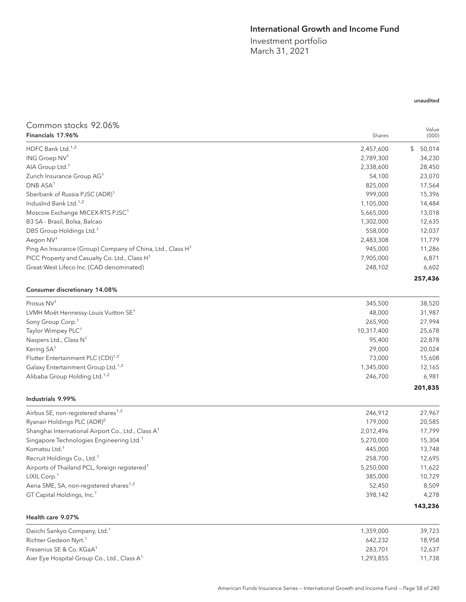## International Growth and Income Fund

Investment portfolio March 31, 2021

## Common stocks 92.06% **Financials 17.96%** Shares Shares **Shares** Shares **Shares** Shares **Shares** Shares **Shares** Shares **Shares** Shares **Shares** Shares **Shares Shares Shares Shares Shares Shares Shares Shares Shares Shares S**

| Financials 17.96%                                                      | Shares    | Value<br>(000) |
|------------------------------------------------------------------------|-----------|----------------|
| HDFC Bank Ltd. <sup>1,2</sup>                                          | 2,457,600 | 50,014<br>\$   |
| ING Groep NV <sup>1</sup>                                              | 2,789,300 | 34,230         |
| AIA Group Ltd. <sup>1</sup>                                            | 2,338,600 | 28,450         |
| Zurich Insurance Group AG <sup>1</sup>                                 | 54,100    | 23,070         |
| $DNB$ ASA <sup>1</sup>                                                 | 825,000   | 17,564         |
| Sberbank of Russia PJSC (ADR) <sup>1</sup>                             | 999,000   | 15,396         |
| IndusInd Bank Ltd. <sup>1,2</sup>                                      | 1,105,000 | 14,484         |
| Moscow Exchange MICEX-RTS PJSC <sup>1</sup>                            | 5,665,000 | 13,018         |
| B3 SA - Brasil, Bolsa, Balcao                                          | 1,302,000 | 12,635         |
| DBS Group Holdings Ltd. <sup>1</sup>                                   | 558,000   | 12,037         |
| Aegon NV <sup>1</sup>                                                  | 2,483,308 | 11,779         |
| Ping An Insurance (Group) Company of China, Ltd., Class H <sup>1</sup> | 945,000   | 11,286         |
| PICC Property and Casualty Co. Ltd., Class H <sup>1</sup>              | 7,905,000 | 6,871          |
| Great-West Lifeco Inc. (CAD denominated)                               | 248,102   | 6,602          |
|                                                                        |           | 257,436        |

#### Consumer discretionary 14.08%

| Prosus NV <sup>1</sup>                           | 345,500    | 38,520  |
|--------------------------------------------------|------------|---------|
| LVMH Moët Hennessy-Louis Vuitton SE <sup>1</sup> | 48,000     | 31,987  |
| Sony Group Corp. <sup>1</sup>                    | 265,900    | 27,994  |
| Taylor Wimpey PLC <sup>1</sup>                   | 10,317,400 | 25,678  |
| Naspers Ltd., Class N <sup>1</sup>               | 95,400     | 22,878  |
| Kering SA <sup>1</sup>                           | 29,000     | 20,024  |
| Flutter Entertainment PLC (CDI) <sup>1,2</sup>   | 73,000     | 15,608  |
| Galaxy Entertainment Group Ltd. <sup>1,2</sup>   | 1,345,000  | 12,165  |
| Alibaba Group Holding Ltd. <sup>1,2</sup>        | 246,700    | 6,981   |
|                                                  |            | 201.835 |

#### Industrials 9.99%

| Airbus SE, non-registered shares <sup>1,2</sup>                | 246,912   | 27,967  |
|----------------------------------------------------------------|-----------|---------|
| Ryanair Holdings PLC (ADR) <sup>2</sup>                        | 179,000   | 20,585  |
| Shanghai International Airport Co., Ltd., Class A <sup>1</sup> | 2,012,496 | 17,799  |
| Singapore Technologies Engineering Ltd. <sup>1</sup>           | 5,270,000 | 15,304  |
| Komatsu Ltd. <sup>1</sup>                                      | 445,000   | 13,748  |
| Recruit Holdings Co., Ltd. <sup>1</sup>                        | 258,700   | 12,695  |
| Airports of Thailand PCL, foreign registered <sup>1</sup>      | 5,250,000 | 11,622  |
| LIXIL Corp. <sup>1</sup>                                       | 385,000   | 10,729  |
| Aena SME, SA, non-registered shares <sup>1,2</sup>             | 52,450    | 8,509   |
| GT Capital Holdings, Inc. <sup>1</sup>                         | 398,142   | 4,278   |
|                                                                |           | 143,236 |

| Health care 9.07%                                       |           |        |
|---------------------------------------------------------|-----------|--------|
| Daiichi Sankyo Company, Ltd. <sup>1</sup>               | 1.359.000 | 39.723 |
| Richter Gedeon Nyrt. <sup>1</sup>                       | 642.232   | 18.958 |
| Fresenius SE & Co. KGaA <sup>1</sup>                    | 283.701   | 12,637 |
| Aier Eye Hospital Group Co., Ltd., Class A <sup>1</sup> | 1.293.855 | 11,738 |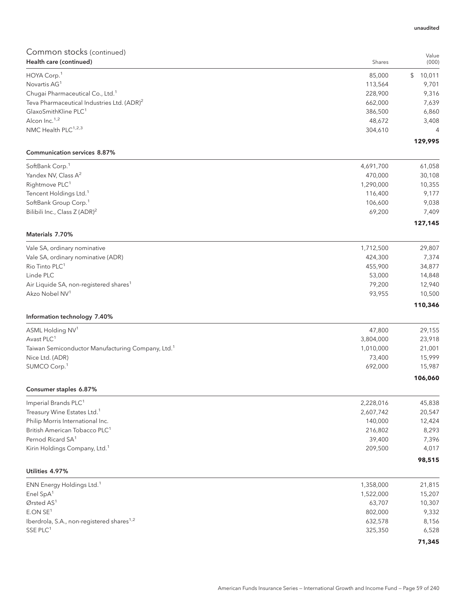| Common Stocks (continued)<br>Health care (continued)             | Shares             | Value<br>(000)   |
|------------------------------------------------------------------|--------------------|------------------|
| HOYA Corp. <sup>1</sup>                                          | 85,000             | \$<br>10,011     |
| Novartis AG <sup>1</sup>                                         | 113,564            | 9,701            |
| Chugai Pharmaceutical Co., Ltd. <sup>1</sup>                     | 228,900            | 9,316            |
| Teva Pharmaceutical Industries Ltd. (ADR) <sup>2</sup>           | 662,000            | 7,639            |
| GlaxoSmithKline PLC <sup>1</sup>                                 | 386,500            | 6,860            |
| Alcon Inc. <sup>1,2</sup>                                        | 48,672             | 3,408            |
| NMC Health PLC <sup>1,2,3</sup>                                  | 304,610            | $\overline{4}$   |
| <b>Communication services 8.87%</b>                              |                    | 129,995          |
| SoftBank Corp. <sup>1</sup>                                      | 4,691,700          | 61,058           |
| Yandex NV, Class A <sup>2</sup>                                  | 470,000            | 30,108           |
| Rightmove PLC <sup>1</sup>                                       | 1,290,000          | 10,355           |
| Tencent Holdings Ltd. <sup>1</sup>                               | 116,400            | 9,177            |
| SoftBank Group Corp. <sup>1</sup>                                | 106,600            | 9,038            |
| Bilibili Inc., Class Z (ADR) <sup>2</sup>                        | 69,200             | 7,409            |
| Materials 7.70%                                                  |                    | 127,145          |
|                                                                  | 1,712,500          |                  |
| Vale SA, ordinary nominative                                     |                    | 29,807           |
| Vale SA, ordinary nominative (ADR)<br>Rio Tinto PLC <sup>1</sup> | 424,300<br>455,900 | 7,374            |
| Linde PLC                                                        | 53,000             | 34,877<br>14,848 |
| Air Liquide SA, non-registered shares <sup>1</sup>               | 79,200             | 12,940           |
| Akzo Nobel NV <sup>1</sup>                                       | 93,955             | 10,500           |
|                                                                  |                    | 110,346          |
| Information technology 7.40%                                     |                    |                  |
| ASML Holding NV <sup>1</sup>                                     | 47,800             | 29,155           |
| Avast PLC <sup>1</sup>                                           | 3,804,000          | 23,918           |
| Taiwan Semiconductor Manufacturing Company, Ltd. <sup>1</sup>    | 1,010,000          | 21,001           |
| Nice Ltd. (ADR)                                                  | 73,400             | 15,999           |
| SUMCO Corp. <sup>1</sup>                                         | 692,000            | 15,987           |
| Consumer staples 6.87%                                           |                    | 106,060          |
| Imperial Brands PLC <sup>1</sup>                                 | 2,228,016          | 45,838           |
| Treasury Wine Estates Ltd. <sup>1</sup>                          | 2,607,742          | 20,547           |
| Philip Morris International Inc.                                 | 140,000            | 12,424           |
| British American Tobacco PLC <sup>1</sup>                        | 216,802            | 8,293            |
| Pernod Ricard SA <sup>1</sup>                                    | 39,400             | 7,396            |
| Kirin Holdings Company, Ltd. <sup>1</sup>                        | 209,500            | 4,017            |
|                                                                  |                    | 98,515           |
| Utilities 4.97%                                                  |                    |                  |
|                                                                  |                    |                  |

|                                                       |           | 71,345 |
|-------------------------------------------------------|-----------|--------|
| SSE PLC <sup>1</sup>                                  | 325,350   | 6,528  |
| Iberdrola, S.A., non-registered shares <sup>1,2</sup> | 632.578   | 8,156  |
| E.ONSE <sup>1</sup>                                   | 802,000   | 9,332  |
| Ørsted AS <sup>1</sup>                                | 63,707    | 10,307 |
| Enel $SpA1$                                           | 1,522,000 | 15,207 |
| ENN Energy Holdings Ltd. <sup>1</sup>                 | 1,358,000 | 21,815 |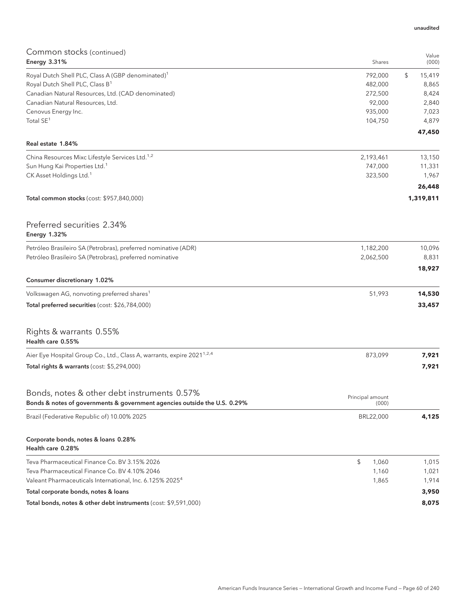| Common stocks (continued)<br><b>Energy 3.31%</b>                                   | Shares                    | Value<br>(000) |
|------------------------------------------------------------------------------------|---------------------------|----------------|
| Royal Dutch Shell PLC, Class A (GBP denominated) <sup>1</sup>                      | 792,000                   | \$<br>15,419   |
| Royal Dutch Shell PLC, Class B <sup>1</sup>                                        | 482,000                   | 8,865          |
| Canadian Natural Resources, Ltd. (CAD denominated)                                 | 272,500                   | 8,424          |
| Canadian Natural Resources, Ltd.                                                   | 92,000                    | 2,840          |
| Cenovus Energy Inc.                                                                | 935,000                   | 7,023          |
| Total SE <sup>1</sup>                                                              | 104,750                   | 4,879          |
| Real estate 1.84%                                                                  |                           | 47,450         |
| China Resources Mixc Lifestyle Services Ltd. <sup>1,2</sup>                        | 2,193,461                 | 13,150         |
| Sun Hung Kai Properties Ltd. <sup>1</sup>                                          | 747,000                   | 11,331         |
| CK Asset Holdings Ltd. <sup>1</sup>                                                | 323,500                   | 1,967          |
|                                                                                    |                           | 26,448         |
| Total common stocks (cost: \$957,840,000)                                          |                           | 1,319,811      |
| Preferred securities 2.34%                                                         |                           |                |
| Energy 1.32%                                                                       |                           |                |
| Petróleo Brasileiro SA (Petrobras), preferred nominative (ADR)                     | 1,182,200                 | 10,096         |
| Petróleo Brasileiro SA (Petrobras), preferred nominative                           | 2,062,500                 | 8,831          |
|                                                                                    |                           | 18,927         |
| Consumer discretionary 1.02%                                                       |                           |                |
| Volkswagen AG, nonvoting preferred shares <sup>1</sup>                             | 51,993                    | 14,530         |
| Total preferred securities (cost: \$26,784,000)                                    |                           | 33,457         |
| Rights & warrants 0.55%<br>Health care 0.55%                                       |                           |                |
| Aier Eye Hospital Group Co., Ltd., Class A, warrants, expire 2021 <sup>1,2,4</sup> | 873,099                   | 7,921          |
| Total rights & warrants (cost: \$5,294,000)                                        |                           | 7,921          |
| Bonds, notes & other debt instruments 0.57%                                        |                           |                |
| Bonds & notes of governments & government agencies outside the U.S. 0.29%          | Principal amount<br>(000) |                |
| Brazil (Federative Republic of) 10.00% 2025                                        | BRL22,000                 | 4,125          |
| Corporate bonds, notes & loans 0.28%<br>Health care 0.28%                          |                           |                |
| Teva Pharmaceutical Finance Co. BV 3.15% 2026                                      | \$<br>1,060               | 1,015          |
| Teva Pharmaceutical Finance Co. BV 4.10% 2046                                      | 1,160                     | 1,021          |
| Valeant Pharmaceuticals International, Inc. 6.125% 2025 <sup>4</sup>               | 1,865                     | 1,914          |
| Total corporate bonds, notes & loans                                               |                           | 3,950          |
| Total bonds, notes & other debt instruments (cost: \$9,591,000)                    |                           | 8,075          |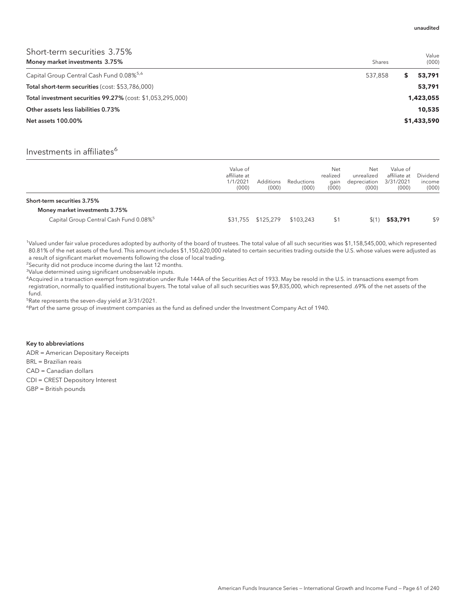| Short-term securities 3.75%                          |         |    | Value  |
|------------------------------------------------------|---------|----|--------|
| Money market investments 3.75%                       | Shares  |    | (000)  |
| Capital Group Central Cash Fund 0.08% <sup>5,6</sup> | 537.858 | S. | 53.791 |
| Total short-term securities (cost: \$53,786,000)     |         |    | 53,791 |

Total investment securities 99.27% (cost: \$1,053,295,000) **1,423,055**

Other assets less liabilities 0.73% **10,535**

Net assets 100.00% **\$1,433,590**

## Investments in affiliates<sup>6</sup>

|                                                    | Value of<br>affiliate at<br>1/1/2021<br>(000) | Additions<br>(000) | Reductions<br>(000) | Net<br>realized<br>gain<br>(000) | Net<br>unrealized<br>depreciation<br>(000) | Value of<br>affiliate at<br>3/31/2021<br>(000) | Dividend<br>income<br>(000) |
|----------------------------------------------------|-----------------------------------------------|--------------------|---------------------|----------------------------------|--------------------------------------------|------------------------------------------------|-----------------------------|
| Short-term securities 3.75%                        |                                               |                    |                     |                                  |                                            |                                                |                             |
| Money market investments 3.75%                     |                                               |                    |                     |                                  |                                            |                                                |                             |
| Capital Group Central Cash Fund 0.08% <sup>5</sup> |                                               | \$31,755 \$125,279 | \$103,243           | \$1                              | $\frac{1}{2}$ (1                           | \$53,791                                       | \$9                         |

1 Valued under fair value procedures adopted by authority of the board of trustees. The total value of all such securities was \$1,158,545,000, which represented 80.81% of the net assets of the fund. This amount includes \$1,150,620,000 related to certain securities trading outside the U.S. whose values were adjusted as a result of significant market movements following the close of local trading.

<sup>2</sup>Security did not produce income during the last 12 months.

<sup>3</sup>Value determined using significant unobservable inputs.

4 Acquired in a transaction exempt from registration under Rule 144A of the Securities Act of 1933. May be resold in the U.S. in transactions exempt from registration, normally to qualified institutional buyers. The total value of all such securities was \$9,835,000, which represented .69% of the net assets of the fund.

5 Rate represents the seven-day yield at 3/31/2021.

<sup>6</sup>Part of the same group of investment companies as the fund as defined under the Investment Company Act of 1940.

#### Key to abbreviations

ADR = American Depositary Receipts BRL = Brazilian reais CAD = Canadian dollars CDI = CREST Depository Interest

GBP = British pounds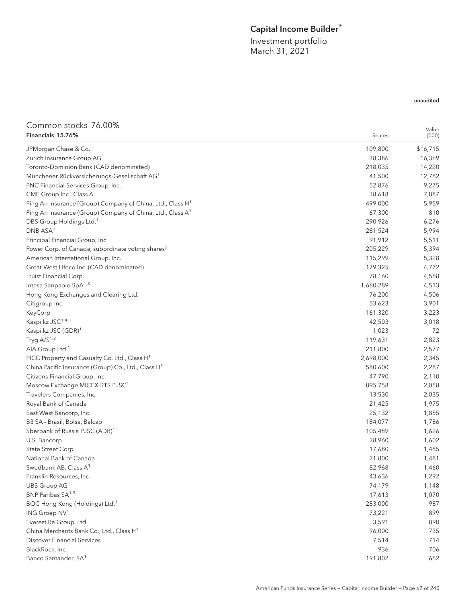## Capital Income Builder®

Value

unaudited

Investment portfolio March 31, 2021

## Common stocks 76.00%

| Financials 15.76%                                                      | Shares    | (000)    |
|------------------------------------------------------------------------|-----------|----------|
| JPMorgan Chase & Co.                                                   | 109,800   | \$16,715 |
| Zurich Insurance Group AG <sup>1</sup>                                 | 38,386    | 16,369   |
| Toronto-Dominion Bank (CAD denominated)                                | 218,035   | 14,220   |
| Münchener Rückversicherungs-Gesellschaft AG1                           | 41,500    | 12,782   |
| PNC Financial Services Group, Inc.                                     | 52,876    | 9,275    |
| CME Group Inc., Class A                                                | 38,618    | 7,887    |
| Ping An Insurance (Group) Company of China, Ltd., Class H <sup>1</sup> | 499,000   | 5,959    |
| Ping An Insurance (Group) Company of China, Ltd., Class A <sup>1</sup> | 67,300    | 810      |
| DBS Group Holdings Ltd. <sup>1</sup>                                   | 290,926   | 6,276    |
| DNB ASA <sup>1</sup>                                                   | 281,524   | 5,994    |
| Principal Financial Group, Inc.                                        | 91,912    | 5,511    |
| Power Corp. of Canada, subordinate voting shares <sup>2</sup>          | 205,229   | 5,394    |
| American International Group, Inc.                                     | 115,299   | 5,328    |
| Great-West Lifeco Inc. (CAD denominated)                               | 179,325   | 4,772    |
| Truist Financial Corp.                                                 | 78,160    | 4,558    |
| Intesa Sanpaolo SpA <sup>1,3</sup>                                     | 1,660,289 | 4,513    |
| Hong Kong Exchanges and Clearing Ltd. <sup>1</sup>                     | 76,200    | 4,506    |
| Citigroup Inc.                                                         | 53,623    | 3,901    |
| KeyCorp                                                                | 161,320   | 3,223    |
| Kaspi.kz JSC <sup>1,4</sup>                                            | 42,503    | 3,018    |
| Kaspi.kz JSC (GDR) <sup>1</sup>                                        | 1,023     | 72       |
| Tryg $A/S^{1,2}$                                                       | 119,631   | 2,823    |
| AIA Group Ltd. <sup>1</sup>                                            | 211,800   | 2,577    |
| PICC Property and Casualty Co. Ltd., Class H <sup>1</sup>              | 2,698,000 | 2,345    |
| China Pacific Insurance (Group) Co., Ltd., Class H <sup>1</sup>        | 580,600   | 2,287    |
| Citizens Financial Group, Inc.                                         | 47,790    | 2,110    |
| Moscow Exchange MICEX-RTS PJSC <sup>1</sup>                            | 895,758   | 2,058    |
| Travelers Companies, Inc.                                              | 13,530    | 2,035    |
| Royal Bank of Canada                                                   | 21,425    | 1,975    |
| East West Bancorp, Inc.                                                | 25,132    | 1,855    |
| B3 SA - Brasil, Bolsa, Balcao                                          | 184,077   | 1,786    |
| Sberbank of Russia PJSC (ADR) <sup>1</sup>                             | 105,489   | 1,626    |
| U.S. Bancorp                                                           | 28,960    | 1,602    |
| State Street Corp.                                                     | 17,680    | 1,485    |
| National Bank of Canada                                                | 21,800    | 1,481    |
| Swedbank AB, Class A <sup>1</sup>                                      | 82,968    | 1,460    |
| Franklin Resources, Inc.                                               | 43,636    | 1,292    |
| UBS Group AG <sup>1</sup>                                              | 74,179    | 1,148    |
| BNP Paribas SA <sup>1,3</sup>                                          | 17,613    | 1,070    |
| BOC Hong Kong (Holdings) Ltd. <sup>1</sup>                             | 283,000   | 987      |
| ING Groep NV <sup>1</sup>                                              | 73,221    | 899      |
| Everest Re Group, Ltd.                                                 | 3,591     | 890      |
| China Merchants Bank Co., Ltd., Class H <sup>1</sup>                   | 96,000    | 735      |
| <b>Discover Financial Services</b>                                     | 7,514     | 714      |
| BlackRock, Inc.                                                        | 936       | 706      |
| Banco Santander, SA <sup>1</sup>                                       | 191,802   | 652      |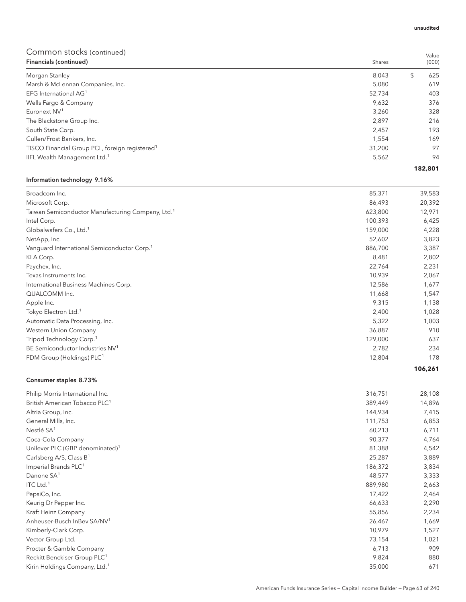| Financials (continued)                                     | Shares | (000)     |
|------------------------------------------------------------|--------|-----------|
| Morgan Stanley                                             | 8,043  | \$<br>625 |
| Marsh & McLennan Companies, Inc.                           | 5,080  | 619       |
| EFG International AG <sup>1</sup>                          | 52,734 | 403       |
| Wells Fargo & Company                                      | 9,632  | 376       |
| Euronext NV <sup>1</sup>                                   | 3,260  | 328       |
| The Blackstone Group Inc.                                  | 2,897  | 216       |
| South State Corp.                                          | 2,457  | 193       |
| Cullen/Frost Bankers, Inc.                                 | 1,554  | 169       |
| TISCO Financial Group PCL, foreign registered <sup>1</sup> | 31,200 | 97        |
| IIFL Wealth Management Ltd. <sup>1</sup>                   | 5,562  | 94        |
|                                                            |        | 182,801   |

#### Information technology 9.16%

| Broadcom Inc.                                                 | 85,371  | 39,583  |
|---------------------------------------------------------------|---------|---------|
| Microsoft Corp.                                               | 86,493  | 20,392  |
| Taiwan Semiconductor Manufacturing Company, Ltd. <sup>1</sup> | 623,800 | 12,971  |
| Intel Corp.                                                   | 100,393 | 6,425   |
| Globalwafers Co., Ltd. <sup>1</sup>                           | 159,000 | 4,228   |
| NetApp, Inc.                                                  | 52,602  | 3,823   |
| Vanguard International Semiconductor Corp. <sup>1</sup>       | 886,700 | 3,387   |
| KLA Corp.                                                     | 8,481   | 2,802   |
| Paychex, Inc.                                                 | 22,764  | 2,231   |
| Texas Instruments Inc.                                        | 10,939  | 2,067   |
| International Business Machines Corp.                         | 12,586  | 1,677   |
| QUALCOMM Inc.                                                 | 11,668  | 1,547   |
| Apple Inc.                                                    | 9,315   | 1,138   |
| Tokyo Electron Ltd. <sup>1</sup>                              | 2,400   | 1,028   |
| Automatic Data Processing, Inc.                               | 5,322   | 1,003   |
| Western Union Company                                         | 36,887  | 910     |
| Tripod Technology Corp. <sup>1</sup>                          | 129,000 | 637     |
| BE Semiconductor Industries NV <sup>1</sup>                   | 2,782   | 234     |
| FDM Group (Holdings) PLC <sup>1</sup>                         | 12,804  | 178     |
|                                                               |         | 106,261 |

#### Consumer staples 8.73%

| Philip Morris International Inc.            | 316,751 | 28,108 |
|---------------------------------------------|---------|--------|
| British American Tobacco PLC <sup>1</sup>   | 389,449 | 14,896 |
| Altria Group, Inc.                          | 144,934 | 7,415  |
| General Mills, Inc.                         | 111,753 | 6,853  |
| Nestlé SA <sup>1</sup>                      | 60,213  | 6,711  |
| Coca-Cola Company                           | 90,377  | 4,764  |
| Unilever PLC (GBP denominated) <sup>1</sup> | 81,388  | 4,542  |
| Carlsberg A/S, Class B <sup>1</sup>         | 25,287  | 3,889  |
| Imperial Brands PLC <sup>1</sup>            | 186,372 | 3,834  |
| Danone SA <sup>1</sup>                      | 48,577  | 3,333  |
| ITC Ltd. $1$                                | 889,980 | 2,663  |
| PepsiCo, Inc.                               | 17,422  | 2,464  |
| Keurig Dr Pepper Inc.                       | 66,633  | 2,290  |
| Kraft Heinz Company                         | 55,856  | 2,234  |
| Anheuser-Busch InBev SA/NV <sup>1</sup>     | 26,467  | 1,669  |
| Kimberly-Clark Corp.                        | 10,979  | 1,527  |
| Vector Group Ltd.                           | 73,154  | 1,021  |
| Procter & Gamble Company                    | 6,713   | 909    |
| Reckitt Benckiser Group PLC <sup>1</sup>    | 9,824   | 880    |
| Kirin Holdings Company, Ltd. <sup>1</sup>   | 35,000  | 671    |

Value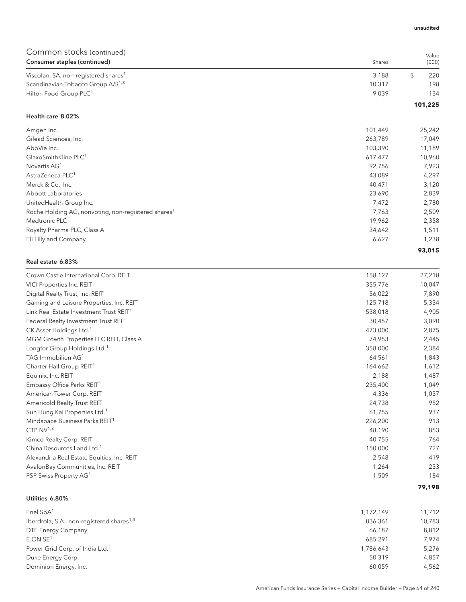| Common stocks (continued)<br>Consumer staples (continued) | Shares | Value<br>(000) |
|-----------------------------------------------------------|--------|----------------|
| Viscofan, SA, non-registered shares <sup>1</sup>          | 3.188  | 220            |
| Scandinavian Tobacco Group A/S <sup>1,3</sup>             | 10,317 | 198            |
| Hilton Food Group PLC <sup>1</sup>                        | 9.039  | 134            |
|                                                           |        | 101,225        |

#### Health care 8.02%

|                                                                 |         | 93,015 |
|-----------------------------------------------------------------|---------|--------|
| Eli Lilly and Company                                           | 6,627   | 1,238  |
| Royalty Pharma PLC, Class A                                     | 34,642  | 1,511  |
| Medtronic PLC                                                   | 19,962  | 2,358  |
| Roche Holding AG, nonvoting, non-registered shares <sup>1</sup> | 7,763   | 2,509  |
| UnitedHealth Group Inc.                                         | 7,472   | 2,780  |
| Abbott Laboratories                                             | 23,690  | 2,839  |
| Merck & Co., Inc.                                               | 40.471  | 3,120  |
| AstraZeneca PLC <sup>1</sup>                                    | 43,089  | 4,297  |
| Novartis AG <sup>1</sup>                                        | 92,756  | 7,923  |
| GlaxoSmithKline PLC <sup>1</sup>                                | 617,477 | 10,960 |
| AbbVie Inc.                                                     | 103,390 | 11,189 |
| Gilead Sciences, Inc.                                           | 263,789 | 17,049 |
| Amgen Inc.                                                      | 101,449 | 25,242 |
|                                                                 |         |        |

#### Real estate 6.83%

| Crown Castle International Corp. REIT               | 158,127 | 27,218 |
|-----------------------------------------------------|---------|--------|
| VICI Properties Inc. REIT                           | 355,776 | 10,047 |
| Digital Realty Trust, Inc. REIT                     | 56,022  | 7,890  |
| Gaming and Leisure Properties, Inc. REIT            | 125,718 | 5,334  |
| Link Real Estate Investment Trust REIT <sup>1</sup> | 538,018 | 4,905  |
| Federal Realty Investment Trust REIT                | 30,457  | 3,090  |
| CK Asset Holdings Ltd. <sup>1</sup>                 | 473,000 | 2,875  |
| MGM Growth Properties LLC REIT, Class A             | 74,953  | 2,445  |
| Longfor Group Holdings Ltd. <sup>1</sup>            | 358,000 | 2,384  |
| TAG Immobilien AG <sup>1</sup>                      | 64,561  | 1,843  |
| Charter Hall Group REIT <sup>1</sup>                | 164,662 | 1,612  |
| Equinix, Inc. REIT                                  | 2,188   | 1,487  |
| Embassy Office Parks REIT <sup>1</sup>              | 235,400 | 1,049  |
| American Tower Corp. REIT                           | 4,336   | 1,037  |
| Americold Realty Trust REIT                         | 24,738  | 952    |
| Sun Hung Kai Properties Ltd. <sup>1</sup>           | 61,755  | 937    |
| Mindspace Business Parks REIT <sup>1</sup>          | 226,200 | 913    |
| CTP $NV^{1,3}$                                      | 48,190  | 853    |
| Kimco Realty Corp. REIT                             | 40,755  | 764    |
| China Resources Land Ltd. <sup>1</sup>              | 150,000 | 727    |
| Alexandria Real Estate Equities, Inc. REIT          | 2,548   | 419    |
| AvalonBay Communities, Inc. REIT                    | 1,264   | 233    |
| PSP Swiss Property AG <sup>1</sup>                  | 1,509   | 184    |
|                                                     |         | 79,198 |

### Utilities 6.80%

| Enel $SpA1$                                           | 1,172,149 | 11,712 |
|-------------------------------------------------------|-----------|--------|
| Iberdrola, S.A., non-registered shares <sup>1,3</sup> | 836,361   | 10,783 |
| DTE Energy Company                                    | 66,187    | 8,812  |
| E.ONSE <sup>1</sup>                                   | 685.291   | 7.974  |
| Power Grid Corp. of India Ltd. <sup>1</sup>           | 1,786,643 | 5,276  |
| Duke Energy Corp.                                     | 50,319    | 4.857  |
| Dominion Energy, Inc.                                 | 60,059    | 4,562  |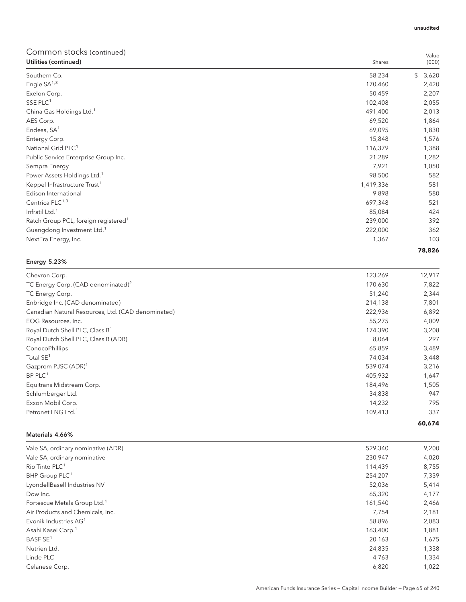| Utilities (continued)                            | Shares    | (000)       |
|--------------------------------------------------|-----------|-------------|
| Southern Co.                                     | 58,234    | \$<br>3,620 |
| Engie SA <sup>1,3</sup>                          | 170,460   | 2,420       |
| Exelon Corp.                                     | 50,459    | 2,207       |
| SSE PLC <sup>1</sup>                             | 102,408   | 2,055       |
| China Gas Holdings Ltd. <sup>1</sup>             | 491,400   | 2,013       |
| AES Corp.                                        | 69,520    | 1,864       |
| Endesa, SA <sup>1</sup>                          | 69,095    | 1,830       |
| Entergy Corp.                                    | 15,848    | 1,576       |
| National Grid PLC <sup>1</sup>                   | 116,379   | 1,388       |
| Public Service Enterprise Group Inc.             | 21,289    | 1,282       |
| Sempra Energy                                    | 7,921     | 1,050       |
| Power Assets Holdings Ltd. <sup>1</sup>          | 98,500    | 582         |
| Keppel Infrastructure Trust <sup>1</sup>         | 1,419,336 | 581         |
| Edison International                             | 9,898     | 580         |
| Centrica PLC <sup>1,3</sup>                      | 697,348   | 521         |
| Infratil Ltd. <sup>1</sup>                       | 85,084    | 424         |
| Ratch Group PCL, foreign registered <sup>1</sup> | 239,000   | 392         |
| Guangdong Investment Ltd. <sup>1</sup>           | 222,000   | 362         |
| NextEra Energy, Inc.                             | 1,367     | 103         |
|                                                  |           | 78,826      |

### Energy 5.23%

| Chevron Corp.                                      | 123,269 | 12,917 |
|----------------------------------------------------|---------|--------|
| TC Energy Corp. (CAD denominated) <sup>2</sup>     | 170,630 | 7,822  |
| TC Energy Corp.                                    | 51,240  | 2,344  |
| Enbridge Inc. (CAD denominated)                    | 214,138 | 7,801  |
| Canadian Natural Resources, Ltd. (CAD denominated) | 222,936 | 6,892  |
| EOG Resources, Inc.                                | 55,275  | 4,009  |
| Royal Dutch Shell PLC, Class B <sup>1</sup>        | 174,390 | 3,208  |
| Royal Dutch Shell PLC, Class B (ADR)               | 8,064   | 297    |
| ConocoPhillips                                     | 65,859  | 3,489  |
| Total SE <sup>1</sup>                              | 74,034  | 3,448  |
| Gazprom PJSC (ADR) <sup>1</sup>                    | 539,074 | 3,216  |
| $BP$ PLC <sup>1</sup>                              | 405,932 | 1,647  |
| Equitrans Midstream Corp.                          | 184,496 | 1,505  |
| Schlumberger Ltd.                                  | 34,838  | 947    |
| Exxon Mobil Corp.                                  | 14,232  | 795    |
| Petronet LNG Ltd. <sup>1</sup>                     | 109,413 | 337    |
|                                                    |         | 60,674 |

#### Materials 4.66%

| Vale SA, ordinary nominative (ADR)       | 529,340 | 9,200 |
|------------------------------------------|---------|-------|
| Vale SA, ordinary nominative             | 230,947 | 4,020 |
| Rio Tinto PLC <sup>1</sup>               | 114,439 | 8,755 |
| BHP Group PLC <sup>1</sup>               | 254,207 | 7,339 |
| LyondellBasell Industries NV             | 52,036  | 5,414 |
| Dow Inc.                                 | 65,320  | 4,177 |
| Fortescue Metals Group Ltd. <sup>1</sup> | 161,540 | 2,466 |
| Air Products and Chemicals, Inc.         | 7.754   | 2,181 |
| Evonik Industries AG <sup>1</sup>        | 58,896  | 2,083 |
| Asahi Kasei Corp. <sup>1</sup>           | 163,400 | 1,881 |
| BASF SE <sup>1</sup>                     | 20,163  | 1,675 |
| Nutrien Ltd.                             | 24,835  | 1,338 |
| Linde PLC                                | 4,763   | 1,334 |
| Celanese Corp.                           | 6,820   | 1,022 |

unaudited

Value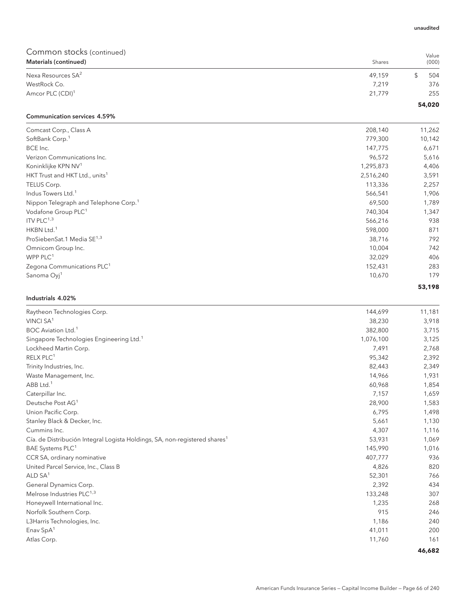| Common stocks (continued)                                                              |           |                |
|----------------------------------------------------------------------------------------|-----------|----------------|
| <b>Materials (continued)</b>                                                           | Shares    | Value<br>(000) |
| Nexa Resources SA <sup>2</sup>                                                         | 49,159    | \$<br>504      |
| WestRock Co.                                                                           | 7,219     | 376            |
| Amcor PLC (CDI) <sup>1</sup>                                                           | 21,779    | 255            |
|                                                                                        |           | 54,020         |
| <b>Communication services 4.59%</b>                                                    |           |                |
| Comcast Corp., Class A                                                                 | 208,140   | 11,262         |
| SoftBank Corp. <sup>1</sup>                                                            | 779,300   | 10,142         |
| BCE Inc.                                                                               | 147,775   | 6,671          |
| Verizon Communications Inc.                                                            | 96,572    | 5,616          |
| Koninklijke KPN NV <sup>1</sup>                                                        | 1,295,873 | 4,406          |
| HKT Trust and HKT Ltd., units <sup>1</sup>                                             | 2,516,240 | 3,591          |
| TELUS Corp.                                                                            | 113,336   | 2,257          |
| Indus Towers Ltd. <sup>1</sup>                                                         | 566,541   | 1,906          |
| Nippon Telegraph and Telephone Corp. <sup>1</sup>                                      | 69,500    | 1,789          |
| Vodafone Group PLC <sup>1</sup>                                                        | 740,304   | 1,347          |
| ITV $PLC^{1,3}$                                                                        | 566,216   | 938            |
| HKBN Ltd. <sup>1</sup>                                                                 | 598,000   | 871            |
| ProSiebenSat.1 Media SE <sup>1,3</sup>                                                 | 38,716    | 792            |
| Omnicom Group Inc.                                                                     | 10,004    | 742            |
| WPP PLC <sup>1</sup>                                                                   | 32,029    | 406            |
| Zegona Communications PLC <sup>1</sup>                                                 | 152,431   | 283            |
| Sanoma Oyj <sup>1</sup>                                                                | 10,670    | 179            |
|                                                                                        |           | 53,198         |
| Industrials 4.02%                                                                      |           |                |
| Raytheon Technologies Corp.                                                            | 144,699   | 11,181         |
| VINCI SA <sup>1</sup>                                                                  | 38,230    | 3,918          |
| BOC Aviation Ltd. <sup>1</sup>                                                         | 382,800   | 3,715          |
| Singapore Technologies Engineering Ltd. <sup>1</sup>                                   | 1,076,100 | 3,125          |
| Lockheed Martin Corp.                                                                  | 7,491     | 2,768          |
| RELX PLC <sup>1</sup>                                                                  | 95,342    | 2,392          |
| Trinity Industries, Inc.                                                               | 82,443    | 2,349          |
| Waste Management, Inc.                                                                 | 14,966    | 1,931          |
| ABB Ltd. <sup>1</sup>                                                                  | 60,968    | 1,854          |
| Caterpillar Inc.                                                                       | 7,157     | 1,659          |
| Deutsche Post AG <sup>1</sup>                                                          | 28,900    | 1,583          |
| Union Pacific Corp.                                                                    | 6,795     | 1,498          |
| Stanley Black & Decker, Inc.                                                           | 5,661     | 1,130          |
| Cummins Inc.                                                                           | 4,307     | 1,116          |
| Cía. de Distribución Integral Logista Holdings, SA, non-registered shares <sup>1</sup> | 53,931    | 1,069          |
| BAE Systems PLC <sup>1</sup>                                                           | 145,990   | 1,016          |
| CCR SA, ordinary nominative                                                            | 407,777   | 936            |
| United Parcel Service, Inc., Class B                                                   | 4,826     | 820            |
| ALD SA <sup>1</sup>                                                                    | 52,301    | 766            |
| General Dynamics Corp.                                                                 | 2,392     | 434            |
| Melrose Industries PLC <sup>1,3</sup>                                                  | 133,248   | 307            |
| Honeywell International Inc.                                                           | 1,235     | 268            |
| Norfolk Southern Corp.                                                                 | 915       | 246            |
| L3Harris Technologies, Inc.                                                            | 1,186     | 240            |
| Enav SpA <sup>1</sup>                                                                  | 41,011    | 200            |
| Atlas Corp.                                                                            | 11,760    | 161            |
|                                                                                        |           | 46,682         |

American Funds Insurance Series — Capital Income Builder — Page 66 of 240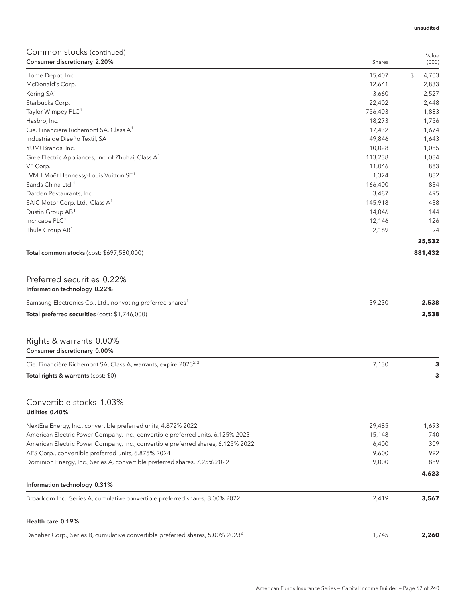| Consumer discretionary 2.20%                                                     | Shares  | (000)       |
|----------------------------------------------------------------------------------|---------|-------------|
| Home Depot, Inc.                                                                 | 15,407  | 4,703<br>\$ |
| McDonald's Corp.                                                                 | 12,641  | 2,833       |
| Kering SA <sup>1</sup>                                                           | 3,660   | 2,527       |
| Starbucks Corp.                                                                  | 22,402  | 2,448       |
| Taylor Wimpey PLC <sup>1</sup>                                                   | 756,403 | 1,883       |
| Hasbro, Inc.                                                                     | 18,273  | 1,756       |
| Cie. Financière Richemont SA, Class A <sup>1</sup>                               | 17,432  | 1,674       |
| Industria de Diseño Textil, SA <sup>1</sup>                                      | 49,846  | 1,643       |
| YUM! Brands, Inc.                                                                | 10,028  | 1,085       |
| Gree Electric Appliances, Inc. of Zhuhai, Class A <sup>1</sup>                   | 113,238 | 1,084       |
| VF Corp.                                                                         | 11,046  | 883         |
| LVMH Moët Hennessy-Louis Vuitton SE <sup>1</sup>                                 | 1,324   | 882         |
| Sands China Ltd. <sup>1</sup>                                                    | 166,400 | 834         |
| Darden Restaurants, Inc.                                                         | 3,487   | 495         |
| SAIC Motor Corp. Ltd., Class A <sup>1</sup>                                      | 145,918 | 438         |
| Dustin Group AB <sup>1</sup>                                                     | 14,046  | 144         |
| Inchcape PLC <sup>1</sup>                                                        | 12,146  | 126         |
| Thule Group AB <sup>1</sup>                                                      | 2,169   | 94          |
|                                                                                  |         | 25,532      |
|                                                                                  |         |             |
| Total common stocks (cost: \$697,580,000)                                        |         | 881,432     |
| Preferred securities 0.22%                                                       |         |             |
| Information technology 0.22%                                                     |         |             |
| Samsung Electronics Co., Ltd., nonvoting preferred shares <sup>1</sup>           | 39,230  | 2,538       |
| Total preferred securities (cost: \$1,746,000)                                   |         | 2,538       |
|                                                                                  |         |             |
| Rights & warrants 0.00%<br>Consumer discretionary 0.00%                          |         |             |
| Cie. Financière Richemont SA, Class A, warrants, expire 2023 <sup>2,3</sup>      | 7,130   | 3           |
| Total rights & warrants (cost: \$0)                                              |         | 3           |
| Convertible stocks 1.03%                                                         |         |             |
| Utilities 0.40%                                                                  |         |             |
| NextEra Energy, Inc., convertible preferred units, 4.872% 2022                   | 29,485  | 1,693       |
| American Electric Power Company, Inc., convertible preferred units, 6.125% 2023  | 15,148  | 740         |
| American Electric Power Company, Inc., convertible preferred shares, 6.125% 2022 | 6,400   | 309         |
| AES Corp., convertible preferred units, 6.875% 2024                              | 9,600   | 992         |
| Dominion Energy, Inc., Series A, convertible preferred shares, 7.25% 2022        | 9,000   | 889         |
|                                                                                  |         | 4,623       |
| Information technology 0.31%                                                     |         |             |
| Broadcom Inc., Series A, cumulative convertible preferred shares, 8.00% 2022     | 2,419   | 3,567       |
| Health care 0.19%                                                                |         |             |
|                                                                                  |         |             |

Danaher Corp., Series B, cumulative convertible preferred shares, 5.00% 2023<sup>2</sup> 1,745 1,745

Value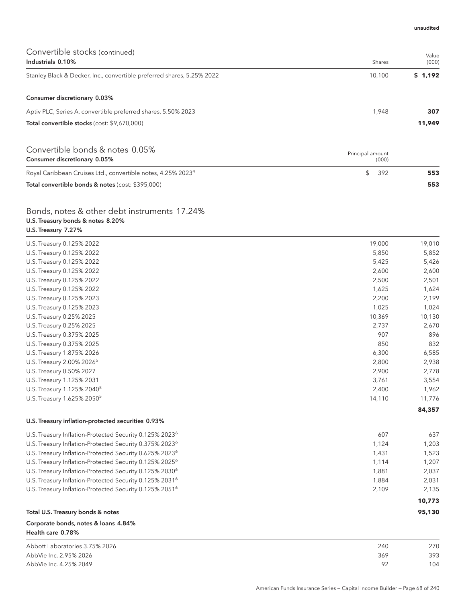| Convertible stocks (continued)<br>Industrials 0.10%                      | Shares                    | Value<br>(000) |
|--------------------------------------------------------------------------|---------------------------|----------------|
| Stanley Black & Decker, Inc., convertible preferred shares, 5.25% 2022   | 10,100                    | \$1,192        |
| Consumer discretionary 0.03%                                             |                           |                |
| Aptiv PLC, Series A, convertible preferred shares, 5.50% 2023            | 1,948                     | 307            |
| Total convertible stocks (cost: \$9,670,000)                             |                           | 11,949         |
| Convertible bonds & notes 0.05%<br>Consumer discretionary 0.05%          | Principal amount<br>(000) |                |
| Royal Caribbean Cruises Ltd., convertible notes, 4.25% 2023 <sup>4</sup> | \$<br>392                 | 553            |
| Total convertible bonds & notes (cost: \$395,000)                        |                           | 553            |

## Bonds, notes & other debt instruments 17.24% U.S. Treasury bonds & notes 8.20% U.S. Treasury 7.27%

| U.S. Treasury 0.125% 2022                                           | 19,000 | 19,010 |
|---------------------------------------------------------------------|--------|--------|
| U.S. Treasury 0.125% 2022                                           | 5,850  | 5,852  |
| U.S. Treasury 0.125% 2022                                           | 5,425  | 5,426  |
| U.S. Treasury 0.125% 2022                                           | 2,600  | 2,600  |
| U.S. Treasury 0.125% 2022                                           | 2,500  | 2,501  |
| U.S. Treasury 0.125% 2022                                           | 1,625  | 1,624  |
| U.S. Treasury 0.125% 2023                                           | 2,200  | 2,199  |
| U.S. Treasury 0.125% 2023                                           | 1,025  | 1,024  |
| U.S. Treasury 0.25% 2025                                            | 10,369 | 10,130 |
| U.S. Treasury 0.25% 2025                                            | 2,737  | 2,670  |
| U.S. Treasury 0.375% 2025                                           | 907    | 896    |
| U.S. Treasury 0.375% 2025                                           | 850    | 832    |
| U.S. Treasury 1.875% 2026                                           | 6,300  | 6,585  |
| U.S. Treasury 2.00% 2026 <sup>5</sup>                               | 2,800  | 2,938  |
| U.S. Treasury 0.50% 2027                                            | 2,900  | 2,778  |
| U.S. Treasury 1.125% 2031                                           | 3,761  | 3,554  |
| U.S. Treasury 1.125% 2040 <sup>5</sup>                              | 2,400  | 1,962  |
| U.S. Treasury 1.625% 2050 <sup>5</sup>                              | 14,110 | 11,776 |
|                                                                     |        | 84,357 |
| U.S. Treasury inflation-protected securities 0.93%                  |        |        |
| U.S. Treasury Inflation-Protected Security 0.125% 2023 <sup>6</sup> | 607    | 637    |
| U.S. Treasury Inflation-Protected Security 0.375% 2023 <sup>6</sup> | 1,124  | 1,203  |
| U.S. Treasury Inflation-Protected Security 0.625% 2023 <sup>6</sup> | 1,431  | 1,523  |

| U.S. Treasury Inflation-Protected Security 0.125% 2025 <sup>6</sup> | 1.114 | 1.207  |
|---------------------------------------------------------------------|-------|--------|
| U.S. Treasury Inflation-Protected Security 0.125% 2030 <sup>6</sup> | 1.881 | 2,037  |
| U.S. Treasury Inflation-Protected Security 0.125% 2031 <sup>6</sup> | 1.884 | 2,031  |
| U.S. Treasury Inflation-Protected Security 0.125% 2051 <sup>6</sup> | 2,109 | 2,135  |
|                                                                     |       | 10,773 |
| Total U.S. Treasury bonds & notes                                   |       | 95,130 |
| Corporate bonds, notes & loans 4.84%                                |       |        |
| Health care 0.78%                                                   |       |        |
| Abbott Laboratories 3.75% 2026                                      | 240   | 270    |
|                                                                     |       |        |

| ADDUIL LADUI ALUI 163 J. / J / 0 ZUZU | 24 U | 27 U |
|---------------------------------------|------|------|
| AbbVie Inc. 2.95% 2026                | 369  | 393  |
| AbbVie Inc. 4.25% 2049                |      | 104  |
|                                       |      |      |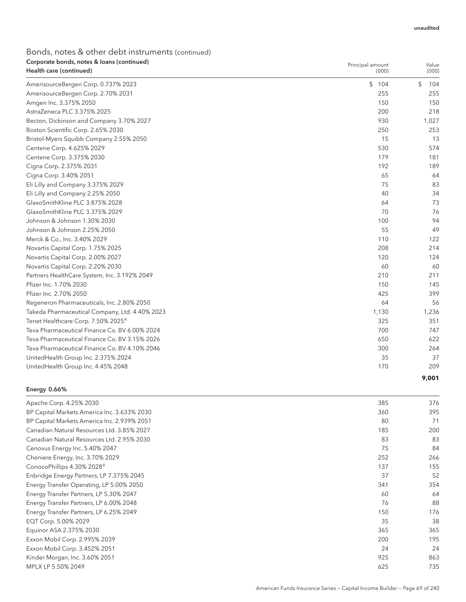| Corporate bonds, notes & Ioans (continued)<br>Health care (continued) | Principal amount | (000) | Value<br>(000) |
|-----------------------------------------------------------------------|------------------|-------|----------------|
| AmerisourceBergen Corp. 0.737% 2023                                   | \$               | 104   | \$<br>104      |
| AmerisourceBergen Corp. 2.70% 2031                                    |                  | 255   | 255            |
| Amgen Inc. 3.375% 2050                                                |                  | 150   | 150            |
| AstraZeneca PLC 3.375% 2025                                           |                  | 200   | 218            |
| Becton, Dickinson and Company 3.70% 2027                              |                  | 930   | 1,027          |
| Boston Scientific Corp. 2.65% 2030                                    |                  | 250   | 253            |
| Bristol-Myers Squibb Company 2.55% 2050                               |                  | 15    | 13             |
| Centene Corp. 4.625% 2029                                             |                  | 530   | 574            |
| Centene Corp. 3.375% 2030                                             |                  | 179   | 181            |
| Cigna Corp. 2.375% 2031                                               |                  | 192   | 189            |
| Cigna Corp. 3.40% 2051                                                |                  | 65    | 64             |
| Eli Lilly and Company 3.375% 2029                                     |                  | 75    | 83             |
| Eli Lilly and Company 2.25% 2050                                      |                  | 40    | 34             |
| GlaxoSmithKline PLC 3.875% 2028                                       |                  | 64    | 73             |
| GlaxoSmithKline PLC 3.375% 2029                                       |                  | 70    | 76             |
| Johnson & Johnson 1.30% 2030                                          |                  | 100   | 94             |
| Johnson & Johnson 2.25% 2050                                          |                  | 55    | 49             |
| Merck & Co., Inc. 3.40% 2029                                          |                  | 110   | 122            |
| Novartis Capital Corp. 1.75% 2025                                     |                  | 208   | 214            |
| Novartis Capital Corp. 2.00% 2027                                     |                  | 120   | 124            |
| Novartis Capital Corp. 2.20% 2030                                     |                  | 60    | 60             |
| Partners HealthCare System, Inc. 3.192% 2049                          |                  | 210   | 211            |
| Pfizer Inc. 1.70% 2030                                                |                  | 150   | 145            |
| Pfizer Inc. 2.70% 2050                                                |                  | 425   | 399            |
| Regeneron Pharmaceuticals, Inc. 2.80% 2050                            |                  | 64    | 56             |
| Takeda Pharmaceutical Company, Ltd. 4.40% 2023                        |                  | 1,130 | 1,236          |
| Tenet Healthcare Corp. 7.50% 2025 <sup>4</sup>                        |                  | 325   | 351            |
| Teva Pharmaceutical Finance Co. BV 6.00% 2024                         |                  | 700   | 747            |
| Teva Pharmaceutical Finance Co. BV 3.15% 2026                         |                  | 650   | 622            |
| Teva Pharmaceutical Finance Co. BV 4.10% 2046                         |                  | 300   | 264            |
| UnitedHealth Group Inc. 2.375% 2024                                   |                  | 35    | 37             |
| UnitedHealth Group Inc. 4.45% 2048                                    |                  | 170   | 209            |
|                                                                       |                  |       | 9,001          |

### Energy 0.66%

| Apache Corp. 4.25% 2030                     | 385 | 376 |
|---------------------------------------------|-----|-----|
| BP Capital Markets America Inc. 3.633% 2030 | 360 | 395 |
| BP Capital Markets America Inc. 2.939% 2051 | 80  | 71  |
| Canadian Natural Resources Ltd. 3.85% 2027  | 185 | 200 |
| Canadian Natural Resources Ltd. 2.95% 2030  | 83  | 83  |
| Cenovus Energy Inc. 5.40% 2047              | 75  | 84  |
| Cheniere Energy, Inc. 3.70% 2029            | 252 | 266 |
| ConocoPhillips 4.30% 2028 <sup>4</sup>      | 137 | 155 |
| Enbridge Energy Partners, LP 7.375% 2045    | 37  | 52  |
| Energy Transfer Operating, LP 5.00% 2050    | 341 | 354 |
| Energy Transfer Partners, LP 5.30% 2047     | 60  | 64  |
| Energy Transfer Partners, LP 6.00% 2048     | 76  | 88  |
| Energy Transfer Partners, LP 6.25% 2049     | 150 | 176 |
| EQT Corp. 5.00% 2029                        | 35  | 38  |
| Equinor ASA 2.375% 2030                     | 365 | 365 |
| Exxon Mobil Corp. 2.995% 2039               | 200 | 195 |
| Exxon Mobil Corp. 3.452% 2051               | 24  | 24  |
| Kinder Morgan, Inc. 3.60% 2051              | 925 | 863 |
| MPLX LP 5.50% 2049                          | 625 | 735 |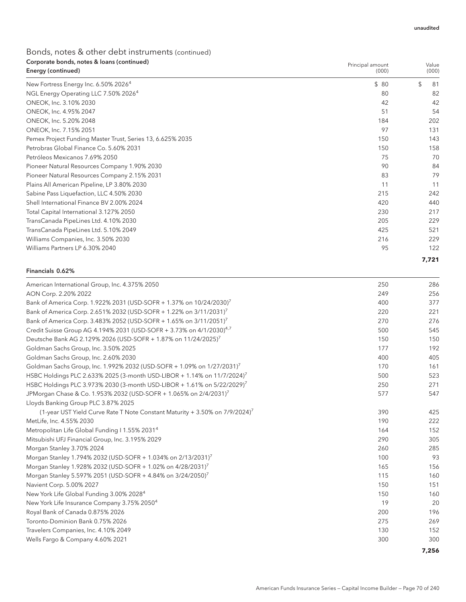| Corporate bonds, notes & loans (continued)<br>Energy (continued) | Principal amount<br>(000) | Value<br>(000) |
|------------------------------------------------------------------|---------------------------|----------------|
| New Fortress Energy Inc. 6.50% 2026 <sup>4</sup>                 | \$80                      | \$<br>81       |
| NGL Energy Operating LLC 7.50% 2026 <sup>4</sup>                 | 80                        | 82             |
| ONEOK, Inc. 3.10% 2030                                           | 42                        | 42             |
| ONEOK, Inc. 4.95% 2047                                           | 51                        | 54             |
| ONEOK, Inc. 5.20% 2048                                           | 184                       | 202            |
| ONEOK, Inc. 7.15% 2051                                           | 97                        | 131            |
| Pemex Project Funding Master Trust, Series 13, 6.625% 2035       | 150                       | 143            |
| Petrobras Global Finance Co. 5.60% 2031                          | 150                       | 158            |
| Petróleos Mexicanos 7.69% 2050                                   | 75                        | 70             |
| Pioneer Natural Resources Company 1.90% 2030                     | 90                        | 84             |
| Pioneer Natural Resources Company 2.15% 2031                     | 83                        | 79             |
| Plains All American Pipeline, LP 3.80% 2030                      | 11                        | 11             |
| Sabine Pass Liquefaction, LLC 4.50% 2030                         | 215                       | 242            |
| Shell International Finance BV 2.00% 2024                        | 420                       | 440            |
| Total Capital International 3.127% 2050                          | 230                       | 217            |
| TransCanada PipeLines Ltd. 4.10% 2030                            | 205                       | 229            |
| TransCanada PipeLines Ltd. 5.10% 2049                            | 425                       | 521            |
| Williams Companies, Inc. 3.50% 2030                              | 216                       | 229            |
| Williams Partners LP 6.30% 2040                                  | 95                        | 122            |
|                                                                  |                           | 7,721          |

#### Financials 0.62%

| American International Group, Inc. 4.375% 2050                                             | 250 | 286 |
|--------------------------------------------------------------------------------------------|-----|-----|
| AON Corp. 2.20% 2022                                                                       | 249 | 256 |
| Bank of America Corp. 1.922% 2031 (USD-SOFR + 1.37% on 10/24/2030) <sup>7</sup>            | 400 | 377 |
| Bank of America Corp. 2.651% 2032 (USD-SOFR + 1.22% on 3/11/2031) <sup>7</sup>             | 220 | 221 |
| Bank of America Corp. 3.483% 2052 (USD-SOFR + 1.65% on 3/11/2051) <sup>7</sup>             | 270 | 276 |
| Credit Suisse Group AG 4.194% 2031 (USD-SOFR + 3.73% on 4/1/2030) <sup>4,7</sup>           | 500 | 545 |
| Deutsche Bank AG 2.129% 2026 (USD-SOFR + 1.87% on 11/24/2025) <sup>7</sup>                 | 150 | 150 |
| Goldman Sachs Group, Inc. 3.50% 2025                                                       | 177 | 192 |
| Goldman Sachs Group, Inc. 2.60% 2030                                                       | 400 | 405 |
| Goldman Sachs Group, Inc. 1.992% 2032 (USD-SOFR + 1.09% on 1/27/2031) <sup>7</sup>         | 170 | 161 |
| HSBC Holdings PLC 2.633% 2025 (3-month USD-LIBOR + 1.14% on 11/7/2024) <sup>7</sup>        | 500 | 523 |
| HSBC Holdings PLC 3.973% 2030 (3-month USD-LIBOR + 1.61% on 5/22/2029) <sup>7</sup>        | 250 | 271 |
| JPMorgan Chase & Co. 1.953% 2032 (USD-SOFR + 1.065% on 2/4/2031) <sup>7</sup>              | 577 | 547 |
| Lloyds Banking Group PLC 3.87% 2025                                                        |     |     |
| (1-year UST Yield Curve Rate T Note Constant Maturity + 3.50% on $7/9/2024$ ) <sup>7</sup> | 390 | 425 |
| MetLife, Inc. 4.55% 2030                                                                   | 190 | 222 |
| Metropolitan Life Global Funding I 1.55% 2031 <sup>4</sup>                                 | 164 | 152 |
| Mitsubishi UFJ Financial Group, Inc. 3.195% 2029                                           | 290 | 305 |
| Morgan Stanley 3.70% 2024                                                                  | 260 | 285 |
| Morgan Stanley 1.794% 2032 (USD-SOFR + 1.034% on 2/13/2031) <sup>7</sup>                   | 100 | 93  |
| Morgan Stanley 1.928% 2032 (USD-SOFR + 1.02% on 4/28/2031) <sup>7</sup>                    | 165 | 156 |
| Morgan Stanley 5.597% 2051 (USD-SOFR + 4.84% on 3/24/2050) <sup>7</sup>                    | 115 | 160 |
| Navient Corp. 5.00% 2027                                                                   | 150 | 151 |
| New York Life Global Funding 3.00% 2028 <sup>4</sup>                                       | 150 | 160 |
| New York Life Insurance Company 3.75% 2050 <sup>4</sup>                                    | 19  | 20  |
| Royal Bank of Canada 0.875% 2026                                                           | 200 | 196 |
| Toronto-Dominion Bank 0.75% 2026                                                           | 275 | 269 |
| Travelers Companies, Inc. 4.10% 2049                                                       | 130 | 152 |
| Wells Fargo & Company 4.60% 2021                                                           | 300 | 300 |
|                                                                                            |     |     |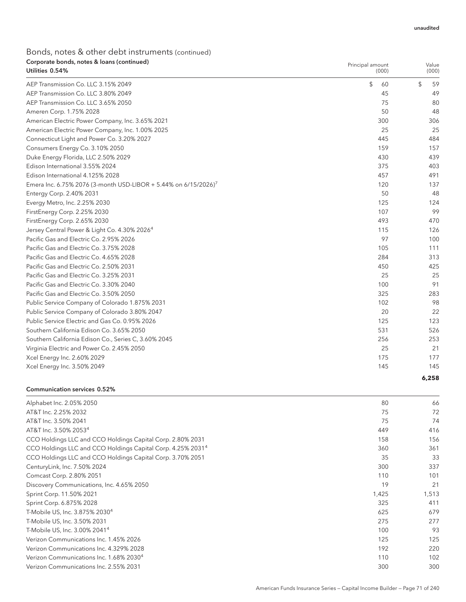| corporate borras, notes a roans (commaca)<br>Utilities 0.54%    | Principal amount<br>(000) | Value<br>(000) |
|-----------------------------------------------------------------|---------------------------|----------------|
| AEP Transmission Co. LLC 3.15% 2049                             | \$<br>60                  | \$<br>59       |
| AEP Transmission Co. LLC 3.80% 2049                             | 45                        | 49             |
| AEP Transmission Co. LLC 3.65% 2050                             | 75                        | 80             |
| Ameren Corp. 1.75% 2028                                         | 50                        | 48             |
| American Electric Power Company, Inc. 3.65% 2021                | 300                       | 306            |
| American Electric Power Company, Inc. 1.00% 2025                | 25                        | 25             |
| Connecticut Light and Power Co. 3.20% 2027                      | 445                       | 484            |
| Consumers Energy Co. 3.10% 2050                                 | 159                       | 157            |
| Duke Energy Florida, LLC 2.50% 2029                             | 430                       | 439            |
| Edison International 3.55% 2024                                 | 375                       | 403            |
| Edison International 4.125% 2028                                | 457                       | 491            |
| Emera Inc. 6.75% 2076 (3-month USD-LIBOR + 5.44% on 6/15/2026)' | 120                       | 137            |
| Entergy Corp. 2.40% 2031                                        | 50                        | 48             |
| Evergy Metro, Inc. 2.25% 2030                                   | 125                       | 124            |
| FirstEnergy Corp. 2.25% 2030                                    | 107                       | 99             |
| FirstEnergy Corp. 2.65% 2030                                    | 493                       | 470            |
| Jersey Central Power & Light Co. 4.30% 2026 <sup>4</sup>        | 115                       | 126            |
| Pacific Gas and Electric Co. 2.95% 2026                         | 97                        | 100            |
| Pacific Gas and Electric Co. 3.75% 2028                         | 105                       | 111            |
| Pacific Gas and Electric Co. 4.65% 2028                         | 284                       | 313            |
| Pacific Gas and Electric Co. 2.50% 2031                         | 450                       | 425            |
| Pacific Gas and Electric Co. 3.25% 2031                         | 25                        | 25             |
| Pacific Gas and Electric Co. 3.30% 2040                         | 100                       | 91             |
| Pacific Gas and Electric Co. 3.50% 2050                         | 325                       | 283            |
| Public Service Company of Colorado 1.875% 2031                  | 102                       | 98             |
| Public Service Company of Colorado 3.80% 2047                   | 20                        | 22             |
| Public Service Electric and Gas Co. 0.95% 2026                  | 125                       | 123            |
| Southern California Edison Co. 3.65% 2050                       | 531                       | 526            |
| Southern California Edison Co., Series C, 3.60% 2045            | 256                       | 253            |
| Virginia Electric and Power Co. 2.45% 2050                      | 25                        | 21             |
| Xcel Energy Inc. 2.60% 2029                                     | 175                       | 177            |
| Xcel Energy Inc. 3.50% 2049                                     | 145                       | 145            |
|                                                                 |                           | 6,258          |

#### Communication services 0.52%

| Alphabet Inc. 2.05% 2050                                                | 80    | 66    |
|-------------------------------------------------------------------------|-------|-------|
| AT&T Inc. 2.25% 2032                                                    | 75    | 72    |
| AT&T Inc. 3.50% 2041                                                    | 75    | 74    |
| AT&T Inc. 3.50% 2053 <sup>4</sup>                                       | 449   | 416   |
| CCO Holdings LLC and CCO Holdings Capital Corp. 2.80% 2031              | 158   | 156   |
| CCO Holdings LLC and CCO Holdings Capital Corp. 4.25% 2031 <sup>4</sup> | 360   | 361   |
| CCO Holdings LLC and CCO Holdings Capital Corp. 3.70% 2051              | 35    | 33    |
| CenturyLink, Inc. 7.50% 2024                                            | 300   | 337   |
| Comcast Corp. 2.80% 2051                                                | 110   | 101   |
| Discovery Communications, Inc. 4.65% 2050                               | 19    | 21    |
| Sprint Corp. 11.50% 2021                                                | 1,425 | 1,513 |
| Sprint Corp. 6.875% 2028                                                | 325   | 411   |
| T-Mobile US, Inc. 3.875% 2030 <sup>4</sup>                              | 625   | 679   |
| T-Mobile US, Inc. 3.50% 2031                                            | 275   | 277   |
| T-Mobile US, Inc. 3.00% 2041 <sup>4</sup>                               | 100   | 93    |
| Verizon Communications Inc. 1.45% 2026                                  | 125   | 125   |
| Verizon Communications Inc. 4.329% 2028                                 | 192   | 220   |
| Verizon Communications Inc. 1.68% 2030 <sup>4</sup>                     | 110   | 102   |
| Verizon Communications Inc. 2.55% 2031                                  | 300   | 300   |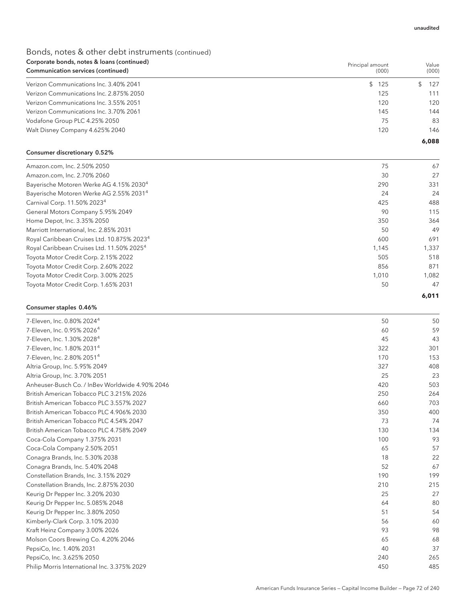Value

Principal amount

## Bonds, notes & other debt instruments (continued) Corporate bonds, notes & loans (continued)

| Communication services (continued)      | (000) | (000) |
|-----------------------------------------|-------|-------|
| Verizon Communications Inc. 3.40% 2041  | \$125 | 127   |
| Verizon Communications Inc. 2.875% 2050 | 125   | 111   |
| Verizon Communications Inc. 3.55% 2051  | 120   | 120   |
| Verizon Communications Inc. 3.70% 2061  | 145   | 144   |
| Vodafone Group PLC 4.25% 2050           | 75    | 83    |
| Walt Disney Company 4.625% 2040         | 120   | 146   |
|                                         |       | 6,088 |

#### Consumer discretionary 0.52%

| Amazon.com, Inc. 2.50% 2050                            | 75    | 67    |
|--------------------------------------------------------|-------|-------|
| Amazon.com, Inc. 2.70% 2060                            | 30    | 27    |
| Bayerische Motoren Werke AG 4.15% 2030 <sup>4</sup>    | 290   | 331   |
| Bayerische Motoren Werke AG 2.55% 2031 <sup>4</sup>    | 24    | 24    |
| Carnival Corp. 11.50% 2023 <sup>4</sup>                | 425   | 488   |
| General Motors Company 5.95% 2049                      | 90    | 115   |
| Home Depot, Inc. 3.35% 2050                            | 350   | 364   |
| Marriott International, Inc. 2.85% 2031                | 50    | 49    |
| Royal Caribbean Cruises Ltd. 10.875% 2023 <sup>4</sup> | 600   | 691   |
| Royal Caribbean Cruises Ltd. 11.50% 2025 <sup>4</sup>  | 1,145 | 1,337 |
| Toyota Motor Credit Corp. 2.15% 2022                   | 505   | 518   |
| Toyota Motor Credit Corp. 2.60% 2022                   | 856   | 871   |
| Toyota Motor Credit Corp. 3.00% 2025                   | 1,010 | 1.082 |
| Toyota Motor Credit Corp. 1.65% 2031                   | 50    | 47    |
|                                                        |       | 6,011 |

#### Consumer staples 0.46%

| 7-Eleven, Inc. 0.80% 2024 <sup>4</sup>          | 50  | 50  |
|-------------------------------------------------|-----|-----|
| 7-Eleven, Inc. 0.95% 2026 <sup>4</sup>          | 60  | 59  |
| 7-Eleven, Inc. 1.30% 2028 <sup>4</sup>          | 45  | 43  |
| 7-Eleven, Inc. 1.80% 2031 <sup>4</sup>          | 322 | 301 |
| 7-Eleven, Inc. 2.80% 2051 <sup>4</sup>          | 170 | 153 |
| Altria Group, Inc. 5.95% 2049                   | 327 | 408 |
| Altria Group, Inc. 3.70% 2051                   | 25  | 23  |
| Anheuser-Busch Co. / InBey Worldwide 4.90% 2046 | 420 | 503 |
| British American Tobacco PLC 3.215% 2026        | 250 | 264 |
| British American Tobacco PLC 3.557% 2027        | 660 | 703 |
| British American Tobacco PLC 4.906% 2030        | 350 | 400 |
| British American Tobacco PLC 4.54% 2047         | 73  | 74  |
| British American Tobacco PLC 4.758% 2049        | 130 | 134 |
| Coca-Cola Company 1.375% 2031                   | 100 | 93  |
| Coca-Cola Company 2.50% 2051                    | 65  | 57  |
| Conagra Brands, Inc. 5.30% 2038                 | 18  | 22  |
| Conagra Brands, Inc. 5.40% 2048                 | 52  | 67  |
| Constellation Brands, Inc. 3.15% 2029           | 190 | 199 |
| Constellation Brands, Inc. 2.875% 2030          | 210 | 215 |
| Keurig Dr Pepper Inc. 3.20% 2030                | 25  | 27  |
| Keurig Dr Pepper Inc. 5.085% 2048               | 64  | 80  |
| Keurig Dr Pepper Inc. 3.80% 2050                | 51  | 54  |
| Kimberly-Clark Corp. 3.10% 2030                 | 56  | 60  |
| Kraft Heinz Company 3.00% 2026                  | 93  | 98  |
| Molson Coors Brewing Co. 4.20% 2046             | 65  | 68  |
| PepsiCo, Inc. 1.40% 2031                        | 40  | 37  |
| PepsiCo, Inc. 3.625% 2050                       | 240 | 265 |
| Philip Morris International Inc. 3.375% 2029    | 450 | 485 |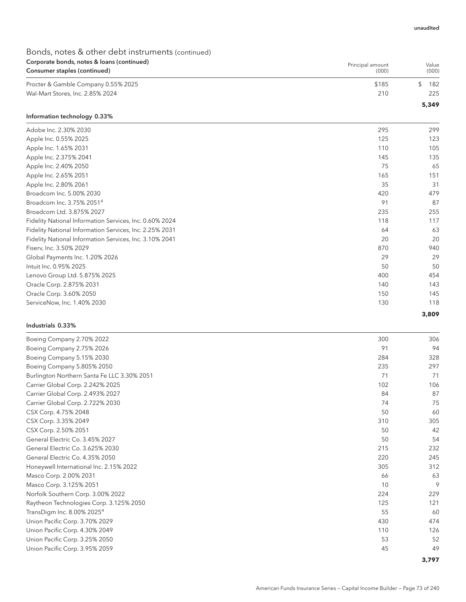#### Bonds, notes & other debt instruments (continued) Corporate bonds, notes & loans (continued) Consumer staples (continued)

| corporate borids, notes & loans (commaca)<br>Consumer staples (continued) | Principal amount<br>(000) | Value<br>(000) |  |
|---------------------------------------------------------------------------|---------------------------|----------------|--|
| Procter & Gamble Company 0.55% 2025                                       | \$185                     | 182            |  |
| Wal-Mart Stores, Inc. 2.85% 2024                                          | 210                       | 225            |  |
|                                                                           |                           | 5,349          |  |

#### Information technology 0.33%

| Adobe Inc. 2.30% 2030                                   | 295 | 299   |
|---------------------------------------------------------|-----|-------|
|                                                         |     |       |
| Apple Inc. 0.55% 2025                                   | 125 | 123   |
| Apple Inc. 1.65% 2031                                   | 110 | 105   |
| Apple Inc. 2.375% 2041                                  | 145 | 135   |
| Apple Inc. 2.40% 2050                                   | 75  | 65    |
| Apple Inc. 2.65% 2051                                   | 165 | 151   |
| Apple Inc. 2.80% 2061                                   | 35  | 31    |
| Broadcom Inc. 5.00% 2030                                | 420 | 479   |
| Broadcom Inc. 3.75% 2051 <sup>4</sup>                   | 91  | 87    |
| Broadcom Ltd. 3.875% 2027                               | 235 | 255   |
| Fidelity National Information Services, Inc. 0.60% 2024 | 118 | 117   |
| Fidelity National Information Services, Inc. 2.25% 2031 | 64  | 63    |
| Fidelity National Information Services, Inc. 3.10% 2041 | 20  | 20    |
| Fiserv, Inc. 3.50% 2029                                 | 870 | 940   |
| Global Payments Inc. 1.20% 2026                         | 29  | 29    |
| Intuit Inc. 0.95% 2025                                  | 50  | 50    |
| Lenovo Group Ltd. 5.875% 2025                           | 400 | 454   |
| Oracle Corp. 2.875% 2031                                | 140 | 143   |
| Oracle Corp. 3.60% 2050                                 | 150 | 145   |
| ServiceNow, Inc. 1.40% 2030                             | 130 | 118   |
|                                                         |     | 3,809 |

#### Industrials 0.33%

| Boeing Company 2.70% 2022                   | 300 | 306   |
|---------------------------------------------|-----|-------|
| Boeing Company 2.75% 2026                   | 91  | 94    |
| Boeing Company 5.15% 2030                   | 284 | 328   |
| Boeing Company 5.805% 2050                  | 235 | 297   |
| Burlington Northern Santa Fe LLC 3.30% 2051 | 71  | 71    |
| Carrier Global Corp. 2.242% 2025            | 102 | 106   |
| Carrier Global Corp. 2.493% 2027            | 84  | 87    |
| Carrier Global Corp. 2.722% 2030            | 74  | 75    |
| CSX Corp. 4.75% 2048                        | 50  | 60    |
| CSX Corp. 3.35% 2049                        | 310 | 305   |
| CSX Corp. 2.50% 2051                        | 50  | 42    |
| General Electric Co. 3.45% 2027             | 50  | 54    |
| General Electric Co. 3.625% 2030            | 215 | 232   |
| General Electric Co. 4.35% 2050             | 220 | 245   |
| Honeywell International Inc. 2.15% 2022     | 305 | 312   |
| Masco Corp. 2.00% 2031                      | 66  | 63    |
| Masco Corp. 3.125% 2051                     | 10  | 9     |
| Norfolk Southern Corp. 3.00% 2022           | 224 | 229   |
| Raytheon Technologies Corp. 3.125% 2050     | 125 | 121   |
| TransDigm Inc. 8.00% 2025 <sup>4</sup>      | 55  | 60    |
| Union Pacific Corp. 3.70% 2029              | 430 | 474   |
| Union Pacific Corp. 4.30% 2049              | 110 | 126   |
| Union Pacific Corp. 3.25% 2050              | 53  | 52    |
| Union Pacific Corp. 3.95% 2059              | 45  | 49    |
|                                             |     | 3,797 |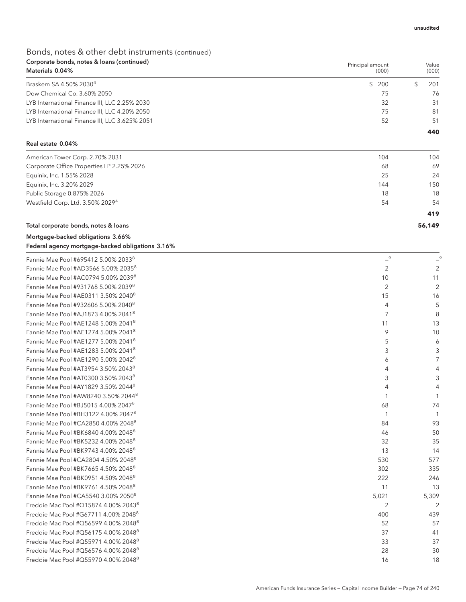| Corporate bonds, notes & Ioans (continued)<br>Materials 0.04%                         | Principal amount<br>(000) | Value<br>(000) |
|---------------------------------------------------------------------------------------|---------------------------|----------------|
| Braskem SA 4.50% 2030 <sup>4</sup>                                                    | $\mathfrak{S}$<br>200     | \$<br>201      |
| Dow Chemical Co. 3.60% 2050                                                           | 75                        | 76             |
| LYB International Finance III, LLC 2.25% 2030                                         | 32                        | 31             |
| LYB International Finance III, LLC 4.20% 2050                                         | 75                        | 81             |
| LYB International Finance III, LLC 3.625% 2051                                        | 52                        | 51             |
|                                                                                       |                           | 440            |
| Real estate 0.04%                                                                     |                           |                |
| American Tower Corp. 2.70% 2031                                                       | 104                       | 104            |
| Corporate Office Properties LP 2.25% 2026                                             | 68                        | 69             |
| Equinix, Inc. 1.55% 2028                                                              | 25                        | 24             |
| Equinix, Inc. 3.20% 2029                                                              | 144                       | 150            |
| Public Storage 0.875% 2026                                                            | 18                        | 18             |
| Westfield Corp. Ltd. 3.50% 2029 <sup>4</sup>                                          | 54                        | 54             |
|                                                                                       |                           | 419            |
| Total corporate bonds, notes & loans                                                  |                           | 56,149         |
|                                                                                       |                           |                |
| Mortgage-backed obligations 3.66%<br>Federal agency mortgage-backed obligations 3.16% |                           |                |
| Fannie Mae Pool #695412 5.00% 2033 <sup>8</sup>                                       | $-9$                      |                |
| Fannie Mae Pool #AD3566 5.00% 2035 <sup>8</sup>                                       | 2                         | 2              |
| Fannie Mae Pool #AC0794 5.00% 20398                                                   | 10                        | 11             |
| Fannie Mae Pool #931768 5.00% 20398                                                   | 2                         | $\overline{2}$ |
| Fannie Mae Pool #AE0311 3.50% 2040 <sup>8</sup>                                       | 15                        | 16             |
| Fannie Mae Pool #932606 5.00% 2040 <sup>8</sup>                                       | 4                         | 5              |
| Fannie Mae Pool #AJ1873 4.00% 2041 <sup>8</sup>                                       | 7                         | 8              |
| Fannie Mae Pool #AE1248 5.00% 2041 <sup>8</sup>                                       | 11                        | 13             |
| Fannie Mae Pool #AE1274 5.00% 2041 <sup>8</sup>                                       | 9                         | 10             |
| Fannie Mae Pool #AE1277 5.00% 2041 <sup>8</sup>                                       | 5                         | 6              |
| Fannie Mae Pool #AE1283 5.00% 2041 <sup>8</sup>                                       | 3                         | 3              |
| Fannie Mae Pool #AE1290 5.00% 2042 <sup>8</sup>                                       | 6                         | 7              |
| Fannie Mae Pool #AT3954 3.50% 2043 <sup>8</sup>                                       | 4                         | 4              |
| Fannie Mae Pool #AT0300 3.50% 2043 <sup>8</sup>                                       | 3                         | 3              |
| Fannie Mae Pool #AY1829 3.50% 20448                                                   | 4                         | 4              |
| Fannie Mae Pool #AW8240 3.50% 2044 <sup>8</sup>                                       |                           | 1              |
| Fannie Mae Pool #BJ5015 4.00% 20478                                                   | 68                        | 74             |
| Fannie Mae Pool #BH3122 4.00% 2047 <sup>8</sup>                                       | 1                         | 1              |
| Fannie Mae Pool #CA2850 4.00% 2048 <sup>8</sup>                                       | 84                        | 93             |
| Fannie Mae Pool #BK6840 4.00% 2048 <sup>8</sup>                                       | 46                        | 50             |
| Fannie Mae Pool #BK5232 4.00% 2048 <sup>8</sup>                                       | 32                        | 35             |
| Fannie Mae Pool #BK9743 4.00% 2048 <sup>8</sup>                                       | 13                        | 14             |
| Fannie Mae Pool #CA2804 4.50% 2048 <sup>8</sup>                                       | 530                       | 577            |
| Fannie Mae Pool #BK7665 4.50% 2048 <sup>8</sup>                                       | 302                       | 335            |
| Fannie Mae Pool #BK0951 4.50% 2048 <sup>8</sup>                                       | 222                       | 246            |
| Fannie Mae Pool #BK9761 4.50% 2048 <sup>8</sup>                                       | 11                        | 13             |
| Fannie Mae Pool #CA5540 3.00% 2050 <sup>8</sup>                                       | 5,021                     | 5,309          |
| Freddie Mac Pool #Q15874 4.00% 2043 <sup>8</sup>                                      | 2                         | $\overline{2}$ |
| Freddie Mac Pool #G67711 4.00% 2048 <sup>8</sup>                                      | 400                       | 439            |
| Freddie Mac Pool #Q56599 4.00% 2048 <sup>8</sup>                                      | 52                        | 57             |
| Freddie Mac Pool #Q56175 4.00% 2048 <sup>8</sup>                                      | 37                        | 41             |
| Freddie Mac Pool #Q55971 4.00% 2048 <sup>8</sup>                                      | 33                        | 37             |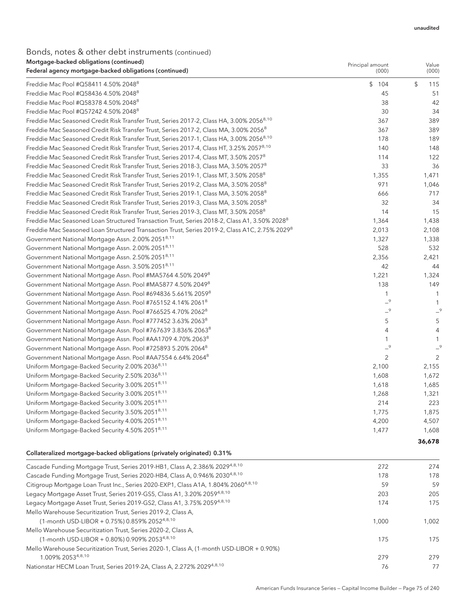#### unaudited

### Bonds, notes & other debt instruments (continued)

| Mortgage-backed obligations (continued)<br>Federal agency mortgage-backed obligations (continued)         | Principal amount<br>(000) | Value<br>(000)        |
|-----------------------------------------------------------------------------------------------------------|---------------------------|-----------------------|
| Freddie Mac Pool #Q58411 4.50% 2048 <sup>8</sup>                                                          | \$<br>104                 | $\mathfrak{L}$<br>115 |
| Freddie Mac Pool #Q58436 4.50% 2048 <sup>8</sup>                                                          | 45                        | 51                    |
| Freddie Mac Pool #Q58378 4.50% 20488                                                                      | 38                        | 42                    |
| Freddie Mac Pool #Q57242 4.50% 2048 <sup>8</sup>                                                          | 30                        | 34                    |
| Freddie Mac Seasoned Credit Risk Transfer Trust, Series 2017-2, Class HA, 3.00% 2056 <sup>8,10</sup>      | 367                       | 389                   |
| Freddie Mac Seasoned Credit Risk Transfer Trust, Series 2017-2, Class MA, 3.00% 2056 <sup>8</sup>         | 367                       | 389                   |
| Freddie Mac Seasoned Credit Risk Transfer Trust, Series 2017-1, Class HA, 3.00% 2056 <sup>8,10</sup>      | 178                       | 189                   |
| Freddie Mac Seasoned Credit Risk Transfer Trust, Series 2017-4, Class HT, 3.25% 2057 <sup>8,10</sup>      | 140                       | 148                   |
| Freddie Mac Seasoned Credit Risk Transfer Trust, Series 2017-4, Class MT, 3.50% 2057 <sup>8</sup>         | 114                       | 122                   |
| Freddie Mac Seasoned Credit Risk Transfer Trust, Series 2018-3, Class MA, 3.50% 2057 <sup>8</sup>         | 33                        | 36                    |
| Freddie Mac Seasoned Credit Risk Transfer Trust, Series 2019-1, Class MT, 3.50% 2058 <sup>8</sup>         | 1,355                     | 1,471                 |
| Freddie Mac Seasoned Credit Risk Transfer Trust, Series 2019-2, Class MA, 3.50% 2058 <sup>8</sup>         | 971                       | 1,046                 |
| Freddie Mac Seasoned Credit Risk Transfer Trust, Series 2019-1, Class MA, 3.50% 2058 <sup>8</sup>         | 666                       | 717                   |
| Freddie Mac Seasoned Credit Risk Transfer Trust, Series 2019-3, Class MA, 3.50% 2058 <sup>8</sup>         | 32                        | 34                    |
| Freddie Mac Seasoned Credit Risk Transfer Trust, Series 2019-3, Class MT, 3.50% 2058 <sup>8</sup>         | 14                        | 15                    |
| Freddie Mac Seasoned Loan Structured Transaction Trust, Series 2018-2, Class A1, 3.50% 2028 <sup>8</sup>  | 1,364                     | 1,438                 |
| Freddie Mac Seasoned Loan Structured Transaction Trust, Series 2019-2, Class A1C, 2.75% 2029 <sup>8</sup> | 2,013                     | 2,108                 |
| Government National Mortgage Assn. 2.00% 2051 <sup>8,11</sup>                                             | 1,327                     | 1,338                 |
| Government National Mortgage Assn. 2.00% 2051 <sup>8,11</sup>                                             | 528                       | 532                   |
| Government National Mortgage Assn. 2.50% 20518,11                                                         | 2,356                     | 2,421                 |
| Government National Mortgage Assn. 3.50% 2051 <sup>8,11</sup>                                             | 42                        | 44                    |
| Government National Mortgage Assn. Pool #MA5764 4.50% 2049 <sup>8</sup>                                   | 1,221                     | 1,324                 |
| Government National Mortgage Assn. Pool #MA5877 4.50% 20498                                               | 138                       | 149                   |
| Government National Mortgage Assn. Pool #694836 5.661% 2059 <sup>8</sup>                                  | $\mathbf{1}$              | 1                     |
| Government National Mortgage Assn. Pool #765152 4.14% 2061 <sup>8</sup>                                   | $-9$                      | $\mathbf{1}$          |
| Government National Mortgage Assn. Pool #766525 4.70% 2062 <sup>8</sup>                                   | $-9$                      | $-9$                  |
| Government National Mortgage Assn. Pool #777452 3.63% 2063 <sup>8</sup>                                   | 5                         | 5                     |
| Government National Mortgage Assn. Pool #767639 3.836% 2063 <sup>8</sup>                                  | 4                         | $\overline{4}$        |
| Government National Mortgage Assn. Pool #AA1709 4.70% 20638                                               | $\mathbf{1}$              | 1                     |
| Government National Mortgage Assn. Pool #725893 5.20% 2064 <sup>8</sup>                                   | $-9$                      | $-9$                  |
| Government National Mortgage Assn. Pool #AA7554 6.64% 2064 <sup>8</sup>                                   | $\overline{2}$            | $\overline{2}$        |
| Uniform Mortgage-Backed Security 2.00% 20368,11                                                           | 2,100                     | 2,155                 |
| Uniform Mortgage-Backed Security 2.50% 2036 <sup>8,11</sup>                                               | 1,608                     | 1,672                 |
| Uniform Mortgage-Backed Security 3.00% 2051 <sup>8,11</sup>                                               | 1,618                     | 1,685                 |
| Uniform Mortgage-Backed Security 3.00% 2051 <sup>8,11</sup>                                               | 1,268                     | 1,321                 |
| Uniform Mortgage-Backed Security 3.00% 20518,11                                                           | 214                       | 223                   |
| Uniform Mortgage-Backed Security 3.50% 2051 <sup>8,11</sup>                                               | 1,775                     | 1,875                 |
| Uniform Mortgage-Backed Security 4.00% 2051 <sup>8,11</sup>                                               | 4,200                     | 4,507                 |
| Uniform Mortgage-Backed Security 4.50% 20518,11                                                           | 1,477                     | 1,608                 |
|                                                                                                           |                           | 36,678                |

#### Collateralized mortgage-backed obligations (privately originated) 0.31%

| Cascade Funding Mortgage Trust, Series 2019-HB1, Class A, 2.386% 20294,8,10                    | 272   | 274   |
|------------------------------------------------------------------------------------------------|-------|-------|
| Cascade Funding Mortgage Trust, Series 2020-HB4, Class A, 0.946% 2030 <sup>4,8,10</sup>        | 178   | 178   |
| Citigroup Mortgage Loan Trust Inc., Series 2020-EXP1, Class A1A, 1.804% 2060 <sup>4,8,10</sup> | 59    | 59    |
| Legacy Mortgage Asset Trust, Series 2019-GS5, Class A1, 3.20% 2059 <sup>4,8,10</sup>           | 203   | 205   |
| Legacy Mortgage Asset Trust, Series 2019-GS2, Class A1, 3.75% 20594,8,10                       | 174   | 175   |
| Mello Warehouse Securitization Trust, Series 2019-2, Class A,                                  |       |       |
| (1-month USD-LIBOR + 0.75%) 0.859% 2052 <sup>4,8,10</sup>                                      | 1.000 | 1.002 |
| Mello Warehouse Securitization Trust, Series 2020-2, Class A,                                  |       |       |
| (1-month USD-LIBOR + 0.80%) 0.909% 2053 <sup>4,8,10</sup>                                      | 175   | 175   |
| Mello Warehouse Securitization Trust, Series 2020-1, Class A, (1-month USD-LIBOR + 0.90%)      |       |       |
| 1.009% 20534,8,10                                                                              | 279   | 279   |
| Nationstar HECM Loan Trust, Series 2019-2A, Class A, 2.272% 2029 <sup>4,8,10</sup>             | 76    | 77    |
|                                                                                                |       |       |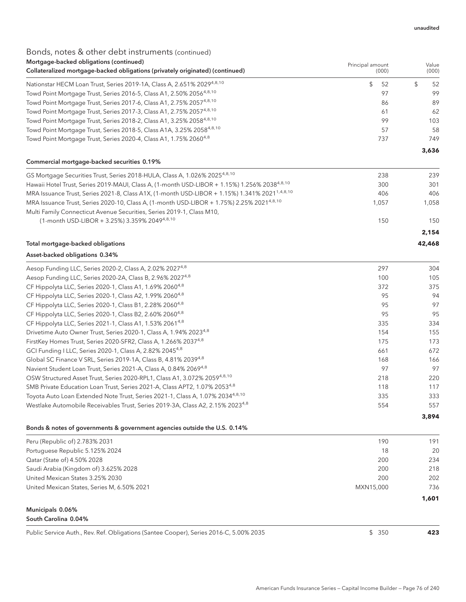#### Bonds, notes & other debt instruments (continued) Mortgage-backed obligations (continued)

| Collateralized mortgage-backed obligations (privately originated) (continued)                             | Principal amount | (000) | Value<br>(000) |
|-----------------------------------------------------------------------------------------------------------|------------------|-------|----------------|
| Nationstar HECM Loan Trust, Series 2019-1A, Class A, 2.651% 20294,8,10                                    | \$               | 52    | \$<br>52       |
| Towd Point Mortgage Trust, Series 2016-5, Class A1, 2.50% 20564,8,10                                      |                  | 97    | 99             |
| Towd Point Mortgage Trust, Series 2017-6, Class A1, 2.75% 20574,8,10                                      |                  | 86    | 89             |
| Towd Point Mortgage Trust, Series 2017-3, Class A1, 2.75% 20574,8,10                                      |                  | 61    | 62             |
| Towd Point Mortgage Trust, Series 2018-2, Class A1, 3.25% 20584,8,10                                      |                  | 99    | 103            |
| Towd Point Mortgage Trust, Series 2018-5, Class A1A, 3.25% 20584,8,10                                     |                  | 57    | 58             |
| Towd Point Mortgage Trust, Series 2020-4, Class A1, 1.75% 2060 <sup>4,8</sup>                             |                  | 737   | 749            |
| Commercial mortgage-backed securities 0.19%                                                               |                  |       | 3,636          |
|                                                                                                           |                  |       |                |
| GS Mortgage Securities Trust, Series 2018-HULA, Class A, 1.026% 20254,8,10                                |                  | 238   | 239            |
| Hawaii Hotel Trust, Series 2019-MAUI, Class A, (1-month USD-LIBOR + 1.15%) 1.256% 2038 <sup>4,8,10</sup>  |                  | 300   | 301            |
| MRA Issuance Trust, Series 2021-8, Class A1X, (1-month USD-LIBOR + 1.15%) 1.341% 2021 <sup>1,4,8,10</sup> |                  | 406   | 406            |
| MRA Issuance Trust, Series 2020-10, Class A, (1-month USD-LIBOR + 1.75%) 2.25% 2021 <sup>4,8,10</sup>     |                  | 1,057 | 1,058          |
| Multi Family Connecticut Avenue Securities, Series 2019-1, Class M10,                                     |                  |       |                |
| (1-month USD-LIBOR + 3.25%) 3.359% 2049 <sup>4,8,10</sup>                                                 |                  | 150   | 150            |
|                                                                                                           |                  |       | 2,154          |
| Total mortgage-backed obligations                                                                         |                  |       | 42,468         |
| Asset-backed obligations 0.34%                                                                            |                  |       |                |
| Aesop Funding LLC, Series 2020-2, Class A, 2.02% 2027 <sup>4,8</sup>                                      |                  | 297   | 304            |
| Aesop Funding LLC, Series 2020-2A, Class B, 2.96% 2027 <sup>4,8</sup>                                     |                  | 100   | 105            |
| CF Hippolyta LLC, Series 2020-1, Class A1, 1.69% 2060 <sup>4,8</sup>                                      |                  | 372   | 375            |
| CF Hippolyta LLC, Series 2020-1, Class A2, 1.99% 2060 <sup>4,8</sup>                                      |                  | 95    | 94             |
| CF Hippolyta LLC, Series 2020-1, Class B1, 2.28% 2060 <sup>4,8</sup>                                      |                  | 95    | 97             |
| CF Hippolyta LLC, Series 2020-1, Class B2, 2.60% 2060 <sup>4,8</sup>                                      |                  | 95    | 95             |
| CF Hippolyta LLC, Series 2021-1, Class A1, 1.53% 2061 <sup>4,8</sup>                                      |                  | 335   | 334            |
| Drivetime Auto Owner Trust, Series 2020-1, Class A, 1.94% 2023 <sup>4,8</sup>                             |                  | 154   | 155            |
| FirstKey Homes Trust, Series 2020-SFR2, Class A, 1.266% 2037 <sup>4,8</sup>                               |                  | 175   | 173            |
| GCI Funding I LLC, Series 2020-1, Class A, 2.82% 2045 <sup>4,8</sup>                                      |                  | 661   | 672            |
| Global SC Finance V SRL, Series 2019-1A, Class B, 4.81% 2039 <sup>4,8</sup>                               |                  | 168   | 166            |
| Navient Student Loan Trust, Series 2021-A, Class A, 0.84% 20694,8                                         |                  | 97    | 97             |
| OSW Structured Asset Trust, Series 2020-RPL1, Class A1, 3.072% 20594,8,10                                 |                  | 218   | 220            |
| SMB Private Education Loan Trust, Series 2021-A, Class APT2, 1.07% 2053 <sup>4,8</sup>                    |                  | 118   | 117            |
| Toyota Auto Loan Extended Note Trust, Series 2021-1, Class A, 1.07% 20344,8,10                            |                  | 335   | 333            |
| Westlake Automobile Receivables Trust, Series 2019-3A, Class A2, 2.15% 2023 <sup>4,8</sup>                |                  | 554   | 557            |
|                                                                                                           |                  |       | 3,894          |
| Bonds & notes of governments & government agencies outside the U.S. 0.14%                                 |                  |       |                |
| Peru (Republic of) 2.783% 2031                                                                            |                  | 190   | 191            |
| Portuguese Republic 5.125% 2024                                                                           |                  | 18    | 20             |
| Qatar (State of) 4.50% 2028                                                                               |                  | 200   | 234            |
| Saudi Arabia (Kingdom of) 3.625% 2028                                                                     |                  | 200   | 218            |
| United Mexican States 3.25% 2030                                                                          |                  | 200   | 202            |
| United Mexican States, Series M, 6.50% 2021                                                               | MXN15,000        |       | 736            |
|                                                                                                           |                  |       | 1,601          |
| Municipals 0.06%                                                                                          |                  |       |                |
| South Carolina 0.04%                                                                                      |                  |       |                |
| Public Service Auth., Rev. Ref. Obligations (Santee Cooper), Series 2016-C, 5.00% 2035                    |                  | \$350 | 423            |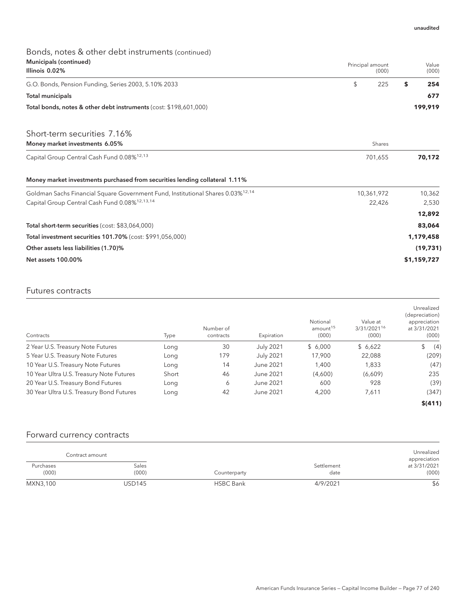### Bonds, notes & other debt instruments (continued) Municipals (continued)

| Municipals (continued)<br>Illinois 0.02%                                                    | Principal amount<br>(000) | Value<br>(000) |
|---------------------------------------------------------------------------------------------|---------------------------|----------------|
| G.O. Bonds, Pension Funding, Series 2003, 5.10% 2033                                        | \$<br>225                 | \$<br>254      |
| <b>Total municipals</b>                                                                     |                           | 677            |
| Total bonds, notes & other debt instruments (cost: \$198,601,000)                           |                           | 199,919        |
| Short-term securities 7.16%                                                                 |                           |                |
| Money market investments 6.05%                                                              | Shares                    |                |
| Capital Group Central Cash Fund 0.08% <sup>12,13</sup>                                      | 701,655                   | 70,172         |
| Money market investments purchased from securities lending collateral 1.11%                 |                           |                |
| Goldman Sachs Financial Square Government Fund, Institutional Shares 0.03% <sup>12,14</sup> | 10,361,972                | 10,362         |
| Capital Group Central Cash Fund 0.08% <sup>12,13,14</sup>                                   | 22,426                    | 2,530          |
|                                                                                             |                           | 12,892         |
| Total short-term securities (cost: \$83,064,000)                                            |                           | 83,064         |
| Total investment securities 101.70% (cost: \$991,056,000)                                   |                           | 1,179,458      |
| Other assets less liabilities (1.70)%                                                       |                           | (19, 731)      |
| <b>Net assets 100.00%</b>                                                                   |                           | \$1,159,727    |

#### Futures contracts

| Contracts                                | Type  | Number of<br>contracts | Expiration | Notional<br>amount <sup>15</sup><br>(000) | Value at<br>3/31/202116<br>(000) | Unrealized<br>(depreciation)<br>appreciation<br>at 3/31/2021<br>(000) |
|------------------------------------------|-------|------------------------|------------|-------------------------------------------|----------------------------------|-----------------------------------------------------------------------|
| 2 Year U.S. Treasury Note Futures        | Long  | 30                     | July 2021  | \$6,000                                   | \$6,622                          | \$<br>(4)                                                             |
| 5 Year U.S. Treasury Note Futures        | Long  | 179                    | July 2021  | 17.900                                    | 22,088                           | (209)                                                                 |
| 10 Year U.S. Treasury Note Futures       | Long  | 14                     | June 2021  | 1,400                                     | 1,833                            | (47)                                                                  |
| 10 Year Ultra U.S. Treasury Note Futures | Short | 46                     | June 2021  | (4,600)                                   | (6,609)                          | 235                                                                   |
| 20 Year U.S. Treasury Bond Futures       | Long  | 6                      | June 2021  | 600                                       | 928                              | (39)                                                                  |
| 30 Year Ultra U.S. Treasury Bond Futures | Long  | 42                     | June 2021  | 4.200                                     | 7.611                            | (347)                                                                 |
|                                          |       |                        |            |                                           |                                  | \$(411)                                                               |

### Forward currency contracts

|                    | Contract amount |                  |                    | Unrealized<br>appreciation |
|--------------------|-----------------|------------------|--------------------|----------------------------|
| Purchases<br>(000) | Sales<br>(000)  | Counterparty     | Settlement<br>date | at 3/31/2021<br>(000)      |
| MXN3,100           | USD145          | <b>HSBC Bank</b> | 4/9/2021           | \$6                        |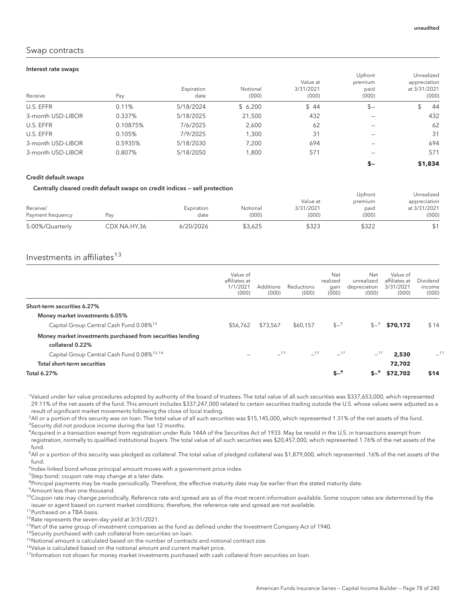### Swap contracts

#### Interest rate swaps

| Receive           | Pay      | Expiration<br>date | Notional<br>(000) | Value at<br>3/31/2021<br>(000) | Upfront<br>premium<br>paid<br>(000) | Unrealized<br>appreciation<br>at 3/31/2021<br>(000) |
|-------------------|----------|--------------------|-------------------|--------------------------------|-------------------------------------|-----------------------------------------------------|
| U.S. EFFR         | 0.11%    | 5/18/2024          | \$6,200           | \$44                           | $$-$                                | 44                                                  |
| 3-month USD-LIBOR | 0.337%   | 5/18/2025          | 21,500            | 432                            |                                     | 432                                                 |
| U.S. EFFR         | 0.10875% | 7/6/2025           | 2,600             | 62                             |                                     | 62                                                  |
| U.S. EFFR         | 0.105%   | 7/9/2025           | 1,300             | 31                             |                                     | 31                                                  |
| 3-month USD-LIBOR | 0.5935%  | 5/18/2030          | 7.200             | 694                            |                                     | 694                                                 |
| 3-month USD-LIBOR | 0.807%   | 5/18/2050          | 1,800             | 571                            |                                     | 571                                                 |
|                   |          |                    |                   |                                | $S-$                                | \$1,834                                             |

#### Credit default swaps

#### Centrally cleared credit default swaps on credit indices — sell protection

|                   |              |            |          |           | Upfront | Unrealized   |
|-------------------|--------------|------------|----------|-----------|---------|--------------|
|                   |              |            |          | Value at  | premium | appreciation |
| Receive/          |              | Expiration | Notional | 3/31/2021 | paid    | at 3/31/2021 |
| Payment frequency | Pav          | date       | (000)    | (000)     | (000)   | (000)        |
| 5.00%/Quarterly   | CDX.NA.HY.36 | 6/20/2026  | \$3,625  | \$323     | \$322   |              |

### Investments in affiliates<sup>13</sup>

|                                                                                       | Value of<br>affiliates at<br>1/1/2021<br>(000) | <b>Additions</b><br>(000) | Reductions<br>(000) | Net<br>realized<br>gain<br>(000) | Net<br>unrealized<br>depreciation<br>(000) | Value of<br>affiliates at<br>3/31/2021<br>(000) | Dividend<br>income<br>(000) |
|---------------------------------------------------------------------------------------|------------------------------------------------|---------------------------|---------------------|----------------------------------|--------------------------------------------|-------------------------------------------------|-----------------------------|
| Short-term securities 6.27%                                                           |                                                |                           |                     |                                  |                                            |                                                 |                             |
| Money market investments 6.05%<br>Capital Group Central Cash Fund 0.08% <sup>12</sup> | \$56,762                                       | \$73,567                  | \$60.157            | $S-8$                            | $S-8$                                      | \$70,172                                        | \$14                        |
| Money market investments purchased from securities lending<br>collateral 0.22%        |                                                |                           |                     |                                  |                                            |                                                 |                             |
| Capital Group Central Cash Fund 0.08% <sup>12,14</sup>                                |                                                | $-17$                     | $-17$               | $-17$                            | $-17$                                      | 2,530                                           | $-17$                       |
| Total short-term securities                                                           |                                                |                           |                     |                                  |                                            | 72,702                                          |                             |
| Total 6.27%                                                                           |                                                |                           |                     | $S-9$                            | $S-9$                                      | \$72,702                                        | \$14                        |

<sup>1</sup>Valued under fair value procedures adopted by authority of the board of trustees. The total value of all such securities was \$337,653,000, which represented 29.11% of the net assets of the fund. This amount includes \$337,247,000 related to certain securities trading outside the U.S. whose values were adjusted as a result of significant market movements following the close of local trading.

2 All or a portion of this security was on loan. The total value of all such securities was \$15,145,000, which represented 1.31% of the net assets of the fund. <sup>3</sup> Security did not produce income during the last 12 months.

4 Acquired in a transaction exempt from registration under Rule 144A of the Securities Act of 1933. May be resold in the U.S. in transactions exempt from registration, normally to qualified institutional buyers. The total value of all such securities was \$20,457,000, which represented 1.76% of the net assets of the fund.

5 All or a portion of this security was pledged as collateral. The total value of pledged collateral was \$1,879,000, which represented .16% of the net assets of the fund.

<sup>6</sup>Index-linked bond whose principal amount moves with a government price index.

<sup>7</sup>Step bond; coupon rate may change at a later date.

<sup>8</sup>Principal payments may be made periodically. Therefore, the effective maturity date may be earlier than the stated maturity date.

<sup>9</sup> Amount less than one thousand.

 $10$ Coupon rate may change periodically. Reference rate and spread are as of the most recent information available. Some coupon rates are determined by the issuer or agent based on current market conditions; therefore, the reference rate and spread are not available.

11Purchased on a TBA basis.

12Rate represents the seven-day yield at 3/31/2021.

 $13$ Part of the same group of investment companies as the fund as defined under the Investment Company Act of 1940.

<sup>14</sup>Security purchased with cash collateral from securities on loan.

<sup>15</sup>Notional amount is calculated based on the number of contracts and notional contract size.

<sup>16</sup>Value is calculated based on the notional amount and current market price.

<sup>17</sup>Information not shown for money market investments purchased with cash collateral from securities on loan.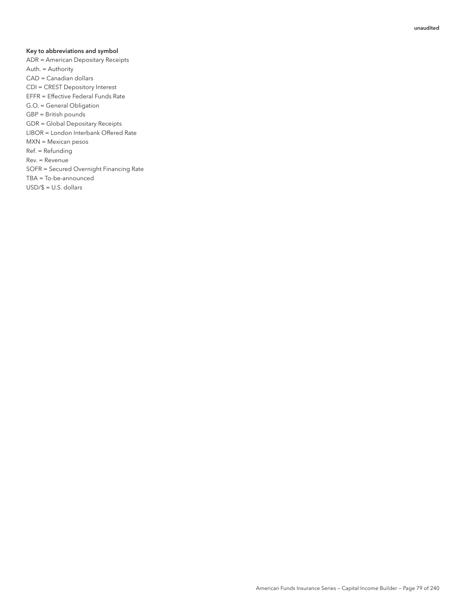#### Key to abbreviations and symbol

ADR = American Depositary Receipts Auth. = Authority CAD = Canadian dollars CDI = CREST Depository Interest EFFR = Effective Federal Funds Rate G.O. = General Obligation GBP = British pounds GDR = Global Depositary Receipts LIBOR = London Interbank Offered Rate MXN = Mexican pesos Ref. = Refunding Rev. = Revenue SOFR = Secured Overnight Financing Rate TBA = To-be-announced USD/\$ = U.S. dollars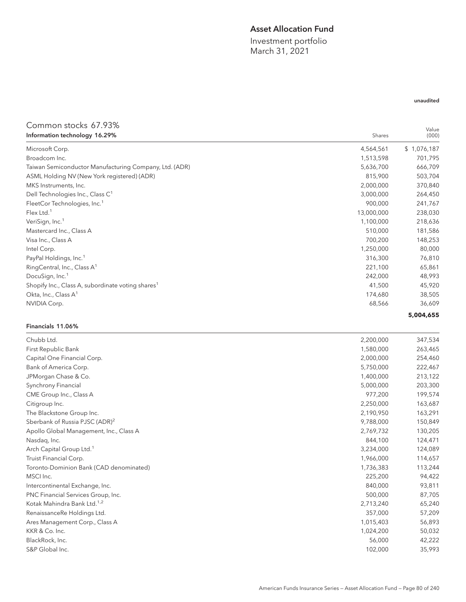#### Asset Allocation Fund

Investment portfolio March 31, 2021

#### unaudited

| Common stocks 67.93%                                          |            | Value       |
|---------------------------------------------------------------|------------|-------------|
| Information technology 16.29%                                 | Shares     | (000)       |
| Microsoft Corp.                                               | 4,564,561  | \$1,076,187 |
| Broadcom Inc.                                                 | 1,513,598  | 701,795     |
| Taiwan Semiconductor Manufacturing Company, Ltd. (ADR)        | 5,636,700  | 666,709     |
| ASML Holding NV (New York registered) (ADR)                   | 815,900    | 503,704     |
| MKS Instruments, Inc.                                         | 2,000,000  | 370,840     |
| Dell Technologies Inc., Class C <sup>1</sup>                  | 3,000,000  | 264,450     |
| FleetCor Technologies, Inc. <sup>1</sup>                      | 900,000    | 241,767     |
| Flex Ltd. $1$                                                 | 13,000,000 | 238,030     |
| VeriSign, Inc. <sup>1</sup>                                   | 1,100,000  | 218,636     |
| Mastercard Inc., Class A                                      | 510,000    | 181,586     |
| Visa Inc., Class A                                            | 700,200    | 148,253     |
| Intel Corp.                                                   | 1,250,000  | 80,000      |
| PayPal Holdings, Inc. <sup>1</sup>                            | 316,300    | 76,810      |
| RingCentral, Inc., Class A <sup>1</sup>                       | 221,100    | 65,861      |
| DocuSign, Inc. <sup>1</sup>                                   | 242,000    | 48,993      |
| Shopify Inc., Class A, subordinate voting shares <sup>1</sup> | 41,500     | 45,920      |
| Okta, Inc., Class $A^1$                                       | 174,680    | 38,505      |
| NVIDIA Corp.                                                  | 68,566     | 36,609      |
|                                                               |            | 5,004,655   |
| Financials 11.06%                                             |            |             |
| Chubb Ltd.                                                    | 2,200,000  | 347,534     |
| First Republic Bank                                           | 1,580,000  | 263,465     |
| Capital One Financial Corp.                                   | 2,000,000  | 254,460     |
| Bank of America Corp.                                         | 5,750,000  | 222,467     |
| JPMorgan Chase & Co.                                          | 1,400,000  | 213,122     |
| Synchrony Financial                                           | 5,000,000  | 203,300     |
| CME Group Inc., Class A                                       | 977,200    | 199,574     |
| Citigroup Inc.                                                | 2,250,000  | 163,687     |
| The Blackstone Group Inc.                                     | 2,190,950  | 163,291     |
| Sberbank of Russia PJSC (ADR) <sup>2</sup>                    | 9,788,000  | 150,849     |
| Apollo Global Management, Inc., Class A                       | 2,769,732  | 130,205     |
| Nasdaq, Inc.                                                  | 844,100    | 124,471     |
| Arch Capital Group Ltd. <sup>1</sup>                          | 3,234,000  | 124,089     |
| Truist Financial Corp.                                        | 1,966,000  | 114,657     |
| Toronto-Dominion Bank (CAD denominated)                       | 1,736,383  | 113,244     |
| MSCI Inc.                                                     | 225,200    | 94,422      |
| Intercontinental Exchange, Inc.                               | 840,000    | 93,811      |
| PNC Financial Services Group, Inc.                            | 500,000    | 87,705      |
| Kotak Mahindra Bank Ltd. <sup>1,2</sup>                       | 2,713,240  | 65,240      |

- RenaissanceRe Holdings Ltd. 357,000 57,209
- Ares Management Corp., Class A
- KKR & Co. Inc. 1,024,200 50,032
- BlackRock, Inc. 56,000 42,222
- S&P Global Inc. 102,000 35,993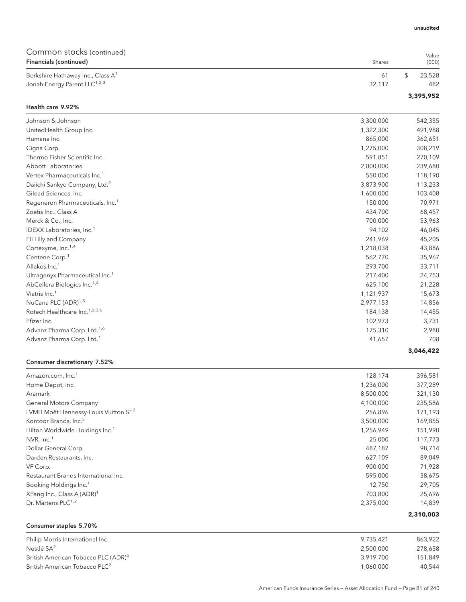| Common stocks (continued)<br>Financials (continued)                                       | Shares       | Value<br>(000) |
|-------------------------------------------------------------------------------------------|--------------|----------------|
|                                                                                           |              | \$             |
| Berkshire Hathaway Inc., Class A <sup>1</sup><br>Jonah Energy Parent LLC <sup>1,2,3</sup> | 61<br>32,117 | 23,528<br>482  |
|                                                                                           |              | 3,395,952      |
| Health care 9.92%                                                                         |              |                |
| Johnson & Johnson                                                                         | 3,300,000    | 542,355        |
| UnitedHealth Group Inc.                                                                   | 1,322,300    | 491,988        |
| Humana Inc.                                                                               | 865,000      | 362,651        |
| Cigna Corp.                                                                               | 1,275,000    | 308,219        |
| Thermo Fisher Scientific Inc.                                                             | 591,851      | 270,109        |
| Abbott Laboratories                                                                       | 2,000,000    | 239,680        |
| Vertex Pharmaceuticals Inc. <sup>1</sup>                                                  | 550,000      | 118,190        |
| Daiichi Sankyo Company, Ltd. <sup>2</sup>                                                 | 3,873,900    | 113,233        |
| Gilead Sciences, Inc.                                                                     | 1,600,000    | 103,408        |
| Regeneron Pharmaceuticals, Inc. <sup>1</sup>                                              | 150,000      | 70,971         |
| Zoetis Inc., Class A                                                                      | 434,700      | 68,457         |
| Merck & Co., Inc.                                                                         | 700,000      | 53,963         |
| IDEXX Laboratories, Inc. <sup>1</sup>                                                     | 94,102       | 46,045         |
| Eli Lilly and Company                                                                     | 241,969      | 45,205         |
| Cortexyme, Inc. <sup>1,4</sup>                                                            | 1,218,038    | 43,886         |
| Centene Corp. <sup>1</sup>                                                                | 562,770      | 35,967         |
| Allakos Inc. <sup>1</sup>                                                                 | 293,700      | 33,711         |
| Ultragenyx Pharmaceutical Inc. <sup>1</sup>                                               | 217,400      | 24,753         |
| AbCellera Biologics Inc. <sup>1,4</sup>                                                   | 625,100      | 21,228         |
| Viatris Inc. <sup>1</sup>                                                                 | 1,121,937    | 15,673         |
| NuCana PLC (ADR) <sup>1,5</sup>                                                           | 2,977,153    | 14,856         |
| Rotech Healthcare Inc. <sup>1,2,3,6</sup>                                                 | 184,138      | 14,455         |
| Pfizer Inc.                                                                               | 102,973      | 3,731          |
| Advanz Pharma Corp. Ltd. <sup>1,6</sup>                                                   | 175,310      | 2,980          |
| Advanz Pharma Corp. Ltd. <sup>1</sup>                                                     | 41,657       | 708            |
|                                                                                           |              | 3,046,422      |
| Consumer discretionary 7.52%                                                              |              |                |
| Amazon.com, Inc. <sup>1</sup>                                                             | 128,174      | 396,581        |
| Home Depot, Inc.                                                                          | 1,236,000    | 377,289        |
| Aramark                                                                                   | 8,500,000    | 321,130        |
| <b>General Motors Company</b>                                                             | 4,100,000    | 235,586        |
| LVMH Moët Hennessy-Louis Vuitton SE <sup>2</sup>                                          | 256,896      | 171,193        |
| Kontoor Brands, Inc. <sup>5</sup>                                                         | 3,500,000    | 169,855        |
| Hilton Worldwide Holdings Inc. <sup>1</sup>                                               | 1,256,949    | 151,990        |
| NVR, Inc. <sup>1</sup>                                                                    | 25,000       | 117,773        |
| Dollar General Corp.                                                                      | 487,187      | 98,714         |
| Darden Restaurants, Inc.                                                                  | 627,109      | 89,049         |
| VF Corp.                                                                                  | 900,000      | 71,928         |
| Restaurant Brands International Inc.                                                      | 595,000      | 38,675         |
| Booking Holdings Inc. <sup>1</sup>                                                        | 12,750       | 29,705         |
| XPeng Inc., Class A (ADR) <sup>1</sup>                                                    | 703,800      | 25,696         |
| Dr. Martens PLC <sup>1,2</sup>                                                            | 2,375,000    | 14,839         |
|                                                                                           |              | 2,310,003      |
| Consumer staples 5.70%                                                                    |              |                |

Philip Morris International Inc. 663,922 Nestlé SA $^2$  2,500,000  $278,638$ British American Tobacco PLC (ADR)<sup>4</sup> 2,919,700 3,919,700 3,919,700 151,849 British American Tobacco PLC<sup>2</sup> and the C<sub>2</sub> 1,060,000 40,544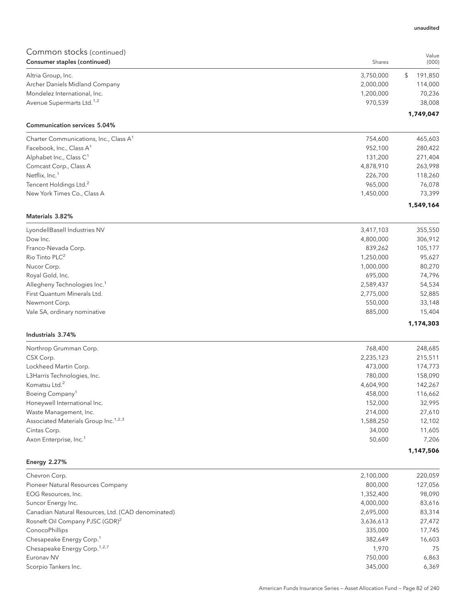| Common stocks (continued)                          |           | Value         |
|----------------------------------------------------|-----------|---------------|
| Consumer staples (continued)                       | Shares    | (000)         |
| Altria Group, Inc.                                 | 3,750,000 | 191,850<br>\$ |
| Archer Daniels Midland Company                     | 2,000,000 | 114,000       |
| Mondelez International, Inc.                       | 1,200,000 | 70,236        |
| Avenue Supermarts Ltd. <sup>1,2</sup>              | 970,539   | 38,008        |
| <b>Communication services 5.04%</b>                |           | 1,749,047     |
|                                                    |           |               |
| Charter Communications, Inc., Class A <sup>1</sup> | 754,600   | 465,603       |
| Facebook, Inc., Class A <sup>1</sup>               | 952,100   | 280,422       |
| Alphabet Inc., Class C <sup>1</sup>                | 131,200   | 271,404       |
| Comcast Corp., Class A                             | 4,878,910 | 263,998       |
| Netflix, Inc. <sup>1</sup>                         | 226,700   | 118,260       |
| Tencent Holdings Ltd. <sup>2</sup>                 | 965,000   | 76,078        |
| New York Times Co., Class A                        | 1,450,000 | 73,399        |
| Materials 3.82%                                    |           | 1,549,164     |
|                                                    |           |               |
| LyondellBasell Industries NV                       | 3,417,103 | 355,550       |
| Dow Inc.                                           | 4,800,000 | 306,912       |
| Franco-Nevada Corp.                                | 839,262   | 105,177       |
| Rio Tinto PLC <sup>2</sup>                         | 1,250,000 | 95,627        |
| Nucor Corp.                                        | 1,000,000 | 80,270        |
| Royal Gold, Inc.                                   | 695,000   | 74,796        |
| Allegheny Technologies Inc. <sup>1</sup>           | 2,589,437 | 54,534        |
| First Quantum Minerals Ltd.                        | 2,775,000 | 52,885        |
| Newmont Corp.                                      | 550,000   | 33,148        |
| Vale SA, ordinary nominative                       | 885,000   | 15,404        |
|                                                    |           | 1,174,303     |
| Industrials 3.74%                                  |           |               |
| Northrop Grumman Corp.                             | 768,400   | 248,685       |
| CSX Corp.                                          | 2,235,123 | 215,511       |
| Lockheed Martin Corp.                              | 473,000   | 174,773       |
| L3Harris Technologies, Inc.                        | 780,000   | 158,090       |
| Komatsu Ltd. <sup>2</sup>                          | 4,604,900 | 142,267       |
| Boeing Company <sup>1</sup>                        | 458,000   | 116,662       |
| Honeywell International Inc.                       | 152,000   | 32,995        |
| Waste Management, Inc.                             | 214,000   | 27,610        |
| Associated Materials Group Inc. <sup>1,2,3</sup>   | 1,588,250 | 12,102        |
| Cintas Corp.                                       | 34,000    | 11,605        |
| Axon Enterprise, Inc. <sup>1</sup>                 | 50,600    | 7,206         |
|                                                    |           | 1,147,506     |
| <b>Energy 2.27%</b>                                |           |               |

| Chevron Corp.                                      | 2,100,000 | 220,059 |
|----------------------------------------------------|-----------|---------|
| Pioneer Natural Resources Company                  | 800,000   | 127,056 |
| EOG Resources, Inc.                                | 1,352,400 | 98,090  |
| Suncor Energy Inc.                                 | 4,000,000 | 83,616  |
| Canadian Natural Resources, Ltd. (CAD denominated) | 2,695,000 | 83,314  |
| Rosneft Oil Company PJSC (GDR) <sup>2</sup>        | 3,636,613 | 27,472  |
| ConocoPhillips                                     | 335,000   | 17,745  |
| Chesapeake Energy Corp. <sup>1</sup>               | 382.649   | 16,603  |
| Chesapeake Energy Corp. <sup>1,2,7</sup>           | 1.970     | 75      |
| Euronav NV                                         | 750,000   | 6,863   |
| Scorpio Tankers Inc.                               | 345,000   | 6.369   |

unaudited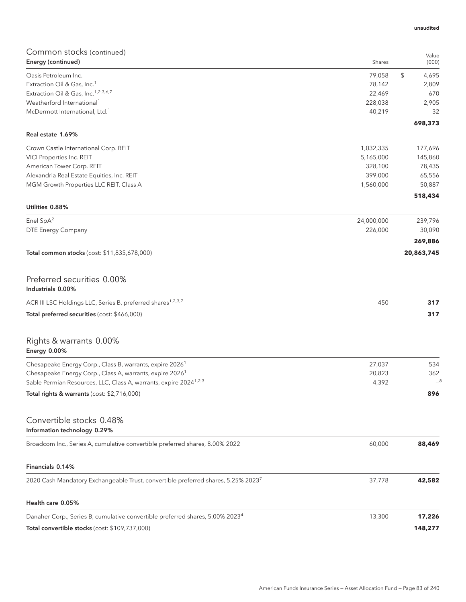| Common stocks (continued)                                                                 |            |                     |
|-------------------------------------------------------------------------------------------|------------|---------------------|
| Energy (continued)                                                                        | Shares     | Value<br>(000)      |
| Oasis Petroleum Inc.                                                                      | 79,058     | $\sqrt{2}$<br>4,695 |
| Extraction Oil & Gas, Inc. <sup>1</sup>                                                   | 78,142     | 2,809               |
| Extraction Oil & Gas, Inc. <sup>1,2,3,6,7</sup>                                           | 22,469     | 670                 |
| Weatherford International <sup>1</sup>                                                    | 228,038    | 2,905               |
| McDermott International, Ltd. <sup>1</sup>                                                | 40,219     | 32<br>698,373       |
| Real estate 1.69%                                                                         |            |                     |
| Crown Castle International Corp. REIT                                                     | 1,032,335  | 177,696             |
| VICI Properties Inc. REIT                                                                 | 5,165,000  | 145,860             |
| American Tower Corp. REIT                                                                 | 328,100    | 78,435              |
| Alexandria Real Estate Equities, Inc. REIT                                                | 399,000    | 65,556              |
| MGM Growth Properties LLC REIT, Class A                                                   | 1,560,000  | 50,887              |
| Utilities 0.88%                                                                           |            | 518,434             |
| Enel SpA <sup>2</sup>                                                                     | 24,000,000 | 239,796             |
| DTE Energy Company                                                                        | 226,000    | 30,090              |
|                                                                                           |            | 269,886             |
| Total common stocks (cost: \$11,835,678,000)                                              |            | 20,863,745          |
|                                                                                           |            |                     |
| Preferred securities 0.00%                                                                |            |                     |
| Industrials 0.00%                                                                         |            |                     |
| ACR III LSC Holdings LLC, Series B, preferred shares <sup>1,2,3,7</sup>                   | 450        | 317                 |
| Total preferred securities (cost: \$466,000)                                              |            | 317                 |
| Rights & warrants 0.00%                                                                   |            |                     |
| Energy 0.00%                                                                              |            |                     |
| Chesapeake Energy Corp., Class B, warrants, expire 2026 <sup>1</sup>                      | 27,037     | 534                 |
| Chesapeake Energy Corp., Class A, warrants, expire 2026 <sup>1</sup>                      | 20,823     | 362                 |
| Sable Permian Resources, LLC, Class A, warrants, expire 2024 <sup>1,2,3</sup>             | 4,392      |                     |
| Total rights & warrants (cost: \$2,716,000)                                               |            | 896                 |
| Convertible stocks 0.48%                                                                  |            |                     |
| Information technology 0.29%                                                              |            |                     |
| Broadcom Inc., Series A, cumulative convertible preferred shares, 8.00% 2022              | 60,000     | 88,469              |
| Financials 0.14%                                                                          |            |                     |
| 2020 Cash Mandatory Exchangeable Trust, convertible preferred shares, 5.25% 20237         | 37,778     | 42,582              |
| Health care 0.05%                                                                         |            |                     |
| Danaher Corp., Series B, cumulative convertible preferred shares, 5.00% 2023 <sup>4</sup> | 13,300     | 17,226              |
| Total convertible stocks (cost: \$109,737,000)                                            |            | 148,277             |

unaudited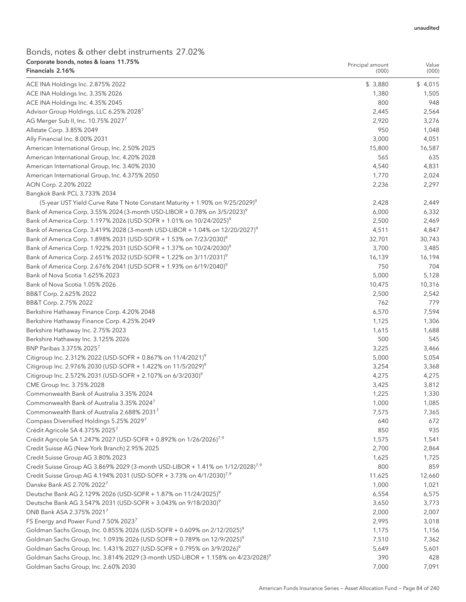### Bonds, notes & other debt instruments 27.02% Corporate bonds, notes & loans 11.75%

| Corporate bonds, notes & loans 11.75%<br>Financials 2.16%                                    | Principal amount<br>(000) | Value<br>(000) |
|----------------------------------------------------------------------------------------------|---------------------------|----------------|
| ACE INA Holdings Inc. 2.875% 2022                                                            | \$3,880                   | \$4,015        |
| ACE INA Holdings Inc. 3.35% 2026                                                             | 1,380                     | 1,505          |
| ACE INA Holdings Inc. 4.35% 2045                                                             | 800                       | 948            |
| Advisor Group Holdings, LLC 6.25% 2028 <sup>7</sup>                                          | 2,445                     | 2,564          |
| AG Merger Sub II, Inc. 10.75% 20277                                                          | 2,920                     | 3,276          |
| Allstate Corp. 3.85% 2049                                                                    | 950                       | 1,048          |
| Ally Financial Inc. 8.00% 2031                                                               | 3,000                     | 4,051          |
| American International Group, Inc. 2.50% 2025                                                | 15,800                    | 16,587         |
| American International Group, Inc. 4.20% 2028                                                | 565                       | 635            |
| American International Group, Inc. 3.40% 2030                                                | 4,540                     | 4,831          |
| American International Group, Inc. 4.375% 2050                                               | 1,770                     | 2,024          |
| AON Corp. 2.20% 2022                                                                         | 2,236                     | 2,297          |
| Bangkok Bank PCL 3.733% 2034                                                                 |                           |                |
| (5-year UST Yield Curve Rate T Note Constant Maturity $+1.90\%$ on $9/25/2029$ )             | 2,428                     | 2,449          |
| Bank of America Corp. 3.55% 2024 (3-month USD-LIBOR + 0.78% on 3/5/2023) <sup>9</sup>        | 6,000                     | 6,332          |
| Bank of America Corp. 1.197% 2026 (USD-SOFR + 1.01% on 10/24/2025) <sup>9</sup>              | 2,500                     | 2,469          |
| Bank of America Corp. 3.419% 2028 (3-month USD-LIBOR + 1.04% on 12/20/2027) <sup>9</sup>     | 4,511                     | 4,847          |
| Bank of America Corp. 1.898% 2031 (USD-SOFR + 1.53% on 7/23/2030) <sup>9</sup>               | 32,701                    | 30,743         |
| Bank of America Corp. 1.922% 2031 (USD-SOFR + 1.37% on 10/24/2030) <sup>9</sup>              | 3,700                     | 3,485          |
| Bank of America Corp. 2.651% 2032 (USD-SOFR + 1.22% on 3/11/2031) <sup>9</sup>               | 16,139                    | 16,194         |
| Bank of America Corp. 2.676% 2041 (USD-SOFR + 1.93% on 6/19/2040) <sup>9</sup>               | 750                       | 704            |
| Bank of Nova Scotia 1.625% 2023                                                              | 5,000                     | 5,128          |
| Bank of Nova Scotia 1.05% 2026                                                               | 10,475                    | 10,316         |
| BB&T Corp. 2.625% 2022                                                                       | 2,500                     | 2,542          |
| BB&T Corp. 2.75% 2022                                                                        | 762                       | 779            |
| Berkshire Hathaway Finance Corp. 4.20% 2048                                                  | 6,570                     | 7,594          |
| Berkshire Hathaway Finance Corp. 4.25% 2049                                                  | 1,125                     | 1,306          |
| Berkshire Hathaway Inc. 2.75% 2023                                                           | 1,615                     | 1,688          |
| Berkshire Hathaway Inc. 3.125% 2026                                                          | 500                       | 545            |
| BNP Paribas 3.375% 2025 <sup>7</sup>                                                         | 3,225                     | 3,466          |
| Citigroup Inc. 2.312% 2022 (USD-SOFR + 0.867% on 11/4/2021) <sup>9</sup>                     | 5,000                     | 5,054          |
| Citigroup Inc. 2.976% 2030 (USD-SOFR + 1.422% on 11/5/2029) <sup>9</sup>                     | 3,254                     | 3,368          |
| Citigroup Inc. 2.572% 2031 (USD-SOFR + 2.107% on 6/3/2030) <sup>9</sup>                      | 4,275                     | 4,275          |
| CME Group Inc. 3.75% 2028                                                                    | 3,425                     | 3,812          |
| Commonwealth Bank of Australia 3.35% 2024                                                    | 1,225                     | 1,330          |
| Commonwealth Bank of Australia 3.35% 20247                                                   | 1,000                     | 1,085          |
| Commonwealth Bank of Australia 2.688% 2031                                                   | 7,575                     | 7,365          |
| Compass Diversified Holdings 5.25% 20297                                                     | 640                       | 672            |
| Crédit Agricole SA 4.375% 2025 <sup>7</sup>                                                  | 850                       | 935            |
| Crédit Agricole SA 1.247% 2027 (USD-SOFR + 0.892% on 1/26/2026) <sup>7,9</sup>               | 1,575                     | 1,541          |
| Credit Suisse AG (New York Branch) 2.95% 2025                                                | 2,700                     | 2,864          |
| Credit Suisse Group AG 3.80% 2023                                                            | 1,625                     | 1,725          |
| Credit Suisse Group AG 3.869% 2029 (3-month USD-LIBOR + 1.41% on 1/12/2028) <sup>7,9</sup>   | 800                       | 859            |
| Credit Suisse Group AG 4.194% 2031 (USD-SOFR + 3.73% on 4/1/2030) <sup>7,9</sup>             | 11,625                    | 12,660         |
| Danske Bank AS 2.70% 2022 <sup>7</sup>                                                       | 1,000                     | 1,021          |
| Deutsche Bank AG 2.129% 2026 (USD-SOFR + 1.87% on 11/24/2025) <sup>9</sup>                   | 6,554                     | 6,575          |
| Deutsche Bank AG 3.547% 2031 (USD-SOFR + 3.043% on 9/18/2030) <sup>9</sup>                   | 3,650                     | 3,773          |
| DNB Bank ASA 2.375% 2021 <sup>7</sup>                                                        | 2,000                     | 2,007          |
| FS Energy and Power Fund 7.50% 2023 <sup>7</sup>                                             | 2,995                     | 3,018          |
| Goldman Sachs Group, Inc. 0.855% 2026 (USD-SOFR + 0.609% on 2/12/2025) <sup>9</sup>          | 1,175                     | 1,156          |
| Goldman Sachs Group, Inc. 1.093% 2026 (USD-SOFR + 0.789% on 12/9/2025) <sup>9</sup>          | 7,510                     | 7,362          |
| Goldman Sachs Group, Inc. 1.431% 2027 (USD-SOFR + 0.795% on 3/9/2026) <sup>9</sup>           | 5,649                     | 5,601          |
| Goldman Sachs Group, Inc. 3.814% 2029 (3-month USD-LIBOR + 1.158% on 4/23/2028) <sup>9</sup> | 390                       | 428            |
| Goldman Sachs Group, Inc. 2.60% 2030                                                         | 7,000                     | 7,091          |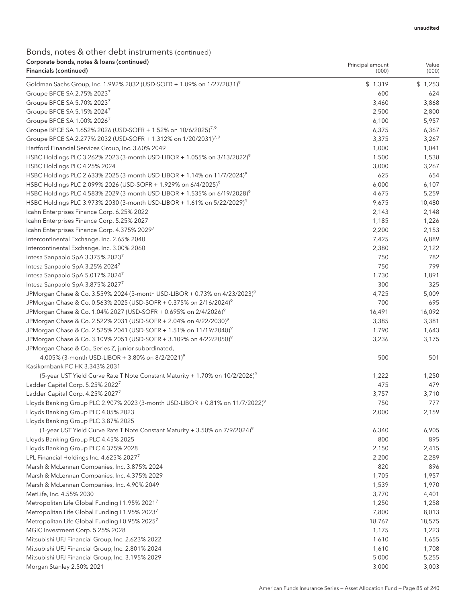| Corporate bonds, notes & Ioans (continued)<br>Financials (continued)                       | Principal amount<br>(000) | Value<br>(000) |
|--------------------------------------------------------------------------------------------|---------------------------|----------------|
| Goldman Sachs Group, Inc. 1.992% 2032 (USD-SOFR + 1.09% on 1/27/2031) <sup>9</sup>         | \$1,319                   | \$1,253        |
| Groupe BPCE SA 2.75% 2023 <sup>7</sup>                                                     | 600                       | 624            |
| Groupe BPCE SA 5.70% 20237                                                                 | 3,460                     | 3,868          |
| Groupe BPCE SA 5.15% 20247                                                                 | 2,500                     | 2,800          |
| Groupe BPCE SA 1.00% 2026 <sup>7</sup>                                                     | 6,100                     | 5,957          |
| Groupe BPCE SA 1.652% 2026 (USD-SOFR + 1.52% on 10/6/2025) <sup>7,9</sup>                  | 6,375                     | 6,367          |
| Groupe BPCE SA 2.277% 2032 (USD-SOFR + 1.312% on 1/20/2031) <sup>7,9</sup>                 | 3,375                     | 3,267          |
| Hartford Financial Services Group, Inc. 3.60% 2049                                         | 1,000                     | 1,041          |
| HSBC Holdings PLC 3.262% 2023 (3-month USD-LIBOR + 1.055% on 3/13/2022) <sup>9</sup>       | 1,500                     | 1,538          |
| HSBC Holdings PLC 4.25% 2024                                                               | 3,000                     | 3,267          |
| HSBC Holdings PLC 2.633% 2025 (3-month USD-LIBOR + 1.14% on 11/7/2024) <sup>9</sup>        | 625                       | 654            |
| HSBC Holdings PLC 2.099% 2026 (USD-SOFR + 1.929% on 6/4/2025) <sup>9</sup>                 | 6,000                     | 6,107          |
| HSBC Holdings PLC 4.583% 2029 (3-month USD-LIBOR + 1.535% on 6/19/2028) <sup>9</sup>       | 4,675                     | 5,259          |
| HSBC Holdings PLC 3.973% 2030 (3-month USD-LIBOR + 1.61% on 5/22/2029) <sup>9</sup>        | 9,675                     | 10,480         |
| Icahn Enterprises Finance Corp. 6.25% 2022                                                 | 2,143                     | 2,148          |
| Icahn Enterprises Finance Corp. 5.25% 2027                                                 | 1,185                     | 1,226          |
| Icahn Enterprises Finance Corp. 4.375% 20297                                               | 2,200                     | 2,153          |
| Intercontinental Exchange, Inc. 2.65% 2040                                                 | 7,425                     | 6,889          |
| Intercontinental Exchange, Inc. 3.00% 2060                                                 | 2,380                     | 2,122          |
| Intesa Sanpaolo SpA 3.375% 20237                                                           | 750                       | 782            |
|                                                                                            | 750                       | 799            |
| Intesa Sanpaolo SpA 3.25% 20247                                                            |                           |                |
| Intesa Sanpaolo SpA 5.017% 20247                                                           | 1,730<br>300              | 1,891<br>325   |
| Intesa Sanpaolo SpA 3.875% 20277                                                           |                           |                |
| JPMorgan Chase & Co. 3.559% 2024 (3-month USD-LIBOR + 0.73% on 4/23/2023) <sup>9</sup>     | 4,725                     | 5,009          |
| JPMorgan Chase & Co. 0.563% 2025 (USD-SOFR + 0.375% on 2/16/2024) <sup>9</sup>             | 700                       | 695            |
| JPMorgan Chase & Co. 1.04% 2027 (USD-SOFR + 0.695% on 2/4/2026) <sup>9</sup>               | 16,491                    | 16,092         |
| JPMorgan Chase & Co. 2.522% 2031 (USD-SOFR + 2.04% on 4/22/2030) <sup>9</sup>              | 3,385                     | 3,381          |
| JPMorgan Chase & Co. 2.525% 2041 (USD-SOFR + 1.51% on 11/19/2040) <sup>9</sup>             | 1,790                     | 1,643          |
| JPMorgan Chase & Co. 3.109% 2051 (USD-SOFR + 3.109% on 4/22/2050) <sup>9</sup>             | 3,236                     | 3,175          |
| JPMorgan Chase & Co., Series Z, junior subordinated,                                       |                           |                |
| 4.005% (3-month USD-LIBOR + 3.80% on 8/2/2021) <sup>9</sup>                                | 500                       | 501            |
| Kasikornbank PC HK 3.343% 2031                                                             |                           |                |
| (5-year UST Yield Curve Rate T Note Constant Maturity + 1.70% on 10/2/2026) <sup>9</sup>   | 1,222                     | 1,250          |
| Ladder Capital Corp. 5.25% 2022 <sup>7</sup>                                               | 475                       | 479            |
| Ladder Capital Corp. 4.25% 20277                                                           | 3,757                     | 3,710          |
| Lloyds Banking Group PLC 2.907% 2023 (3-month USD-LIBOR + 0.81% on 11/7/2022) <sup>9</sup> | 750                       | 777            |
| Lloyds Banking Group PLC 4.05% 2023                                                        | 2,000                     | 2,159          |
| Lloyds Banking Group PLC 3.87% 2025                                                        |                           |                |
| (1-year UST Yield Curve Rate T Note Constant Maturity + 3.50% on 7/9/2024) <sup>9</sup>    | 6,340                     | 6,905          |
| Lloyds Banking Group PLC 4.45% 2025                                                        | 800                       | 895            |
| Lloyds Banking Group PLC 4.375% 2028                                                       | 2,150                     | 2,415          |
| LPL Financial Holdings Inc. 4.625% 20277                                                   | 2,200                     | 2,289          |
| Marsh & McLennan Companies, Inc. 3.875% 2024                                               | 820                       | 896            |
| Marsh & McLennan Companies, Inc. 4.375% 2029                                               | 1,705                     | 1,957          |
| Marsh & McLennan Companies, Inc. 4.90% 2049                                                | 1,539                     | 1,970          |
| MetLife, Inc. 4.55% 2030                                                                   | 3,770                     | 4,401          |
| Metropolitan Life Global Funding I 1.95% 20217                                             | 1,250                     | 1,258          |
| Metropolitan Life Global Funding I 1.95% 20237                                             | 7,800                     | 8,013          |
| Metropolitan Life Global Funding I 0.95% 20257                                             | 18,767                    | 18,575         |
| MGIC Investment Corp. 5.25% 2028                                                           | 1,175                     | 1,223          |
| Mitsubishi UFJ Financial Group, Inc. 2.623% 2022                                           | 1,610                     | 1,655          |
| Mitsubishi UFJ Financial Group, Inc. 2.801% 2024                                           | 1,610                     | 1,708          |
| Mitsubishi UFJ Financial Group, Inc. 3.195% 2029                                           | 5,000                     | 5,255          |
| Morgan Stanley 2.50% 2021                                                                  | 3,000                     | 3,003          |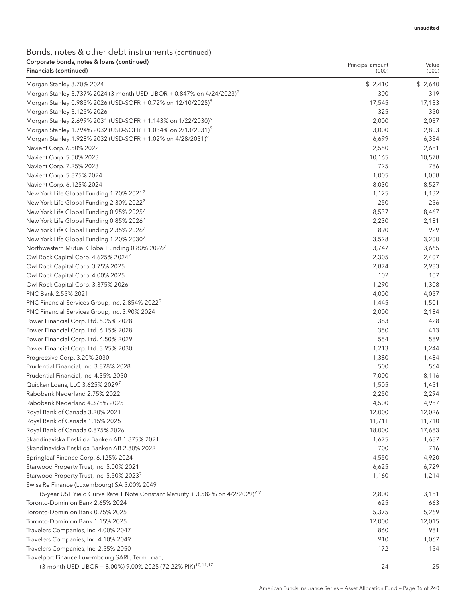Principal amount

| Financials (continued)                                                                     | (000)   | (000)   |
|--------------------------------------------------------------------------------------------|---------|---------|
| Morgan Stanley 3.70% 2024                                                                  | \$2,410 | \$2,640 |
| Morgan Stanley 3.737% 2024 (3-month USD-LIBOR + 0.847% on 4/24/2023) <sup>9</sup>          | 300     | 319     |
| Morgan Stanley 0.985% 2026 (USD-SOFR + 0.72% on 12/10/2025) <sup>9</sup>                   | 17,545  | 17,133  |
| Morgan Stanley 3.125% 2026                                                                 | 325     | 350     |
| Morgan Stanley 2.699% 2031 (USD-SOFR + 1.143% on 1/22/2030) <sup>9</sup>                   | 2,000   | 2,037   |
| Morgan Stanley 1.794% 2032 (USD-SOFR + 1.034% on 2/13/2031) <sup>9</sup>                   | 3,000   | 2,803   |
| Morgan Stanley 1.928% 2032 (USD-SOFR + 1.02% on 4/28/2031) <sup>9</sup>                    | 6,699   | 6,334   |
| Navient Corp. 6.50% 2022                                                                   | 2,550   | 2,681   |
| Navient Corp. 5.50% 2023                                                                   | 10,165  | 10,578  |
| Navient Corp. 7.25% 2023                                                                   | 725     | 786     |
| Navient Corp. 5.875% 2024                                                                  | 1,005   | 1,058   |
| Navient Corp. 6.125% 2024                                                                  | 8,030   | 8,527   |
| New York Life Global Funding 1.70% 2021'                                                   | 1,125   | 1,132   |
| New York Life Global Funding 2.30% 2022 <sup>7</sup>                                       | 250     | 256     |
| New York Life Global Funding 0.95% 2025 <sup>7</sup>                                       | 8,537   | 8,467   |
| New York Life Global Funding 0.85% 2026 <sup>7</sup>                                       | 2,230   | 2,181   |
| New York Life Global Funding 2.35% 2026 <sup>7</sup>                                       | 890     | 929     |
| New York Life Global Funding 1.20% 2030 <sup>7</sup>                                       | 3,528   | 3,200   |
| Northwestern Mutual Global Funding 0.80% 2026 <sup>7</sup>                                 | 3,747   | 3,665   |
| Owl Rock Capital Corp. 4.625% 20247                                                        | 2,305   | 2,407   |
| Owl Rock Capital Corp. 3.75% 2025                                                          | 2,874   | 2,983   |
| Owl Rock Capital Corp. 4.00% 2025                                                          | 102     | 107     |
| Owl Rock Capital Corp. 3.375% 2026                                                         | 1,290   | 1,308   |
| PNC Bank 2.55% 2021                                                                        | 4,000   | 4,057   |
| PNC Financial Services Group, Inc. 2.854% 2022 <sup>9</sup>                                | 1,445   | 1,501   |
| PNC Financial Services Group, Inc. 3.90% 2024                                              | 2,000   | 2,184   |
| Power Financial Corp. Ltd. 5.25% 2028                                                      | 383     | 428     |
| Power Financial Corp. Ltd. 6.15% 2028                                                      | 350     | 413     |
| Power Financial Corp. Ltd. 4.50% 2029                                                      | 554     | 589     |
| Power Financial Corp. Ltd. 3.95% 2030                                                      | 1,213   | 1,244   |
| Progressive Corp. 3.20% 2030                                                               | 1,380   | 1,484   |
| Prudential Financial, Inc. 3.878% 2028                                                     | 500     | 564     |
| Prudential Financial, Inc. 4.35% 2050                                                      | 7,000   | 8,116   |
| Quicken Loans, LLC 3.625% 20297                                                            | 1,505   | 1,451   |
| Rabobank Nederland 2.75% 2022                                                              | 2,250   | 2,294   |
| Rabobank Nederland 4.375% 2025                                                             | 4,500   | 4,987   |
| Royal Bank of Canada 3.20% 2021                                                            | 12,000  | 12,026  |
| Royal Bank of Canada 1.15% 2025                                                            | 11,711  | 11,710  |
| Royal Bank of Canada 0.875% 2026                                                           | 18,000  | 17,683  |
| Skandinaviska Enskilda Banken AB 1.875% 2021                                               | 1,675   | 1,687   |
| Skandinaviska Enskilda Banken AB 2.80% 2022                                                | 700     | 716     |
| Springleaf Finance Corp. 6.125% 2024                                                       | 4,550   | 4,920   |
| Starwood Property Trust, Inc. 5.00% 2021                                                   | 6,625   | 6,729   |
| Starwood Property Trust, Inc. 5.50% 2023 <sup>7</sup>                                      | 1,160   | 1,214   |
| Swiss Re Finance (Luxembourg) SA 5.00% 2049                                                |         |         |
| (5-year UST Yield Curve Rate T Note Constant Maturity + 3.582% on 4/2/2029) <sup>7,9</sup> | 2,800   | 3,181   |
| Toronto-Dominion Bank 2.65% 2024                                                           | 625     | 663     |
| Toronto-Dominion Bank 0.75% 2025                                                           | 5,375   | 5,269   |
| Toronto-Dominion Bank 1.15% 2025                                                           | 12,000  | 12,015  |
| Travelers Companies, Inc. 4.00% 2047                                                       | 860     | 981     |
| Travelers Companies, Inc. 4.10% 2049                                                       | 910     | 1,067   |
| Travelers Companies, Inc. 2.55% 2050                                                       | 172     | 154     |
| Travelport Finance Luxembourg SARL, Term Loan,                                             |         |         |
| (3-month USD-LIBOR + 8.00%) 9.00% 2025 (72.22% PIK) <sup>10,11,12</sup>                    | 24      | 25      |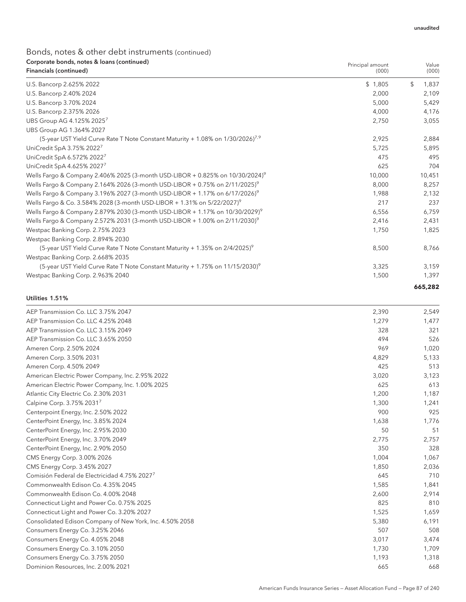Principal amount

# Bonds, notes & other debt instruments (continued) Corporate bonds, notes & loans (continued)

| Financials (continued)                                                                      | (000)   | (000)       |
|---------------------------------------------------------------------------------------------|---------|-------------|
| U.S. Bancorp 2.625% 2022                                                                    | \$1,805 | \$<br>1,837 |
| U.S. Bancorp 2.40% 2024                                                                     | 2,000   | 2,109       |
| U.S. Bancorp 3.70% 2024                                                                     | 5,000   | 5,429       |
| U.S. Bancorp 2.375% 2026                                                                    | 4.000   | 4,176       |
| UBS Group AG 4.125% 2025 <sup>7</sup>                                                       | 2,750   | 3,055       |
| UBS Group AG 1.364% 2027                                                                    |         |             |
| (5-year UST Yield Curve Rate T Note Constant Maturity + 1.08% on 1/30/2026) <sup>7,9</sup>  | 2,925   | 2,884       |
| UniCredit SpA 3.75% 2022 <sup>7</sup>                                                       | 5,725   | 5,895       |
| UniCredit SpA 6.572% 2022 <sup>7</sup>                                                      | 475     | 495         |
| UniCredit SpA 4.625% 20277                                                                  | 625     | 704         |
| Wells Fargo & Company 2.406% 2025 (3-month USD-LIBOR + 0.825% on 10/30/2024) <sup>9</sup>   | 10,000  | 10,451      |
| Wells Fargo & Company 2.164% 2026 (3-month USD-LIBOR + 0.75% on 2/11/2025) <sup>9</sup>     | 8,000   | 8,257       |
| Wells Fargo & Company 3.196% 2027 (3-month USD-LIBOR + 1.17% on 6/17/2026) <sup>9</sup>     | 1,988   | 2,132       |
| Wells Fargo & Co. 3.584% 2028 (3-month USD-LIBOR + 1.31% on 5/22/2027) <sup>9</sup>         | 217     | 237         |
| Wells Fargo & Company 2.879% 2030 (3-month USD-LIBOR + 1.17% on 10/30/2029) <sup>9</sup>    | 6,556   | 6,759       |
| Wells Fargo & Company 2.572% 2031 (3-month USD-LIBOR + 1.00% on 2/11/2030) <sup>9</sup>     | 2,416   | 2,431       |
| Westpac Banking Corp. 2.75% 2023                                                            | 1.750   | 1,825       |
| Westpac Banking Corp. 2.894% 2030                                                           |         |             |
| (5-year UST Yield Curve Rate T Note Constant Maturity + 1.35% on $2/4/2025$ ) <sup>9</sup>  | 8,500   | 8,766       |
| Westpac Banking Corp. 2.668% 2035                                                           |         |             |
| (5-year UST Yield Curve Rate T Note Constant Maturity $+1.75\%$ on 11/15/2030) <sup>9</sup> | 3,325   | 3,159       |
| Westpac Banking Corp. 2.963% 2040                                                           | 1,500   | 1,397       |
|                                                                                             |         | 665,282     |

#### Utilities 1.51%

| AEP Transmission Co. LLC 3.75% 2047                      | 2,390 | 2,549 |
|----------------------------------------------------------|-------|-------|
| AEP Transmission Co. LLC 4.25% 2048                      | 1,279 | 1,477 |
| AEP Transmission Co. LLC 3.15% 2049                      | 328   | 321   |
| AEP Transmission Co. LLC 3.65% 2050                      | 494   | 526   |
| Ameren Corp. 2.50% 2024                                  | 969   | 1,020 |
| Ameren Corp. 3.50% 2031                                  | 4,829 | 5,133 |
| Ameren Corp. 4.50% 2049                                  | 425   | 513   |
| American Electric Power Company, Inc. 2.95% 2022         | 3,020 | 3,123 |
| American Electric Power Company, Inc. 1.00% 2025         | 625   | 613   |
| Atlantic City Electric Co. 2.30% 2031                    | 1,200 | 1,187 |
| Calpine Corp. 3.75% 20317                                | 1,300 | 1,241 |
| Centerpoint Energy, Inc. 2.50% 2022                      | 900   | 925   |
| CenterPoint Energy, Inc. 3.85% 2024                      | 1,638 | 1,776 |
| CenterPoint Energy, Inc. 2.95% 2030                      | 50    | 51    |
| CenterPoint Energy, Inc. 3.70% 2049                      | 2,775 | 2,757 |
| CenterPoint Energy, Inc. 2.90% 2050                      | 350   | 328   |
| CMS Energy Corp. 3.00% 2026                              | 1,004 | 1,067 |
| CMS Energy Corp. 3.45% 2027                              | 1,850 | 2,036 |
| Comisión Federal de Electricidad 4.75% 2027 <sup>7</sup> | 645   | 710   |
| Commonwealth Edison Co. 4.35% 2045                       | 1,585 | 1,841 |
| Commonwealth Edison Co. 4.00% 2048                       | 2,600 | 2,914 |
| Connecticut Light and Power Co. 0.75% 2025               | 825   | 810   |
| Connecticut Light and Power Co. 3.20% 2027               | 1,525 | 1,659 |
| Consolidated Edison Company of New York, Inc. 4.50% 2058 | 5,380 | 6,191 |
| Consumers Energy Co. 3.25% 2046                          | 507   | 508   |
| Consumers Energy Co. 4.05% 2048                          | 3,017 | 3,474 |
| Consumers Energy Co. 3.10% 2050                          | 1,730 | 1,709 |
| Consumers Energy Co. 3.75% 2050                          | 1,193 | 1,318 |
| Dominion Resources, Inc. 2.00% 2021                      | 665   | 668   |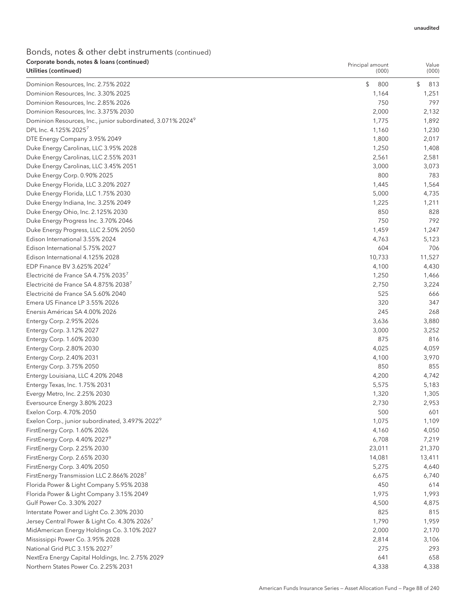| Corporate bonds, notes & Ioans (continued)<br>Utilities (continued)     | Principal amount<br>(000) | Value<br>(000) |
|-------------------------------------------------------------------------|---------------------------|----------------|
| Dominion Resources, Inc. 2.75% 2022                                     | \$<br>800                 | \$<br>813      |
| Dominion Resources, Inc. 3.30% 2025                                     | 1,164                     | 1,251          |
| Dominion Resources, Inc. 2.85% 2026                                     | 750                       | 797            |
| Dominion Resources, Inc. 3.375% 2030                                    | 2,000                     | 2,132          |
| Dominion Resources, Inc., junior subordinated, 3.071% 2024 <sup>9</sup> | 1,775                     | 1,892          |
| DPL Inc. 4.125% 2025 <sup>7</sup>                                       | 1,160                     | 1,230          |
| DTE Energy Company 3.95% 2049                                           | 1,800                     | 2,017          |
| Duke Energy Carolinas, LLC 3.95% 2028                                   | 1,250                     | 1,408          |
| Duke Energy Carolinas, LLC 2.55% 2031                                   | 2,561                     | 2,581          |
| Duke Energy Carolinas, LLC 3.45% 2051                                   | 3,000                     | 3,073          |
| Duke Energy Corp. 0.90% 2025                                            | 800                       | 783            |
| Duke Energy Florida, LLC 3.20% 2027                                     | 1,445                     | 1,564          |
| Duke Energy Florida, LLC 1.75% 2030                                     | 5,000                     | 4,735          |
| Duke Energy Indiana, Inc. 3.25% 2049                                    | 1,225                     | 1,211          |
| Duke Energy Ohio, Inc. 2.125% 2030                                      | 850                       | 828            |
| Duke Energy Progress Inc. 3.70% 2046                                    | 750                       | 792            |
| Duke Energy Progress, LLC 2.50% 2050                                    | 1,459                     | 1,247          |
| Edison International 3.55% 2024                                         | 4,763                     | 5,123          |
| Edison International 5.75% 2027                                         | 604                       | 706            |
| Edison International 4.125% 2028                                        | 10,733                    | 11,527         |
| EDP Finance BV 3.625% 2024 <sup>7</sup>                                 | 4,100                     | 4,430          |
| Electricité de France SA 4.75% 20357                                    | 1,250                     | 1,466          |
| Electricité de France SA 4.875% 2038 <sup>7</sup>                       | 2,750                     | 3,224          |
| Electricité de France SA 5.60% 2040                                     | 525                       | 666            |
| Emera US Finance LP 3.55% 2026                                          | 320                       | 347            |
| Enersis Américas SA 4.00% 2026                                          | 245                       | 268            |
| Entergy Corp. 2.95% 2026                                                | 3,636                     | 3,880          |
| Entergy Corp. 3.12% 2027                                                | 3,000                     | 3,252          |
| Entergy Corp. 1.60% 2030                                                | 875                       | 816            |
| Entergy Corp. 2.80% 2030                                                | 4,025                     | 4,059          |
| Entergy Corp. 2.40% 2031                                                | 4,100                     | 3,970          |
| Entergy Corp. 3.75% 2050                                                | 850                       | 855            |
| Entergy Louisiana, LLC 4.20% 2048                                       | 4,200                     | 4,742          |
| Entergy Texas, Inc. 1.75% 2031                                          | 5,575                     | 5,183          |
| Evergy Metro, Inc. 2.25% 2030                                           | 1,320                     | 1,305          |
| Eversource Energy 3.80% 2023                                            | 2,730                     | 2,953          |
| Exelon Corp. 4.70% 2050                                                 | 500                       | 601            |
| Exelon Corp., junior subordinated, 3.497% 2022 <sup>9</sup>             | 1,075                     | 1,109          |
| FirstEnergy Corp. 1.60% 2026                                            | 4,160                     | 4,050          |
| FirstEnergy Corp. 4.40% 2027 <sup>9</sup>                               | 6,708                     | 7,219          |
| FirstEnergy Corp. 2.25% 2030                                            | 23,011                    | 21,370         |
| FirstEnergy Corp. 2.65% 2030                                            | 14,081                    | 13,411         |
| FirstEnergy Corp. 3.40% 2050                                            | 5,275                     | 4,640          |
| FirstEnergy Transmission LLC 2.866% 2028 <sup>7</sup>                   | 6,675                     | 6,740          |
| Florida Power & Light Company 5.95% 2038                                | 450                       | 614            |
| Florida Power & Light Company 3.15% 2049                                | 1,975                     | 1,993          |
| Gulf Power Co. 3.30% 2027                                               | 4,500                     | 4,875          |
| Interstate Power and Light Co. 2.30% 2030                               | 825                       | 815            |
| Jersey Central Power & Light Co. 4.30% 2026 <sup>7</sup>                | 1,790                     | 1,959          |
| MidAmerican Energy Holdings Co. 3.10% 2027                              | 2,000                     | 2,170          |
| Mississippi Power Co. 3.95% 2028                                        | 2,814                     | 3,106          |
| National Grid PLC 3.15% 20277                                           | 275                       | 293            |
| NextEra Energy Capital Holdings, Inc. 2.75% 2029                        | 641                       | 658            |
| Northern States Power Co. 2.25% 2031                                    | 4,338                     | 4,338          |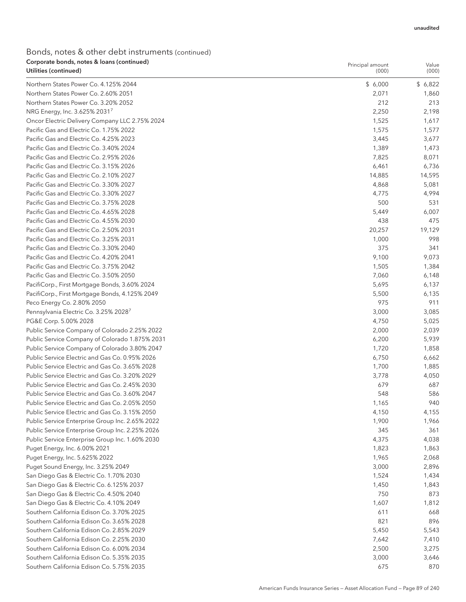| Corporate bonds, notes & loans (continued)<br>Utilities (continued) | Principal amount<br>(000) | Value<br>(000) |
|---------------------------------------------------------------------|---------------------------|----------------|
| Northern States Power Co. 4.125% 2044                               | \$6,000                   | \$6,822        |
| Northern States Power Co. 2.60% 2051                                | 2,071                     | 1,860          |
| Northern States Power Co. 3.20% 2052                                | 212                       | 213            |
| NRG Energy, Inc. 3.625% 2031 <sup>7</sup>                           | 2,250                     | 2,198          |
| Oncor Electric Delivery Company LLC 2.75% 2024                      | 1,525                     | 1,617          |
| Pacific Gas and Electric Co. 1.75% 2022                             | 1,575                     | 1,577          |
| Pacific Gas and Electric Co. 4.25% 2023                             | 3,445                     | 3,677          |
| Pacific Gas and Electric Co. 3.40% 2024                             | 1,389                     | 1,473          |
| Pacific Gas and Electric Co. 2.95% 2026                             | 7,825                     | 8,071          |
| Pacific Gas and Electric Co. 3.15% 2026                             | 6,461                     | 6,736          |
| Pacific Gas and Electric Co. 2.10% 2027                             | 14,885                    | 14,595         |
| Pacific Gas and Electric Co. 3.30% 2027                             | 4,868                     | 5,081          |
| Pacific Gas and Electric Co. 3.30% 2027                             | 4,775                     | 4,994          |
| Pacific Gas and Electric Co. 3.75% 2028                             | 500                       | 531            |
| Pacific Gas and Electric Co. 4.65% 2028                             | 5,449                     | 6,007          |
| Pacific Gas and Electric Co. 4.55% 2030                             | 438                       | 475            |
| Pacific Gas and Electric Co. 2.50% 2031                             | 20,257                    | 19,129         |
| Pacific Gas and Electric Co. 3.25% 2031                             | 1,000                     | 998            |
| Pacific Gas and Electric Co. 3.30% 2040                             | 375                       | 341            |
| Pacific Gas and Electric Co. 4.20% 2041                             | 9,100                     | 9,073          |
| Pacific Gas and Electric Co. 3.75% 2042                             | 1,505                     | 1,384          |
| Pacific Gas and Electric Co. 3.50% 2050                             | 7,060                     | 6,148          |
| PacifiCorp., First Mortgage Bonds, 3.60% 2024                       | 5,695                     | 6,137          |
| PacifiCorp., First Mortgage Bonds, 4.125% 2049                      | 5,500                     | 6,135          |
| Peco Energy Co. 2.80% 2050                                          | 975                       | 911            |
| Pennsylvania Electric Co. 3.25% 2028                                | 3,000                     | 3,085          |
| PG&E Corp. 5.00% 2028                                               | 4,750                     | 5,025          |
| Public Service Company of Colorado 2.25% 2022                       | 2,000                     | 2,039          |
| Public Service Company of Colorado 1.875% 2031                      | 6,200                     | 5,939          |
| Public Service Company of Colorado 3.80% 2047                       | 1,720                     | 1,858          |
| Public Service Electric and Gas Co. 0.95% 2026                      | 6,750                     | 6,662          |
| Public Service Electric and Gas Co. 3.65% 2028                      | 1,700                     | 1,885          |
| Public Service Electric and Gas Co. 3.20% 2029                      | 3,778                     | 4,050          |
| Public Service Electric and Gas Co. 2.45% 2030                      | 679                       | 687            |
| Public Service Electric and Gas Co. 3.60% 2047                      | 548                       | 586            |
| Public Service Electric and Gas Co. 2.05% 2050                      | 1,165                     | 940            |
| Public Service Electric and Gas Co. 3.15% 2050                      | 4,150                     | 4,155          |
| Public Service Enterprise Group Inc. 2.65% 2022                     | 1,900                     | 1,966          |
| Public Service Enterprise Group Inc. 2.25% 2026                     | 345                       | 361            |
| Public Service Enterprise Group Inc. 1.60% 2030                     | 4,375                     | 4,038          |
| Puget Energy, Inc. 6.00% 2021                                       | 1,823                     | 1,863          |
| Puget Energy, Inc. 5.625% 2022                                      | 1,965                     | 2,068          |
| Puget Sound Energy, Inc. 3.25% 2049                                 | 3,000                     | 2,896          |
| San Diego Gas & Electric Co. 1.70% 2030                             | 1,524                     | 1,434          |
| San Diego Gas & Electric Co. 6.125% 2037                            | 1,450                     | 1,843          |
| San Diego Gas & Electric Co. 4.50% 2040                             | 750                       | 873            |
| San Diego Gas & Electric Co. 4.10% 2049                             | 1,607                     | 1,812          |
| Southern California Edison Co. 3.70% 2025                           | 611                       | 668            |
| Southern California Edison Co. 3.65% 2028                           | 821                       | 896            |
| Southern California Edison Co. 2.85% 2029                           | 5,450                     | 5,543          |
| Southern California Edison Co. 2.25% 2030                           | 7,642                     | 7,410          |
| Southern California Edison Co. 6.00% 2034                           | 2,500                     | 3,275          |
| Southern California Edison Co. 5.35% 2035                           | 3,000                     | 3,646          |
| Southern California Edison Co. 5.75% 2035                           | 675                       | 870            |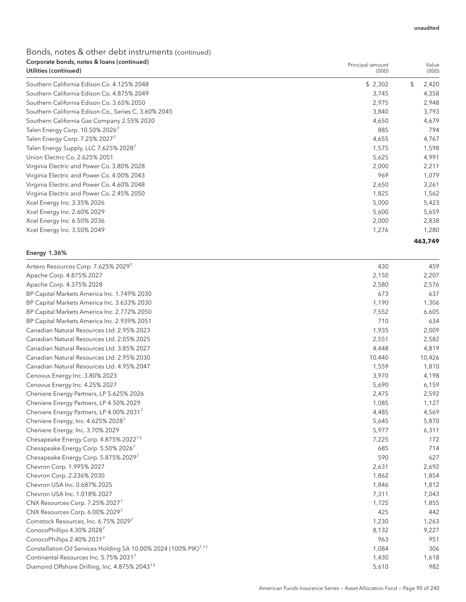| Corporate bonds, notes & loans (continued)<br>Utilities (continued) | Principal amount<br>(000) | Value<br>(000) |
|---------------------------------------------------------------------|---------------------------|----------------|
| Southern California Edison Co. 4.125% 2048                          | \$2,302                   | \$<br>2,420    |
| Southern California Edison Co. 4.875% 2049                          | 3,745                     | 4,358          |
| Southern California Edison Co. 3.65% 2050                           | 2,975                     | 2,948          |
| Southern California Edison Co., Series C, 3.60% 2045                | 3,840                     | 3,793          |
| Southern California Gas Company 2.55% 2030                          | 4,650                     | 4,679          |
| Talen Energy Corp. 10.50% 2026 <sup>7</sup>                         | 885                       | 794            |
| Talen Energy Corp. 7.25% 20277                                      | 4,655                     | 4,767          |
| Talen Energy Supply, LLC 7.625% 20287                               | 1,575                     | 1,598          |
| Union Electric Co. 2.625% 2051                                      | 5,625                     | 4,991          |
| Virginia Electric and Power Co. 3.80% 2028                          | 2,000                     | 2,211          |
| Virginia Electric and Power Co. 4.00% 2043                          | 969                       | 1,079          |
| Virginia Electric and Power Co. 4.60% 2048                          | 2,650                     | 3,261          |
| Virginia Electric and Power Co. 2.45% 2050                          | 1,825                     | 1,562          |
| Xcel Energy Inc. 3.35% 2026                                         | 5,000                     | 5,423          |
| Xcel Energy Inc. 2.60% 2029                                         | 5,600                     | 5,659          |
| Xcel Energy Inc. 6.50% 2036                                         | 2,000                     | 2,838          |
| Xcel Energy Inc. 3.50% 2049                                         | 1,276                     | 1,280          |
|                                                                     |                           | 463,749        |

#### Energy 1.36%

| Antero Resources Corp. 7.625% 20297                                          | 430    | 459    |
|------------------------------------------------------------------------------|--------|--------|
| Apache Corp. 4.875% 2027                                                     | 2,150  | 2,207  |
| Apache Corp. 4.375% 2028                                                     | 2,580  | 2,576  |
| BP Capital Markets America Inc. 1.749% 2030                                  | 673    | 637    |
| BP Capital Markets America Inc. 3.633% 2030                                  | 1,190  | 1,306  |
| BP Capital Markets America Inc. 2.772% 2050                                  | 7,552  | 6,605  |
| BP Capital Markets America Inc. 2.939% 2051                                  | 710    | 634    |
| Canadian Natural Resources Ltd. 2.95% 2023                                   | 1,935  | 2,009  |
| Canadian Natural Resources Ltd. 2.05% 2025                                   | 2,551  | 2,582  |
| Canadian Natural Resources Ltd. 3.85% 2027                                   | 4,448  | 4,819  |
| Canadian Natural Resources Ltd. 2.95% 2030                                   | 10,440 | 10,426 |
| Canadian Natural Resources Ltd. 4.95% 2047                                   | 1,559  | 1,810  |
| Cenovus Energy Inc. 3.80% 2023                                               | 3,970  | 4,198  |
| Cenovus Energy Inc. 4.25% 2027                                               | 5,690  | 6,159  |
| Cheniere Energy Partners, LP 5.625% 2026                                     | 2,475  | 2,592  |
| Cheniere Energy Partners, LP 4.50% 2029                                      | 1,085  | 1,127  |
| Cheniere Energy Partners, LP 4.00% 20317                                     | 4,485  | 4,569  |
| Cheniere Energy, Inc. 4.625% 20287                                           | 5,645  | 5,870  |
| Cheniere Energy, Inc. 3.70% 2029                                             | 5,977  | 6,311  |
| Chesapeake Energy Corp. 4.875% 2022 <sup>13</sup>                            | 7,225  | 172    |
| Chesapeake Energy Corp. 5.50% 2026 <sup>7</sup>                              | 685    | 714    |
| Chesapeake Energy Corp. 5.875% 2029 <sup>7</sup>                             | 590    | 627    |
| Chevron Corp. 1.995% 2027                                                    | 2,631  | 2,692  |
| Chevron Corp. 2.236% 2030                                                    | 1,862  | 1,854  |
| Chevron USA Inc. 0.687% 2025                                                 | 1,846  | 1,812  |
| Chevron USA Inc. 1.018% 2027                                                 | 7,311  | 7,043  |
| CNX Resources Corp. 7.25% 20277                                              | 1,725  | 1,855  |
| CNX Resources Corp. 6.00% 20297                                              | 425    | 442    |
| Comstock Resources, Inc. 6.75% 20297                                         | 1,230  | 1,263  |
| ConocoPhillips 4.30% 20287                                                   | 8,132  | 9,227  |
| ConocoPhillips 2.40% 20317                                                   | 963    | 951    |
| Constellation Oil Services Holding SA 10.00% 2024 (100% PIK) <sup>7,11</sup> | 1,084  | 306    |
| Continental Resources Inc. 5.75% 2031 <sup>7</sup>                           | 1,430  | 1,618  |
| Diamond Offshore Drilling, Inc. 4.875% 2043 <sup>13</sup>                    | 5,610  | 982    |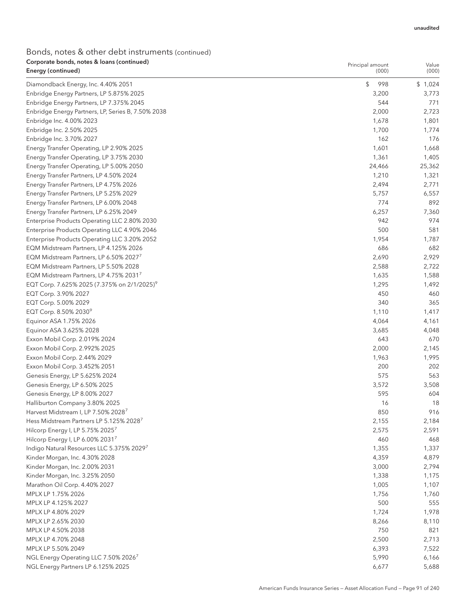| Corporate bonds, notes & Ioans (continued)<br>Energy (continued) | Principal amount<br>(000) | Value<br>(000) |
|------------------------------------------------------------------|---------------------------|----------------|
|                                                                  |                           |                |
| Diamondback Energy, Inc. 4.40% 2051                              | \$<br>998                 | \$1,024        |
| Enbridge Energy Partners, LP 5.875% 2025                         | 3,200                     | 3,773          |
| Enbridge Energy Partners, LP 7.375% 2045                         | 544                       | 771            |
| Enbridge Energy Partners, LP, Series B, 7.50% 2038               | 2,000                     | 2,723          |
| Enbridge Inc. 4.00% 2023                                         | 1,678                     | 1,801          |
| Enbridge Inc. 2.50% 2025                                         | 1,700                     | 1,774          |
| Enbridge Inc. 3.70% 2027                                         | 162                       | 176            |
| Energy Transfer Operating, LP 2.90% 2025                         | 1,601                     | 1,668          |
| Energy Transfer Operating, LP 3.75% 2030                         | 1,361                     | 1,405          |
| Energy Transfer Operating, LP 5.00% 2050                         | 24,466                    | 25,362         |
| Energy Transfer Partners, LP 4.50% 2024                          | 1,210                     | 1,321          |
| Energy Transfer Partners, LP 4.75% 2026                          | 2,494                     | 2,771          |
| Energy Transfer Partners, LP 5.25% 2029                          | 5,757                     | 6,557          |
| Energy Transfer Partners, LP 6.00% 2048                          | 774                       | 892            |
| Energy Transfer Partners, LP 6.25% 2049                          | 6,257                     | 7,360          |
| Enterprise Products Operating LLC 2.80% 2030                     | 942                       | 974            |
| Enterprise Products Operating LLC 4.90% 2046                     | 500                       | 581            |
| Enterprise Products Operating LLC 3.20% 2052                     | 1,954                     | 1,787          |
| EQM Midstream Partners, LP 4.125% 2026                           | 686                       | 682            |
| EQM Midstream Partners, LP 6.50% 20277                           | 2,690                     | 2,929          |
| EQM Midstream Partners, LP 5.50% 2028                            | 2,588                     | 2,722          |
| EQM Midstream Partners, LP 4.75% 20317                           | 1,635                     | 1,588          |
| EQT Corp. 7.625% 2025 (7.375% on 2/1/2025) <sup>9</sup>          | 1,295                     | 1,492          |
| EQT Corp. 3.90% 2027                                             | 450                       | 460            |
| EQT Corp. 5.00% 2029                                             | 340                       | 365            |
| EQT Corp. 8.50% 20309                                            | 1,110                     | 1,417          |
| Equinor ASA 1.75% 2026                                           | 4,064                     | 4,161          |
| Equinor ASA 3.625% 2028                                          | 3,685                     | 4,048          |
| Exxon Mobil Corp. 2.019% 2024                                    | 643                       | 670            |
| Exxon Mobil Corp. 2.992% 2025                                    | 2,000                     | 2,145          |
| Exxon Mobil Corp. 2.44% 2029                                     | 1,963                     | 1,995          |
| Exxon Mobil Corp. 3.452% 2051                                    | 200                       | 202            |
| Genesis Energy, LP 5.625% 2024                                   | 575                       | 563            |
| Genesis Energy, LP 6.50% 2025                                    | 3,572                     | 3,508          |
| Genesis Energy, LP 8.00% 2027                                    | 595                       | 604            |
| Halliburton Company 3.80% 2025                                   | 16                        | 18             |
| Harvest Midstream I, LP 7.50% 2028 <sup>7</sup>                  | 850                       | 916            |
| Hess Midstream Partners LP 5.125% 2028 <sup>7</sup>              | 2,155                     | 2,184          |
| Hilcorp Energy I, LP 5.75% 2025 <sup>7</sup>                     | 2,575                     | 2,591          |
| Hilcorp Energy I, LP 6.00% 2031 <sup>7</sup>                     | 460                       | 468            |
| Indigo Natural Resources LLC 5.375% 20297                        | 1,355                     | 1,337          |
| Kinder Morgan, Inc. 4.30% 2028                                   | 4,359                     | 4,879          |
| Kinder Morgan, Inc. 2.00% 2031                                   | 3,000                     | 2,794          |
| Kinder Morgan, Inc. 3.25% 2050                                   | 1,338                     | 1,175          |
| Marathon Oil Corp. 4.40% 2027                                    | 1,005                     | 1,107          |
| MPLX LP 1.75% 2026                                               | 1,756                     | 1,760          |
| MPLX LP 4.125% 2027                                              | 500                       | 555            |
| MPLX LP 4.80% 2029                                               | 1,724                     | 1,978          |
| MPLX LP 2.65% 2030                                               | 8,266                     | 8,110          |
| MPLX LP 4.50% 2038                                               | 750                       | 821            |
| MPLX LP 4.70% 2048                                               | 2,500                     | 2,713          |
| MPLX LP 5.50% 2049                                               | 6,393                     | 7,522          |
| NGL Energy Operating LLC 7.50% 2026 <sup>7</sup>                 | 5,990                     | 6,166          |
| NGL Energy Partners LP 6.125% 2025                               | 6,677                     | 5,688          |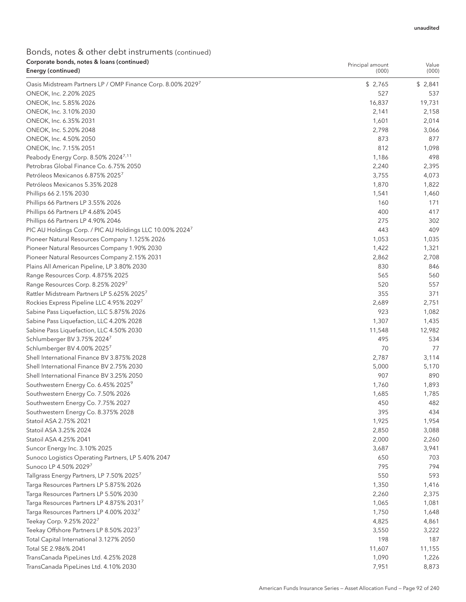| Corporate bonds, notes & Ioans (continued)<br>Energy (continued)     | Principal amount<br>(000) | Value<br>(000) |
|----------------------------------------------------------------------|---------------------------|----------------|
|                                                                      |                           |                |
| Oasis Midstream Partners LP / OMP Finance Corp. 8.00% 20297          | \$2,765                   | \$2,841        |
| ONEOK, Inc. 2.20% 2025                                               | 527                       | 537            |
| ONEOK, Inc. 5.85% 2026                                               | 16,837                    | 19,731         |
| ONEOK, Inc. 3.10% 2030                                               | 2,141                     | 2,158          |
| ONEOK, Inc. 6.35% 2031                                               | 1,601                     | 2,014          |
| ONEOK, Inc. 5.20% 2048                                               | 2,798                     | 3,066          |
| ONEOK, Inc. 4.50% 2050                                               | 873                       | 877            |
| ONEOK, Inc. 7.15% 2051                                               | 812                       | 1,098          |
| Peabody Energy Corp. 8.50% 2024 <sup>7,11</sup>                      | 1,186                     | 498            |
| Petrobras Global Finance Co. 6.75% 2050                              | 2,240                     | 2,395          |
| Petróleos Mexicanos 6.875% 2025 <sup>7</sup>                         | 3,755                     | 4,073          |
| Petróleos Mexicanos 5.35% 2028                                       | 1,870                     | 1,822          |
| Phillips 66 2.15% 2030                                               | 1,541                     | 1,460          |
| Phillips 66 Partners LP 3.55% 2026                                   | 160                       | 171            |
| Phillips 66 Partners LP 4.68% 2045                                   | 400                       | 417            |
| Phillips 66 Partners LP 4.90% 2046                                   | 275                       | 302            |
| PIC AU Holdings Corp. / PIC AU Holdings LLC 10.00% 2024 <sup>7</sup> | 443                       | 409            |
| Pioneer Natural Resources Company 1.125% 2026                        | 1,053                     | 1,035          |
| Pioneer Natural Resources Company 1.90% 2030                         | 1,422                     | 1,321          |
| Pioneer Natural Resources Company 2.15% 2031                         | 2,862                     | 2,708          |
| Plains All American Pipeline, LP 3.80% 2030                          | 830                       | 846            |
| Range Resources Corp. 4.875% 2025                                    | 565                       | 560            |
| Range Resources Corp. 8.25% 20297                                    | 520                       | 557            |
| Rattler Midstream Partners LP 5.625% 2025 <sup>7</sup>               | 355                       | 371            |
| Rockies Express Pipeline LLC 4.95% 2029 <sup>7</sup>                 | 2,689                     | 2,751          |
| Sabine Pass Liquefaction, LLC 5.875% 2026                            | 923                       | 1,082          |
| Sabine Pass Liquefaction, LLC 4.20% 2028                             | 1,307                     | 1,435          |
| Sabine Pass Liquefaction, LLC 4.50% 2030                             | 11,548                    | 12,982         |
| Schlumberger BV 3.75% 2024 <sup>7</sup>                              | 495                       | 534            |
| Schlumberger BV 4.00% 20257                                          | 70                        | 77             |
| Shell International Finance BV 3.875% 2028                           | 2,787                     | 3,114          |
| Shell International Finance BV 2.75% 2030                            | 5,000                     | 5,170          |
| Shell International Finance BV 3.25% 2050                            | 907                       | 890            |
| Southwestern Energy Co. 6.45% 20259                                  | 1,760                     | 1,893          |
| Southwestern Energy Co. 7.50% 2026                                   | 1,685                     | 1,785          |
| Southwestern Energy Co. 7.75% 2027                                   | 450                       | 482            |
| Southwestern Energy Co. 8.375% 2028                                  | 395                       | 434            |
| Statoil ASA 2.75% 2021                                               | 1,925                     | 1,954          |
| Statoil ASA 3.25% 2024                                               | 2,850                     | 3,088          |
| Statoil ASA 4.25% 2041                                               | 2,000                     | 2,260          |
| Suncor Energy Inc. 3.10% 2025                                        | 3,687                     | 3,941          |
| Sunoco Logistics Operating Partners, LP 5.40% 2047                   | 650                       | 703            |
| Sunoco LP 4.50% 20297                                                | 795                       | 794            |
| Tallgrass Energy Partners, LP 7.50% 2025 <sup>7</sup>                | 550                       | 593            |
| Targa Resources Partners LP 5.875% 2026                              | 1,350                     | 1,416          |
| Targa Resources Partners LP 5.50% 2030                               | 2,260                     | 2,375          |
| Targa Resources Partners LP 4.875% 2031 <sup>7</sup>                 | 1,065                     | 1,081          |
| Targa Resources Partners LP 4.00% 20327                              | 1,750                     | 1,648          |
| Teekay Corp. 9.25% 2022 <sup>7</sup>                                 | 4,825                     | 4,861          |
| Teekay Offshore Partners LP 8.50% 20237                              | 3,550                     | 3,222          |
| Total Capital International 3.127% 2050                              | 198                       | 187            |
| Total SE 2.986% 2041                                                 | 11,607                    | 11,155         |
| TransCanada PipeLines Ltd. 4.25% 2028                                | 1,090                     | 1,226          |
| TransCanada PipeLines Ltd. 4.10% 2030                                | 7,951                     | 8,873          |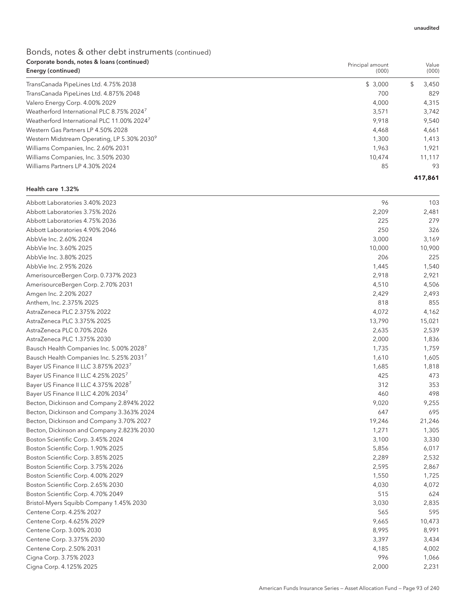| Corporate bonds, notes & Ioans (continued)              | Principal amount | Value |         |
|---------------------------------------------------------|------------------|-------|---------|
| Energy (continued)                                      | (000)            |       | (000)   |
| TransCanada PipeLines Ltd. 4.75% 2038                   | \$3.000          | \$.   | 3,450   |
| TransCanada PipeLines Ltd. 4.875% 2048                  | 700              |       | 829     |
| Valero Energy Corp. 4.00% 2029                          | 4,000            |       | 4,315   |
| Weatherford International PLC 8.75% 2024 <sup>7</sup>   | 3,571            |       | 3,742   |
| Weatherford International PLC 11.00% 2024 <sup>7</sup>  | 9.918            |       | 9,540   |
| Western Gas Partners LP 4.50% 2028                      | 4.468            |       | 4,661   |
| Western Midstream Operating, LP 5.30% 2030 <sup>9</sup> | 1,300            |       | 1,413   |
| Williams Companies, Inc. 2.60% 2031                     | 1.963            |       | 1.921   |
| Williams Companies, Inc. 3.50% 2030                     | 10.474           |       | 11,117  |
| Williams Partners LP 4.30% 2024                         | 85               |       | 93      |
|                                                         |                  |       | 417.861 |

#### Health care 1.32%

| Abbott Laboratories 3.40% 2023                   | 96     | 103    |
|--------------------------------------------------|--------|--------|
| Abbott Laboratories 3.75% 2026                   | 2,209  | 2,481  |
| Abbott Laboratories 4.75% 2036                   | 225    | 279    |
| Abbott Laboratories 4.90% 2046                   | 250    | 326    |
| AbbVie Inc. 2.60% 2024                           | 3,000  | 3,169  |
| AbbVie Inc. 3.60% 2025                           | 10,000 | 10,900 |
| AbbVie Inc. 3.80% 2025                           | 206    | 225    |
| AbbVie Inc. 2.95% 2026                           | 1,445  | 1,540  |
| AmerisourceBergen Corp. 0.737% 2023              | 2,918  | 2,921  |
| AmerisourceBergen Corp. 2.70% 2031               | 4,510  | 4,506  |
| Amgen Inc. 2.20% 2027                            | 2,429  | 2,493  |
| Anthem, Inc. 2.375% 2025                         | 818    | 855    |
| AstraZeneca PLC 2.375% 2022                      | 4,072  | 4,162  |
| AstraZeneca PLC 3.375% 2025                      | 13,790 | 15,021 |
| AstraZeneca PLC 0.70% 2026                       | 2,635  | 2,539  |
| AstraZeneca PLC 1.375% 2030                      | 2,000  | 1,836  |
| Bausch Health Companies Inc. 5.00% 2028          | 1,735  | 1,759  |
| Bausch Health Companies Inc. 5.25% 2031          | 1,610  | 1,605  |
| Bayer US Finance II LLC 3.875% 2023 <sup>7</sup> | 1,685  | 1,818  |
| Bayer US Finance II LLC 4.25% 2025 <sup>7</sup>  | 425    | 473    |
| Bayer US Finance II LLC 4.375% 2028 <sup>7</sup> | 312    | 353    |
| Bayer US Finance II LLC 4.20% 20347              | 460    | 498    |
| Becton, Dickinson and Company 2.894% 2022        | 9,020  | 9,255  |
| Becton, Dickinson and Company 3.363% 2024        | 647    | 695    |
| Becton, Dickinson and Company 3.70% 2027         | 19,246 | 21,246 |
| Becton, Dickinson and Company 2.823% 2030        | 1,271  | 1,305  |
| Boston Scientific Corp. 3.45% 2024               | 3,100  | 3,330  |
| Boston Scientific Corp. 1.90% 2025               | 5,856  | 6,017  |
| Boston Scientific Corp. 3.85% 2025               | 2,289  | 2,532  |
| Boston Scientific Corp. 3.75% 2026               | 2,595  | 2,867  |
| Boston Scientific Corp. 4.00% 2029               | 1,550  | 1,725  |
| Boston Scientific Corp. 2.65% 2030               | 4,030  | 4,072  |
| Boston Scientific Corp. 4.70% 2049               | 515    | 624    |
| Bristol-Myers Squibb Company 1.45% 2030          | 3,030  | 2,835  |
| Centene Corp. 4.25% 2027                         | 565    | 595    |
| Centene Corp. 4.625% 2029                        | 9,665  | 10,473 |
| Centene Corp. 3.00% 2030                         | 8,995  | 8,991  |
| Centene Corp. 3.375% 2030                        | 3,397  | 3,434  |
| Centene Corp. 2.50% 2031                         | 4,185  | 4,002  |
| Cigna Corp. 3.75% 2023                           | 996    | 1,066  |
| Cigna Corp. 4.125% 2025                          | 2,000  | 2,231  |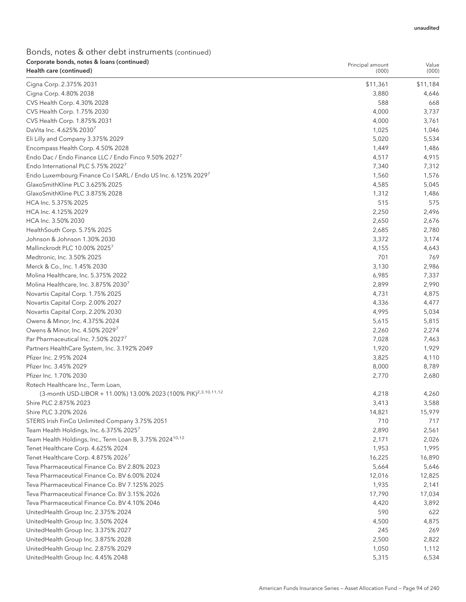| Corporate bonds, notes & loans (continued)<br>Health care (continued)       | Principal amount<br>(000) | Value<br>(000) |
|-----------------------------------------------------------------------------|---------------------------|----------------|
|                                                                             |                           |                |
| Cigna Corp. 2.375% 2031                                                     | \$11,361                  | \$11,184       |
| Cigna Corp. 4.80% 2038                                                      | 3,880                     | 4,646          |
| CVS Health Corp. 4.30% 2028                                                 | 588                       | 668            |
| CVS Health Corp. 1.75% 2030                                                 | 4,000                     | 3,737          |
| CVS Health Corp. 1.875% 2031                                                | 4,000                     | 3,761          |
| DaVita Inc. 4.625% 20307                                                    | 1,025                     | 1,046          |
| Eli Lilly and Company 3.375% 2029                                           | 5,020                     | 5,534          |
| Encompass Health Corp. 4.50% 2028                                           | 1,449                     | 1,486          |
| Endo Dac / Endo Finance LLC / Endo Finco 9.50% 20277                        | 4,517                     | 4,915          |
| Endo International PLC 5.75% 2022                                           | 7,340                     | 7,312          |
| Endo Luxembourg Finance Co I SARL / Endo US Inc. 6.125% 20297               | 1,560                     | 1,576          |
| GlaxoSmithKline PLC 3.625% 2025                                             | 4,585                     | 5,045          |
| GlaxoSmithKline PLC 3.875% 2028                                             | 1,312                     | 1,486          |
| HCA Inc. 5.375% 2025                                                        | 515                       | 575            |
| HCA Inc. 4.125% 2029                                                        | 2,250                     | 2,496          |
| HCA Inc. 3.50% 2030                                                         | 2,650                     | 2,676          |
| HealthSouth Corp. 5.75% 2025                                                | 2,685                     | 2,780          |
| Johnson & Johnson 1.30% 2030                                                | 3,372                     | 3,174          |
| Mallinckrodt PLC 10.00% 20257                                               | 4,155                     | 4,643          |
| Medtronic, Inc. 3.50% 2025                                                  | 701                       | 769            |
| Merck & Co., Inc. 1.45% 2030                                                | 3,130                     | 2,986          |
| Molina Healthcare, Inc. 5.375% 2022                                         | 6,985                     | 7,337          |
| Molina Healthcare, Inc. 3.875% 20307                                        | 2,899                     | 2,990          |
| Novartis Capital Corp. 1.75% 2025                                           | 4,731                     | 4,875          |
| Novartis Capital Corp. 2.00% 2027                                           | 4,336                     | 4,477          |
| Novartis Capital Corp. 2.20% 2030                                           | 4,995                     | 5,034          |
| Owens & Minor, Inc. 4.375% 2024                                             | 5,615                     | 5,815          |
| Owens & Minor, Inc. 4.50% 2029 <sup>7</sup>                                 | 2,260                     | 2,274          |
| Par Pharmaceutical Inc. 7.50% 2027 <sup>7</sup>                             | 7,028                     | 7,463          |
| Partners HealthCare System, Inc. 3.192% 2049                                | 1,920                     | 1,929          |
| Pfizer Inc. 2.95% 2024                                                      | 3,825                     | 4,110          |
| Pfizer Inc. 3.45% 2029                                                      | 8,000                     | 8,789          |
| Pfizer Inc. 1.70% 2030                                                      | 2,770                     | 2,680          |
| Rotech Healthcare Inc., Term Loan,                                          |                           |                |
| (3-month USD-LIBOR + 11.00%) 13.00% 2023 (100% PIK) <sup>2,3,10,11,12</sup> | 4,218                     | 4,260          |
| Shire PLC 2.875% 2023                                                       | 3,413                     | 3,588          |
| Shire PLC 3.20% 2026                                                        | 14,821                    | 15,979         |
| STERIS Irish FinCo Unlimited Company 3.75% 2051                             | 710                       | 717            |
| Team Health Holdings, Inc. 6.375% 2025 <sup>7</sup>                         | 2,890                     | 2,561          |
| Team Health Holdings, Inc., Term Loan B, 3.75% 2024 <sup>10,12</sup>        | 2,171                     | 2,026          |
| Tenet Healthcare Corp. 4.625% 2024                                          | 1,953                     | 1,995          |
| Tenet Healthcare Corp. 4.875% 20267                                         | 16,225                    | 16,890         |
| Teva Pharmaceutical Finance Co. BV 2.80% 2023                               | 5,664                     | 5,646          |
| Teva Pharmaceutical Finance Co. BV 6.00% 2024                               | 12,016                    | 12,825         |
| Teva Pharmaceutical Finance Co. BV 7.125% 2025                              | 1,935                     | 2,141          |
| Teva Pharmaceutical Finance Co. BV 3.15% 2026                               | 17,790                    | 17,034         |
| Teva Pharmaceutical Finance Co. BV 4.10% 2046                               | 4,420                     | 3,892          |
| UnitedHealth Group Inc. 2.375% 2024                                         | 590                       | 622            |
| UnitedHealth Group Inc. 3.50% 2024                                          | 4,500                     | 4,875          |
| UnitedHealth Group Inc. 3.375% 2027                                         | 245                       | 269            |
| UnitedHealth Group Inc. 3.875% 2028                                         | 2,500                     | 2,822          |
| UnitedHealth Group Inc. 2.875% 2029                                         | 1,050                     | 1,112          |
| UnitedHealth Group Inc. 4.45% 2048                                          | 5,315                     | 6,534          |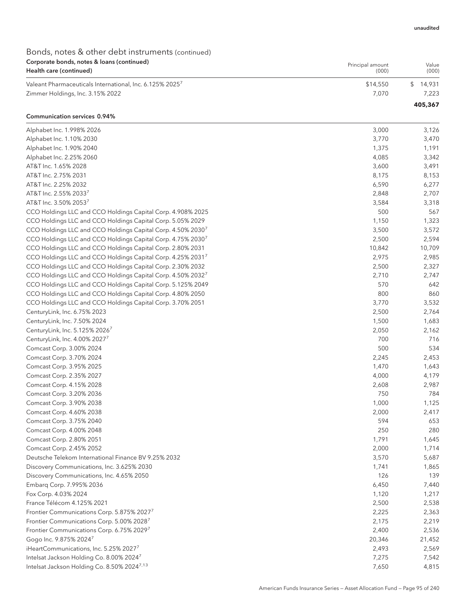#### Bonds, notes & other debt instruments (continued) Corporate bonds, notes & loans (continued) Health care (continued)

| corporate borids, notes & loans (commaca)<br>Health care (continued) | Principal amount<br>(000) | Value<br>(000) |
|----------------------------------------------------------------------|---------------------------|----------------|
| Valeant Pharmaceuticals International, Inc. 6.125% 2025 <sup>7</sup> | \$14,550                  | 14.931         |
| Zimmer Holdings, Inc. 3.15% 2022                                     | 7.070                     | 7.223          |
|                                                                      |                           | 405,367        |

#### Communication services 0.94%

| Alphabet Inc. 1.998% 2026                                               | 3,000  | 3,126  |
|-------------------------------------------------------------------------|--------|--------|
| Alphabet Inc. 1.10% 2030                                                | 3,770  | 3,470  |
| Alphabet Inc. 1.90% 2040                                                | 1,375  | 1,191  |
| Alphabet Inc. 2.25% 2060                                                | 4,085  | 3,342  |
| AT&T Inc. 1.65% 2028                                                    | 3,600  | 3,491  |
| AT&T Inc. 2.75% 2031                                                    | 8,175  | 8,153  |
| AT&T Inc. 2.25% 2032                                                    | 6,590  | 6,277  |
| AT&T Inc. 2.55% 20337                                                   | 2,848  | 2,707  |
| AT&T Inc. 3.50% 20537                                                   | 3,584  | 3,318  |
| CCO Holdings LLC and CCO Holdings Capital Corp. 4.908% 2025             | 500    | 567    |
| CCO Holdings LLC and CCO Holdings Capital Corp. 5.05% 2029              | 1,150  | 1,323  |
| CCO Holdings LLC and CCO Holdings Capital Corp. 4.50% 2030 <sup>7</sup> | 3,500  | 3,572  |
| CCO Holdings LLC and CCO Holdings Capital Corp. 4.75% 2030 <sup>7</sup> | 2,500  | 2,594  |
| CCO Holdings LLC and CCO Holdings Capital Corp. 2.80% 2031              | 10,842 | 10,709 |
| CCO Holdings LLC and CCO Holdings Capital Corp. 4.25% 20317             | 2,975  | 2,985  |
| CCO Holdings LLC and CCO Holdings Capital Corp. 2.30% 2032              | 2,500  | 2,327  |
| CCO Holdings LLC and CCO Holdings Capital Corp. 4.50% 20327             | 2,710  | 2,747  |
| CCO Holdings LLC and CCO Holdings Capital Corp. 5.125% 2049             | 570    | 642    |
| CCO Holdings LLC and CCO Holdings Capital Corp. 4.80% 2050              | 800    | 860    |
| CCO Holdings LLC and CCO Holdings Capital Corp. 3.70% 2051              | 3,770  | 3,532  |
| CenturyLink, Inc. 6.75% 2023                                            | 2,500  | 2,764  |
| CenturyLink, Inc. 7.50% 2024                                            | 1,500  | 1,683  |
| CenturyLink, Inc. 5.125% 2026 <sup>7</sup>                              | 2,050  | 2,162  |
| CenturyLink, Inc. 4.00% 2027 <sup>7</sup>                               | 700    | 716    |
| Comcast Corp. 3.00% 2024                                                | 500    | 534    |
| Comcast Corp. 3.70% 2024                                                | 2,245  | 2,453  |
| Comcast Corp. 3.95% 2025                                                | 1,470  | 1,643  |
| Comcast Corp. 2.35% 2027                                                | 4,000  | 4,179  |
| Comcast Corp. 4.15% 2028                                                | 2,608  | 2,987  |
| Comcast Corp. 3.20% 2036                                                | 750    | 784    |
| Comcast Corp. 3.90% 2038                                                | 1,000  | 1,125  |
| Comcast Corp. 4.60% 2038                                                | 2,000  | 2,417  |
| Comcast Corp. 3.75% 2040                                                | 594    | 653    |
| Comcast Corp. 4.00% 2048                                                | 250    | 280    |
| Comcast Corp. 2.80% 2051                                                | 1,791  | 1,645  |
| Comcast Corp. 2.45% 2052                                                | 2,000  | 1,714  |
| Deutsche Telekom International Finance BV 9.25% 2032                    | 3,570  | 5,687  |
| Discovery Communications, Inc. 3.625% 2030                              | 1,741  | 1,865  |
| Discovery Communications, Inc. 4.65% 2050                               | 126    | 139    |
| Embarq Corp. 7.995% 2036                                                | 6,450  | 7,440  |
| Fox Corp. 4.03% 2024                                                    | 1,120  | 1,217  |
| France Télécom 4.125% 2021                                              | 2,500  | 2,538  |
| Frontier Communications Corp. 5.875% 20277                              | 2,225  | 2,363  |
| Frontier Communications Corp. 5.00% 20287                               | 2,175  | 2,219  |
| Frontier Communications Corp. 6.75% 20297                               | 2,400  | 2,536  |
| Gogo Inc. 9.875% 20247                                                  | 20,346 | 21,452 |
| iHeartCommunications, Inc. 5.25% 20277                                  | 2,493  | 2,569  |
| Intelsat Jackson Holding Co. 8.00% 2024 <sup>7</sup>                    | 7,275  | 7,542  |
| Intelsat Jackson Holding Co. 8.50% 2024 <sup>7,13</sup>                 | 7,650  | 4,815  |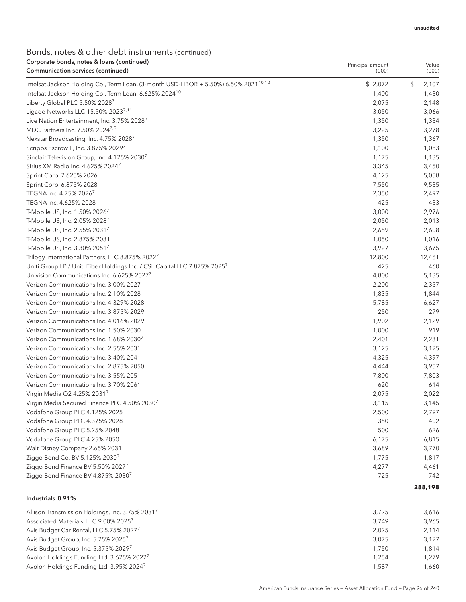### Bonds, notes & other debt instruments (continued) Corporate bonds, notes & loans (continued)

| Corporate bonds, notes & Ioans (continued)<br>Communication services (continued)                 | Principal amount<br>(000) | Value<br>(000) |
|--------------------------------------------------------------------------------------------------|---------------------------|----------------|
| Intelsat Jackson Holding Co., Term Loan, (3-month USD-LIBOR + 5.50%) 6.50% 2021 <sup>10,12</sup> | \$2,072                   | \$<br>2,107    |
| Intelsat Jackson Holding Co., Term Loan, 6.625% 2024 <sup>10</sup>                               | 1,400                     | 1,430          |
| Liberty Global PLC 5.50% 2028 <sup>7</sup>                                                       | 2,075                     | 2,148          |
| Ligado Networks LLC 15.50% 2023 <sup>7,11</sup>                                                  | 3,050                     | 3,066          |
| Live Nation Entertainment, Inc. 3.75% 20287                                                      | 1,350                     | 1,334          |
| MDC Partners Inc. 7.50% 2024 <sup>7,9</sup>                                                      | 3,225                     | 3,278          |
| Nexstar Broadcasting, Inc. 4.75% 20287                                                           | 1,350                     | 1,367          |
| Scripps Escrow II, Inc. 3.875% 20297                                                             | 1,100                     | 1,083          |
| Sinclair Television Group, Inc. 4.125% 20307                                                     | 1,175                     | 1,135          |
| Sirius XM Radio Inc. 4.625% 2024 <sup>7</sup>                                                    | 3,345                     | 3,450          |
| Sprint Corp. 7.625% 2026                                                                         | 4,125                     | 5,058          |
| Sprint Corp. 6.875% 2028                                                                         | 7,550                     | 9,535          |
| TEGNA Inc. 4.75% 2026 <sup>7</sup>                                                               | 2,350                     | 2,497          |
| TEGNA Inc. 4.625% 2028                                                                           | 425                       | 433            |
| T-Mobile US, Inc. 1.50% 2026 <sup>7</sup>                                                        | 3,000                     | 2,976          |
| T-Mobile US, Inc. 2.05% 2028 <sup>7</sup>                                                        | 2,050                     | 2,013          |
| T-Mobile US, Inc. 2.55% 20317                                                                    | 2,659                     | 2,608          |
| T-Mobile US, Inc. 2.875% 2031                                                                    | 1,050                     | 1,016          |
| T-Mobile US, Inc. 3.30% 20517                                                                    | 3,927                     | 3,675          |
| Trilogy International Partners, LLC 8.875% 20227                                                 | 12,800                    | 12,461         |
| Uniti Group LP / Uniti Fiber Holdings Inc. / CSL Capital LLC 7.875% 20257                        | 425                       | 460            |
| Univision Communications Inc. 6.625% 2027 <sup>7</sup>                                           | 4,800                     | 5,135          |
| Verizon Communications Inc. 3.00% 2027                                                           | 2,200                     | 2,357          |
| Verizon Communications Inc. 2.10% 2028                                                           | 1,835                     | 1,844          |
| Verizon Communications Inc. 4.329% 2028                                                          | 5,785                     | 6,627          |
| Verizon Communications Inc. 3.875% 2029                                                          | 250                       | 279            |
| Verizon Communications Inc. 4.016% 2029                                                          | 1,902                     | 2,129          |
| Verizon Communications Inc. 1.50% 2030                                                           | 1,000                     | 919            |
| Verizon Communications Inc. 1.68% 2030 <sup>7</sup>                                              | 2,401                     | 2,231          |
| Verizon Communications Inc. 2.55% 2031                                                           | 3,125                     | 3,125          |
| Verizon Communications Inc. 3.40% 2041                                                           | 4,325                     | 4,397          |
| Verizon Communications Inc. 2.875% 2050                                                          | 4,444                     | 3,957          |
| Verizon Communications Inc. 3.55% 2051                                                           | 7,800                     | 7,803          |
| Verizon Communications Inc. 3.70% 2061                                                           | 620                       | 614            |
| Virgin Media O2 4.25% 20317                                                                      | 2,075                     | 2,022          |
| Virgin Media Secured Finance PLC 4.50% 20307                                                     | 3,115                     | 3,145          |
| Vodafone Group PLC 4.125% 2025                                                                   | 2,500                     | 2,797          |
| Vodafone Group PLC 4.375% 2028                                                                   | 350                       | 402            |
| Vodafone Group PLC 5.25% 2048                                                                    | 500                       | 626            |
| Vodafone Group PLC 4.25% 2050                                                                    | 6,175                     | 6,815          |
| Walt Disney Company 2.65% 2031                                                                   | 3,689                     | 3,770          |
| Ziggo Bond Co. BV 5.125% 2030 <sup>7</sup>                                                       | 1,775                     | 1,817          |
| Ziggo Bond Finance BV 5.50% 20277                                                                | 4,277                     | 4,461          |
| Ziggo Bond Finance BV 4.875% 20307                                                               | 725                       | 742            |
|                                                                                                  |                           | 288,198        |

Industrials 0.91%

| Allison Transmission Holdings, Inc. 3.75% 2031 <sup>7</sup> | 3.725 | 3.616 |
|-------------------------------------------------------------|-------|-------|
| Associated Materials, LLC 9.00% 2025 <sup>7</sup>           | 3.749 | 3,965 |
| Avis Budget Car Rental, LLC 5.75% 2027 <sup>7</sup>         | 2.025 | 2.114 |
| Avis Budget Group, Inc. 5.25% 2025 <sup>7</sup>             | 3.075 | 3.127 |
| Avis Budget Group, Inc. 5.375% 20297                        | 1.750 | 1.814 |
| Avolon Holdings Funding Ltd. 3.625% 2022 <sup>7</sup>       | 1.254 | 1.279 |
| Avolon Holdings Funding Ltd. 3.95% 2024 <sup>7</sup>        | 1.587 | 1.660 |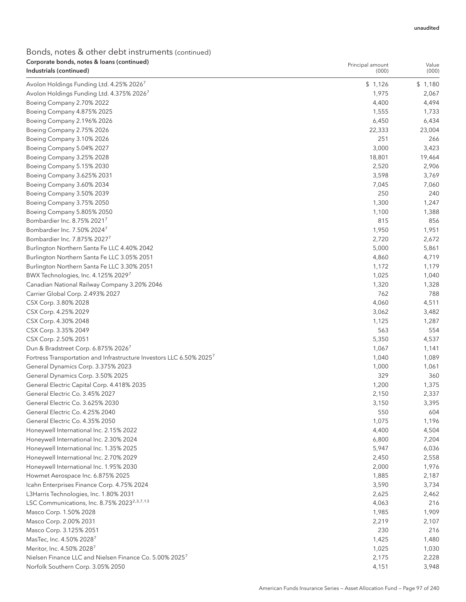| Corporate bonds, notes & Ioans (continued)<br>Industrials (continued)            | Principal amount<br>(000) | Value<br>(000) |
|----------------------------------------------------------------------------------|---------------------------|----------------|
|                                                                                  |                           |                |
| Avolon Holdings Funding Ltd. 4.25% 2026 <sup>7</sup>                             | \$1,126                   | \$1,180        |
| Avolon Holdings Funding Ltd. 4.375% 2026'                                        | 1,975                     | 2,067          |
| Boeing Company 2.70% 2022                                                        | 4,400                     | 4,494          |
| Boeing Company 4.875% 2025                                                       | 1,555                     | 1,733          |
| Boeing Company 2.196% 2026                                                       | 6,450                     | 6,434          |
| Boeing Company 2.75% 2026                                                        | 22,333                    | 23,004         |
| Boeing Company 3.10% 2026                                                        | 251                       | 266            |
| Boeing Company 5.04% 2027                                                        | 3,000                     | 3,423          |
| Boeing Company 3.25% 2028                                                        | 18,801                    | 19,464         |
| Boeing Company 5.15% 2030                                                        | 2,520                     | 2,906          |
| Boeing Company 3.625% 2031                                                       | 3,598                     | 3,769          |
| Boeing Company 3.60% 2034                                                        | 7,045                     | 7,060          |
| Boeing Company 3.50% 2039                                                        | 250                       | 240            |
| Boeing Company 3.75% 2050                                                        | 1,300                     | 1,247          |
| Boeing Company 5.805% 2050                                                       | 1,100                     | 1,388          |
| Bombardier Inc. 8.75% 2021 <sup>7</sup>                                          | 815                       | 856            |
| Bombardier Inc. 7.50% 20247                                                      | 1,950                     | 1,951          |
| Bombardier Inc. 7.875% 20277                                                     | 2,720                     | 2,672          |
| Burlington Northern Santa Fe LLC 4.40% 2042                                      | 5,000                     | 5,861          |
| Burlington Northern Santa Fe LLC 3.05% 2051                                      | 4,860                     | 4,719          |
| Burlington Northern Santa Fe LLC 3.30% 2051                                      | 1,172                     | 1,179          |
| BWX Technologies, Inc. 4.125% 20297                                              | 1,025                     | 1,040          |
| Canadian National Railway Company 3.20% 2046                                     | 1,320                     | 1,328          |
| Carrier Global Corp. 2.493% 2027                                                 | 762                       | 788            |
| CSX Corp. 3.80% 2028                                                             | 4,060                     | 4,511          |
| CSX Corp. 4.25% 2029                                                             | 3,062                     | 3,482          |
| CSX Corp. 4.30% 2048                                                             | 1,125                     | 1,287          |
| CSX Corp. 3.35% 2049                                                             | 563                       | 554            |
| CSX Corp. 2.50% 2051                                                             | 5,350                     | 4,537          |
| Dun & Bradstreet Corp. 6.875% 2026 <sup>7</sup>                                  | 1,067                     | 1,141          |
| Fortress Transportation and Infrastructure Investors LLC 6.50% 2025 <sup>7</sup> | 1,040                     | 1,089          |
| General Dynamics Corp. 3.375% 2023                                               | 1,000                     | 1,061          |
| General Dynamics Corp. 3.50% 2025                                                | 329                       | 360            |
| General Electric Capital Corp. 4.418% 2035                                       | 1,200                     | 1,375          |
| General Electric Co. 3.45% 2027                                                  | 2,150                     | 2,337          |
| General Electric Co. 3.625% 2030                                                 | 3,150                     | 3,395          |
| General Electric Co. 4.25% 2040                                                  | 550                       | 604            |
| General Electric Co. 4.35% 2050                                                  | 1,075                     | 1,196          |
| Honeywell International Inc. 2.15% 2022                                          | 4,400                     | 4,504          |
| Honeywell International Inc. 2.30% 2024                                          | 6,800                     | 7,204          |
| Honeywell International Inc. 1.35% 2025                                          | 5,947                     | 6,036          |
| Honeywell International Inc. 2.70% 2029                                          | 2,450                     | 2,558          |
| Honeywell International Inc. 1.95% 2030                                          | 2,000                     | 1,976          |
| Howmet Aerospace Inc. 6.875% 2025                                                | 1,885                     | 2,187          |
| Icahn Enterprises Finance Corp. 4.75% 2024                                       | 3,590                     | 3,734          |
| L3Harris Technologies, Inc. 1.80% 2031                                           | 2,625                     | 2,462          |
| LSC Communications, Inc. 8.75% 2023 <sup>2,3,7,13</sup>                          | 4,063                     | 216            |
| Masco Corp. 1.50% 2028                                                           | 1,985                     | 1,909          |
| Masco Corp. 2.00% 2031                                                           | 2,219                     | 2,107          |
| Masco Corp. 3.125% 2051                                                          | 230                       | 216            |
| MasTec, Inc. 4.50% 20287                                                         | 1,425                     | 1,480          |
| Meritor, Inc. 4.50% 20287                                                        | 1,025                     | 1,030          |
| Nielsen Finance LLC and Nielsen Finance Co. 5.00% 2025 <sup>7</sup>              | 2,175                     | 2,228          |
| Norfolk Southern Corp. 3.05% 2050                                                | 4,151                     | 3,948          |
|                                                                                  |                           |                |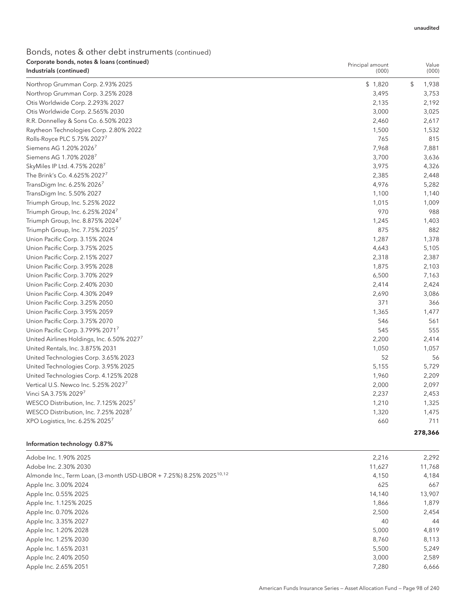# Bonds, notes & other debt instruments (continued) Corporate bonds, notes & loans (continued)

| Corporate bonds, notes & Ioans (continued)<br>Industrials (continued) | Principal amount<br>(000) | Value<br>(000) |
|-----------------------------------------------------------------------|---------------------------|----------------|
| Northrop Grumman Corp. 2.93% 2025                                     | \$1,820                   | \$<br>1,938    |
| Northrop Grumman Corp. 3.25% 2028                                     | 3,495                     | 3,753          |
| Otis Worldwide Corp. 2.293% 2027                                      | 2,135                     | 2,192          |
| Otis Worldwide Corp. 2.565% 2030                                      | 3,000                     | 3,025          |
| R.R. Donnelley & Sons Co. 6.50% 2023                                  | 2,460                     | 2,617          |
| Raytheon Technologies Corp. 2.80% 2022                                | 1,500                     | 1,532          |
| Rolls-Royce PLC 5.75% 20277                                           | 765                       | 815            |
| Siemens AG 1.20% 2026 <sup>7</sup>                                    | 7,968                     | 7,881          |
| Siemens AG 1.70% 2028 <sup>7</sup>                                    | 3,700                     | 3,636          |
| SkyMiles IP Ltd. 4.75% 2028 <sup>7</sup>                              | 3,975                     | 4,326          |
| The Brink's Co. 4.625% 20277                                          | 2,385                     | 2,448          |
| TransDigm Inc. 6.25% 2026 <sup>7</sup>                                | 4,976                     | 5,282          |
| TransDigm Inc. 5.50% 2027                                             | 1,100                     | 1,140          |
| Triumph Group, Inc. 5.25% 2022                                        | 1,015                     | 1,009          |
| Triumph Group, Inc. 6.25% 20247                                       | 970                       | 988            |
| Triumph Group, Inc. 8.875% 20247                                      | 1,245                     | 1,403          |
| Triumph Group, Inc. 7.75% 20257                                       | 875                       | 882            |
| Union Pacific Corp. 3.15% 2024                                        | 1,287                     | 1,378          |
| Union Pacific Corp. 3.75% 2025                                        | 4,643                     | 5,105          |
| Union Pacific Corp. 2.15% 2027                                        | 2,318                     | 2,387          |
| Union Pacific Corp. 3.95% 2028                                        | 1,875                     | 2,103          |
| Union Pacific Corp. 3.70% 2029                                        | 6,500                     | 7,163          |
| Union Pacific Corp. 2.40% 2030                                        | 2,414                     | 2,424          |
| Union Pacific Corp. 4.30% 2049                                        | 2,690                     | 3,086          |
| Union Pacific Corp. 3.25% 2050                                        | 371                       | 366            |
| Union Pacific Corp. 3.95% 2059                                        | 1,365                     | 1,477          |
| Union Pacific Corp. 3.75% 2070                                        | 546                       | 561            |
| Union Pacific Corp. 3.799% 2071 <sup>7</sup>                          | 545                       | 555            |
| United Airlines Holdings, Inc. 6.50% 20277                            | 2,200                     | 2,414          |
| United Rentals, Inc. 3.875% 2031                                      | 1,050                     | 1,057          |
| United Technologies Corp. 3.65% 2023                                  | 52                        | 56             |
| United Technologies Corp. 3.95% 2025                                  | 5,155                     | 5,729          |
| United Technologies Corp. 4.125% 2028                                 | 1,960                     | 2,209          |
| Vertical U.S. Newco Inc. 5.25% 2027 <sup>7</sup>                      | 2,000                     | 2,097          |
| Vinci SA 3.75% 20297                                                  | 2,237                     | 2,453          |
| WESCO Distribution, Inc. 7.125% 2025 <sup>7</sup>                     | 1,210                     | 1,325          |
| WESCO Distribution, Inc. 7.25% 20287                                  | 1,320                     | 1,475          |
| XPO Logistics, Inc. 6.25% 20257                                       | 660                       | 711            |
|                                                                       |                           | 278,366        |

#### Information technology 0.87%

| Adobe Inc. 1.90% 2025                                                            | 2,216  | 2,292  |
|----------------------------------------------------------------------------------|--------|--------|
| Adobe Inc. 2.30% 2030                                                            | 11,627 | 11,768 |
| Almonde Inc., Term Loan, (3-month USD-LIBOR + 7.25%) 8.25% 2025 <sup>10,12</sup> | 4,150  | 4,184  |
| Apple Inc. 3.00% 2024                                                            | 625    | 667    |
| Apple Inc. 0.55% 2025                                                            | 14,140 | 13,907 |
| Apple Inc. 1.125% 2025                                                           | 1,866  | 1,879  |
| Apple Inc. 0.70% 2026                                                            | 2,500  | 2,454  |
| Apple Inc. 3.35% 2027                                                            | 40     | 44     |
| Apple Inc. 1.20% 2028                                                            | 5,000  | 4,819  |
| Apple Inc. 1.25% 2030                                                            | 8,760  | 8,113  |
| Apple Inc. 1.65% 2031                                                            | 5.500  | 5,249  |
| Apple Inc. 2.40% 2050                                                            | 3.000  | 2,589  |
| Apple Inc. 2.65% 2051                                                            | 7,280  | 6,666  |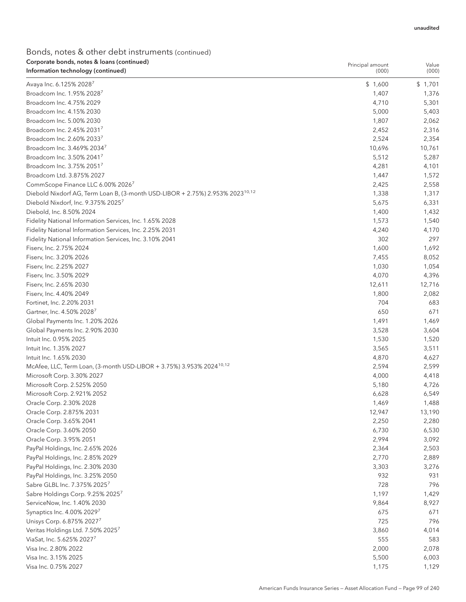| Corporate bonds, notes & Ioans (continued)<br>Information technology (continued)                                                           | Principal amount<br>(000) | Value<br>(000)  |
|--------------------------------------------------------------------------------------------------------------------------------------------|---------------------------|-----------------|
|                                                                                                                                            |                           |                 |
| Avaya Inc. 6.125% 2028 <sup>7</sup>                                                                                                        | \$1,600                   | \$1,701         |
| Broadcom Inc. 1.95% 20287                                                                                                                  | 1,407                     | 1,376           |
| Broadcom Inc. 4.75% 2029                                                                                                                   | 4,710                     | 5,301           |
| Broadcom Inc. 4.15% 2030                                                                                                                   | 5,000                     | 5,403           |
| Broadcom Inc. 5.00% 2030<br>Broadcom Inc. 2.45% 20317                                                                                      | 1,807                     | 2,062           |
|                                                                                                                                            | 2,452                     | 2,316           |
| Broadcom Inc. 2.60% 20337                                                                                                                  | 2,524                     | 2,354           |
| Broadcom Inc. 3.469% 20347<br>Broadcom Inc. 3.50% 20417                                                                                    | 10,696                    | 10,761          |
| Broadcom Inc. 3.75% 20517                                                                                                                  | 5,512                     | 5,287           |
| Broadcom Ltd. 3.875% 2027                                                                                                                  | 4,281<br>1,447            | 4,101           |
|                                                                                                                                            |                           | 1,572           |
| CommScope Finance LLC 6.00% 2026 <sup>7</sup><br>Diebold Nixdorf AG, Term Loan B, (3-month USD-LIBOR + 2.75%) 2.953% 2023 <sup>10,12</sup> | 2,425                     | 2,558           |
| Diebold Nixdorf, Inc. 9.375% 2025 <sup>7</sup>                                                                                             | 1,338<br>5,675            | 1,317           |
| Diebold, Inc. 8.50% 2024                                                                                                                   | 1,400                     | 6,331           |
| Fidelity National Information Services, Inc. 1.65% 2028                                                                                    |                           | 1,432           |
| Fidelity National Information Services, Inc. 2.25% 2031                                                                                    | 1,573<br>4,240            | 1,540           |
|                                                                                                                                            |                           | 4,170           |
| Fidelity National Information Services, Inc. 3.10% 2041                                                                                    | 302                       | 297             |
| Fiserv, Inc. 2.75% 2024                                                                                                                    | 1,600                     | 1,692           |
| Fiserv, Inc. 3.20% 2026                                                                                                                    | 7,455                     | 8,052           |
| Fiserv, Inc. 2.25% 2027                                                                                                                    | 1,030                     | 1,054           |
| Fiserv, Inc. 3.50% 2029                                                                                                                    | 4,070                     | 4,396           |
| Fiserv, Inc. 2.65% 2030<br>Fiserv, Inc. 4.40% 2049                                                                                         | 12,611<br>1,800           | 12,716<br>2,082 |
| Fortinet, Inc. 2.20% 2031                                                                                                                  | 704                       | 683             |
| Gartner, Inc. 4.50% 2028 <sup>7</sup>                                                                                                      | 650                       | 671             |
| Global Payments Inc. 1.20% 2026                                                                                                            | 1,491                     | 1,469           |
| Global Payments Inc. 2.90% 2030                                                                                                            | 3,528                     | 3,604           |
| Intuit Inc. 0.95% 2025                                                                                                                     | 1,530                     | 1,520           |
| Intuit Inc. 1.35% 2027                                                                                                                     | 3,565                     | 3,511           |
| Intuit Inc. 1.65% 2030                                                                                                                     | 4,870                     | 4,627           |
| McAfee, LLC, Term Loan, (3-month USD-LIBOR + 3.75%) 3.953% 2024 <sup>10,12</sup>                                                           | 2,594                     | 2,599           |
| Microsoft Corp. 3.30% 2027                                                                                                                 | 4,000                     | 4,418           |
| Microsoft Corp. 2.525% 2050                                                                                                                | 5,180                     | 4,726           |
| Microsoft Corp. 2.921% 2052                                                                                                                | 6,628                     | 6,549           |
| Oracle Corp. 2.30% 2028                                                                                                                    | 1,469                     | 1,488           |
| Oracle Corp. 2.875% 2031                                                                                                                   | 12,947                    | 13,190          |
| Oracle Corp. 3.65% 2041                                                                                                                    | 2,250                     | 2,280           |
| Oracle Corp. 3.60% 2050                                                                                                                    | 6,730                     | 6,530           |
| Oracle Corp. 3.95% 2051                                                                                                                    | 2,994                     | 3,092           |
| PayPal Holdings, Inc. 2.65% 2026                                                                                                           | 2,364                     | 2,503           |
| PayPal Holdings, Inc. 2.85% 2029                                                                                                           | 2,770                     | 2,889           |
| PayPal Holdings, Inc. 2.30% 2030                                                                                                           | 3,303                     | 3,276           |
| PayPal Holdings, Inc. 3.25% 2050                                                                                                           | 932                       | 931             |
| Sabre GLBL Inc. 7.375% 2025 <sup>7</sup>                                                                                                   | 728                       | 796             |
| Sabre Holdings Corp. 9.25% 20257                                                                                                           | 1,197                     | 1,429           |
| ServiceNow, Inc. 1.40% 2030                                                                                                                | 9,864                     | 8,927           |
| Synaptics Inc. 4.00% 20297                                                                                                                 | 675                       | 671             |
| Unisys Corp. 6.875% 20277                                                                                                                  | 725                       | 796             |
| Veritas Holdings Ltd. 7.50% 20257                                                                                                          | 3,860                     | 4,014           |
| ViaSat, Inc. 5.625% 20277                                                                                                                  | 555                       | 583             |
| Visa Inc. 2.80% 2022                                                                                                                       | 2,000                     | 2,078           |
| Visa Inc. 3.15% 2025                                                                                                                       | 5,500                     | 6,003           |
| Visa Inc. 0.75% 2027                                                                                                                       | 1,175                     | 1,129           |
|                                                                                                                                            |                           |                 |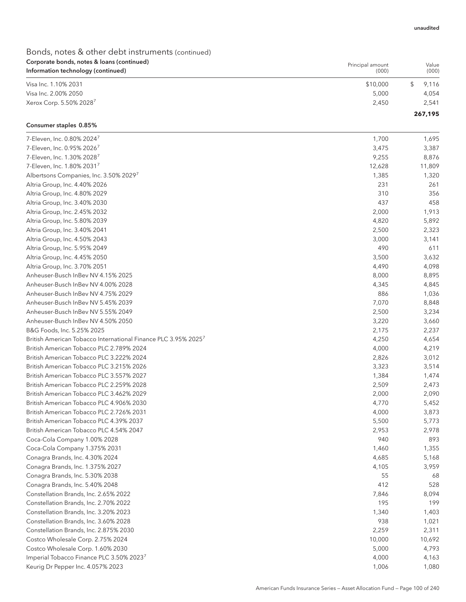#### Bonds, notes & other debt instruments (continued) Corporate bonds, notes & loans (continued) Information technology (continued)

| Corporate Donas, notes & ioans (continuea)<br>Information technology (continued) | Principal amount<br>(000) | Value<br>(000) |
|----------------------------------------------------------------------------------|---------------------------|----------------|
| Visa Inc. 1.10% 2031                                                             | \$10,000                  | 9.116          |
| Visa Inc. 2.00% 2050                                                             | 5,000                     | 4,054          |
| Xerox Corp. 5.50% 2028 <sup>7</sup>                                              | 2.450                     | 2,541          |
|                                                                                  |                           | 267.195        |

#### Consumer staples 0.85%

| 3,475<br>3,387<br>9,255<br>8,876<br>12,628<br>11,809<br>1,385<br>1,320<br>231<br>261<br>310<br>356<br>437<br>458<br>2,000<br>1,913<br>4,820<br>5,892<br>2,500<br>2,323<br>3,000<br>3,141<br>490<br>611<br>3,500<br>3,632<br>4,490<br>4,098<br>8,000<br>8,895<br>4,345<br>4,845<br>886<br>1,036<br>7,070<br>8,848<br>2,500<br>3,234<br>3,220<br>3,660<br>2,175<br>2,237<br>4,250<br>4,654<br>4,000<br>4,219<br>2,826<br>3,012<br>3,323<br>3,514<br>1,384<br>1,474<br>2,509<br>2,473<br>2,000<br>2,090<br>4,770<br>5,452<br>4,000<br>3,873<br>5,500<br>5,773<br>2,953<br>2,978<br>940<br>893<br>1,460<br>1,355<br>4,685<br>5,168<br>4,105<br>3,959<br>68<br>55<br>412<br>528<br>7,846<br>8,094<br>195<br>199<br>1,340<br>1,403<br>938<br>1,021<br>2,259<br>2,311<br>10,000<br>10,692<br>5,000<br>4,793<br>4,000<br>4,163<br>1,006<br>1,080 | 7-Eleven, Inc. 0.80% 2024                                                  | 1,700 | 1,695 |
|------------------------------------------------------------------------------------------------------------------------------------------------------------------------------------------------------------------------------------------------------------------------------------------------------------------------------------------------------------------------------------------------------------------------------------------------------------------------------------------------------------------------------------------------------------------------------------------------------------------------------------------------------------------------------------------------------------------------------------------------------------------------------------------------------------------------------------------|----------------------------------------------------------------------------|-------|-------|
|                                                                                                                                                                                                                                                                                                                                                                                                                                                                                                                                                                                                                                                                                                                                                                                                                                          | 7-Eleven, Inc. 0.95% 20267                                                 |       |       |
|                                                                                                                                                                                                                                                                                                                                                                                                                                                                                                                                                                                                                                                                                                                                                                                                                                          | 7-Eleven, Inc. 1.30% 20287                                                 |       |       |
|                                                                                                                                                                                                                                                                                                                                                                                                                                                                                                                                                                                                                                                                                                                                                                                                                                          | 7-Eleven, Inc. 1.80% 2031 <sup>7</sup>                                     |       |       |
|                                                                                                                                                                                                                                                                                                                                                                                                                                                                                                                                                                                                                                                                                                                                                                                                                                          | Albertsons Companies, Inc. 3.50% 20297                                     |       |       |
|                                                                                                                                                                                                                                                                                                                                                                                                                                                                                                                                                                                                                                                                                                                                                                                                                                          | Altria Group, Inc. 4.40% 2026                                              |       |       |
|                                                                                                                                                                                                                                                                                                                                                                                                                                                                                                                                                                                                                                                                                                                                                                                                                                          | Altria Group, Inc. 4.80% 2029                                              |       |       |
|                                                                                                                                                                                                                                                                                                                                                                                                                                                                                                                                                                                                                                                                                                                                                                                                                                          | Altria Group, Inc. 3.40% 2030                                              |       |       |
|                                                                                                                                                                                                                                                                                                                                                                                                                                                                                                                                                                                                                                                                                                                                                                                                                                          | Altria Group, Inc. 2.45% 2032                                              |       |       |
|                                                                                                                                                                                                                                                                                                                                                                                                                                                                                                                                                                                                                                                                                                                                                                                                                                          | Altria Group, Inc. 5.80% 2039                                              |       |       |
|                                                                                                                                                                                                                                                                                                                                                                                                                                                                                                                                                                                                                                                                                                                                                                                                                                          | Altria Group, Inc. 3.40% 2041                                              |       |       |
|                                                                                                                                                                                                                                                                                                                                                                                                                                                                                                                                                                                                                                                                                                                                                                                                                                          | Altria Group, Inc. 4.50% 2043                                              |       |       |
|                                                                                                                                                                                                                                                                                                                                                                                                                                                                                                                                                                                                                                                                                                                                                                                                                                          | Altria Group, Inc. 5.95% 2049                                              |       |       |
|                                                                                                                                                                                                                                                                                                                                                                                                                                                                                                                                                                                                                                                                                                                                                                                                                                          | Altria Group, Inc. 4.45% 2050                                              |       |       |
|                                                                                                                                                                                                                                                                                                                                                                                                                                                                                                                                                                                                                                                                                                                                                                                                                                          | Altria Group, Inc. 3.70% 2051                                              |       |       |
|                                                                                                                                                                                                                                                                                                                                                                                                                                                                                                                                                                                                                                                                                                                                                                                                                                          | Anheuser-Busch InBev NV 4.15% 2025                                         |       |       |
|                                                                                                                                                                                                                                                                                                                                                                                                                                                                                                                                                                                                                                                                                                                                                                                                                                          | Anheuser-Busch InBev NV 4.00% 2028                                         |       |       |
|                                                                                                                                                                                                                                                                                                                                                                                                                                                                                                                                                                                                                                                                                                                                                                                                                                          | Anheuser-Busch InBev NV 4.75% 2029                                         |       |       |
|                                                                                                                                                                                                                                                                                                                                                                                                                                                                                                                                                                                                                                                                                                                                                                                                                                          | Anheuser-Busch InBev NV 5.45% 2039                                         |       |       |
|                                                                                                                                                                                                                                                                                                                                                                                                                                                                                                                                                                                                                                                                                                                                                                                                                                          | Anheuser-Busch InBev NV 5.55% 2049                                         |       |       |
|                                                                                                                                                                                                                                                                                                                                                                                                                                                                                                                                                                                                                                                                                                                                                                                                                                          | Anheuser-Busch InBey NV 4.50% 2050                                         |       |       |
|                                                                                                                                                                                                                                                                                                                                                                                                                                                                                                                                                                                                                                                                                                                                                                                                                                          | B&G Foods, Inc. 5.25% 2025                                                 |       |       |
|                                                                                                                                                                                                                                                                                                                                                                                                                                                                                                                                                                                                                                                                                                                                                                                                                                          | British American Tobacco International Finance PLC 3.95% 2025 <sup>7</sup> |       |       |
|                                                                                                                                                                                                                                                                                                                                                                                                                                                                                                                                                                                                                                                                                                                                                                                                                                          | British American Tobacco PLC 2.789% 2024                                   |       |       |
|                                                                                                                                                                                                                                                                                                                                                                                                                                                                                                                                                                                                                                                                                                                                                                                                                                          | British American Tobacco PLC 3.222% 2024                                   |       |       |
|                                                                                                                                                                                                                                                                                                                                                                                                                                                                                                                                                                                                                                                                                                                                                                                                                                          | British American Tobacco PLC 3.215% 2026                                   |       |       |
|                                                                                                                                                                                                                                                                                                                                                                                                                                                                                                                                                                                                                                                                                                                                                                                                                                          | British American Tobacco PLC 3.557% 2027                                   |       |       |
|                                                                                                                                                                                                                                                                                                                                                                                                                                                                                                                                                                                                                                                                                                                                                                                                                                          | British American Tobacco PLC 2.259% 2028                                   |       |       |
|                                                                                                                                                                                                                                                                                                                                                                                                                                                                                                                                                                                                                                                                                                                                                                                                                                          | British American Tobacco PLC 3.462% 2029                                   |       |       |
|                                                                                                                                                                                                                                                                                                                                                                                                                                                                                                                                                                                                                                                                                                                                                                                                                                          | British American Tobacco PLC 4.906% 2030                                   |       |       |
|                                                                                                                                                                                                                                                                                                                                                                                                                                                                                                                                                                                                                                                                                                                                                                                                                                          | British American Tobacco PLC 2.726% 2031                                   |       |       |
|                                                                                                                                                                                                                                                                                                                                                                                                                                                                                                                                                                                                                                                                                                                                                                                                                                          | British American Tobacco PLC 4.39% 2037                                    |       |       |
|                                                                                                                                                                                                                                                                                                                                                                                                                                                                                                                                                                                                                                                                                                                                                                                                                                          | British American Tobacco PLC 4.54% 2047                                    |       |       |
|                                                                                                                                                                                                                                                                                                                                                                                                                                                                                                                                                                                                                                                                                                                                                                                                                                          | Coca-Cola Company 1.00% 2028                                               |       |       |
|                                                                                                                                                                                                                                                                                                                                                                                                                                                                                                                                                                                                                                                                                                                                                                                                                                          | Coca-Cola Company 1.375% 2031                                              |       |       |
|                                                                                                                                                                                                                                                                                                                                                                                                                                                                                                                                                                                                                                                                                                                                                                                                                                          | Conagra Brands, Inc. 4.30% 2024                                            |       |       |
|                                                                                                                                                                                                                                                                                                                                                                                                                                                                                                                                                                                                                                                                                                                                                                                                                                          | Conagra Brands, Inc. 1.375% 2027                                           |       |       |
|                                                                                                                                                                                                                                                                                                                                                                                                                                                                                                                                                                                                                                                                                                                                                                                                                                          | Conagra Brands, Inc. 5.30% 2038                                            |       |       |
|                                                                                                                                                                                                                                                                                                                                                                                                                                                                                                                                                                                                                                                                                                                                                                                                                                          | Conagra Brands, Inc. 5.40% 2048                                            |       |       |
|                                                                                                                                                                                                                                                                                                                                                                                                                                                                                                                                                                                                                                                                                                                                                                                                                                          | Constellation Brands, Inc. 2.65% 2022                                      |       |       |
|                                                                                                                                                                                                                                                                                                                                                                                                                                                                                                                                                                                                                                                                                                                                                                                                                                          | Constellation Brands, Inc. 2.70% 2022                                      |       |       |
|                                                                                                                                                                                                                                                                                                                                                                                                                                                                                                                                                                                                                                                                                                                                                                                                                                          | Constellation Brands, Inc. 3.20% 2023                                      |       |       |
|                                                                                                                                                                                                                                                                                                                                                                                                                                                                                                                                                                                                                                                                                                                                                                                                                                          | Constellation Brands, Inc. 3.60% 2028                                      |       |       |
|                                                                                                                                                                                                                                                                                                                                                                                                                                                                                                                                                                                                                                                                                                                                                                                                                                          | Constellation Brands, Inc. 2.875% 2030                                     |       |       |
|                                                                                                                                                                                                                                                                                                                                                                                                                                                                                                                                                                                                                                                                                                                                                                                                                                          | Costco Wholesale Corp. 2.75% 2024                                          |       |       |
|                                                                                                                                                                                                                                                                                                                                                                                                                                                                                                                                                                                                                                                                                                                                                                                                                                          | Costco Wholesale Corp. 1.60% 2030                                          |       |       |
|                                                                                                                                                                                                                                                                                                                                                                                                                                                                                                                                                                                                                                                                                                                                                                                                                                          | Imperial Tobacco Finance PLC 3.50% 2023 <sup>7</sup>                       |       |       |
|                                                                                                                                                                                                                                                                                                                                                                                                                                                                                                                                                                                                                                                                                                                                                                                                                                          | Keurig Dr Pepper Inc. 4.057% 2023                                          |       |       |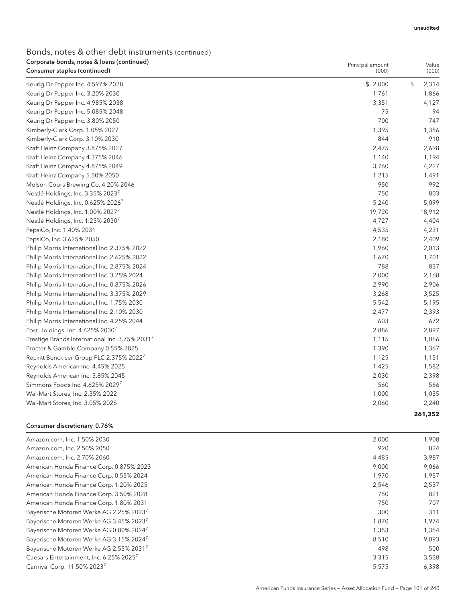### Bonds, notes & other debt instruments (continued) Corporate bonds, notes & loans (continued)

| Corporate bonds, notes & Ioans (continued)<br>Consumer staples (continued) | Principal amount<br>(000) | Value<br>(000) |
|----------------------------------------------------------------------------|---------------------------|----------------|
| Keurig Dr Pepper Inc. 4.597% 2028                                          | \$2,000                   | \$<br>2,314    |
| Keurig Dr Pepper Inc. 3.20% 2030                                           | 1,761                     | 1,866          |
| Keurig Dr Pepper Inc. 4.985% 2038                                          | 3,351                     | 4,127          |
| Keurig Dr Pepper Inc. 5.085% 2048                                          | 75                        | 94             |
| Keurig Dr Pepper Inc. 3.80% 2050                                           | 700                       | 747            |
| Kimberly-Clark Corp. 1.05% 2027                                            | 1,395                     | 1,356          |
| Kimberly-Clark Corp. 3.10% 2030                                            | 844                       | 910            |
| Kraft Heinz Company 3.875% 2027                                            | 2,475                     | 2,698          |
| Kraft Heinz Company 4.375% 2046                                            | 1,140                     | 1,194          |
| Kraft Heinz Company 4.875% 2049                                            | 3,760                     | 4,227          |
| Kraft Heinz Company 5.50% 2050                                             | 1,215                     | 1,491          |
| Molson Coors Brewing Co. 4.20% 2046                                        | 950                       | 992            |
| Nestlé Holdings, Inc. 3.35% 2023 <sup>7</sup>                              | 750                       | 803            |
| Nestlé Holdings, Inc. 0.625% 20267                                         | 5,240                     | 5,099          |
| Nestlé Holdings, Inc. 1.00% 2027 <sup>7</sup>                              | 19,720                    | 18,912         |
| Nestlé Holdings, Inc. 1.25% 20307                                          | 4,727                     | 4,404          |
| PepsiCo, Inc. 1.40% 2031                                                   | 4,535                     | 4,231          |
| PepsiCo, Inc. 3.625% 2050                                                  | 2,180                     | 2,409          |
| Philip Morris International Inc. 2.375% 2022                               | 1,960                     | 2,013          |
| Philip Morris International Inc. 2.625% 2022                               | 1,670                     | 1,701          |
| Philip Morris International Inc. 2.875% 2024                               | 788                       | 837            |
| Philip Morris International Inc. 3.25% 2024                                | 2,000                     | 2,168          |
| Philip Morris International Inc. 0.875% 2026                               | 2,990                     | 2,906          |
| Philip Morris International Inc. 3.375% 2029                               | 3,268                     | 3,525          |
| Philip Morris International Inc. 1.75% 2030                                | 5,542                     | 5,195          |
| Philip Morris International Inc. 2.10% 2030                                | 2,477                     | 2,393          |
| Philip Morris International Inc. 4.25% 2044                                | 603                       | 672            |
| Post Holdings, Inc. 4.625% 2030'                                           | 2,886                     | 2,897          |
| Prestige Brands International Inc. 3.75% 2031 <sup>7</sup>                 | 1,115                     | 1,066          |
| Procter & Gamble Company 0.55% 2025                                        | 1,390                     | 1,367          |
| Reckitt Benckiser Group PLC 2.375% 2022 <sup>7</sup>                       | 1,125                     | 1,151          |
| Reynolds American Inc. 4.45% 2025                                          | 1,425                     | 1,582          |
| Reynolds American Inc. 5.85% 2045                                          | 2,030                     | 2,398          |
| Simmons Foods Inc. 4.625% 20297                                            | 560                       | 566            |
| Wal-Mart Stores, Inc. 2.35% 2022                                           | 1,000                     | 1,035          |
| Wal-Mart Stores, Inc. 3.05% 2026                                           | 2,060                     | 2,240          |
|                                                                            |                           | 261,352        |

#### Consumer discretionary 0.76%

| Amazon.com, Inc. 1.50% 2030                         | 2,000 | 1,908 |
|-----------------------------------------------------|-------|-------|
| Amazon.com, Inc. 2.50% 2050                         | 920   | 824   |
| Amazon.com, Inc. 2.70% 2060                         | 4,485 | 3,987 |
| American Honda Finance Corp. 0.875% 2023            | 9,000 | 9,066 |
| American Honda Finance Corp. 0.55% 2024             | 1,970 | 1,957 |
| American Honda Finance Corp. 1.20% 2025             | 2,546 | 2,537 |
| American Honda Finance Corp. 3.50% 2028             | 750   | 821   |
| American Honda Finance Corp. 1.80% 2031             | 750   | 707   |
| Bayerische Motoren Werke AG 2.25% 2023 <sup>7</sup> | 300   | 311   |
| Bayerische Motoren Werke AG 3.45% 20237             | 1,870 | 1,974 |
| Bayerische Motoren Werke AG 0.80% 20247             | 1,353 | 1,354 |
| Bayerische Motoren Werke AG 3.15% 2024 <sup>7</sup> | 8,510 | 9,093 |
| Bayerische Motoren Werke AG 2.55% 20317             | 498   | 500   |
| Caesars Entertainment, Inc. 6.25% 2025 <sup>7</sup> | 3,315 | 3,538 |
| Carnival Corp. 11.50% 2023 <sup>7</sup>             | 5,575 | 6,398 |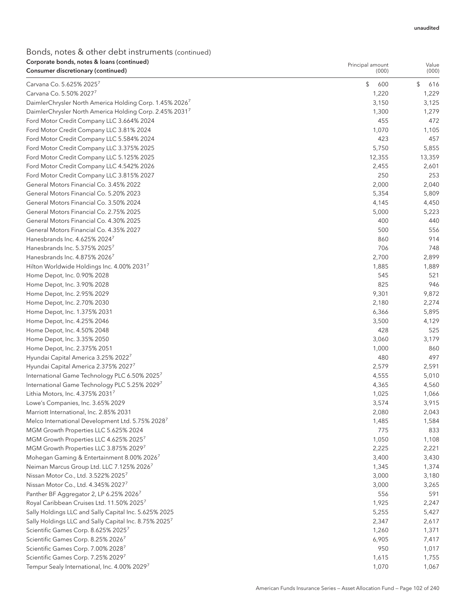| Corporate bonds, notes & Ioans (continued)<br>Consumer discretionary (continued) | Principal amount<br>(000) | Value<br>(000) |
|----------------------------------------------------------------------------------|---------------------------|----------------|
|                                                                                  |                           |                |
| Carvana Co. 5.625% 2025 <sup>7</sup>                                             | \$<br>600                 | \$<br>616      |
| Carvana Co. 5.50% 20277                                                          | 1,220                     | 1,229          |
| DaimlerChrysler North America Holding Corp. 1.45% 2026 <sup>7</sup>              | 3,150                     | 3,125          |
| DaimlerChrysler North America Holding Corp. 2.45% 2031 <sup>7</sup>              | 1,300                     | 1,279          |
| Ford Motor Credit Company LLC 3.664% 2024                                        | 455                       | 472            |
| Ford Motor Credit Company LLC 3.81% 2024                                         | 1,070                     | 1,105          |
| Ford Motor Credit Company LLC 5.584% 2024                                        | 423                       | 457            |
| Ford Motor Credit Company LLC 3.375% 2025                                        | 5,750                     | 5,855          |
| Ford Motor Credit Company LLC 5.125% 2025                                        | 12,355                    | 13,359         |
| Ford Motor Credit Company LLC 4.542% 2026                                        | 2,455                     | 2,601          |
| Ford Motor Credit Company LLC 3.815% 2027                                        | 250                       | 253            |
| General Motors Financial Co. 3.45% 2022                                          | 2,000                     | 2,040          |
| General Motors Financial Co. 5.20% 2023                                          | 5,354                     | 5,809          |
| General Motors Financial Co. 3.50% 2024                                          | 4,145                     | 4,450          |
| General Motors Financial Co. 2.75% 2025                                          | 5,000                     | 5,223          |
| General Motors Financial Co. 4.30% 2025                                          | 400                       | 440            |
| General Motors Financial Co. 4.35% 2027                                          | 500                       | 556            |
| Hanesbrands Inc. 4.625% 2024 <sup>7</sup>                                        | 860                       | 914            |
| Hanesbrands Inc. 5.375% 2025 <sup>7</sup>                                        | 706                       | 748            |
| Hanesbrands Inc. 4.875% 20267                                                    | 2,700                     | 2,899          |
| Hilton Worldwide Holdings Inc. 4.00% 20317                                       | 1,885                     | 1,889          |
| Home Depot, Inc. 0.90% 2028                                                      | 545                       | 521            |
| Home Depot, Inc. 3.90% 2028                                                      | 825                       | 946            |
| Home Depot, Inc. 2.95% 2029                                                      | 9,301                     | 9,872          |
| Home Depot, Inc. 2.70% 2030                                                      | 2,180                     | 2,274          |
| Home Depot, Inc. 1.375% 2031                                                     | 6,366                     | 5,895          |
| Home Depot, Inc. 4.25% 2046                                                      | 3,500                     | 4,129          |
| Home Depot, Inc. 4.50% 2048                                                      | 428                       | 525            |
| Home Depot, Inc. 3.35% 2050                                                      | 3,060                     | 3,179          |
| Home Depot, Inc. 2.375% 2051                                                     | 1,000                     | 860            |
| Hyundai Capital America 3.25% 2022 <sup>7</sup>                                  | 480                       | 497            |
| Hyundai Capital America 2.375% 2027 <sup>7</sup>                                 | 2,579                     | 2,591          |
| International Game Technology PLC 6.50% 2025 <sup>7</sup>                        | 4,555                     | 5,010          |
| International Game Technology PLC 5.25% 20297                                    | 4,365                     | 4,560          |
| Lithia Motors, Inc. 4.375% 2031 <sup>7</sup>                                     | 1,025                     | 1,066          |
| Lowe's Companies, Inc. 3.65% 2029                                                | 3,574                     | 3,915          |
| Marriott International, Inc. 2.85% 2031                                          | 2,080                     | 2,043          |
| Melco International Development Ltd. 5.75% 20287                                 | 1,485                     | 1,584          |
| MGM Growth Properties LLC 5.625% 2024                                            | 775                       | 833            |
| MGM Growth Properties LLC 4.625% 2025 <sup>7</sup>                               | 1,050                     | 1,108          |
| MGM Growth Properties LLC 3.875% 20297                                           | 2,225                     | 2,221          |
| Mohegan Gaming & Entertainment 8.00% 2026 <sup>7</sup>                           | 3,400                     | 3,430          |
| Neiman Marcus Group Ltd. LLC 7.125% 2026 <sup>7</sup>                            | 1,345                     | 1,374          |
| Nissan Motor Co., Ltd. 3.522% 2025 <sup>7</sup>                                  | 3,000                     | 3,180          |
| Nissan Motor Co., Ltd. 4.345% 2027 <sup>7</sup>                                  | 3,000                     | 3,265          |
| Panther BF Aggregator 2, LP 6.25% 2026 <sup>7</sup>                              | 556                       | 591            |
| Royal Caribbean Cruises Ltd. 11.50% 2025 <sup>7</sup>                            | 1,925                     | 2,247          |
| Sally Holdings LLC and Sally Capital Inc. 5.625% 2025                            | 5,255                     | 5,427          |
| Sally Holdings LLC and Sally Capital Inc. 8.75% 2025 <sup>7</sup>                | 2,347                     | 2,617          |
| Scientific Games Corp. 8.625% 20257                                              | 1,260                     | 1,371          |
| Scientific Games Corp. 8.25% 2026 <sup>7</sup>                                   | 6,905                     | 7,417          |
| Scientific Games Corp. 7.00% 20287                                               | 950                       | 1,017          |
| Scientific Games Corp. 7.25% 20297                                               | 1,615                     | 1,755          |
| Tempur Sealy International, Inc. 4.00% 20297                                     | 1,070                     | 1,067          |
|                                                                                  |                           |                |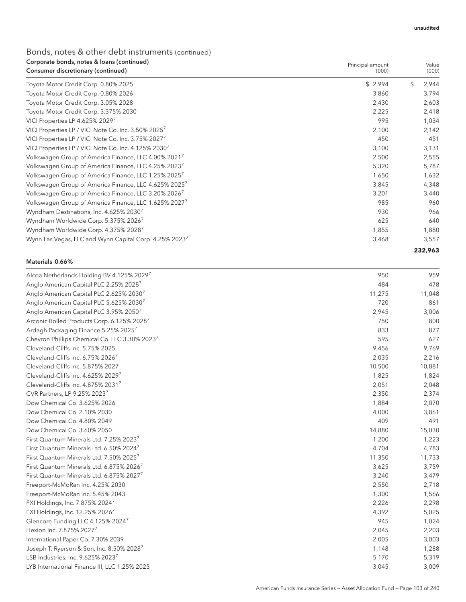| Corporate bonds, notes & loans (continued)<br>Consumer discretionary (continued) | Principal amount<br>(000) | Value<br>(000) |
|----------------------------------------------------------------------------------|---------------------------|----------------|
| Toyota Motor Credit Corp. 0.80% 2025                                             | \$2,994                   | \$<br>2,944    |
| Toyota Motor Credit Corp. 0.80% 2026                                             | 3,860                     | 3,794          |
| Toyota Motor Credit Corp. 3.05% 2028                                             | 2,430                     | 2,603          |
| Toyota Motor Credit Corp. 3.375% 2030                                            | 2,225                     | 2,418          |
| VICI Properties LP 4.625% 20297                                                  | 995                       | 1,034          |
| VICI Properties LP / VICI Note Co. Inc. 3.50% 2025 <sup>7</sup>                  | 2,100                     | 2,142          |
| VICI Properties LP / VICI Note Co. Inc. 3.75% 2027 <sup>7</sup>                  | 450                       | 451            |
| VICI Properties LP / VICI Note Co. Inc. 4.125% 2030 <sup>7</sup>                 | 3,100                     | 3,131          |
| Volkswagen Group of America Finance, LLC 4.00% 2021 <sup>7</sup>                 | 2,500                     | 2,555          |
| Volkswagen Group of America Finance, LLC 4.25% 2023                              | 5,320                     | 5,787          |
| Volkswagen Group of America Finance, LLC 1.25% 2025 <sup>7</sup>                 | 1,650                     | 1,632          |
| Volkswagen Group of America Finance, LLC 4.625% 2025                             | 3,845                     | 4,348          |
| Volkswagen Group of America Finance, LLC 3.20% 2026 <sup>7</sup>                 | 3,201                     | 3,440          |
| Volkswagen Group of America Finance, LLC 1.625% 2027 <sup>7</sup>                | 985                       | 960            |
| Wyndham Destinations, Inc. 4.625% 2030                                           | 930                       | 966            |
| Wyndham Worldwide Corp. 5.375% 2026 <sup>7</sup>                                 | 625                       | 640            |
| Wyndham Worldwide Corp. 4.375% 2028 <sup>7</sup>                                 | 1,855                     | 1,880          |
| Wynn Las Vegas, LLC and Wynn Capital Corp. 4.25% 2023 <sup>7</sup>               | 3,468                     | 3,557          |
|                                                                                  |                           | 232,963        |

#### Materials 0.66%

| Alcoa Netherlands Holding BV 4.125% 20297                 | 950    | 959    |
|-----------------------------------------------------------|--------|--------|
| Anglo American Capital PLC 2.25% 2028 <sup>7</sup>        | 484    | 478    |
| Anglo American Capital PLC 2.625% 2030 <sup>7</sup>       | 11,275 | 11,048 |
| Anglo American Capital PLC 5.625% 20307                   | 720    | 861    |
| Anglo American Capital PLC 3.95% 2050 <sup>7</sup>        | 2,945  | 3,006  |
| Arconic Rolled Products Corp. 6.125% 20287                | 750    | 800    |
| Ardagh Packaging Finance 5.25% 2025 <sup>7</sup>          | 833    | 877    |
| Chevron Phillips Chemical Co. LLC 3.30% 2023 <sup>7</sup> | 595    | 627    |
| Cleveland-Cliffs Inc. 5.75% 2025                          | 9,456  | 9,769  |
| Cleveland-Cliffs Inc. 6.75% 2026 <sup>7</sup>             | 2,035  | 2,216  |
| Cleveland-Cliffs Inc. 5.875% 2027                         | 10,500 | 10,881 |
| Cleveland-Cliffs Inc. 4.625% 20297                        | 1,825  | 1,824  |
| Cleveland-Cliffs Inc. 4.875% 20317                        | 2,051  | 2,048  |
| CVR Partners, LP 9.25% 20237                              | 2,350  | 2,374  |
| Dow Chemical Co. 3.625% 2026                              | 1,884  | 2,070  |
| Dow Chemical Co. 2.10% 2030                               | 4,000  | 3,861  |
| Dow Chemical Co. 4.80% 2049                               | 409    | 491    |
| Dow Chemical Co. 3.60% 2050                               | 14,880 | 15,030 |
| First Quantum Minerals Ltd. 7.25% 2023 <sup>7</sup>       | 1,200  | 1,223  |
| First Quantum Minerals Ltd. 6.50% 2024 <sup>7</sup>       | 4,704  | 4,783  |
| First Quantum Minerals Ltd. 7.50% 2025 <sup>7</sup>       | 11,350 | 11,733 |
| First Quantum Minerals Ltd. 6.875% 2026 <sup>7</sup>      | 3,625  | 3,759  |
| First Quantum Minerals Ltd. 6.875% 20277                  | 3,240  | 3,479  |
| Freeport-McMoRan Inc. 4.25% 2030                          | 2,550  | 2,718  |
| Freeport-McMoRan Inc. 5.45% 2043                          | 1,300  | 1,566  |
| FXI Holdings, Inc. 7.875% 2024 <sup>7</sup>               | 2,226  | 2,298  |
| FXI Holdings, Inc. 12.25% 2026 <sup>7</sup>               | 4,392  | 5,025  |
| Glencore Funding LLC 4.125% 20247                         | 945    | 1,024  |
| Hexion Inc. 7.875% 20277                                  | 2,045  | 2,203  |
| International Paper Co. 7.30% 2039                        | 2,005  | 3,003  |
| Joseph T. Ryerson & Son, Inc. 8.50% 2028 <sup>7</sup>     | 1,148  | 1,288  |
| LSB Industries, Inc. 9.625% 20237                         | 5,170  | 5,319  |
| LYB International Finance III, LLC 1.25% 2025             | 3,045  | 3,009  |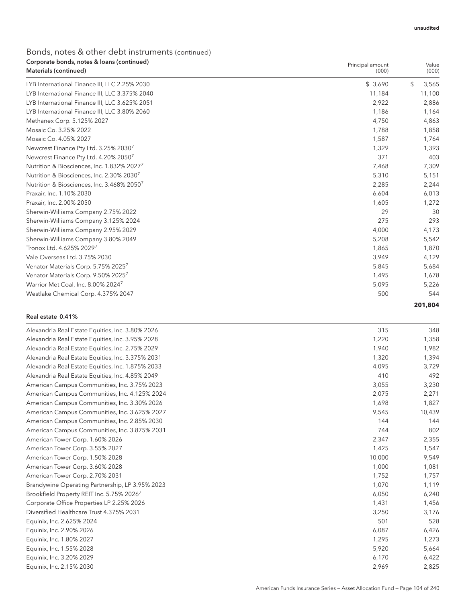| Corporate bonds, notes & Ioans (continued)<br>Materials (continued) | Principal amount<br>(000) | Value<br>(000) |
|---------------------------------------------------------------------|---------------------------|----------------|
| LYB International Finance III, LLC 2.25% 2030                       | \$3,690                   | \$<br>3,565    |
| LYB International Finance III, LLC 3.375% 2040                      | 11,184                    | 11,100         |
| LYB International Finance III, LLC 3.625% 2051                      | 2,922                     | 2,886          |
| LYB International Finance III, LLC 3.80% 2060                       | 1,186                     | 1,164          |
| Methanex Corp. 5.125% 2027                                          | 4,750                     | 4,863          |
| Mosaic Co. 3.25% 2022                                               | 1,788                     | 1,858          |
| Mosaic Co. 4.05% 2027                                               | 1,587                     | 1,764          |
| Newcrest Finance Pty Ltd. 3.25% 2030 <sup>7</sup>                   | 1,329                     | 1,393          |
| Newcrest Finance Pty Ltd. 4.20% 2050 <sup>7</sup>                   | 371                       | 403            |
| Nutrition & Biosciences, Inc. 1.832% 2027 <sup>7</sup>              | 7,468                     | 7,309          |
| Nutrition & Biosciences, Inc. 2.30% 20307                           | 5,310                     | 5,151          |
| Nutrition & Biosciences, Inc. 3.468% 2050                           | 2,285                     | 2,244          |
| Praxair, Inc. 1.10% 2030                                            | 6,604                     | 6,013          |
| Praxair, Inc. 2.00% 2050                                            | 1,605                     | 1,272          |
| Sherwin-Williams Company 2.75% 2022                                 | 29                        | 30             |
| Sherwin-Williams Company 3.125% 2024                                | 275                       | 293            |
| Sherwin-Williams Company 2.95% 2029                                 | 4,000                     | 4,173          |
| Sherwin-Williams Company 3.80% 2049                                 | 5,208                     | 5,542          |
| Tronox Ltd. 4.625% 20297                                            | 1,865                     | 1,870          |
| Vale Overseas Ltd. 3.75% 2030                                       | 3,949                     | 4,129          |
| Venator Materials Corp. 5.75% 2025 <sup>7</sup>                     | 5,845                     | 5,684          |
| Venator Materials Corp. 9.50% 2025 <sup>7</sup>                     | 1,495                     | 1,678          |
| Warrior Met Coal, Inc. 8.00% 20247                                  | 5,095                     | 5,226          |
| Westlake Chemical Corp. 4.375% 2047                                 | 500                       | 544            |
|                                                                     |                           | 201.804        |

#### Real estate 0.41%

| Alexandria Real Estate Equities, Inc. 3.80% 2026      | 315    | 348    |
|-------------------------------------------------------|--------|--------|
| Alexandria Real Estate Equities, Inc. 3.95% 2028      | 1,220  | 1,358  |
| Alexandria Real Estate Equities, Inc. 2.75% 2029      | 1,940  | 1,982  |
| Alexandria Real Estate Equities, Inc. 3.375% 2031     | 1,320  | 1,394  |
| Alexandria Real Estate Equities, Inc. 1.875% 2033     | 4.095  | 3,729  |
| Alexandria Real Estate Equities, Inc. 4.85% 2049      | 410    | 492    |
| American Campus Communities, Inc. 3.75% 2023          | 3,055  | 3,230  |
| American Campus Communities, Inc. 4.125% 2024         | 2,075  | 2,271  |
| American Campus Communities, Inc. 3.30% 2026          | 1.698  | 1,827  |
| American Campus Communities, Inc. 3.625% 2027         | 9,545  | 10,439 |
| American Campus Communities, Inc. 2.85% 2030          | 144    | 144    |
| American Campus Communities, Inc. 3.875% 2031         | 744    | 802    |
| American Tower Corp. 1.60% 2026                       | 2,347  | 2,355  |
| American Tower Corp. 3.55% 2027                       | 1,425  | 1,547  |
| American Tower Corp. 1.50% 2028                       | 10,000 | 9,549  |
| American Tower Corp. 3.60% 2028                       | 1,000  | 1,081  |
| American Tower Corp. 2.70% 2031                       | 1,752  | 1,757  |
| Brandywine Operating Partnership, LP 3.95% 2023       | 1,070  | 1,119  |
| Brookfield Property REIT Inc. 5.75% 2026 <sup>7</sup> | 6,050  | 6,240  |
| Corporate Office Properties LP 2.25% 2026             | 1,431  | 1,456  |
| Diversified Healthcare Trust 4.375% 2031              | 3,250  | 3,176  |
| Equinix, Inc. 2.625% 2024                             | 501    | 528    |
| Equinix, Inc. 2.90% 2026                              | 6,087  | 6,426  |
| Equinix, Inc. 1.80% 2027                              | 1,295  | 1,273  |
| Equinix, Inc. 1.55% 2028                              | 5,920  | 5,664  |
| Equinix, Inc. 3.20% 2029                              | 6,170  | 6,422  |
| Equinix, Inc. 2.15% 2030                              | 2,969  | 2,825  |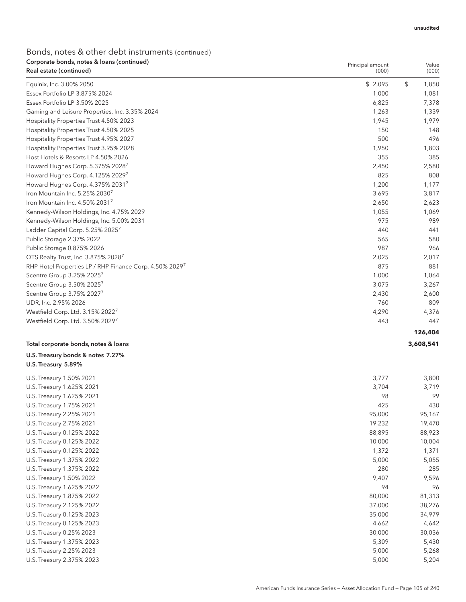| Corporate bonds, notes & Ioans (continued)<br>Real estate (continued) | Principal amount<br>(000) | Value<br>(000) |
|-----------------------------------------------------------------------|---------------------------|----------------|
| Equinix, Inc. 3.00% 2050                                              | \$2,095                   | \$<br>1,850    |
| Essex Portfolio LP 3.875% 2024                                        | 1,000                     | 1,081          |
| Essex Portfolio LP 3.50% 2025                                         | 6,825                     | 7,378          |
| Gaming and Leisure Properties, Inc. 3.35% 2024                        | 1,263                     | 1,339          |
| Hospitality Properties Trust 4.50% 2023                               | 1,945                     | 1,979          |
| Hospitality Properties Trust 4.50% 2025                               | 150                       | 148            |
| Hospitality Properties Trust 4.95% 2027                               | 500                       | 496            |
| Hospitality Properties Trust 3.95% 2028                               | 1,950                     | 1,803          |
| Host Hotels & Resorts LP 4.50% 2026                                   | 355                       | 385            |
| Howard Hughes Corp. 5.375% 2028                                       | 2,450                     | 2,580          |
| Howard Hughes Corp. 4.125% 2029 <sup>7</sup>                          | 825                       | 808            |
| Howard Hughes Corp. 4.375% 2031 <sup>7</sup>                          | 1,200                     | 1,177          |
| Iron Mountain Inc. $5.25\%$ 2030 <sup>7</sup>                         | 3,695                     | 3,817          |
| Iron Mountain Inc. 4.50% 2031 <sup>7</sup>                            | 2,650                     | 2,623          |
| Kennedy-Wilson Holdings, Inc. 4.75% 2029                              | 1,055                     | 1,069          |
| Kennedy-Wilson Holdings, Inc. 5.00% 2031                              | 975                       | 989            |
| Ladder Capital Corp. 5.25% 2025 <sup>7</sup>                          | 440                       | 441            |
| Public Storage 2.37% 2022                                             | 565                       | 580            |
| Public Storage 0.875% 2026                                            | 987                       | 966            |
| QTS Realty Trust, Inc. 3.875% 20287                                   | 2,025                     | 2,017          |
| RHP Hotel Properties LP / RHP Finance Corp. 4.50% 20297               | 875                       | 881            |
| Scentre Group 3.25% 2025 <sup>7</sup>                                 | 1,000                     | 1,064          |
| Scentre Group 3.50% 20257                                             | 3,075                     | 3,267          |
| Scentre Group 3.75% 2027 <sup>7</sup>                                 | 2,430                     | 2,600          |
| UDR, Inc. 2.95% 2026                                                  | 760                       | 809            |
| Westfield Corp. Ltd. 3.15% 2022 <sup>7</sup>                          | 4,290                     | 4,376          |
| Westfield Corp. Ltd. 3.50% 20297                                      | 443                       | 447            |
|                                                                       |                           | 126,404        |

#### Total corporate bonds, notes & loans **3,608,541**

#### U.S. Treasury bonds & notes 7.27% U.S. Treasury 5.89%

| 3,777<br>U.S. Treasury 1.50% 2021   | 3,800  |
|-------------------------------------|--------|
| U.S. Treasury 1.625% 2021<br>3,704  | 3,719  |
| 98<br>U.S. Treasury 1.625% 2021     | 99     |
| 425<br>U.S. Treasury 1.75% 2021     | 430    |
| 95,000<br>U.S. Treasury 2.25% 2021  | 95,167 |
| 19,232<br>U.S. Treasury 2.75% 2021  | 19,470 |
| 88,895<br>U.S. Treasury 0.125% 2022 | 88,923 |
| 10,000<br>U.S. Treasury 0.125% 2022 | 10,004 |
| U.S. Treasury 0.125% 2022<br>1,372  | 1,371  |
| 5,000<br>U.S. Treasury 1.375% 2022  | 5,055  |
| U.S. Treasury 1.375% 2022<br>280    | 285    |
| 9,407<br>U.S. Treasury 1.50% 2022   | 9,596  |
| 94<br>U.S. Treasury 1.625% 2022     | 96     |
| 80,000<br>U.S. Treasury 1.875% 2022 | 81,313 |
| 37,000<br>U.S. Treasury 2.125% 2022 | 38,276 |
| U.S. Treasury 0.125% 2023<br>35,000 | 34,979 |
| U.S. Treasury 0.125% 2023<br>4,662  | 4,642  |
| 30,000<br>U.S. Treasury 0.25% 2023  | 30,036 |
| 5,309<br>U.S. Treasury 1.375% 2023  | 5,430  |
| 5,000<br>U.S. Treasury 2.25% 2023   | 5,268  |
| 5,000<br>U.S. Treasury 2.375% 2023  | 5,204  |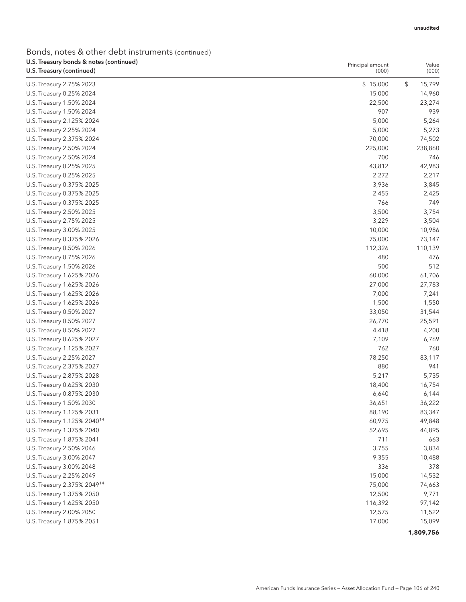### Bonds, notes & other debt instruments (continued)

| (000)<br>(000)<br>15,799<br>\$15,000<br>\$<br>U.S. Treasury 2.75% 2023<br>U.S. Treasury 0.25% 2024<br>15,000<br>14,960<br>22,500<br>U.S. Treasury 1.50% 2024<br>23,274<br>907<br>U.S. Treasury 1.50% 2024<br>939<br>5,000<br>5,264<br>U.S. Treasury 2.125% 2024<br>5,000<br>5,273<br>U.S. Treasury 2.25% 2024<br>U.S. Treasury 2.375% 2024<br>70,000<br>74,502<br>225,000<br>238,860<br>U.S. Treasury 2.50% 2024<br>700<br>U.S. Treasury 2.50% 2024<br>746<br>43,812<br>42,983<br>U.S. Treasury 0.25% 2025<br>U.S. Treasury 0.25% 2025<br>2,272<br>2,217<br>U.S. Treasury 0.375% 2025<br>3,936<br>3,845<br>U.S. Treasury 0.375% 2025<br>2,455<br>2,425<br>U.S. Treasury 0.375% 2025<br>766<br>749<br>3,500<br>3,754<br>U.S. Treasury 2.50% 2025<br>U.S. Treasury 2.75% 2025<br>3,229<br>3,504<br>U.S. Treasury 3.00% 2025<br>10,000<br>10,986<br>U.S. Treasury 0.375% 2026<br>75,000<br>73,147<br>U.S. Treasury 0.50% 2026<br>112,326<br>110,139<br>480<br>U.S. Treasury 0.75% 2026<br>476<br>U.S. Treasury 1.50% 2026<br>500<br>512<br>U.S. Treasury 1.625% 2026<br>60,000<br>61,706<br>U.S. Treasury 1.625% 2026<br>27,000<br>27,783<br>U.S. Treasury 1.625% 2026<br>7,000<br>7,241<br>1,500<br>1,550<br>U.S. Treasury 1.625% 2026<br>U.S. Treasury 0.50% 2027<br>33,050<br>31,544<br>U.S. Treasury 0.50% 2027<br>26,770<br>25,591<br>U.S. Treasury 0.50% 2027<br>4,418<br>4,200<br>U.S. Treasury 0.625% 2027<br>7,109<br>6,769<br>U.S. Treasury 1.125% 2027<br>762<br>760<br>78,250<br>U.S. Treasury 2.25% 2027<br>83,117<br>U.S. Treasury 2.375% 2027<br>880<br>941<br>U.S. Treasury 2.875% 2028<br>5,217<br>5,735<br>18,400<br>U.S. Treasury 0.625% 2030<br>16,754<br>U.S. Treasury 0.875% 2030<br>6,640<br>6,144<br>U.S. Treasury 1.50% 2030<br>36,651<br>36,222<br>88,190<br>83,347<br>U.S. Treasury 1.125% 2031<br>U.S. Treasury 1.125% 2040 <sup>14</sup><br>60,975<br>49,848<br>U.S. Treasury 1.375% 2040<br>52,695<br>44,895<br>U.S. Treasury 1.875% 2041<br>711<br>663<br>U.S. Treasury 2.50% 2046<br>3,755<br>3,834<br>U.S. Treasury 3.00% 2047<br>9,355<br>10,488<br>U.S. Treasury 3.00% 2048<br>336<br>378<br>15,000<br>14,532<br>75,000<br>74,663<br>12,500<br>9,771<br>116,392<br>97,142<br>12,575<br>11,522<br>17,000<br>15,099 | U.S. Treasury bonds & notes (continued) | Principal amount | Value |
|---------------------------------------------------------------------------------------------------------------------------------------------------------------------------------------------------------------------------------------------------------------------------------------------------------------------------------------------------------------------------------------------------------------------------------------------------------------------------------------------------------------------------------------------------------------------------------------------------------------------------------------------------------------------------------------------------------------------------------------------------------------------------------------------------------------------------------------------------------------------------------------------------------------------------------------------------------------------------------------------------------------------------------------------------------------------------------------------------------------------------------------------------------------------------------------------------------------------------------------------------------------------------------------------------------------------------------------------------------------------------------------------------------------------------------------------------------------------------------------------------------------------------------------------------------------------------------------------------------------------------------------------------------------------------------------------------------------------------------------------------------------------------------------------------------------------------------------------------------------------------------------------------------------------------------------------------------------------------------------------------------------------------------------------------------------------------------------------------------------------------------------------------------------------------------------------------------------------------------------------------|-----------------------------------------|------------------|-------|
|                                                                                                                                                                                                                                                                                                                                                                                                                                                                                                                                                                                                                                                                                                                                                                                                                                                                                                                                                                                                                                                                                                                                                                                                                                                                                                                                                                                                                                                                                                                                                                                                                                                                                                                                                                                                                                                                                                                                                                                                                                                                                                                                                                                                                                                   | U.S. Treasury (continued)               |                  |       |
|                                                                                                                                                                                                                                                                                                                                                                                                                                                                                                                                                                                                                                                                                                                                                                                                                                                                                                                                                                                                                                                                                                                                                                                                                                                                                                                                                                                                                                                                                                                                                                                                                                                                                                                                                                                                                                                                                                                                                                                                                                                                                                                                                                                                                                                   |                                         |                  |       |
|                                                                                                                                                                                                                                                                                                                                                                                                                                                                                                                                                                                                                                                                                                                                                                                                                                                                                                                                                                                                                                                                                                                                                                                                                                                                                                                                                                                                                                                                                                                                                                                                                                                                                                                                                                                                                                                                                                                                                                                                                                                                                                                                                                                                                                                   |                                         |                  |       |
|                                                                                                                                                                                                                                                                                                                                                                                                                                                                                                                                                                                                                                                                                                                                                                                                                                                                                                                                                                                                                                                                                                                                                                                                                                                                                                                                                                                                                                                                                                                                                                                                                                                                                                                                                                                                                                                                                                                                                                                                                                                                                                                                                                                                                                                   |                                         |                  |       |
|                                                                                                                                                                                                                                                                                                                                                                                                                                                                                                                                                                                                                                                                                                                                                                                                                                                                                                                                                                                                                                                                                                                                                                                                                                                                                                                                                                                                                                                                                                                                                                                                                                                                                                                                                                                                                                                                                                                                                                                                                                                                                                                                                                                                                                                   |                                         |                  |       |
|                                                                                                                                                                                                                                                                                                                                                                                                                                                                                                                                                                                                                                                                                                                                                                                                                                                                                                                                                                                                                                                                                                                                                                                                                                                                                                                                                                                                                                                                                                                                                                                                                                                                                                                                                                                                                                                                                                                                                                                                                                                                                                                                                                                                                                                   |                                         |                  |       |
|                                                                                                                                                                                                                                                                                                                                                                                                                                                                                                                                                                                                                                                                                                                                                                                                                                                                                                                                                                                                                                                                                                                                                                                                                                                                                                                                                                                                                                                                                                                                                                                                                                                                                                                                                                                                                                                                                                                                                                                                                                                                                                                                                                                                                                                   |                                         |                  |       |
|                                                                                                                                                                                                                                                                                                                                                                                                                                                                                                                                                                                                                                                                                                                                                                                                                                                                                                                                                                                                                                                                                                                                                                                                                                                                                                                                                                                                                                                                                                                                                                                                                                                                                                                                                                                                                                                                                                                                                                                                                                                                                                                                                                                                                                                   |                                         |                  |       |
|                                                                                                                                                                                                                                                                                                                                                                                                                                                                                                                                                                                                                                                                                                                                                                                                                                                                                                                                                                                                                                                                                                                                                                                                                                                                                                                                                                                                                                                                                                                                                                                                                                                                                                                                                                                                                                                                                                                                                                                                                                                                                                                                                                                                                                                   |                                         |                  |       |
|                                                                                                                                                                                                                                                                                                                                                                                                                                                                                                                                                                                                                                                                                                                                                                                                                                                                                                                                                                                                                                                                                                                                                                                                                                                                                                                                                                                                                                                                                                                                                                                                                                                                                                                                                                                                                                                                                                                                                                                                                                                                                                                                                                                                                                                   |                                         |                  |       |
|                                                                                                                                                                                                                                                                                                                                                                                                                                                                                                                                                                                                                                                                                                                                                                                                                                                                                                                                                                                                                                                                                                                                                                                                                                                                                                                                                                                                                                                                                                                                                                                                                                                                                                                                                                                                                                                                                                                                                                                                                                                                                                                                                                                                                                                   |                                         |                  |       |
|                                                                                                                                                                                                                                                                                                                                                                                                                                                                                                                                                                                                                                                                                                                                                                                                                                                                                                                                                                                                                                                                                                                                                                                                                                                                                                                                                                                                                                                                                                                                                                                                                                                                                                                                                                                                                                                                                                                                                                                                                                                                                                                                                                                                                                                   |                                         |                  |       |
|                                                                                                                                                                                                                                                                                                                                                                                                                                                                                                                                                                                                                                                                                                                                                                                                                                                                                                                                                                                                                                                                                                                                                                                                                                                                                                                                                                                                                                                                                                                                                                                                                                                                                                                                                                                                                                                                                                                                                                                                                                                                                                                                                                                                                                                   |                                         |                  |       |
|                                                                                                                                                                                                                                                                                                                                                                                                                                                                                                                                                                                                                                                                                                                                                                                                                                                                                                                                                                                                                                                                                                                                                                                                                                                                                                                                                                                                                                                                                                                                                                                                                                                                                                                                                                                                                                                                                                                                                                                                                                                                                                                                                                                                                                                   |                                         |                  |       |
|                                                                                                                                                                                                                                                                                                                                                                                                                                                                                                                                                                                                                                                                                                                                                                                                                                                                                                                                                                                                                                                                                                                                                                                                                                                                                                                                                                                                                                                                                                                                                                                                                                                                                                                                                                                                                                                                                                                                                                                                                                                                                                                                                                                                                                                   |                                         |                  |       |
|                                                                                                                                                                                                                                                                                                                                                                                                                                                                                                                                                                                                                                                                                                                                                                                                                                                                                                                                                                                                                                                                                                                                                                                                                                                                                                                                                                                                                                                                                                                                                                                                                                                                                                                                                                                                                                                                                                                                                                                                                                                                                                                                                                                                                                                   |                                         |                  |       |
|                                                                                                                                                                                                                                                                                                                                                                                                                                                                                                                                                                                                                                                                                                                                                                                                                                                                                                                                                                                                                                                                                                                                                                                                                                                                                                                                                                                                                                                                                                                                                                                                                                                                                                                                                                                                                                                                                                                                                                                                                                                                                                                                                                                                                                                   |                                         |                  |       |
|                                                                                                                                                                                                                                                                                                                                                                                                                                                                                                                                                                                                                                                                                                                                                                                                                                                                                                                                                                                                                                                                                                                                                                                                                                                                                                                                                                                                                                                                                                                                                                                                                                                                                                                                                                                                                                                                                                                                                                                                                                                                                                                                                                                                                                                   |                                         |                  |       |
|                                                                                                                                                                                                                                                                                                                                                                                                                                                                                                                                                                                                                                                                                                                                                                                                                                                                                                                                                                                                                                                                                                                                                                                                                                                                                                                                                                                                                                                                                                                                                                                                                                                                                                                                                                                                                                                                                                                                                                                                                                                                                                                                                                                                                                                   |                                         |                  |       |
|                                                                                                                                                                                                                                                                                                                                                                                                                                                                                                                                                                                                                                                                                                                                                                                                                                                                                                                                                                                                                                                                                                                                                                                                                                                                                                                                                                                                                                                                                                                                                                                                                                                                                                                                                                                                                                                                                                                                                                                                                                                                                                                                                                                                                                                   |                                         |                  |       |
|                                                                                                                                                                                                                                                                                                                                                                                                                                                                                                                                                                                                                                                                                                                                                                                                                                                                                                                                                                                                                                                                                                                                                                                                                                                                                                                                                                                                                                                                                                                                                                                                                                                                                                                                                                                                                                                                                                                                                                                                                                                                                                                                                                                                                                                   |                                         |                  |       |
|                                                                                                                                                                                                                                                                                                                                                                                                                                                                                                                                                                                                                                                                                                                                                                                                                                                                                                                                                                                                                                                                                                                                                                                                                                                                                                                                                                                                                                                                                                                                                                                                                                                                                                                                                                                                                                                                                                                                                                                                                                                                                                                                                                                                                                                   |                                         |                  |       |
|                                                                                                                                                                                                                                                                                                                                                                                                                                                                                                                                                                                                                                                                                                                                                                                                                                                                                                                                                                                                                                                                                                                                                                                                                                                                                                                                                                                                                                                                                                                                                                                                                                                                                                                                                                                                                                                                                                                                                                                                                                                                                                                                                                                                                                                   |                                         |                  |       |
|                                                                                                                                                                                                                                                                                                                                                                                                                                                                                                                                                                                                                                                                                                                                                                                                                                                                                                                                                                                                                                                                                                                                                                                                                                                                                                                                                                                                                                                                                                                                                                                                                                                                                                                                                                                                                                                                                                                                                                                                                                                                                                                                                                                                                                                   |                                         |                  |       |
|                                                                                                                                                                                                                                                                                                                                                                                                                                                                                                                                                                                                                                                                                                                                                                                                                                                                                                                                                                                                                                                                                                                                                                                                                                                                                                                                                                                                                                                                                                                                                                                                                                                                                                                                                                                                                                                                                                                                                                                                                                                                                                                                                                                                                                                   |                                         |                  |       |
|                                                                                                                                                                                                                                                                                                                                                                                                                                                                                                                                                                                                                                                                                                                                                                                                                                                                                                                                                                                                                                                                                                                                                                                                                                                                                                                                                                                                                                                                                                                                                                                                                                                                                                                                                                                                                                                                                                                                                                                                                                                                                                                                                                                                                                                   |                                         |                  |       |
|                                                                                                                                                                                                                                                                                                                                                                                                                                                                                                                                                                                                                                                                                                                                                                                                                                                                                                                                                                                                                                                                                                                                                                                                                                                                                                                                                                                                                                                                                                                                                                                                                                                                                                                                                                                                                                                                                                                                                                                                                                                                                                                                                                                                                                                   |                                         |                  |       |
|                                                                                                                                                                                                                                                                                                                                                                                                                                                                                                                                                                                                                                                                                                                                                                                                                                                                                                                                                                                                                                                                                                                                                                                                                                                                                                                                                                                                                                                                                                                                                                                                                                                                                                                                                                                                                                                                                                                                                                                                                                                                                                                                                                                                                                                   |                                         |                  |       |
|                                                                                                                                                                                                                                                                                                                                                                                                                                                                                                                                                                                                                                                                                                                                                                                                                                                                                                                                                                                                                                                                                                                                                                                                                                                                                                                                                                                                                                                                                                                                                                                                                                                                                                                                                                                                                                                                                                                                                                                                                                                                                                                                                                                                                                                   |                                         |                  |       |
|                                                                                                                                                                                                                                                                                                                                                                                                                                                                                                                                                                                                                                                                                                                                                                                                                                                                                                                                                                                                                                                                                                                                                                                                                                                                                                                                                                                                                                                                                                                                                                                                                                                                                                                                                                                                                                                                                                                                                                                                                                                                                                                                                                                                                                                   |                                         |                  |       |
|                                                                                                                                                                                                                                                                                                                                                                                                                                                                                                                                                                                                                                                                                                                                                                                                                                                                                                                                                                                                                                                                                                                                                                                                                                                                                                                                                                                                                                                                                                                                                                                                                                                                                                                                                                                                                                                                                                                                                                                                                                                                                                                                                                                                                                                   |                                         |                  |       |
|                                                                                                                                                                                                                                                                                                                                                                                                                                                                                                                                                                                                                                                                                                                                                                                                                                                                                                                                                                                                                                                                                                                                                                                                                                                                                                                                                                                                                                                                                                                                                                                                                                                                                                                                                                                                                                                                                                                                                                                                                                                                                                                                                                                                                                                   |                                         |                  |       |
|                                                                                                                                                                                                                                                                                                                                                                                                                                                                                                                                                                                                                                                                                                                                                                                                                                                                                                                                                                                                                                                                                                                                                                                                                                                                                                                                                                                                                                                                                                                                                                                                                                                                                                                                                                                                                                                                                                                                                                                                                                                                                                                                                                                                                                                   |                                         |                  |       |
|                                                                                                                                                                                                                                                                                                                                                                                                                                                                                                                                                                                                                                                                                                                                                                                                                                                                                                                                                                                                                                                                                                                                                                                                                                                                                                                                                                                                                                                                                                                                                                                                                                                                                                                                                                                                                                                                                                                                                                                                                                                                                                                                                                                                                                                   |                                         |                  |       |
|                                                                                                                                                                                                                                                                                                                                                                                                                                                                                                                                                                                                                                                                                                                                                                                                                                                                                                                                                                                                                                                                                                                                                                                                                                                                                                                                                                                                                                                                                                                                                                                                                                                                                                                                                                                                                                                                                                                                                                                                                                                                                                                                                                                                                                                   |                                         |                  |       |
|                                                                                                                                                                                                                                                                                                                                                                                                                                                                                                                                                                                                                                                                                                                                                                                                                                                                                                                                                                                                                                                                                                                                                                                                                                                                                                                                                                                                                                                                                                                                                                                                                                                                                                                                                                                                                                                                                                                                                                                                                                                                                                                                                                                                                                                   |                                         |                  |       |
|                                                                                                                                                                                                                                                                                                                                                                                                                                                                                                                                                                                                                                                                                                                                                                                                                                                                                                                                                                                                                                                                                                                                                                                                                                                                                                                                                                                                                                                                                                                                                                                                                                                                                                                                                                                                                                                                                                                                                                                                                                                                                                                                                                                                                                                   |                                         |                  |       |
|                                                                                                                                                                                                                                                                                                                                                                                                                                                                                                                                                                                                                                                                                                                                                                                                                                                                                                                                                                                                                                                                                                                                                                                                                                                                                                                                                                                                                                                                                                                                                                                                                                                                                                                                                                                                                                                                                                                                                                                                                                                                                                                                                                                                                                                   |                                         |                  |       |
|                                                                                                                                                                                                                                                                                                                                                                                                                                                                                                                                                                                                                                                                                                                                                                                                                                                                                                                                                                                                                                                                                                                                                                                                                                                                                                                                                                                                                                                                                                                                                                                                                                                                                                                                                                                                                                                                                                                                                                                                                                                                                                                                                                                                                                                   |                                         |                  |       |
|                                                                                                                                                                                                                                                                                                                                                                                                                                                                                                                                                                                                                                                                                                                                                                                                                                                                                                                                                                                                                                                                                                                                                                                                                                                                                                                                                                                                                                                                                                                                                                                                                                                                                                                                                                                                                                                                                                                                                                                                                                                                                                                                                                                                                                                   |                                         |                  |       |
|                                                                                                                                                                                                                                                                                                                                                                                                                                                                                                                                                                                                                                                                                                                                                                                                                                                                                                                                                                                                                                                                                                                                                                                                                                                                                                                                                                                                                                                                                                                                                                                                                                                                                                                                                                                                                                                                                                                                                                                                                                                                                                                                                                                                                                                   |                                         |                  |       |
|                                                                                                                                                                                                                                                                                                                                                                                                                                                                                                                                                                                                                                                                                                                                                                                                                                                                                                                                                                                                                                                                                                                                                                                                                                                                                                                                                                                                                                                                                                                                                                                                                                                                                                                                                                                                                                                                                                                                                                                                                                                                                                                                                                                                                                                   |                                         |                  |       |
|                                                                                                                                                                                                                                                                                                                                                                                                                                                                                                                                                                                                                                                                                                                                                                                                                                                                                                                                                                                                                                                                                                                                                                                                                                                                                                                                                                                                                                                                                                                                                                                                                                                                                                                                                                                                                                                                                                                                                                                                                                                                                                                                                                                                                                                   |                                         |                  |       |
|                                                                                                                                                                                                                                                                                                                                                                                                                                                                                                                                                                                                                                                                                                                                                                                                                                                                                                                                                                                                                                                                                                                                                                                                                                                                                                                                                                                                                                                                                                                                                                                                                                                                                                                                                                                                                                                                                                                                                                                                                                                                                                                                                                                                                                                   |                                         |                  |       |
|                                                                                                                                                                                                                                                                                                                                                                                                                                                                                                                                                                                                                                                                                                                                                                                                                                                                                                                                                                                                                                                                                                                                                                                                                                                                                                                                                                                                                                                                                                                                                                                                                                                                                                                                                                                                                                                                                                                                                                                                                                                                                                                                                                                                                                                   |                                         |                  |       |
|                                                                                                                                                                                                                                                                                                                                                                                                                                                                                                                                                                                                                                                                                                                                                                                                                                                                                                                                                                                                                                                                                                                                                                                                                                                                                                                                                                                                                                                                                                                                                                                                                                                                                                                                                                                                                                                                                                                                                                                                                                                                                                                                                                                                                                                   | U.S. Treasury 2.25% 2049                |                  |       |
|                                                                                                                                                                                                                                                                                                                                                                                                                                                                                                                                                                                                                                                                                                                                                                                                                                                                                                                                                                                                                                                                                                                                                                                                                                                                                                                                                                                                                                                                                                                                                                                                                                                                                                                                                                                                                                                                                                                                                                                                                                                                                                                                                                                                                                                   | U.S. Treasury 2.375% 2049 <sup>14</sup> |                  |       |
|                                                                                                                                                                                                                                                                                                                                                                                                                                                                                                                                                                                                                                                                                                                                                                                                                                                                                                                                                                                                                                                                                                                                                                                                                                                                                                                                                                                                                                                                                                                                                                                                                                                                                                                                                                                                                                                                                                                                                                                                                                                                                                                                                                                                                                                   | U.S. Treasury 1.375% 2050               |                  |       |
|                                                                                                                                                                                                                                                                                                                                                                                                                                                                                                                                                                                                                                                                                                                                                                                                                                                                                                                                                                                                                                                                                                                                                                                                                                                                                                                                                                                                                                                                                                                                                                                                                                                                                                                                                                                                                                                                                                                                                                                                                                                                                                                                                                                                                                                   | U.S. Treasury 1.625% 2050               |                  |       |
|                                                                                                                                                                                                                                                                                                                                                                                                                                                                                                                                                                                                                                                                                                                                                                                                                                                                                                                                                                                                                                                                                                                                                                                                                                                                                                                                                                                                                                                                                                                                                                                                                                                                                                                                                                                                                                                                                                                                                                                                                                                                                                                                                                                                                                                   | U.S. Treasury 2.00% 2050                |                  |       |
|                                                                                                                                                                                                                                                                                                                                                                                                                                                                                                                                                                                                                                                                                                                                                                                                                                                                                                                                                                                                                                                                                                                                                                                                                                                                                                                                                                                                                                                                                                                                                                                                                                                                                                                                                                                                                                                                                                                                                                                                                                                                                                                                                                                                                                                   | U.S. Treasury 1.875% 2051               |                  |       |

**1,809,756**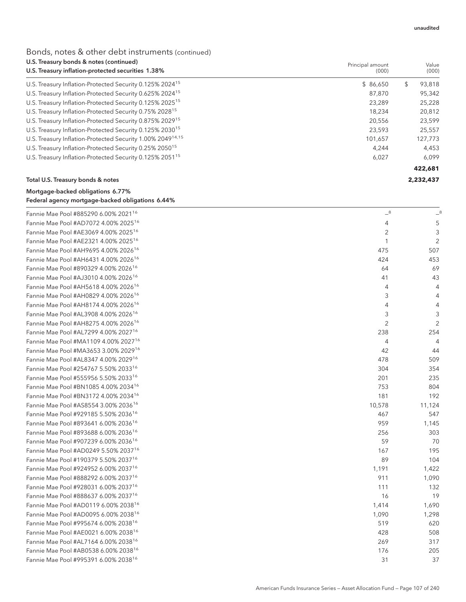# Bonds, notes & other debt instruments (continued)

| U.S. Treasury bonds & notes (continued)                                | Principal amount | Value<br>(000) |
|------------------------------------------------------------------------|------------------|----------------|
| U.S. Treasury inflation-protected securities 1.38%                     | (000)            |                |
| U.S. Treasury Inflation-Protected Security 0.125% 2024 <sup>15</sup>   | \$86,650         | 93,818<br>S    |
| U.S. Treasury Inflation-Protected Security 0.625% 2024 <sup>15</sup>   | 87.870           | 95,342         |
| U.S. Treasury Inflation-Protected Security 0.125% 2025 <sup>15</sup>   | 23.289           | 25,228         |
| U.S. Treasury Inflation-Protected Security 0.75% 2028 <sup>15</sup>    | 18.234           | 20,812         |
| U.S. Treasury Inflation-Protected Security 0.875% 2029 <sup>15</sup>   | 20,556           | 23,599         |
| U.S. Treasury Inflation-Protected Security 0.125% 2030 <sup>15</sup>   | 23,593           | 25,557         |
| U.S. Treasury Inflation-Protected Security 1.00% 2049 <sup>14,15</sup> | 101.657          | 127,773        |
| U.S. Treasury Inflation-Protected Security 0.25% 2050 <sup>15</sup>    | 4.244            | 4,453          |
| U.S. Treasury Inflation-Protected Security 0.125% 2051 <sup>15</sup>   | 6,027            | 6,099          |
|                                                                        |                  | 422,681        |
| Total U.S. Treasury bonds & notes                                      |                  | 2,232,437      |

#### Mortgage-backed obligations 6.77% Federal agency mortgage-backed obligations 6.44%

| Fannie Mae Pool #885290 6.00% 2021 <sup>16</sup> | $^{-8}$        | $-8$           |
|--------------------------------------------------|----------------|----------------|
| Fannie Mae Pool #AD7072 4.00% 2025 <sup>16</sup> | 4              | 5              |
| Fannie Mae Pool #AE3069 4.00% 2025 <sup>16</sup> | 2              | 3              |
| Fannie Mae Pool #AE2321 4.00% 2025 <sup>16</sup> | $\mathbf{1}$   | $\overline{2}$ |
| Fannie Mae Pool #AH9695 4.00% 2026 <sup>16</sup> | 475            | 507            |
| Fannie Mae Pool #AH6431 4.00% 2026 <sup>16</sup> | 424            | 453            |
| Fannie Mae Pool #890329 4.00% 2026 <sup>16</sup> | 64             | 69             |
| Fannie Mae Pool #AJ3010 4.00% 2026 <sup>16</sup> | 41             | 43             |
| Fannie Mae Pool #AH5618 4.00% 2026 <sup>16</sup> | 4              | $\overline{4}$ |
| Fannie Mae Pool #AH0829 4.00% 2026 <sup>16</sup> | 3              | 4              |
| Fannie Mae Pool #AH8174 4.00% 2026 <sup>16</sup> | 4              | 4              |
| Fannie Mae Pool #AL3908 4.00% 2026 <sup>16</sup> | 3              | 3              |
| Fannie Mae Pool #AH8275 4.00% 2026 <sup>16</sup> | $\overline{2}$ | $\overline{2}$ |
| Fannie Mae Pool #AL7299 4.00% 2027 <sup>16</sup> | 238            | 254            |
| Fannie Mae Pool #MA1109 4.00% 2027 <sup>16</sup> | 4              | $\overline{4}$ |
| Fannie Mae Pool #MA3653 3.00% 2029 <sup>16</sup> | 42             | 44             |
| Fannie Mae Pool #AL8347 4.00% 2029 <sup>16</sup> | 478            | 509            |
| Fannie Mae Pool #254767 5.50% 2033 <sup>16</sup> | 304            | 354            |
| Fannie Mae Pool #555956 5.50% 2033 <sup>16</sup> | 201            | 235            |
| Fannie Mae Pool #BN1085 4.00% 2034 <sup>16</sup> | 753            | 804            |
| Fannie Mae Pool #BN3172 4.00% 2034 <sup>16</sup> | 181            | 192            |
| Fannie Mae Pool #AS8554 3.00% 2036 <sup>16</sup> | 10,578         | 11,124         |
| Fannie Mae Pool #929185 5.50% 2036 <sup>16</sup> | 467            | 547            |
| Fannie Mae Pool #893641 6.00% 2036 <sup>16</sup> | 959            | 1,145          |
| Fannie Mae Pool #893688 6.00% 2036 <sup>16</sup> | 256            | 303            |
| Fannie Mae Pool #907239 6.00% 2036 <sup>16</sup> | 59             | 70             |
| Fannie Mae Pool #AD0249 5.50% 2037 <sup>16</sup> | 167            | 195            |
| Fannie Mae Pool #190379 5.50% 2037 <sup>16</sup> | 89             | 104            |
| Fannie Mae Pool #924952 6.00% 2037 <sup>16</sup> | 1,191          | 1,422          |
| Fannie Mae Pool #888292 6.00% 2037 <sup>16</sup> | 911            | 1,090          |
| Fannie Mae Pool #928031 6.00% 2037 <sup>16</sup> | 111            | 132            |
| Fannie Mae Pool #888637 6.00% 2037 <sup>16</sup> | 16             | 19             |
| Fannie Mae Pool #AD0119 6.00% 2038 <sup>16</sup> | 1,414          | 1,690          |
| Fannie Mae Pool #AD0095 6.00% 2038 <sup>16</sup> | 1,090          | 1,298          |
| Fannie Mae Pool #995674 6.00% 2038 <sup>16</sup> | 519            | 620            |
| Fannie Mae Pool #AE0021 6.00% 2038 <sup>16</sup> | 428            | 508            |
| Fannie Mae Pool #AL7164 6.00% 2038 <sup>16</sup> | 269            | 317            |
| Fannie Mae Pool #AB0538 6.00% 2038 <sup>16</sup> | 176            | 205            |
| Fannie Mae Pool #995391 6.00% 2038 <sup>16</sup> | 31             | 37             |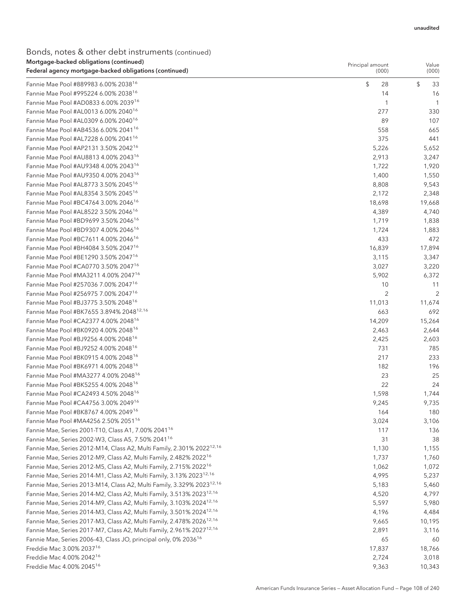### Bonds, notes & other debt instruments (continued) Mortgage-backed obligations (continued)

| mongage backed obligations (commaca)<br>Federal agency mortgage-backed obligations (continued) | Principal amount<br>(000) | Value<br>(000) |
|------------------------------------------------------------------------------------------------|---------------------------|----------------|
| Fannie Mae Pool #889983 6.00% 2038 <sup>16</sup>                                               | \$<br>28                  | \$<br>33       |
| Fannie Mae Pool #995224 6.00% 2038 <sup>16</sup>                                               | 14                        | 16             |
| Fannie Mae Pool #AD0833 6.00% 203916                                                           | 1                         | 1              |
| Fannie Mae Pool #AL0013 6.00% 2040 <sup>16</sup>                                               | 277                       | 330            |
| Fannie Mae Pool #AL0309 6.00% 2040 <sup>16</sup>                                               | 89                        | 107            |
| Fannie Mae Pool #AB4536 6.00% 2041 <sup>16</sup>                                               | 558                       | 665            |
| Fannie Mae Pool #AL7228 6.00% 2041 <sup>16</sup>                                               | 375                       | 441            |
| Fannie Mae Pool #AP2131 3.50% 2042 <sup>16</sup>                                               | 5,226                     | 5,652          |
| Fannie Mae Pool #AU8813 4.00% 2043 <sup>16</sup>                                               | 2,913                     | 3,247          |
| Fannie Mae Pool #AU9348 4.00% 2043 <sup>16</sup>                                               | 1,722                     | 1,920          |
| Fannie Mae Pool #AU9350 4.00% 2043 <sup>16</sup>                                               | 1,400                     | 1,550          |
| Fannie Mae Pool #AL8773 3.50% 2045 <sup>16</sup>                                               | 8,808                     | 9,543          |
| Fannie Mae Pool #AL8354 3.50% 2045 <sup>16</sup>                                               | 2,172                     | 2,348          |
| Fannie Mae Pool #BC4764 3.00% 2046 <sup>16</sup>                                               | 18,698                    | 19,668         |
| Fannie Mae Pool #AL8522 3.50% 2046 <sup>16</sup>                                               | 4,389                     | 4,740          |
| Fannie Mae Pool #BD9699 3.50% 2046 <sup>16</sup>                                               | 1,719                     | 1,838          |
| Fannie Mae Pool #BD9307 4.00% 2046 <sup>16</sup>                                               | 1,724                     | 1,883          |
| Fannie Mae Pool #BC7611 4.00% 2046 <sup>16</sup>                                               | 433                       | 472            |
| Fannie Mae Pool #BH4084 3.50% 2047 <sup>16</sup>                                               | 16,839                    | 17,894         |
| Fannie Mae Pool #BE1290 3.50% 2047 <sup>16</sup>                                               | 3,115                     | 3,347          |
| Fannie Mae Pool #CA0770 3.50% 2047 <sup>16</sup>                                               | 3,027                     | 3,220          |
| Fannie Mae Pool #MA3211 4.00% 2047 <sup>16</sup>                                               | 5,902                     | 6,372          |
| Fannie Mae Pool #257036 7.00% 2047 <sup>16</sup>                                               | 10                        | 11             |
| Fannie Mae Pool #256975 7.00% 2047 <sup>16</sup>                                               | $\overline{2}$            | $\overline{2}$ |
| Fannie Mae Pool #BJ3775 3.50% 2048 <sup>16</sup>                                               | 11,013                    | 11,674         |
| Fannie Mae Pool #BK7655 3.894% 2048 <sup>12,16</sup>                                           | 663                       | 692            |
| Fannie Mae Pool #CA2377 4.00% 2048 <sup>16</sup>                                               | 14,209                    | 15,264         |
| Fannie Mae Pool #BK0920 4.00% 2048 <sup>16</sup>                                               | 2,463                     | 2,644          |
| Fannie Mae Pool #BJ9256 4.00% 2048 <sup>16</sup>                                               | 2,425                     | 2,603          |
| Fannie Mae Pool #BJ9252 4.00% 2048 <sup>16</sup>                                               | 731                       | 785            |
| Fannie Mae Pool #BK0915 4.00% 2048 <sup>16</sup>                                               | 217                       | 233            |
| Fannie Mae Pool #BK6971 4.00% 2048 <sup>16</sup>                                               | 182                       | 196            |
| Fannie Mae Pool #MA3277 4.00% 2048 <sup>16</sup>                                               | 23                        | 25             |
| Fannie Mae Pool #BK5255 4.00% 2048 <sup>16</sup>                                               | 22                        | 24             |
| Fannie Mae Pool #CA2493 4.50% 2048 <sup>16</sup>                                               | 1,598                     | 1,744          |
| Fannie Mae Pool #CA4756 3.00% 2049 <sup>16</sup>                                               | 9,245                     | 9,735          |
| Fannie Mae Pool #BK8767 4.00% 2049 <sup>16</sup>                                               | 164                       | 180            |
| Fannie Mae Pool #MA4256 2.50% 2051 <sup>16</sup>                                               | 3,024                     | 3,106          |
| Fannie Mae, Series 2001-T10, Class A1, 7.00% 2041 <sup>16</sup>                                | 117                       | 136            |
| Fannie Mae, Series 2002-W3, Class A5, 7.50% 2041 <sup>16</sup>                                 | 31                        | 38             |
| Fannie Mae, Series 2012-M14, Class A2, Multi Family, 2.301% 2022 <sup>12,16</sup>              | 1,130                     | 1,155          |
| Fannie Mae, Series 2012-M9, Class A2, Multi Family, 2.482% 2022 <sup>16</sup>                  | 1,737                     | 1,760          |
| Fannie Mae, Series 2012-M5, Class A2, Multi Family, 2.715% 2022 <sup>16</sup>                  | 1,062                     | 1,072          |
| Fannie Mae, Series 2014-M1, Class A2, Multi Family, 3.13% 2023 <sup>12,16</sup>                | 4,995                     | 5,237          |
| Fannie Mae, Series 2013-M14, Class A2, Multi Family, 3.329% 2023 <sup>12,16</sup>              | 5,183                     | 5,460          |
| Fannie Mae, Series 2014-M2, Class A2, Multi Family, 3.513% 2023 <sup>12,16</sup>               | 4,520                     | 4,797          |
| Fannie Mae, Series 2014-M9, Class A2, Multi Family, 3.103% 2024 <sup>12,16</sup>               | 5,597                     | 5,980          |
| Fannie Mae, Series 2014-M3, Class A2, Multi Family, 3.501% 2024 <sup>12,16</sup>               | 4,196                     | 4,484          |
| Fannie Mae, Series 2017-M3, Class A2, Multi Family, 2.478% 2026 <sup>12,16</sup>               | 9,665                     | 10,195         |
| Fannie Mae, Series 2017-M7, Class A2, Multi Family, 2.961% 2027 <sup>12,16</sup>               | 2,891                     | 3,116          |
| Fannie Mae, Series 2006-43, Class JO, principal only, 0% 2036 <sup>16</sup>                    |                           | 60             |
| Freddie Mac 3.00% 2037 <sup>16</sup>                                                           | 65<br>17,837              | 18,766         |
| Freddie Mac 4.00% 2042 <sup>16</sup>                                                           | 2,724                     |                |
|                                                                                                |                           | 3,018          |
| Freddie Mac 4.00% 2045 <sup>16</sup>                                                           | 9,363                     | 10,343         |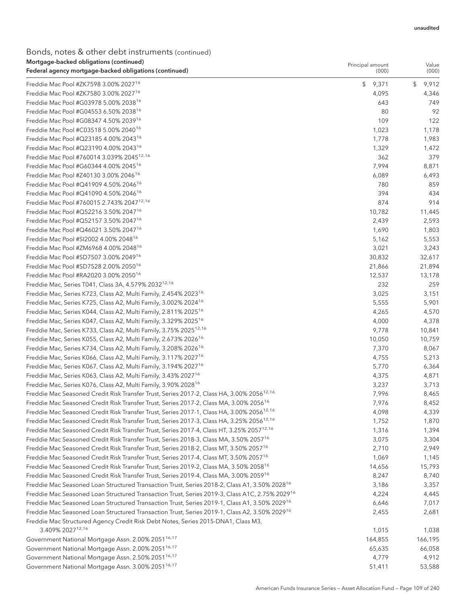## Bonds, notes & other debt instruments (continued) Mortgage-backed obligations (continued)

| Mortgage-backed obligations (continued)<br>Federal agency mortgage-backed obligations (continued)          | Principal amount<br>(000) | Value<br>(000) |
|------------------------------------------------------------------------------------------------------------|---------------------------|----------------|
| Freddie Mac Pool #ZK7598 3.00% 2027 <sup>16</sup>                                                          | \$<br>9,371               | 9,912<br>\$    |
| Freddie Mac Pool #ZK7580 3.00% 2027 <sup>16</sup>                                                          | 4,095                     | 4,346          |
| Freddie Mac Pool #G03978 5.00% 2038 <sup>16</sup>                                                          | 643                       | 749            |
| Freddie Mac Pool #G04553 6.50% 2038 <sup>16</sup>                                                          | 80                        | 92             |
| Freddie Mac Pool #G08347 4.50% 2039 <sup>16</sup>                                                          | 109                       | 122            |
| Freddie Mac Pool #C03518 5.00% 2040 <sup>16</sup>                                                          | 1,023                     | 1,178          |
| Freddie Mac Pool #Q23185 4.00% 2043 <sup>16</sup>                                                          | 1,778                     | 1,983          |
| Freddie Mac Pool #Q23190 4.00% 2043 <sup>16</sup>                                                          | 1,329                     | 1,472          |
| Freddie Mac Pool #760014 3.039% 2045 <sup>12,16</sup>                                                      | 362                       | 379            |
| Freddie Mac Pool #G60344 4.00% 2045 <sup>16</sup>                                                          | 7,994                     | 8,871          |
| Freddie Mac Pool #Z40130 3.00% 2046 <sup>16</sup>                                                          | 6,089                     | 6,493          |
| Freddie Mac Pool #Q41909 4.50% 2046 <sup>16</sup>                                                          | 780                       | 859            |
| Freddie Mac Pool #Q41090 4.50% 2046 <sup>16</sup>                                                          | 394                       | 434            |
| Freddie Mac Pool #760015 2.743% 2047 <sup>12,16</sup>                                                      | 874                       | 914            |
| Freddie Mac Pool #Q52216 3.50% 2047 <sup>16</sup>                                                          | 10,782                    | 11,445         |
| Freddie Mac Pool #Q52157 3.50% 2047 <sup>16</sup>                                                          | 2,439                     | 2,593          |
| Freddie Mac Pool #Q46021 3.50% 2047 <sup>16</sup>                                                          | 1,690                     | 1,803          |
| Freddie Mac Pool #SI2002 4.00% 2048 <sup>16</sup>                                                          | 5,162                     | 5,553          |
| Freddie Mac Pool #ZM6968 4.00% 2048 <sup>16</sup>                                                          | 3,021                     | 3,243          |
| Freddie Mac Pool #SD7507 3.00% 2049 <sup>16</sup>                                                          | 30,832                    | 32,617         |
| Freddie Mac Pool #SD7528 2.00% 2050 <sup>16</sup>                                                          | 21,866                    | 21,894         |
| Freddie Mac Pool #RA2020 3.00% 2050 <sup>16</sup>                                                          | 12,537                    | 13,178         |
| Freddie Mac, Series T041, Class 3A, 4.579% 2032 <sup>12,16</sup>                                           | 232                       | 259            |
| Freddie Mac, Series K723, Class A2, Multi Family, 2.454% 2023 <sup>16</sup>                                | 3,025                     | 3,151          |
| Freddie Mac, Series K725, Class A2, Multi Family, 3.002% 2024 <sup>16</sup>                                | 5,555                     | 5,901          |
| Freddie Mac, Series K044, Class A2, Multi Family, 2.811% 2025 <sup>16</sup>                                | 4,265                     | 4,570          |
| Freddie Mac, Series K047, Class A2, Multi Family, 3.329% 2025 <sup>16</sup>                                | 4,000                     | 4,378          |
| Freddie Mac, Series K733, Class A2, Multi Family, 3.75% 2025 <sup>12,16</sup>                              | 9,778                     | 10,841         |
| Freddie Mac, Series K055, Class A2, Multi Family, 2.673% 2026 <sup>16</sup>                                | 10,050                    | 10,759         |
| Freddie Mac, Series K734, Class A2, Multi Family, 3.208% 2026 <sup>16</sup>                                | 7,370                     | 8,067          |
| Freddie Mac, Series K066, Class A2, Multi Family, 3.117% 2027 <sup>16</sup>                                | 4,755                     | 5,213          |
| Freddie Mac, Series K067, Class A2, Multi Family, 3.194% 2027 <sup>16</sup>                                | 5,770                     | 6,364          |
| Freddie Mac, Series K063, Class A2, Multi Family, 3.43% 2027 <sup>16</sup>                                 | 4,375                     | 4,871          |
| Freddie Mac, Series K076, Class A2, Multi Family, 3.90% 2028 <sup>16</sup>                                 | 3,237                     | 3,713          |
| Freddie Mac Seasoned Credit Risk Transfer Trust, Series 2017-2, Class HA, 3.00% 2056 <sup>12,16</sup>      | 7,996                     | 8,465          |
| Freddie Mac Seasoned Credit Risk Transfer Trust, Series 2017-2, Class MA, 3.00% 2056 <sup>16</sup>         | 7,976                     | 8,452          |
| Freddie Mac Seasoned Credit Risk Transfer Trust, Series 2017-1, Class HA, 3.00% 2056 <sup>12,16</sup>      | 4,098                     | 4,339          |
| Freddie Mac Seasoned Credit Risk Transfer Trust, Series 2017-3, Class HA, 3.25% 2056 <sup>12,16</sup>      | 1,752                     | 1,870          |
| Freddie Mac Seasoned Credit Risk Transfer Trust, Series 2017-4, Class HT, 3.25% 2057 <sup>12,16</sup>      | 1,316                     | 1,394          |
| Freddie Mac Seasoned Credit Risk Transfer Trust, Series 2018-3, Class MA, 3.50% 2057 <sup>16</sup>         | 3,075                     | 3,304          |
| Freddie Mac Seasoned Credit Risk Transfer Trust, Series 2018-2, Class MT, 3.50% 2057 <sup>16</sup>         | 2,710                     | 2,949          |
| Freddie Mac Seasoned Credit Risk Transfer Trust, Series 2017-4, Class MT, 3.50% 2057 <sup>16</sup>         | 1,069                     | 1,145          |
| Freddie Mac Seasoned Credit Risk Transfer Trust, Series 2019-2, Class MA, 3.50% 2058 <sup>16</sup>         | 14,656                    | 15,793         |
| Freddie Mac Seasoned Credit Risk Transfer Trust, Series 2019-4, Class MA, 3.00% 2059 <sup>16</sup>         | 8,247                     | 8,740          |
| Freddie Mac Seasoned Loan Structured Transaction Trust, Series 2018-2, Class A1, 3.50% 2028 <sup>16</sup>  | 3,186                     | 3,357          |
| Freddie Mac Seasoned Loan Structured Transaction Trust, Series 2019-3, Class A1C, 2.75% 2029 <sup>16</sup> | 4,224                     | 4,445          |
| Freddie Mac Seasoned Loan Structured Transaction Trust, Series 2019-1, Class A1, 3.50% 2029 <sup>16</sup>  | 6,646                     | 7,017          |
| Freddie Mac Seasoned Loan Structured Transaction Trust, Series 2019-1, Class A2, 3.50% 2029 <sup>16</sup>  | 2,455                     | 2,681          |
| Freddie Mac Structured Agency Credit Risk Debt Notes, Series 2015-DNA1, Class M3,                          |                           |                |
| 3.409% 202712,16                                                                                           | 1,015                     | 1,038          |
| Government National Mortgage Assn. 2.00% 2051 <sup>16,17</sup>                                             | 164,855                   | 166,195        |
| Government National Mortgage Assn. 2.00% 2051 <sup>16,17</sup>                                             | 65,635                    | 66,058         |
| Government National Mortgage Assn. 2.50% 2051 <sup>16,17</sup>                                             | 4,779                     | 4,912          |
| Government National Mortgage Assn. 3.00% 2051 <sup>16,17</sup>                                             | 51,411                    | 53,588         |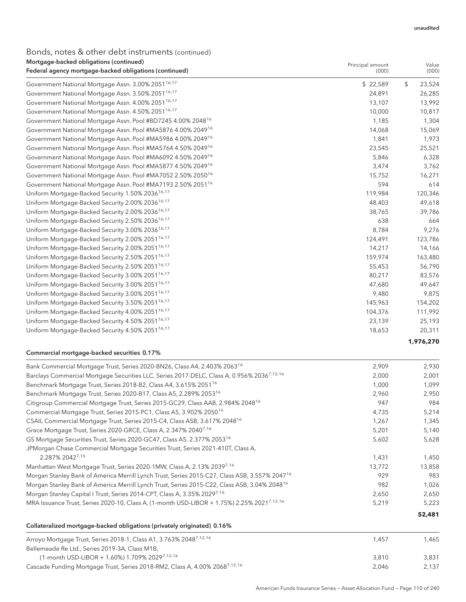# Bonds, notes & other debt instruments (continued)

| Mortgage-backed obligations (continued)<br>Federal agency mortgage-backed obligations (continued) | Principal amount<br>(000) | Value<br>(000) |
|---------------------------------------------------------------------------------------------------|---------------------------|----------------|
| Government National Mortgage Assn. 3.00% 2051 <sup>16,17</sup>                                    | \$22,589                  | \$<br>23,524   |
| Government National Mortgage Assn. 3.50% 2051 <sup>16,17</sup>                                    | 24,891                    | 26,285         |
| Government National Mortgage Assn. 4.00% 2051 <sup>16,17</sup>                                    | 13,107                    | 13,992         |
| Government National Mortgage Assn. 4.50% 2051 <sup>16,17</sup>                                    | 10,000                    | 10,817         |
| Government National Mortgage Assn. Pool #BD7245 4.00% 2048 <sup>16</sup>                          | 1,185                     | 1,304          |
| Government National Mortgage Assn. Pool #MA5876 4.00% 2049 <sup>16</sup>                          | 14,068                    | 15,069         |
| Government National Mortgage Assn. Pool #MA5986 4.00% 2049 <sup>16</sup>                          | 1,841                     | 1,973          |
| Government National Mortgage Assn. Pool #MA5764 4.50% 2049 <sup>16</sup>                          | 23,545                    | 25,521         |
| Government National Mortgage Assn. Pool #MA6092 4.50% 2049 <sup>16</sup>                          | 5,846                     | 6,328          |
| Government National Mortgage Assn. Pool #MA5877 4.50% 2049 <sup>16</sup>                          | 3,474                     | 3,762          |
| Government National Mortgage Assn. Pool #MA7052 2.50% 2050 <sup>16</sup>                          | 15,752                    | 16,271         |
| Government National Mortgage Assn. Pool #MA7193 2.50% 2051 <sup>16</sup>                          | 594                       | 614            |
| Uniform Mortgage-Backed Security 1.50% 2036 <sup>16,17</sup>                                      | 119,984                   | 120,346        |
| Uniform Mortgage-Backed Security 2.00% 2036 <sup>16,17</sup>                                      | 48,403                    | 49,618         |
| Uniform Mortgage-Backed Security 2.00% 2036 <sup>16,17</sup>                                      | 38,765                    | 39,786         |
| Uniform Mortgage-Backed Security 2.50% 2036 <sup>16,17</sup>                                      | 638                       | 664            |
| Uniform Mortgage-Backed Security 3.00% 2036 <sup>16,17</sup>                                      | 8,784                     | 9,276          |
| Uniform Mortgage-Backed Security 2.00% 2051 <sup>16,17</sup>                                      | 124,491                   | 123,786        |
| Uniform Mortgage-Backed Security 2.00% 2051 <sup>16,17</sup>                                      | 14,217                    | 14,166         |
| Uniform Mortgage-Backed Security 2.50% 2051 <sup>16,17</sup>                                      | 159,974                   | 163,480        |
| Uniform Mortgage-Backed Security 2.50% 2051 <sup>16,17</sup>                                      | 55,453                    | 56,790         |
| Uniform Mortgage-Backed Security 3.00% 2051 <sup>16,17</sup>                                      | 80,217                    | 83,576         |
| Uniform Mortgage-Backed Security 3.00% 2051 <sup>16,17</sup>                                      | 47,680                    | 49,647         |
| Uniform Mortgage-Backed Security 3.00% 2051 <sup>16,17</sup>                                      | 9,480                     | 9,875          |
| Uniform Mortgage-Backed Security 3.50% 2051 <sup>16,17</sup>                                      | 145,963                   | 154,202        |
| Uniform Mortgage-Backed Security 4.00% 2051 <sup>16,17</sup>                                      | 104,376                   | 111,992        |
| Uniform Mortgage-Backed Security 4.50% 2051 <sup>16,17</sup>                                      | 23,139                    | 25,193         |
| Uniform Mortgage-Backed Security 4.50% 2051 <sup>16,17</sup>                                      | 18,653                    | 20,311         |
|                                                                                                   |                           | 1,976,270      |

### Commercial mortgage-backed securities 0.17%

| Bank Commercial Mortgage Trust, Series 2020-BN26, Class A4, 2.403% 2063 <sup>16</sup>                     | 2,909  | 2,930  |
|-----------------------------------------------------------------------------------------------------------|--------|--------|
| Barclays Commercial Mortgage Securities LLC, Series 2017-DELC, Class A, 0.956% 20367,12,16                | 2,000  | 2,001  |
| Benchmark Mortgage Trust, Series 2018-B2, Class A4, 3.615% 2051 <sup>16</sup>                             | 1,000  | 1,099  |
| Benchmark Mortgage Trust, Series 2020-B17, Class A5, 2.289% 2053 <sup>16</sup>                            | 2,960  | 2,950  |
| Citigroup Commercial Mortgage Trust, Series 2015-GC29, Class AAB, 2.984% 2048 <sup>16</sup>               | 947    | 984    |
| Commercial Mortgage Trust, Series 2015-PC1, Class A5, 3.902% 2050 <sup>16</sup>                           | 4,735  | 5,214  |
| CSAIL Commercial Mortgage Trust, Series 2015-C4, Class ASB, 3.617% 2048 <sup>16</sup>                     | 1,267  | 1,345  |
| Grace Mortgage Trust, Series 2020-GRCE, Class A, 2.347% 2040 <sup>7,16</sup>                              | 5,201  | 5,140  |
| GS Mortgage Securities Trust, Series 2020-GC47, Class A5, 2.377% 2053 <sup>16</sup>                       | 5,602  | 5,628  |
| JPMorgan Chase Commercial Mortgage Securities Trust, Series 2021-410T, Class A,                           |        |        |
| 2.287% 2042 <sup>7,16</sup>                                                                               | 1,431  | 1,450  |
| Manhattan West Mortgage Trust, Series 2020-1MW, Class A, 2.13% 20397,16                                   | 13.772 | 13,858 |
| Morgan Stanley Bank of America Merrill Lynch Trust, Series 2015-C27, Class ASB, 3.557% 2047 <sup>16</sup> | 929    | 983    |
| Morgan Stanley Bank of America Merrill Lynch Trust, Series 2015-C22, Class ASB, 3.04% 2048 <sup>16</sup>  | 982    | 1,026  |
| Morgan Stanley Capital I Trust, Series 2014-CPT, Class A, 3.35% 2029 <sup>7,16</sup>                      | 2,650  | 2,650  |
| MRA Issuance Trust, Series 2020-10, Class A, (1-month USD-LIBOR + 1.75%) 2.25% 2021 <sup>7,12,16</sup>    | 5,219  | 5,223  |
|                                                                                                           |        | 52,481 |
| Collateralized mortgage-backed obligations (privately originated) 0.16%                                   |        |        |

| Arroyo Mortgage Trust, Series 2018-1, Class A1, 3.763% 2048 <sup>7,12,16</sup>          | 1.457 | 1.465 |
|-----------------------------------------------------------------------------------------|-------|-------|
| Bellemeade Re Ltd., Series 2019-3A, Class M1B,                                          |       |       |
| (1-month USD-LIBOR + 1.60%) 1.709% 2029 <sup>7,12,16</sup>                              | 3.810 | 3.831 |
| Cascade Funding Mortgage Trust, Series 2018-RM2, Class A, 4.00% 2068 <sup>7,12,16</sup> | 2.046 | 2.137 |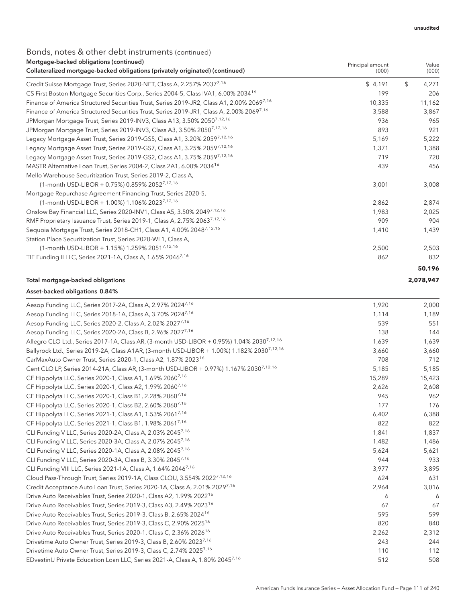# Bonds, notes & other debt instruments (continued) Mortgage-backed obligations (continued)

| Mortgage-backed obligations (continued)<br>Collateralized mortgage-backed obligations (privately originated) (continued) | Principal amount<br>(000) | Value<br>(000) |
|--------------------------------------------------------------------------------------------------------------------------|---------------------------|----------------|
| Credit Suisse Mortgage Trust, Series 2020-NET, Class A, 2.257% 20377,16                                                  | \$4,191                   | \$<br>4,271    |
| CS First Boston Mortgage Securities Corp., Series 2004-5, Class IVA1, 6.00% 2034 <sup>16</sup>                           | 199                       | 206            |
| Finance of America Structured Securities Trust, Series 2019-JR2, Class A1, 2.00% 20697,16                                | 10,335                    | 11,162         |
| Finance of America Structured Securities Trust, Series 2019-JR1, Class A, 2.00% 2069 <sup>7,16</sup>                     | 3,588                     | 3,867          |
| JPMorgan Mortgage Trust, Series 2019-INV3, Class A13, 3.50% 2050 <sup>7,12,16</sup>                                      | 936                       | 965            |
| JPMorgan Mortgage Trust, Series 2019-INV3, Class A3, 3.50% 20507,12,16                                                   | 893                       | 921            |
| Legacy Mortgage Asset Trust, Series 2019-GS5, Class A1, 3.20% 20597,12,16                                                | 5,169                     | 5,222          |
| Legacy Mortgage Asset Trust, Series 2019-GS7, Class A1, 3.25% 20597,12,16                                                | 1,371                     | 1,388          |
| Legacy Mortgage Asset Trust, Series 2019-GS2, Class A1, 3.75% 20597,12,16                                                | 719                       | 720            |
| MASTR Alternative Loan Trust, Series 2004-2, Class 2A1, 6.00% 2034 <sup>16</sup>                                         | 439                       | 456            |
| Mello Warehouse Securitization Trust, Series 2019-2, Class A,                                                            |                           |                |
| (1-month USD-LIBOR + 0.75%) 0.859% 2052 <sup>7,12,16</sup>                                                               | 3,001                     | 3,008          |
| Mortgage Repurchase Agreement Financing Trust, Series 2020-5,                                                            |                           |                |
| (1-month USD-LIBOR + 1.00%) 1.106% 2023 <sup>7,12,16</sup>                                                               | 2,862                     | 2,874          |
| Onslow Bay Financial LLC, Series 2020-INV1, Class A5, 3.50% 20497,12,16                                                  | 1,983                     | 2,025          |
| RMF Proprietary Issuance Trust, Series 2019-1, Class A, 2.75% 20637,12,16                                                | 909                       | 904            |
| Sequoia Mortgage Trust, Series 2018-CH1, Class A1, 4.00% 20487,12,16                                                     | 1,410                     | 1,439          |
| Station Place Securitization Trust, Series 2020-WL1, Class A,                                                            |                           |                |
| (1-month USD-LIBOR + 1.15%) 1.259% 2051 <sup>7,12,16</sup>                                                               | 2,500                     | 2,503          |
| TIF Funding II LLC, Series 2021-1A, Class A, 1.65% 2046 <sup>7,16</sup>                                                  | 862                       | 832            |
|                                                                                                                          |                           |                |
|                                                                                                                          |                           | 50,196         |
| Total mortgage-backed obligations                                                                                        |                           | 2,078,947      |
| Asset-backed obligations 0.84%                                                                                           |                           |                |
| Aesop Funding LLC, Series 2017-2A, Class A, 2.97% 2024 <sup>7,16</sup>                                                   | 1,920                     | 2,000          |
| Aesop Funding LLC, Series 2018-1A, Class A, 3.70% 2024 <sup>7,16</sup>                                                   | 1,114                     | 1,189          |
| Aesop Funding LLC, Series 2020-2, Class A, 2.02% 20277,16                                                                | 539                       | 551            |
| Aesop Funding LLC, Series 2020-2A, Class B, 2.96% 20277,16                                                               | 138                       | 144            |
| Allegro CLO Ltd., Series 2017-1A, Class AR, (3-month USD-LIBOR + 0.95%) 1.04% 2030 <sup>7,12,16</sup>                    | 1,639                     | 1,639          |
| Ballyrock Ltd., Series 2019-2A, Class A1AR, (3-month USD-LIBOR + 1.00%) 1.182% 2030 <sup>7,12,16</sup>                   | 3,660                     | 3,660          |
| CarMaxAuto Owner Trust, Series 2020-1, Class A2, 1.87% 2023 <sup>16</sup>                                                | 708                       | 712            |
| Cent CLO LP, Series 2014-21A, Class AR, (3-month USD-LIBOR + 0.97%) 1.167% 2030 <sup>7,12,16</sup>                       | 5,185                     | 5,185          |
| CF Hippolyta LLC, Series 2020-1, Class A1, 1.69% 2060 <sup>7,16</sup>                                                    | 15,289                    | 15,423         |
| CF Hippolyta LLC, Series 2020-1, Class A2, 1.99% 2060 <sup>7,16</sup>                                                    | 2,626                     | 2,608          |
| CF Hippolyta LLC, Series 2020-1, Class B1, 2.28% 2060 <sup>7,16</sup>                                                    | 945                       | 962            |
| CF Hippolyta LLC, Series 2020-1, Class B2, 2.60% 2060 <sup>7,16</sup>                                                    | 177                       | 176            |
| CF Hippolyta LLC, Series 2021-1, Class A1, 1.53% 2061 <sup>7,16</sup>                                                    | 6,402                     | 6,388          |
| CF Hippolyta LLC, Series 2021-1, Class B1, 1.98% 2061 <sup>7,16</sup>                                                    | 822                       | 822            |
| CLI Funding V LLC, Series 2020-2A, Class A, 2.03% 20457,16                                                               | 1,841                     | 1,837          |
| CLI Funding V LLC, Series 2020-3A, Class A, 2.07% 2045 <sup>7,16</sup>                                                   | 1,482                     | 1,486          |
| CLI Funding V LLC, Series 2020-1A, Class A, 2.08% 20457,16                                                               | 5,624                     | 5,621          |
| CLI Funding V LLC, Series 2020-3A, Class B, 3.30% 20457,16                                                               | 944                       | 933            |
| CLI Funding VIII LLC, Series 2021-1A, Class A, 1.64% 2046 <sup>7,16</sup>                                                | 3,977                     | 3,895          |
| Cloud Pass-Through Trust, Series 2019-1A, Class CLOU, 3.554% 2022 <sup>7,12,16</sup>                                     | 624                       | 631            |
| Credit Acceptance Auto Loan Trust, Series 2020-1A, Class A, 2.01% 2029 <sup>7,16</sup>                                   | 2,964                     |                |
| Drive Auto Receivables Trust, Series 2020-1, Class A2, 1.99% 2022 <sup>16</sup>                                          |                           | 3,016          |
|                                                                                                                          | 6                         | 6              |
| Drive Auto Receivables Trust, Series 2019-3, Class A3, 2.49% 2023 <sup>16</sup>                                          | 67                        | 67<br>599      |
| Drive Auto Receivables Trust, Series 2019-3, Class B, 2.65% 2024 <sup>16</sup>                                           | 595                       |                |
| Drive Auto Receivables Trust, Series 2019-3, Class C, 2.90% 2025 <sup>16</sup>                                           | 820                       | 840            |
| Drive Auto Receivables Trust, Series 2020-1, Class C, 2.36% 2026 <sup>16</sup>                                           | 2,262                     | 2,312          |
| Drivetime Auto Owner Trust, Series 2019-3, Class B, 2.60% 2023 <sup>7,16</sup>                                           | 243                       | 244            |
| Drivetime Auto Owner Trust, Series 2019-3, Class C, 2.74% 2025 <sup>7,16</sup>                                           | 110                       | 112            |
| EDvestinU Private Education Loan LLC, Series 2021-A, Class A, 1.80% 20457,16                                             | 512                       | 508            |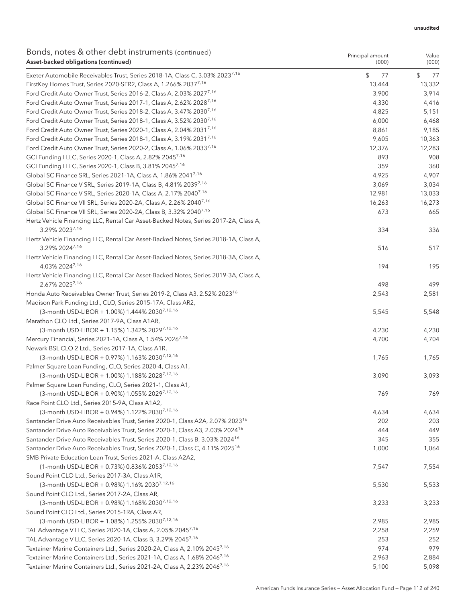#### unaudited

Principal amount

### Bonds, notes & other debt instruments (continued) Asset-backed obligations (continued)

| onas, notos & other acoe msa amento (commaca)<br>Asset-backed obligations (continued)      | Principal amount<br>(000) | Value<br>(000) |
|--------------------------------------------------------------------------------------------|---------------------------|----------------|
| Exeter Automobile Receivables Trust, Series 2018-1A, Class C, 3.03% 20237,16               | \$<br>77                  | \$<br>77       |
| FirstKey Homes Trust, Series 2020-SFR2, Class A, 1.266% 20377,16                           | 13,444                    | 13,332         |
| Ford Credit Auto Owner Trust, Series 2016-2, Class A, 2.03% 20277,16                       | 3,900                     | 3,914          |
| Ford Credit Auto Owner Trust, Series 2017-1, Class A, 2.62% 2028 <sup>7,16</sup>           | 4,330                     | 4,416          |
| Ford Credit Auto Owner Trust, Series 2018-2, Class A, 3.47% 2030 <sup>7,16</sup>           | 4,825                     | 5,151          |
| Ford Credit Auto Owner Trust, Series 2018-1, Class A, 3.52% 2030 <sup>7,16</sup>           | 6,000                     | 6,468          |
| Ford Credit Auto Owner Trust, Series 2020-1, Class A, 2.04% 20317,16                       | 8,861                     | 9,185          |
| Ford Credit Auto Owner Trust, Series 2018-1, Class A, 3.19% 2031 <sup>7,16</sup>           | 9,605                     | 10,363         |
| Ford Credit Auto Owner Trust, Series 2020-2, Class A, 1.06% 20337,16                       | 12,376                    | 12,283         |
| GCI Funding I LLC, Series 2020-1, Class A, 2.82% 2045 <sup>7,16</sup>                      | 893                       | 908            |
| GCI Funding I LLC, Series 2020-1, Class B, 3.81% 2045 <sup>7,16</sup>                      | 359                       | 360            |
| Global SC Finance SRL, Series 2021-1A, Class A, 1.86% 2041 <sup>7,16</sup>                 | 4,925                     | 4,907          |
| Global SC Finance V SRL, Series 2019-1A, Class B, 4.81% 20397,16                           | 3,069                     | 3,034          |
| Global SC Finance V SRL, Series 2020-1A, Class A, 2.17% 2040 <sup>7,16</sup>               | 12,981                    | 13,033         |
| Global SC Finance VII SRL, Series 2020-2A, Class A, 2.26% 2040 <sup>7,16</sup>             | 16,263                    | 16,273         |
| Global SC Finance VII SRL, Series 2020-2A, Class B, 3.32% 2040 <sup>7,16</sup>             | 673                       | 665            |
| Hertz Vehicle Financing LLC, Rental Car Asset-Backed Notes, Series 2017-2A, Class A,       |                           |                |
| 3.29% 20237,16                                                                             | 334                       | 336            |
| Hertz Vehicle Financing LLC, Rental Car Asset-Backed Notes, Series 2018-1A, Class A,       |                           |                |
| 3.29% 20247,16                                                                             | 516                       | 517            |
| Hertz Vehicle Financing LLC, Rental Car Asset-Backed Notes, Series 2018-3A, Class A,       |                           |                |
| 4.03% 2024 <sup>7,16</sup>                                                                 | 194                       | 195            |
| Hertz Vehicle Financing LLC, Rental Car Asset-Backed Notes, Series 2019-3A, Class A,       |                           |                |
| 2.67% 20257,16                                                                             | 498                       | 499            |
| Honda Auto Receivables Owner Trust, Series 2019-2, Class A3, 2.52% 2023 <sup>16</sup>      | 2,543                     | 2,581          |
| Madison Park Funding Ltd., CLO, Series 2015-17A, Class AR2,                                |                           |                |
| (3-month USD-LIBOR + 1.00%) 1.444% 2030 <sup>7,12,16</sup>                                 | 5,545                     | 5,548          |
| Marathon CLO Ltd., Series 2017-9A, Class A1AR,                                             |                           |                |
| (3-month USD-LIBOR + 1.15%) 1.342% 20297,12,16                                             | 4,230                     | 4,230          |
| Mercury Financial, Series 2021-1A, Class A, 1.54% 2026 <sup>7,16</sup>                     | 4,700                     | 4,704          |
| Newark BSL CLO 2 Ltd., Series 2017-1A, Class A1R,                                          |                           |                |
| (3-month USD-LIBOR + 0.97%) 1.163% 2030 <sup>7,12,16</sup>                                 | 1,765                     | 1,765          |
| Palmer Square Loan Funding, CLO, Series 2020-4, Class A1,                                  |                           |                |
| (3-month USD-LIBOR + 1.00%) 1.188% 2028 <sup>7,12,16</sup>                                 | 3,090                     | 3,093          |
| Palmer Square Loan Funding, CLO, Series 2021-1, Class A1,                                  |                           |                |
| (3-month USD-LIBOR + 0.90%) 1.055% 20297,12,16                                             | 769                       | 769            |
| Race Point CLO Ltd., Series 2015-9A, Class A1A2,                                           |                           |                |
| (3-month USD-LIBOR + 0.94%) 1.122% 2030 <sup>7,12,16</sup>                                 | 4,634                     | 4,634          |
| Santander Drive Auto Receivables Trust, Series 2020-1, Class A2A, 2.07% 2023 <sup>16</sup> | 202                       | 203            |
| Santander Drive Auto Receivables Trust, Series 2020-1, Class A3, 2.03% 2024 <sup>16</sup>  | 444                       | 449            |
| Santander Drive Auto Receivables Trust, Series 2020-1, Class B, 3.03% 2024 <sup>16</sup>   | 345                       | 355            |
| Santander Drive Auto Receivables Trust, Series 2020-1, Class C, 4.11% 2025 <sup>16</sup>   | 1,000                     | 1,064          |
| SMB Private Education Loan Trust, Series 2021-A, Class A2A2,                               |                           |                |
| (1-month USD-LIBOR + 0.73%) 0.836% 20537,12,16                                             | 7,547                     | 7,554          |
| Sound Point CLO Ltd., Series 2017-3A, Class A1R,                                           |                           |                |
| (3-month USD-LIBOR + 0.98%) 1.16% 2030 <sup>7,12,16</sup>                                  | 5,530                     | 5,533          |
| Sound Point CLO Ltd., Series 2017-2A, Class AR,                                            |                           |                |
| (3-month USD-LIBOR + 0.98%) 1.168% 2030 <sup>7,12,16</sup>                                 | 3,233                     | 3,233          |
| Sound Point CLO Ltd., Series 2015-1RA, Class AR,                                           |                           |                |
| (3-month USD-LIBOR + 1.08%) 1.255% 2030 <sup>7,12,16</sup>                                 | 2,985                     | 2,985          |
| TAL Advantage V LLC, Series 2020-1A, Class A, 2.05% 20457,16                               | 2,258                     | 2,259          |
| TAL Advantage V LLC, Series 2020-1A, Class B, 3.29% 2045 <sup>7,16</sup>                   | 253                       | 252            |
| Textainer Marine Containers Ltd., Series 2020-2A, Class A, 2.10% 20457,16                  | 974                       | 979            |
| Textainer Marine Containers Ltd., Series 2021-1A, Class A, 1.68% 2046 <sup>7,16</sup>      | 2,963                     | 2,884          |
| Textainer Marine Containers Ltd., Series 2021-2A, Class A, 2.23% 2046 <sup>7,16</sup>      | 5,100                     | 5,098          |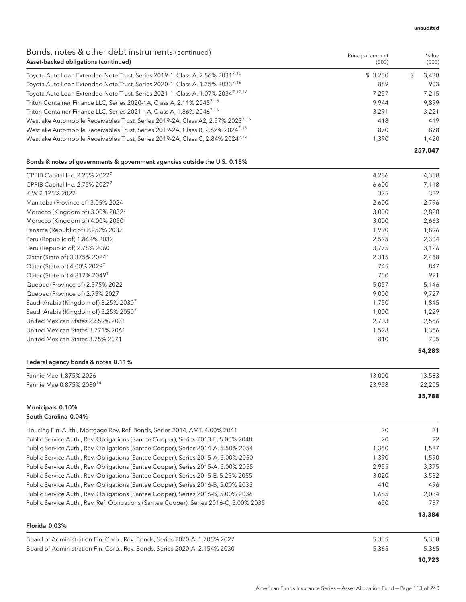| Bonds, notes & other debt instruments (continued)<br>Asset-backed obligations (continued)   | Principal amount<br>(000) | Value<br>(000) |
|---------------------------------------------------------------------------------------------|---------------------------|----------------|
| Toyota Auto Loan Extended Note Trust, Series 2019-1, Class A, 2.56% 20317,16                | \$3,250                   | \$<br>3,438    |
| Toyota Auto Loan Extended Note Trust, Series 2020-1, Class A, 1.35% 2033 <sup>7,16</sup>    | 889                       | 903            |
| Toyota Auto Loan Extended Note Trust, Series 2021-1, Class A, 1.07% 2034 <sup>7,12,16</sup> | 7,257                     | 7,215          |
| Triton Container Finance LLC, Series 2020-1A, Class A, 2.11% 20457,16                       | 9,944                     | 9,899          |
| Triton Container Finance LLC, Series 2021-1A, Class A, 1.86% 2046 <sup>7,16</sup>           | 3,291                     | 3,221          |
| Westlake Automobile Receivables Trust, Series 2019-2A, Class A2, 2.57% 20237,16             | 418                       | 419            |
| Westlake Automobile Receivables Trust, Series 2019-2A, Class B, 2.62% 2024 <sup>7,16</sup>  | 870                       | 878            |
| Westlake Automobile Receivables Trust, Series 2019-2A, Class C, 2.84% 2024 <sup>7,16</sup>  | 1,390                     | 1,420          |
|                                                                                             |                           | 257,047        |
| Bonds & notes of governments & government agencies outside the U.S. 0.18%                   |                           |                |
| CPPIB Capital Inc. 2.25% 2022 <sup>7</sup>                                                  | 4,286                     | 4,358          |
| CPPIB Capital Inc. 2.75% 2027 <sup>7</sup>                                                  | 6,600                     | 7,118          |
| KfW 2.125% 2022                                                                             | 375                       | 382            |
| Manitoba (Province of) 3.05% 2024                                                           | 2,600                     | 2,796          |
| Morocco (Kingdom of) 3.00% 2032 <sup>7</sup>                                                | 3,000                     | 2,820          |
| Morocco (Kingdom of) 4.00% 2050 <sup>7</sup>                                                | 3,000                     | 2,663          |
| Panama (Republic of) 2.252% 2032                                                            | 1,990                     | 1,896          |
| Peru (Republic of) 1.862% 2032                                                              | 2,525                     | 2,304          |
| Peru (Republic of) 2.78% 2060                                                               | 3,775                     | 3,126          |
| Qatar (State of) 3.375% 2024 <sup>7</sup>                                                   | 2,315                     | 2,488          |
| Qatar (State of) 4.00% 20297                                                                | 745                       | 847            |
| Qatar (State of) 4.817% 20497                                                               | 750                       | 921            |
| Quebec (Province of) 2.375% 2022                                                            | 5,057                     | 5,146          |
| Quebec (Province of) 2.75% 2027                                                             | 9,000                     | 9,727          |
| Saudi Arabia (Kingdom of) 3.25% 2030 <sup>7</sup>                                           | 1,750                     | 1,845          |
| Saudi Arabia (Kingdom of) 5.25% 2050 <sup>7</sup>                                           | 1,000                     | 1,229          |
| United Mexican States 2.659% 2031                                                           | 2,703                     | 2,556          |
| United Mexican States 3.771% 2061                                                           | 1,528                     | 1,356          |
| United Mexican States 3.75% 2071                                                            | 810                       | 705            |
| Federal agency bonds & notes 0.11%                                                          |                           | 54,283         |
| Fannie Mae 1.875% 2026                                                                      | 13,000                    | 13,583         |
| Fannie Mae 0.875% 2030 <sup>14</sup>                                                        | 23,958                    | 22,205         |
|                                                                                             |                           | 35,788         |
| Municipals 0.10%                                                                            |                           |                |
| South Carolina 0.04%                                                                        |                           |                |
| Housing Fin. Auth., Mortgage Rev. Ref. Bonds, Series 2014, AMT, 4.00% 2041                  | 20                        | 21             |
| Public Service Auth., Rev. Obligations (Santee Cooper), Series 2013-E, 5.00% 2048           | 20                        | 22             |
| Public Service Auth., Rev. Obligations (Santee Cooper), Series 2014-A, 5.50% 2054           | 1,350                     | 1,527          |
| Public Service Auth., Rev. Obligations (Santee Cooper), Series 2015-A, 5.00% 2050           | 1,390                     | 1,590          |
| Public Service Auth., Rev. Obligations (Santee Cooper), Series 2015-A, 5.00% 2055           | 2,955                     | 3,375          |
| Public Service Auth., Rev. Obligations (Santee Cooper), Series 2015-E, 5.25% 2055           | 3,020                     | 3,532          |

| Public Service Auth., Rev. Obligations (Santee Cooper), Series 2016-B, 5.00% 2036      | 1.685 | 2.034  |
|----------------------------------------------------------------------------------------|-------|--------|
| Public Service Auth., Rev. Ref. Obligations (Santee Cooper), Series 2016-C, 5.00% 2035 | 650   | 787    |
|                                                                                        |       | 13,384 |
| Florida 0.03%                                                                          |       |        |
| Board of Administration Fin. Corp., Rev. Bonds, Series 2020-A, 1.705% 2027             | 5.335 | 5.358  |
| Board of Administration Fin. Corp., Rev. Bonds, Series 2020-A, 2.154% 2030             | 5.365 | 5.365  |
|                                                                                        |       | 10,723 |

Public Service Auth., Rev. Obligations (Santee Cooper), Series 2016-B, 5.00% 2035 410 496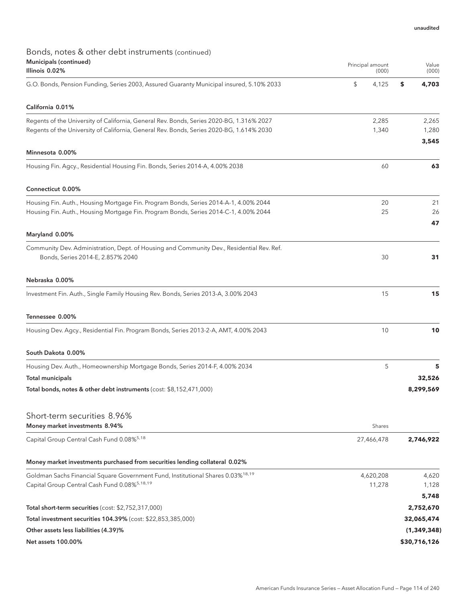# Bonds, notes & other debt instruments (continued) Municipals (continued)

| <b>Municipals (continued)</b><br>Illinois 0.02%                                                                                                         | Principal amount<br>(000) | Value<br>(000) |  |
|---------------------------------------------------------------------------------------------------------------------------------------------------------|---------------------------|----------------|--|
| G.O. Bonds, Pension Funding, Series 2003, Assured Guaranty Municipal insured, 5.10% 2033                                                                | \$<br>4,125               | \$<br>4,703    |  |
| California 0.01%                                                                                                                                        |                           |                |  |
| Regents of the University of California, General Rev. Bonds, Series 2020-BG, 1.316% 2027                                                                | 2,285                     | 2,265          |  |
| Regents of the University of California, General Rev. Bonds, Series 2020-BG, 1.614% 2030                                                                | 1,340                     | 1,280<br>3,545 |  |
| Minnesota 0.00%                                                                                                                                         |                           |                |  |
| Housing Fin. Agcy., Residential Housing Fin. Bonds, Series 2014-A, 4.00% 2038                                                                           | 60                        | 63             |  |
| Connecticut 0.00%                                                                                                                                       |                           |                |  |
| Housing Fin. Auth., Housing Mortgage Fin. Program Bonds, Series 2014-A-1, 4.00% 2044                                                                    | 20                        | 21             |  |
| Housing Fin. Auth., Housing Mortgage Fin. Program Bonds, Series 2014-C-1, 4.00% 2044                                                                    | 25                        | 26<br>47       |  |
| Maryland 0.00%                                                                                                                                          |                           |                |  |
| Community Dev. Administration, Dept. of Housing and Community Dev., Residential Rev. Ref.                                                               |                           |                |  |
| Bonds, Series 2014-E, 2.857% 2040                                                                                                                       | 30                        | 31             |  |
| Nebraska 0.00%                                                                                                                                          |                           |                |  |
| Investment Fin. Auth., Single Family Housing Rev. Bonds, Series 2013-A, 3.00% 2043                                                                      | 15                        | 15             |  |
| Tennessee 0.00%                                                                                                                                         |                           |                |  |
| Housing Dev. Agcy., Residential Fin. Program Bonds, Series 2013-2-A, AMT, 4.00% 2043                                                                    | 10                        | 10             |  |
| South Dakota 0.00%                                                                                                                                      |                           |                |  |
| Housing Dev. Auth., Homeownership Mortgage Bonds, Series 2014-F, 4.00% 2034                                                                             | 5                         | 5              |  |
| <b>Total municipals</b>                                                                                                                                 |                           | 32,526         |  |
| Total bonds, notes & other debt instruments (cost: \$8,152,471,000)                                                                                     |                           | 8,299,569      |  |
| Short-term securities 8.96%                                                                                                                             |                           |                |  |
| Money market investments 8.94%                                                                                                                          | Shares                    |                |  |
| Capital Group Central Cash Fund 0.08% <sup>5,18</sup>                                                                                                   | 27,466,478                | 2,746,922      |  |
| Money market investments purchased from securities lending collateral 0.02%                                                                             |                           |                |  |
| Goldman Sachs Financial Square Government Fund, Institutional Shares 0.03% <sup>18,19</sup><br>Capital Group Central Cash Fund 0.08% <sup>5,18,19</sup> | 4,620,208<br>11,278       | 4,620<br>1,128 |  |
|                                                                                                                                                         |                           | 5,748          |  |
| Total short-term securities (cost: \$2,752,317,000)                                                                                                     |                           | 2,752,670      |  |
| Total investment securities 104.39% (cost: \$22,853,385,000)                                                                                            |                           | 32,065,474     |  |
| Other assets less liabilities (4.39)%                                                                                                                   |                           | (1, 349, 348)  |  |
| <b>Net assets 100.00%</b>                                                                                                                               |                           | \$30,716,126   |  |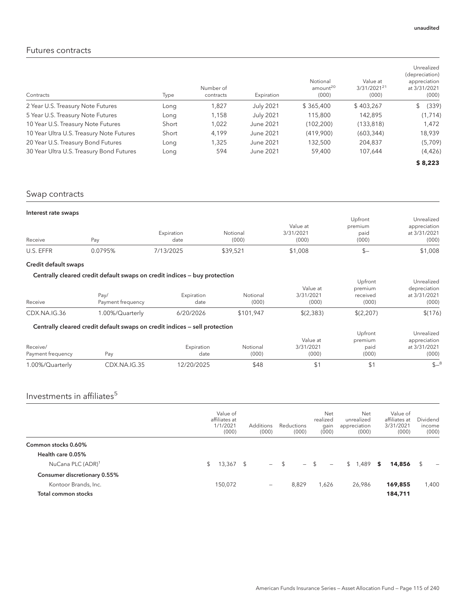# Futures contracts

| Contracts                                | Type  | Number of<br>contracts | Expiration       | Notional<br>amount <sup>20</sup><br>(000) | Value at<br>3/31/2021 <sup>21</sup><br>(000) | Unrealized<br>(depreciation)<br>appreciation<br>at 3/31/2021<br>(000) |
|------------------------------------------|-------|------------------------|------------------|-------------------------------------------|----------------------------------------------|-----------------------------------------------------------------------|
| 2 Year U.S. Treasury Note Futures        | Long  | 1,827                  | <b>July 2021</b> | \$365,400                                 | \$403,267                                    | (339)<br>\$                                                           |
| 5 Year U.S. Treasury Note Futures        | Long  | 1,158                  | July 2021        | 115,800                                   | 142,895                                      | (1,714)                                                               |
| 10 Year U.S. Treasury Note Futures       | Short | 1,022                  | June 2021        | (102, 200)                                | (133, 818)                                   | 1,472                                                                 |
| 10 Year Ultra U.S. Treasury Note Futures | Short | 4.199                  | June 2021        | (419,900)                                 | (603, 344)                                   | 18,939                                                                |
| 20 Year U.S. Treasury Bond Futures       | Long  | 1,325                  | June 2021        | 132,500                                   | 204,837                                      | (5,709)                                                               |
| 30 Year Ultra U.S. Treasury Bond Futures | Long  | 594                    | June 2021        | 59,400                                    | 107,644                                      | (4, 426)                                                              |
|                                          |       |                        |                  |                                           |                                              | \$8,223                                                               |

# Swap contracts

| Interest rate swaps |         |            |          |           |         |              |
|---------------------|---------|------------|----------|-----------|---------|--------------|
|                     |         |            |          |           | Upfront | Unrealized   |
|                     |         |            |          | Value at  | premium | appreciation |
|                     |         | Expiration | Notional | 3/31/2021 | paid    | at 3/31/2021 |
| Receive             | Pav     | date       | (000)    | (000)     | (000)   | (000)        |
| U.S. EFFR           | 0.0795% | 7/13/2025  | \$39,521 | \$1,008   | D-      | \$1,008      |

### Credit default swaps

Centrally cleared credit default swaps on credit indices — buy protection

| Receive           | ochtrair, cicarca crean, achaan, shaps on crean, marces - way protection.<br>Pay/<br>Payment frequency | Expiration<br>date | Notional<br>(000) | Value at<br>3/31/2021<br>(000) | Upfront<br>premium<br>received<br>(000) | Unrealized<br>depreciation<br>at 3/31/2021<br>(000) |
|-------------------|--------------------------------------------------------------------------------------------------------|--------------------|-------------------|--------------------------------|-----------------------------------------|-----------------------------------------------------|
| CDX.NA.IG.36      | 1.00%/Quarterly                                                                                        | 6/20/2026          | \$101.947         | \$(2,383)                      | \$(2.207)                               | \$(176)                                             |
|                   | Centrally cleared credit default swaps on credit indices – sell protection                             |                    |                   | Value at                       | Upfront<br>premium                      | Unrealized<br>appreciation                          |
| Receive/          |                                                                                                        | Expiration         | Notional          | 3/31/2021                      | paid                                    | at 3/31/2021                                        |
| Payment frequency | Pay                                                                                                    | date               | (000)             | (000)                          | (000)                                   | (000)                                               |
| 1.00%/Quarterly   | CDX.NA.IG.35                                                                                           | 12/20/2025         | \$48              | \$1                            | \$1                                     | $S-8$                                               |

# Investments in affiliates $5$

|                               | Value of<br>affiliates at<br>1/1/2021<br>(000) | <b>Additions</b><br>(000)    | Reductions<br>(000) | Net<br>realized<br>gain<br>(000) | Net<br>unrealized<br>appreciation<br>(000) | Value of<br>affiliates at<br>3/31/2021<br>(000) | Dividend<br>income<br>(000) |
|-------------------------------|------------------------------------------------|------------------------------|---------------------|----------------------------------|--------------------------------------------|-------------------------------------------------|-----------------------------|
| Common stocks 0.60%           |                                                |                              |                     |                                  |                                            |                                                 |                             |
| Health care 0.05%             |                                                |                              |                     |                                  |                                            |                                                 |                             |
| NuCana PLC (ADR) <sup>1</sup> | 13,367<br>$\mathbb{S}^-$                       | - \$<br>$\sim$               | \$                  | $-5$<br>$\overline{\phantom{m}}$ | 1.489<br>$\mathbb{S}$                      | 14,856<br>S.                                    | \$.                         |
| Consumer discretionary 0.55%  |                                                |                              |                     |                                  |                                            |                                                 |                             |
| Kontoor Brands, Inc.          | 150,072                                        | $\qquad \qquad \blacksquare$ | 8,829               | 1,626                            | 26,986                                     | 169,855                                         | 1,400                       |
| Total common stocks           |                                                |                              |                     |                                  |                                            | 184,711                                         |                             |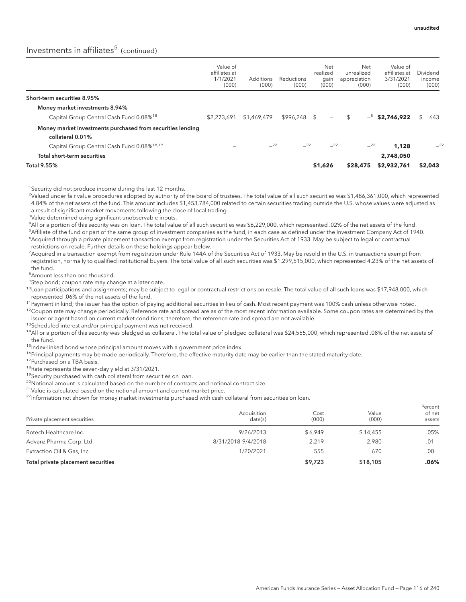## Investments in affiliates $5$  (continued)

|                                                                                | Value of<br>affiliates at<br>1/1/2021<br>(000) | Additions<br>(000) | Reductions<br>(000) | Net<br>realized<br>gain<br>(000) | Net<br>unrealized<br>appreciation<br>(000) | Value of<br>affiliates at<br>3/31/2021<br>(000) | Dividend<br>income<br>(000) |
|--------------------------------------------------------------------------------|------------------------------------------------|--------------------|---------------------|----------------------------------|--------------------------------------------|-------------------------------------------------|-----------------------------|
| Short-term securities 8.95%                                                    |                                                |                    |                     |                                  |                                            |                                                 |                             |
| Money market investments 8.94%                                                 |                                                |                    |                     |                                  |                                            |                                                 |                             |
| Capital Group Central Cash Fund 0.08% <sup>18</sup>                            | \$2,273,691                                    | \$1,469,479        | $$996.248$ \$       | $\overline{\phantom{m}}$         | $-8$<br>S.                                 | \$2,746,922                                     | 643                         |
| Money market investments purchased from securities lending<br>collateral 0.01% |                                                |                    |                     |                                  |                                            |                                                 |                             |
| Capital Group Central Cash Fund 0.08% <sup>18,19</sup>                         |                                                | $-22$              | $-$ <sup>22</sup>   | $-22$                            | $-$ <sup>22</sup>                          | 1.128                                           | $-22$                       |
| Total short-term securities                                                    |                                                |                    |                     |                                  |                                            | 2,748,050                                       |                             |
| <b>Total 9.55%</b>                                                             |                                                |                    |                     | \$1,626                          | \$28,475                                   | \$2,932,761                                     | \$2,043                     |

<sup>1</sup> Security did not produce income during the last 12 months.

<sup>2</sup>Valued under fair value procedures adopted by authority of the board of trustees. The total value of all such securities was \$1,486,361,000, which represented 4.84% of the net assets of the fund. This amount includes \$1,453,784,000 related to certain securities trading outside the U.S. whose values were adjusted as a result of significant market movements following the close of local trading.

<sup>3</sup>Value determined using significant unobservable inputs.

 All or a portion of this security was on loan. The total value of all such securities was \$6,229,000, which represented .02% of the net assets of the fund. Affiliate of the fund or part of the same group of investment companies as the fund, in each case as defined under the Investment Company Act of 1940. Acquired through a private placement transaction exempt from registration under the Securities Act of 1933. May be subject to legal or contractual restrictions on resale. Further details on these holdings appear below.

7 Acquired in a transaction exempt from registration under Rule 144A of the Securities Act of 1933. May be resold in the U.S. in transactions exempt from registration, normally to qualified institutional buyers. The total value of all such securities was \$1,299,515,000, which represented 4.23% of the net assets of the fund.

<sup>8</sup> Amount less than one thousand.

<sup>9</sup>Step bond; coupon rate may change at a later date.

 $10$ Loan participations and assignments; may be subject to legal or contractual restrictions on resale. The total value of all such loans was \$17,948,000, which represented .06% of the net assets of the fund.

<sup>11</sup>Payment in kind; the issuer has the option of paying additional securities in lieu of cash. Most recent payment was 100% cash unless otherwise noted.

 $12$ Coupon rate may change periodically. Reference rate and spread are as of the most recent information available. Some coupon rates are determined by the issuer or agent based on current market conditions; therefore, the reference rate and spread are not available.

<sup>13</sup>Scheduled interest and/or principal payment was not received.

<sup>14</sup>All or a portion of this security was pledged as collateral. The total value of pledged collateral was \$24,555,000, which represented .08% of the net assets of the fund.

<sup>15</sup>Index-linked bond whose principal amount moves with a government price index.

<sup>16</sup>Principal payments may be made periodically. Therefore, the effective maturity date may be earlier than the stated maturity date.

<sup>17</sup>Purchased on a TBA basis.

18Rate represents the seven-day yield at 3/31/2021.

19Security purchased with cash collateral from securities on loan.

<sup>20</sup>Notional amount is calculated based on the number of contracts and notional contract size.

 $21$ Value is calculated based on the notional amount and current market price.

 $^{22}$ Information not shown for money market investments purchased with cash collateral from securities on loan.

| Private placement securities       | Acquisition<br>date(s) | Cost<br>(000) | Value<br>(000) | Percent<br>of net<br>assets |
|------------------------------------|------------------------|---------------|----------------|-----------------------------|
| Rotech Healthcare Inc.             | 9/26/2013              | \$6.949       | \$14,455       | .05%                        |
| Advanz Pharma Corp. Ltd.           | 8/31/2018-9/4/2018     | 2.219         | 2.980          | .01                         |
| Extraction Oil & Gas, Inc.         | 1/20/2021              | 555           | 670            | .00                         |
| Total private placement securities |                        | \$9,723       | \$18,105       | .06%                        |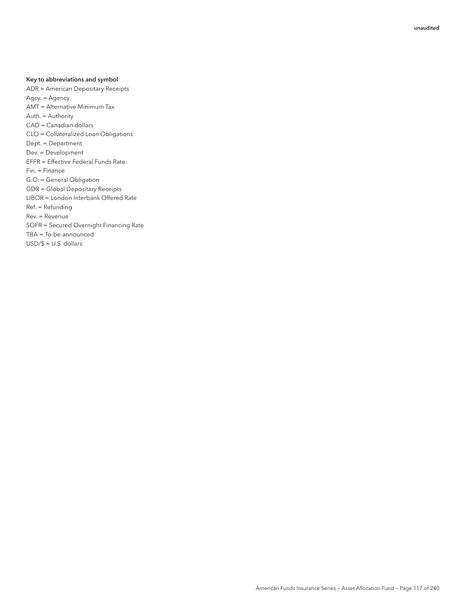#### Key to abbreviations and symbol

ADR = American Depositary Receipts Agcy. = Agency AMT = Alternative Minimum Tax Auth. = Authority CAD = Canadian dollars CLO = Collateralized Loan Obligations Dept. = Department Dev. = Development EFFR = Effective Federal Funds Rate Fin. = Finance G.O. = General Obligation GDR = Global Depositary Receipts LIBOR = London Interbank Offered Rate Ref. = Refunding Rev. = Revenue SOFR = Secured Overnight Financing Rate TBA = To-be-announced USD/\$ = U.S. dollars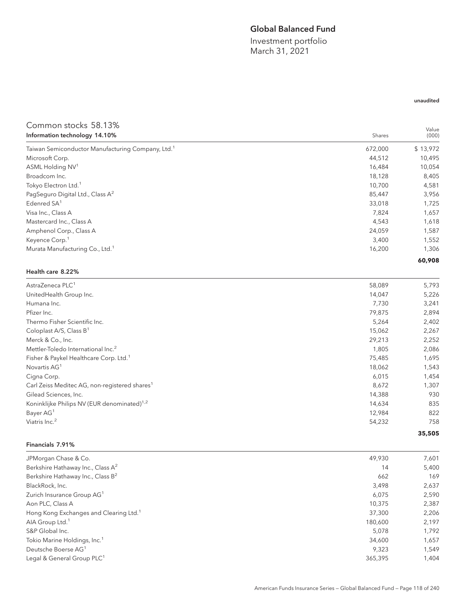# Global Balanced Fund

Investment portfolio March 31, 2021

### unaudited

| Common stocks 58.13%                                          |         | Value    |
|---------------------------------------------------------------|---------|----------|
| Information technology 14.10%                                 | Shares  | (000)    |
| Taiwan Semiconductor Manufacturing Company, Ltd. <sup>1</sup> | 672,000 | \$13,972 |
| Microsoft Corp.                                               | 44,512  | 10,495   |
| ASML Holding NV <sup>1</sup>                                  | 16,484  | 10,054   |
| Broadcom Inc.                                                 | 18,128  | 8,405    |
| Tokyo Electron Ltd. <sup>1</sup>                              | 10,700  | 4,581    |
| PagSeguro Digital Ltd., Class A <sup>2</sup>                  | 85,447  | 3,956    |
| Edenred SA <sup>1</sup>                                       | 33,018  | 1,725    |
| Visa Inc., Class A                                            | 7,824   | 1,657    |
| Mastercard Inc., Class A                                      | 4,543   | 1,618    |
| Amphenol Corp., Class A                                       | 24,059  | 1,587    |
| Keyence Corp. <sup>1</sup>                                    | 3,400   | 1,552    |
| Murata Manufacturing Co., Ltd. <sup>1</sup>                   | 16,200  | 1,306    |
|                                                               |         | 60,908   |
| Health care 8.22%                                             |         |          |
| AstraZeneca PLC <sup>1</sup>                                  | 58,089  | 5,793    |
| UnitedHealth Group Inc.                                       | 14,047  | 5,226    |
| Humana Inc.                                                   | 7,730   | 3,241    |
| Pfizer Inc.                                                   | 79,875  | 2,894    |
| Thermo Fisher Scientific Inc.                                 | 5,264   | 2,402    |
| Coloplast A/S, Class B <sup>1</sup>                           | 15,062  | 2,267    |
| Merck & Co., Inc.                                             | 29,213  | 2,252    |
| Mettler-Toledo International Inc. <sup>2</sup>                | 1,805   | 2,086    |
| Fisher & Paykel Healthcare Corp. Ltd. <sup>1</sup>            | 75,485  | 1,695    |
| Novartis AG <sup>1</sup>                                      | 18,062  | 1,543    |
| Cigna Corp.                                                   | 6,015   | 1,454    |
| Carl Zeiss Meditec AG, non-registered shares <sup>1</sup>     | 8,672   | 1,307    |
| Gilead Sciences, Inc.                                         | 14,388  | 930      |
| Koninklijke Philips NV (EUR denominated) <sup>1,2</sup>       | 14,634  | 835      |
| Bayer AG <sup>1</sup>                                         | 12,984  | 822      |
| Viatris Inc. <sup>2</sup>                                     | 54,232  | 758      |
|                                                               |         | 35,505   |
| Financials 7.91%                                              |         |          |

| JPMorgan Chase & Co.                               | 49,930  | 7,601 |
|----------------------------------------------------|---------|-------|
| Berkshire Hathaway Inc., Class A <sup>2</sup>      | 14      | 5,400 |
| Berkshire Hathaway Inc., Class B <sup>2</sup>      | 662     | 169   |
| BlackRock, Inc.                                    | 3,498   | 2.637 |
| Zurich Insurance Group AG <sup>1</sup>             | 6,075   | 2,590 |
| Aon PLC, Class A                                   | 10.375  | 2,387 |
| Hong Kong Exchanges and Clearing Ltd. <sup>1</sup> | 37,300  | 2,206 |
| AIA Group Ltd. <sup>1</sup>                        | 180.600 | 2.197 |
| S&P Global Inc.                                    | 5.078   | 1.792 |
| Tokio Marine Holdings, Inc. <sup>1</sup>           | 34,600  | 1,657 |
| Deutsche Boerse AG <sup>1</sup>                    | 9.323   | 1.549 |
| Legal & General Group PLC <sup>1</sup>             | 365,395 | 1.404 |
|                                                    |         |       |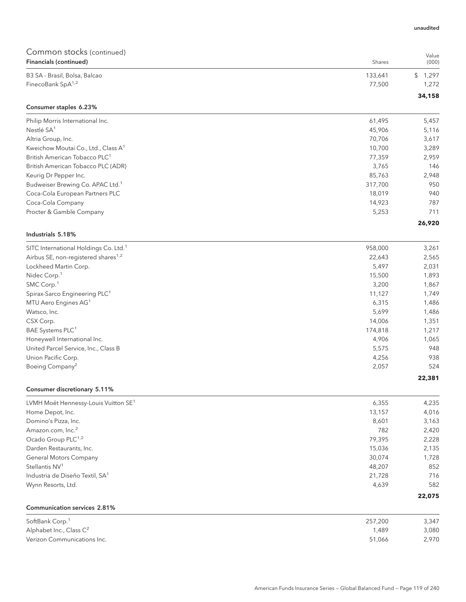| Financials (continued)<br>Shares<br>(000)<br>133,641<br>B3 SA - Brasil, Bolsa, Balcao<br>\$1,297<br>FinecoBank SpA <sup>1,2</sup><br>77,500<br>1,272<br>34,158<br>Consumer staples 6.23%<br>Philip Morris International Inc.<br>61,495<br>5,457<br>Nestlé SA <sup>1</sup><br>45,906<br>5,116<br>Altria Group, Inc.<br>70,706<br>3,617<br>Kweichow Moutai Co., Ltd., Class A <sup>1</sup><br>10,700<br>3,289<br>British American Tobacco PLC <sup>1</sup><br>77,359<br>2,959<br>3,765<br>British American Tobacco PLC (ADR)<br>146<br>85,763<br>Keurig Dr Pepper Inc.<br>2,948<br>317,700<br>Budweiser Brewing Co. APAC Ltd. <sup>1</sup><br>950<br>Coca-Cola European Partners PLC<br>18,019<br>940<br>Coca-Cola Company<br>14,923<br>787<br>5,253<br>Procter & Gamble Company<br>711<br>26,920<br>Industrials 5.18%<br>SITC International Holdings Co. Ltd. <sup>1</sup><br>958,000<br>3,261<br>Airbus SE, non-registered shares <sup>1,2</sup><br>22,643<br>2,565<br>Lockheed Martin Corp.<br>5,497<br>2,031<br>Nidec Corp. <sup>1</sup><br>15,500<br>1,893<br>SMC Corp. <sup>1</sup><br>3,200<br>1,867<br>Spirax-Sarco Engineering PLC <sup>1</sup><br>11,127<br>1,749<br>MTU Aero Engines AG <sup>1</sup><br>1,486<br>6,315<br>5,699<br>Watsco, Inc.<br>1,486<br>CSX Corp.<br>14,006<br>1,351<br>BAE Systems PLC <sup>1</sup><br>174,818<br>1,217<br>Honeywell International Inc.<br>4,906<br>1,065<br>United Parcel Service, Inc., Class B<br>5,575<br>948<br>938<br>Union Pacific Corp.<br>4,256<br>2,057<br>524<br>Boeing Company <sup>2</sup><br>22,381<br>Consumer discretionary 5.11%<br>LVMH Moët Hennessy-Louis Vuitton SE <sup>1</sup><br>6,355<br>4,235<br>4,016<br>Home Depot, Inc.<br>13,157<br>Domino's Pizza, Inc.<br>8,601<br>3,163<br>Amazon.com, Inc. <sup>2</sup><br>782<br>2,420<br>Ocado Group PLC <sup>1,2</sup><br>79,395<br>2,228<br>Darden Restaurants, Inc.<br>15,036<br>2,135<br>30,074<br>1,728<br>General Motors Company<br>Stellantis NV <sup>1</sup><br>48,207<br>852<br>Industria de Diseño Textil, SA <sup>1</sup><br>21,728<br>716<br>Wynn Resorts, Ltd.<br>4,639<br>582<br>22,075<br><b>Communication services 2.81%</b><br>SoftBank Corp. <sup>1</sup><br>257,200<br>3,347<br>Alphabet Inc., Class C <sup>2</sup><br>1,489<br>3,080<br>Verizon Communications Inc.<br>51,066<br>2,970 | Common stocks (continued) | Value |
|------------------------------------------------------------------------------------------------------------------------------------------------------------------------------------------------------------------------------------------------------------------------------------------------------------------------------------------------------------------------------------------------------------------------------------------------------------------------------------------------------------------------------------------------------------------------------------------------------------------------------------------------------------------------------------------------------------------------------------------------------------------------------------------------------------------------------------------------------------------------------------------------------------------------------------------------------------------------------------------------------------------------------------------------------------------------------------------------------------------------------------------------------------------------------------------------------------------------------------------------------------------------------------------------------------------------------------------------------------------------------------------------------------------------------------------------------------------------------------------------------------------------------------------------------------------------------------------------------------------------------------------------------------------------------------------------------------------------------------------------------------------------------------------------------------------------------------------------------------------------------------------------------------------------------------------------------------------------------------------------------------------------------------------------------------------------------------------------------------------------------------------------------------------------------------------------------------------------------------------------------------------------------------------------------------------------------|---------------------------|-------|
|                                                                                                                                                                                                                                                                                                                                                                                                                                                                                                                                                                                                                                                                                                                                                                                                                                                                                                                                                                                                                                                                                                                                                                                                                                                                                                                                                                                                                                                                                                                                                                                                                                                                                                                                                                                                                                                                                                                                                                                                                                                                                                                                                                                                                                                                                                                              |                           |       |
|                                                                                                                                                                                                                                                                                                                                                                                                                                                                                                                                                                                                                                                                                                                                                                                                                                                                                                                                                                                                                                                                                                                                                                                                                                                                                                                                                                                                                                                                                                                                                                                                                                                                                                                                                                                                                                                                                                                                                                                                                                                                                                                                                                                                                                                                                                                              |                           |       |
|                                                                                                                                                                                                                                                                                                                                                                                                                                                                                                                                                                                                                                                                                                                                                                                                                                                                                                                                                                                                                                                                                                                                                                                                                                                                                                                                                                                                                                                                                                                                                                                                                                                                                                                                                                                                                                                                                                                                                                                                                                                                                                                                                                                                                                                                                                                              |                           |       |
|                                                                                                                                                                                                                                                                                                                                                                                                                                                                                                                                                                                                                                                                                                                                                                                                                                                                                                                                                                                                                                                                                                                                                                                                                                                                                                                                                                                                                                                                                                                                                                                                                                                                                                                                                                                                                                                                                                                                                                                                                                                                                                                                                                                                                                                                                                                              |                           |       |
|                                                                                                                                                                                                                                                                                                                                                                                                                                                                                                                                                                                                                                                                                                                                                                                                                                                                                                                                                                                                                                                                                                                                                                                                                                                                                                                                                                                                                                                                                                                                                                                                                                                                                                                                                                                                                                                                                                                                                                                                                                                                                                                                                                                                                                                                                                                              |                           |       |
|                                                                                                                                                                                                                                                                                                                                                                                                                                                                                                                                                                                                                                                                                                                                                                                                                                                                                                                                                                                                                                                                                                                                                                                                                                                                                                                                                                                                                                                                                                                                                                                                                                                                                                                                                                                                                                                                                                                                                                                                                                                                                                                                                                                                                                                                                                                              |                           |       |
|                                                                                                                                                                                                                                                                                                                                                                                                                                                                                                                                                                                                                                                                                                                                                                                                                                                                                                                                                                                                                                                                                                                                                                                                                                                                                                                                                                                                                                                                                                                                                                                                                                                                                                                                                                                                                                                                                                                                                                                                                                                                                                                                                                                                                                                                                                                              |                           |       |
|                                                                                                                                                                                                                                                                                                                                                                                                                                                                                                                                                                                                                                                                                                                                                                                                                                                                                                                                                                                                                                                                                                                                                                                                                                                                                                                                                                                                                                                                                                                                                                                                                                                                                                                                                                                                                                                                                                                                                                                                                                                                                                                                                                                                                                                                                                                              |                           |       |
|                                                                                                                                                                                                                                                                                                                                                                                                                                                                                                                                                                                                                                                                                                                                                                                                                                                                                                                                                                                                                                                                                                                                                                                                                                                                                                                                                                                                                                                                                                                                                                                                                                                                                                                                                                                                                                                                                                                                                                                                                                                                                                                                                                                                                                                                                                                              |                           |       |
|                                                                                                                                                                                                                                                                                                                                                                                                                                                                                                                                                                                                                                                                                                                                                                                                                                                                                                                                                                                                                                                                                                                                                                                                                                                                                                                                                                                                                                                                                                                                                                                                                                                                                                                                                                                                                                                                                                                                                                                                                                                                                                                                                                                                                                                                                                                              |                           |       |
|                                                                                                                                                                                                                                                                                                                                                                                                                                                                                                                                                                                                                                                                                                                                                                                                                                                                                                                                                                                                                                                                                                                                                                                                                                                                                                                                                                                                                                                                                                                                                                                                                                                                                                                                                                                                                                                                                                                                                                                                                                                                                                                                                                                                                                                                                                                              |                           |       |
|                                                                                                                                                                                                                                                                                                                                                                                                                                                                                                                                                                                                                                                                                                                                                                                                                                                                                                                                                                                                                                                                                                                                                                                                                                                                                                                                                                                                                                                                                                                                                                                                                                                                                                                                                                                                                                                                                                                                                                                                                                                                                                                                                                                                                                                                                                                              |                           |       |
|                                                                                                                                                                                                                                                                                                                                                                                                                                                                                                                                                                                                                                                                                                                                                                                                                                                                                                                                                                                                                                                                                                                                                                                                                                                                                                                                                                                                                                                                                                                                                                                                                                                                                                                                                                                                                                                                                                                                                                                                                                                                                                                                                                                                                                                                                                                              |                           |       |
|                                                                                                                                                                                                                                                                                                                                                                                                                                                                                                                                                                                                                                                                                                                                                                                                                                                                                                                                                                                                                                                                                                                                                                                                                                                                                                                                                                                                                                                                                                                                                                                                                                                                                                                                                                                                                                                                                                                                                                                                                                                                                                                                                                                                                                                                                                                              |                           |       |
|                                                                                                                                                                                                                                                                                                                                                                                                                                                                                                                                                                                                                                                                                                                                                                                                                                                                                                                                                                                                                                                                                                                                                                                                                                                                                                                                                                                                                                                                                                                                                                                                                                                                                                                                                                                                                                                                                                                                                                                                                                                                                                                                                                                                                                                                                                                              |                           |       |
|                                                                                                                                                                                                                                                                                                                                                                                                                                                                                                                                                                                                                                                                                                                                                                                                                                                                                                                                                                                                                                                                                                                                                                                                                                                                                                                                                                                                                                                                                                                                                                                                                                                                                                                                                                                                                                                                                                                                                                                                                                                                                                                                                                                                                                                                                                                              |                           |       |
|                                                                                                                                                                                                                                                                                                                                                                                                                                                                                                                                                                                                                                                                                                                                                                                                                                                                                                                                                                                                                                                                                                                                                                                                                                                                                                                                                                                                                                                                                                                                                                                                                                                                                                                                                                                                                                                                                                                                                                                                                                                                                                                                                                                                                                                                                                                              |                           |       |
|                                                                                                                                                                                                                                                                                                                                                                                                                                                                                                                                                                                                                                                                                                                                                                                                                                                                                                                                                                                                                                                                                                                                                                                                                                                                                                                                                                                                                                                                                                                                                                                                                                                                                                                                                                                                                                                                                                                                                                                                                                                                                                                                                                                                                                                                                                                              |                           |       |
|                                                                                                                                                                                                                                                                                                                                                                                                                                                                                                                                                                                                                                                                                                                                                                                                                                                                                                                                                                                                                                                                                                                                                                                                                                                                                                                                                                                                                                                                                                                                                                                                                                                                                                                                                                                                                                                                                                                                                                                                                                                                                                                                                                                                                                                                                                                              |                           |       |
|                                                                                                                                                                                                                                                                                                                                                                                                                                                                                                                                                                                                                                                                                                                                                                                                                                                                                                                                                                                                                                                                                                                                                                                                                                                                                                                                                                                                                                                                                                                                                                                                                                                                                                                                                                                                                                                                                                                                                                                                                                                                                                                                                                                                                                                                                                                              |                           |       |
|                                                                                                                                                                                                                                                                                                                                                                                                                                                                                                                                                                                                                                                                                                                                                                                                                                                                                                                                                                                                                                                                                                                                                                                                                                                                                                                                                                                                                                                                                                                                                                                                                                                                                                                                                                                                                                                                                                                                                                                                                                                                                                                                                                                                                                                                                                                              |                           |       |
|                                                                                                                                                                                                                                                                                                                                                                                                                                                                                                                                                                                                                                                                                                                                                                                                                                                                                                                                                                                                                                                                                                                                                                                                                                                                                                                                                                                                                                                                                                                                                                                                                                                                                                                                                                                                                                                                                                                                                                                                                                                                                                                                                                                                                                                                                                                              |                           |       |
|                                                                                                                                                                                                                                                                                                                                                                                                                                                                                                                                                                                                                                                                                                                                                                                                                                                                                                                                                                                                                                                                                                                                                                                                                                                                                                                                                                                                                                                                                                                                                                                                                                                                                                                                                                                                                                                                                                                                                                                                                                                                                                                                                                                                                                                                                                                              |                           |       |
|                                                                                                                                                                                                                                                                                                                                                                                                                                                                                                                                                                                                                                                                                                                                                                                                                                                                                                                                                                                                                                                                                                                                                                                                                                                                                                                                                                                                                                                                                                                                                                                                                                                                                                                                                                                                                                                                                                                                                                                                                                                                                                                                                                                                                                                                                                                              |                           |       |
|                                                                                                                                                                                                                                                                                                                                                                                                                                                                                                                                                                                                                                                                                                                                                                                                                                                                                                                                                                                                                                                                                                                                                                                                                                                                                                                                                                                                                                                                                                                                                                                                                                                                                                                                                                                                                                                                                                                                                                                                                                                                                                                                                                                                                                                                                                                              |                           |       |
|                                                                                                                                                                                                                                                                                                                                                                                                                                                                                                                                                                                                                                                                                                                                                                                                                                                                                                                                                                                                                                                                                                                                                                                                                                                                                                                                                                                                                                                                                                                                                                                                                                                                                                                                                                                                                                                                                                                                                                                                                                                                                                                                                                                                                                                                                                                              |                           |       |
|                                                                                                                                                                                                                                                                                                                                                                                                                                                                                                                                                                                                                                                                                                                                                                                                                                                                                                                                                                                                                                                                                                                                                                                                                                                                                                                                                                                                                                                                                                                                                                                                                                                                                                                                                                                                                                                                                                                                                                                                                                                                                                                                                                                                                                                                                                                              |                           |       |
|                                                                                                                                                                                                                                                                                                                                                                                                                                                                                                                                                                                                                                                                                                                                                                                                                                                                                                                                                                                                                                                                                                                                                                                                                                                                                                                                                                                                                                                                                                                                                                                                                                                                                                                                                                                                                                                                                                                                                                                                                                                                                                                                                                                                                                                                                                                              |                           |       |
|                                                                                                                                                                                                                                                                                                                                                                                                                                                                                                                                                                                                                                                                                                                                                                                                                                                                                                                                                                                                                                                                                                                                                                                                                                                                                                                                                                                                                                                                                                                                                                                                                                                                                                                                                                                                                                                                                                                                                                                                                                                                                                                                                                                                                                                                                                                              |                           |       |
|                                                                                                                                                                                                                                                                                                                                                                                                                                                                                                                                                                                                                                                                                                                                                                                                                                                                                                                                                                                                                                                                                                                                                                                                                                                                                                                                                                                                                                                                                                                                                                                                                                                                                                                                                                                                                                                                                                                                                                                                                                                                                                                                                                                                                                                                                                                              |                           |       |
|                                                                                                                                                                                                                                                                                                                                                                                                                                                                                                                                                                                                                                                                                                                                                                                                                                                                                                                                                                                                                                                                                                                                                                                                                                                                                                                                                                                                                                                                                                                                                                                                                                                                                                                                                                                                                                                                                                                                                                                                                                                                                                                                                                                                                                                                                                                              |                           |       |
|                                                                                                                                                                                                                                                                                                                                                                                                                                                                                                                                                                                                                                                                                                                                                                                                                                                                                                                                                                                                                                                                                                                                                                                                                                                                                                                                                                                                                                                                                                                                                                                                                                                                                                                                                                                                                                                                                                                                                                                                                                                                                                                                                                                                                                                                                                                              |                           |       |
|                                                                                                                                                                                                                                                                                                                                                                                                                                                                                                                                                                                                                                                                                                                                                                                                                                                                                                                                                                                                                                                                                                                                                                                                                                                                                                                                                                                                                                                                                                                                                                                                                                                                                                                                                                                                                                                                                                                                                                                                                                                                                                                                                                                                                                                                                                                              |                           |       |
|                                                                                                                                                                                                                                                                                                                                                                                                                                                                                                                                                                                                                                                                                                                                                                                                                                                                                                                                                                                                                                                                                                                                                                                                                                                                                                                                                                                                                                                                                                                                                                                                                                                                                                                                                                                                                                                                                                                                                                                                                                                                                                                                                                                                                                                                                                                              |                           |       |
|                                                                                                                                                                                                                                                                                                                                                                                                                                                                                                                                                                                                                                                                                                                                                                                                                                                                                                                                                                                                                                                                                                                                                                                                                                                                                                                                                                                                                                                                                                                                                                                                                                                                                                                                                                                                                                                                                                                                                                                                                                                                                                                                                                                                                                                                                                                              |                           |       |
|                                                                                                                                                                                                                                                                                                                                                                                                                                                                                                                                                                                                                                                                                                                                                                                                                                                                                                                                                                                                                                                                                                                                                                                                                                                                                                                                                                                                                                                                                                                                                                                                                                                                                                                                                                                                                                                                                                                                                                                                                                                                                                                                                                                                                                                                                                                              |                           |       |
|                                                                                                                                                                                                                                                                                                                                                                                                                                                                                                                                                                                                                                                                                                                                                                                                                                                                                                                                                                                                                                                                                                                                                                                                                                                                                                                                                                                                                                                                                                                                                                                                                                                                                                                                                                                                                                                                                                                                                                                                                                                                                                                                                                                                                                                                                                                              |                           |       |
|                                                                                                                                                                                                                                                                                                                                                                                                                                                                                                                                                                                                                                                                                                                                                                                                                                                                                                                                                                                                                                                                                                                                                                                                                                                                                                                                                                                                                                                                                                                                                                                                                                                                                                                                                                                                                                                                                                                                                                                                                                                                                                                                                                                                                                                                                                                              |                           |       |
|                                                                                                                                                                                                                                                                                                                                                                                                                                                                                                                                                                                                                                                                                                                                                                                                                                                                                                                                                                                                                                                                                                                                                                                                                                                                                                                                                                                                                                                                                                                                                                                                                                                                                                                                                                                                                                                                                                                                                                                                                                                                                                                                                                                                                                                                                                                              |                           |       |
|                                                                                                                                                                                                                                                                                                                                                                                                                                                                                                                                                                                                                                                                                                                                                                                                                                                                                                                                                                                                                                                                                                                                                                                                                                                                                                                                                                                                                                                                                                                                                                                                                                                                                                                                                                                                                                                                                                                                                                                                                                                                                                                                                                                                                                                                                                                              |                           |       |
|                                                                                                                                                                                                                                                                                                                                                                                                                                                                                                                                                                                                                                                                                                                                                                                                                                                                                                                                                                                                                                                                                                                                                                                                                                                                                                                                                                                                                                                                                                                                                                                                                                                                                                                                                                                                                                                                                                                                                                                                                                                                                                                                                                                                                                                                                                                              |                           |       |
|                                                                                                                                                                                                                                                                                                                                                                                                                                                                                                                                                                                                                                                                                                                                                                                                                                                                                                                                                                                                                                                                                                                                                                                                                                                                                                                                                                                                                                                                                                                                                                                                                                                                                                                                                                                                                                                                                                                                                                                                                                                                                                                                                                                                                                                                                                                              |                           |       |
|                                                                                                                                                                                                                                                                                                                                                                                                                                                                                                                                                                                                                                                                                                                                                                                                                                                                                                                                                                                                                                                                                                                                                                                                                                                                                                                                                                                                                                                                                                                                                                                                                                                                                                                                                                                                                                                                                                                                                                                                                                                                                                                                                                                                                                                                                                                              |                           |       |
|                                                                                                                                                                                                                                                                                                                                                                                                                                                                                                                                                                                                                                                                                                                                                                                                                                                                                                                                                                                                                                                                                                                                                                                                                                                                                                                                                                                                                                                                                                                                                                                                                                                                                                                                                                                                                                                                                                                                                                                                                                                                                                                                                                                                                                                                                                                              |                           |       |
|                                                                                                                                                                                                                                                                                                                                                                                                                                                                                                                                                                                                                                                                                                                                                                                                                                                                                                                                                                                                                                                                                                                                                                                                                                                                                                                                                                                                                                                                                                                                                                                                                                                                                                                                                                                                                                                                                                                                                                                                                                                                                                                                                                                                                                                                                                                              |                           |       |
|                                                                                                                                                                                                                                                                                                                                                                                                                                                                                                                                                                                                                                                                                                                                                                                                                                                                                                                                                                                                                                                                                                                                                                                                                                                                                                                                                                                                                                                                                                                                                                                                                                                                                                                                                                                                                                                                                                                                                                                                                                                                                                                                                                                                                                                                                                                              |                           |       |
|                                                                                                                                                                                                                                                                                                                                                                                                                                                                                                                                                                                                                                                                                                                                                                                                                                                                                                                                                                                                                                                                                                                                                                                                                                                                                                                                                                                                                                                                                                                                                                                                                                                                                                                                                                                                                                                                                                                                                                                                                                                                                                                                                                                                                                                                                                                              |                           |       |
|                                                                                                                                                                                                                                                                                                                                                                                                                                                                                                                                                                                                                                                                                                                                                                                                                                                                                                                                                                                                                                                                                                                                                                                                                                                                                                                                                                                                                                                                                                                                                                                                                                                                                                                                                                                                                                                                                                                                                                                                                                                                                                                                                                                                                                                                                                                              |                           |       |

unaudited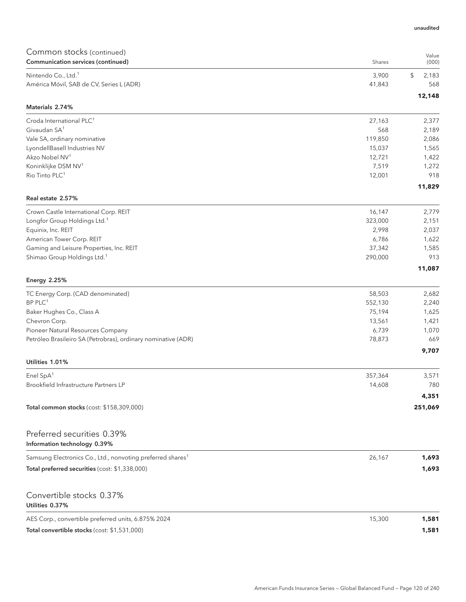| Common stocks (continued)                                              |                   |                |
|------------------------------------------------------------------------|-------------------|----------------|
| Communication services (continued)                                     | Shares            | Value<br>(000) |
| Nintendo Co., Ltd. <sup>1</sup>                                        | 3,900             | \$<br>2,183    |
| América Móvil, SAB de CV, Series L (ADR)                               | 41,843            | 568            |
|                                                                        |                   | 12,148         |
| Materials 2.74%                                                        |                   |                |
| Croda International PLC <sup>1</sup>                                   | 27,163            | 2,377          |
| Givaudan SA <sup>1</sup>                                               | 568               | 2,189          |
| Vale SA, ordinary nominative                                           | 119,850           | 2,086          |
| LyondellBasell Industries NV                                           | 15,037            | 1,565          |
| Akzo Nobel NV <sup>1</sup>                                             | 12,721            | 1,422          |
| Koninklijke DSM NV <sup>1</sup>                                        | 7,519             | 1,272          |
| Rio Tinto PLC <sup>1</sup>                                             | 12,001            | 918            |
|                                                                        |                   | 11,829         |
| Real estate 2.57%                                                      |                   |                |
| Crown Castle International Corp. REIT                                  | 16,147            | 2,779          |
| Longfor Group Holdings Ltd. <sup>1</sup>                               | 323,000           | 2,151          |
| Equinix, Inc. REIT                                                     | 2,998             | 2,037          |
| American Tower Corp. REIT                                              | 6,786             | 1,622          |
| Gaming and Leisure Properties, Inc. REIT                               | 37,342            | 1,585          |
| Shimao Group Holdings Ltd. <sup>1</sup>                                | 290,000           | 913<br>11,087  |
| <b>Energy 2.25%</b>                                                    |                   |                |
|                                                                        |                   |                |
| TC Energy Corp. (CAD denominated)<br>BP PLC <sup>1</sup>               | 58,503<br>552,130 | 2,682<br>2,240 |
| Baker Hughes Co., Class A                                              | 75,194            | 1,625          |
| Chevron Corp.                                                          | 13,561            | 1,421          |
| Pioneer Natural Resources Company                                      | 6,739             | 1,070          |
| Petróleo Brasileiro SA (Petrobras), ordinary nominative (ADR)          | 78,873            | 669            |
|                                                                        |                   | 9,707          |
| Utilities 1.01%                                                        |                   |                |
| Enel SpA <sup>1</sup>                                                  | 357,364           | 3,571          |
| Brookfield Infrastructure Partners LP                                  | 14,608            | 780            |
|                                                                        |                   | 4,351          |
| Total common stocks (cost: \$158,309,000)                              |                   | 251,069        |
|                                                                        |                   |                |
| Preferred securities 0.39%                                             |                   |                |
| Information technology 0.39%                                           |                   |                |
| Samsung Electronics Co., Ltd., nonvoting preferred shares <sup>1</sup> | 26,167            | 1,693          |
| Total preferred securities (cost: \$1,338,000)                         |                   | 1,693          |
|                                                                        |                   |                |
| Convertible stocks 0.37%                                               |                   |                |
| Utilities 0.37%                                                        |                   |                |
| AES Corp., convertible preferred units, 6.875% 2024                    | 15,300            | 1,581          |
| Total convertible stocks (cost: \$1,531,000)                           |                   | 1,581          |
|                                                                        |                   |                |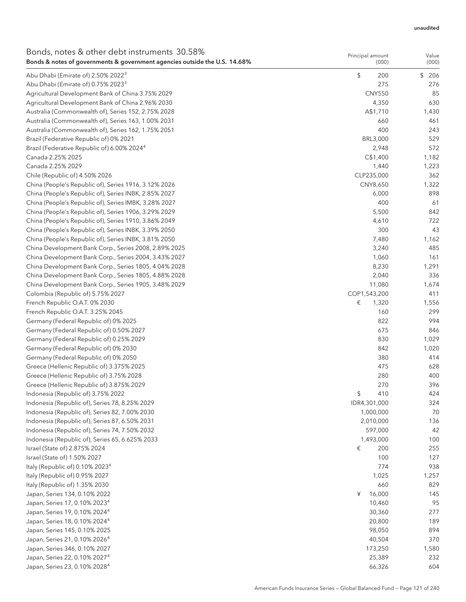#### unaudited

| Bonds, notes & other debt instruments 30.58%<br>Bonds & notes of governments & government agencies outside the U.S. 14.68% | Principal amount<br>(000) | Value<br>(000) |
|----------------------------------------------------------------------------------------------------------------------------|---------------------------|----------------|
| Abu Dhabi (Emirate of) 2.50% 2022 <sup>3</sup>                                                                             | \$<br>200                 | \$<br>206      |
| Abu Dhabi (Emirate of) 0.75% 2023 <sup>3</sup>                                                                             | 275                       | 276            |
| Agricultural Development Bank of China 3.75% 2029                                                                          | <b>CNY550</b>             | 85             |
| Agricultural Development Bank of China 2.96% 2030                                                                          | 4,350                     | 630            |
| Australia (Commonwealth of), Series 152, 2.75% 2028                                                                        | A\$1,710                  | 1,430          |
| Australia (Commonwealth of), Series 163, 1.00% 2031                                                                        | 660                       | 461            |
| Australia (Commonwealth of), Series 162, 1.75% 2051                                                                        | 400                       | 243            |
| Brazil (Federative Republic of) 0% 2021                                                                                    | BRL3,000                  | 529            |
| Brazil (Federative Republic of) 6.00% 2024 <sup>4</sup>                                                                    | 2,948                     | 572            |
| Canada 2.25% 2025                                                                                                          | C\$1,400                  | 1,182          |
| Canada 2.25% 2029                                                                                                          | 1,440                     | 1,223          |
| Chile (Republic of) 4.50% 2026                                                                                             | CLP235,000                | 362            |
| China (People's Republic of), Series 1916, 3.12% 2026                                                                      | CNY8,650                  | 1,322          |
| China (People's Republic of), Series INBK, 2.85% 2027                                                                      | 6,000                     | 898            |
| China (People's Republic of), Series IMBK, 3.28% 2027                                                                      | 400                       | 61             |
| China (People's Republic of), Series 1906, 3.29% 2029                                                                      | 5,500                     | 842            |
| China (People's Republic of), Series 1910, 3.86% 2049                                                                      | 4,610                     | 722            |
| China (People's Republic of), Series INBK, 3.39% 2050                                                                      | 300                       | 43             |
| China (People's Republic of), Series INBK, 3.81% 2050                                                                      | 7,480                     | 1,162          |
| China Development Bank Corp., Series 2008, 2.89% 2025                                                                      | 3,240                     | 485            |
| China Development Bank Corp., Series 2004, 3.43% 2027                                                                      | 1,060                     | 161            |
| China Development Bank Corp., Series 1805, 4.04% 2028                                                                      | 8,230                     | 1,291          |
| China Development Bank Corp., Series 1805, 4.88% 2028                                                                      | 2,040                     | 336            |
| China Development Bank Corp., Series 1905, 3.48% 2029                                                                      | 11,080                    | 1,674          |
| Colombia (Republic of) 5.75% 2027                                                                                          | COP1,543,200              | 411            |
| French Republic O.A.T. 0% 2030                                                                                             | €<br>1,320                | 1,556          |
| French Republic O.A.T. 3.25% 2045                                                                                          | 160                       | 299            |
| Germany (Federal Republic of) 0% 2025                                                                                      | 822                       | 994            |
| Germany (Federal Republic of) 0.50% 2027                                                                                   | 675                       | 846            |
| Germany (Federal Republic of) 0.25% 2029                                                                                   | 830                       | 1,029          |
| Germany (Federal Republic of) 0% 2030                                                                                      | 842                       | 1,020          |
| Germany (Federal Republic of) 0% 2050                                                                                      | 380                       | 414            |
| Greece (Hellenic Republic of) 3.375% 2025                                                                                  | 475                       | 628            |
| Greece (Hellenic Republic of) 3.75% 2028                                                                                   | 280                       | 400            |
| Greece (Hellenic Republic of) 3.875% 2029                                                                                  | 270                       | 396            |
| Indonesia (Republic of) 3.75% 2022                                                                                         | \$<br>410                 | 424            |
| Indonesia (Republic of), Series 78, 8.25% 2029                                                                             | IDR4,301,000              | 324            |
| Indonesia (Republic of), Series 82, 7.00% 2030                                                                             | 1,000,000                 | 70             |
| Indonesia (Republic of), Series 87, 6.50% 2031                                                                             | 2,010,000                 | 136            |
| Indonesia (Republic of), Series 74, 7.50% 2032                                                                             | 597,000                   | 42             |
| Indonesia (Republic of), Series 65, 6.625% 2033                                                                            | 1,493,000                 | 100            |
| Israel (State of) 2.875% 2024                                                                                              | €<br>200                  | 255            |
| Israel (State of) 1.50% 2027                                                                                               | 100                       | 127            |
| Italy (Republic of) 0.10% 2023 <sup>4</sup>                                                                                | 774                       | 938            |
| Italy (Republic of) 0.95% 2027                                                                                             | 1,025                     | 1,257          |
| Italy (Republic of) 1.35% 2030                                                                                             | 660                       | 829            |
| Japan, Series 134, 0.10% 2022                                                                                              | 16,000<br>¥               | 145            |
| Japan, Series 17, 0.10% 2023 <sup>4</sup>                                                                                  | 10,460                    | 95             |
| Japan, Series 19, 0.10% 2024 <sup>4</sup>                                                                                  | 30,360                    | 277            |
| Japan, Series 18, 0.10% 2024 <sup>4</sup>                                                                                  | 20,800                    | 189            |
| Japan, Series 145, 0.10% 2025                                                                                              | 98,050                    | 894            |
| Japan, Series 21, 0.10% 2026 <sup>4</sup>                                                                                  | 40,504                    | 370            |
| Japan, Series 346, 0.10% 2027                                                                                              | 173,250                   | 1,580          |
| Japan, Series 22, 0.10% 2027 <sup>4</sup>                                                                                  | 25,389                    | 232            |
| Japan, Series 23, 0.10% 2028 <sup>4</sup>                                                                                  | 66,326                    | 604            |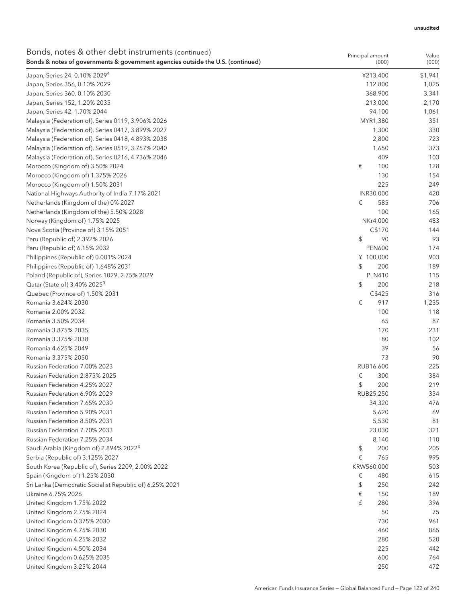| Bonds, notes & other debt instruments (continued)<br>Bonds & notes of governments & government agencies outside the U.S. (continued) | Principal amount<br>(000) | Value<br>(000) |
|--------------------------------------------------------------------------------------------------------------------------------------|---------------------------|----------------|
| Japan, Series 24, 0.10% 2029 <sup>4</sup>                                                                                            | ¥213,400                  | \$1,941        |
| Japan, Series 356, 0.10% 2029                                                                                                        | 112,800                   | 1,025          |
| Japan, Series 360, 0.10% 2030                                                                                                        | 368,900                   | 3,341          |
| Japan, Series 152, 1.20% 2035                                                                                                        | 213,000                   | 2,170          |
| Japan, Series 42, 1.70% 2044                                                                                                         | 94,100                    | 1,061          |
| Malaysia (Federation of), Series 0119, 3.906% 2026                                                                                   | MYR1,380                  | 351            |
| Malaysia (Federation of), Series 0417, 3.899% 2027                                                                                   | 1,300                     | 330            |
| Malaysia (Federation of), Series 0418, 4.893% 2038                                                                                   | 2,800                     | 723            |
| Malaysia (Federation of), Series 0519, 3.757% 2040                                                                                   | 1,650                     | 373            |
| Malaysia (Federation of), Series 0216, 4.736% 2046                                                                                   | 409                       | 103            |
| Morocco (Kingdom of) 3.50% 2024                                                                                                      | €<br>100                  | 128            |
| Morocco (Kingdom of) 1.375% 2026                                                                                                     | 130                       | 154            |
| Morocco (Kingdom of) 1.50% 2031                                                                                                      | 225                       | 249            |
|                                                                                                                                      | INR30,000                 | 420            |
| National Highways Authority of India 7.17% 2021                                                                                      | €<br>585                  | 706            |
| Netherlands (Kingdom of the) 0% 2027                                                                                                 |                           |                |
| Netherlands (Kingdom of the) 5.50% 2028                                                                                              | 100                       | 165            |
| Norway (Kingdom of) 1.75% 2025                                                                                                       | NKr4,000                  | 483            |
| Nova Scotia (Province of) 3.15% 2051                                                                                                 | C\$170                    | 144            |
| Peru (Republic of) 2.392% 2026                                                                                                       | \$<br>90                  | 93             |
| Peru (Republic of) 6.15% 2032                                                                                                        | <b>PEN600</b>             | 174            |
| Philippines (Republic of) 0.001% 2024                                                                                                | ¥ 100,000                 | 903            |
| Philippines (Republic of) 1.648% 2031                                                                                                | \$<br>200                 | 189            |
| Poland (Republic of), Series 1029, 2.75% 2029                                                                                        | <b>PLN410</b>             | 115            |
| Qatar (State of) 3.40% 2025 <sup>3</sup>                                                                                             | \$<br>200                 | 218            |
| Quebec (Province of) 1.50% 2031                                                                                                      | C\$425                    | 316            |
| Romania 3.624% 2030                                                                                                                  | €<br>917                  | 1,235          |
| Romania 2.00% 2032                                                                                                                   | 100                       | 118            |
| Romania 3.50% 2034                                                                                                                   | 65                        | 87             |
| Romania 3.875% 2035                                                                                                                  | 170                       | 231            |
| Romania 3.375% 2038                                                                                                                  | 80                        | 102            |
| Romania 4.625% 2049                                                                                                                  | 39                        | 56             |
| Romania 3.375% 2050                                                                                                                  | 73                        | 90             |
| Russian Federation 7.00% 2023                                                                                                        | RUB16,600                 | 225            |
| Russian Federation 2.875% 2025                                                                                                       | €<br>300                  | 384            |
| Russian Federation 4.25% 2027                                                                                                        | \$<br>200                 | 219            |
| Russian Federation 6.90% 2029                                                                                                        | RUB25,250                 | 334            |
| Russian Federation 7.65% 2030                                                                                                        | 34,320                    | 476            |
| Russian Federation 5.90% 2031                                                                                                        | 5,620                     | 69             |
| Russian Federation 8.50% 2031                                                                                                        | 5,530                     | 81             |
| Russian Federation 7.70% 2033                                                                                                        | 23,030                    | 321            |
| Russian Federation 7.25% 2034                                                                                                        | 8,140                     | 110            |
| Saudi Arabia (Kingdom of) 2.894% 2022 <sup>3</sup>                                                                                   | \$<br>200                 | 205            |
| Serbia (Republic of) 3.125% 2027                                                                                                     | €<br>765                  | 995            |
|                                                                                                                                      |                           |                |
| South Korea (Republic of), Series 2209, 2.00% 2022                                                                                   | KRW560,000                | 503            |
| Spain (Kingdom of) 1.25% 2030                                                                                                        | €<br>480                  | 615            |
| Sri Lanka (Democratic Socialist Republic of) 6.25% 2021                                                                              | \$<br>250                 | 242            |
| Ukraine 6.75% 2026                                                                                                                   | €<br>150                  | 189            |
| United Kingdom 1.75% 2022                                                                                                            | £<br>280                  | 396            |
| United Kingdom 2.75% 2024                                                                                                            | 50                        | 75             |
| United Kingdom 0.375% 2030                                                                                                           | 730                       | 961            |
| United Kingdom 4.75% 2030                                                                                                            | 460                       | 865            |
| United Kingdom 4.25% 2032                                                                                                            | 280                       | 520            |
| United Kingdom 4.50% 2034                                                                                                            | 225                       | 442            |
| United Kingdom 0.625% 2035                                                                                                           | 600                       | 764            |
| United Kingdom 3.25% 2044                                                                                                            | 250                       | 472            |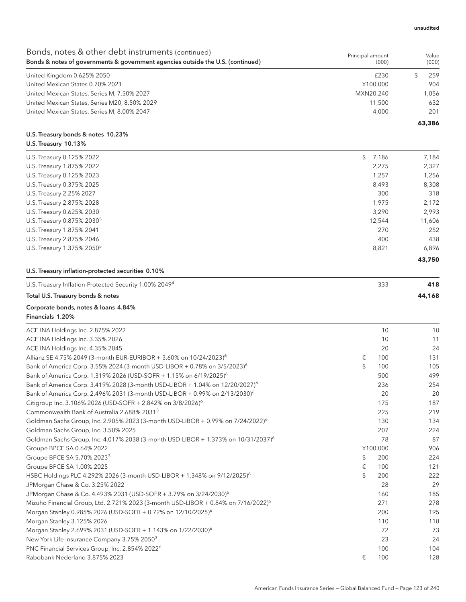| unaudited |
|-----------|
|-----------|

| Bonds, notes & other debt instruments (continued)<br>Bonds & notes of governments & government agencies outside the U.S. (continued) | Principal amount<br>(000) | Value<br>(000) |
|--------------------------------------------------------------------------------------------------------------------------------------|---------------------------|----------------|
| United Kingdom 0.625% 2050                                                                                                           | £230                      | \$<br>259      |
| United Mexican States 0.70% 2021                                                                                                     | ¥100,000                  | 904            |
| United Mexican States, Series M, 7.50% 2027                                                                                          | MXN20,240                 | 1,056          |
| United Mexican States, Series M20, 8.50% 2029                                                                                        | 11,500                    | 632            |
| United Mexican States, Series M, 8.00% 2047                                                                                          | 4,000                     | 201            |
|                                                                                                                                      |                           | 63,386         |
| U.S. Treasury bonds & notes 10.23%<br><b>U.S. Treasury 10.13%</b>                                                                    |                           |                |
| U.S. Treasury 0.125% 2022                                                                                                            | \$<br>7,186               | 7,184          |
| U.S. Treasury 1.875% 2022                                                                                                            | 2,275                     | 2,327          |
| U.S. Treasury 0.125% 2023                                                                                                            | 1,257                     | 1,256          |
| U.S. Treasury 0.375% 2025                                                                                                            | 8,493                     | 8,308          |
| U.S. Treasury 2.25% 2027                                                                                                             | 300                       | 318            |
| U.S. Treasury 2.875% 2028                                                                                                            | 1,975                     | 2,172          |
| U.S. Treasury 0.625% 2030                                                                                                            | 3,290                     | 2,993          |
| U.S. Treasury 0.875% 2030 <sup>5</sup>                                                                                               | 12,544                    | 11,606         |
| U.S. Treasury 1.875% 2041                                                                                                            | 270                       | 252            |
| U.S. Treasury 2.875% 2046                                                                                                            | 400                       | 438            |
| U.S. Treasury 1.375% 2050 <sup>5</sup>                                                                                               | 8,821                     | 6,896          |
|                                                                                                                                      |                           | 43,750         |
| U.S. Treasury inflation-protected securities 0.10%                                                                                   |                           |                |
| U.S. Treasury Inflation-Protected Security 1.00% 2049 <sup>4</sup>                                                                   | 333                       | 418            |
| Total U.S. Treasury bonds & notes                                                                                                    |                           | 44,168         |
| Corporate bonds, notes & loans 4.84%<br>Financials 1.20%                                                                             |                           |                |
|                                                                                                                                      |                           |                |
| ACE INA Holdings Inc. 2.875% 2022                                                                                                    | 10                        | 10             |
| ACE INA Holdings Inc. 3.35% 2026                                                                                                     | 10                        | 11             |
| ACE INA Holdings Inc. 4.35% 2045                                                                                                     | 20                        | 24             |
| Allianz SE 4.75% 2049 (3-month EUR-EURIBOR + 3.60% on 10/24/2023) <sup>6</sup>                                                       | 100<br>€                  | 131            |
| Bank of America Corp. 3.55% 2024 (3-month USD-LIBOR + 0.78% on 3/5/2023) <sup>6</sup>                                                | \$<br>100                 | 105            |
| Bank of America Corp. 1.319% 2026 (USD-SOFR + 1.15% on 6/19/2025) <sup>6</sup>                                                       | 500                       | 499            |
| Bank of America Corp. 3.419% 2028 (3-month USD-LIBOR + 1.04% on 12/20/2027) <sup>6</sup>                                             | 236                       | 254            |
| Bank of America Corp. 2.496% 2031 (3-month USD-LIBOR + 0.99% on 2/13/2030) <sup>6</sup>                                              | 20                        | 20             |
| Citigroup Inc. 3.106% 2026 (USD-SOFR + 2.842% on 3/8/2026) <sup>6</sup>                                                              | 175                       | 187            |
| Commonwealth Bank of Australia 2.688% 2031 <sup>3</sup>                                                                              | 225                       | 219            |
| Goldman Sachs Group, Inc. 2.905% 2023 (3-month USD-LIBOR + 0.99% on 7/24/2022) <sup>6</sup>                                          | 130                       | 134            |
| Goldman Sachs Group, Inc. 3.50% 2025                                                                                                 | 207                       | 224            |
| Goldman Sachs Group, Inc. 4.017% 2038 (3-month USD-LIBOR + 1.373% on 10/31/2037) <sup>6</sup>                                        | 78                        | 87             |
| Groupe BPCE SA 0.64% 2022                                                                                                            | ¥100,000                  | 906            |
| Groupe BPCE SA 5.70% 2023 <sup>3</sup>                                                                                               | 200<br>\$                 | 224            |
| Groupe BPCE SA 1.00% 2025                                                                                                            | €<br>100                  | 121            |
| HSBC Holdings PLC 4.292% 2026 (3-month USD-LIBOR + 1.348% on 9/12/2025) <sup>6</sup>                                                 | \$<br>200                 | 222            |
| JPMorgan Chase & Co. 3.25% 2022                                                                                                      | 28                        | 29             |
| JPMorgan Chase & Co. 4.493% 2031 (USD-SOFR + 3.79% on 3/24/2030) <sup>6</sup>                                                        | 160                       | 185            |
| Mizuho Financial Group, Ltd. 2.721% 2023 (3-month USD-LIBOR + 0.84% on 7/16/2022) <sup>6</sup>                                       | 271                       | 278            |
| Morgan Stanley 0.985% 2026 (USD-SOFR + 0.72% on 12/10/2025) <sup>6</sup>                                                             | 200                       | 195            |
| Morgan Stanley 3.125% 2026                                                                                                           | 110                       | 118            |
| Morgan Stanley 2.699% 2031 (USD-SOFR + 1.143% on 1/22/2030) <sup>6</sup>                                                             | 72                        | 73             |
| New York Life Insurance Company 3.75% 2050 <sup>3</sup>                                                                              | 23                        | 24             |
| PNC Financial Services Group, Inc. 2.854% 2022 <sup>6</sup><br>Rabobank Nederland 3.875% 2023                                        | 100<br>100<br>€           | 104<br>128     |
|                                                                                                                                      |                           |                |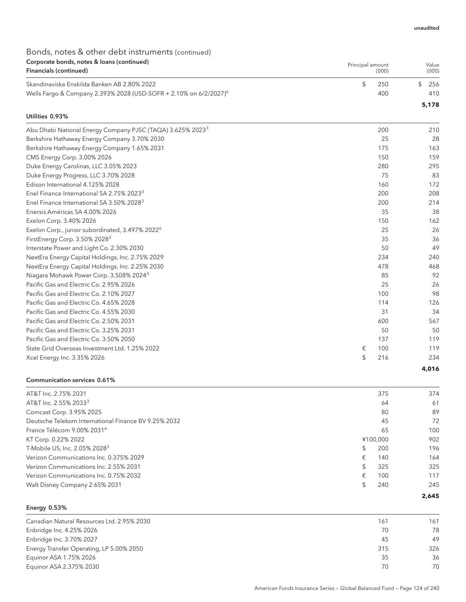**4,016**

## Bonds, notes & other debt instruments (continued) Corporate bonds, notes & loans (continued) Financials (continued)

| Corporate borras, notes & loans (continueu)<br>Financials (continued)         | Principal amount<br>(000) | Value<br>(000) |
|-------------------------------------------------------------------------------|---------------------------|----------------|
| Skandinaviska Enskilda Banken AB 2.80% 2022                                   | 250                       | 256            |
| Wells Fargo & Company 2.393% 2028 (USD-SOFR + 2.10% on 6/2/2027) <sup>6</sup> | 400                       | 410            |
|                                                                               |                           | 5,178          |

# Utilities 0.93% Abu Dhabi National Energy Company PJSC (TAQA) 3.625% 2023<sup>3</sup> 200 210

| Abu Dhabi National Lileryy Company i JJC (TAQA) J.02J70 202J | ∠∪∪       | 210 |
|--------------------------------------------------------------|-----------|-----|
| Berkshire Hathaway Energy Company 3.70% 2030                 | 25        | 28  |
| Berkshire Hathaway Energy Company 1.65% 2031                 | 175       | 163 |
| CMS Energy Corp. 3.00% 2026                                  | 150       | 159 |
| Duke Energy Carolinas, LLC 3.05% 2023                        | 280       | 295 |
| Duke Energy Progress, LLC 3.70% 2028                         | 75        | 83  |
| Edison International 4.125% 2028                             | 160       | 172 |
| Enel Finance International SA 2.75% 2023 <sup>3</sup>        | 200       | 208 |
| Enel Finance International SA 3.50% 2028 <sup>3</sup>        | 200       | 214 |
| Enersis Américas SA 4.00% 2026                               | 35        | 38  |
| Exelon Corp. 3.40% 2026                                      | 150       | 162 |
| Exelon Corp., junior subordinated, 3.497% 2022 <sup>6</sup>  | 25        | 26  |
| FirstEnergy Corp. 3.50% 2028 <sup>3</sup>                    | 35        | 36  |
| Interstate Power and Light Co. 2.30% 2030                    | 50        | 49  |
| NextEra Energy Capital Holdings, Inc. 2.75% 2029             | 234       | 240 |
| NextEra Energy Capital Holdings, Inc. 2.25% 2030             | 478       | 468 |
| Niagara Mohawk Power Corp. 3.508% 2024 <sup>3</sup>          | 85        | 92  |
| Pacific Gas and Electric Co. 2.95% 2026                      | 25        | 26  |
| Pacific Gas and Electric Co. 2.10% 2027                      | 100       | 98  |
| Pacific Gas and Electric Co. 4.65% 2028                      | 114       | 126 |
| Pacific Gas and Electric Co. 4.55% 2030                      | 31        | 34  |
| Pacific Gas and Electric Co. 2.50% 2031                      | 600       | 567 |
| Pacific Gas and Electric Co. 3.25% 2031                      | 50        | 50  |
| Pacific Gas and Electric Co. 3.50% 2050                      | 137       | 119 |
| State Grid Overseas Investment Ltd. 1.25% 2022               | 100<br>€  | 119 |
| Xcel Energy Inc. 3.35% 2026                                  | \$<br>216 | 234 |
|                                                              |           |     |

### Communication services 0.61%

|                                                      |          | 2.645 |
|------------------------------------------------------|----------|-------|
| Walt Disney Company 2.65% 2031                       | 240      | 245   |
| Verizon Communications Inc. 0.75% 2032               | €<br>100 | 117   |
| Verizon Communications Inc. 2.55% 2031               | 325      | 325   |
| Verizon Communications Inc. 0.375% 2029              | €<br>140 | 164   |
| T-Mobile US, Inc. 2.05% 2028 <sup>3</sup>            | 200      | 196   |
| KT Corp. 0.22% 2022                                  | ¥100.000 | 902   |
| France Télécom 9.00% 2031 <sup>6</sup>               | 65       | 100   |
| Deutsche Telekom International Finance BV 9.25% 2032 | 45       | 72    |
| Comcast Corp. 3.95% 2025                             | 80       | 89    |
| AT&T Inc. 2.55% 2033 <sup>3</sup>                    | 64       | 61    |
| AT&T Inc. 2.75% 2031                                 | 375      | 374   |
|                                                      |          |       |

| Energy 0.53% |  |
|--------------|--|
|--------------|--|

| Canadian Natural Resources Ltd. 2.95% 2030 | 161 | 161 |
|--------------------------------------------|-----|-----|
| Enbridge Inc. 4.25% 2026                   | 70  | 78  |
| Enbridge Inc. 3.70% 2027                   | 45  | 49  |
| Energy Transfer Operating, LP 5.00% 2050   | 315 | 326 |
| Equinor ASA 1.75% 2026                     | 35  | 36  |
| Equinor ASA 2.375% 2030                    | 70  | 70  |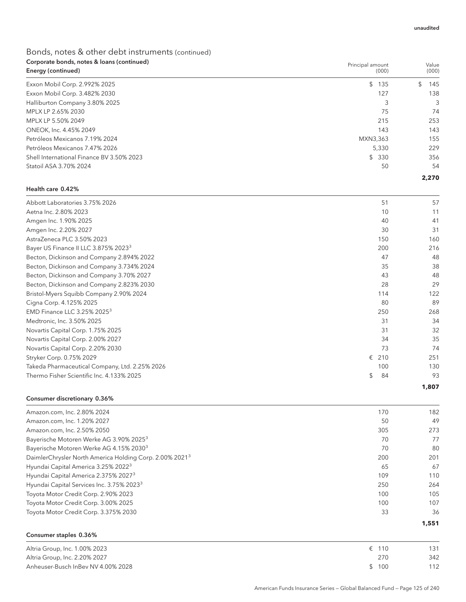Value

Principal amount

# Bonds, notes & other debt instruments (continued) Corporate bonds, notes & loans (continued)

| Energy (continued)                        | (000)    |       | (000) |
|-------------------------------------------|----------|-------|-------|
| Exxon Mobil Corp. 2.992% 2025             | \$135    | \$    | 145   |
| Exxon Mobil Corp. 3.482% 2030             | 127      |       | 138   |
| Halliburton Company 3.80% 2025            |          |       | 3     |
| MPLX LP 2.65% 2030                        | 75       |       | 74    |
| MPLX LP 5.50% 2049                        | 215      |       | 253   |
| ONEOK, Inc. 4.45% 2049                    | 143      |       | 143   |
| Petróleos Mexicanos 7.19% 2024            | MXN3,363 |       | 155   |
| Petróleos Mexicanos 7.47% 2026            | 5,330    |       | 229   |
| Shell International Finance BV 3.50% 2023 | \$330    |       | 356   |
| Statoil ASA 3.70% 2024                    | 50       |       | 54    |
|                                           |          | 2,270 |       |

#### Health care 0.42%

| Abbott Laboratories 3.75% 2026                   | 51       | 57    |
|--------------------------------------------------|----------|-------|
| Aetna Inc. 2.80% 2023                            | 10       | 11    |
| Amgen Inc. 1.90% 2025                            | 40       | 41    |
| Amgen Inc. 2.20% 2027                            | 30       | 31    |
| AstraZeneca PLC 3.50% 2023                       | 150      | 160   |
| Bayer US Finance II LLC 3.875% 2023 <sup>3</sup> | 200      | 216   |
| Becton, Dickinson and Company 2.894% 2022        | 47       | 48    |
| Becton, Dickinson and Company 3.734% 2024        | 35       | 38    |
| Becton, Dickinson and Company 3.70% 2027         | 43       | 48    |
| Becton, Dickinson and Company 2.823% 2030        | 28       | 29    |
| Bristol-Myers Squibb Company 2.90% 2024          | 114      | 122   |
| Cigna Corp. 4.125% 2025                          | 80       | 89    |
| EMD Finance LLC 3.25% 2025 <sup>3</sup>          | 250      | 268   |
| Medtronic, Inc. 3.50% 2025                       | 31       | 34    |
| Novartis Capital Corp. 1.75% 2025                | 31       | 32    |
| Novartis Capital Corp. 2.00% 2027                | 34       | 35    |
| Novartis Capital Corp. 2.20% 2030                | 73       | 74    |
| Stryker Corp. 0.75% 2029                         | €<br>210 | 251   |
| Takeda Pharmaceutical Company, Ltd. 2.25% 2026   | 100      | 130   |
| Thermo Fisher Scientific Inc. 4.133% 2025        | \$<br>84 | 93    |
|                                                  |          | 1,807 |

### Consumer discretionary 0.36%

| Amazon.com, Inc. 2.80% 2024                                         | 170 | 182   |
|---------------------------------------------------------------------|-----|-------|
| Amazon.com, Inc. 1.20% 2027                                         | 50  | 49    |
| Amazon.com, Inc. 2.50% 2050                                         | 305 | 273   |
| Bayerische Motoren Werke AG 3.90% 2025 <sup>3</sup>                 | 70  | 77    |
| Bayerische Motoren Werke AG 4.15% 2030 <sup>3</sup>                 | 70  | 80    |
| DaimlerChrysler North America Holding Corp. 2.00% 2021 <sup>3</sup> | 200 | 201   |
| Hyundai Capital America 3.25% 2022 <sup>3</sup>                     | 65  | 67    |
| Hyundai Capital America 2.375% 2027 <sup>3</sup>                    | 109 | 110   |
| Hyundai Capital Services Inc. 3.75% 2023 <sup>3</sup>               | 250 | 264   |
| Toyota Motor Credit Corp. 2.90% 2023                                | 100 | 105   |
| Toyota Motor Credit Corp. 3.00% 2025                                | 100 | 107   |
| Toyota Motor Credit Corp. 3.375% 2030                               | 33  | 36    |
|                                                                     |     | 1,551 |

### Consumer staples 0.36%

| Altria Group, Inc. 1.00% 2023      | $\epsilon$ 110 | 131 |
|------------------------------------|----------------|-----|
| Altria Group, Inc. 2.20% 2027      | 270            | 342 |
| Anheuser-Busch InBey NV 4.00% 2028 | \$100          |     |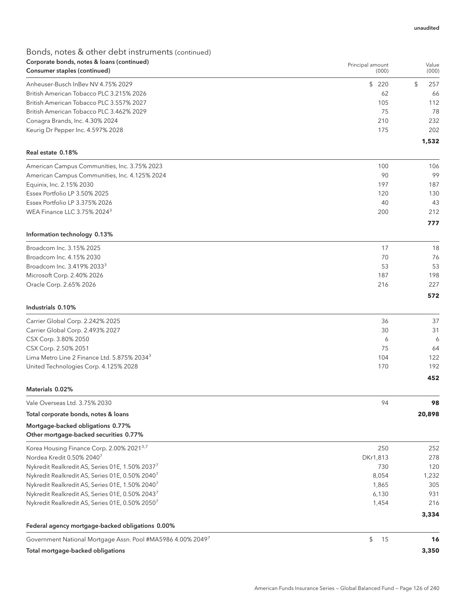| Corporate bonds, notes & loans (continued)                  |          | Principal amount |    | Value  |  |
|-------------------------------------------------------------|----------|------------------|----|--------|--|
| Consumer staples (continued)                                |          | (000)            |    | (000)  |  |
| Anheuser-Busch InBev NV 4.75% 2029                          |          | \$220            | \$ | 257    |  |
| British American Tobacco PLC 3.215% 2026                    |          | 62               |    | 66     |  |
| British American Tobacco PLC 3.557% 2027                    |          | 105              |    | 112    |  |
| British American Tobacco PLC 3.462% 2029                    |          | 75               |    | 78     |  |
| Conagra Brands, Inc. 4.30% 2024                             |          | 210              |    | 232    |  |
| Keurig Dr Pepper Inc. 4.597% 2028                           |          | 175              |    | 202    |  |
| Real estate 0.18%                                           |          |                  |    | 1,532  |  |
| American Campus Communities, Inc. 3.75% 2023                |          | 100              |    | 106    |  |
| American Campus Communities, Inc. 4.125% 2024               |          | 90               |    | 99     |  |
| Equinix, Inc. 2.15% 2030                                    |          | 197              |    | 187    |  |
| Essex Portfolio LP 3.50% 2025                               |          | 120              |    | 130    |  |
| Essex Portfolio LP 3.375% 2026                              |          | 40               |    | 43     |  |
| WEA Finance LLC 3.75% 2024 <sup>3</sup>                     |          | 200              |    | 212    |  |
|                                                             |          |                  |    | 777    |  |
| Information technology 0.13%                                |          |                  |    |        |  |
| Broadcom Inc. 3.15% 2025                                    |          | 17               |    | 18     |  |
| Broadcom Inc. 4.15% 2030                                    |          | 70               |    | 76     |  |
| Broadcom Inc. 3.419% 2033 <sup>3</sup>                      |          | 53               |    | 53     |  |
| Microsoft Corp. 2.40% 2026                                  |          | 187              |    | 198    |  |
| Oracle Corp. 2.65% 2026                                     |          | 216              |    | 227    |  |
| Industrials 0.10%                                           |          |                  |    | 572    |  |
|                                                             |          |                  |    |        |  |
| Carrier Global Corp. 2.242% 2025                            |          | 36               |    | 37     |  |
| Carrier Global Corp. 2.493% 2027                            |          | 30               |    | 31     |  |
| CSX Corp. 3.80% 2050                                        |          | 6                |    | 6      |  |
| CSX Corp. 2.50% 2051                                        |          | 75               |    | 64     |  |
| Lima Metro Line 2 Finance Ltd. 5.875% 2034 <sup>3</sup>     |          | 104              |    | 122    |  |
| United Technologies Corp. 4.125% 2028                       |          | 170              |    | 192    |  |
| Materials 0.02%                                             |          |                  |    | 452    |  |
| Vale Overseas Ltd. 3.75% 2030                               |          | 94               |    | 98     |  |
| Total corporate bonds, notes & loans                        |          |                  |    | 20,898 |  |
| Mortgage-backed obligations 0.77%                           |          |                  |    |        |  |
| Other mortgage-backed securities 0.77%                      |          |                  |    |        |  |
| Korea Housing Finance Corp. 2.00% 2021 <sup>3,7</sup>       |          | 250              |    | 252    |  |
| Nordea Kredit 0.50% 2040 <sup>7</sup>                       | DKr1,813 |                  |    | 278    |  |
| Nykredit Realkredit AS, Series 01E, 1.50% 20377             |          | 730              |    | 120    |  |
| Nykredit Realkredit AS, Series 01E, 0.50% 20407             |          | 8,054            |    | 1,232  |  |
| Nykredit Realkredit AS, Series 01E, 1.50% 2040 <sup>7</sup> |          | 1,865            |    | 305    |  |
| Nykredit Realkredit AS, Series 01E, 0.50% 20437             |          | 6,130            |    | 931    |  |
| Nykredit Realkredit AS, Series 01E, 0.50% 20507             |          | 1,454            |    | 216    |  |
|                                                             |          |                  |    | 3,334  |  |
| Federal agency mortgage-backed obligations 0.00%            |          |                  |    |        |  |
| Government National Mortgage Assn. Pool #MA5986 4.00% 20497 | \$       | 15               |    | 16     |  |
| Total mortgage-backed obligations                           |          |                  |    | 3,350  |  |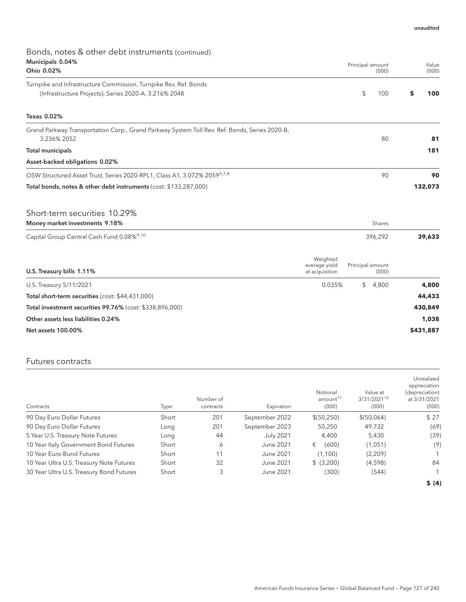# Bonds, notes & other debt instruments (continued) Municipals 0.04%

| Municipals 0.04%<br>Ohio 0.02%                                                                                            | Principal amount<br>(000)                   |                  |         | Value<br>(000) |           |
|---------------------------------------------------------------------------------------------------------------------------|---------------------------------------------|------------------|---------|----------------|-----------|
| Turnpike and Infrastructure Commission, Turnpike Rev. Ref. Bonds<br>(Infrastructure Projects), Series 2020-A, 3.216% 2048 |                                             | \$               | 100     | \$             | 100       |
| Texas 0.02%                                                                                                               |                                             |                  |         |                |           |
| Grand Parkway Transportation Corp., Grand Parkway System Toll Rev. Ref. Bonds, Series 2020-B,<br>3.236% 2052              |                                             |                  | 80      |                | 81        |
| <b>Total municipals</b>                                                                                                   |                                             |                  |         |                | 181       |
| Asset-backed obligations 0.02%                                                                                            |                                             |                  |         |                |           |
| OSW Structured Asset Trust, Series 2020-RPL1, Class A1, 3.072% 2059 <sup>3,7,8</sup>                                      |                                             |                  | 90      |                | 90        |
| Total bonds, notes & other debt instruments (cost: \$133,287,000)                                                         |                                             |                  |         |                | 132,073   |
| Short-term securities 10.29%                                                                                              |                                             |                  |         |                |           |
| Money market investments 9.18%                                                                                            |                                             |                  | Shares  |                |           |
| Capital Group Central Cash Fund 0.08% <sup>9,10</sup>                                                                     |                                             |                  | 396,292 |                | 39,633    |
| U.S. Treasury bills 1.11%                                                                                                 | Weighted<br>average yield<br>at acquisition | Principal amount | (000)   |                |           |
| U.S. Treasury 5/11/2021                                                                                                   | 0.035%                                      | \$               | 4,800   |                | 4,800     |
| Total short-term securities (cost: \$44,431,000)                                                                          |                                             |                  |         |                | 44,433    |
| Total investment securities 99.76% (cost: \$338,896,000)                                                                  |                                             |                  |         |                | 430,849   |
| Other assets less liabilities 0.24%                                                                                       |                                             |                  |         |                | 1,038     |
| <b>Net assets 100.00%</b>                                                                                                 |                                             |                  |         |                | \$431,887 |

## Futures contracts

| Contracts                                | Type  | Number of<br>contracts | Expiration       | Notional<br>amount <sup>11</sup><br>(000) | Value at<br>3/31/202112<br>(000) | Unrealized<br>appreciation<br>(depreciation)<br>at 3/31/2021<br>(000) |
|------------------------------------------|-------|------------------------|------------------|-------------------------------------------|----------------------------------|-----------------------------------------------------------------------|
| 90 Day Euro Dollar Futures               | Short | 201                    | September 2022   | \$ (50, 250)                              | \$ (50,064)                      | \$27                                                                  |
| 90 Day Euro Dollar Futures               | Long  | 201                    | September 2023   | 50.250                                    | 49.732                           | (69)                                                                  |
| 5 Year U.S. Treasury Note Futures        | Long  | 44                     | <b>July 2021</b> | 4.400                                     | 5,430                            | (39)                                                                  |
| 10 Year Italy Government Bond Futures    | Short | 6                      | June 2021        | (600)<br>€                                | (1,051)                          | (9)                                                                   |
| 10 Year Euro-Bund Futures                | Short | 11                     | June 2021        | (1.100)                                   | (2,209)                          |                                                                       |
| 10 Year Ultra U.S. Treasury Note Futures | Short | 32                     | June 2021        | \$ (3,200)                                | (4,598)                          | 84                                                                    |
| 30 Year Ultra U.S. Treasury Bond Futures | Short | 3                      | June 2021        | (300)                                     | (544)                            |                                                                       |
|                                          |       |                        |                  |                                           |                                  |                                                                       |

**\$ (4)**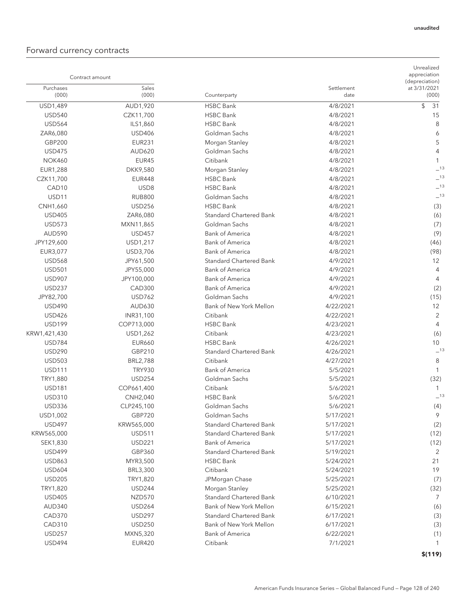# Forward currency contracts

| Contract amount    |                |                                |                    | Unrealized<br>appreciation<br>(depreciation) |
|--------------------|----------------|--------------------------------|--------------------|----------------------------------------------|
| Purchases<br>(000) | Sales<br>(000) | Counterparty                   | Settlement<br>date | at 3/31/2021<br>(000)                        |
| USD1,489           | AUD1,920       | <b>HSBC Bank</b>               | 4/8/2021           | \$<br>31                                     |
| <b>USD540</b>      | CZK11,700      | <b>HSBC Bank</b>               | 4/8/2021           | 15                                           |
| <b>USD564</b>      | ILS1,860       | <b>HSBC Bank</b>               | 4/8/2021           | 8                                            |
| ZAR6,080           | <b>USD406</b>  | Goldman Sachs                  | 4/8/2021           | 6                                            |
| <b>GBP200</b>      | <b>EUR231</b>  | Morgan Stanley                 | 4/8/2021           | 5                                            |
| <b>USD475</b>      | <b>AUD620</b>  | Goldman Sachs                  | 4/8/2021           | $\overline{4}$                               |
| <b>NOK460</b>      | EUR45          | Citibank                       | 4/8/2021           | 1                                            |
| EUR1,288           | DKK9,580       | Morgan Stanley                 | 4/8/2021           | $-13$                                        |
| CZK11,700          | <b>EUR448</b>  | <b>HSBC Bank</b>               | 4/8/2021           | 13                                           |
| CAD <sub>10</sub>  | USD8           | <b>HSBC Bank</b>               | 4/8/2021           | 13                                           |
| USD11              | <b>RUB800</b>  | Goldman Sachs                  | 4/8/2021           | $-13$                                        |
| CNH1,660           | <b>USD256</b>  | <b>HSBC Bank</b>               | 4/8/2021           | (3)                                          |
| <b>USD405</b>      | ZAR6,080       | <b>Standard Chartered Bank</b> | 4/8/2021           | (6)                                          |
| <b>USD573</b>      | MXN11,865      | Goldman Sachs                  | 4/8/2021           | (7)                                          |
| <b>AUD590</b>      | <b>USD457</b>  | <b>Bank of America</b>         | 4/8/2021           | (9)                                          |
| JPY129,600         | USD1,217       | <b>Bank of America</b>         | 4/8/2021           | (46)                                         |
| EUR3,077           | USD3,706       | <b>Bank of America</b>         | 4/8/2021           | (98)                                         |
| <b>USD568</b>      | JPY61,500      | <b>Standard Chartered Bank</b> | 4/9/2021           | 12                                           |
| <b>USD501</b>      | JPY55,000      | <b>Bank of America</b>         | 4/9/2021           | 4                                            |
| <b>USD907</b>      | JPY100,000     | <b>Bank of America</b>         | 4/9/2021           | 4                                            |
| <b>USD237</b>      | <b>CAD300</b>  | <b>Bank of America</b>         | 4/9/2021           | (2)                                          |
| JPY82,700          | <b>USD762</b>  | Goldman Sachs                  | 4/9/2021           | (15)                                         |
| <b>USD490</b>      | AUD630         | Bank of New York Mellon        | 4/22/2021          | 12                                           |
| <b>USD426</b>      | INR31,100      | Citibank                       | 4/22/2021          | 2                                            |
| <b>USD199</b>      | COP713,000     | <b>HSBC Bank</b>               | 4/23/2021          | 4                                            |
| KRW1,421,430       | USD1,262       | Citibank                       | 4/23/2021          | (6)                                          |
| <b>USD784</b>      | <b>EUR660</b>  | <b>HSBC Bank</b>               | 4/26/2021          | 10                                           |
| <b>USD290</b>      | GBP210         | <b>Standard Chartered Bank</b> | 4/26/2021          | $-13$                                        |
| <b>USD503</b>      | BRL2,788       | Citibank                       | 4/27/2021          | 8                                            |
| <b>USD111</b>      | <b>TRY930</b>  | <b>Bank of America</b>         | 5/5/2021           | 1                                            |
| TRY1,880           | <b>USD254</b>  | Goldman Sachs                  | 5/5/2021           | (32)                                         |
| <b>USD181</b>      | COP661,400     | Citibank                       | 5/6/2021           | 1                                            |
| <b>USD310</b>      | CNH2,040       | <b>HSBC Bank</b>               | 5/6/2021           | $-13$                                        |
| USD336             | CLP245,100     | Goldman Sachs                  | 5/6/2021           | (4)                                          |
| USD1,002           | <b>GBP720</b>  | Goldman Sachs                  | 5/17/2021          | 9                                            |
| <b>USD497</b>      | KRW565,000     | <b>Standard Chartered Bank</b> | 5/17/2021          | (2)                                          |
| KRW565,000         | <b>USD511</b>  | <b>Standard Chartered Bank</b> | 5/17/2021          | (12)                                         |
| SEK1,830           | <b>USD221</b>  | <b>Bank of America</b>         | 5/17/2021          | (12)                                         |
| <b>USD499</b>      | GBP360         | <b>Standard Chartered Bank</b> | 5/19/2021          | 2                                            |
| <b>USD863</b>      | MYR3,500       | <b>HSBC Bank</b>               | 5/24/2021          | 21                                           |
| <b>USD604</b>      | BRL3,300       | Citibank                       | 5/24/2021          | 19                                           |
| <b>USD205</b>      | TRY1,820       | JPMorgan Chase                 | 5/25/2021          | (7)                                          |
| TRY1,820           | <b>USD244</b>  | Morgan Stanley                 | 5/25/2021          | (32)                                         |
| <b>USD405</b>      | <b>NZD570</b>  | <b>Standard Chartered Bank</b> | 6/10/2021          | 7                                            |
| AUD340             | <b>USD264</b>  | Bank of New York Mellon        | 6/15/2021          | (6)                                          |
| <b>CAD370</b>      | <b>USD297</b>  | <b>Standard Chartered Bank</b> | 6/17/2021          | (3)                                          |
| <b>CAD310</b>      | <b>USD250</b>  | Bank of New York Mellon        | 6/17/2021          | (3)                                          |
| <b>USD257</b>      | MXN5,320       | <b>Bank of America</b>         | 6/22/2021          | (1)                                          |
| <b>USD494</b>      | <b>EUR420</b>  | Citibank                       | 7/1/2021           | -1                                           |
|                    |                |                                |                    | \$(119)                                      |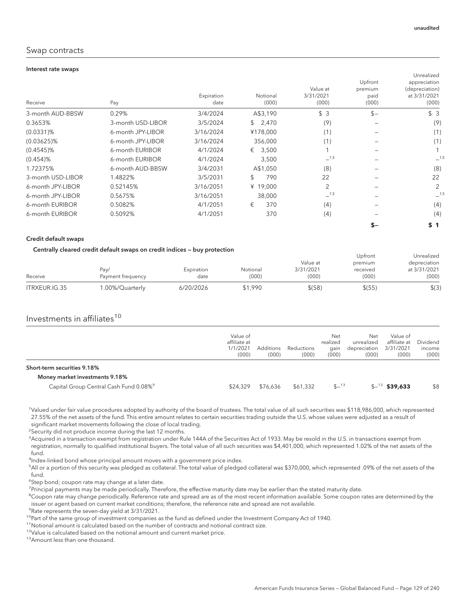#### unaudited

### Swap contracts

#### Interest rate swaps

| Receive           | Pay               | Expiration<br>date | Notional<br>(000) | Value at<br>3/31/2021<br>(000) | Upfront<br>premium<br>paid<br>(000) | Unrealized<br>appreciation<br>(depreciation)<br>at 3/31/2021<br>(000) |
|-------------------|-------------------|--------------------|-------------------|--------------------------------|-------------------------------------|-----------------------------------------------------------------------|
| 3-month AUD-BBSW  | 0.29%             | 3/4/2024           | A\$3,190          | \$3                            | $$-$                                | \$3                                                                   |
| 0.3653%           | 3-month USD-LIBOR | 3/5/2024           | 2,470<br>\$       | (9)                            |                                     | (9)                                                                   |
| $(0.0331)\%$      | 6-month JPY-LIBOR | 3/16/2024          | ¥178,000          | (1)                            |                                     | (1)                                                                   |
| $(0.03625)\%$     | 6-month JPY-LIBOR | 3/16/2024          | 356,000           | (1)                            |                                     | (1)                                                                   |
| $(0.4545)\%$      | 6-month EURIBOR   | 4/1/2024           | 3,500<br>€        |                                |                                     |                                                                       |
| $(0.454)$ %       | 6-month EURIBOR   | 4/1/2024           | 3,500             | $-13$                          |                                     | $-13$                                                                 |
| 1.72375%          | 6-month AUD-BBSW  | 3/4/2031           | A\$1,050          | (8)                            |                                     | (8)                                                                   |
| 3-month USD-LIBOR | 1.4822%           | 3/5/2031           | 790<br>\$         | 22                             |                                     | 22                                                                    |
| 6-month JPY-LIBOR | 0.52145%          | 3/16/2051          | ¥ 19,000          | 2                              |                                     | $\mathcal{P}$                                                         |
| 6-month JPY-LIBOR | 0.5675%           | 3/16/2051          | 38,000            | $-13$                          |                                     | $-13$                                                                 |
| 6-month EURIBOR   | 0.5082%           | 4/1/2051           | 370<br>€          | (4)                            |                                     | (4)                                                                   |
| 6-month EURIBOR   | 0.5092%           | 4/1/2051           | 370               | (4)                            |                                     | (4)                                                                   |
|                   |                   |                    |                   |                                | $S-$                                | \$1                                                                   |

#### Credit default swaps

#### Centrally cleared credit default swaps on credit indices — buy protection

|               |                   |            |          |           | Upfront  | Unrealized   |  |
|---------------|-------------------|------------|----------|-----------|----------|--------------|--|
|               |                   |            |          | Value at  | premium  | depreciation |  |
|               | Pay/              | Expiration | Notional | 3/31/2021 | received | at 3/31/2021 |  |
| Receive       | Payment frequency | date       | (000)    | (000)     | (000)    | (000)        |  |
| ITRXEUR.IG.35 | 1.00%/Quarterly   | 6/20/2026  | \$1,990  | \$(58)    | \$(55)   | \$(3)        |  |

## Investments in affiliates $10$

|                                                    | Value of<br>affiliate at<br>1/1/2021<br>(000) | Additions<br>(000) | Reductions<br>(000) | Net<br>realized<br>gain<br>(000) | Net<br>unrealized<br>depreciation<br>(000) | Value of<br>affiliate at<br>3/31/2021<br>(000) | Dividend<br>income<br>(000) |
|----------------------------------------------------|-----------------------------------------------|--------------------|---------------------|----------------------------------|--------------------------------------------|------------------------------------------------|-----------------------------|
| Short-term securities 9.18%                        |                                               |                    |                     |                                  |                                            |                                                |                             |
| Money market investments 9.18%                     |                                               |                    |                     |                                  |                                            |                                                |                             |
| Capital Group Central Cash Fund 0.08% <sup>9</sup> | \$24,329                                      | \$76,636           | \$61,332            | $S-13$                           |                                            | $$^{-13}$ \$39,633                             | \$8                         |

<sup>1</sup>Valued under fair value procedures adopted by authority of the board of trustees. The total value of all such securities was \$118,986,000, which represented 27.55% of the net assets of the fund. This entire amount relates to certain securities trading outside the U.S. whose values were adjusted as a result of significant market movements following the close of local trading.

<sup>2</sup>Security did not produce income during the last 12 months.

 $^3$ Acquired in a transaction exempt from registration under Rule 144A of the Securities Act of 1933. May be resold in the U.S. in transactions exempt from registration, normally to qualified institutional buyers. The total value of all such securities was \$4,401,000, which represented 1.02% of the net assets of the fund.

<sup>4</sup>Index-linked bond whose principal amount moves with a government price index.

5 All or a portion of this security was pledged as collateral. The total value of pledged collateral was \$370,000, which represented .09% of the net assets of the fund.

<sup>6</sup>Step bond; coupon rate may change at a later date.

<sup>7</sup>Principal payments may be made periodically. Therefore, the effective maturity date may be earlier than the stated maturity date.

 $^8$ Coupon rate may change periodically. Reference rate and spread are as of the most recent information available. Some coupon rates are determined by the issuer or agent based on current market conditions; therefore, the reference rate and spread are not available.

<sup>9</sup> Rate represents the seven-day yield at 3/31/2021.

 $10$ Part of the same group of investment companies as the fund as defined under the Investment Company Act of 1940.

<sup>11</sup>Notional amount is calculated based on the number of contracts and notional contract size.

<sup>12</sup>Value is calculated based on the notional amount and current market price.

13Amount less than one thousand.

Upfront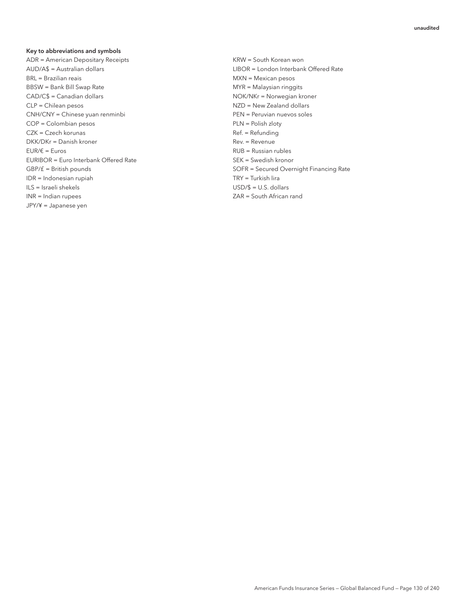#### Key to abbreviations and symbols

ADR = American Depositary Receipts KRW = South Korean won AUD/A\$ = Australian dollars LIBOR = London Interbank Offered Rate BRL = Brazilian reais MXN = Mexican pesos BBSW = Bank Bill Swap Rate MYR = Malaysian ringgits CAD/C\$ = Canadian dollars NOK/NKr = Norwegian kroner CLP = Chilean pesos NZD = New Zealand dollars CNH/CNY = Chinese yuan renminbi entrantic peruvian nuevos soles COP = Colombian pesos PLN = Polish zloty CZK = Czech korunas **Ref.** = Refunding DKK/DKr = Danish kroner Rev. = Revenue  $EUR/\epsilon = Euros$  and  $RUB = Russian rubles$ EURIBOR = Euro Interbank Offered Rate SEK = Swedish kronor IDR = Indonesian rupiah TRY = Turkish lira ILS = Israeli shekels USD/\$ = U.S. dollars INR = Indian rupees ZAR = South African rand JPY/¥ = Japanese yen

GBP/ $f =$  British pounds SOFR = Secured Overnight Financing Rate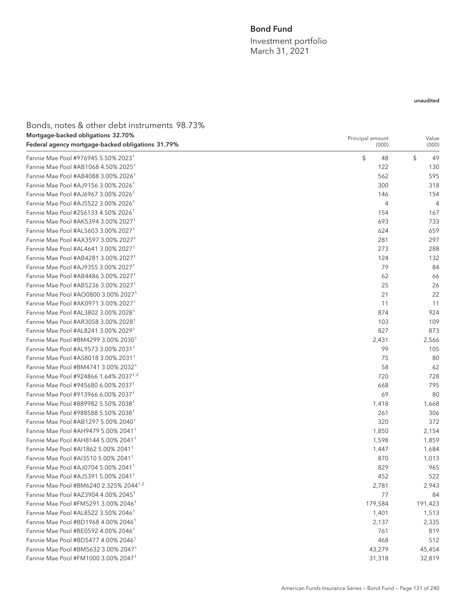## Bond Fund

Investment portfolio March 31, 2021

### unaudited

## Bonds, notes & other debt instruments 98.73% Mortgage-backed obligations 32.70% Federal agency mortgage-backed obligations 31.79%

| Mortgage-backed obligations 32.70%<br>Federal agency mortgage-backed obligations 31.79% | Principal amount<br>(000) | Value<br>(000) |  |
|-----------------------------------------------------------------------------------------|---------------------------|----------------|--|
| Fannie Mae Pool #976945 5.50% 2023 <sup>1</sup>                                         | \$<br>48                  | \$<br>49       |  |
| Fannie Mae Pool #AB1068 4.50% 2025 <sup>1</sup>                                         | 122                       | 130            |  |
| Fannie Mae Pool #AB4088 3.00% 2026 <sup>1</sup>                                         | 562                       | 595            |  |
| Fannie Mae Pool #AJ9156 3.00% 2026 <sup>1</sup>                                         | 300                       | 318            |  |
| Fannie Mae Pool #AJ6967 3.00% 2026 <sup>1</sup>                                         | 146                       | 154            |  |
| Fannie Mae Pool #AJ5522 3.00% 2026 <sup>1</sup>                                         | $\overline{4}$            | $\overline{4}$ |  |
| Fannie Mae Pool #256133 4.50% 2026 <sup>1</sup>                                         | 154                       | 167            |  |
| Fannie Mae Pool #AK5394 3.00% 20271                                                     | 693                       | 733            |  |
| Fannie Mae Pool #AL5603 3.00% 2027 <sup>1</sup>                                         | 624                       | 659            |  |
| Fannie Mae Pool #AX3597 3.00% 2027 <sup>1</sup>                                         | 281                       | 297            |  |
| Fannie Mae Pool #AL4641 3.00% 2027 <sup>1</sup>                                         | 273                       | 288            |  |
| Fannie Mae Pool #AB4281 3.00% 2027 <sup>1</sup>                                         | 124                       | 132            |  |
| Fannie Mae Pool #AJ9355 3.00% 2027 <sup>1</sup>                                         | 79                        | 84             |  |
| Fannie Mae Pool #AB4486 3.00% 2027 <sup>1</sup>                                         | 62                        | 66             |  |
| Fannie Mae Pool #AB5236 3.00% 2027 <sup>1</sup>                                         | 25                        | 26             |  |
| Fannie Mae Pool #AO0800 3.00% 2027 <sup>1</sup>                                         | 21                        | 22             |  |
| Fannie Mae Pool #AK0971 3.00% 2027 <sup>1</sup>                                         | 11                        | 11             |  |
| Fannie Mae Pool #AL3802 3.00% 2028 <sup>1</sup>                                         | 874                       | 924            |  |
| Fannie Mae Pool #AR3058 3.00% 2028 <sup>1</sup>                                         | 103                       | 109            |  |
| Fannie Mae Pool #AL8241 3.00% 2029 <sup>1</sup>                                         | 827                       | 873            |  |
| Fannie Mae Pool #BM4299 3.00% 2030 <sup>1</sup>                                         | 2,431                     | 2,566          |  |
| Fannie Mae Pool #AL9573 3.00% 2031 <sup>1</sup>                                         | 99                        | 105            |  |
| Fannie Mae Pool #AS8018 3.00% 2031 <sup>1</sup>                                         | 75                        | 80             |  |
| Fannie Mae Pool #BM4741 3.00% 2032 <sup>1</sup>                                         | 58                        | 62             |  |
| Fannie Mae Pool #924866 1.64% 2037 <sup>1,2</sup>                                       | 720                       | 728            |  |
| Fannie Mae Pool #945680 6.00% 2037                                                      | 668                       | 795            |  |
| Fannie Mae Pool #913966 6.00% 2037                                                      | 69                        | 80             |  |
| Fannie Mae Pool #889982 5.50% 2038                                                      | 1,418                     | 1,668          |  |
| Fannie Mae Pool #988588 5.50% 2038                                                      | 261                       | 306            |  |
| Fannie Mae Pool #AB1297 5.00% 2040 <sup>1</sup>                                         | 320                       | 372            |  |
| Fannie Mae Pool #AH9479 5.00% 2041 <sup>1</sup>                                         | 1,850                     | 2,154          |  |
| Fannie Mae Pool #AH8144 5.00% 2041 <sup>1</sup>                                         | 1,598                     | 1,859          |  |
| Fannie Mae Pool #AI1862 5.00% 2041 <sup>1</sup>                                         | 1,447                     | 1,684          |  |
| Fannie Mae Pool #AI3510 5.00% 2041 <sup>1</sup>                                         | 870                       | 1,013          |  |
| Fannie Mae Pool #AJ0704 5.00% 2041 <sup>1</sup>                                         | 829                       | 965            |  |
| Fannie Mae Pool #AJ5391 5.00% 2041 <sup>1</sup>                                         | 452                       | 522            |  |
| Fannie Mae Pool #BM6240 2.325% 2044 <sup>1,2</sup>                                      | 2,781                     | 2,943          |  |
| Fannie Mae Pool #AZ3904 4.00% 2045 <sup>1</sup>                                         | 77                        | 84             |  |
| Fannie Mae Pool #FM5291 3.00% 2046 <sup>1</sup>                                         | 179,584                   | 191,423        |  |
| Fannie Mae Pool #AL8522 3.50% 2046 <sup>1</sup>                                         | 1,401                     | 1,513          |  |
| Fannie Mae Pool #BD1968 4.00% 2046 <sup>1</sup>                                         | 2,137                     | 2,335          |  |
| Fannie Mae Pool #BE0592 4.00% 2046                                                      | 761                       | 819            |  |
| Fannie Mae Pool #BD5477 4.00% 2046 <sup>1</sup>                                         | 468                       | 512            |  |
| Fannie Mae Pool #BM5632 3.00% 2047 <sup>1</sup>                                         | 43,279                    | 45,454         |  |
| Fannie Mae Pool #FM1000 3.00% 2047 <sup>1</sup>                                         | 31,318                    | 32,819         |  |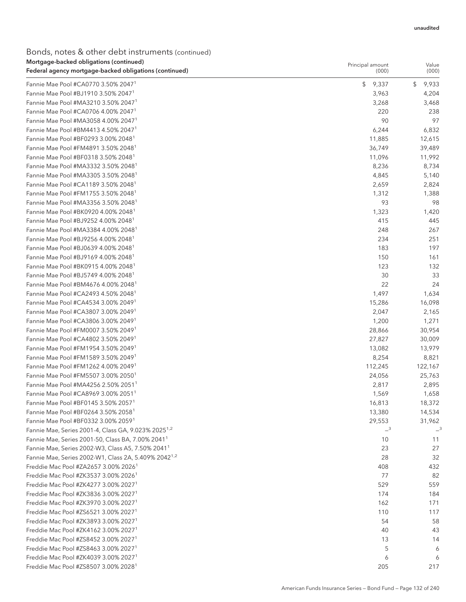# Bonds, notes & other debt instruments (continued) Mortgage-backed obligations (continued)

| Mortgage-backed obligations (continued)<br>Federal agency mortgage-backed obligations (continued) | Principal amount<br>(000) | Value<br>(000) |
|---------------------------------------------------------------------------------------------------|---------------------------|----------------|
| Fannie Mae Pool #CA0770 3.50% 2047 <sup>1</sup>                                                   | \$<br>9,337               | 9,933<br>\$    |
| Fannie Mae Pool #BJ1910 3.50% 2047 <sup>1</sup>                                                   | 3,963                     | 4,204          |
| Fannie Mae Pool #MA3210 3.50% 2047 <sup>1</sup>                                                   | 3,268                     | 3,468          |
| Fannie Mae Pool #CA0706 4.00% 2047 <sup>1</sup>                                                   | 220                       | 238            |
| Fannie Mae Pool #MA3058 4.00% 2047 <sup>1</sup>                                                   | 90                        | 97             |
| Fannie Mae Pool #BM4413 4.50% 2047 <sup>1</sup>                                                   | 6,244                     | 6,832          |
| Fannie Mae Pool #BF0293 3.00% 2048 <sup>1</sup>                                                   | 11,885                    | 12,615         |
| Fannie Mae Pool #FM4891 3.50% 2048 <sup>1</sup>                                                   | 36,749                    | 39,489         |
| Fannie Mae Pool #BF0318 3.50% 2048 <sup>1</sup>                                                   | 11,096                    | 11,992         |
| Fannie Mae Pool #MA3332 3.50% 2048 <sup>1</sup>                                                   | 8,236                     | 8,734          |
| Fannie Mae Pool #MA3305 3.50% 2048 <sup>1</sup>                                                   | 4,845                     | 5,140          |
| Fannie Mae Pool #CA1189 3.50% 2048 <sup>1</sup>                                                   | 2,659                     | 2,824          |
| Fannie Mae Pool #FM1755 3.50% 2048 <sup>1</sup>                                                   | 1,312                     | 1,388          |
| Fannie Mae Pool #MA3356 3.50% 2048 <sup>1</sup>                                                   | 93                        | 98             |
| Fannie Mae Pool #BK0920 4.00% 2048 <sup>1</sup>                                                   | 1,323                     | 1,420          |
| Fannie Mae Pool #BJ9252 4.00% 2048 <sup>1</sup>                                                   | 415                       | 445            |
| Fannie Mae Pool #MA3384 4.00% 2048 <sup>1</sup>                                                   | 248                       | 267            |
| Fannie Mae Pool #BJ9256 4.00% 2048 <sup>1</sup>                                                   | 234                       | 251            |
| Fannie Mae Pool #BJ0639 4.00% 2048 <sup>1</sup>                                                   | 183                       | 197            |
| Fannie Mae Pool #BJ9169 4.00% 2048 <sup>1</sup>                                                   | 150                       | 161            |
| Fannie Mae Pool #BK0915 4.00% 2048 <sup>1</sup>                                                   | 123                       | 132            |
| Fannie Mae Pool #BJ5749 4.00% 2048 <sup>1</sup>                                                   | 30                        | 33             |
| Fannie Mae Pool #BM4676 4.00% 2048 <sup>1</sup>                                                   | 22                        | 24             |
| Fannie Mae Pool #CA2493 4.50% 2048 <sup>1</sup>                                                   | 1,497                     | 1,634          |
| Fannie Mae Pool #CA4534 3.00% 2049 <sup>1</sup>                                                   | 15,286                    | 16,098         |
| Fannie Mae Pool #CA3807 3.00% 2049 <sup>1</sup>                                                   | 2,047                     | 2,165          |
| Fannie Mae Pool #CA3806 3.00% 2049 <sup>1</sup>                                                   | 1,200                     | 1,271          |
| Fannie Mae Pool #FM0007 3.50% 2049 <sup>1</sup>                                                   | 28,866                    | 30,954         |
| Fannie Mae Pool #CA4802 3.50% 2049 <sup>1</sup>                                                   | 27,827                    | 30,009         |
| Fannie Mae Pool #FM1954 3.50% 2049 <sup>1</sup>                                                   | 13,082                    | 13,979         |
| Fannie Mae Pool #FM1589 3.50% 2049 <sup>1</sup>                                                   | 8,254                     | 8,821          |
| Fannie Mae Pool #FM1262 4.00% 2049 <sup>1</sup>                                                   | 112,245                   | 122,167        |
| Fannie Mae Pool #FM5507 3.00% 2050 <sup>1</sup>                                                   | 24,056                    | 25,763         |
| Fannie Mae Pool #MA4256 2.50% 2051 <sup>1</sup>                                                   | 2,817                     | 2,895          |
| Fannie Mae Pool #CA8969 3.00% 2051 <sup>1</sup>                                                   | 1,569                     | 1,658          |
| Fannie Mae Pool #BF0145 3.50% 20571                                                               | 16,813                    | 18,372         |
| Fannie Mae Pool #BF0264 3.50% 2058 <sup>1</sup>                                                   | 13,380                    | 14,534         |
| Fannie Mae Pool #BF0332 3.00% 20591                                                               | 29,553                    | 31,962         |
| Fannie Mae, Series 2001-4, Class GA, 9.023% 2025 <sup>1,2</sup>                                   | $-$ <sup>3</sup>          | $-3$           |
| Fannie Mae, Series 2001-50, Class BA, 7.00% 2041 <sup>1</sup>                                     | 10                        | 11             |
| Fannie Mae, Series 2002-W3, Class A5, 7.50% 2041 <sup>1</sup>                                     | 23                        | 27             |
| Fannie Mae, Series 2002-W1, Class 2A, 5.409% 2042 <sup>1,2</sup>                                  | 28                        | 32             |
| Freddie Mac Pool #ZA2657 3.00% 2026 <sup>1</sup>                                                  | 408                       | 432            |
| Freddie Mac Pool #ZK3537 3.00% 2026 <sup>1</sup>                                                  | 77                        | 82             |
| Freddie Mac Pool #ZK4277 3.00% 2027 <sup>1</sup>                                                  | 529                       | 559            |
| Freddie Mac Pool #ZK3836 3.00% 2027 <sup>1</sup>                                                  | 174                       | 184            |
| Freddie Mac Pool #ZK3970 3.00% 2027 <sup>1</sup>                                                  | 162                       | 171            |
| Freddie Mac Pool #ZS6521 3.00% 2027 <sup>1</sup>                                                  | 110                       | 117            |
| Freddie Mac Pool #ZK3893 3.00% 2027 <sup>1</sup>                                                  | 54                        | 58             |
| Freddie Mac Pool #ZK4162 3.00% 2027 <sup>1</sup>                                                  | 40                        | 43             |
| Freddie Mac Pool #ZS8452 3.00% 2027 <sup>1</sup>                                                  | 13                        | 14             |
| Freddie Mac Pool #ZS8463 3.00% 2027 <sup>1</sup>                                                  | 5                         | 6              |
| Freddie Mac Pool #ZK4039 3.00% 2027 <sup>1</sup>                                                  | 6                         | 6              |
| Freddie Mac Pool #ZS8507 3.00% 2028 <sup>1</sup>                                                  | 205                       | 217            |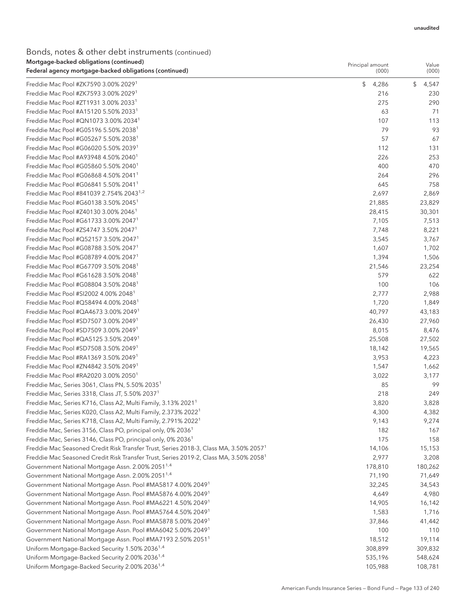## Bonds, notes & other debt instruments (continued) Mortgage-backed obligations (continued)

| Mortgage-backed obligations (continued)                                                           | Principal amount | Value       |
|---------------------------------------------------------------------------------------------------|------------------|-------------|
| Federal agency mortgage-backed obligations (continued)                                            | (000)            | (000)       |
| Freddie Mac Pool #ZK7590 3.00% 2029 <sup>1</sup>                                                  | \$<br>4,286      | \$<br>4,547 |
| Freddie Mac Pool #ZK7593 3.00% 2029 <sup>1</sup>                                                  | 216              | 230         |
| Freddie Mac Pool #ZT1931 3.00% 2033 <sup>1</sup>                                                  | 275              | 290         |
| Freddie Mac Pool #A15120 5.50% 2033 <sup>1</sup>                                                  | 63               | 71          |
| Freddie Mac Pool #QN1073 3.00% 2034 <sup>1</sup>                                                  | 107              | 113         |
| Freddie Mac Pool #G05196 5.50% 2038 <sup>1</sup>                                                  | 79               | 93          |
| Freddie Mac Pool #G05267 5.50% 2038 <sup>1</sup>                                                  | 57               | 67          |
| Freddie Mac Pool #G06020 5.50% 20391                                                              | 112              | 131         |
| Freddie Mac Pool #A93948 4.50% 2040 <sup>1</sup>                                                  | 226              | 253         |
| Freddie Mac Pool #G05860 5.50% 2040 <sup>1</sup>                                                  | 400              | 470         |
| Freddie Mac Pool #G06868 4.50% 2041 <sup>1</sup>                                                  | 264              | 296         |
| Freddie Mac Pool #G06841 5.50% 2041 <sup>1</sup>                                                  | 645              | 758         |
| Freddie Mac Pool #841039 2.754% 2043 <sup>1,2</sup>                                               | 2,697            | 2,869       |
| Freddie Mac Pool #G60138 3.50% 2045 <sup>1</sup>                                                  | 21,885           | 23,829      |
| Freddie Mac Pool #Z40130 3.00% 2046 <sup>1</sup>                                                  | 28,415           | 30,301      |
| Freddie Mac Pool #G61733 3.00% 2047 <sup>1</sup>                                                  | 7,105            | 7,513       |
| Freddie Mac Pool #ZS4747 3.50% 2047 <sup>1</sup>                                                  | 7,748            | 8,221       |
| Freddie Mac Pool #Q52157 3.50% 2047 <sup>1</sup>                                                  | 3,545            | 3,767       |
| Freddie Mac Pool #G08788 3.50% 2047 <sup>1</sup>                                                  | 1,607            | 1,702       |
| Freddie Mac Pool #G08789 4.00% 2047 <sup>1</sup>                                                  | 1,394            | 1,506       |
| Freddie Mac Pool #G67709 3.50% 2048 <sup>1</sup>                                                  | 21,546           | 23,254      |
| Freddie Mac Pool #G61628 3.50% 2048 <sup>1</sup>                                                  | 579              | 622         |
| Freddie Mac Pool #G08804 3.50% 2048 <sup>1</sup>                                                  | 100              | 106         |
| Freddie Mac Pool #SI2002 4.00% 2048 <sup>1</sup>                                                  | 2,777            | 2,988       |
| Freddie Mac Pool #Q58494 4.00% 2048 <sup>1</sup>                                                  | 1,720            | 1,849       |
| Freddie Mac Pool #QA4673 3.00% 2049 <sup>1</sup>                                                  | 40,797           | 43,183      |
| Freddie Mac Pool #SD7507 3.00% 2049 <sup>1</sup>                                                  | 26,430           | 27,960      |
| Freddie Mac Pool #SD7509 3.00% 2049 <sup>1</sup>                                                  | 8,015            | 8,476       |
| Freddie Mac Pool #QA5125 3.50% 2049 <sup>1</sup>                                                  | 25,508           | 27,502      |
| Freddie Mac Pool #SD7508 3.50% 2049 <sup>1</sup>                                                  | 18,142           | 19,565      |
| Freddie Mac Pool #RA1369 3.50% 2049 <sup>1</sup>                                                  | 3,953            | 4,223       |
| Freddie Mac Pool #ZN4842 3.50% 2049 <sup>1</sup>                                                  | 1,547            | 1,662       |
| Freddie Mac Pool #RA2020 3.00% 2050 <sup>1</sup>                                                  | 3,022            | 3,177       |
| Freddie Mac, Series 3061, Class PN, 5.50% 2035 <sup>1</sup>                                       | 85               | 99          |
| Freddie Mac, Series 3318, Class JT, 5.50% 2037 <sup>1</sup>                                       | 218              | 249         |
| Freddie Mac, Series K716, Class A2, Multi Family, 3.13% 2021 <sup>1</sup>                         | 3,820            | 3,828       |
| Freddie Mac, Series K020, Class A2, Multi Family, 2.373% 2022 <sup>1</sup>                        | 4,300            | 4,382       |
| Freddie Mac, Series K718, Class A2, Multi Family, 2.791% 2022 <sup>1</sup>                        | 9,143            | 9,274       |
| Freddie Mac, Series 3156, Class PO, principal only, 0% 2036 <sup>1</sup>                          | 182              | 167         |
| Freddie Mac, Series 3146, Class PO, principal only, 0% 2036 <sup>1</sup>                          | 175              | 158         |
| Freddie Mac Seasoned Credit Risk Transfer Trust, Series 2018-3, Class MA, 3.50% 2057 <sup>1</sup> | 14,106           | 15,153      |
| Freddie Mac Seasoned Credit Risk Transfer Trust, Series 2019-2, Class MA, 3.50% 2058 <sup>1</sup> | 2,977            | 3,208       |
| Government National Mortgage Assn. 2.00% 2051 <sup>1,4</sup>                                      | 178,810          | 180,262     |
| Government National Mortgage Assn. 2.00% 2051 <sup>1,4</sup>                                      | 71,190           | 71,649      |
| Government National Mortgage Assn. Pool #MA5817 4.00% 2049 <sup>1</sup>                           | 32,245           | 34,543      |
| Government National Mortgage Assn. Pool #MA5876 4.00% 2049 <sup>1</sup>                           | 4,649            | 4,980       |
| Government National Mortgage Assn. Pool #MA6221 4.50% 2049 <sup>1</sup>                           | 14,905           | 16,142      |
| Government National Mortgage Assn. Pool #MA5764 4.50% 2049 <sup>1</sup>                           | 1,583            | 1,716       |
| Government National Mortgage Assn. Pool #MA5878 5.00% 2049 <sup>1</sup>                           | 37,846           | 41,442      |
| Government National Mortgage Assn. Pool #MA6042 5.00% 2049 <sup>1</sup>                           | 100              | 110         |
| Government National Mortgage Assn. Pool #MA7193 2.50% 2051 <sup>1</sup>                           | 18,512           | 19,114      |
| Uniform Mortgage-Backed Security 1.50% 2036 <sup>1,4</sup>                                        | 308,899          | 309,832     |
| Uniform Mortgage-Backed Security 2.00% 2036 <sup>1,4</sup>                                        | 535,196          | 548,624     |
| Uniform Mortgage-Backed Security 2.00% 2036 <sup>1,4</sup>                                        | 105,988          | 108,781     |
|                                                                                                   |                  |             |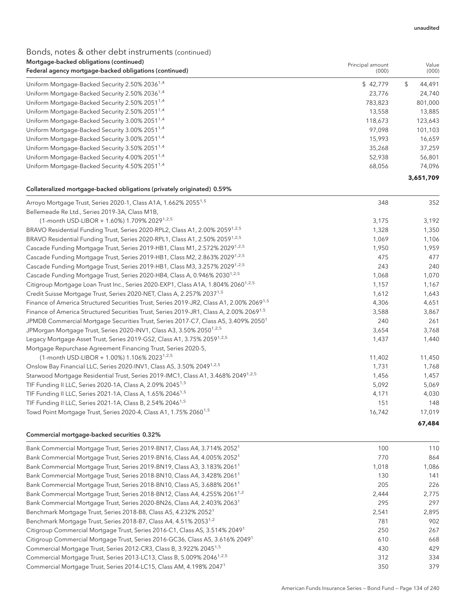# Bonds, notes & other debt instruments (continued)

| Mortgage-backed obligations (continued)                    | Principal amount | Value        |
|------------------------------------------------------------|------------------|--------------|
| Federal agency mortgage-backed obligations (continued)     | (000)            | (000)        |
| Uniform Mortgage-Backed Security 2.50% 2036 <sup>1,4</sup> | \$42.779         | \$<br>44.491 |
| Uniform Mortgage-Backed Security 2.50% 2036 <sup>1,4</sup> | 23.776           | 24,740       |
| Uniform Mortgage-Backed Security 2.50% 2051 <sup>1,4</sup> | 783.823          | 801,000      |
| Uniform Mortgage-Backed Security 2.50% 2051 <sup>1,4</sup> | 13.558           | 13,885       |
| Uniform Mortgage-Backed Security 3.00% 2051 <sup>1,4</sup> | 118.673          | 123,643      |
| Uniform Mortgage-Backed Security 3.00% 2051 <sup>1,4</sup> | 97.098           | 101,103      |
| Uniform Mortgage-Backed Security 3.00% 2051 <sup>1,4</sup> | 15.993           | 16,659       |
| Uniform Mortgage-Backed Security 3.50% 2051 <sup>1,4</sup> | 35,268           | 37,259       |
| Uniform Mortgage-Backed Security 4.00% 2051 <sup>1,4</sup> | 52,938           | 56,801       |
| Uniform Mortgage-Backed Security 4.50% 2051 <sup>1,4</sup> | 68,056           | 74,096       |
|                                                            |                  | 3,651,709    |

### Collateralized mortgage-backed obligations (privately originated) 0.59%

| Arroyo Mortgage Trust, Series 2020-1, Class A1A, 1.662% 2055 <sup>1,5</sup>                          | 348    | 352    |
|------------------------------------------------------------------------------------------------------|--------|--------|
| Bellemeade Re Ltd., Series 2019-3A, Class M1B,                                                       |        |        |
| (1-month USD-LIBOR + 1.60%) 1.709% 2029 <sup>1,2,5</sup>                                             | 3,175  | 3,192  |
| BRAVO Residential Funding Trust, Series 2020-RPL2, Class A1, 2.00% 2059 <sup>1,2,5</sup>             | 1,328  | 1,350  |
| BRAVO Residential Funding Trust, Series 2020-RPL1, Class A1, 2.50% 2059 <sup>1,2,5</sup>             | 1.069  | 1,106  |
| Cascade Funding Mortgage Trust, Series 2019-HB1, Class M1, 2.572% 2029 <sup>1,2,5</sup>              | 1,950  | 1,959  |
| Cascade Funding Mortgage Trust, Series 2019-HB1, Class M2, 2.863% 2029 <sup>1,2,5</sup>              | 475    | 477    |
| Cascade Funding Mortgage Trust, Series 2019-HB1, Class M3, 3.257% 2029 <sup>1,2,5</sup>              | 243    | 240    |
| Cascade Funding Mortgage Trust, Series 2020-HB4, Class A, 0.946% 2030 <sup>1,2,5</sup>               | 1,068  | 1,070  |
| Citigroup Mortgage Loan Trust Inc., Series 2020-EXP1, Class A1A, 1.804% 2060 <sup>1,2,5</sup>        | 1,157  | 1,167  |
| Credit Suisse Mortgage Trust, Series 2020-NET, Class A, 2.257% 2037 <sup>1,5</sup>                   | 1,612  | 1,643  |
| Finance of America Structured Securities Trust, Series 2019-JR2, Class A1, 2.00% 2069 <sup>1,5</sup> | 4,306  | 4,651  |
| Finance of America Structured Securities Trust, Series 2019-JR1, Class A, 2.00% 2069 <sup>1,5</sup>  | 3,588  | 3,867  |
| JPMDB Commercial Mortgage Securities Trust, Series 2017-C7, Class A5, 3.409% 2050 <sup>1</sup>       | 240    | 261    |
| JPMorgan Mortgage Trust, Series 2020-INV1, Class A3, 3.50% 2050 <sup>1,2,5</sup>                     | 3,654  | 3,768  |
| Legacy Mortgage Asset Trust, Series 2019-GS2, Class A1, 3.75% 2059 <sup>1,2,5</sup>                  | 1,437  | 1,440  |
| Mortgage Repurchase Agreement Financing Trust, Series 2020-5,                                        |        |        |
| (1-month USD-LIBOR + 1.00%) 1.106% 2023 <sup>1,2,5</sup>                                             | 11,402 | 11,450 |
| Onslow Bay Financial LLC, Series 2020-INV1, Class A5, 3.50% 2049 <sup>1,2,5</sup>                    | 1,731  | 1,768  |
| Starwood Mortgage Residential Trust, Series 2019-IMC1, Class A1, 3.468% 2049 <sup>1,2,5</sup>        | 1,456  | 1,457  |
| TIF Funding II LLC, Series 2020-1A, Class A, 2.09% 2045 <sup>1,5</sup>                               | 5,092  | 5,069  |
| TIF Funding II LLC, Series 2021-1A, Class A, 1.65% 2046 <sup>1,5</sup>                               | 4,171  | 4,030  |
| TIF Funding II LLC, Series 2021-1A, Class B, 2.54% 2046 <sup>1,5</sup>                               | 151    | 148    |
| Towd Point Mortgage Trust, Series 2020-4, Class A1, 1.75% 2060 <sup>1,5</sup>                        | 16,742 | 17,019 |
|                                                                                                      |        | 67.484 |

#### Commercial mortgage-backed securities 0.32%

| Bank Commercial Mortgage Trust, Series 2019-BN17, Class A4, 3.714% 2052 <sup>1</sup>      | 100   | 110   |
|-------------------------------------------------------------------------------------------|-------|-------|
| Bank Commercial Mortgage Trust, Series 2019-BN16, Class A4, 4.005% 2052 <sup>1</sup>      | 770   | 864   |
| Bank Commercial Mortgage Trust, Series 2019-BN19, Class A3, 3.183% 2061 <sup>1</sup>      | 1.018 | 1,086 |
| Bank Commercial Mortgage Trust, Series 2018-BN10, Class A4, 3.428% 2061 <sup>1</sup>      | 130   | 141   |
| Bank Commercial Mortgage Trust, Series 2018-BN10, Class A5, 3.688% 2061 <sup>1</sup>      | 205   | 226   |
| Bank Commercial Mortgage Trust, Series 2018-BN12, Class A4, 4.255% 2061 <sup>1,2</sup>    | 2,444 | 2,775 |
| Bank Commercial Mortgage Trust, Series 2020-BN26, Class A4, 2.403% 2063 <sup>1</sup>      | 295   | 297   |
| Benchmark Mortgage Trust, Series 2018-B8, Class A5, 4.232% 2052 <sup>1</sup>              | 2,541 | 2,895 |
| Benchmark Mortgage Trust, Series 2018-B7, Class A4, 4.51% 2053 <sup>1,2</sup>             | 781   | 902   |
| Citigroup Commercial Mortgage Trust, Series 2016-C1, Class AS, 3.514% 2049 <sup>1</sup>   | 250   | 267   |
| Citigroup Commercial Mortgage Trust, Series 2016-GC36, Class A5, 3.616% 2049 <sup>1</sup> | 610   | 668   |
| Commercial Mortgage Trust, Series 2012-CR3, Class B, 3.922% 2045 <sup>1,5</sup>           | 430   | 429   |
| Commercial Mortgage Trust, Series 2013-LC13, Class B, 5.009% 2046 <sup>1,2,5</sup>        | 312   | 334   |
| Commercial Mortgage Trust, Series 2014-LC15, Class AM, 4.198% 2047 <sup>1</sup>           | 350   | 379   |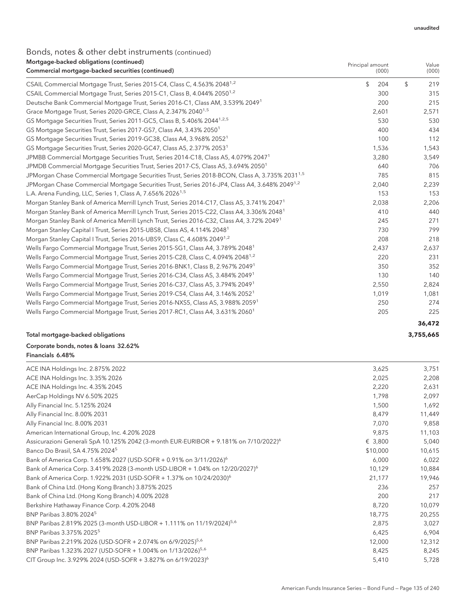# Bonds, notes & other debt instruments (continued)

| Mortgage-backed obligations (continued)<br>Commercial mortgage-backed securities (continued)               | Principal amount | (000) |                | Value<br>(000) |
|------------------------------------------------------------------------------------------------------------|------------------|-------|----------------|----------------|
| CSAIL Commercial Mortgage Trust, Series 2015-C4, Class C, 4.563% 2048 <sup>1,2</sup>                       | $\mathfrak{L}$   | 204   | $\mathfrak{L}$ | 219            |
| CSAIL Commercial Mortgage Trust, Series 2015-C1, Class B, 4.044% 2050 <sup>1,2</sup>                       |                  | 300   |                | 315            |
| Deutsche Bank Commercial Mortgage Trust, Series 2016-C1, Class AM, 3.539% 2049 <sup>1</sup>                |                  | 200   |                | 215            |
| Grace Mortgage Trust, Series 2020-GRCE, Class A, 2.347% 2040 <sup>1,5</sup>                                | 2,601            |       |                | 2,571          |
| GS Mortgage Securities Trust, Series 2011-GC5, Class B, 5.406% 2044 <sup>1,2,5</sup>                       |                  | 530   |                | 530            |
| GS Mortgage Securities Trust, Series 2017-GS7, Class A4, 3.43% 2050 <sup>1</sup>                           |                  | 400   |                | 434            |
| GS Mortgage Securities Trust, Series 2019-GC38, Class A4, 3.968% 2052 <sup>1</sup>                         |                  | 100   |                | 112            |
| GS Mortgage Securities Trust, Series 2020-GC47, Class A5, 2.377% 2053 <sup>1</sup>                         | 1,536            |       |                | 1,543          |
| JPMBB Commercial Mortgage Securities Trust, Series 2014-C18, Class A5, 4.079% 2047 <sup>1</sup>            | 3,280            |       |                | 3,549          |
| JPMDB Commercial Mortgage Securities Trust, Series 2017-C5, Class A5, 3.694% 2050 <sup>1</sup>             |                  | 640   |                | 706            |
| JPMorgan Chase Commercial Mortgage Securities Trust, Series 2018-BCON, Class A, 3.735% 2031 <sup>1,5</sup> |                  | 785   |                | 815            |
| JPMorgan Chase Commercial Mortgage Securities Trust, Series 2016-JP4, Class A4, 3.648% 2049 <sup>1,2</sup> | 2,040            |       |                | 2,239          |
| L.A. Arena Funding, LLC, Series 1, Class A, 7.656% 2026 <sup>1,5</sup>                                     |                  | 153   |                | 153            |
| Morgan Stanley Bank of America Merrill Lynch Trust, Series 2014-C17, Class A5, 3.741% 2047 <sup>1</sup>    | 2,038            |       |                | 2,206          |
| Morgan Stanley Bank of America Merrill Lynch Trust, Series 2015-C22, Class A4, 3.306% 2048 <sup>1</sup>    |                  | 410   |                | 440            |
| Morgan Stanley Bank of America Merrill Lynch Trust, Series 2016-C32, Class A4, 3.72% 2049 <sup>1</sup>     |                  | 245   |                | 271            |
| Morgan Stanley Capital I Trust, Series 2015-UBS8, Class AS, 4.114% 2048 <sup>1</sup>                       |                  | 730   |                | 799            |
| Morgan Stanley Capital I Trust, Series 2016-UBS9, Class C, 4.608% 2049 <sup>1,2</sup>                      |                  | 208   |                | 218            |
| Wells Fargo Commercial Mortgage Trust, Series 2015-SG1, Class A4, 3.789% 2048 <sup>1</sup>                 | 2,437            |       |                | 2,637          |
| Wells Fargo Commercial Mortgage Trust, Series 2015-C28, Class C, 4.094% 2048 <sup>1,2</sup>                |                  | 220   |                | 231            |
| Wells Fargo Commercial Mortgage Trust, Series 2016-BNK1, Class B, 2.967% 2049 <sup>1</sup>                 |                  | 350   |                | 352            |
| Wells Fargo Commercial Mortgage Trust, Series 2016-C34, Class AS, 3.484% 2049 <sup>1</sup>                 |                  | 130   |                | 140            |
| Wells Fargo Commercial Mortgage Trust, Series 2016-C37, Class A5, 3.794% 2049 <sup>1</sup>                 | 2,550            |       |                | 2,824          |
| Wells Fargo Commercial Mortgage Trust, Series 2019-C54, Class A4, 3.146% 2052 <sup>1</sup>                 | 1,019            |       |                | 1,081          |
| Wells Fargo Commercial Mortgage Trust, Series 2016-NXS5, Class AS, 3.988% 2059 <sup>1</sup>                |                  | 250   |                | 274            |
| Wells Fargo Commercial Mortgage Trust, Series 2017-RC1, Class A4, 3.631% 2060 <sup>1</sup>                 |                  | 205   |                | 225            |
|                                                                                                            |                  |       |                | 36,472         |

## Total mortgage-backed obligations **3,755,665**

### Corporate bonds, notes & loans 32.62% Financials 6.48%

| ACE INA Holdings Inc. 2.875% 2022                                                                | 3,625    | 3,751  |
|--------------------------------------------------------------------------------------------------|----------|--------|
| ACE INA Holdings Inc. 3.35% 2026                                                                 | 2,025    | 2,208  |
| ACE INA Holdings Inc. 4.35% 2045                                                                 | 2,220    | 2,631  |
| AerCap Holdings NV 6.50% 2025                                                                    | 1,798    | 2,097  |
| Ally Financial Inc. 5.125% 2024                                                                  | 1,500    | 1,692  |
| Ally Financial Inc. 8.00% 2031                                                                   | 8,479    | 11,449 |
| Ally Financial Inc. 8.00% 2031                                                                   | 7,070    | 9,858  |
| American International Group, Inc. 4.20% 2028                                                    | 9,875    | 11,103 |
| Assicurazioni Generali SpA 10.125% 2042 (3-month EUR-EURIBOR + 9.181% on 7/10/2022) <sup>6</sup> | € 3,800  | 5,040  |
| Banco Do Brasil, SA 4.75% 2024 <sup>5</sup>                                                      | \$10,000 | 10,615 |
| Bank of America Corp. 1.658% 2027 (USD-SOFR + 0.91% on 3/11/2026) <sup>6</sup>                   | 6,000    | 6,022  |
| Bank of America Corp. 3.419% 2028 (3-month USD-LIBOR + 1.04% on 12/20/2027) <sup>6</sup>         | 10,129   | 10,884 |
| Bank of America Corp. 1.922% 2031 (USD-SOFR + 1.37% on 10/24/2030) <sup>6</sup>                  | 21,177   | 19,946 |
| Bank of China Ltd. (Hong Kong Branch) 3.875% 2025                                                | 236      | 257    |
| Bank of China Ltd. (Hong Kong Branch) 4.00% 2028                                                 | 200      | 217    |
| Berkshire Hathaway Finance Corp. 4.20% 2048                                                      | 8,720    | 10,079 |
| BNP Paribas 3.80% 2024 <sup>5</sup>                                                              | 18,775   | 20,255 |
| BNP Paribas 2.819% 2025 (3-month USD-LIBOR + 1.111% on 11/19/2024) <sup>5,6</sup>                | 2,875    | 3,027  |
| BNP Paribas 3.375% 2025 <sup>5</sup>                                                             | 6,425    | 6,904  |
| BNP Paribas 2.219% 2026 (USD-SOFR + 2.074% on 6/9/2025) <sup>5,6</sup>                           | 12,000   | 12,312 |
| BNP Paribas 1.323% 2027 (USD-SOFR + 1.004% on 1/13/2026) <sup>5,6</sup>                          | 8,425    | 8,245  |
| CIT Group Inc. 3.929% 2024 (USD-SOFR + 3.827% on 6/19/2023) <sup>6</sup>                         | 5,410    | 5,728  |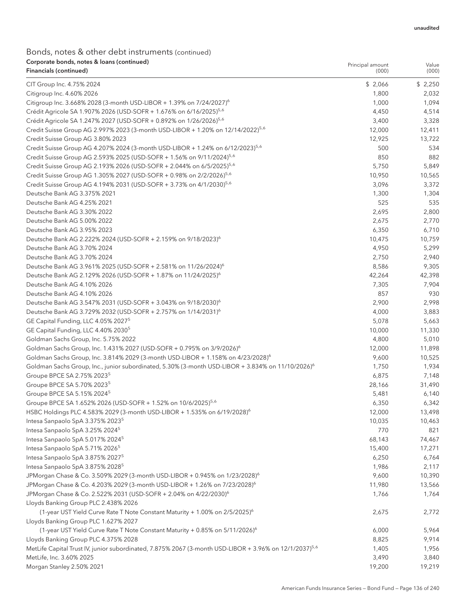# Bonds, notes & other debt instruments (continued) Corporate bonds, notes & loans (continued)

| Corporate bonds, notes & Ioans (continued)<br>Financials (continued)                                                                                                               | Principal amount<br>(000) | Value<br>(000)   |
|------------------------------------------------------------------------------------------------------------------------------------------------------------------------------------|---------------------------|------------------|
|                                                                                                                                                                                    | \$2,066                   |                  |
| CIT Group Inc. 4.75% 2024                                                                                                                                                          |                           | \$2,250          |
| Citigroup Inc. 4.60% 2026<br>Citigroup Inc. 3.668% 2028 (3-month USD-LIBOR + 1.39% on 7/24/2027) <sup>6</sup>                                                                      | 1,800                     | 2,032            |
| Crédit Agricole SA 1.907% 2026 (USD-SOFR + 1.676% on 6/16/2025) <sup>5,6</sup>                                                                                                     | 1,000<br>4,450            | 1,094<br>4,514   |
| Crédit Agricole SA 1.247% 2027 (USD-SOFR + 0.892% on 1/26/2026) <sup>5,6</sup>                                                                                                     | 3,400                     | 3,328            |
| Credit Suisse Group AG 2.997% 2023 (3-month USD-LIBOR + 1.20% on 12/14/2022) <sup>5,6</sup>                                                                                        | 12,000                    | 12,411           |
|                                                                                                                                                                                    | 12,925                    | 13,722           |
| Credit Suisse Group AG 3.80% 2023                                                                                                                                                  | 500                       | 534              |
| Credit Suisse Group AG 4.207% 2024 (3-month USD-LIBOR + 1.24% on 6/12/2023) <sup>5,6</sup><br>Credit Suisse Group AG 2.593% 2025 (USD-SOFR + 1.56% on 9/11/2024) <sup>5,6</sup>    | 850                       | 882              |
| Credit Suisse Group AG 2.193% 2026 (USD-SOFR + 2.044% on 6/5/2025) <sup>5,6</sup>                                                                                                  | 5,750                     | 5,849            |
| Credit Suisse Group AG 1.305% 2027 (USD-SOFR + 0.98% on 2/2/2026) <sup>5,6</sup>                                                                                                   | 10,950                    | 10,565           |
| Credit Suisse Group AG 4.194% 2031 (USD-SOFR + 3.73% on 4/1/2030) <sup>5,6</sup>                                                                                                   | 3,096                     | 3,372            |
| Deutsche Bank AG 3.375% 2021                                                                                                                                                       | 1,300                     |                  |
| Deutsche Bank AG 4.25% 2021                                                                                                                                                        | 525                       | 1,304<br>535     |
| Deutsche Bank AG 3.30% 2022                                                                                                                                                        | 2,695                     |                  |
| Deutsche Bank AG 5.00% 2022                                                                                                                                                        | 2,675                     | 2,800<br>2,770   |
| Deutsche Bank AG 3.95% 2023                                                                                                                                                        | 6,350                     |                  |
| Deutsche Bank AG 2.222% 2024 (USD-SOFR + 2.159% on 9/18/2023) <sup>6</sup>                                                                                                         | 10,475                    | 6,710<br>10,759  |
| Deutsche Bank AG 3.70% 2024                                                                                                                                                        | 4,950                     | 5,299            |
| Deutsche Bank AG 3.70% 2024                                                                                                                                                        | 2,750                     | 2,940            |
| Deutsche Bank AG 3.961% 2025 (USD-SOFR + 2.581% on 11/26/2024) <sup>6</sup>                                                                                                        |                           |                  |
| Deutsche Bank AG 2.129% 2026 (USD-SOFR + 1.87% on 11/24/2025) <sup>6</sup>                                                                                                         | 8,586                     | 9,305            |
|                                                                                                                                                                                    | 42,264                    | 42,398           |
| Deutsche Bank AG 4.10% 2026                                                                                                                                                        | 7,305                     | 7,904            |
| Deutsche Bank AG 4.10% 2026<br>Deutsche Bank AG 3.547% 2031 (USD-SOFR + 3.043% on 9/18/2030) <sup>6</sup>                                                                          | 857<br>2,900              | 930<br>2,998     |
|                                                                                                                                                                                    | 4,000                     |                  |
| Deutsche Bank AG 3.729% 2032 (USD-SOFR + 2.757% on 1/14/2031) <sup>6</sup>                                                                                                         |                           | 3,883            |
| GE Capital Funding, LLC 4.05% 2027 <sup>5</sup>                                                                                                                                    | 5,078                     | 5,663            |
| GE Capital Funding, LLC 4.40% 2030 <sup>5</sup>                                                                                                                                    | 10,000                    | 11,330           |
| Goldman Sachs Group, Inc. 5.75% 2022                                                                                                                                               | 4,800                     | 5,010            |
| Goldman Sachs Group, Inc. 1.431% 2027 (USD-SOFR + 0.795% on 3/9/2026) <sup>6</sup><br>Goldman Sachs Group, Inc. 3.814% 2029 (3-month USD-LIBOR + 1.158% on 4/23/2028) <sup>6</sup> | 12,000<br>9,600           | 11,898           |
| Goldman Sachs Group, Inc., junior subordinated, 5.30% (3-month USD-LIBOR + 3.834% on 11/10/2026) <sup>6</sup>                                                                      | 1,750                     | 10,525<br>1,934  |
| Groupe BPCE SA 2.75% 2023 <sup>5</sup>                                                                                                                                             |                           |                  |
| Groupe BPCE SA 5.70% 2023 <sup>5</sup>                                                                                                                                             | 6,875<br>28,166           | 7,148<br>31,490  |
| Groupe BPCE SA 5.15% 2024 <sup>5</sup>                                                                                                                                             | 5,481                     | 6,140            |
| Groupe BPCE SA 1.652% 2026 (USD-SOFR + 1.52% on 10/6/2025) <sup>5,6</sup>                                                                                                          | 6,350                     | 6,342            |
|                                                                                                                                                                                    |                           |                  |
| HSBC Holdings PLC 4.583% 2029 (3-month USD-LIBOR + 1.535% on 6/19/2028) <sup>6</sup><br>Intesa Sanpaolo SpA 3.375% 2023 <sup>5</sup>                                               | 12,000                    | 13,498           |
|                                                                                                                                                                                    | 10,035<br>770             | 10,463           |
| Intesa Sanpaolo SpA 3.25% 2024 <sup>5</sup>                                                                                                                                        |                           | 821              |
| Intesa Sanpaolo SpA 5.017% 2024 <sup>5</sup><br>Intesa Sanpaolo SpA 5.71% 2026 <sup>5</sup>                                                                                        | 68,143<br>15,400          | 74,467           |
| Intesa Sanpaolo SpA 3.875% 2027 <sup>5</sup>                                                                                                                                       | 6,250                     | 17,271           |
| Intesa Sanpaolo SpA 3.875% 2028 <sup>5</sup>                                                                                                                                       | 1,986                     | 6,764            |
|                                                                                                                                                                                    |                           | 2,117            |
| JPMorgan Chase & Co. 3.509% 2029 (3-month USD-LIBOR + 0.945% on 1/23/2028) <sup>6</sup><br>JPMorgan Chase & Co. 4.203% 2029 (3-month USD-LIBOR + 1.26% on 7/23/2028) <sup>6</sup>  | 9,600<br>11,980           | 10,390<br>13,566 |
|                                                                                                                                                                                    |                           |                  |
| JPMorgan Chase & Co. 2.522% 2031 (USD-SOFR + 2.04% on 4/22/2030) <sup>6</sup>                                                                                                      | 1,766                     | 1,764            |
| Lloyds Banking Group PLC 2.438% 2026                                                                                                                                               |                           |                  |
| (1-year UST Yield Curve Rate T Note Constant Maturity + 1.00% on 2/5/2025) <sup>6</sup>                                                                                            | 2,675                     | 2,772            |
| Lloyds Banking Group PLC 1.627% 2027                                                                                                                                               |                           |                  |
| (1-year UST Yield Curve Rate T Note Constant Maturity + 0.85% on 5/11/2026) <sup>6</sup>                                                                                           | 6,000<br>8,825            | 5,964            |
| Lloyds Banking Group PLC 4.375% 2028<br>MetLife Capital Trust IV, junior subordinated, 7.875% 2067 (3-month USD-LIBOR + 3.96% on 12/1/2037) <sup>5,6</sup>                         |                           | 9,914            |
|                                                                                                                                                                                    | 1,405<br>3,490            | 1,956            |
| MetLife, Inc. 3.60% 2025                                                                                                                                                           |                           | 3,840            |
| Morgan Stanley 2.50% 2021                                                                                                                                                          | 19,200                    | 19,219           |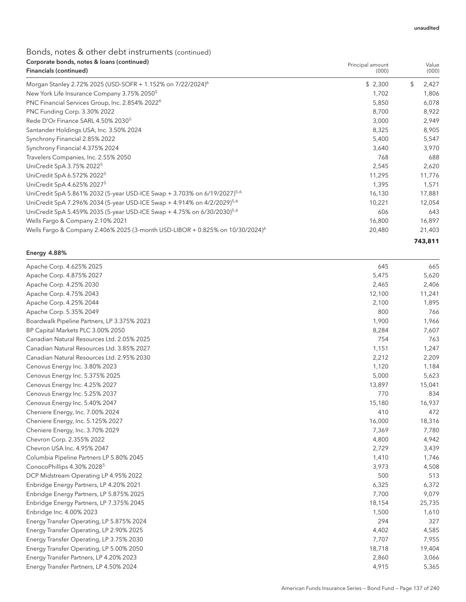| Corporate bonds, notes & Ioans (continued)<br>Financials (continued)                      | Principal amount<br>(000) | Value<br>(000) |
|-------------------------------------------------------------------------------------------|---------------------------|----------------|
| Morgan Stanley 2.72% 2025 (USD-SOFR + 1.152% on 7/22/2024) <sup>6</sup>                   | \$2,300                   | \$<br>2,427    |
| New York Life Insurance Company 3.75% 2050 <sup>5</sup>                                   | 1,702                     | 1,806          |
| PNC Financial Services Group, Inc. 2.854% 2022 <sup>6</sup>                               | 5,850                     | 6,078          |
| PNC Funding Corp. 3.30% 2022                                                              | 8.700                     | 8,922          |
| Rede D'Or Finance SARL 4.50% 2030 <sup>5</sup>                                            | 3,000                     | 2,949          |
| Santander Holdings USA, Inc. 3.50% 2024                                                   | 8,325                     | 8,905          |
| Synchrony Financial 2.85% 2022                                                            | 5,400                     | 5,547          |
| Synchrony Financial 4.375% 2024                                                           | 3,640                     | 3,970          |
| Travelers Companies, Inc. 2.55% 2050                                                      | 768                       | 688            |
| UniCredit SpA 3.75% 2022 <sup>5</sup>                                                     | 2,545                     | 2,620          |
| UniCredit SpA 6.572% 2022 <sup>5</sup>                                                    | 11,295                    | 11,776         |
| UniCredit SpA 4.625% 2027 <sup>5</sup>                                                    | 1,395                     | 1,571          |
| UniCredit SpA 5.861% 2032 (5-year USD-ICE Swap + 3.703% on 6/19/2027) <sup>5,6</sup>      | 16,130                    | 17,881         |
| UniCredit SpA 7.296% 2034 (5-year USD-ICE Swap + 4.914% on 4/2/2029) <sup>5,6</sup>       | 10,221                    | 12,054         |
| UniCredit SpA 5.459% 2035 (5-year USD-ICE Swap + 4.75% on 6/30/2030) <sup>5,6</sup>       | 606                       | 643            |
| Wells Fargo & Company 2.10% 2021                                                          | 16,800                    | 16,897         |
| Wells Fargo & Company 2.406% 2025 (3-month USD-LIBOR + 0.825% on 10/30/2024) <sup>6</sup> | 20,480                    | 21,403         |
|                                                                                           |                           | 743,811        |

### Energy 4.88%

| Apache Corp. 4.625% 2025                    | 645    | 665    |
|---------------------------------------------|--------|--------|
| Apache Corp. 4.875% 2027                    | 5,475  | 5,620  |
| Apache Corp. 4.25% 2030                     | 2,465  | 2,406  |
| Apache Corp. 4.75% 2043                     | 12,100 | 11,241 |
| Apache Corp. 4.25% 2044                     | 2,100  | 1,895  |
| Apache Corp. 5.35% 2049                     | 800    | 766    |
| Boardwalk Pipeline Partners, LP 3.375% 2023 | 1,900  | 1,966  |
| BP Capital Markets PLC 3.00% 2050           | 8,284  | 7,607  |
| Canadian Natural Resources Ltd. 2.05% 2025  | 754    | 763    |
| Canadian Natural Resources Ltd. 3.85% 2027  | 1,151  | 1,247  |
| Canadian Natural Resources Ltd. 2.95% 2030  | 2,212  | 2,209  |
| Cenovus Energy Inc. 3.80% 2023              | 1,120  | 1,184  |
| Cenovus Energy Inc. 5.375% 2025             | 5,000  | 5,623  |
| Cenovus Energy Inc. 4.25% 2027              | 13,897 | 15,041 |
| Cenovus Energy Inc. 5.25% 2037              | 770    | 834    |
| Cenovus Energy Inc. 5.40% 2047              | 15,180 | 16,937 |
| Cheniere Energy, Inc. 7.00% 2024            | 410    | 472    |
| Cheniere Energy, Inc. 5.125% 2027           | 16,000 | 18,316 |
| Cheniere Energy, Inc. 3.70% 2029            | 7,369  | 7,780  |
| Chevron Corp. 2.355% 2022                   | 4,800  | 4,942  |
| Chevron USA Inc. 4.95% 2047                 | 2,729  | 3,439  |
| Columbia Pipeline Partners LP 5.80% 2045    | 1,410  | 1,746  |
| ConocoPhillips 4.30% 2028 <sup>5</sup>      | 3,973  | 4,508  |
| DCP Midstream Operating LP 4.95% 2022       | 500    | 513    |
| Enbridge Energy Partners, LP 4.20% 2021     | 6,325  | 6,372  |
| Enbridge Energy Partners, LP 5.875% 2025    | 7,700  | 9,079  |
| Enbridge Energy Partners, LP 7.375% 2045    | 18,154 | 25,735 |
| Enbridge Inc. 4.00% 2023                    | 1,500  | 1,610  |
| Energy Transfer Operating, LP 5.875% 2024   | 294    | 327    |
| Energy Transfer Operating, LP 2.90% 2025    | 4,402  | 4,585  |
| Energy Transfer Operating, LP 3.75% 2030    | 7,707  | 7,955  |
| Energy Transfer Operating, LP 5.00% 2050    | 18,718 | 19,404 |
| Energy Transfer Partners, LP 4.20% 2023     | 2,860  | 3,066  |
| Energy Transfer Partners, LP 4.50% 2024     | 4,915  | 5,365  |

American Funds Insurance Series — Bond Fund — Page 137 of 240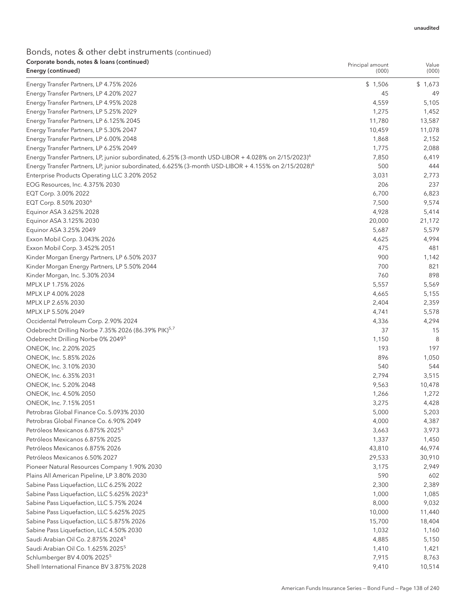| Corporate bonds, notes & loans (continued)                                                                       | Principal amount | Value   |
|------------------------------------------------------------------------------------------------------------------|------------------|---------|
| Energy (continued)                                                                                               | (000)            | (000)   |
| Energy Transfer Partners, LP 4.75% 2026                                                                          | \$1,506          | \$1,673 |
| Energy Transfer Partners, LP 4.20% 2027                                                                          | 45               | 49      |
| Energy Transfer Partners, LP 4.95% 2028                                                                          | 4,559            | 5,105   |
| Energy Transfer Partners, LP 5.25% 2029                                                                          | 1,275            | 1,452   |
| Energy Transfer Partners, LP 6.125% 2045                                                                         | 11,780           | 13,587  |
| Energy Transfer Partners, LP 5.30% 2047                                                                          | 10,459           | 11,078  |
| Energy Transfer Partners, LP 6.00% 2048                                                                          | 1,868            | 2,152   |
| Energy Transfer Partners, LP 6.25% 2049                                                                          | 1,775            | 2,088   |
| Energy Transfer Partners, LP, junior subordinated, 6.25% (3-month USD-LIBOR + 4.028% on 2/15/2023) <sup>6</sup>  | 7,850            | 6,419   |
| Energy Transfer Partners, LP, junior subordinated, 6.625% (3-month USD-LIBOR + 4.155% on 2/15/2028) <sup>6</sup> | 500              | 444     |
| Enterprise Products Operating LLC 3.20% 2052                                                                     | 3,031            | 2,773   |
| EOG Resources, Inc. 4.375% 2030                                                                                  | 206              | 237     |
| EQT Corp. 3.00% 2022                                                                                             | 6,700            | 6,823   |
| EQT Corp. 8.50% 2030 <sup>6</sup>                                                                                | 7,500            | 9,574   |
| Equinor ASA 3.625% 2028                                                                                          | 4,928            | 5,414   |
| Equinor ASA 3.125% 2030                                                                                          | 20,000           | 21,172  |
| Equinor ASA 3.25% 2049                                                                                           | 5,687            | 5,579   |
| Exxon Mobil Corp. 3.043% 2026                                                                                    | 4,625            | 4,994   |
| Exxon Mobil Corp. 3.452% 2051                                                                                    | 475              | 481     |
| Kinder Morgan Energy Partners, LP 6.50% 2037                                                                     | 900              | 1,142   |
| Kinder Morgan Energy Partners, LP 5.50% 2044                                                                     | 700              | 821     |
| Kinder Morgan, Inc. 5.30% 2034                                                                                   | 760              | 898     |
| MPLX LP 1.75% 2026                                                                                               | 5,557            | 5,569   |
| MPLX LP 4.00% 2028                                                                                               | 4,665            | 5,155   |
| MPLX LP 2.65% 2030                                                                                               | 2,404            | 2,359   |
| MPLX LP 5.50% 2049                                                                                               | 4,741            | 5,578   |
| Occidental Petroleum Corp. 2.90% 2024                                                                            | 4,336            | 4,294   |
| Odebrecht Drilling Norbe 7.35% 2026 (86.39% PIK) <sup>5,7</sup>                                                  | 37               | 15      |
| Odebrecht Drilling Norbe 0% 2049 <sup>5</sup>                                                                    | 1,150            | 8       |
| ONEOK, Inc. 2.20% 2025                                                                                           | 193              | 197     |
| ONEOK, Inc. 5.85% 2026                                                                                           | 896              | 1,050   |
| ONEOK, Inc. 3.10% 2030                                                                                           | 540              | 544     |
| ONEOK, Inc. 6.35% 2031                                                                                           | 2,794            | 3,515   |
| ONEOK, Inc. 5.20% 2048                                                                                           | 9,563            | 10,478  |
| ONEOK, Inc. 4.50% 2050                                                                                           | 1,266            | 1,272   |
| ONEOK, Inc. 7.15% 2051                                                                                           | 3,275            | 4,428   |
| Petrobras Global Finance Co. 5.093% 2030                                                                         | 5,000            | 5,203   |
| Petrobras Global Finance Co. 6.90% 2049                                                                          | 4,000            | 4,387   |
| Petróleos Mexicanos 6.875% 2025 <sup>5</sup>                                                                     | 3,663            | 3,973   |
| Petróleos Mexicanos 6.875% 2025                                                                                  | 1,337            | 1,450   |
| Petróleos Mexicanos 6.875% 2026                                                                                  | 43,810           | 46,974  |
| Petróleos Mexicanos 6.50% 2027                                                                                   | 29,533           | 30,910  |
| Pioneer Natural Resources Company 1.90% 2030                                                                     | 3,175            | 2,949   |
| Plains All American Pipeline, LP 3.80% 2030                                                                      | 590              | 602     |
| Sabine Pass Liquefaction, LLC 6.25% 2022                                                                         | 2,300            | 2,389   |
| Sabine Pass Liquefaction, LLC 5.625% 2023 <sup>6</sup>                                                           | 1,000            | 1,085   |
| Sabine Pass Liquefaction, LLC 5.75% 2024                                                                         | 8,000            | 9,032   |
| Sabine Pass Liquefaction, LLC 5.625% 2025                                                                        | 10,000           | 11,440  |
| Sabine Pass Liquefaction, LLC 5.875% 2026                                                                        | 15,700           | 18,404  |
| Sabine Pass Liquefaction, LLC 4.50% 2030                                                                         | 1,032            | 1,160   |
| Saudi Arabian Oil Co. 2.875% 2024 <sup>5</sup>                                                                   | 4,885            | 5,150   |
| Saudi Arabian Oil Co. 1.625% 2025 <sup>5</sup>                                                                   | 1,410            | 1,421   |
| Schlumberger BV 4.00% 2025 <sup>5</sup>                                                                          | 7,915            | 8,763   |
| Shell International Finance BV 3.875% 2028                                                                       | 9,410            | 10,514  |
|                                                                                                                  |                  |         |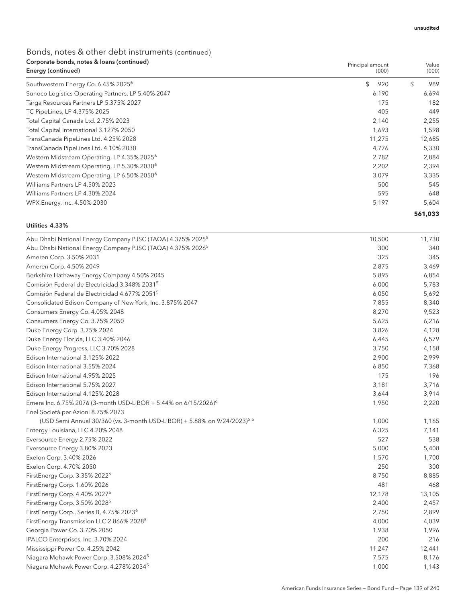| Corporate bonds, notes & loans (continued)<br>Energy (continued) | Principal amount<br>(000) | Value<br>(000) |
|------------------------------------------------------------------|---------------------------|----------------|
| Southwestern Energy Co. 6.45% 2025 <sup>6</sup>                  | \$<br>920                 | \$<br>989      |
| Sunoco Logistics Operating Partners, LP 5.40% 2047               | 6,190                     | 6,694          |
| Targa Resources Partners LP 5.375% 2027                          | 175                       | 182            |
| TC PipeLines, LP 4.375% 2025                                     | 405                       | 449            |
| Total Capital Canada Ltd. 2.75% 2023                             | 2,140                     | 2,255          |
| Total Capital International 3.127% 2050                          | 1,693                     | 1,598          |
| TransCanada PipeLines Ltd. 4.25% 2028                            | 11,275                    | 12,685         |
| TransCanada PipeLines Ltd. 4.10% 2030                            | 4,776                     | 5,330          |
| Western Midstream Operating, LP 4.35% 2025 <sup>6</sup>          | 2,782                     | 2,884          |
| Western Midstream Operating, LP 5.30% 2030 <sup>6</sup>          | 2,202                     | 2,394          |
| Western Midstream Operating, LP 6.50% 2050 <sup>6</sup>          | 3,079                     | 3,335          |
| Williams Partners LP 4.50% 2023                                  | 500                       | 545            |
| Williams Partners LP 4.30% 2024                                  | 595                       | 648            |
| WPX Energy, Inc. 4.50% 2030                                      | 5,197                     | 5,604          |
|                                                                  |                           | 561,033        |

### Utilities 4.33%

| Abu Dhabi National Energy Company PJSC (TAQA) 4.375% 2025 <sup>5</sup>               | 10,500 | 11,730 |
|--------------------------------------------------------------------------------------|--------|--------|
| Abu Dhabi National Energy Company PJSC (TAQA) 4.375% 2026 <sup>5</sup>               | 300    | 340    |
| Ameren Corp. 3.50% 2031                                                              | 325    | 345    |
| Ameren Corp. 4.50% 2049                                                              | 2,875  | 3,469  |
| Berkshire Hathaway Energy Company 4.50% 2045                                         | 5,895  | 6,854  |
| Comisión Federal de Electricidad 3.348% 2031 <sup>5</sup>                            | 6,000  | 5,783  |
| Comisión Federal de Electricidad 4.677% 2051 <sup>5</sup>                            | 6,050  | 5,692  |
| Consolidated Edison Company of New York, Inc. 3.875% 2047                            | 7,855  | 8,340  |
| Consumers Energy Co. 4.05% 2048                                                      | 8,270  | 9,523  |
| Consumers Energy Co. 3.75% 2050                                                      | 5,625  | 6,216  |
| Duke Energy Corp. 3.75% 2024                                                         | 3,826  | 4,128  |
| Duke Energy Florida, LLC 3.40% 2046                                                  | 6,445  | 6,579  |
| Duke Energy Progress, LLC 3.70% 2028                                                 | 3,750  | 4,158  |
| Edison International 3.125% 2022                                                     | 2,900  | 2,999  |
| Edison International 3.55% 2024                                                      | 6,850  | 7,368  |
| Edison International 4.95% 2025                                                      | 175    | 196    |
| Edison International 5.75% 2027                                                      | 3,181  | 3,716  |
| Edison International 4.125% 2028                                                     | 3,644  | 3,914  |
| Emera Inc. 6.75% 2076 (3-month USD-LIBOR + 5.44% on 6/15/2026) <sup>6</sup>          | 1,950  | 2,220  |
| Enel Società per Azioni 8.75% 2073                                                   |        |        |
| (USD Semi Annual 30/360 (vs. 3-month USD-LIBOR) + 5.88% on 9/24/2023) <sup>5,6</sup> | 1,000  | 1,165  |
| Entergy Louisiana, LLC 4.20% 2048                                                    | 6,325  | 7,141  |
| Eversource Energy 2.75% 2022                                                         | 527    | 538    |
| Eversource Energy 3.80% 2023                                                         | 5,000  | 5,408  |
| Exelon Corp. 3.40% 2026                                                              | 1,570  | 1,700  |
| Exelon Corp. 4.70% 2050                                                              | 250    | 300    |
| FirstEnergy Corp. 3.35% 2022 <sup>6</sup>                                            | 8,750  | 8,885  |
| FirstEnergy Corp. 1.60% 2026                                                         | 481    | 468    |
| FirstEnergy Corp. 4.40% 2027 <sup>6</sup>                                            | 12,178 | 13,105 |
| FirstEnergy Corp. 3.50% 2028 <sup>5</sup>                                            | 2,400  | 2,457  |
| FirstEnergy Corp., Series B, 4.75% 2023 <sup>6</sup>                                 | 2,750  | 2,899  |
| FirstEnergy Transmission LLC 2.866% 2028 <sup>5</sup>                                | 4,000  | 4,039  |
| Georgia Power Co. 3.70% 2050                                                         | 1,938  | 1,996  |
| IPALCO Enterprises, Inc. 3.70% 2024                                                  | 200    | 216    |
| Mississippi Power Co. 4.25% 2042                                                     | 11,247 | 12,441 |
| Niagara Mohawk Power Corp. 3.508% 2024 <sup>5</sup>                                  | 7,575  | 8,176  |
| Niagara Mohawk Power Corp. 4.278% 2034 <sup>5</sup>                                  | 1,000  | 1,143  |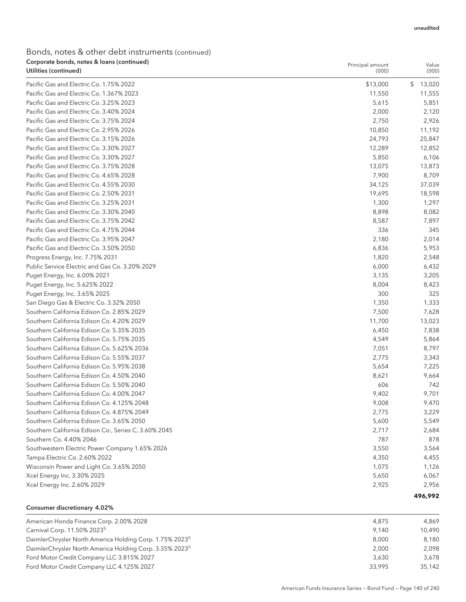| Corporate bonds, notes & Ioans (continued)<br>Utilities (continued) | Principal amount<br>(000) | Value<br>(000) |
|---------------------------------------------------------------------|---------------------------|----------------|
| Pacific Gas and Electric Co. 1.75% 2022                             | \$13,000                  | \$<br>13,020   |
| Pacific Gas and Electric Co. 1.367% 2023                            | 11,550                    | 11,555         |
| Pacific Gas and Electric Co. 3.25% 2023                             | 5,615                     | 5,851          |
| Pacific Gas and Electric Co. 3.40% 2024                             | 2,000                     | 2,120          |
| Pacific Gas and Electric Co. 3.75% 2024                             | 2,750                     | 2,926          |
| Pacific Gas and Electric Co. 2.95% 2026                             | 10,850                    | 11,192         |
| Pacific Gas and Electric Co. 3.15% 2026                             | 24,793                    | 25,847         |
| Pacific Gas and Electric Co. 3.30% 2027                             | 12,289                    | 12,852         |
| Pacific Gas and Electric Co. 3.30% 2027                             | 5,850                     | 6,106          |
| Pacific Gas and Electric Co. 3.75% 2028                             | 13,075                    | 13,873         |
| Pacific Gas and Electric Co. 4.65% 2028                             | 7,900                     | 8,709          |
| Pacific Gas and Electric Co. 4.55% 2030                             | 34,125                    | 37,039         |
| Pacific Gas and Electric Co. 2.50% 2031                             | 19,695                    | 18,598         |
| Pacific Gas and Electric Co. 3.25% 2031                             | 1,300                     | 1,297          |
| Pacific Gas and Electric Co. 3.30% 2040                             | 8,898                     | 8,082          |
| Pacific Gas and Electric Co. 3.75% 2042                             | 8,587                     | 7,897          |
| Pacific Gas and Electric Co. 4.75% 2044                             | 336                       | 345            |
| Pacific Gas and Electric Co. 3.95% 2047                             | 2,180                     | 2,014          |
| Pacific Gas and Electric Co. 3.50% 2050                             | 6,836                     | 5,953          |
| Progress Energy, Inc. 7.75% 2031                                    | 1,820                     | 2,548          |
| Public Service Electric and Gas Co. 3.20% 2029                      | 6,000                     | 6,432          |
| Puget Energy, Inc. 6.00% 2021                                       | 3,135                     | 3,205          |
| Puget Energy, Inc. 5.625% 2022                                      | 8,004                     | 8,423          |
| Puget Energy, Inc. 3.65% 2025                                       | 300                       | 325            |
| San Diego Gas & Electric Co. 3.32% 2050                             | 1,350                     | 1,333          |
| Southern California Edison Co. 2.85% 2029                           | 7,500                     | 7,628          |
| Southern California Edison Co. 4.20% 2029                           | 11,700                    | 13,023         |
| Southern California Edison Co. 5.35% 2035                           | 6,450                     | 7,838          |
| Southern California Edison Co. 5.75% 2035                           | 4,549                     | 5,864          |
| Southern California Edison Co. 5.625% 2036                          | 7,051                     | 8,797          |
| Southern California Edison Co. 5.55% 2037                           | 2,775                     | 3,343          |
| Southern California Edison Co. 5.95% 2038                           | 5,654                     | 7,225          |
| Southern California Edison Co. 4.50% 2040                           | 8,621                     | 9,664          |
| Southern California Edison Co. 5.50% 2040                           | 606                       | 742            |
| Southern California Edison Co. 4.00% 2047                           | 9,402                     | 9,701          |
| Southern California Edison Co. 4.125% 2048                          | 9,008                     | 9,470          |
| Southern California Edison Co. 4.875% 2049                          | 2,775                     | 3,229          |
| Southern California Edison Co. 3.65% 2050                           | 5,600                     | 5,549          |
| Southern California Edison Co., Series C, 3.60% 2045                | 2,717                     | 2,684          |
| Southern Co. 4.40% 2046                                             | 787                       | 878            |
| Southwestern Electric Power Company 1.65% 2026                      | 3,550                     | 3,564          |
| Tampa Electric Co. 2.60% 2022                                       | 4,350                     | 4,455          |
| Wisconsin Power and Light Co. 3.65% 2050                            | 1,075                     | 1,126          |
| Xcel Energy Inc. 3.30% 2025                                         | 5,650                     | 6,067          |
| Xcel Energy Inc. 2.60% 2029                                         | 2,925                     | 2,956          |
|                                                                     |                           |                |
|                                                                     |                           | 496,992        |

## Consumer discretionary 4.02%

| 4.875  | 4.869  |
|--------|--------|
| 9.140  | 10.490 |
| 8.000  | 8.180  |
| 2.000  | 2.098  |
| 3.630  | 3.678  |
| 33.995 | 35.142 |
|        |        |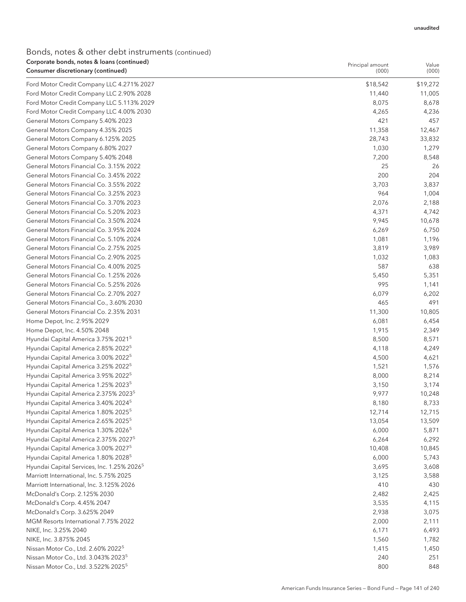# Bonds, notes & other debt instruments (continued) Corporate bonds, notes & loans (continued)

| Corporate bonds, notes & Ioans (continued)<br>Consumer discretionary (continued) | Principal amount<br>(000) | Value<br>(000) |
|----------------------------------------------------------------------------------|---------------------------|----------------|
|                                                                                  |                           |                |
| Ford Motor Credit Company LLC 4.271% 2027                                        | \$18,542                  | \$19,272       |
| Ford Motor Credit Company LLC 2.90% 2028                                         | 11,440                    | 11,005         |
| Ford Motor Credit Company LLC 5.113% 2029                                        | 8,075                     | 8,678          |
| Ford Motor Credit Company LLC 4.00% 2030                                         | 4,265                     | 4,236          |
| General Motors Company 5.40% 2023                                                | 421                       | 457            |
| General Motors Company 4.35% 2025                                                | 11,358                    | 12,467         |
| General Motors Company 6.125% 2025                                               | 28,743                    | 33,832         |
| General Motors Company 6.80% 2027                                                | 1,030                     | 1,279          |
| General Motors Company 5.40% 2048                                                | 7,200                     | 8,548          |
| General Motors Financial Co. 3.15% 2022                                          | 25                        | 26             |
| General Motors Financial Co. 3.45% 2022                                          | 200                       | 204            |
| General Motors Financial Co. 3.55% 2022                                          | 3,703                     | 3,837          |
| General Motors Financial Co. 3.25% 2023                                          | 964                       | 1,004          |
| General Motors Financial Co. 3.70% 2023                                          | 2,076                     | 2,188          |
| General Motors Financial Co. 5.20% 2023                                          | 4,371                     | 4,742          |
| General Motors Financial Co. 3.50% 2024                                          | 9,945                     | 10,678         |
| General Motors Financial Co. 3.95% 2024                                          | 6,269                     | 6,750          |
| General Motors Financial Co. 5.10% 2024                                          | 1,081                     | 1,196          |
| General Motors Financial Co. 2.75% 2025                                          | 3,819                     | 3,989          |
| General Motors Financial Co. 2.90% 2025                                          | 1,032                     | 1,083          |
| General Motors Financial Co. 4.00% 2025                                          | 587                       | 638            |
| General Motors Financial Co. 1.25% 2026                                          | 5,450                     | 5,351          |
| General Motors Financial Co. 5.25% 2026                                          | 995                       | 1,141          |
| General Motors Financial Co. 2.70% 2027                                          | 6,079                     | 6,202          |
| General Motors Financial Co., 3.60% 2030                                         | 465                       | 491            |
| General Motors Financial Co. 2.35% 2031                                          | 11,300                    | 10,805         |
| Home Depot, Inc. 2.95% 2029                                                      | 6,081                     | 6,454          |
| Home Depot, Inc. 4.50% 2048                                                      | 1,915                     | 2,349          |
| Hyundai Capital America 3.75% 2021 <sup>5</sup>                                  | 8,500                     | 8,571          |
| Hyundai Capital America 2.85% 2022 <sup>5</sup>                                  | 4,118                     | 4,249          |
| Hyundai Capital America 3.00% 2022 <sup>5</sup>                                  | 4,500                     | 4,621          |
| Hyundai Capital America 3.25% 2022 <sup>5</sup>                                  | 1,521                     | 1,576          |
| Hyundai Capital America 3.95% 2022 <sup>5</sup>                                  | 8,000                     | 8,214          |
| Hyundai Capital America 1.25% 2023 <sup>5</sup>                                  | 3,150                     | 3,174          |
| Hyundai Capital America 2.375% 2023 <sup>5</sup>                                 | 9,977                     | 10,248         |
| Hyundai Capital America 3.40% 2024 <sup>5</sup>                                  | 8,180                     | 8,733          |
| Hyundai Capital America 1.80% 2025 <sup>5</sup>                                  | 12,714                    | 12,715         |
| Hyundai Capital America 2.65% 2025 <sup>5</sup>                                  | 13,054                    | 13,509         |
| Hyundai Capital America 1.30% 2026 <sup>5</sup>                                  | 6,000                     | 5,871          |
| Hyundai Capital America 2.375% 2027 <sup>5</sup>                                 | 6,264                     | 6,292          |
| Hyundai Capital America 3.00% 2027 <sup>5</sup>                                  | 10,408                    | 10,845         |
| Hyundai Capital America 1.80% 2028 <sup>5</sup>                                  | 6,000                     | 5,743          |
| Hyundai Capital Services, Inc. 1.25% 2026 <sup>5</sup>                           | 3,695                     | 3,608          |
| Marriott International, Inc. 5.75% 2025                                          | 3,125                     | 3,588          |
| Marriott International, Inc. 3.125% 2026                                         | 410                       | 430            |
| McDonald's Corp. 2.125% 2030                                                     | 2,482                     | 2,425          |
| McDonald's Corp. 4.45% 2047                                                      | 3,535                     | 4,115          |
| McDonald's Corp. 3.625% 2049                                                     | 2,938                     | 3,075          |
| MGM Resorts International 7.75% 2022                                             | 2,000                     | 2,111          |
| NIKE, Inc. 3.25% 2040                                                            | 6,171                     | 6,493          |
| NIKE, Inc. 3.875% 2045                                                           | 1,560                     | 1,782          |
| Nissan Motor Co., Ltd. 2.60% 2022 <sup>5</sup>                                   | 1,415                     | 1,450          |
| Nissan Motor Co., Ltd. 3.043% 2023 <sup>5</sup>                                  | 240                       | 251            |
| Nissan Motor Co., Ltd. 3.522% 2025 <sup>5</sup>                                  | 800                       | 848            |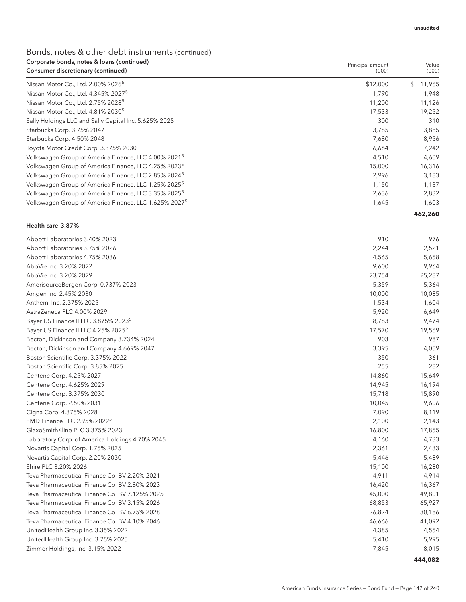Value

Principal amount

# Bonds, notes & other debt instruments (continued) Corporate bonds, notes & loans (continued)

| Consumer discretionary (continued)                                | (000)    | (000)        |
|-------------------------------------------------------------------|----------|--------------|
| Nissan Motor Co., Ltd. 2.00% 2026 <sup>5</sup>                    | \$12,000 | \$<br>11,965 |
| Nissan Motor Co., Ltd. 4.345% 2027 <sup>5</sup>                   | 1.790    | 1,948        |
| Nissan Motor Co., Ltd. 2.75% 2028 <sup>5</sup>                    | 11,200   | 11,126       |
| Nissan Motor Co., Ltd. 4.81% 2030 <sup>5</sup>                    | 17,533   | 19,252       |
| Sally Holdings LLC and Sally Capital Inc. 5.625% 2025             | 300      | 310          |
| Starbucks Corp. 3.75% 2047                                        | 3,785    | 3,885        |
| Starbucks Corp. 4.50% 2048                                        | 7,680    | 8,956        |
| Toyota Motor Credit Corp. 3.375% 2030                             | 6,664    | 7,242        |
| Volkswagen Group of America Finance, LLC 4.00% 2021 <sup>5</sup>  | 4.510    | 4,609        |
| Volkswagen Group of America Finance, LLC 4.25% 2023 <sup>5</sup>  | 15,000   | 16,316       |
| Volkswagen Group of America Finance, LLC 2.85% 2024 <sup>5</sup>  | 2,996    | 3,183        |
| Volkswagen Group of America Finance, LLC 1.25% 2025 <sup>5</sup>  | 1,150    | 1,137        |
| Volkswagen Group of America Finance, LLC 3.35% 2025 <sup>5</sup>  | 2,636    | 2,832        |
| Volkswagen Group of America Finance, LLC 1.625% 2027 <sup>5</sup> | 1,645    | 1,603        |
|                                                                   |          | 462,260      |

### Health care 3.87%

| Abbott Laboratories 3.40% 2023                   | 910    | 976     |
|--------------------------------------------------|--------|---------|
| Abbott Laboratories 3.75% 2026                   | 2,244  | 2,521   |
| Abbott Laboratories 4.75% 2036                   | 4,565  | 5,658   |
| AbbVie Inc. 3.20% 2022                           | 9,600  | 9,964   |
| AbbVie Inc. 3.20% 2029                           | 23,754 | 25,287  |
| AmerisourceBergen Corp. 0.737% 2023              | 5,359  | 5,364   |
| Amgen Inc. 2.45% 2030                            | 10,000 | 10,085  |
| Anthem, Inc. 2.375% 2025                         | 1,534  | 1,604   |
| AstraZeneca PLC 4.00% 2029                       | 5,920  | 6,649   |
| Bayer US Finance II LLC 3.875% 2023 <sup>5</sup> | 8,783  | 9,474   |
| Bayer US Finance II LLC 4.25% 2025 <sup>5</sup>  | 17,570 | 19,569  |
| Becton, Dickinson and Company 3.734% 2024        | 903    | 987     |
| Becton, Dickinson and Company 4.669% 2047        | 3,395  | 4,059   |
| Boston Scientific Corp. 3.375% 2022              | 350    | 361     |
| Boston Scientific Corp. 3.85% 2025               | 255    | 282     |
| Centene Corp. 4.25% 2027                         | 14,860 | 15,649  |
| Centene Corp. 4.625% 2029                        | 14,945 | 16,194  |
| Centene Corp. 3.375% 2030                        | 15,718 | 15,890  |
| Centene Corp. 2.50% 2031                         | 10,045 | 9,606   |
| Cigna Corp. 4.375% 2028                          | 7,090  | 8,119   |
| EMD Finance LLC 2.95% 2022 <sup>5</sup>          | 2,100  | 2,143   |
| GlaxoSmithKline PLC 3.375% 2023                  | 16,800 | 17,855  |
| Laboratory Corp. of America Holdings 4.70% 2045  | 4,160  | 4,733   |
| Novartis Capital Corp. 1.75% 2025                | 2,361  | 2,433   |
| Novartis Capital Corp. 2.20% 2030                | 5,446  | 5,489   |
| Shire PLC 3.20% 2026                             | 15,100 | 16,280  |
| Teva Pharmaceutical Finance Co. BV 2.20% 2021    | 4,911  | 4,914   |
| Teva Pharmaceutical Finance Co. BV 2.80% 2023    | 16,420 | 16,367  |
| Teva Pharmaceutical Finance Co. BV 7.125% 2025   | 45,000 | 49,801  |
| Teva Pharmaceutical Finance Co. BV 3.15% 2026    | 68,853 | 65,927  |
| Teva Pharmaceutical Finance Co. BV 6.75% 2028    | 26,824 | 30,186  |
| Teva Pharmaceutical Finance Co. BV 4.10% 2046    | 46,666 | 41,092  |
| UnitedHealth Group Inc. 3.35% 2022               | 4,385  | 4,554   |
| UnitedHealth Group Inc. 3.75% 2025               | 5,410  | 5,995   |
| Zimmer Holdings, Inc. 3.15% 2022                 | 7,845  | 8,015   |
|                                                  |        | 444,082 |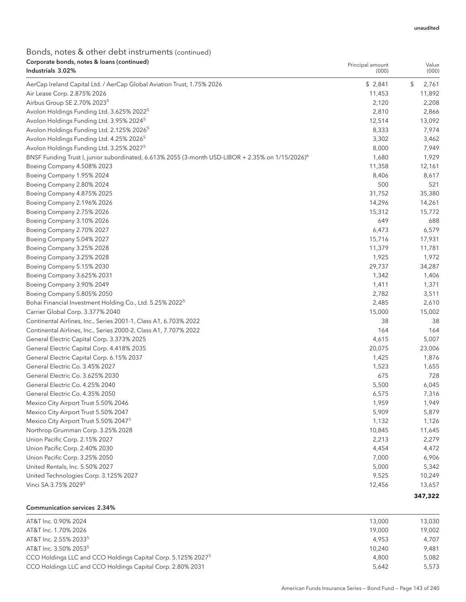| Corporate bonds, notes & loans (continued)<br>Industrials 3.02%                                              | Principal amount<br>(000) | Value<br>(000) |
|--------------------------------------------------------------------------------------------------------------|---------------------------|----------------|
| AerCap Ireland Capital Ltd. / AerCap Global Aviation Trust, 1.75% 2026                                       | \$2,841                   | \$<br>2,761    |
| Air Lease Corp. 2.875% 2026                                                                                  | 11,453                    | 11,892         |
| Airbus Group SE 2.70% 2023 <sup>5</sup>                                                                      | 2,120                     | 2,208          |
| Avolon Holdings Funding Ltd. 3.625% 2022 <sup>5</sup>                                                        | 2,810                     | 2,866          |
| Avolon Holdings Funding Ltd. 3.95% 2024 <sup>5</sup>                                                         | 12,514                    | 13,092         |
| Avolon Holdings Funding Ltd. 2.125% 2026 <sup>5</sup>                                                        | 8,333                     | 7,974          |
| Avolon Holdings Funding Ltd. 4.25% 2026 <sup>5</sup>                                                         | 3,302                     | 3,462          |
| Avolon Holdings Funding Ltd. 3.25% 2027 <sup>5</sup>                                                         | 8,000                     | 7,949          |
| BNSF Funding Trust I, junior subordinated, 6.613% 2055 (3-month USD-LIBOR + 2.35% on 1/15/2026) <sup>6</sup> | 1,680                     | 1,929          |
| Boeing Company 4.508% 2023                                                                                   | 11,358                    | 12,161         |
| Boeing Company 1.95% 2024                                                                                    | 8,406                     | 8,617          |
| Boeing Company 2.80% 2024                                                                                    | 500                       | 521            |
| Boeing Company 4.875% 2025                                                                                   | 31,752                    | 35,380         |
| Boeing Company 2.196% 2026                                                                                   | 14,296                    | 14,261         |
| Boeing Company 2.75% 2026                                                                                    | 15,312                    | 15,772         |
| Boeing Company 3.10% 2026                                                                                    | 649                       | 688            |
| Boeing Company 2.70% 2027                                                                                    | 6,473                     | 6,579          |
| Boeing Company 5.04% 2027                                                                                    | 15,716                    | 17,931         |
| Boeing Company 3.25% 2028                                                                                    | 11,379                    | 11,781         |
| Boeing Company 3.25% 2028                                                                                    | 1,925                     | 1,972          |
| Boeing Company 5.15% 2030                                                                                    | 29,737                    | 34,287         |
| Boeing Company 3.625% 2031                                                                                   | 1,342                     | 1,406          |
| Boeing Company 3.90% 2049                                                                                    | 1,411                     | 1,371          |
| Boeing Company 5.805% 2050                                                                                   | 2,782                     | 3,511          |
| Bohai Financial Investment Holding Co., Ltd. 5.25% 2022 <sup>5</sup>                                         | 2,485                     | 2,610          |
| Carrier Global Corp. 3.377% 2040                                                                             | 15,000                    | 15,002         |
| Continental Airlines, Inc., Series 2001-1, Class A1, 6.703% 2022                                             | 38                        | 38             |
| Continental Airlines, Inc., Series 2000-2, Class A1, 7.707% 2022                                             | 164                       | 164            |
| General Electric Capital Corp. 3.373% 2025                                                                   | 4,615                     | 5,007          |
| General Electric Capital Corp. 4.418% 2035                                                                   | 20,075                    | 23,006         |
| General Electric Capital Corp. 6.15% 2037                                                                    | 1,425                     | 1,876          |
| General Electric Co. 3.45% 2027                                                                              | 1,523                     | 1,655          |
| General Electric Co. 3.625% 2030                                                                             | 675                       | 728            |
| General Electric Co. 4.25% 2040                                                                              | 5,500                     | 6,045          |
| General Electric Co. 4.35% 2050                                                                              | 6,575                     | 7,316          |
| Mexico City Airport Trust 5.50% 2046                                                                         | 1,959                     | 1,949          |
| Mexico City Airport Trust 5.50% 2047                                                                         | 5,909                     | 5,879          |
| Mexico City Airport Trust 5.50% 2047 <sup>5</sup>                                                            | 1,132                     | 1,126          |
| Northrop Grumman Corp. 3.25% 2028                                                                            | 10,845                    | 11,645         |
| Union Pacific Corp. 2.15% 2027                                                                               | 2,213                     | 2,279          |
| Union Pacific Corp. 2.40% 2030                                                                               | 4,454                     | 4,472          |
| Union Pacific Corp. 3.25% 2050                                                                               | 7,000                     | 6,906          |
| United Rentals, Inc. 5.50% 2027                                                                              | 5,000                     | 5,342          |
| United Technologies Corp. 3.125% 2027                                                                        | 9,525                     | 10,249         |
| Vinci SA 3.75% 2029 <sup>5</sup>                                                                             | 12,456                    | 13,657         |
|                                                                                                              |                           | 347,322        |

#### Communication services 2.34%

| AT&T Inc. 0.90% 2024                                                     | 13,000 | 13.030 |
|--------------------------------------------------------------------------|--------|--------|
| AT&T Inc. 1.70% 2026                                                     | 19,000 | 19.002 |
| AT&T Inc. 2.55% 2033 <sup>5</sup>                                        | 4.953  | 4.707  |
| AT&T Inc. 3.50% 2053 <sup>5</sup>                                        | 10.240 | 9.481  |
| CCO Holdings LLC and CCO Holdings Capital Corp. 5.125% 2027 <sup>5</sup> | 4.800  | 5.082  |
| CCO Holdings LLC and CCO Holdings Capital Corp. 2.80% 2031               | 5.642  | 5.573  |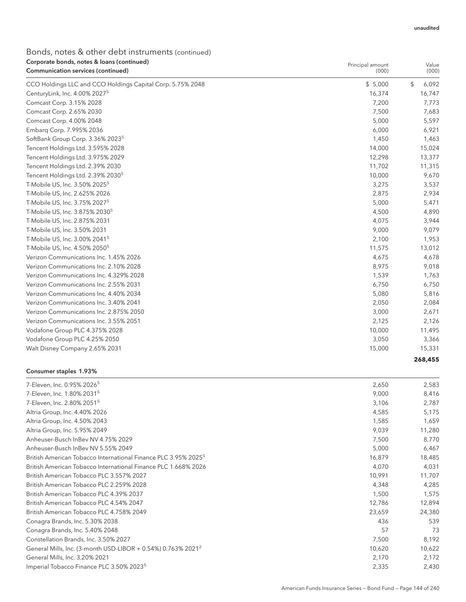Value

Principal amount

# Bonds, notes & other debt instruments (continued) Corporate bonds, notes & loans (continued)

| Communication services (continued)                         | (000)   | (000)       |
|------------------------------------------------------------|---------|-------------|
| CCO Holdings LLC and CCO Holdings Capital Corp. 5.75% 2048 | \$5,000 | \$<br>6,092 |
| CenturyLink, Inc. 4.00% 2027 <sup>5</sup>                  | 16,374  | 16,747      |
| Comcast Corp. 3.15% 2028                                   | 7,200   | 7,773       |
| Comcast Corp. 2.65% 2030                                   | 7,500   | 7,683       |
| Comcast Corp. 4.00% 2048                                   | 5,000   | 5,597       |
| Embarg Corp. 7.995% 2036                                   | 6,000   | 6,921       |
| SoftBank Group Corp. 3.36% 2023 <sup>5</sup>               | 1,450   | 1,463       |
| Tencent Holdings Ltd. 3.595% 2028                          | 14,000  | 15,024      |
| Tencent Holdings Ltd. 3.975% 2029                          | 12,298  | 13,377      |
| Tencent Holdings Ltd. 2.39% 2030                           | 11,702  | 11,315      |
| Tencent Holdings Ltd. 2.39% 2030 <sup>5</sup>              | 10,000  | 9,670       |
| T-Mobile US, Inc. 3.50% 2025 <sup>5</sup>                  | 3,275   | 3,537       |
| T-Mobile US, Inc. 2.625% 2026                              | 2,875   | 2,934       |
| T-Mobile US, Inc. 3.75% 2027 <sup>5</sup>                  | 5,000   | 5,471       |
| T-Mobile US, Inc. 3.875% 2030 <sup>5</sup>                 | 4,500   | 4,890       |
| T-Mobile US, Inc. 2.875% 2031                              | 4,075   | 3,944       |
| T-Mobile US, Inc. 3.50% 2031                               | 9,000   | 9,079       |
| T-Mobile US, Inc. 3.00% 2041 <sup>5</sup>                  | 2,100   | 1,953       |
| T-Mobile US, Inc. 4.50% 2050 <sup>5</sup>                  | 11,575  | 13,012      |
| Verizon Communications Inc. 1.45% 2026                     | 4,675   | 4,678       |
| Verizon Communications Inc. 2.10% 2028                     | 8,975   | 9,018       |
| Verizon Communications Inc. 4.329% 2028                    | 1,539   | 1,763       |
| Verizon Communications Inc. 2.55% 2031                     | 6,750   | 6,750       |
| Verizon Communications Inc. 4.40% 2034                     | 5,080   | 5,816       |
| Verizon Communications Inc. 3.40% 2041                     | 2,050   | 2,084       |
| Verizon Communications Inc. 2.875% 2050                    | 3,000   | 2,671       |
| Verizon Communications Inc. 3.55% 2051                     | 2,125   | 2,126       |
| Vodafone Group PLC 4.375% 2028                             | 10,000  | 11,495      |
| Vodafone Group PLC 4.25% 2050                              | 3,050   | 3,366       |
| Walt Disney Company 2.65% 2031                             | 15,000  | 15,331      |
|                                                            |         | 268,455     |

#### Consumer staples 1.93%

| 7-Eleven, Inc. 0.95% 2026 <sup>5</sup>                                     | 2,650  | 2,583  |
|----------------------------------------------------------------------------|--------|--------|
| 7-Eleven, Inc. 1.80% 2031 <sup>5</sup>                                     | 9,000  | 8,416  |
| 7-Eleven, Inc. 2.80% 2051 <sup>5</sup>                                     | 3,106  | 2,787  |
| Altria Group, Inc. 4.40% 2026                                              | 4,585  | 5,175  |
| Altria Group, Inc. 4.50% 2043                                              | 1,585  | 1,659  |
| Altria Group, Inc. 5.95% 2049                                              | 9,039  | 11,280 |
| Anheuser-Busch InBey NV 4.75% 2029                                         | 7,500  | 8,770  |
| Anheuser-Busch InBev NV 5.55% 2049                                         | 5,000  | 6,467  |
| British American Tobacco International Finance PLC 3.95% 2025 <sup>5</sup> | 16,879 | 18,485 |
| British American Tobacco International Finance PLC 1.668% 2026             | 4,070  | 4,031  |
| British American Tobacco PLC 3.557% 2027                                   | 10,991 | 11,707 |
| British American Tobacco PLC 2.259% 2028                                   | 4,348  | 4,285  |
| British American Tobacco PLC 4.39% 2037                                    | 1,500  | 1,575  |
| British American Tobacco PLC 4.54% 2047                                    | 12,786 | 12,894 |
| British American Tobacco PLC 4.758% 2049                                   | 23,659 | 24,380 |
| Conagra Brands, Inc. 5.30% 2038                                            | 436    | 539    |
| Conagra Brands, Inc. 5.40% 2048                                            | 57     | 73     |
| Constellation Brands, Inc. 3.50% 2027                                      | 7,500  | 8,192  |
| General Mills, Inc. (3-month USD-LIBOR + 0.54%) 0.763% 2021 <sup>2</sup>   | 10,620 | 10,622 |
| General Mills, Inc. 3.20% 2021                                             | 2,170  | 2,172  |
| Imperial Tobacco Finance PLC 3.50% 2023 <sup>5</sup>                       | 2,335  | 2,430  |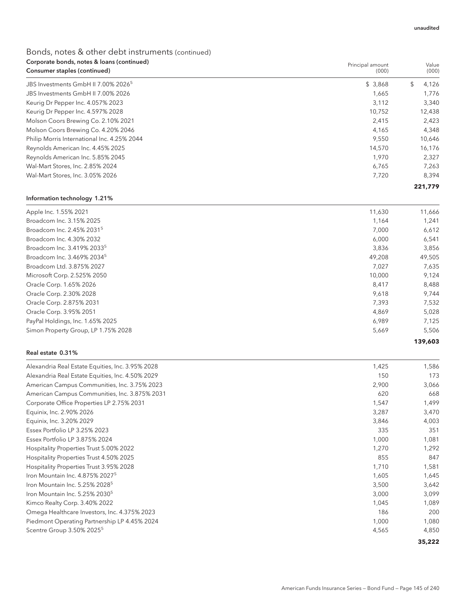| Corporate bonds, notes & Ioans (continued)<br>Consumer staples (continued) | Principal amount<br>(000) | Value<br>(000) |
|----------------------------------------------------------------------------|---------------------------|----------------|
| JBS Investments GmbH II 7.00% 2026 <sup>5</sup>                            | \$3,868                   | \$<br>4,126    |
| JBS Investments GmbH II 7.00% 2026                                         | 1,665                     | 1,776          |
| Keurig Dr Pepper Inc. 4.057% 2023                                          | 3,112                     | 3,340          |
| Keurig Dr Pepper Inc. 4.597% 2028                                          | 10.752                    | 12,438         |
| Molson Coors Brewing Co. 2.10% 2021                                        | 2,415                     | 2,423          |
| Molson Coors Brewing Co. 4.20% 2046                                        | 4.165                     | 4,348          |
| Philip Morris International Inc. 4.25% 2044                                | 9,550                     | 10,646         |
| Reynolds American Inc. 4.45% 2025                                          | 14.570                    | 16,176         |
| Reynolds American Inc. 5.85% 2045                                          | 1.970                     | 2,327          |
| Wal-Mart Stores, Inc. 2.85% 2024                                           | 6,765                     | 7,263          |
| Wal-Mart Stores, Inc. 3.05% 2026                                           | 7,720                     | 8,394          |
|                                                                            |                           | 221,779        |

## Information technology 1.21%

| Apple Inc. 1.55% 2021                  | 11,630 | 11,666  |
|----------------------------------------|--------|---------|
| Broadcom Inc. 3.15% 2025               | 1,164  | 1,241   |
| Broadcom Inc. 2.45% 2031 <sup>5</sup>  | 7.000  | 6,612   |
| Broadcom Inc. 4.30% 2032               | 6,000  | 6,541   |
| Broadcom Inc. 3.419% 2033 <sup>5</sup> | 3,836  | 3,856   |
| Broadcom Inc. 3.469% 2034 <sup>5</sup> | 49,208 | 49,505  |
| Broadcom Ltd. 3.875% 2027              | 7,027  | 7,635   |
| Microsoft Corp. 2.525% 2050            | 10,000 | 9,124   |
| Oracle Corp. 1.65% 2026                | 8,417  | 8,488   |
| Oracle Corp. 2.30% 2028                | 9,618  | 9,744   |
| Oracle Corp. 2.875% 2031               | 7,393  | 7,532   |
| Oracle Corp. 3.95% 2051                | 4,869  | 5,028   |
| PayPal Holdings, Inc. 1.65% 2025       | 6,989  | 7,125   |
| Simon Property Group, LP 1.75% 2028    | 5,669  | 5,506   |
|                                        |        | 139,603 |

#### Real estate 0.31%

| Alexandria Real Estate Equities, Inc. 3.95% 2028 | 1,425 | 1,586 |
|--------------------------------------------------|-------|-------|
| Alexandria Real Estate Equities, Inc. 4.50% 2029 | 150   | 173   |
| American Campus Communities, Inc. 3.75% 2023     | 2,900 | 3,066 |
| American Campus Communities, Inc. 3.875% 2031    | 620   | 668   |
| Corporate Office Properties LP 2.75% 2031        | 1,547 | 1,499 |
| Equinix, Inc. 2.90% 2026                         | 3,287 | 3,470 |
| Equinix, Inc. 3.20% 2029                         | 3,846 | 4,003 |
| Essex Portfolio LP 3.25% 2023                    | 335   | 351   |
| Essex Portfolio LP 3.875% 2024                   | 1,000 | 1,081 |
| Hospitality Properties Trust 5.00% 2022          | 1,270 | 1,292 |
| Hospitality Properties Trust 4.50% 2025          | 855   | 847   |
| Hospitality Properties Trust 3.95% 2028          | 1,710 | 1,581 |
| Iron Mountain Inc. 4.875% 2027 <sup>5</sup>      | 1,605 | 1,645 |
| Iron Mountain Inc. 5.25% 2028 <sup>5</sup>       | 3,500 | 3,642 |
| Iron Mountain Inc. 5.25% 2030 <sup>5</sup>       | 3,000 | 3,099 |
| Kimco Realty Corp. 3.40% 2022                    | 1.045 | 1.089 |
| Omega Healthcare Investors, Inc. 4.375% 2023     | 186   | 200   |
| Piedmont Operating Partnership LP 4.45% 2024     | 1,000 | 1,080 |
| Scentre Group 3.50% 2025 <sup>5</sup>            | 4,565 | 4,850 |
|                                                  |       |       |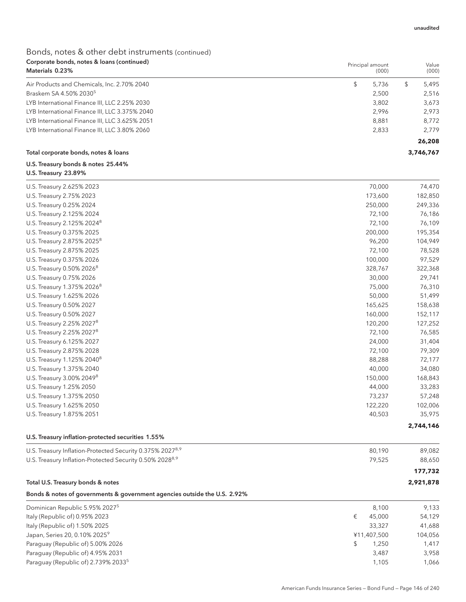Value

Principal amount

# Bonds, notes & other debt instruments (continued) Corporate bonds, notes & loans (continued)

| Materials 0.23%                                | (000) | (000)  |
|------------------------------------------------|-------|--------|
| Air Products and Chemicals, Inc. 2.70% 2040    | 5.736 | 5,495  |
| Braskem SA 4.50% 2030 <sup>5</sup>             | 2.500 | 2,516  |
| LYB International Finance III, LLC 2.25% 2030  | 3.802 | 3,673  |
| LYB International Finance III, LLC 3.375% 2040 | 2.996 | 2.973  |
| LYB International Finance III, LLC 3.625% 2051 | 8.881 | 8.772  |
| LYB International Finance III, LLC 3.80% 2060  | 2.833 | 2.779  |
|                                                |       | 26,208 |

### Total corporate bonds, notes & loans **3,746,767**

## U.S. Treasury bonds & notes 25.44% U.S. Treasury 23.89%

| U.S. Treasury 2.625% 2023              | 70,000  | 74,470    |
|----------------------------------------|---------|-----------|
| U.S. Treasury 2.75% 2023               | 173,600 | 182,850   |
| U.S. Treasury 0.25% 2024               | 250,000 | 249,336   |
| U.S. Treasury 2.125% 2024              | 72,100  | 76,186    |
| U.S. Treasury 2.125% 2024 <sup>8</sup> | 72,100  | 76,109    |
| U.S. Treasury 0.375% 2025              | 200,000 | 195,354   |
| U.S. Treasury 2.875% 2025 <sup>8</sup> | 96,200  | 104,949   |
| U.S. Treasury 2.875% 2025              | 72,100  | 78,528    |
| U.S. Treasury 0.375% 2026              | 100,000 | 97,529    |
| U.S. Treasury 0.50% 2026 <sup>8</sup>  | 328,767 | 322,368   |
| U.S. Treasury 0.75% 2026               | 30,000  | 29,741    |
| U.S. Treasury 1.375% 2026 <sup>8</sup> | 75,000  | 76,310    |
| U.S. Treasury 1.625% 2026              | 50,000  | 51,499    |
| U.S. Treasury 0.50% 2027               | 165,625 | 158,638   |
| U.S. Treasury 0.50% 2027               | 160,000 | 152,117   |
| U.S. Treasury 2.25% 2027 <sup>8</sup>  | 120,200 | 127,252   |
| U.S. Treasury 2.25% 2027 <sup>8</sup>  | 72,100  | 76,585    |
| U.S. Treasury 6.125% 2027              | 24,000  | 31,404    |
| U.S. Treasury 2.875% 2028              | 72,100  | 79,309    |
| U.S. Treasury 1.125% 2040 <sup>8</sup> | 88,288  | 72,177    |
| U.S. Treasury 1.375% 2040              | 40,000  | 34,080    |
| U.S. Treasury 3.00% 2049 <sup>8</sup>  | 150,000 | 168,843   |
| U.S. Treasury 1.25% 2050               | 44,000  | 33,283    |
| U.S. Treasury 1.375% 2050              | 73,237  | 57,248    |
| U.S. Treasury 1.625% 2050              | 122,220 | 102,006   |
| U.S. Treasury 1.875% 2051              | 40,503  | 35,975    |
|                                        |         | 2,744,146 |

#### U.S. Treasury inflation-protected securities 1.55%

| U.S. Treasury Inflation-Protected Security 0.375% 2027 <sup>8,9</sup>     | 80.190 | 89.082    |
|---------------------------------------------------------------------------|--------|-----------|
| U.S. Treasury Inflation-Protected Security 0.50% 2028 <sup>8,9</sup>      | 79.525 | 88.650    |
|                                                                           |        | 177,732   |
| Total U.S. Treasury bonds & notes                                         |        | 2,921,878 |
| Bonds & notes of governments & government agencies outside the U.S. 2.92% |        |           |
| Dominican Republic 5.95% 2027 <sup>5</sup>                                | 8.100  | 9.133     |
| Italy (Republic of) 0.95% 2023                                            | 45,000 | 54,129    |

Italy (Republic of) 1.50% 2025 33,327 41,688 Japan, Series 20, 0.10% 2025<sup>9</sup> ¥11,407,500 104,056 Paraguay (Republic of) 5.00% 2026 **\$ 1,417** 1,417 Paraguay (Republic of) 4.95% 2031 3,958 3,958 3,958 3,958 3,958 3,958 3,958 3,958 3,958 3,958 3,958 3,958 3,958 Paraguay (Republic of) 2.739% 2033<sup>5</sup> 2003 2003 2004 1, 2006 2014 2015 2016 2017 2018 2019 2019 2017 2018 2019 20<br><u>Paraguay (Republic of) 2.739% 2033</u>

| American Funds Insurance Series - Bond Fund - Page 146 of 240 |  |
|---------------------------------------------------------------|--|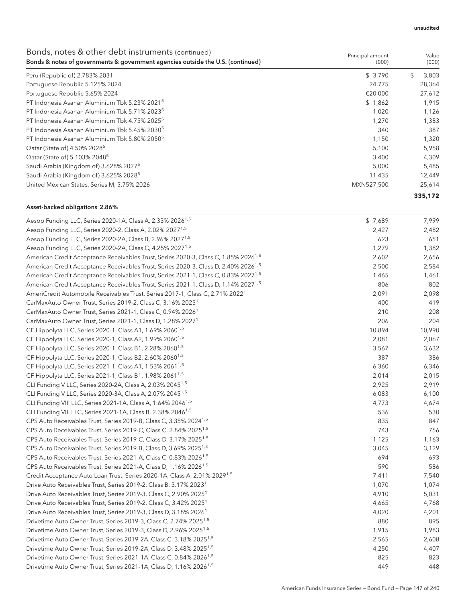| Bonds, notes & other debt instruments (continued)                               | Principal amount | Value   |
|---------------------------------------------------------------------------------|------------------|---------|
| Bonds & notes of governments & government agencies outside the U.S. (continued) | (000)            | (000)   |
| Peru (Republic of) 2.783% 2031                                                  | \$3.790          | 3,803   |
| Portuguese Republic 5.125% 2024                                                 | 24,775           | 28,364  |
| Portuguese Republic 5.65% 2024                                                  | €20,000          | 27,612  |
| PT Indonesia Asahan Aluminium Tbk 5.23% 2021 <sup>5</sup>                       | \$1,862          | 1,915   |
| PT Indonesia Asahan Aluminium Tbk 5.71% 2023 <sup>5</sup>                       | 1,020            | 1,126   |
| PT Indonesia Asahan Aluminium Tbk 4.75% 2025 <sup>5</sup>                       | 1,270            | 1,383   |
| PT Indonesia Asahan Aluminium Tbk 5.45% 2030 <sup>5</sup>                       | 340              | 387     |
| PT Indonesia Asahan Aluminium Tbk 5.80% 2050 <sup>5</sup>                       | 1,150            | 1,320   |
| Qatar (State of) 4.50% 2028 <sup>5</sup>                                        | 5,100            | 5,958   |
| Qatar (State of) 5.103% 2048 <sup>5</sup>                                       | 3,400            | 4,309   |
| Saudi Arabia (Kingdom of) 3.628% 2027 <sup>5</sup>                              | 5,000            | 5,485   |
| Saudi Arabia (Kingdom of) 3.625% 2028 <sup>5</sup>                              | 11,435           | 12,449  |
| United Mexican States, Series M, 5.75% 2026                                     | MXN527,500       | 25,614  |
|                                                                                 |                  | 335,172 |

## Asset-backed obligations 2.86%

| Aesop Funding LLC, Series 2020-1A, Class A, 2.33% 2026 <sup>1,5</sup>                           | \$7,689 | 7,999  |
|-------------------------------------------------------------------------------------------------|---------|--------|
| Aesop Funding LLC, Series 2020-2, Class A, 2.02% 2027 <sup>1,5</sup>                            | 2,427   | 2,482  |
| Aesop Funding LLC, Series 2020-2A, Class B, 2.96% 2027 <sup>1,5</sup>                           | 623     | 651    |
| Aesop Funding LLC, Series 2020-2A, Class C, 4.25% 2027 <sup>1,5</sup>                           | 1,279   | 1,382  |
| American Credit Acceptance Receivables Trust, Series 2020-3, Class C, 1.85% 2026 <sup>1,5</sup> | 2,602   | 2,656  |
| American Credit Acceptance Receivables Trust, Series 2020-3, Class D, 2.40% 2026 <sup>1,5</sup> | 2,500   | 2,584  |
| American Credit Acceptance Receivables Trust, Series 2021-1, Class C, 0.83% 2027 <sup>1,5</sup> | 1,465   | 1,461  |
| American Credit Acceptance Receivables Trust, Series 2021-1, Class D, 1.14% 2027 <sup>1,5</sup> | 806     | 802    |
| AmeriCredit Automobile Receivables Trust, Series 2017-1, Class C, 2.71% 2022 <sup>1</sup>       | 2,091   | 2,098  |
| CarMaxAuto Owner Trust, Series 2019-2, Class C, 3.16% 2025 <sup>1</sup>                         | 400     | 419    |
| CarMaxAuto Owner Trust, Series 2021-1, Class C, 0.94% 2026 <sup>1</sup>                         | 210     | 208    |
| CarMaxAuto Owner Trust, Series 2021-1, Class D, 1.28% 2027 <sup>1</sup>                         | 206     | 204    |
| CF Hippolyta LLC, Series 2020-1, Class A1, 1.69% 2060 <sup>1,5</sup>                            | 10,894  | 10,990 |
| CF Hippolyta LLC, Series 2020-1, Class A2, 1.99% 2060 <sup>1,5</sup>                            | 2,081   | 2,067  |
| CF Hippolyta LLC, Series 2020-1, Class B1, 2.28% 2060 <sup>1,5</sup>                            | 3,567   | 3,632  |
| CF Hippolyta LLC, Series 2020-1, Class B2, 2.60% 2060 <sup>1,5</sup>                            | 387     | 386    |
| CF Hippolyta LLC, Series 2021-1, Class A1, 1.53% 2061 <sup>1,5</sup>                            | 6,360   | 6,346  |
| CF Hippolyta LLC, Series 2021-1, Class B1, 1.98% 2061 <sup>1,5</sup>                            | 2,014   | 2,015  |
| CLI Funding V LLC, Series 2020-2A, Class A, 2.03% 2045 <sup>1,5</sup>                           | 2,925   | 2,919  |
| CLI Funding V LLC, Series 2020-3A, Class A, 2.07% 2045 <sup>1,5</sup>                           | 6,083   | 6,100  |
| CLI Funding VIII LLC, Series 2021-1A, Class A, 1.64% 2046 <sup>1,5</sup>                        | 4,773   | 4,674  |
| CLI Funding VIII LLC, Series 2021-1A, Class B, 2.38% 2046 <sup>1,5</sup>                        | 536     | 530    |
| CPS Auto Receivables Trust, Series 2019-B, Class C, 3.35% 2024 <sup>1,5</sup>                   | 835     | 847    |
| CPS Auto Receivables Trust, Series 2019-C, Class C, 2.84% 2025 <sup>1,5</sup>                   | 743     | 756    |
| CPS Auto Receivables Trust, Series 2019-C, Class D, 3.17% 2025 <sup>1,5</sup>                   | 1,125   | 1,163  |
| CPS Auto Receivables Trust, Series 2019-B, Class D, 3.69% 2025 <sup>1,5</sup>                   | 3,045   | 3,129  |
| CPS Auto Receivables Trust, Series 2021-A, Class C, 0.83% 2026 <sup>1,5</sup>                   | 694     | 693    |
| CPS Auto Receivables Trust, Series 2021-A, Class D, 1.16% 2026 <sup>1,5</sup>                   | 590     | 586    |
| Credit Acceptance Auto Loan Trust, Series 2020-1A, Class A, 2.01% 2029 <sup>1,5</sup>           | 7,411   | 7,540  |
| Drive Auto Receivables Trust, Series 2019-2, Class B, 3.17% 2023 <sup>1</sup>                   | 1,070   | 1,074  |
| Drive Auto Receivables Trust, Series 2019-3, Class C, 2.90% 2025 <sup>1</sup>                   | 4,910   | 5,031  |
| Drive Auto Receivables Trust, Series 2019-2, Class C, 3.42% 2025 <sup>1</sup>                   | 4,665   | 4,768  |
| Drive Auto Receivables Trust, Series 2019-3, Class D, 3.18% 2026 <sup>1</sup>                   | 4,020   | 4,201  |
| Drivetime Auto Owner Trust, Series 2019-3, Class C, 2.74% 2025 <sup>1,5</sup>                   | 880     | 895    |
| Drivetime Auto Owner Trust, Series 2019-3, Class D, 2.96% 2025 <sup>1,5</sup>                   | 1,915   | 1,983  |
| Drivetime Auto Owner Trust, Series 2019-2A, Class C, 3.18% 2025 <sup>1,5</sup>                  | 2,565   | 2,608  |
| Drivetime Auto Owner Trust, Series 2019-2A, Class D, 3.48% 2025 <sup>1,5</sup>                  | 4,250   | 4,407  |
| Drivetime Auto Owner Trust, Series 2021-1A, Class C, 0.84% 2026 <sup>1,5</sup>                  | 825     | 823    |
| Drivetime Auto Owner Trust, Series 2021-1A, Class D, 1.16% 2026 <sup>1,5</sup>                  | 449     | 448    |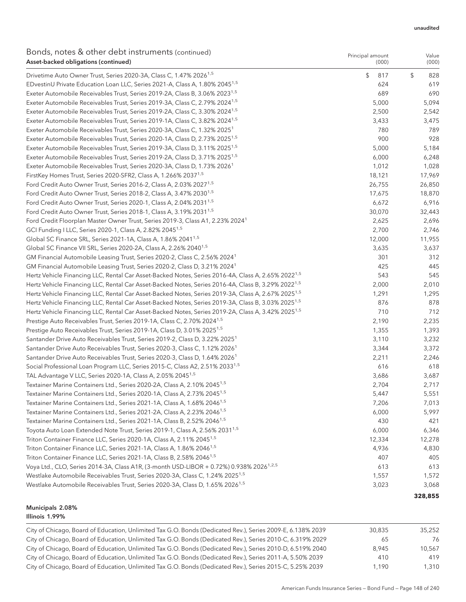Value

Principal amount

## Bonds, notes & other debt instruments (continued) Asset-backed obligations (continued)

| Asset-backed obligations (continued)                                                                           | (000)     | (000)     |
|----------------------------------------------------------------------------------------------------------------|-----------|-----------|
| Drivetime Auto Owner Trust, Series 2020-3A, Class C, 1.47% 2026 <sup>1,5</sup>                                 | \$<br>817 | \$<br>828 |
| EDvestinU Private Education Loan LLC, Series 2021-A, Class A, 1.80% 2045 <sup>1,5</sup>                        | 624       | 619       |
| Exeter Automobile Receivables Trust, Series 2019-2A, Class B, 3.06% 2023 <sup>1,5</sup>                        | 689       | 690       |
| Exeter Automobile Receivables Trust, Series 2019-3A, Class C, 2.79% 2024 <sup>1,5</sup>                        | 5,000     | 5,094     |
| Exeter Automobile Receivables Trust, Series 2019-2A, Class C, 3.30% 2024 <sup>1,5</sup>                        | 2,500     | 2,542     |
| Exeter Automobile Receivables Trust, Series 2019-1A, Class C, 3.82% 2024 <sup>1,5</sup>                        | 3,433     | 3,475     |
| Exeter Automobile Receivables Trust, Series 2020-3A, Class C, 1.32% 2025 <sup>1</sup>                          | 780       | 789       |
| Exeter Automobile Receivables Trust, Series 2020-1A, Class D, 2.73% 2025 <sup>1,5</sup>                        | 900       | 928       |
| Exeter Automobile Receivables Trust, Series 2019-3A, Class D, 3.11% 2025 <sup>1,5</sup>                        | 5,000     | 5,184     |
| Exeter Automobile Receivables Trust, Series 2019-2A, Class D, 3.71% 2025 <sup>1,5</sup>                        | 6,000     | 6,248     |
| Exeter Automobile Receivables Trust, Series 2020-3A, Class D, 1.73% 2026 <sup>1</sup>                          | 1,012     | 1,028     |
| FirstKey Homes Trust, Series 2020-SFR2, Class A, 1.266% 2037 <sup>1,5</sup>                                    | 18,121    | 17,969    |
| Ford Credit Auto Owner Trust, Series 2016-2, Class A, 2.03% 2027 <sup>1,5</sup>                                | 26,755    | 26,850    |
| Ford Credit Auto Owner Trust, Series 2018-2, Class A, 3.47% 2030 <sup>1,5</sup>                                | 17,675    | 18,870    |
| Ford Credit Auto Owner Trust, Series 2020-1, Class A, 2.04% 2031 <sup>1,5</sup>                                | 6,672     | 6,916     |
| Ford Credit Auto Owner Trust, Series 2018-1, Class A, 3.19% 2031 <sup>1,5</sup>                                | 30,070    | 32,443    |
| Ford Credit Floorplan Master Owner Trust, Series 2019-3, Class A1, 2.23% 2024 <sup>1</sup>                     | 2,625     | 2,696     |
| GCI Funding I LLC, Series 2020-1, Class A, 2.82% 2045 <sup>1,5</sup>                                           | 2,700     | 2,746     |
| Global SC Finance SRL, Series 2021-1A, Class A, 1.86% 2041 <sup>1,5</sup>                                      | 12,000    | 11,955    |
| Global SC Finance VII SRL, Series 2020-2A, Class A, 2.26% 2040 <sup>1,5</sup>                                  | 3,635     | 3,637     |
| GM Financial Automobile Leasing Trust, Series 2020-2, Class C, 2.56% 2024 <sup>1</sup>                         | 301       | 312       |
| GM Financial Automobile Leasing Trust, Series 2020-2, Class D, 3.21% 2024 <sup>1</sup>                         | 425       | 445       |
| Hertz Vehicle Financing LLC, Rental Car Asset-Backed Notes, Series 2016-4A, Class A, 2.65% 2022 <sup>1,5</sup> | 543       | 545       |
|                                                                                                                |           |           |
| Hertz Vehicle Financing LLC, Rental Car Asset-Backed Notes, Series 2016-4A, Class B, 3.29% 2022 <sup>1,5</sup> | 2,000     | 2,010     |
| Hertz Vehicle Financing LLC, Rental Car Asset-Backed Notes, Series 2019-3A, Class A, 2.67% 2025 <sup>1,5</sup> | 1,291     | 1,295     |
| Hertz Vehicle Financing LLC, Rental Car Asset-Backed Notes, Series 2019-3A, Class B, 3.03% 2025 <sup>1,5</sup> | 876       | 878       |
| Hertz Vehicle Financing LLC, Rental Car Asset-Backed Notes, Series 2019-2A, Class A, 3.42% 2025 <sup>1,5</sup> | 710       | 712       |
| Prestige Auto Receivables Trust, Series 2019-1A, Class C, 2.70% 2024 <sup>1,5</sup>                            | 2,190     | 2,235     |
| Prestige Auto Receivables Trust, Series 2019-1A, Class D, 3.01% 2025 <sup>1,5</sup>                            | 1,355     | 1,393     |
| Santander Drive Auto Receivables Trust, Series 2019-2, Class D, 3.22% 2025 <sup>1</sup>                        | 3,110     | 3,232     |
| Santander Drive Auto Receivables Trust, Series 2020-3, Class C, 1.12% 2026 <sup>1</sup>                        | 3,344     | 3,372     |
| Santander Drive Auto Receivables Trust, Series 2020-3, Class D, 1.64% 2026 <sup>1</sup>                        | 2,211     | 2,246     |
| Social Professional Loan Program LLC, Series 2015-C, Class A2, 2.51% 2033 <sup>1,5</sup>                       | 616       | 618       |
| TAL Advantage V LLC, Series 2020-1A, Class A, 2.05% 2045 <sup>1,5</sup>                                        | 3,686     | 3,687     |
| Textainer Marine Containers Ltd., Series 2020-2A, Class A, 2.10% 2045 <sup>1,5</sup>                           | 2,704     | 2,717     |
| Textainer Marine Containers Ltd., Series 2020-1A, Class A, 2.73% 2045 <sup>1,5</sup>                           | 5,447     | 5,551     |
| Textainer Marine Containers Ltd., Series 2021-1A, Class A, 1.68% 2046 <sup>1,5</sup>                           | 7,206     | 7,013     |
| Textainer Marine Containers Ltd., Series 2021-2A, Class A, 2.23% 2046 <sup>1,5</sup>                           | 6,000     | 5,997     |
| Textainer Marine Containers Ltd., Series 2021-1A, Class B, 2.52% 2046 <sup>1,5</sup>                           | 430       | 421       |
| Toyota Auto Loan Extended Note Trust, Series 2019-1, Class A, 2.56% 2031 <sup>1,5</sup>                        | 6,000     | 6,346     |
| Triton Container Finance LLC, Series 2020-1A, Class A, 2.11% 2045 <sup>1,5</sup>                               | 12,334    | 12,278    |
| Triton Container Finance LLC, Series 2021-1A, Class A, 1.86% 2046 <sup>1,5</sup>                               | 4,936     | 4,830     |
| Triton Container Finance LLC, Series 2021-1A, Class B, 2.58% 2046 <sup>1,5</sup>                               | 407       | 405       |
| Voya Ltd., CLO, Series 2014-3A, Class A1R, (3-month USD-LIBOR + 0.72%) 0.938% 2026 <sup>1,2,5</sup>            | 613       | 613       |
| Westlake Automobile Receivables Trust, Series 2020-3A, Class C, 1.24% 2025 <sup>1,5</sup>                      | 1,557     | 1,572     |
| Westlake Automobile Receivables Trust, Series 2020-3A, Class D, 1.65% 2026 <sup>1,5</sup>                      | 3,023     | 3,068     |
|                                                                                                                |           | 328,855   |
|                                                                                                                |           |           |

Municipals 2.08% Illinois 1.99%

| City of Chicago, Board of Education, Unlimited Tax G.O. Bonds (Dedicated Rev.), Series 2009-E, 6.138% 2039 | 30.835 | 35,252 |
|------------------------------------------------------------------------------------------------------------|--------|--------|
| City of Chicago, Board of Education, Unlimited Tax G.O. Bonds (Dedicated Rev.), Series 2010-C, 6.319% 2029 | 65     | 76     |
| City of Chicago, Board of Education, Unlimited Tax G.O. Bonds (Dedicated Rev.), Series 2010-D, 6.519% 2040 | 8.945  | 10.567 |
| City of Chicago, Board of Education, Unlimited Tax G.O. Bonds (Dedicated Rev.), Series 2011-A, 5.50% 2039  | 410    | 419    |
| City of Chicago, Board of Education, Unlimited Tax G.O. Bonds (Dedicated Rev.), Series 2015-C, 5.25% 2039  | 1.190  | 1.310  |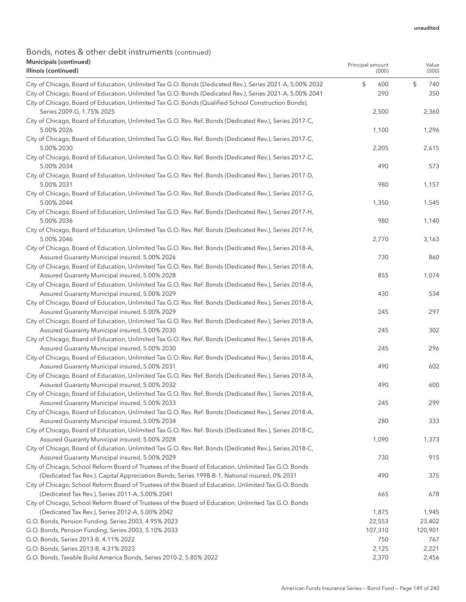# Bonds, notes & other debt instruments (continued) Municipals (continued)

| Municipals (continued)<br>Illinois (continued)                                                                                                                                                                                                                                                                                 | Principal amount<br>(000) | Value<br>(000)              |
|--------------------------------------------------------------------------------------------------------------------------------------------------------------------------------------------------------------------------------------------------------------------------------------------------------------------------------|---------------------------|-----------------------------|
| City of Chicago, Board of Education, Unlimited Tax G.O. Bonds (Dedicated Rev.), Series 2021-A, 5.00% 2032<br>City of Chicago, Board of Education, Unlimited Tax G.O. Bonds (Dedicated Rev.), Series 2021-A, 5.00% 2041<br>City of Chicago, Board of Education, Unlimited Tax G.O. Bonds (Qualified School Construction Bonds), | \$<br>600<br>290          | $\mathcal{Z}$<br>740<br>350 |
| Series 2009-G, 1.75% 2025<br>City of Chicago, Board of Education, Unlimited Tax G.O. Rev. Ref. Bonds (Dedicated Rev.), Series 2017-C,                                                                                                                                                                                          | 2,500                     | 2,360                       |
| 5.00% 2026<br>City of Chicago, Board of Education, Unlimited Tax G.O. Rev. Ref. Bonds (Dedicated Rev.), Series 2017-C,                                                                                                                                                                                                         | 1,100                     | 1,296                       |
| 5.00% 2030                                                                                                                                                                                                                                                                                                                     | 2,205                     | 2,615                       |
| City of Chicago, Board of Education, Unlimited Tax G.O. Rev. Ref. Bonds (Dedicated Rev.), Series 2017-C,<br>5.00% 2034                                                                                                                                                                                                         | 490                       | 573                         |
| City of Chicago, Board of Education, Unlimited Tax G.O. Rev. Ref. Bonds (Dedicated Rev.), Series 2017-D,<br>5.00% 2031                                                                                                                                                                                                         | 980                       | 1,157                       |
| City of Chicago, Board of Education, Unlimited Tax G.O. Rev. Ref. Bonds (Dedicated Rev.), Series 2017-G,<br>5.00% 2044                                                                                                                                                                                                         | 1,350                     | 1,545                       |
| City of Chicago, Board of Education, Unlimited Tax G.O. Rev. Ref. Bonds (Dedicated Rev.), Series 2017-H,<br>5.00% 2036                                                                                                                                                                                                         | 980                       | 1,140                       |
| City of Chicago, Board of Education, Unlimited Tax G.O. Rev. Ref. Bonds (Dedicated Rev.), Series 2017-H,<br>5.00% 2046                                                                                                                                                                                                         | 2,770                     | 3,163                       |
| City of Chicago, Board of Education, Unlimited Tax G.O. Rev. Ref. Bonds (Dedicated Rev.), Series 2018-A,<br>Assured Guaranty Municipal insured, 5.00% 2026                                                                                                                                                                     | 730                       | 860                         |
| City of Chicago, Board of Education, Unlimited Tax G.O. Rev. Ref. Bonds (Dedicated Rev.), Series 2018-A,<br>Assured Guaranty Municipal insured, 5.00% 2028                                                                                                                                                                     | 855                       | 1,074                       |
| City of Chicago, Board of Education, Unlimited Tax G.O. Rev. Ref. Bonds (Dedicated Rev.), Series 2018-A,                                                                                                                                                                                                                       |                           |                             |
| Assured Guaranty Municipal insured, 5.00% 2029<br>City of Chicago, Board of Education, Unlimited Tax G.O. Rev. Ref. Bonds (Dedicated Rev.), Series 2018-A,                                                                                                                                                                     | 430                       | 534                         |
| Assured Guaranty Municipal insured, 5.00% 2029<br>City of Chicago, Board of Education, Unlimited Tax G.O. Rev. Ref. Bonds (Dedicated Rev.), Series 2018-A,                                                                                                                                                                     | 245                       | 297                         |
| Assured Guaranty Municipal insured, 5.00% 2030<br>City of Chicago, Board of Education, Unlimited Tax G.O. Rev. Ref. Bonds (Dedicated Rev.), Series 2018-A,                                                                                                                                                                     | 245                       | 302                         |
| Assured Guaranty Municipal insured, 5.00% 2030<br>City of Chicago, Board of Education, Unlimited Tax G.O. Rev. Ref. Bonds (Dedicated Rev.), Series 2018-A,                                                                                                                                                                     | 245                       | 296                         |
| Assured Guaranty Municipal insured, 5.00% 2031<br>City of Chicago, Board of Education, Unlimited Tax G.O. Rev. Ref. Bonds (Dedicated Rev.), Series 2018-A,                                                                                                                                                                     | 490                       | 602                         |
| Assured Guaranty Municipal insured, 5.00% 2032<br>City of Chicago, Board of Education, Unlimited Tax G.O. Rev. Ref. Bonds (Dedicated Rev.), Series 2018-A,                                                                                                                                                                     | 490                       | 600                         |
| Assured Guaranty Municipal insured, 5.00% 2033                                                                                                                                                                                                                                                                                 | 245                       | 299                         |
| City of Chicago, Board of Education, Unlimited Tax G.O. Rev. Ref. Bonds (Dedicated Rev.), Series 2018-A,<br>Assured Guaranty Municipal insured, 5.00% 2034                                                                                                                                                                     | 280                       | 333                         |
| City of Chicago, Board of Education, Unlimited Tax G.O. Rev. Ref. Bonds (Dedicated Rev.), Series 2018-C,<br>Assured Guaranty Municipal insured, 5.00% 2028                                                                                                                                                                     | 1,090                     | 1,373                       |
| City of Chicago, Board of Education, Unlimited Tax G.O. Rev. Ref. Bonds (Dedicated Rev.), Series 2018-C,<br>Assured Guaranty Municipal insured, 5.00% 2029                                                                                                                                                                     | 730                       | 915                         |
| City of Chicago, School Reform Board of Trustees of the Board of Education, Unlimited Tax G.O. Bonds<br>(Dedicated Tax Rev.), Capital Appreciation Bonds, Series 1998-B-1, National insured, 0% 2031                                                                                                                           | 490                       | 375                         |
| City of Chicago, School Reform Board of Trustees of the Board of Education, Unlimited Tax G.O. Bonds<br>(Dedicated Tax Rev.), Series 2011-A, 5.00% 2041                                                                                                                                                                        | 665                       | 678                         |
| City of Chicago, School Reform Board of Trustees of the Board of Education, Unlimited Tax G.O. Bonds<br>(Dedicated Tax Rev.), Series 2012-A, 5.00% 2042                                                                                                                                                                        | 1,875                     | 1,945                       |
| G.O. Bonds, Pension Funding, Series 2003, 4.95% 2023                                                                                                                                                                                                                                                                           | 22,553                    | 23,402                      |
| G.O. Bonds, Pension Funding, Series 2003, 5.10% 2033                                                                                                                                                                                                                                                                           | 107,310                   | 120,901                     |
| G.O. Bonds, Series 2013-B, 4.11% 2022                                                                                                                                                                                                                                                                                          | 750                       | 767                         |
| G.O. Bonds, Series 2013-B, 4.31% 2023                                                                                                                                                                                                                                                                                          | 2,125                     | 2,221                       |
| G.O. Bonds, Taxable Build America Bonds, Series 2010-2, 5.85% 2022                                                                                                                                                                                                                                                             | 2,370                     | 2,456                       |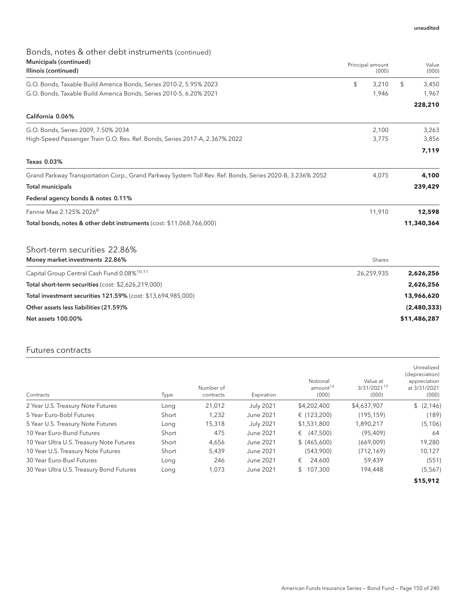# Bonds, notes & other debt instruments (continued) Municipals (continued)

| Municipals (continued)<br>Illinois (continued)                                                            | Principal amount<br>(000) | Value<br>(000) |
|-----------------------------------------------------------------------------------------------------------|---------------------------|----------------|
| G.O. Bonds, Taxable Build America Bonds, Series 2010-2, 5.95% 2023                                        | \$<br>3,210               | \$<br>3,450    |
| G.O. Bonds, Taxable Build America Bonds, Series 2010-5, 6.20% 2021                                        | 1,946                     | 1,967          |
|                                                                                                           |                           | 228,210        |
| California 0.06%                                                                                          |                           |                |
| G.O. Bonds, Series 2009, 7.50% 2034                                                                       | 2,100                     | 3,263          |
| High-Speed Passenger Train G.O. Rev. Ref. Bonds, Series 2017-A, 2.367% 2022                               | 3,775                     | 3,856          |
|                                                                                                           |                           | 7,119          |
| Texas 0.03%                                                                                               |                           |                |
| Grand Parkway Transportation Corp., Grand Parkway System Toll Rev. Ref. Bonds, Series 2020-B, 3.236% 2052 | 4,075                     | 4,100          |
| <b>Total municipals</b>                                                                                   |                           | 239,429        |
| Federal agency bonds & notes 0.11%                                                                        |                           |                |
| Fannie Mae 2.125% 2026 <sup>8</sup>                                                                       | 11,910                    | 12,598         |
| Total bonds, notes & other debt instruments (cost: \$11,068,766,000)                                      |                           | 11,340,364     |
| Short-term securities 22.86%                                                                              |                           |                |
| Money market investments 22.86%                                                                           | Shares                    |                |
| Capital Group Central Cash Fund 0.08% <sup>10,11</sup>                                                    | 26,259,935                | 2,626,256      |
| Total short-term securities (cost: \$2,626,219,000)                                                       |                           | 2,626,256      |
| Total investment securities 121.59% (cost: \$13,694,985,000)                                              |                           | 13,966,620     |
| Other assets less liabilities (21.59)%                                                                    |                           | (2,480,333)    |
| <b>Net assets 100.00%</b>                                                                                 |                           | \$11,486,287   |
|                                                                                                           |                           |                |

## Futures contracts

| Contracts                                | Type  | Number of<br>contracts | Expiration       | Notional<br>amount <sup>12</sup><br>(000) | Value at<br>3/31/202113<br>(000) | Unrealized<br>(depreciation)<br>appreciation<br>at 3/31/2021<br>(000) |
|------------------------------------------|-------|------------------------|------------------|-------------------------------------------|----------------------------------|-----------------------------------------------------------------------|
| 2 Year U.S. Treasury Note Futures        | Long  | 21,012                 | <b>July 2021</b> | \$4,202,400                               | \$4,637,907                      | \$(2,146)                                                             |
| 5 Year Euro-Bobl Futures                 | Short | 1,232                  | June 2021        | € $(123,200)$                             | (195, 159)                       | (189)                                                                 |
| 5 Year U.S. Treasury Note Futures        | Long  | 15,318                 | <b>July 2021</b> | \$1,531,800                               | 1,890,217                        | (5, 106)                                                              |
| 10 Year Euro-Bund Futures                | Short | 475                    | June 2021        | (47,500)<br>€                             | (95, 409)                        | 64                                                                    |
| 10 Year Ultra U.S. Treasury Note Futures | Short | 4,656                  | June 2021        | \$ (465,600)                              | (669,009)                        | 19,280                                                                |
| 10 Year U.S. Treasury Note Futures       | Short | 5,439                  | June 2021        | (543,900)                                 | (712, 169)                       | 10,127                                                                |
| 30 Year Euro-Buxl Futures                | Long  | 246                    | June 2021        | 24.600<br>€                               | 59,439                           | (551)                                                                 |
| 30 Year Ultra U.S. Treasury Bond Futures | Long  | 1,073                  | June 2021        | 107,300<br>\$.                            | 194,448                          | (5, 567)                                                              |
|                                          |       |                        |                  |                                           |                                  | \$15,912                                                              |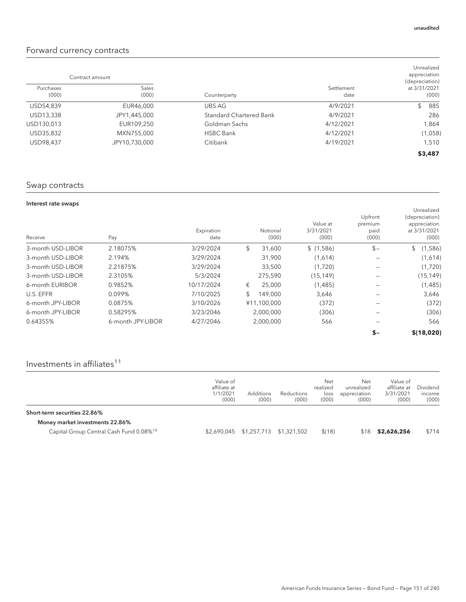# Forward currency contracts

|                    | Contract amount |                         |                    | Unrealized<br>appreciation<br>(depreciation) |
|--------------------|-----------------|-------------------------|--------------------|----------------------------------------------|
| Purchases<br>(000) | Sales<br>(000)  | Counterparty            | Settlement<br>date | at 3/31/2021<br>(000)                        |
| USD54,839          | EUR46,000       | UBS AG                  | 4/9/2021           | 885<br>\$.                                   |
| USD13,338          | JPY1,445,000    | Standard Chartered Bank | 4/9/2021           | 286                                          |
| USD130,013         | EUR109,250      | Goldman Sachs           | 4/12/2021          | 1,864                                        |
| USD35,832          | MXN755,000      | <b>HSBC Bank</b>        | 4/12/2021          | (1,058)                                      |
| USD98,437          | JPY10,730,000   | Citibank                | 4/19/2021          | 1,510                                        |
|                    |                 |                         |                    | \$3,487                                      |

# Swap contracts

## Interest rate swaps

| Receive           | Pay               | Expiration<br>date |    | Notional<br>(000) | Value at<br>3/31/2021<br>(000) | Upfront<br>premium<br>paid<br>(000) | Unrealized<br>(depreciation)<br>appreciation<br>at 3/31/2021<br>(000) |
|-------------------|-------------------|--------------------|----|-------------------|--------------------------------|-------------------------------------|-----------------------------------------------------------------------|
| 3-month USD-LIBOR | 2.18075%          | 3/29/2024          | \$ | 31,600            | \$(1,586)                      | $s-$                                | (1,586)<br>\$                                                         |
| 3-month USD-LIBOR | 2.194%            | 3/29/2024          |    | 31,900            | (1,614)                        |                                     | (1,614)                                                               |
| 3-month USD-LIBOR | 2.21875%          | 3/29/2024          |    | 33,500            | (1,720)                        |                                     | (1,720)                                                               |
| 3-month USD-LIBOR | 2.3105%           | 5/3/2024           |    | 275,590           | (15, 149)                      |                                     | (15, 149)                                                             |
| 6-month EURIBOR   | 0.9852%           | 10/17/2024         | €  | 25,000            | (1,485)                        |                                     | (1, 485)                                                              |
| U.S. EFFR         | 0.099%            | 7/10/2025          | \$ | 149,000           | 3,646                          |                                     | 3,646                                                                 |
| 6-month JPY-LIBOR | 0.0875%           | 3/10/2026          |    | ¥11,100,000       | (372)                          |                                     | (372)                                                                 |
| 6-month JPY-LIBOR | 0.58295%          | 3/23/2046          |    | 2,000,000         | (306)                          |                                     | (306)                                                                 |
| 0.64355%          | 6-month JPY-LIBOR | 4/27/2046          |    | 2,000,000         | 566                            |                                     | 566                                                                   |
|                   |                   |                    |    |                   |                                | $S-$                                | \$(18,020)                                                            |

# Investments in affiliates $11$

|                                                                                        | Value of<br>affiliate at<br>1/1/2021<br>(000) | <b>Additions</b><br>(000)           | Reductions<br>(000) | Net<br>realized<br>loss<br>(000) | Net<br>unrealized<br>appreciation<br>(000) | Value of<br>affiliate at<br>3/31/2021<br>(000) | Dividend<br>income<br>(000) |
|----------------------------------------------------------------------------------------|-----------------------------------------------|-------------------------------------|---------------------|----------------------------------|--------------------------------------------|------------------------------------------------|-----------------------------|
| Short-term securities 22.86%                                                           |                                               |                                     |                     |                                  |                                            |                                                |                             |
| Money market investments 22.86%<br>Capital Group Central Cash Fund 0.08% <sup>10</sup> |                                               | \$2,690,045 \$1,257,713 \$1,321,502 |                     | \$(18)                           | \$18                                       | \$2,626,256                                    | \$714                       |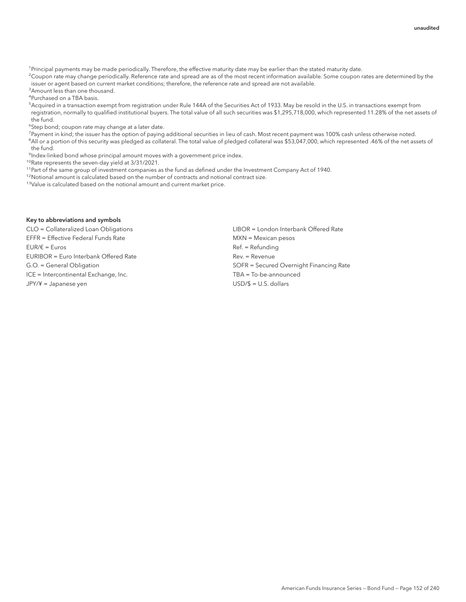<sup>1</sup>Principal payments may be made periodically. Therefore, the effective maturity date may be earlier than the stated maturity date.

 $^2$ Coupon rate may change periodically. Reference rate and spread are as of the most recent information available. Some coupon rates are determined by the issuer or agent based on current market conditions; therefore, the reference rate and spread are not available.

<sup>3</sup> Amount less than one thousand.

4 Purchased on a TBA basis.

5 Acquired in a transaction exempt from registration under Rule 144A of the Securities Act of 1933. May be resold in the U.S. in transactions exempt from registration, normally to qualified institutional buyers. The total value of all such securities was \$1,295,718,000, which represented 11.28% of the net assets of the fund.

<sup>6</sup>Step bond; coupon rate may change at a later date.

<sup>7</sup>Payment in kind; the issuer has the option of paying additional securities in lieu of cash. Most recent payment was 100% cash unless otherwise noted.

8 All or a portion of this security was pledged as collateral. The total value of pledged collateral was \$53,047,000, which represented .46% of the net assets of the fund.

<sup>9</sup>Index-linked bond whose principal amount moves with a government price index.

10Rate represents the seven-day yield at 3/31/2021.

<sup>11</sup>Part of the same group of investment companies as the fund as defined under the Investment Company Act of 1940.

 $12$ Notional amount is calculated based on the number of contracts and notional contract size.

<sup>13</sup>Value is calculated based on the notional amount and current market price.

#### Key to abbreviations and symbols

CLO = Collateralized Loan Obligations LIBOR = London Interbank Offered Rate EFFR = Effective Federal Funds Rate MXN = Mexican pesos  $EUR/\varepsilon$  = Euros Ref. = Refunding EURIBOR = Euro Interbank Offered Rate The Rev. = Revenue Rev. = Revenue ICE = Intercontinental Exchange, Inc. TBA = To-be-announced JPY/¥ = Japanese yen USD/\$ = U.S. dollars

G.O. = General Obligation SOFR = Secured Overnight Financing Rate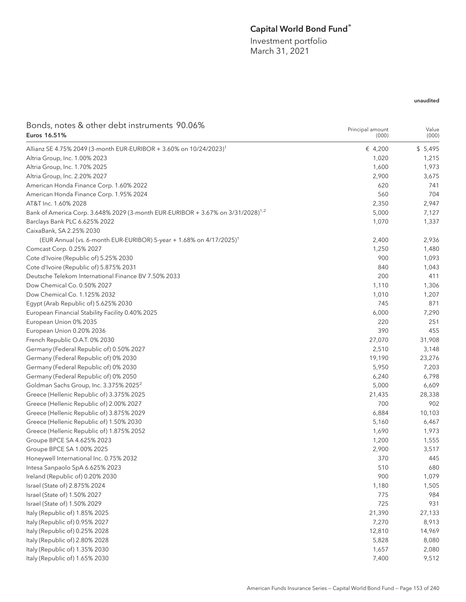# Capital World Bond Fund®

Investment portfolio March 31, 2021

| Bonds, notes & other debt instruments 90.06%<br>Euros 16.51%                                | Principal amount<br>(000) | Value<br>(000) |
|---------------------------------------------------------------------------------------------|---------------------------|----------------|
| Allianz SE 4.75% 2049 (3-month EUR-EURIBOR + 3.60% on 10/24/2023) <sup>1</sup>              | € 4,200                   | \$5,495        |
| Altria Group, Inc. 1.00% 2023                                                               | 1,020                     | 1,215          |
| Altria Group, Inc. 1.70% 2025                                                               | 1,600                     | 1,973          |
| Altria Group, Inc. 2.20% 2027                                                               | 2,900                     | 3,675          |
| American Honda Finance Corp. 1.60% 2022                                                     | 620                       | 741            |
| American Honda Finance Corp. 1.95% 2024                                                     | 560                       | 704            |
| AT&T Inc. 1.60% 2028                                                                        | 2,350                     | 2,947          |
| Bank of America Corp. 3.648% 2029 (3-month EUR-EURIBOR + 3.67% on 3/31/2028) <sup>1,2</sup> | 5,000                     | 7,127          |
| Barclays Bank PLC 6.625% 2022                                                               | 1,070                     | 1,337          |
| CaixaBank, SA 2.25% 2030                                                                    |                           |                |
| (EUR Annual (vs. 6-month EUR-EURIBOR) 5-year + 1.68% on 4/17/2025) <sup>1</sup>             | 2,400                     | 2,936          |
| Comcast Corp. 0.25% 2027                                                                    | 1,250                     | 1,480          |
| Cote d'Ivoire (Republic of) 5.25% 2030                                                      | 900                       | 1,093          |
| Cote d'Ivoire (Republic of) 5.875% 2031                                                     | 840                       | 1,043          |
| Deutsche Telekom International Finance BV 7.50% 2033                                        | 200                       | 411            |
| Dow Chemical Co. 0.50% 2027                                                                 | 1,110                     | 1,306          |
| Dow Chemical Co. 1.125% 2032                                                                | 1,010                     | 1,207          |
| Egypt (Arab Republic of) 5.625% 2030                                                        | 745                       | 871            |
| European Financial Stability Facility 0.40% 2025                                            | 6,000                     | 7,290          |
| European Union 0% 2035                                                                      | 220                       | 251            |
| European Union 0.20% 2036                                                                   | 390                       | 455            |
| French Republic O.A.T. 0% 2030                                                              | 27,070                    | 31,908         |
| Germany (Federal Republic of) 0.50% 2027                                                    | 2,510                     | 3,148          |
| Germany (Federal Republic of) 0% 2030                                                       | 19,190                    | 23,276         |
| Germany (Federal Republic of) 0% 2030                                                       | 5,950                     | 7,203          |
| Germany (Federal Republic of) 0% 2050                                                       | 6,240                     | 6,798          |
| Goldman Sachs Group, Inc. 3.375% 2025 <sup>2</sup>                                          | 5,000                     | 6,609          |
| Greece (Hellenic Republic of) 3.375% 2025                                                   | 21,435                    | 28,338         |
| Greece (Hellenic Republic of) 2.00% 2027                                                    | 700                       | 902            |
| Greece (Hellenic Republic of) 3.875% 2029                                                   | 6,884                     | 10,103         |
| Greece (Hellenic Republic of) 1.50% 2030                                                    | 5,160                     | 6,467          |
| Greece (Hellenic Republic of) 1.875% 2052                                                   | 1,690                     | 1,973          |
| Groupe BPCE SA 4.625% 2023                                                                  | 1,200                     | 1,555          |
| Groupe BPCE SA 1.00% 2025                                                                   | 2,900                     | 3,517          |
| Honeywell International Inc. 0.75% 2032                                                     | 370                       | 445            |
| Intesa Sanpaolo SpA 6.625% 2023                                                             | 510                       | 680            |
| Ireland (Republic of) 0.20% 2030                                                            | 900                       | 1,079          |
| Israel (State of) 2.875% 2024                                                               | 1,180                     | 1,505          |
| Israel (State of) 1.50% 2027                                                                | 775                       | 984            |
| Israel (State of) 1.50% 2029                                                                | 725                       | 931            |
| Italy (Republic of) 1.85% 2025                                                              | 21,390                    | 27,133         |
| Italy (Republic of) 0.95% 2027                                                              | 7,270                     | 8,913          |
| Italy (Republic of) 0.25% 2028                                                              | 12,810                    | 14,969         |
| Italy (Republic of) 2.80% 2028                                                              | 5,828                     | 8,080          |
| Italy (Republic of) 1.35% 2030                                                              | 1,657                     | 2,080          |
| Italy (Republic of) 1.65% 2030                                                              | 7,400                     | 9,512          |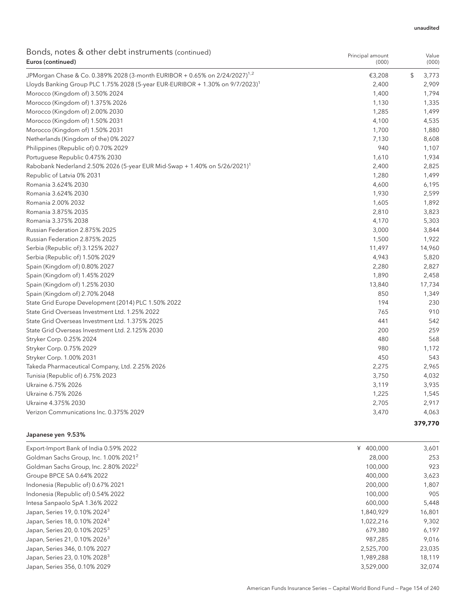| Bonds, notes & other debt instruments (continued)<br>Euros (continued)                    | Principal amount<br>(000) | Value<br>(000) |
|-------------------------------------------------------------------------------------------|---------------------------|----------------|
| JPMorgan Chase & Co. 0.389% 2028 (3-month EURIBOR + 0.65% on 2/24/2027) <sup>1,2</sup>    | €3,208                    | \$<br>3,773    |
| Lloyds Banking Group PLC 1.75% 2028 (5-year EUR-EURIBOR + 1.30% on 9/7/2023) <sup>1</sup> | 2,400                     | 2,909          |
| Morocco (Kingdom of) 3.50% 2024                                                           | 1,400                     | 1,794          |
| Morocco (Kingdom of) 1.375% 2026                                                          | 1,130                     | 1,335          |
| Morocco (Kingdom of) 2.00% 2030                                                           | 1,285                     | 1,499          |
| Morocco (Kingdom of) 1.50% 2031                                                           | 4,100                     | 4,535          |
| Morocco (Kingdom of) 1.50% 2031                                                           | 1,700                     | 1,880          |
| Netherlands (Kingdom of the) 0% 2027                                                      | 7,130                     | 8,608          |
| Philippines (Republic of) 0.70% 2029                                                      | 940                       | 1,107          |
| Portuguese Republic 0.475% 2030                                                           | 1,610                     | 1,934          |
| Rabobank Nederland 2.50% 2026 (5-year EUR Mid-Swap + 1.40% on 5/26/2021) <sup>1</sup>     | 2,400                     | 2,825          |
| Republic of Latvia 0% 2031                                                                | 1,280                     | 1,499          |
| Romania 3.624% 2030                                                                       | 4,600                     | 6,195          |
| Romania 3.624% 2030                                                                       | 1,930                     | 2,599          |
| Romania 2.00% 2032                                                                        | 1,605                     | 1,892          |
| Romania 3.875% 2035                                                                       | 2,810                     | 3,823          |
| Romania 3.375% 2038                                                                       | 4,170                     | 5,303          |
| Russian Federation 2.875% 2025                                                            | 3,000                     | 3,844          |
| Russian Federation 2.875% 2025                                                            | 1,500                     | 1,922          |
| Serbia (Republic of) 3.125% 2027                                                          | 11,497                    | 14,960         |
| Serbia (Republic of) 1.50% 2029                                                           | 4,943                     | 5,820          |
| Spain (Kingdom of) 0.80% 2027                                                             | 2,280                     | 2,827          |
| Spain (Kingdom of) 1.45% 2029                                                             | 1,890                     | 2,458          |
| Spain (Kingdom of) 1.25% 2030                                                             | 13,840                    | 17,734         |
| Spain (Kingdom of) 2.70% 2048                                                             | 850                       | 1,349          |
| State Grid Europe Development (2014) PLC 1.50% 2022                                       | 194                       | 230            |
| State Grid Overseas Investment Ltd. 1.25% 2022                                            | 765                       | 910            |
| State Grid Overseas Investment Ltd. 1.375% 2025                                           | 441                       | 542            |
| State Grid Overseas Investment Ltd. 2.125% 2030                                           | 200                       | 259            |
| Stryker Corp. 0.25% 2024                                                                  | 480                       | 568            |
| Stryker Corp. 0.75% 2029                                                                  | 980                       | 1,172          |
| Stryker Corp. 1.00% 2031                                                                  | 450                       | 543            |
| Takeda Pharmaceutical Company, Ltd. 2.25% 2026                                            | 2,275                     | 2,965          |
| Tunisia (Republic of) 6.75% 2023                                                          | 3,750                     | 4,032          |
| Ukraine 6.75% 2026                                                                        | 3,119                     | 3,935          |
| Ukraine 6.75% 2026                                                                        | 1,225                     | 1,545          |
| Ukraine 4.375% 2030                                                                       | 2,705                     | 2,917          |
| Verizon Communications Inc. 0.375% 2029                                                   | 3,470                     | 4,063          |
|                                                                                           |                           | 379,770        |

## Japanese yen 9.53%

| Export-Import Bank of India 0.59% 2022            | 400,000<br>¥ | 3,601  |
|---------------------------------------------------|--------------|--------|
| Goldman Sachs Group, Inc. 1.00% 2021 <sup>2</sup> | 28,000       | 253    |
| Goldman Sachs Group, Inc. 2.80% 2022 <sup>2</sup> | 100.000      | 923    |
| Groupe BPCE SA 0.64% 2022                         | 400,000      | 3,623  |
| Indonesia (Republic of) 0.67% 2021                | 200,000      | 1,807  |
| Indonesia (Republic of) 0.54% 2022                | 100,000      | 905    |
| Intesa Sanpaolo SpA 1.36% 2022                    | 600.000      | 5,448  |
| Japan, Series 19, 0.10% 2024 <sup>3</sup>         | 1,840,929    | 16,801 |
| Japan, Series 18, 0.10% 2024 <sup>3</sup>         | 1,022,216    | 9,302  |
| Japan, Series 20, 0.10% 2025 <sup>3</sup>         | 679.380      | 6,197  |
| Japan, Series 21, 0.10% 2026 <sup>3</sup>         | 987.285      | 9,016  |
| Japan, Series 346, 0.10% 2027                     | 2,525,700    | 23,035 |
| Japan, Series 23, 0.10% 2028 <sup>3</sup>         | 1,989,288    | 18,119 |
| Japan, Series 356, 0.10% 2029                     | 3,529,000    | 32.074 |

American Funds Insurance Series — Capital World Bond Fund — Page 154 of 240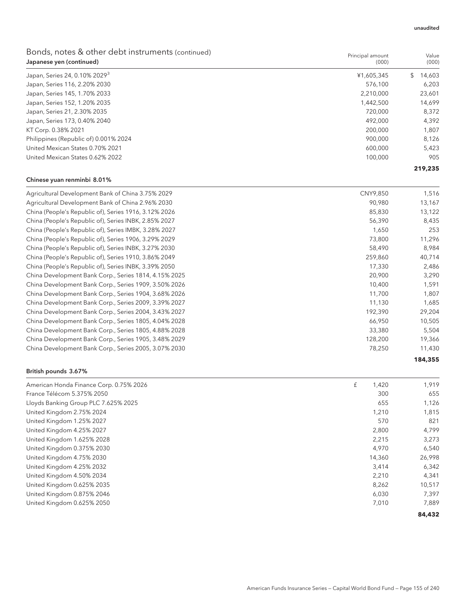# Principal amount (000)

| DONOS, NOTES & OTHER GEDT INSTRUMENTS (COMMODED)<br>Japanese yen (continued) | Principal amount<br>(000) | Value<br>(000) |
|------------------------------------------------------------------------------|---------------------------|----------------|
| Japan, Series 24, 0.10% 2029 <sup>3</sup>                                    | ¥1,605,345                | \$<br>14,603   |
| Japan, Series 116, 2.20% 2030                                                | 576,100                   | 6,203          |
| Japan, Series 145, 1.70% 2033                                                | 2,210,000                 | 23,601         |
| Japan, Series 152, 1.20% 2035                                                | 1,442,500                 | 14,699         |
| Japan, Series 21, 2.30% 2035                                                 | 720,000                   | 8,372          |
| Japan, Series 173, 0.40% 2040                                                | 492,000                   | 4,392          |
| KT Corp. 0.38% 2021                                                          | 200,000                   | 1,807          |
| Philippines (Republic of) 0.001% 2024                                        | 900,000                   | 8,126          |
| United Mexican States 0.70% 2021                                             | 600,000                   | 5,423          |
| United Mexican States 0.62% 2022                                             | 100,000                   | 905            |
|                                                                              |                           | 219,235        |
| Chinese yuan renminbi 8.01%                                                  |                           |                |
| Agricultural Development Bank of China 3.75% 2029                            | CNY9,850                  | 1,516          |
| Agricultural Development Bank of China 2.96% 2030                            | 90,980                    | 13,167         |
| China (People's Republic of), Series 1916, 3.12% 2026                        | 85,830                    | 13,122         |
| China (People's Republic of), Series INBK, 2.85% 2027                        | 56,390                    | 8,435          |
| China (People's Republic of), Series IMBK, 3.28% 2027                        | 1,650                     | 253            |
| China (People's Republic of), Series 1906, 3.29% 2029                        | 73,800                    | 11,296         |
| China (People's Republic of), Series INBK, 3.27% 2030                        | 58,490                    | 8,984          |
| China (People's Republic of), Series 1910, 3.86% 2049                        | 259,860                   | 40,714         |
| China (People's Republic of), Series INBK, 3.39% 2050                        | 17,330                    | 2,486          |
| China Development Bank Corp., Series 1814, 4.15% 2025                        | 20,900                    | 3,290          |
| China Development Bank Corp., Series 1909, 3.50% 2026                        | 10,400                    | 1,591          |
| China Development Bank Corp., Series 1904, 3.68% 2026                        | 11,700                    | 1,807          |
| China Development Bank Corp., Series 2009, 3.39% 2027                        | 11,130                    | 1,685          |
| China Development Bank Corp., Series 2004, 3.43% 2027                        | 192,390                   | 29,204         |
| China Development Bank Corp., Series 1805, 4.04% 2028                        | 66,950                    | 10,505         |
| China Development Bank Corp., Series 1805, 4.88% 2028                        | 33,380                    | 5,504          |
| China Development Bank Corp., Series 1905, 3.48% 2029                        | 128,200                   | 19,366         |
| China Development Bank Corp., Series 2005, 3.07% 2030                        | 78,250                    | 11,430         |
| British pounds 3.67%                                                         |                           | 184,355        |
| American Honda Finance Corp. 0.75% 2026                                      | £<br>1,420                | 1,919          |
| France Télécom 5 375% 2050                                                   | 300                       | 655            |

Bonds, notes & other debt instruments (continued)

|                                                                |                                                               | 84,432   |
|----------------------------------------------------------------|---------------------------------------------------------------|----------|
| United Kingdom 0.625% 2050                                     | 7,010                                                         | 7,889    |
| United Kingdom 0.875% 2046                                     | 6,030                                                         | 7,397    |
| United Kingdom 0.625% 2035                                     | 8,262                                                         | 10,517   |
| United Kingdom 4.50% 2034                                      | 2,210                                                         | 4,341    |
| United Kingdom 4.25% 2032                                      | 3,414                                                         | 6,342    |
| United Kingdom 4.75% 2030                                      | 14,360                                                        | 26,998   |
| United Kingdom 0.375% 2030                                     | 4,970                                                         | 6,540    |
| United Kingdom 1.625% 2028                                     | 2,215                                                         | 3,273    |
| United Kingdom 4.25% 2027                                      | 2,800                                                         | 4,799    |
| United Kingdom 1.25% 2027                                      | 570                                                           | 821      |
| United Kingdom 2.75% 2024                                      | 1,210                                                         | 1,815    |
| Lloyds Banking Group PLC 7.625% 2025                           | 655                                                           | 1,126    |
| France Télécom 5.375% 2050                                     | 300                                                           | 655      |
| $\frac{1}{2}$ which identified in the field conp. 0.7 3 % 2020 | $\overline{1}$ , $\overline{1}$ $\overline{2}$ $\overline{0}$ | $\cdots$ |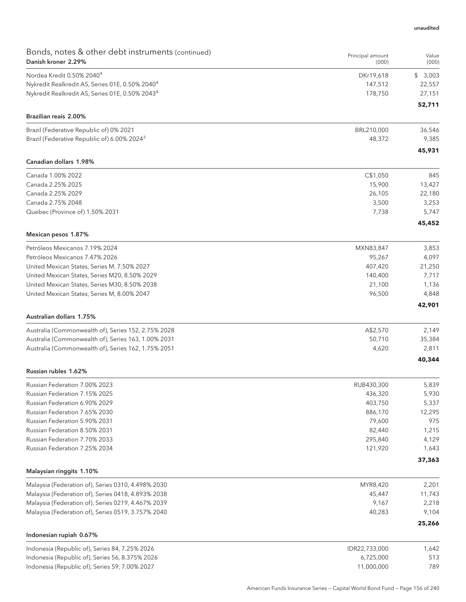| Bonds, notes & other debt instruments (continued)<br>Danish kroner 2.29%                                 | Principal amount<br>(000) | Value<br>(000)  |
|----------------------------------------------------------------------------------------------------------|---------------------------|-----------------|
| Nordea Kredit 0.50% 2040 <sup>4</sup>                                                                    | DKr19,618                 | \$3,003         |
| Nykredit Realkredit AS, Series 01E, 0.50% 2040 <sup>4</sup>                                              | 147,512                   | 22,557          |
| Nykredit Realkredit AS, Series 01E, 0.50% 2043 <sup>4</sup>                                              | 178,750                   | 27,151          |
|                                                                                                          |                           | 52,711          |
| Brazilian reais 2.00%                                                                                    |                           |                 |
| Brazil (Federative Republic of) 0% 2021                                                                  | BRL210,000                | 36,546          |
| Brazil (Federative Republic of) 6.00% 2024 <sup>3</sup>                                                  | 48,372                    | 9,385           |
|                                                                                                          |                           | 45,931          |
| Canadian dollars 1.98%                                                                                   |                           |                 |
| Canada 1.00% 2022                                                                                        | C\$1,050                  | 845             |
| Canada 2.25% 2025                                                                                        | 15,900                    | 13,427          |
| Canada 2.25% 2029                                                                                        | 26,105                    | 22,180          |
| Canada 2.75% 2048                                                                                        | 3,500                     | 3,253           |
| Quebec (Province of) 1.50% 2031                                                                          | 7,738                     | 5,747           |
|                                                                                                          |                           | 45,452          |
| Mexican pesos 1.87%                                                                                      |                           |                 |
| Petróleos Mexicanos 7.19% 2024                                                                           | MXN83,847                 | 3,853           |
| Petróleos Mexicanos 7.47% 2026                                                                           | 95,267                    | 4,097           |
| United Mexican States, Series M, 7.50% 2027                                                              | 407,420                   | 21,250          |
| United Mexican States, Series M20, 8.50% 2029                                                            | 140,400                   | 7,717           |
| United Mexican States, Series M30, 8.50% 2038                                                            | 21,100                    | 1,136           |
| United Mexican States, Series M, 8.00% 2047                                                              | 96,500                    | 4,848<br>42,901 |
| <b>Australian dollars 1.75%</b>                                                                          |                           |                 |
| Australia (Commonwealth of), Series 152, 2.75% 2028                                                      | A\$2,570                  | 2,149           |
| Australia (Commonwealth of), Series 163, 1.00% 2031                                                      | 50,710                    | 35,384          |
| Australia (Commonwealth of), Series 162, 1.75% 2051                                                      | 4,620                     | 2,811           |
|                                                                                                          |                           | 40,344          |
| Russian rubles 1.62%                                                                                     |                           |                 |
| Russian Federation 7.00% 2023                                                                            | RUB430,300                | 5,839           |
| Russian Federation 7.15% 2025                                                                            | 436,320                   | 5,930           |
| Russian Federation 6.90% 2029                                                                            | 403,750                   | 5,337           |
| Russian Federation 7.65% 2030                                                                            | 886,170                   | 12,295          |
| Russian Federation 5.90% 2031                                                                            | 79,600                    | 975             |
| Russian Federation 8.50% 2031                                                                            | 82,440                    | 1,215           |
| Russian Federation 7.70% 2033                                                                            | 295,840                   | 4,129           |
| Russian Federation 7.25% 2034                                                                            | 121,920                   | 1,643           |
| Malaysian ringgits 1.10%                                                                                 |                           | 37,363          |
|                                                                                                          |                           |                 |
| Malaysia (Federation of), Series 0310, 4.498% 2030<br>Malaysia (Federation of), Series 0418, 4.893% 2038 | MYR8,420<br>45,447        | 2,201<br>11,743 |
| Malaysia (Federation of), Series 0219, 4.467% 2039                                                       | 9,167                     | 2,218           |
| Malaysia (Federation of), Series 0519, 3.757% 2040                                                       | 40,283                    | 9,104           |
|                                                                                                          |                           | 25,266          |
| Indonesian rupiah 0.67%                                                                                  |                           |                 |
| Indonesia (Republic of), Series 84, 7.25% 2026                                                           | IDR22,733,000             | 1,642           |
| Indonesia (Republic of), Series 56, 8.375% 2026                                                          | 6,725,000                 | 513             |
| Indonesia (Republic of), Series 59, 7.00% 2027                                                           | 11,000,000                | 789             |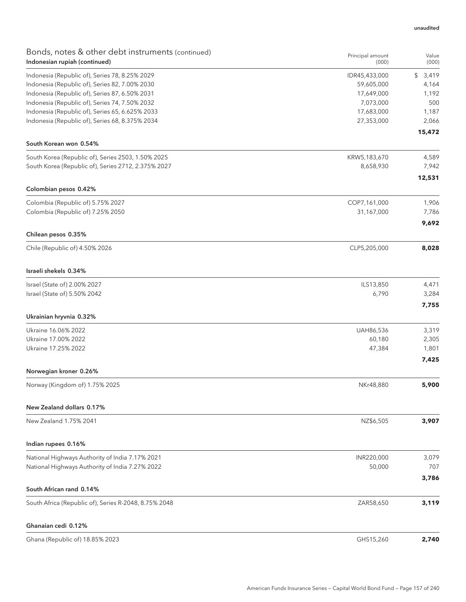| Bonds, notes & other debt instruments (continued)<br>Indonesian rupiah (continued) | Principal amount<br>(000) | Value<br>(000)  |
|------------------------------------------------------------------------------------|---------------------------|-----------------|
| Indonesia (Republic of), Series 78, 8.25% 2029                                     | IDR45,433,000             | \$<br>3,419     |
| Indonesia (Republic of), Series 82, 7.00% 2030                                     | 59,605,000                | 4,164           |
| Indonesia (Republic of), Series 87, 6.50% 2031                                     | 17,649,000                | 1,192           |
| Indonesia (Republic of), Series 74, 7.50% 2032                                     | 7,073,000                 | 500             |
| Indonesia (Republic of), Series 65, 6.625% 2033                                    | 17,683,000                | 1,187           |
| Indonesia (Republic of), Series 68, 8.375% 2034                                    | 27,353,000                | 2,066<br>15,472 |
| South Korean won 0.54%                                                             |                           |                 |
| South Korea (Republic of), Series 2503, 1.50% 2025                                 | KRW5,183,670              | 4,589           |
| South Korea (Republic of), Series 2712, 2.375% 2027                                | 8,658,930                 | 7,942           |
|                                                                                    |                           | 12,531          |
| Colombian pesos 0.42%                                                              |                           |                 |
| Colombia (Republic of) 5.75% 2027                                                  | COP7,161,000              | 1,906           |
| Colombia (Republic of) 7.25% 2050                                                  | 31,167,000                | 7,786           |
| Chilean pesos 0.35%                                                                |                           | 9,692           |
| Chile (Republic of) 4.50% 2026                                                     | CLP5,205,000              | 8,028           |
| Israeli shekels 0.34%                                                              |                           |                 |
| Israel (State of) 2.00% 2027                                                       | ILS13,850                 | 4,471           |
| Israel (State of) 5.50% 2042                                                       | 6,790                     | 3,284           |
|                                                                                    |                           | 7,755           |
| Ukrainian hryvnia 0.32%                                                            |                           |                 |
| Ukraine 16.06% 2022                                                                | <b>UAH86,536</b>          | 3,319           |
| Ukraine 17.00% 2022                                                                | 60,180                    | 2,305           |
| Ukraine 17.25% 2022                                                                | 47,384                    | 1,801<br>7,425  |
| Norwegian kroner 0.26%                                                             |                           |                 |
| Norway (Kingdom of) 1.75% 2025                                                     | NKr48,880                 | 5,900           |
| New Zealand dollars 0.17%                                                          |                           |                 |
| New Zealand 1.75% 2041                                                             | NZ\$6,505                 | 3,907           |
| Indian rupees 0.16%                                                                |                           |                 |
| National Highways Authority of India 7.17% 2021                                    | INR220,000                | 3,079           |
| National Highways Authority of India 7.27% 2022                                    | 50,000                    | 707             |
|                                                                                    |                           | 3,786           |
| South African rand 0.14%                                                           |                           |                 |
| South Africa (Republic of), Series R-2048, 8.75% 2048                              | ZAR58,650                 | 3,119           |
| Ghanaian cedi 0.12%                                                                |                           |                 |
| Ghana (Republic of) 18.85% 2023                                                    | GHS15,260                 | 2,740           |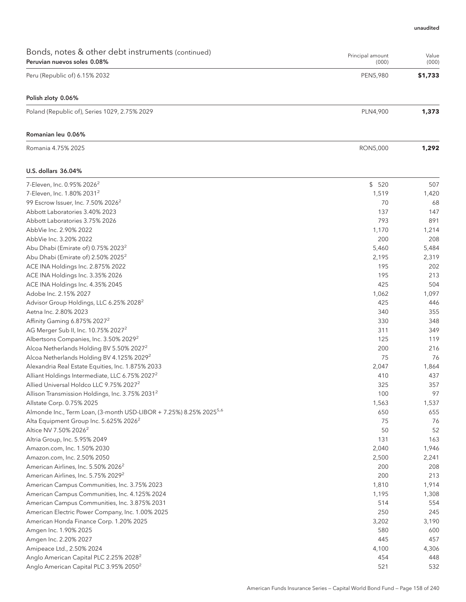| Bonds, notes & other debt instruments (continued)<br>Peruvian nuevos soles 0.08% | Principal amount<br>(000) | Value<br>(000) |
|----------------------------------------------------------------------------------|---------------------------|----------------|
| Peru (Republic of) 6.15% 2032                                                    | PEN5,980                  | \$1,733        |
| Polish zloty 0.06%                                                               |                           |                |
| Poland (Republic of), Series 1029, 2.75% 2029                                    | PLN4,900                  | 1,373          |
| Romanian leu 0.06%                                                               |                           |                |
| Romania 4.75% 2025                                                               | <b>RON5,000</b>           | 1,292          |
| U.S. dollars 36.04%                                                              |                           |                |
| 7-Eleven, Inc. 0.95% 2026 <sup>2</sup>                                           | \$520                     | 507            |
| 7-Eleven, Inc. 1.80% 2031 <sup>2</sup>                                           | 1,519                     | 1,420          |
| 99 Escrow Issuer, Inc. 7.50% 2026 <sup>2</sup>                                   | 70                        | 68             |
| Abbott Laboratories 3.40% 2023                                                   | 137                       | 147            |
| Abbott Laboratories 3.75% 2026                                                   | 793                       | 891            |
| AbbVie Inc. 2.90% 2022                                                           | 1,170                     | 1,214          |
| AbbVie Inc. 3.20% 2022                                                           | 200                       | 208            |
| Abu Dhabi (Emirate of) 0.75% 2023 <sup>2</sup>                                   | 5,460                     | 5,484          |
| Abu Dhabi (Emirate of) 2.50% 2025 <sup>2</sup>                                   | 2,195                     | 2,319          |
| ACE INA Holdings Inc. 2.875% 2022                                                | 195                       | 202            |
| ACE INA Holdings Inc. 3.35% 2026                                                 | 195                       | 213            |
| ACE INA Holdings Inc. 4.35% 2045                                                 | 425                       | 504            |
| Adobe Inc. 2.15% 2027                                                            | 1,062                     | 1,097          |
| Advisor Group Holdings, LLC 6.25% 2028 <sup>2</sup>                              | 425                       | 446            |
| Aetna Inc. 2.80% 2023                                                            | 340                       | 355            |
| Affinity Gaming 6.875% 2027 <sup>2</sup>                                         | 330                       | 348            |
| AG Merger Sub II, Inc. 10.75% 2027 <sup>2</sup>                                  | 311                       | 349            |
| Albertsons Companies, Inc. 3.50% 2029 <sup>2</sup>                               | 125                       | 119            |
| Alcoa Netherlands Holding BV 5.50% 2027 <sup>2</sup>                             | 200                       | 216            |
| Alcoa Netherlands Holding BV 4.125% 2029 <sup>2</sup>                            | 75                        | 76             |
| Alexandria Real Estate Equities, Inc. 1.875% 2033                                | 2,047                     | 1,864          |
| Alliant Holdings Intermediate, LLC 6.75% 2027 <sup>2</sup>                       | 410                       | 437            |
| Allied Universal Holdco LLC 9.75% 2027 <sup>2</sup>                              | 325                       | 357            |
| Allison Transmission Holdings, Inc. 3.75% 2031 <sup>2</sup>                      | 100                       | 97             |
| Allstate Corp. 0.75% 2025                                                        | 1,563                     | 1,537          |
| Almonde Inc., Term Loan, (3-month USD-LIBOR + 7.25%) 8.25% 2025 <sup>5,6</sup>   | 650                       | 655            |
| Alta Equipment Group Inc. 5.625% 2026 <sup>2</sup>                               | 75                        | 76             |
| Altice NV 7.50% 2026 <sup>2</sup>                                                | 50                        | 52             |
| Altria Group, Inc. 5.95% 2049                                                    | 131                       | 163            |
| Amazon.com, Inc. 1.50% 2030                                                      | 2,040                     | 1,946          |
| Amazon.com, Inc. 2.50% 2050                                                      | 2,500                     | 2,241          |
| American Airlines, Inc. 5.50% 2026 <sup>2</sup>                                  | 200                       | 208            |
| American Airlines, Inc. 5.75% 2029 <sup>2</sup>                                  | 200                       | 213            |
| American Campus Communities, Inc. 3.75% 2023                                     | 1,810                     | 1,914          |
| American Campus Communities, Inc. 4.125% 2024                                    | 1,195                     | 1,308          |
| American Campus Communities, Inc. 3.875% 2031                                    | 514                       | 554            |
| American Electric Power Company, Inc. 1.00% 2025                                 | 250                       | 245            |
| American Honda Finance Corp. 1.20% 2025                                          | 3,202                     | 3,190          |
| Amgen Inc. 1.90% 2025                                                            | 580                       | 600            |
| Amgen Inc. 2.20% 2027                                                            | 445                       | 457            |
| Amipeace Ltd., 2.50% 2024                                                        | 4,100                     | 4,306          |
| Anglo American Capital PLC 2.25% 2028 <sup>2</sup>                               | 454                       | 448            |
| Anglo American Capital PLC 3.95% 2050 <sup>2</sup>                               | 521                       | 532            |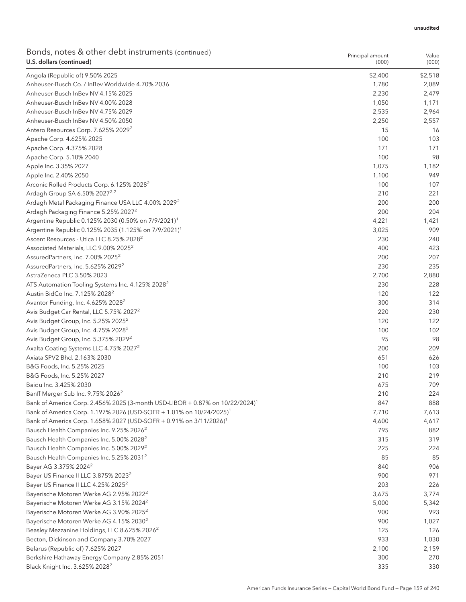| Bonds, notes & other debt instruments (continued)<br>U.S. dollars (continued)            | Principal amount<br>(000) | Value<br>(000) |
|------------------------------------------------------------------------------------------|---------------------------|----------------|
| Angola (Republic of) 9.50% 2025                                                          | \$2,400                   | \$2,518        |
| Anheuser-Busch Co. / InBev Worldwide 4.70% 2036                                          | 1,780                     | 2,089          |
| Anheuser-Busch InBev NV 4.15% 2025                                                       | 2,230                     | 2,479          |
| Anheuser-Busch InBev NV 4.00% 2028                                                       | 1,050                     | 1,171          |
| Anheuser-Busch InBev NV 4.75% 2029                                                       | 2,535                     | 2,964          |
| Anheuser-Busch InBev NV 4.50% 2050                                                       | 2,250                     | 2,557          |
| Antero Resources Corp. 7.625% 2029 <sup>2</sup>                                          | 15                        | 16             |
| Apache Corp. 4.625% 2025                                                                 | 100                       | 103            |
| Apache Corp. 4.375% 2028                                                                 | 171                       | 171            |
| Apache Corp. 5.10% 2040                                                                  | 100                       | 98             |
| Apple Inc. 3.35% 2027                                                                    | 1,075                     | 1,182          |
| Apple Inc. 2.40% 2050                                                                    | 1,100                     | 949            |
| Arconic Rolled Products Corp. 6.125% 2028 <sup>2</sup>                                   | 100                       | 107            |
| Ardagh Group SA 6.50% 2027 <sup>2,7</sup>                                                | 210                       | 221            |
| Ardagh Metal Packaging Finance USA LLC 4.00% 2029 <sup>2</sup>                           | 200                       | 200            |
| Ardagh Packaging Finance 5.25% 2027 <sup>2</sup>                                         | 200                       | 204            |
| Argentine Republic 0.125% 2030 (0.50% on 7/9/2021) <sup>1</sup>                          | 4,221                     | 1,421          |
| Argentine Republic 0.125% 2035 (1.125% on 7/9/2021) <sup>1</sup>                         | 3,025                     | 909            |
| Ascent Resources - Utica LLC 8.25% 2028 <sup>2</sup>                                     | 230                       | 240            |
| Associated Materials, LLC 9.00% 2025 <sup>2</sup>                                        | 400                       | 423            |
| AssuredPartners, Inc. 7.00% 2025 <sup>2</sup>                                            | 200                       | 207            |
| AssuredPartners, Inc. 5.625% 2029 <sup>2</sup>                                           | 230                       | 235            |
| AstraZeneca PLC 3.50% 2023                                                               | 2,700                     | 2,880          |
| ATS Automation Tooling Systems Inc. 4.125% 2028 <sup>2</sup>                             | 230                       | 228            |
| Austin BidCo Inc. 7.125% 2028 <sup>2</sup>                                               | 120                       | 122            |
|                                                                                          | 300                       | 314            |
| Avantor Funding, Inc. 4.625% 2028 <sup>2</sup>                                           |                           |                |
| Avis Budget Car Rental, LLC 5.75% 2027 <sup>2</sup>                                      | 220                       | 230            |
| Avis Budget Group, Inc. 5.25% 2025 <sup>2</sup>                                          | 120                       | 122            |
| Avis Budget Group, Inc. 4.75% 2028 <sup>2</sup>                                          | 100                       | 102            |
| Avis Budget Group, Inc. 5.375% 2029 <sup>2</sup>                                         | 95                        | 98             |
| Axalta Coating Systems LLC 4.75% 2027 <sup>2</sup>                                       | 200                       | 209            |
| Axiata SPV2 Bhd. 2.163% 2030                                                             | 651                       | 626            |
| B&G Foods, Inc. 5.25% 2025                                                               | 100                       | 103            |
| B&G Foods, Inc. 5.25% 2027                                                               | 210                       | 219            |
| Baidu Inc. 3.425% 2030                                                                   | 675                       | 709            |
| Banff Merger Sub Inc. 9.75% 2026 <sup>2</sup>                                            | 210                       | 224            |
| Bank of America Corp. 2.456% 2025 (3-month USD-LIBOR + 0.87% on 10/22/2024) <sup>1</sup> | 847                       | 888            |
| Bank of America Corp. 1.197% 2026 (USD-SOFR + 1.01% on 10/24/2025) <sup>1</sup>          | 7,710                     | 7,613          |
| Bank of America Corp. 1.658% 2027 (USD-SOFR + 0.91% on 3/11/2026) <sup>1</sup>           | 4,600                     | 4,617          |
| Bausch Health Companies Inc. 9.25% 2026 <sup>2</sup>                                     | 795                       | 882            |
| Bausch Health Companies Inc. 5.00% 2028 <sup>2</sup>                                     | 315                       | 319            |
| Bausch Health Companies Inc. 5.00% 2029 <sup>2</sup>                                     | 225                       | 224            |
| Bausch Health Companies Inc. 5.25% 2031 <sup>2</sup>                                     | 85                        | 85             |
| Bayer AG 3.375% 2024 <sup>2</sup>                                                        | 840                       | 906            |
| Bayer US Finance II LLC 3.875% 2023 <sup>2</sup>                                         | 900                       | 971            |
| Bayer US Finance II LLC 4.25% 2025 <sup>2</sup>                                          | 203                       | 226            |
| Bayerische Motoren Werke AG 2.95% 2022 <sup>2</sup>                                      | 3,675                     | 3,774          |
| Bayerische Motoren Werke AG 3.15% 2024 <sup>2</sup>                                      | 5,000                     | 5,342          |
| Bayerische Motoren Werke AG 3.90% 2025 <sup>2</sup>                                      | 900                       | 993            |
| Bayerische Motoren Werke AG 4.15% 2030 <sup>2</sup>                                      | 900                       | 1,027          |
| Beasley Mezzanine Holdings, LLC 8.625% 2026 <sup>2</sup>                                 | 125                       | 126            |
| Becton, Dickinson and Company 3.70% 2027                                                 | 933                       | 1,030          |
| Belarus (Republic of) 7.625% 2027                                                        | 2,100                     | 2,159          |
| Berkshire Hathaway Energy Company 2.85% 2051                                             | 300                       | 270            |
| Black Knight Inc. 3.625% 2028 <sup>2</sup>                                               | 335                       | 330            |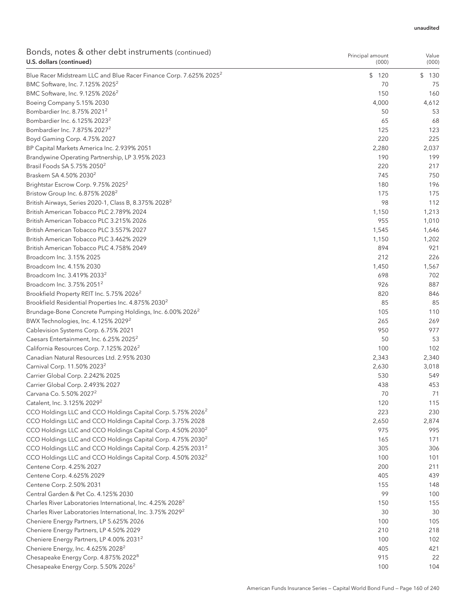|                          | Bonds, notes & other debt instruments (continued) |
|--------------------------|---------------------------------------------------|
| U.S. dollars (continued) |                                                   |

| <u>, ponda, notos &amp; othor dobt mstramonts (commaca</u><br>U.S. dollars (continued) | Principal amount<br>(000) | Value<br>(000) |
|----------------------------------------------------------------------------------------|---------------------------|----------------|
| Blue Racer Midstream LLC and Blue Racer Finance Corp. 7.625% 2025 <sup>2</sup>         | \$<br>120                 | \$130          |
| BMC Software, Inc. 7.125% 2025 <sup>2</sup>                                            | 70                        | 75             |
| BMC Software, Inc. 9.125% 2026 <sup>2</sup>                                            | 150                       | 160            |
| Boeing Company 5.15% 2030                                                              | 4,000                     | 4,612          |
| Bombardier Inc. 8.75% 2021 <sup>2</sup>                                                | 50                        | 53             |
| Bombardier Inc. 6.125% 2023 <sup>2</sup>                                               | 65                        | 68             |
| Bombardier Inc. 7.875% 2027 <sup>2</sup>                                               | 125                       | 123            |
| Boyd Gaming Corp. 4.75% 2027                                                           | 220                       | 225            |
| BP Capital Markets America Inc. 2.939% 2051                                            | 2,280                     | 2,037          |
| Brandywine Operating Partnership, LP 3.95% 2023                                        | 190                       | 199            |
| Brasil Foods SA 5.75% 2050 <sup>2</sup>                                                | 220                       | 217            |
| Braskem SA 4.50% 2030 <sup>2</sup>                                                     | 745                       | 750            |
| Brightstar Escrow Corp. 9.75% 2025 <sup>2</sup>                                        | 180                       | 196            |
| Bristow Group Inc. 6.875% 2028 <sup>2</sup>                                            | 175                       | 175            |
| British Airways, Series 2020-1, Class B, 8.375% 2028 <sup>2</sup>                      | 98                        | 112            |
| British American Tobacco PLC 2.789% 2024                                               | 1,150                     | 1,213          |
| British American Tobacco PLC 3.215% 2026                                               | 955                       | 1,010          |
| British American Tobacco PLC 3.557% 2027                                               | 1,545                     | 1,646          |
| British American Tobacco PLC 3.462% 2029                                               | 1,150                     | 1,202          |
| British American Tobacco PLC 4.758% 2049                                               | 894                       | 921            |
| Broadcom Inc. 3.15% 2025                                                               | 212                       | 226            |
| Broadcom Inc. 4.15% 2030                                                               | 1,450                     | 1,567          |
| Broadcom Inc. 3.419% 2033 <sup>2</sup>                                                 | 698                       | 702            |
| Broadcom Inc. 3.75% 2051 <sup>2</sup>                                                  | 926                       | 887            |
| Brookfield Property REIT Inc. 5.75% 2026 <sup>2</sup>                                  | 820                       | 846            |
| Brookfield Residential Properties Inc. 4.875% 2030 <sup>2</sup>                        | 85                        | 85             |
| Brundage-Bone Concrete Pumping Holdings, Inc. 6.00% 2026 <sup>2</sup>                  | 105                       | 110            |
| BWX Technologies, Inc. 4.125% 2029 <sup>2</sup>                                        | 265                       | 269            |
| Cablevision Systems Corp. 6.75% 2021                                                   | 950                       | 977            |
| Caesars Entertainment, Inc. 6.25% 2025 <sup>2</sup>                                    | 50                        | 53             |
| California Resources Corp. 7.125% 2026 <sup>2</sup>                                    | 100                       | 102            |
| Canadian Natural Resources Ltd. 2.95% 2030                                             | 2,343                     | 2,340          |
| Carnival Corp. 11.50% 2023 <sup>2</sup>                                                | 2,630                     | 3,018          |
| Carrier Global Corp. 2.242% 2025                                                       | 530                       | 549            |
| Carrier Global Corp. 2.493% 2027                                                       | 438                       | 453            |
| Carvana Co. 5.50% 2027 <sup>2</sup>                                                    | 70                        | 71             |
| Catalent, Inc. 3.125% 2029 <sup>2</sup>                                                | 120                       | 115            |
| CCO Holdings LLC and CCO Holdings Capital Corp. 5.75% 2026 <sup>2</sup>                | 223                       | 230            |
| CCO Holdings LLC and CCO Holdings Capital Corp. 3.75% 2028                             | 2,650                     | 2,874          |
| CCO Holdings LLC and CCO Holdings Capital Corp. 4.50% 2030 <sup>2</sup>                | 975                       | 995            |
| CCO Holdings LLC and CCO Holdings Capital Corp. 4.75% 2030 <sup>2</sup>                | 165                       | 171            |
| CCO Holdings LLC and CCO Holdings Capital Corp. 4.25% 2031 <sup>2</sup>                | 305                       | 306            |
| CCO Holdings LLC and CCO Holdings Capital Corp. 4.50% 2032 <sup>2</sup>                | 100                       | 101            |
| Centene Corp. 4.25% 2027                                                               | 200                       | 211            |
| Centene Corp. 4.625% 2029                                                              | 405                       | 439            |
| Centene Corp. 2.50% 2031                                                               | 155                       | 148            |
| Central Garden & Pet Co. 4.125% 2030                                                   | 99                        | 100            |
| Charles River Laboratories International, Inc. 4.25% 2028 <sup>2</sup>                 | 150                       | 155            |
| Charles River Laboratories International, Inc. 3.75% 2029 <sup>2</sup>                 | 30                        | 30             |
| Cheniere Energy Partners, LP 5.625% 2026                                               | 100                       | 105            |
| Cheniere Energy Partners, LP 4.50% 2029                                                | 210                       | 218            |
| Cheniere Energy Partners, LP 4.00% 2031 <sup>2</sup>                                   | 100                       | 102            |
| Cheniere Energy, Inc. 4.625% 2028 <sup>2</sup>                                         | 405                       | 421            |
| Chesapeake Energy Corp. 4.875% 2022 <sup>8</sup>                                       | 915                       | 22             |
| Chesapeake Energy Corp. 5.50% 2026 <sup>2</sup>                                        | 100                       | 104            |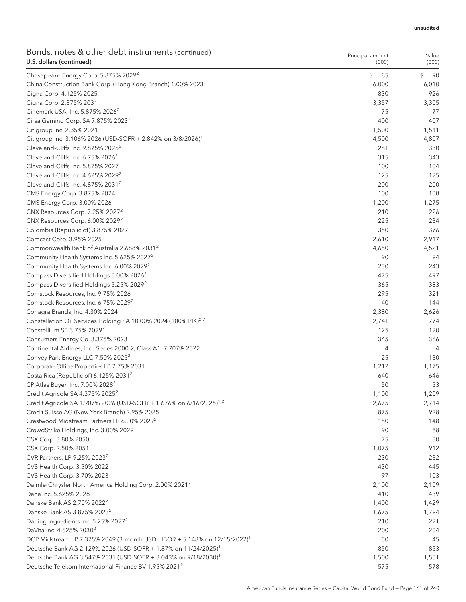Value

Principal amount

| Bonds, notes & other debt instruments (continued) |  |
|---------------------------------------------------|--|
| U.S. dollars (continued)                          |  |

| U.S. dollars (continued)                                                             | (000)          | (000)     |
|--------------------------------------------------------------------------------------|----------------|-----------|
| Chesapeake Energy Corp. 5.875% 2029 <sup>2</sup>                                     | \$<br>85       | \$<br>-90 |
| China Construction Bank Corp. (Hong Kong Branch) 1.00% 2023                          | 6,000          | 6,010     |
| Cigna Corp. 4.125% 2025                                                              | 830            | 926       |
| Cigna Corp. 2.375% 2031                                                              | 3,357          | 3,305     |
| Cinemark USA, Inc. 5.875% 2026 <sup>2</sup>                                          | 75             | 77        |
| Cirsa Gaming Corp. SA 7.875% 2023 <sup>2</sup>                                       | 400            | 407       |
| Citigroup Inc. 2.35% 2021                                                            | 1,500          | 1,511     |
| Citigroup Inc. 3.106% 2026 (USD-SOFR + 2.842% on 3/8/2026) <sup>1</sup>              | 4,500          | 4,807     |
| Cleveland-Cliffs Inc. 9.875% 2025 <sup>2</sup>                                       | 281            | 330       |
| Cleveland-Cliffs Inc. 6.75% 2026 <sup>2</sup>                                        | 315            | 343       |
| Cleveland-Cliffs Inc. 5.875% 2027                                                    | 100            | 104       |
| Cleveland-Cliffs Inc. 4.625% 2029 <sup>2</sup>                                       | 125            | 125       |
| Cleveland-Cliffs Inc. 4.875% 2031 <sup>2</sup>                                       | 200            | 200       |
| CMS Energy Corp. 3.875% 2024                                                         | 100            | 108       |
| CMS Energy Corp. 3.00% 2026                                                          | 1,200          | 1,275     |
| CNX Resources Corp. 7.25% 2027 <sup>2</sup>                                          | 210            | 226       |
| CNX Resources Corp. 6.00% 2029 <sup>2</sup>                                          | 225            | 234       |
| Colombia (Republic of) 3.875% 2027                                                   | 350            | 376       |
| Comcast Corp. 3.95% 2025                                                             | 2,610          | 2,917     |
| Commonwealth Bank of Australia 2.688% 2031 <sup>2</sup>                              | 4,650          | 4,521     |
| Community Health Systems Inc. 5.625% 2027 <sup>2</sup>                               | 90             | 94        |
| Community Health Systems Inc. 6.00% 2029 <sup>2</sup>                                | 230            | 243       |
| Compass Diversified Holdings 8.00% 2026 <sup>2</sup>                                 | 475            | 497       |
| Compass Diversified Holdings 5.25% 2029 <sup>2</sup>                                 | 365            | 383       |
| Comstock Resources, Inc. 9.75% 2026                                                  | 295            | 321       |
| Comstock Resources, Inc. 6.75% 2029 <sup>2</sup>                                     | 140            | 144       |
| Conagra Brands, Inc. 4.30% 2024                                                      | 2,380          | 2,626     |
| Constellation Oil Services Holding SA 10.00% 2024 (100% PIK) <sup>2,7</sup>          | 2,741          | 774       |
| Constellium SE 3.75% 2029 <sup>2</sup>                                               | 125            | 120       |
| Consumers Energy Co. 3.375% 2023                                                     | 345            | 366       |
| Continental Airlines, Inc., Series 2000-2, Class A1, 7.707% 2022                     | $\overline{4}$ | 4         |
| Convey Park Energy LLC 7.50% 2025 <sup>2</sup>                                       | 125            | 130       |
| Corporate Office Properties LP 2.75% 2031                                            | 1,212          | 1,175     |
| Costa Rica (Republic of) 6.125% 2031 <sup>2</sup>                                    | 640            | 646       |
| CP Atlas Buyer, Inc. 7.00% 2028 <sup>2</sup>                                         | 50             | 53        |
| Crédit Agricole SA 4.375% 2025 <sup>2</sup>                                          | 1,100          | 1,209     |
| Crédit Agricole SA 1.907% 2026 (USD-SOFR + 1.676% on 6/16/2025) <sup>1,2</sup>       | 2,675          | 2,714     |
| Credit Suisse AG (New York Branch) 2.95% 2025                                        | 875            | 928       |
| Crestwood Midstream Partners LP 6.00% 2029 <sup>2</sup>                              | 150            | 148       |
| CrowdStrike Holdings, Inc. 3.00% 2029                                                | 90             | 88        |
| CSX Corp. 3.80% 2050                                                                 | 75             | 80        |
| CSX Corp. 2.50% 2051                                                                 | 1,075          | 912       |
| CVR Partners, LP 9.25% 2023 <sup>2</sup>                                             | 230            | 232       |
| CVS Health Corp. 3.50% 2022                                                          | 430            | 445       |
| CVS Health Corp. 3.70% 2023                                                          | 97             | 103       |
| DaimlerChrysler North America Holding Corp. 2.00% 2021 <sup>2</sup>                  | 2,100          | 2,109     |
| Dana Inc. 5.625% 2028                                                                | 410            | 439       |
| Danske Bank AS 2.70% 2022 <sup>2</sup>                                               | 1,400          | 1,429     |
| Danske Bank AS 3.875% 2023 <sup>2</sup>                                              | 1,675          | 1,794     |
| Darling Ingredients Inc. 5.25% 2027 <sup>2</sup>                                     | 210            | 221       |
| DaVita Inc. 4.625% 2030 <sup>2</sup>                                                 | 200            | 204       |
| DCP Midstream LP 7.375% 2049 (3-month USD-LIBOR + 5.148% on 12/15/2022) <sup>1</sup> | 50             | 45        |
| Deutsche Bank AG 2.129% 2026 (USD-SOFR + 1.87% on 11/24/2025) <sup>1</sup>           | 850            | 853       |
| Deutsche Bank AG 3.547% 2031 (USD-SOFR + 3.043% on 9/18/2030) <sup>1</sup>           | 1,500          | 1,551     |
| Deutsche Telekom International Finance BV 1.95% 2021 <sup>2</sup>                    | 575            | 578       |
|                                                                                      |                |           |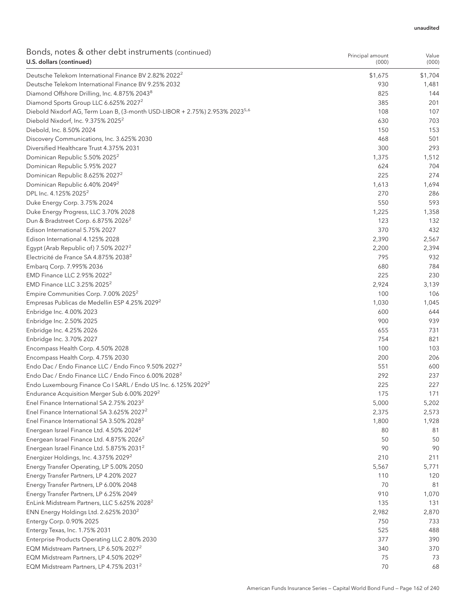| Bonds, notes & other debt instruments (continued)<br>U.S. dollars (continued)                         | Principal amount<br>(000) | Value<br>(000) |
|-------------------------------------------------------------------------------------------------------|---------------------------|----------------|
| Deutsche Telekom International Finance BV 2.82% 2022 <sup>2</sup>                                     | \$1,675                   | \$1,704        |
| Deutsche Telekom International Finance BV 9.25% 2032                                                  | 930                       | 1,481          |
| Diamond Offshore Drilling, Inc. 4.875% 2043 <sup>8</sup>                                              | 825                       | 144            |
| Diamond Sports Group LLC 6.625% 2027 <sup>2</sup>                                                     | 385                       | 201            |
| Diebold Nixdorf AG, Term Loan B, (3-month USD-LIBOR + 2.75%) 2.953% 2023 <sup>5,6</sup>               | 108                       | 107            |
| Diebold Nixdorf, Inc. 9.375% 2025 <sup>2</sup>                                                        | 630                       | 703            |
| Diebold, Inc. 8.50% 2024                                                                              | 150                       | 153            |
| Discovery Communications, Inc. 3.625% 2030                                                            | 468                       | 501            |
| Diversified Healthcare Trust 4.375% 2031                                                              | 300                       | 293            |
| Dominican Republic 5.50% 2025 <sup>2</sup>                                                            | 1,375                     | 1,512          |
| Dominican Republic 5.95% 2027                                                                         | 624                       | 704            |
| Dominican Republic 8.625% 2027 <sup>2</sup>                                                           | 225                       | 274            |
| Dominican Republic 6.40% 2049 <sup>2</sup>                                                            | 1,613                     | 1,694          |
| DPL Inc. 4.125% 2025 <sup>2</sup>                                                                     | 270                       | 286            |
| Duke Energy Corp. 3.75% 2024                                                                          | 550                       | 593            |
| Duke Energy Progress, LLC 3.70% 2028                                                                  | 1,225                     | 1,358          |
| Dun & Bradstreet Corp. 6.875% 2026 <sup>2</sup>                                                       | 123                       | 132            |
| Edison International 5.75% 2027                                                                       | 370                       | 432            |
| Edison International 4.125% 2028                                                                      | 2,390                     | 2,567          |
| Egypt (Arab Republic of) 7.50% 2027 <sup>2</sup>                                                      | 2,200                     | 2,394          |
| Electricité de France SA 4.875% 2038 <sup>2</sup>                                                     | 795                       | 932            |
| Embarg Corp. 7.995% 2036                                                                              | 680                       | 784            |
| EMD Finance LLC 2.95% 2022 <sup>2</sup>                                                               | 225                       | 230            |
| EMD Finance LLC 3.25% 2025 <sup>2</sup>                                                               | 2,924                     | 3,139          |
| Empire Communities Corp. 7.00% 2025 <sup>2</sup>                                                      | 100                       | 106            |
| Empresas Publicas de Medellin ESP 4.25% 2029 <sup>2</sup>                                             | 1,030                     | 1,045          |
| Enbridge Inc. 4.00% 2023                                                                              | 600                       | 644            |
| Enbridge Inc. 2.50% 2025                                                                              | 900                       | 939            |
| Enbridge Inc. 4.25% 2026                                                                              | 655                       | 731            |
| Enbridge Inc. 3.70% 2027                                                                              | 754                       | 821<br>103     |
| Encompass Health Corp. 4.50% 2028                                                                     | 100<br>200                | 206            |
| Encompass Health Corp. 4.75% 2030<br>Endo Dac / Endo Finance LLC / Endo Finco 9.50% 2027 <sup>2</sup> | 551                       | 600            |
| Endo Dac / Endo Finance LLC / Endo Finco 6.00% 2028 <sup>2</sup>                                      | 292                       | 237            |
| Endo Luxembourg Finance Co I SARL / Endo US Inc. 6.125% 2029 <sup>2</sup>                             | 225                       | 227            |
| Endurance Acquisition Merger Sub 6.00% 2029 <sup>2</sup>                                              | 175                       | 171            |
| Enel Finance International SA 2.75% 2023 <sup>2</sup>                                                 | 5,000                     | 5,202          |
| Enel Finance International SA 3.625% 2027 <sup>2</sup>                                                | 2,375                     | 2,573          |
| Enel Finance International SA 3.50% 2028 <sup>2</sup>                                                 | 1,800                     | 1,928          |
| Energean Israel Finance Ltd. 4.50% 2024 <sup>2</sup>                                                  | 80                        | 81             |
| Energean Israel Finance Ltd. 4.875% 2026 <sup>2</sup>                                                 | 50                        | 50             |
| Energean Israel Finance Ltd. 5.875% 2031 <sup>2</sup>                                                 | 90                        | 90             |
| Energizer Holdings, Inc. 4.375% 2029 <sup>2</sup>                                                     | 210                       | 211            |
| Energy Transfer Operating, LP 5.00% 2050                                                              | 5,567                     | 5,771          |
| Energy Transfer Partners, LP 4.20% 2027                                                               | 110                       | 120            |
| Energy Transfer Partners, LP 6.00% 2048                                                               | 70                        | 81             |
| Energy Transfer Partners, LP 6.25% 2049                                                               | 910                       | 1,070          |
| EnLink Midstream Partners, LLC 5.625% 2028 <sup>2</sup>                                               | 135                       | 131            |
| ENN Energy Holdings Ltd. 2.625% 2030 <sup>2</sup>                                                     | 2,982                     | 2,870          |
| Entergy Corp. 0.90% 2025                                                                              | 750                       | 733            |
| Entergy Texas, Inc. 1.75% 2031                                                                        | 525                       | 488            |
| Enterprise Products Operating LLC 2.80% 2030                                                          | 377                       | 390            |
| EQM Midstream Partners, LP 6.50% 2027 <sup>2</sup>                                                    | 340                       | 370            |
| EQM Midstream Partners, LP 4.50% 2029 <sup>2</sup>                                                    | 75                        | 73             |
| EQM Midstream Partners, LP 4.75% 2031 <sup>2</sup>                                                    | 70                        | 68             |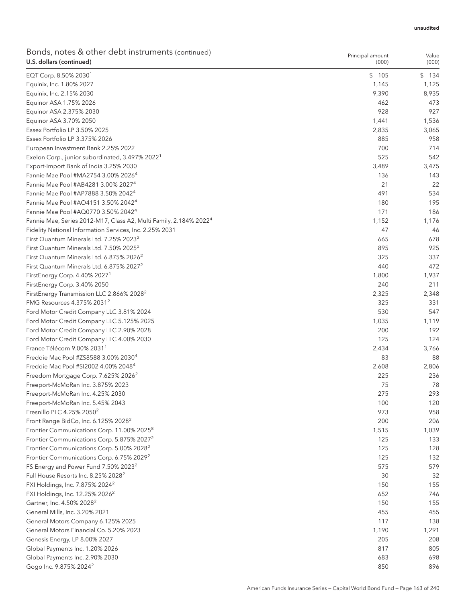| Bonds, notes & other debt instruments (continued)<br>U.S. dollars (continued) | Principal amount<br>(000) | Value<br>(000) |
|-------------------------------------------------------------------------------|---------------------------|----------------|
| EQT Corp. 8.50% 2030 <sup>1</sup>                                             | \$105                     | \$134          |
| Equinix, Inc. 1.80% 2027                                                      | 1,145                     | 1,125          |
| Equinix, Inc. 2.15% 2030                                                      | 9,390                     | 8,935          |
| Equinor ASA 1.75% 2026                                                        | 462                       | 473            |
| Equinor ASA 2.375% 2030                                                       | 928                       | 927            |
| Equinor ASA 3.70% 2050                                                        | 1,441                     | 1,536          |
| Essex Portfolio LP 3.50% 2025                                                 | 2,835                     | 3,065          |
| Essex Portfolio LP 3.375% 2026                                                | 885                       | 958            |
| European Investment Bank 2.25% 2022                                           | 700                       | 714            |
| Exelon Corp., junior subordinated, 3.497% 2022 <sup>1</sup>                   | 525                       | 542            |
| Export-Import Bank of India 3.25% 2030                                        | 3,489                     | 3,475          |
| Fannie Mae Pool #MA2754 3.00% 2026 <sup>4</sup>                               | 136                       | 143            |
| Fannie Mae Pool #AB4281 3.00% 2027 <sup>4</sup>                               | 21                        | 22             |
| Fannie Mae Pool #AP7888 3.50% 2042 <sup>4</sup>                               | 491                       | 534            |
| Fannie Mae Pool #AO4151 3.50% 2042 <sup>4</sup>                               | 180                       | 195            |
| Fannie Mae Pool #AQ0770 3.50% 2042 <sup>4</sup>                               | 171                       | 186            |
| Fannie Mae, Series 2012-M17, Class A2, Multi Family, 2.184% 2022 <sup>4</sup> | 1,152                     | 1,176          |
| Fidelity National Information Services, Inc. 2.25% 2031                       | 47                        | 46             |
| First Quantum Minerals Ltd. 7.25% 2023 <sup>2</sup>                           | 665                       | 678            |
| First Quantum Minerals Ltd. 7.50% 2025 <sup>2</sup>                           | 895                       | 925            |
| First Quantum Minerals Ltd. 6.875% 2026 <sup>2</sup>                          | 325                       | 337            |
| First Quantum Minerals Ltd. 6.875% 2027 <sup>2</sup>                          | 440                       | 472            |
| FirstEnergy Corp. 4.40% 2027 <sup>1</sup>                                     | 1,800                     | 1,937          |
| FirstEnergy Corp. 3.40% 2050                                                  | 240                       | 211            |
| FirstEnergy Transmission LLC 2.866% 2028 <sup>2</sup>                         | 2,325                     | 2,348          |
| FMG Resources 4.375% 2031 <sup>2</sup>                                        | 325                       | 331            |
| Ford Motor Credit Company LLC 3.81% 2024                                      | 530                       | 547            |
| Ford Motor Credit Company LLC 5.125% 2025                                     | 1,035                     | 1,119          |
| Ford Motor Credit Company LLC 2.90% 2028                                      | 200                       | 192            |
| Ford Motor Credit Company LLC 4.00% 2030                                      | 125                       | 124            |
| France Télécom 9.00% 2031 <sup>1</sup>                                        | 2,434                     | 3,766          |
| Freddie Mac Pool #ZS8588 3.00% 2030 <sup>4</sup>                              | 83                        | 88             |
| Freddie Mac Pool #SI2002 4.00% 2048 <sup>4</sup>                              | 2,608                     | 2,806          |
| Freedom Mortgage Corp. 7.625% 2026 <sup>2</sup>                               | 225                       | 236            |
| Freeport-McMoRan Inc. 3.875% 2023                                             | 75                        | 78             |
| Freeport-McMoRan Inc. 4.25% 2030                                              | 275                       | 293            |
| Freeport-McMoRan Inc. 5.45% 2043                                              | 100                       | 120            |
| Fresnillo PLC 4.25% 2050 <sup>2</sup>                                         | 973                       | 958            |
| Front Range BidCo, Inc. 6.125% 2028 <sup>2</sup>                              | 200                       | 206            |
| Frontier Communications Corp. 11.00% 2025 <sup>8</sup>                        | 1,515                     | 1,039          |
| Frontier Communications Corp. 5.875% 2027 <sup>2</sup>                        | 125                       | 133            |
| Frontier Communications Corp. 5.00% 2028 <sup>2</sup>                         | 125                       | 128            |
| Frontier Communications Corp. 6.75% 2029 <sup>2</sup>                         | 125                       | 132            |
| FS Energy and Power Fund 7.50% 2023 <sup>2</sup>                              | 575                       | 579            |
| Full House Resorts Inc. 8.25% 2028 <sup>2</sup>                               | 30                        | 32             |
| FXI Holdings, Inc. 7.875% 2024 <sup>2</sup>                                   | 150                       | 155            |
| FXI Holdings, Inc. 12.25% 2026 <sup>2</sup>                                   | 652                       | 746            |
| Gartner, Inc. 4.50% 2028 <sup>2</sup>                                         | 150                       | 155            |
| General Mills, Inc. 3.20% 2021                                                | 455                       | 455            |
| General Motors Company 6.125% 2025                                            | 117                       | 138            |
| General Motors Financial Co. 5.20% 2023                                       | 1,190                     | 1,291          |
| Genesis Energy, LP 8.00% 2027                                                 | 205                       | 208            |
| Global Payments Inc. 1.20% 2026                                               | 817                       | 805            |
| Global Payments Inc. 2.90% 2030                                               | 683                       | 698            |
| Gogo Inc. 9.875% 2024 <sup>2</sup>                                            | 850                       | 896            |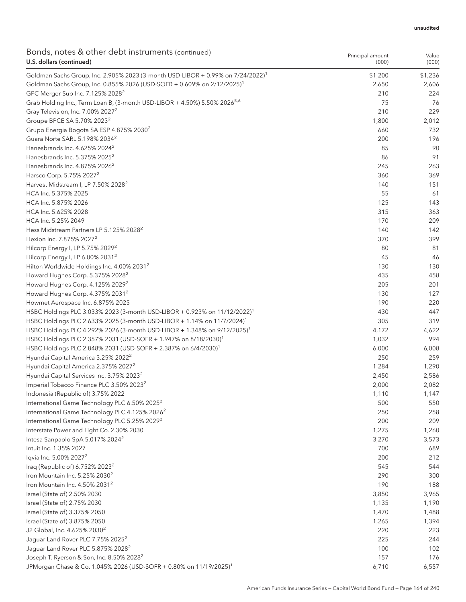| Bonds, notes & other debt instruments (continued)<br>U.S. dollars (continued)               | Principal amount<br>(000) | Value<br>(000) |
|---------------------------------------------------------------------------------------------|---------------------------|----------------|
| Goldman Sachs Group, Inc. 2.905% 2023 (3-month USD-LIBOR + 0.99% on 7/24/2022) <sup>1</sup> | \$1,200                   | \$1,236        |
| Goldman Sachs Group, Inc. 0.855% 2026 (USD-SOFR + 0.609% on 2/12/2025) <sup>1</sup>         | 2,650                     | 2,606          |
| GPC Merger Sub Inc. 7.125% 2028 <sup>2</sup>                                                | 210                       | 224            |
| Grab Holding Inc., Term Loan B, (3-month USD-LIBOR + 4.50%) 5.50% 2026 <sup>5,6</sup>       | 75                        | 76             |
| Gray Television, Inc. 7.00% 2027 <sup>2</sup>                                               | 210                       | 229            |
| Groupe BPCE SA 5.70% 2023 <sup>2</sup>                                                      | 1,800                     | 2,012          |
| Grupo Energia Bogota SA ESP 4.875% 2030 <sup>2</sup>                                        | 660                       | 732            |
| Guara Norte SARL 5.198% 2034 <sup>2</sup>                                                   | 200                       | 196            |
| Hanesbrands Inc. 4.625% 2024 <sup>2</sup>                                                   | 85                        | 90             |
| Hanesbrands Inc. 5.375% 2025 <sup>2</sup>                                                   | 86                        | 91             |
| Hanesbrands Inc. 4.875% 2026 <sup>2</sup>                                                   | 245                       | 263            |
| Harsco Corp. 5.75% 2027 <sup>2</sup>                                                        | 360                       | 369            |
| Harvest Midstream I, LP 7.50% 2028 <sup>2</sup>                                             | 140                       | 151            |
| HCA Inc. 5.375% 2025                                                                        | 55                        | 61             |
| HCA Inc. 5.875% 2026                                                                        | 125                       | 143            |
| HCA Inc. 5.625% 2028                                                                        | 315                       | 363            |
| HCA Inc. 5.25% 2049                                                                         | 170                       | 209            |
| Hess Midstream Partners LP 5.125% 2028 <sup>2</sup>                                         | 140                       | 142            |
| Hexion Inc. 7.875% 2027 <sup>2</sup>                                                        | 370                       | 399            |
| Hilcorp Energy I, LP 5.75% 2029 <sup>2</sup>                                                | 80                        | 81             |
| Hilcorp Energy I, LP 6.00% 2031 <sup>2</sup>                                                | 45                        | 46             |
| Hilton Worldwide Holdings Inc. 4.00% 2031 <sup>2</sup>                                      | 130                       | 130            |
| Howard Hughes Corp. 5.375% 2028 <sup>2</sup>                                                | 435                       | 458            |
| Howard Hughes Corp. 4.125% 2029 <sup>2</sup>                                                | 205                       | 201            |
| Howard Hughes Corp. 4.375% 2031 <sup>2</sup>                                                | 130                       | 127            |
| Howmet Aerospace Inc. 6.875% 2025                                                           | 190                       | 220            |
| HSBC Holdings PLC 3.033% 2023 (3-month USD-LIBOR + 0.923% on 11/12/2022) <sup>1</sup>       | 430                       | 447            |
| HSBC Holdings PLC 2.633% 2025 (3-month USD-LIBOR + 1.14% on 11/7/2024) <sup>1</sup>         | 305                       | 319            |
| HSBC Holdings PLC 4.292% 2026 (3-month USD-LIBOR + 1.348% on 9/12/2025) <sup>1</sup>        | 4,172                     | 4,622          |
| HSBC Holdings PLC 2.357% 2031 (USD-SOFR + 1.947% on 8/18/2030) <sup>1</sup>                 | 1,032                     | 994            |
| HSBC Holdings PLC 2.848% 2031 (USD-SOFR + 2.387% on 6/4/2030) <sup>1</sup>                  | 6,000                     | 6,008          |
| Hyundai Capital America 3.25% 2022 <sup>2</sup>                                             | 250                       | 259            |
| Hyundai Capital America 2.375% 2027 <sup>2</sup>                                            | 1,284                     | 1,290          |
| Hyundai Capital Services Inc. 3.75% 2023 <sup>2</sup>                                       | 2,450<br>2,000            | 2,586<br>2,082 |
| Imperial Tobacco Finance PLC 3.50% 2023 <sup>2</sup><br>Indonesia (Republic of) 3.75% 2022  |                           |                |
| International Game Technology PLC 6.50% 2025 <sup>2</sup>                                   | 1,110<br>500              | 1,147<br>550   |
| International Game Technology PLC 4.125% 2026 <sup>2</sup>                                  | 250                       | 258            |
| International Game Technology PLC 5.25% 2029 <sup>2</sup>                                   | 200                       | 209            |
| Interstate Power and Light Co. 2.30% 2030                                                   | 1,275                     | 1,260          |
| Intesa Sanpaolo SpA 5.017% 2024 <sup>2</sup>                                                | 3,270                     | 3,573          |
| Intuit Inc. 1.35% 2027                                                                      | 700                       | 689            |
| Iqvia Inc. 5.00% 2027 <sup>2</sup>                                                          | 200                       | 212            |
| Iraq (Republic of) 6.752% 2023 <sup>2</sup>                                                 | 545                       | 544            |
| Iron Mountain Inc. 5.25% 2030 <sup>2</sup>                                                  | 290                       | 300            |
| Iron Mountain Inc. 4.50% 2031 <sup>2</sup>                                                  | 190                       | 188            |
| Israel (State of) 2.50% 2030                                                                | 3,850                     | 3,965          |
| Israel (State of) 2.75% 2030                                                                | 1,135                     | 1,190          |
| Israel (State of) 3.375% 2050                                                               | 1,470                     | 1,488          |
| Israel (State of) 3.875% 2050                                                               | 1,265                     | 1,394          |
| J2 Global, Inc. 4.625% 2030 <sup>2</sup>                                                    | 220                       | 223            |
| Jaguar Land Rover PLC 7.75% 2025 <sup>2</sup>                                               | 225                       | 244            |
| Jaguar Land Rover PLC 5.875% 2028 <sup>2</sup>                                              | 100                       | 102            |
| Joseph T. Ryerson & Son, Inc. 8.50% 2028 <sup>2</sup>                                       | 157                       | 176            |
| JPMorgan Chase & Co. 1.045% 2026 (USD-SOFR + 0.80% on 11/19/2025) <sup>1</sup>              | 6,710                     | 6,557          |
|                                                                                             |                           |                |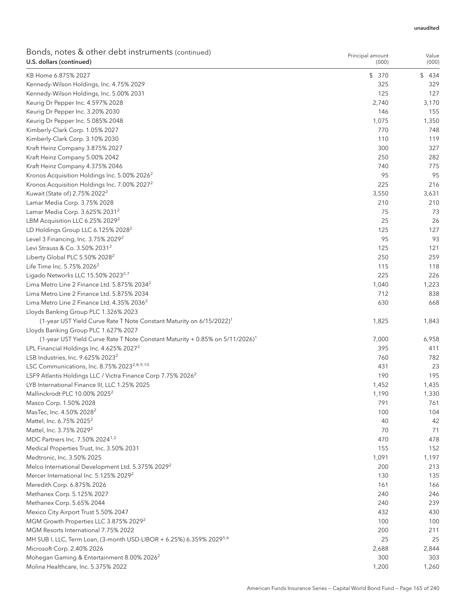Value

Principal amount

| Bonds, notes & other debt instruments (continued) |  |
|---------------------------------------------------|--|
| U.S. dollars (continued)                          |  |

| U.S. dollars (continued)                                                                 | (000) | (000)  |
|------------------------------------------------------------------------------------------|-------|--------|
| KB Home 6.875% 2027                                                                      | \$370 | \$ 434 |
| Kennedy-Wilson Holdings, Inc. 4.75% 2029                                                 | 325   | 329    |
| Kennedy-Wilson Holdings, Inc. 5.00% 2031                                                 | 125   | 127    |
| Keurig Dr Pepper Inc. 4.597% 2028                                                        | 2,740 | 3,170  |
| Keurig Dr Pepper Inc. 3.20% 2030                                                         | 146   | 155    |
| Keurig Dr Pepper Inc. 5.085% 2048                                                        | 1,075 | 1,350  |
| Kimberly-Clark Corp. 1.05% 2027                                                          | 770   | 748    |
| Kimberly-Clark Corp. 3.10% 2030                                                          | 110   | 119    |
| Kraft Heinz Company 3.875% 2027                                                          | 300   | 327    |
| Kraft Heinz Company 5.00% 2042                                                           | 250   | 282    |
| Kraft Heinz Company 4.375% 2046                                                          | 740   | 775    |
| Kronos Acquisition Holdings Inc. 5.00% 2026 <sup>2</sup>                                 | 95    | 95     |
| Kronos Acquisition Holdings Inc. 7.00% 2027 <sup>2</sup>                                 | 225   | 216    |
| Kuwait (State of) 2.75% 2022 <sup>2</sup>                                                | 3,550 | 3,631  |
| Lamar Media Corp. 3.75% 2028                                                             | 210   | 210    |
| Lamar Media Corp. 3.625% 2031 <sup>2</sup>                                               | 75    | 73     |
| LBM Acquisition LLC 6.25% 2029 <sup>2</sup>                                              | 25    | 26     |
| LD Holdings Group LLC 6.125% 2028 <sup>2</sup>                                           | 125   | 127    |
| Level 3 Financing, Inc. 3.75% 2029 $^2$                                                  | 95    | 93     |
| Levi Strauss & Co. 3.50% 2031 <sup>2</sup>                                               | 125   | 121    |
| Liberty Global PLC 5.50% 2028 <sup>2</sup>                                               | 250   | 259    |
| Life Time Inc. 5.75% 2026 <sup>2</sup>                                                   | 115   | 118    |
| Ligado Networks LLC 15.50% 2023 <sup>2,7</sup>                                           | 225   | 226    |
| Lima Metro Line 2 Finance Ltd. 5.875% 2034 <sup>2</sup>                                  | 1,040 | 1,223  |
| Lima Metro Line 2 Finance Ltd. 5.875% 2034                                               | 712   | 838    |
| Lima Metro Line 2 Finance Ltd. 4.35% 2036 <sup>2</sup>                                   | 630   | 668    |
| Lloyds Banking Group PLC 1.326% 2023                                                     |       |        |
| (1-year UST Yield Curve Rate T Note Constant Maturity on 6/15/2022) <sup>1</sup>         | 1,825 | 1,843  |
| Lloyds Banking Group PLC 1.627% 2027                                                     |       |        |
| (1-year UST Yield Curve Rate T Note Constant Maturity + 0.85% on 5/11/2026) <sup>1</sup> | 7,000 | 6,958  |
| LPL Financial Holdings Inc. 4.625% 2027 <sup>2</sup>                                     | 395   | 411    |
| LSB Industries, Inc. 9.625% 2023 <sup>2</sup>                                            | 760   | 782    |
| LSC Communications, Inc. 8.75% 2023 <sup>2,8,9,10</sup>                                  | 431   | 23     |
| LSF9 Atlantis Holdings LLC / Victra Finance Corp 7.75% 2026 <sup>2</sup>                 | 190   | 195    |
| LYB International Finance III, LLC 1.25% 2025                                            | 1,452 | 1,435  |
| Mallinckrodt PLC 10.00% 2025 <sup>2</sup>                                                | 1,190 | 1,330  |
| Masco Corp. 1.50% 2028                                                                   | 791   | 761    |
| MasTec, Inc. 4.50% 2028 <sup>2</sup>                                                     | 100   | 104    |
| Mattel, Inc. 6.75% 2025 <sup>2</sup>                                                     | 40    | 42     |
| Mattel, Inc. 3.75% 2029 <sup>2</sup>                                                     | 70    | 71     |
| MDC Partners Inc. 7.50% 2024 <sup>1,2</sup>                                              | 470   | 478    |
| Medical Properties Trust, Inc. 3.50% 2031                                                | 155   | 152    |
| Medtronic, Inc. 3.50% 2025                                                               | 1,091 | 1,197  |
| Melco International Development Ltd. 5.375% 2029 <sup>2</sup>                            | 200   | 213    |
| Mercer International Inc. 5.125% 2029 <sup>2</sup>                                       | 130   | 135    |
| Meredith Corp. 6.875% 2026                                                               | 161   | 166    |
| Methanex Corp. 5.125% 2027                                                               | 240   | 246    |
| Methanex Corp. 5.65% 2044                                                                | 240   | 239    |
| Mexico City Airport Trust 5.50% 2047                                                     | 432   | 430    |
| MGM Growth Properties LLC 3.875% 2029 <sup>2</sup>                                       | 100   | 100    |
| MGM Resorts International 7.75% 2022                                                     | 200   | 211    |
| MH SUB I, LLC, Term Loan, (3-month USD-LIBOR + 6.25%) 6.359% 2029 <sup>5,6</sup>         | 25    | 25     |
| Microsoft Corp. 2.40% 2026                                                               | 2,688 | 2,844  |
| Mohegan Gaming & Entertainment 8.00% 2026 <sup>2</sup>                                   | 300   | 303    |
|                                                                                          |       |        |
| Molina Healthcare, Inc. 5.375% 2022                                                      | 1,200 | 1,260  |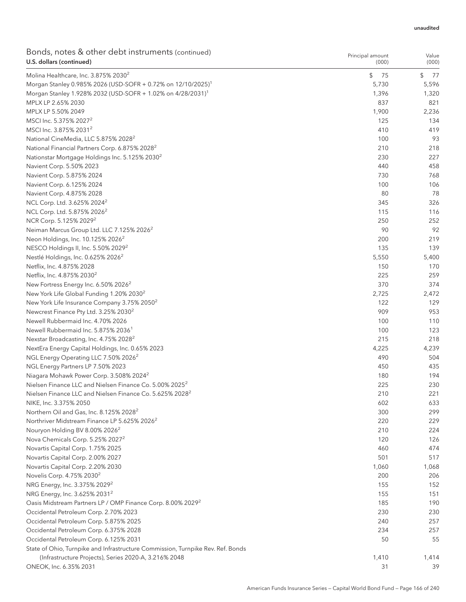|                          | Bonds, notes & other debt instruments (continued) |
|--------------------------|---------------------------------------------------|
| U.S. dollars (continued) |                                                   |

| bonds, notes & other debt mstraments (commaca<br>U.S. dollars (continued)       | Principal amount<br>(000) | Value<br>(000) |
|---------------------------------------------------------------------------------|---------------------------|----------------|
| Molina Healthcare, Inc. 3.875% 2030 <sup>2</sup>                                | \$<br>75                  | \$<br>-77      |
| Morgan Stanley 0.985% 2026 (USD-SOFR + 0.72% on 12/10/2025) <sup>1</sup>        | 5,730                     | 5,596          |
| Morgan Stanley 1.928% 2032 (USD-SOFR + 1.02% on 4/28/2031) <sup>1</sup>         | 1,396                     | 1,320          |
| MPLX LP 2.65% 2030                                                              | 837                       | 821            |
| MPLX LP 5.50% 2049                                                              | 1,900                     | 2,236          |
| MSCI Inc. 5.375% 2027 <sup>2</sup>                                              | 125                       | 134            |
| MSCI Inc. 3.875% 2031 <sup>2</sup>                                              | 410                       | 419            |
| National CineMedia, LLC 5.875% 2028 <sup>2</sup>                                | 100                       | 93             |
| National Financial Partners Corp. 6.875% 2028 <sup>2</sup>                      | 210                       | 218            |
| Nationstar Mortgage Holdings Inc. 5.125% 2030 <sup>2</sup>                      | 230                       | 227            |
| Navient Corp. 5.50% 2023                                                        | 440                       | 458            |
| Navient Corp. 5.875% 2024                                                       | 730                       | 768            |
| Navient Corp. 6.125% 2024                                                       | 100                       | 106            |
| Navient Corp. 4.875% 2028                                                       | 80                        | 78             |
| NCL Corp. Ltd. 3.625% 2024 <sup>2</sup>                                         | 345                       | 326            |
| NCL Corp. Ltd. 5.875% 2026 <sup>2</sup>                                         | 115                       | 116            |
| NCR Corp. 5.125% 2029 <sup>2</sup>                                              | 250                       | 252            |
| Neiman Marcus Group Ltd. LLC 7.125% 2026 <sup>2</sup>                           | 90                        | 92             |
| Neon Holdings, Inc. 10.125% 2026 <sup>2</sup>                                   | 200                       | 219            |
| NESCO Holdings II, Inc. 5.50% 2029 <sup>2</sup>                                 | 135                       | 139            |
| Nestlé Holdings, Inc. 0.625% 2026 <sup>2</sup>                                  | 5,550                     | 5,400          |
| Netflix, Inc. 4.875% 2028                                                       | 150                       | 170            |
| Netflix, Inc. 4.875% 2030 <sup>2</sup>                                          | 225                       | 259            |
| New Fortress Energy Inc. 6.50% 2026 <sup>2</sup>                                | 370                       | 374            |
| New York Life Global Funding 1.20% 2030 <sup>2</sup>                            | 2,725                     | 2,472          |
| New York Life Insurance Company 3.75% 2050 <sup>2</sup>                         | 122                       | 129            |
| Newcrest Finance Pty Ltd. 3.25% 2030 <sup>2</sup>                               | 909                       | 953            |
| Newell Rubbermaid Inc. 4.70% 2026                                               | 100                       | 110            |
| Newell Rubbermaid Inc. 5.875% 2036 <sup>1</sup>                                 | 100                       | 123            |
| Nexstar Broadcasting, Inc. 4.75% 2028 <sup>2</sup>                              | 215                       | 218            |
| NextEra Energy Capital Holdings, Inc. 0.65% 2023                                | 4,225                     | 4,239          |
| NGL Energy Operating LLC 7.50% 2026 <sup>2</sup>                                | 490                       | 504            |
| NGL Energy Partners LP 7.50% 2023                                               | 450                       | 435            |
| Niagara Mohawk Power Corp. 3.508% 2024 <sup>2</sup>                             | 180                       | 194            |
| Nielsen Finance LLC and Nielsen Finance Co. 5.00% 2025 <sup>2</sup>             | 225                       | 230            |
| Nielsen Finance LLC and Nielsen Finance Co. 5.625% 2028 <sup>2</sup>            | 210                       | 221            |
| NIKE, Inc. 3.375% 2050                                                          | 602                       | 633            |
| Northern Oil and Gas, Inc. 8.125% 2028 <sup>2</sup>                             | 300                       | 299            |
| Northriver Midstream Finance LP 5.625% 2026 <sup>2</sup>                        | 220                       | 229            |
| Nouryon Holding BV 8.00% 2026 <sup>2</sup>                                      | 210                       | 224            |
| Nova Chemicals Corp. 5.25% 2027 <sup>2</sup>                                    | 120                       | 126            |
| Novartis Capital Corp. 1.75% 2025                                               | 460                       | 474            |
| Novartis Capital Corp. 2.00% 2027                                               | 501                       | 517            |
| Novartis Capital Corp. 2.20% 2030                                               | 1,060                     | 1,068          |
| Novelis Corp. 4.75% 2030 <sup>2</sup>                                           | 200                       | 206            |
| NRG Energy, Inc. 3.375% 2029 <sup>2</sup>                                       | 155                       | 152            |
| NRG Energy, Inc. 3.625% 2031 <sup>2</sup>                                       | 155                       | 151            |
| Oasis Midstream Partners LP / OMP Finance Corp. 8.00% 2029 <sup>2</sup>         | 185                       | 190            |
| Occidental Petroleum Corp. 2.70% 2023                                           | 230                       | 230            |
| Occidental Petroleum Corp. 5.875% 2025                                          | 240                       | 257            |
| Occidental Petroleum Corp. 6.375% 2028                                          | 234                       | 257            |
| Occidental Petroleum Corp. 6.125% 2031                                          | 50                        | 55             |
| State of Ohio, Turnpike and Infrastructure Commission, Turnpike Rev. Ref. Bonds |                           |                |
| (Infrastructure Projects), Series 2020-A, 3.216% 2048                           | 1,410                     | 1,414          |
| ONEOK, Inc. 6.35% 2031                                                          | 31                        | 39             |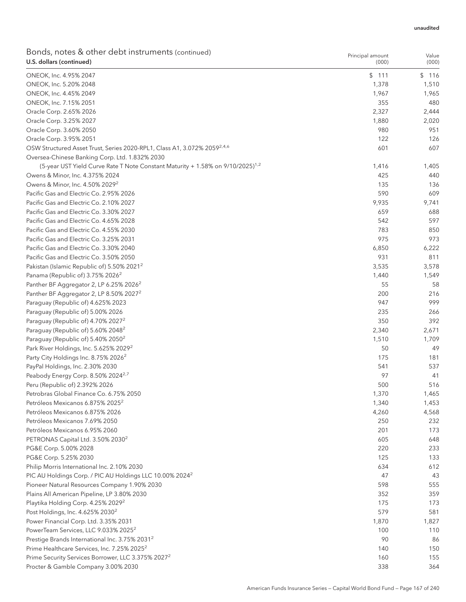|                          | Bonds, notes & other debt instruments (continued) |
|--------------------------|---------------------------------------------------|
| U.S. dollars (continued) |                                                   |

| DONGS, NOTES & OTHER GEDT INSTRUMENTS (continued)<br>U.S. dollars (continued)              | Principal amount<br>(000) | Value<br>(000) |
|--------------------------------------------------------------------------------------------|---------------------------|----------------|
| ONEOK, Inc. 4.95% 2047                                                                     | \$111                     | \$116          |
| ONEOK, Inc. 5.20% 2048                                                                     | 1,378                     | 1,510          |
| ONEOK, Inc. 4.45% 2049                                                                     | 1,967                     | 1,965          |
| ONEOK, Inc. 7.15% 2051                                                                     | 355                       | 480            |
| Oracle Corp. 2.65% 2026                                                                    | 2,327                     | 2,444          |
| Oracle Corp. 3.25% 2027                                                                    | 1,880                     | 2,020          |
| Oracle Corp. 3.60% 2050                                                                    | 980                       | 951            |
| Oracle Corp. 3.95% 2051                                                                    | 122                       | 126            |
| OSW Structured Asset Trust, Series 2020-RPL1, Class A1, 3.072% 2059 <sup>2,4,6</sup>       | 601                       | 607            |
| Oversea-Chinese Banking Corp. Ltd. 1.832% 2030                                             |                           |                |
| (5-year UST Yield Curve Rate T Note Constant Maturity + 1.58% on 9/10/2025) <sup>1,2</sup> | 1,416                     | 1,405          |
| Owens & Minor, Inc. 4.375% 2024                                                            | 425                       | 440            |
| Owens & Minor, Inc. 4.50% 2029 <sup>2</sup>                                                | 135                       | 136            |
| Pacific Gas and Electric Co. 2.95% 2026                                                    | 590                       | 609            |
| Pacific Gas and Electric Co. 2.10% 2027                                                    | 9,935                     | 9,741          |
| Pacific Gas and Electric Co. 3.30% 2027                                                    | 659                       | 688            |
| Pacific Gas and Electric Co. 4.65% 2028                                                    | 542                       | 597            |
| Pacific Gas and Electric Co. 4.55% 2030                                                    | 783                       | 850            |
| Pacific Gas and Electric Co. 3.25% 2031                                                    | 975                       | 973            |
| Pacific Gas and Electric Co. 3.30% 2040                                                    | 6,850                     | 6,222          |
| Pacific Gas and Electric Co. 3.50% 2050                                                    | 931                       | 811            |
| Pakistan (Islamic Republic of) 5.50% 2021 <sup>2</sup>                                     | 3,535                     | 3,578          |
| Panama (Republic of) 3.75% 2026 <sup>2</sup>                                               | 1,440                     | 1,549          |
| Panther BF Aggregator 2, LP 6.25% 2026 <sup>2</sup>                                        | 55                        | 58             |
| Panther BF Aggregator 2, LP 8.50% 2027 <sup>2</sup>                                        | 200                       | 216            |
| Paraguay (Republic of) 4.625% 2023                                                         | 947                       | 999            |
| Paraguay (Republic of) 5.00% 2026                                                          | 235                       | 266            |
| Paraguay (Republic of) 4.70% 2027 <sup>2</sup>                                             | 350                       | 392            |
| Paraguay (Republic of) 5.60% 2048 <sup>2</sup>                                             | 2,340                     | 2,671          |
| Paraguay (Republic of) 5.40% 2050 <sup>2</sup>                                             | 1,510                     | 1,709          |
| Park River Holdings, Inc. 5.625% 2029 <sup>2</sup>                                         | 50                        | 49             |
| Party City Holdings Inc. 8.75% 2026 <sup>2</sup>                                           | 175                       | 181            |
| PayPal Holdings, Inc. 2.30% 2030                                                           | 541                       | 537            |
| Peabody Energy Corp. 8.50% 2024 <sup>2,7</sup>                                             | 97                        | 41             |
| Peru (Republic of) 2.392% 2026                                                             | 500                       | 516            |
| Petrobras Global Finance Co. 6.75% 2050                                                    | 1,370                     | 1,465          |
| Petróleos Mexicanos 6.875% 2025 <sup>2</sup>                                               | 1,340                     | 1,453          |
| Petróleos Mexicanos 6.875% 2026                                                            | 4,260                     | 4,568          |
| Petróleos Mexicanos 7.69% 2050                                                             | 250                       | 232            |
| Petróleos Mexicanos 6.95% 2060                                                             | 201                       | 173            |
| PETRONAS Capital Ltd. 3.50% 2030 <sup>2</sup>                                              | 605                       | 648            |
| PG&E Corp. 5.00% 2028                                                                      | 220                       | 233            |
| PG&E Corp. 5.25% 2030                                                                      | 125                       | 133            |
| Philip Morris International Inc. 2.10% 2030                                                | 634                       | 612            |
| PIC AU Holdings Corp. / PIC AU Holdings LLC 10.00% 2024 <sup>2</sup>                       | 47                        | 43             |
| Pioneer Natural Resources Company 1.90% 2030                                               | 598                       | 555            |
| Plains All American Pipeline, LP 3.80% 2030                                                | 352                       | 359            |
| Playtika Holding Corp. 4.25% 2029 <sup>2</sup>                                             | 175                       | 173            |
| Post Holdings, Inc. 4.625% 2030 <sup>2</sup>                                               | 579                       | 581            |
| Power Financial Corp. Ltd. 3.35% 2031                                                      | 1,870                     | 1,827          |
| PowerTeam Services, LLC 9.033% 2025 <sup>2</sup>                                           | 100                       | 110            |
| Prestige Brands International Inc. 3.75% 2031 <sup>2</sup>                                 | 90                        | 86             |
| Prime Healthcare Services, Inc. 7.25% 2025 <sup>2</sup>                                    | 140                       | 150            |
| Prime Security Services Borrower, LLC 3.375% 2027 <sup>2</sup>                             | 160                       | 155            |
| Procter & Gamble Company 3.00% 2030                                                        | 338                       | 364            |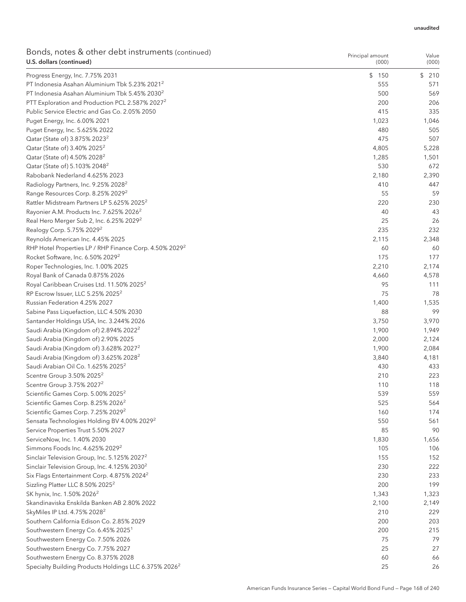| Bonds, notes & other debt instruments (continued)<br>U.S. dollars (continued)                    | Principal amount<br>(000) |            |
|--------------------------------------------------------------------------------------------------|---------------------------|------------|
| Progress Energy, Inc. 7.75% 2031                                                                 | \$150                     | \$<br>210  |
| PT Indonesia Asahan Aluminium Tbk 5.23% 2021 <sup>2</sup>                                        | 555                       | 571        |
| PT Indonesia Asahan Aluminium Tbk 5.45% 2030 <sup>2</sup>                                        | 500                       | 569        |
| PTT Exploration and Production PCL 2.587% 2027 <sup>2</sup>                                      | 200                       | 206        |
| Public Service Electric and Gas Co. 2.05% 2050                                                   | 415                       | 335        |
| Puget Energy, Inc. 6.00% 2021                                                                    | 1,023                     | 1,046      |
| Puget Energy, Inc. 5.625% 2022                                                                   | 480                       | 505        |
| Qatar (State of) 3.875% 2023 <sup>2</sup>                                                        | 475                       | 507        |
| Qatar (State of) 3.40% 2025 <sup>2</sup>                                                         | 4,805                     | 5,228      |
| Qatar (State of) 4.50% 2028 <sup>2</sup>                                                         | 1,285                     | 1,501      |
| Qatar (State of) 5.103% 2048 <sup>2</sup>                                                        | 530                       | 672        |
| Rabobank Nederland 4.625% 2023                                                                   | 2,180                     | 2,390      |
| Radiology Partners, Inc. 9.25% 2028 <sup>2</sup>                                                 | 410                       | 447        |
| Range Resources Corp. 8.25% 2029 <sup>2</sup>                                                    | 55                        | 59         |
| Rattler Midstream Partners LP 5.625% 2025 <sup>2</sup>                                           | 220                       | 230        |
| Rayonier A.M. Products Inc. 7.625% 2026 <sup>2</sup>                                             | 40                        | 43         |
| Real Hero Merger Sub 2, Inc. 6.25% 2029 <sup>2</sup>                                             | 25                        | 26         |
| Realogy Corp. 5.75% 2029 <sup>2</sup>                                                            | 235                       | 232        |
| Reynolds American Inc. 4.45% 2025                                                                | 2,115                     | 2,348      |
| RHP Hotel Properties LP / RHP Finance Corp. 4.50% 2029 <sup>2</sup>                              | 60                        | 60         |
| Rocket Software, Inc. 6.50% 2029 <sup>2</sup>                                                    | 175                       | 177        |
| Roper Technologies, Inc. 1.00% 2025                                                              | 2,210                     | 2,174      |
| Royal Bank of Canada 0.875% 2026                                                                 | 4,660                     | 4,578      |
| Royal Caribbean Cruises Ltd. 11.50% 2025 <sup>2</sup>                                            | 95                        | 111        |
| RP Escrow Issuer, LLC 5.25% 2025 <sup>2</sup>                                                    | 75                        | 78         |
| Russian Federation 4.25% 2027                                                                    | 1,400                     | 1,535      |
| Sabine Pass Liquefaction, LLC 4.50% 2030                                                         | 88                        | 99         |
| Santander Holdings USA, Inc. 3.244% 2026                                                         | 3,750                     | 3,970      |
| Saudi Arabia (Kingdom of) 2.894% 2022 <sup>2</sup>                                               | 1,900                     | 1,949      |
| Saudi Arabia (Kingdom of) 2.90% 2025                                                             | 2,000                     | 2,124      |
| Saudi Arabia (Kingdom of) 3.628% 2027 <sup>2</sup>                                               | 1,900                     | 2,084      |
| Saudi Arabia (Kingdom of) 3.625% 2028 <sup>2</sup>                                               | 3,840                     | 4,181      |
| Saudi Arabian Oil Co. 1.625% 2025 <sup>2</sup>                                                   | 430                       | 433        |
| Scentre Group 3.50% 2025 <sup>2</sup>                                                            | 210                       | 223<br>118 |
| Scentre Group 3.75% 2027 <sup>2</sup>                                                            | 110<br>539                | 559        |
| Scientific Games Corp. 5.00% 2025 <sup>2</sup>                                                   | 525                       | 564        |
| Scientific Games Corp. 8.25% 2026 <sup>2</sup><br>Scientific Games Corp. 7.25% 2029 <sup>2</sup> | 160                       | 174        |
| Sensata Technologies Holding BV 4.00% 2029 <sup>2</sup>                                          | 550                       | 561        |
| Service Properties Trust 5.50% 2027                                                              | 85                        | 90         |
| ServiceNow, Inc. 1.40% 2030                                                                      | 1,830                     | 1,656      |
| Simmons Foods Inc. 4.625% 2029 <sup>2</sup>                                                      | 105                       | 106        |
| Sinclair Television Group, Inc. 5.125% 2027 <sup>2</sup>                                         | 155                       | 152        |
| Sinclair Television Group, Inc. 4.125% 2030 <sup>2</sup>                                         | 230                       | 222        |
| Six Flags Entertainment Corp. 4.875% 2024 <sup>2</sup>                                           | 230                       | 233        |
| Sizzling Platter LLC 8.50% 2025 <sup>2</sup>                                                     | 200                       | 199        |
| SK hynix, Inc. 1.50% 2026 <sup>2</sup>                                                           | 1,343                     | 1,323      |
| Skandinaviska Enskilda Banken AB 2.80% 2022                                                      | 2,100                     | 2,149      |
| SkyMiles IP Ltd. 4.75% 2028 <sup>2</sup>                                                         | 210                       | 229        |
| Southern California Edison Co. 2.85% 2029                                                        | 200                       | 203        |
| Southwestern Energy Co. 6.45% 2025 <sup>1</sup>                                                  | 200                       | 215        |
| Southwestern Energy Co. 7.50% 2026                                                               | 75                        | 79         |
| Southwestern Energy Co. 7.75% 2027                                                               | 25                        | 27         |
| Southwestern Energy Co. 8.375% 2028                                                              | 60                        | 66         |
| Specialty Building Products Holdings LLC 6.375% 2026 <sup>2</sup>                                | 25                        | 26         |
|                                                                                                  |                           |            |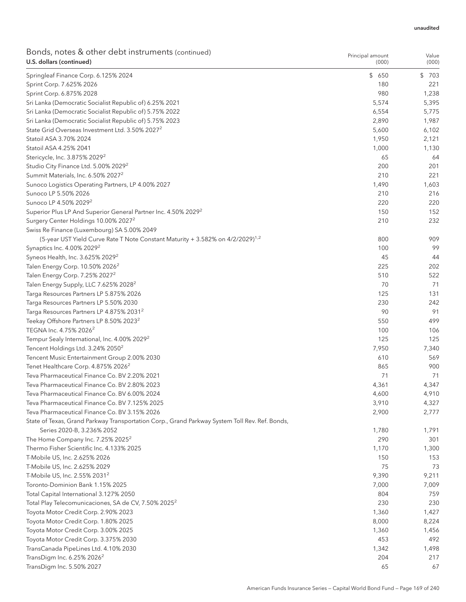| Bonds, notes & other debt instruments (continued) |  |
|---------------------------------------------------|--|
| U.S. dollars (continued)                          |  |

| $\sim$ . There is a periodic properties and the feature $\sim$<br>U.S. dollars (continued)     | Principal amount<br>(000) | Value<br>(000) |
|------------------------------------------------------------------------------------------------|---------------------------|----------------|
| Springleaf Finance Corp. 6.125% 2024                                                           | \$650                     | \$703          |
| Sprint Corp. 7.625% 2026                                                                       | 180                       | 221            |
| Sprint Corp. 6.875% 2028                                                                       | 980                       | 1,238          |
| Sri Lanka (Democratic Socialist Republic of) 6.25% 2021                                        | 5,574                     | 5,395          |
| Sri Lanka (Democratic Socialist Republic of) 5.75% 2022                                        | 6,554                     | 5,775          |
| Sri Lanka (Democratic Socialist Republic of) 5.75% 2023                                        | 2,890                     | 1,987          |
| State Grid Overseas Investment Ltd. 3.50% 2027 <sup>2</sup>                                    | 5,600                     | 6,102          |
| Statoil ASA 3.70% 2024                                                                         | 1,950                     | 2,121          |
| Statoil ASA 4.25% 2041                                                                         | 1,000                     | 1,130          |
| Stericycle, Inc. 3.875% 2029 <sup>2</sup>                                                      | 65                        | 64             |
| Studio City Finance Ltd. 5.00% 2029 <sup>2</sup>                                               | 200                       | 201            |
| Summit Materials, Inc. 6.50% 2027 <sup>2</sup>                                                 | 210                       | 221            |
| Sunoco Logistics Operating Partners, LP 4.00% 2027                                             | 1,490                     | 1,603          |
| Sunoco LP 5.50% 2026                                                                           | 210                       | 216            |
| Sunoco LP 4.50% 2029 <sup>2</sup>                                                              | 220                       | 220            |
| Superior Plus LP And Superior General Partner Inc. 4.50% 2029 <sup>2</sup>                     | 150                       | 152            |
| Surgery Center Holdings 10.00% 2027 <sup>2</sup>                                               | 210                       | 232            |
| Swiss Re Finance (Luxembourg) SA 5.00% 2049                                                    |                           |                |
| (5-year UST Yield Curve Rate T Note Constant Maturity + 3.582% on 4/2/2029) <sup>1,2</sup>     | 800                       | 909            |
| Synaptics Inc. 4.00% 2029 <sup>2</sup>                                                         | 100                       | 99             |
| Syneos Health, Inc. 3.625% 2029 <sup>2</sup>                                                   | 45                        | 44             |
| Talen Energy Corp. 10.50% 2026 <sup>2</sup>                                                    | 225                       | 202            |
| Talen Energy Corp. 7.25% 2027 <sup>2</sup>                                                     | 510                       | 522            |
| Talen Energy Supply, LLC 7.625% 2028 <sup>2</sup>                                              | 70                        | 71             |
| Targa Resources Partners LP 5.875% 2026                                                        | 125                       | 131            |
| Targa Resources Partners LP 5.50% 2030                                                         | 230                       | 242            |
| Targa Resources Partners LP 4.875% 2031 <sup>2</sup>                                           | 90                        | 91             |
| Teekay Offshore Partners LP 8.50% 2023 <sup>2</sup>                                            | 550                       | 499            |
| TEGNA Inc. 4.75% 2026 <sup>2</sup>                                                             | 100                       | 106            |
| Tempur Sealy International, Inc. 4.00% 2029 <sup>2</sup>                                       | 125                       | 125            |
| Tencent Holdings Ltd. 3.24% 2050 <sup>2</sup>                                                  | 7,950                     | 7,340          |
| Tencent Music Entertainment Group 2.00% 2030                                                   | 610                       | 569            |
| Tenet Healthcare Corp. 4.875% 2026 <sup>2</sup>                                                | 865                       | 900            |
| Teva Pharmaceutical Finance Co. BV 2.20% 2021                                                  | 71                        | 71             |
| Teva Pharmaceutical Finance Co. BV 2.80% 2023                                                  | 4,361                     | 4,347          |
| Teva Pharmaceutical Finance Co. BV 6.00% 2024                                                  | 4,600                     | 4,910          |
| Teva Pharmaceutical Finance Co. BV 7.125% 2025                                                 | 3,910                     | 4,327          |
| Teva Pharmaceutical Finance Co. BV 3.15% 2026                                                  | 2,900                     | 2,777          |
| State of Texas, Grand Parkway Transportation Corp., Grand Parkway System Toll Rev. Ref. Bonds, |                           |                |
| Series 2020-B, 3.236% 2052                                                                     | 1,780                     | 1,791          |
| The Home Company Inc. 7.25% 2025 <sup>2</sup>                                                  | 290                       | 301            |
| Thermo Fisher Scientific Inc. 4.133% 2025                                                      | 1,170                     | 1,300          |
| T-Mobile US, Inc. 2.625% 2026                                                                  | 150                       | 153            |
| T-Mobile US, Inc. 2.625% 2029                                                                  | 75                        | 73             |
| T-Mobile US, Inc. 2.55% 2031 <sup>2</sup>                                                      | 9,390                     | 9,211          |
| Toronto-Dominion Bank 1.15% 2025                                                               | 7,000                     | 7,009          |
| Total Capital International 3.127% 2050                                                        | 804                       | 759            |
| Total Play Telecomunicaciones, SA de CV, 7.50% 2025 <sup>2</sup>                               | 230                       | 230            |
| Toyota Motor Credit Corp. 2.90% 2023                                                           | 1,360                     | 1,427          |
| Toyota Motor Credit Corp. 1.80% 2025                                                           | 8,000                     | 8,224          |
| Toyota Motor Credit Corp. 3.00% 2025                                                           | 1,360                     | 1,456          |
| Toyota Motor Credit Corp. 3.375% 2030                                                          | 453                       | 492            |
| TransCanada PipeLines Ltd. 4.10% 2030                                                          | 1,342                     | 1,498          |
| TransDigm Inc. 6.25% 2026 <sup>2</sup>                                                         | 204                       | 217            |
| TransDigm Inc. 5.50% 2027                                                                      | 65                        | 67             |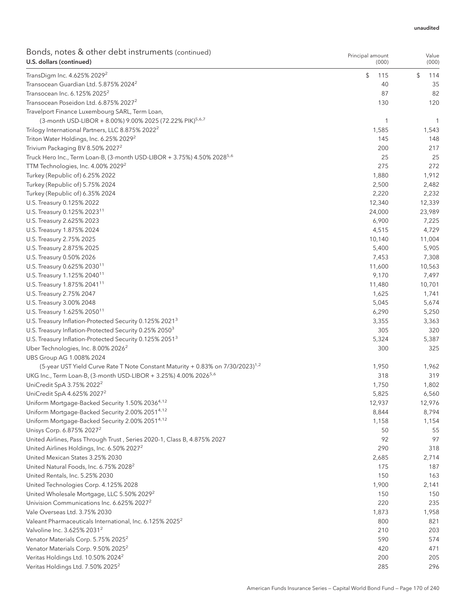| DONGS, NOTES & OTHER GEDT INSTRUMENTS (CONTINUED)<br>U.S. dollars (continued)                                          | Principal amount<br>(000) | Value<br>(000) |
|------------------------------------------------------------------------------------------------------------------------|---------------------------|----------------|
|                                                                                                                        |                           |                |
| TransDigm Inc. 4.625% 2029 <sup>2</sup>                                                                                | \$<br>115                 | \$<br>114      |
| Transocean Guardian Ltd. 5.875% 2024 <sup>2</sup>                                                                      | 40                        | 35             |
| Transocean Inc. 6.125% 2025 <sup>2</sup>                                                                               | 87                        | 82             |
| Transocean Poseidon Ltd. 6.875% 2027 <sup>2</sup>                                                                      | 130                       | 120            |
| Travelport Finance Luxembourg SARL, Term Loan,<br>(3-month USD-LIBOR + 8.00%) 9.00% 2025 (72.22% PIK) <sup>5,6,7</sup> | $\mathbf{1}$              | 1              |
| Trilogy International Partners, LLC 8.875% 2022 <sup>2</sup>                                                           | 1,585                     | 1,543          |
| Triton Water Holdings, Inc. 6.25% 2029 <sup>2</sup>                                                                    | 145                       | 148            |
| Trivium Packaging BV 8.50% 2027 <sup>2</sup>                                                                           | 200                       | 217            |
| Truck Hero Inc., Term Loan-B, (3-month USD-LIBOR + 3.75%) 4.50% 2028 <sup>5,6</sup>                                    | 25                        | 25             |
| TTM Technologies, Inc. 4.00% 2029 <sup>2</sup>                                                                         | 275                       | 272            |
| Turkey (Republic of) 6.25% 2022                                                                                        | 1,880                     | 1,912          |
| Turkey (Republic of) 5.75% 2024                                                                                        | 2,500                     | 2,482          |
| Turkey (Republic of) 6.35% 2024                                                                                        | 2,220                     | 2,232          |
| U.S. Treasury 0.125% 2022                                                                                              | 12,340                    | 12,339         |
| U.S. Treasury 0.125% 2023 <sup>11</sup>                                                                                | 24,000                    | 23,989         |
| U.S. Treasury 2.625% 2023                                                                                              | 6,900                     | 7,225          |
| U.S. Treasury 1.875% 2024                                                                                              | 4,515                     | 4,729          |
| U.S. Treasury 2.75% 2025                                                                                               | 10,140                    | 11,004         |
| U.S. Treasury 2.875% 2025                                                                                              | 5,400                     | 5,905          |
| U.S. Treasury 0.50% 2026                                                                                               | 7,453                     | 7,308          |
| U.S. Treasury 0.625% 2030 <sup>11</sup>                                                                                | 11,600                    | 10,563         |
| U.S. Treasury 1.125% 2040 <sup>11</sup>                                                                                | 9,170                     | 7,497          |
| U.S. Treasury 1.875% 2041 <sup>11</sup>                                                                                | 11,480                    | 10,701         |
| U.S. Treasury 2.75% 2047                                                                                               | 1,625                     | 1,741          |
| U.S. Treasury 3.00% 2048                                                                                               | 5,045                     | 5,674          |
| U.S. Treasury 1.625% 2050 <sup>11</sup>                                                                                | 6,290                     | 5,250          |
| U.S. Treasury Inflation-Protected Security 0.125% 2021 <sup>3</sup>                                                    | 3,355                     | 3,363          |
| U.S. Treasury Inflation-Protected Security 0.25% 2050 <sup>3</sup>                                                     | 305                       | 320            |
| U.S. Treasury Inflation-Protected Security 0.125% 2051 <sup>3</sup>                                                    | 5,324                     | 5,387          |
| Uber Technologies, Inc. 8.00% 2026 <sup>2</sup>                                                                        | 300                       | 325            |
| UBS Group AG 1.008% 2024                                                                                               |                           |                |
| (5-year UST Yield Curve Rate T Note Constant Maturity + 0.83% on 7/30/2023) <sup>1,2</sup>                             | 1,950                     | 1,962          |
| UKG Inc., Term Loan-B, (3-month USD-LIBOR + 3.25%) 4.00% 2026 <sup>5,6</sup>                                           | 318                       | 319            |
| UniCredit SpA 3.75% 2022 <sup>2</sup>                                                                                  | 1,750                     | 1,802          |
| UniCredit SpA 4.625% 2027 <sup>2</sup>                                                                                 | 5,825                     | 6,560          |
| Uniform Mortgage-Backed Security 1.50% 20364,12                                                                        | 12,937                    | 12,976         |
| Uniform Mortgage-Backed Security 2.00% 20514,12                                                                        | 8,844                     | 8,794          |
| Uniform Mortgage-Backed Security 2.00% 2051 <sup>4,12</sup>                                                            | 1,158                     | 1,154          |
| Unisys Corp. 6.875% 2027 <sup>2</sup>                                                                                  | 50                        | 55             |
| United Airlines, Pass Through Trust, Series 2020-1, Class B, 4.875% 2027                                               | 92                        | 97             |
| United Airlines Holdings, Inc. 6.50% 2027 <sup>2</sup>                                                                 | 290                       | 318            |
| United Mexican States 3.25% 2030                                                                                       | 2,685                     | 2,714          |
| United Natural Foods, Inc. 6.75% 2028 <sup>2</sup>                                                                     | 175                       | 187            |
| United Rentals, Inc. 5.25% 2030                                                                                        | 150                       | 163            |
| United Technologies Corp. 4.125% 2028                                                                                  | 1,900                     | 2,141          |
| United Wholesale Mortgage, LLC 5.50% 2029 <sup>2</sup>                                                                 | 150                       | 150            |
| Univision Communications Inc. 6.625% 2027 <sup>2</sup>                                                                 | 220                       | 235            |
| Vale Overseas Ltd. 3.75% 2030                                                                                          | 1,873                     | 1,958          |
| Valeant Pharmaceuticals International, Inc. 6.125% 2025 <sup>2</sup>                                                   | 800                       | 821            |
| Valvoline Inc. 3.625% 2031 <sup>2</sup>                                                                                | 210                       | 203            |
| Venator Materials Corp. 5.75% 2025 <sup>2</sup>                                                                        | 590                       | 574            |
| Venator Materials Corp. 9.50% 2025 <sup>2</sup>                                                                        | 420                       | 471            |
| Veritas Holdings Ltd. 10.50% 2024 <sup>2</sup>                                                                         | 200                       | 205            |
| Veritas Holdings Ltd. 7.50% 2025 <sup>2</sup>                                                                          | 285                       | 296            |

Bonds, notes & other debt instruments (continued)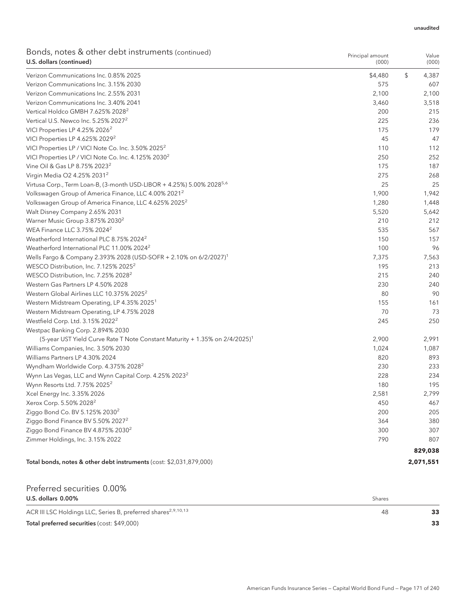| Bonds, notes & other debt instruments (continued)<br>Principal amount<br>U.S. dollars (continued)<br>(000) |         | Value<br>(000) |           |
|------------------------------------------------------------------------------------------------------------|---------|----------------|-----------|
| Verizon Communications Inc. 0.85% 2025                                                                     | \$4,480 | \$             | 4,387     |
| Verizon Communications Inc. 3.15% 2030                                                                     | 575     |                | 607       |
| Verizon Communications Inc. 2.55% 2031                                                                     | 2,100   |                | 2,100     |
| Verizon Communications Inc. 3.40% 2041                                                                     | 3,460   |                | 3,518     |
| Vertical Holdco GMBH 7.625% 2028 <sup>2</sup>                                                              | 200     |                | 215       |
| Vertical U.S. Newco Inc. 5.25% 2027 <sup>2</sup>                                                           | 225     |                | 236       |
| VICI Properties LP 4.25% 2026 <sup>2</sup>                                                                 | 175     |                | 179       |
| VICI Properties LP 4.625% 2029 <sup>2</sup>                                                                | 45      |                | 47        |
| VICI Properties LP / VICI Note Co. Inc. 3.50% 2025 <sup>2</sup>                                            | 110     |                | 112       |
| VICI Properties LP / VICI Note Co. Inc. 4.125% 2030 <sup>2</sup>                                           | 250     |                | 252       |
| Vine Oil & Gas LP 8.75% 2023 <sup>2</sup>                                                                  | 175     |                | 187       |
| Virgin Media O2 4.25% 2031 <sup>2</sup>                                                                    | 275     |                | 268       |
| Virtusa Corp., Term Loan-B, (3-month USD-LIBOR + 4.25%) 5.00% 2028 <sup>5,6</sup>                          | 25      |                | 25        |
| Volkswagen Group of America Finance, LLC 4.00% 2021 <sup>2</sup>                                           | 1,900   |                | 1,942     |
| Volkswagen Group of America Finance, LLC 4.625% 2025 <sup>2</sup>                                          | 1,280   |                | 1,448     |
| Walt Disney Company 2.65% 2031                                                                             | 5,520   |                | 5,642     |
| Warner Music Group 3.875% 2030 <sup>2</sup>                                                                | 210     |                | 212       |
| WEA Finance LLC 3.75% 2024 <sup>2</sup>                                                                    | 535     |                | 567       |
| Weatherford International PLC 8.75% 2024 <sup>2</sup>                                                      | 150     |                | 157       |
| Weatherford International PLC 11.00% 2024 <sup>2</sup>                                                     | 100     |                | 96        |
| Wells Fargo & Company 2.393% 2028 (USD-SOFR + 2.10% on 6/2/2027) <sup>1</sup>                              | 7,375   |                | 7,563     |
| WESCO Distribution, Inc. 7.125% 2025 <sup>2</sup>                                                          | 195     |                | 213       |
| WESCO Distribution, Inc. 7.25% 2028 <sup>2</sup>                                                           | 215     |                | 240       |
| Western Gas Partners LP 4.50% 2028                                                                         | 230     |                | 240       |
| Western Global Airlines LLC 10.375% 2025 <sup>2</sup>                                                      | 80      |                | 90        |
| Western Midstream Operating, LP 4.35% 2025 <sup>1</sup>                                                    | 155     |                | 161       |
| Western Midstream Operating, LP 4.75% 2028                                                                 | 70      |                | 73        |
| Westfield Corp. Ltd. 3.15% 2022 <sup>2</sup>                                                               | 245     |                | 250       |
| Westpac Banking Corp. 2.894% 2030                                                                          |         |                |           |
| (5-year UST Yield Curve Rate T Note Constant Maturity + 1.35% on 2/4/2025) <sup>1</sup>                    | 2,900   |                | 2,991     |
| Williams Companies, Inc. 3.50% 2030                                                                        | 1,024   |                | 1,087     |
| Williams Partners LP 4.30% 2024                                                                            | 820     |                | 893       |
| Wyndham Worldwide Corp. 4.375% 2028 <sup>2</sup>                                                           | 230     |                | 233       |
| Wynn Las Vegas, LLC and Wynn Capital Corp. 4.25% 2023 <sup>2</sup>                                         | 228     |                | 234       |
| Wynn Resorts Ltd. 7.75% 2025 <sup>2</sup>                                                                  | 180     |                | 195       |
| Xcel Energy Inc. 3.35% 2026                                                                                | 2,581   |                | 2,799     |
| Xerox Corp. 5.50% 2028 <sup>2</sup>                                                                        | 450     |                | 467       |
| Ziggo Bond Co. BV 5.125% 2030 <sup>2</sup>                                                                 | 200     |                | 205       |
| Ziggo Bond Finance BV 5.50% 2027 <sup>2</sup>                                                              | 364     |                | 380       |
| Ziggo Bond Finance BV 4.875% 2030 <sup>2</sup>                                                             | 300     |                | 307       |
| Zimmer Holdings, Inc. 3.15% 2022                                                                           | 790     |                | 807       |
|                                                                                                            |         |                | 829,038   |
| Total bonds, notes & other debt instruments (cost: \$2,031,879,000)                                        |         |                | 2,071,551 |

| Preferred securities 0.00%<br><b>U.S. dollars 0.00%</b>                   | Shares |    |
|---------------------------------------------------------------------------|--------|----|
| ACR III LSC Holdings LLC, Series B, preferred shares <sup>2,9,10,13</sup> | 48     | 33 |
| Total preferred securities (cost: \$49,000)                               |        | 33 |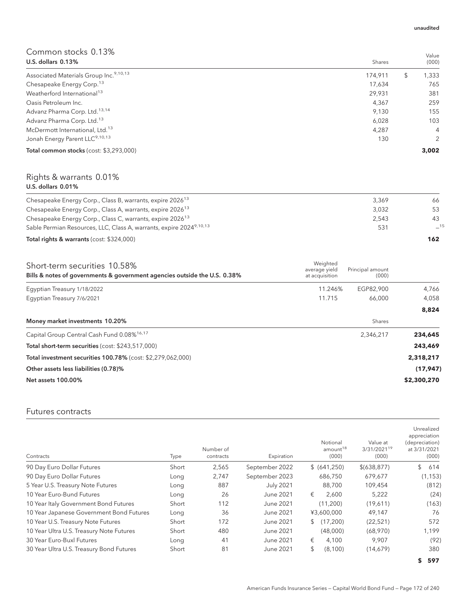# Common stocks 0.13%

| <b>U.S. dollars 0.13%</b>                          | Shares  | (000)          |
|----------------------------------------------------|---------|----------------|
| Associated Materials Group Inc. <sup>9,10,13</sup> | 174.911 | 1,333<br>\$    |
| Chesapeake Energy Corp. <sup>13</sup>              | 17,634  | 765            |
| Weatherford International <sup>13</sup>            | 29,931  | 381            |
| Oasis Petroleum Inc.                               | 4,367   | 259            |
| Advanz Pharma Corp. Ltd. <sup>13,14</sup>          | 9.130   | 155            |
| Advanz Pharma Corp. Ltd. <sup>13</sup>             | 6,028   | 103            |
| McDermott International, Ltd. <sup>13</sup>        | 4,287   | $\overline{4}$ |
| Jonah Energy Parent LLC <sup>9,10,13</sup>         | 130     | $\mathcal{P}$  |
| Total common stocks (cost: \$3,293,000)            |         | 3,002          |

## Rights & warrants 0.01% U.S. dollars 0.01%

| <b>Total rights &amp; warrants (cost: \$324,000)</b>                            |       | 162   |
|---------------------------------------------------------------------------------|-------|-------|
| Sable Permian Resources, LLC, Class A, warrants, expire 2024 <sup>9,10,13</sup> | 531   | $-15$ |
| Chesapeake Energy Corp., Class C, warrants, expire 2026 <sup>13</sup>           | 2.543 |       |
| Chesapeake Energy Corp., Class A, warrants, expire 2026 <sup>13</sup>           | 3.032 |       |
| Chesapeake Energy Corp., Class B, warrants, expire 2026 <sup>13</sup>           | 3.369 | 66    |
|                                                                                 |       |       |

| Short-term securities 10.58%<br>Bills & notes of governments & government agencies outside the U.S. 0.38% | Weighted<br>average yield<br>at acquisition | Principal amount<br>(000) |             |
|-----------------------------------------------------------------------------------------------------------|---------------------------------------------|---------------------------|-------------|
| Eqyptian Treasury 1/18/2022                                                                               | 11.246%                                     | EGP82,900                 | 4.766       |
| Eqyptian Treasury 7/6/2021                                                                                | 11.715                                      | 66.000                    | 4,058       |
|                                                                                                           |                                             |                           | 8,824       |
| Money market investments 10.20%                                                                           |                                             | Shares                    |             |
| Capital Group Central Cash Fund 0.08% <sup>16,17</sup>                                                    |                                             | 2,346,217                 | 234,645     |
| Total short-term securities (cost: \$243,517,000)                                                         |                                             |                           | 243,469     |
| Total investment securities 100.78% (cost: \$2,279,062,000)                                               |                                             |                           | 2,318,217   |
| Other assets less liabilities (0.78)%                                                                     |                                             |                           | (17, 947)   |
| <b>Net assets 100.00%</b>                                                                                 |                                             |                           | \$2,300,270 |

## Futures contracts

| Contracts                                | Type  | Number of<br>contracts | Expiration       | Notional<br>amount <sup>18</sup><br>(000) | Value at<br>3/31/202119<br>(000) | Unrealized<br>appreciation<br>(depreciation)<br>at 3/31/2021<br>(000) |
|------------------------------------------|-------|------------------------|------------------|-------------------------------------------|----------------------------------|-----------------------------------------------------------------------|
| 90 Day Euro Dollar Futures               | Short | 2,565                  | September 2022   | \$ (641,250)                              | \$ (638, 877)                    | \$<br>614                                                             |
| 90 Day Euro Dollar Futures               | Long  | 2,747                  | September 2023   | 686,750                                   | 679,677                          | (1, 153)                                                              |
| 5 Year U.S. Treasury Note Futures        | Long  | 887                    | <b>July 2021</b> | 88,700                                    | 109,454                          | (812)                                                                 |
| 10 Year Euro-Bund Futures                | Long  | 26                     | June 2021        | €<br>2.600                                | 5,222                            | (24)                                                                  |
| 10 Year Italy Government Bond Futures    | Short | 112                    | June 2021        | (11,200)                                  | (19,611)                         | (163)                                                                 |
| 10 Year Japanese Government Bond Futures | Long  | 36                     | June 2021        | ¥3,600,000                                | 49,147                           | 76                                                                    |
| 10 Year U.S. Treasury Note Futures       | Short | 172                    | June 2021        | (17,200)<br>\$                            | (22, 521)                        | 572                                                                   |
| 10 Year Ultra U.S. Treasury Note Futures | Short | 480                    | June 2021        | (48,000)                                  | (68,970)                         | 1,199                                                                 |
| 30 Year Euro-Buxl Futures                | Long  | 41                     | June 2021        | €<br>4,100                                | 9,907                            | (92)                                                                  |
| 30 Year Ultra U.S. Treasury Bond Futures | Short | 81                     | June 2021        | \$<br>(8,100)                             | (14,679)                         | 380                                                                   |
|                                          |       |                        |                  |                                           |                                  |                                                                       |

Value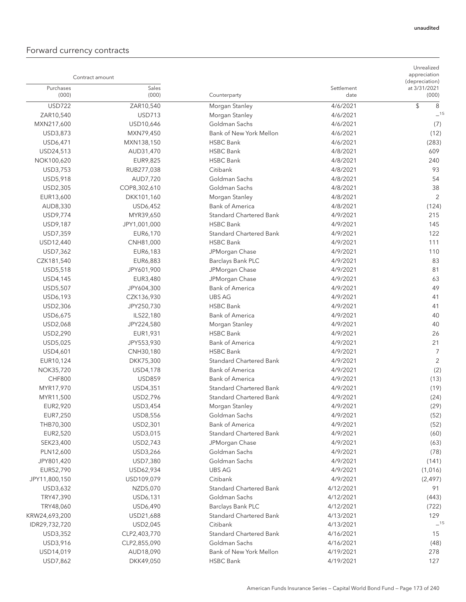# Forward currency contracts

| Contract amount    |                |                                |                    | Unrealized<br>appreciation<br>(depreciation) |
|--------------------|----------------|--------------------------------|--------------------|----------------------------------------------|
| Purchases<br>(000) | Sales<br>(000) | Counterparty                   | Settlement<br>date | at 3/31/2021<br>(000)                        |
| <b>USD722</b>      | ZAR10,540      | Morgan Stanley                 | 4/6/2021           | \$<br>8                                      |
| ZAR10,540          | <b>USD713</b>  | Morgan Stanley                 | 4/6/2021           | $-15$                                        |
| MXN217,600         | USD10,646      | Goldman Sachs                  | 4/6/2021           | (7)                                          |
| USD3,873           | MXN79,450      | Bank of New York Mellon        | 4/6/2021           | (12)                                         |
| USD6,471           | MXN138,150     | <b>HSBC Bank</b>               | 4/6/2021           | (283)                                        |
| USD24,513          | AUD31,470      | <b>HSBC Bank</b>               | 4/8/2021           | 609                                          |
| NOK100,620         | EUR9,825       | <b>HSBC Bank</b>               | 4/8/2021           | 240                                          |
| USD3,753           | RUB277,038     | Citibank                       | 4/8/2021           | 93                                           |
| USD5,918           | AUD7,720       | Goldman Sachs                  | 4/8/2021           | 54                                           |
| USD2,305           | COP8,302,610   | Goldman Sachs                  | 4/8/2021           | 38                                           |
| EUR13,600          | DKK101,160     | Morgan Stanley                 | 4/8/2021           | 2                                            |
| AUD8,330           | USD6,452       | <b>Bank of America</b>         | 4/8/2021           | (124)                                        |
| USD9,774           | MYR39,650      | <b>Standard Chartered Bank</b> | 4/9/2021           | 215                                          |
| USD9,187           | JPY1,001,000   | <b>HSBC Bank</b>               | 4/9/2021           | 145                                          |
| USD7,359           | EUR6,170       | <b>Standard Chartered Bank</b> | 4/9/2021           | 122                                          |
| USD12,440          | CNH81,000      | <b>HSBC Bank</b>               | 4/9/2021           | 111                                          |
| USD7,362           | EUR6,183       | JPMorgan Chase                 | 4/9/2021           | 110                                          |
| CZK181,540         | EUR6,883       | Barclays Bank PLC              | 4/9/2021           | 83                                           |
| USD5,518           | JPY601,900     | JPMorgan Chase                 | 4/9/2021           | 81                                           |
| USD4,145           | EUR3,480       | JPMorgan Chase                 | 4/9/2021           | 63                                           |
| USD5,507           | JPY604,300     | <b>Bank of America</b>         | 4/9/2021           | 49                                           |
| USD6,193           | CZK136,930     | <b>UBS AG</b>                  | 4/9/2021           | 41                                           |
| USD2,306           | JPY250,730     | <b>HSBC Bank</b>               | 4/9/2021           | 41                                           |
| USD6,675           | ILS22,180      | <b>Bank of America</b>         | 4/9/2021           | 40                                           |
| USD2,068           | JPY224,580     | Morgan Stanley                 | 4/9/2021           | 40                                           |
| USD2,290           | EUR1,931       | <b>HSBC Bank</b>               | 4/9/2021           | 26                                           |
| USD5,025           | JPY553,930     | <b>Bank of America</b>         | 4/9/2021           | 21                                           |
| USD4,601           | CNH30,180      | <b>HSBC Bank</b>               | 4/9/2021           | 7                                            |
| EUR10,124          | DKK75,300      | Standard Chartered Bank        | 4/9/2021           | 2                                            |
| NOK35,720          | USD4,178       | <b>Bank of America</b>         | 4/9/2021           | (2)                                          |
| <b>CHF800</b>      | <b>USD859</b>  | <b>Bank of America</b>         | 4/9/2021           | (13)                                         |
| MYR17,970          | USD4,351       | <b>Standard Chartered Bank</b> | 4/9/2021           | (19)                                         |
| MYR11,500          | USD2,796       | <b>Standard Chartered Bank</b> | 4/9/2021           | (24)                                         |
| EUR2,920           | USD3,454       | Morgan Stanley                 | 4/9/2021           | (29)                                         |
| EUR7,250           | USD8,556       | Goldman Sachs                  | 4/9/2021           | (52)                                         |
| THB70,300          | USD2,301       | <b>Bank of America</b>         | 4/9/2021           | (52)                                         |
| EUR2,520           | USD3,015       | <b>Standard Chartered Bank</b> | 4/9/2021           | (60)                                         |
| SEK23,400          | USD2,743       | JPMorgan Chase                 | 4/9/2021           | (63)                                         |
| PLN12,600          | USD3,266       | Goldman Sachs                  | 4/9/2021           | (78)                                         |
| JPY801,420         | USD7,380       | Goldman Sachs                  | 4/9/2021           | (141)                                        |
| EUR52,790          | USD62,934      | <b>UBS AG</b>                  | 4/9/2021           | (1,016)                                      |
| JPY11,800,150      | USD109,079     | Citibank                       | 4/9/2021           | (2, 497)                                     |
| USD3,632           | NZD5,070       | <b>Standard Chartered Bank</b> | 4/12/2021          | 91                                           |
| TRY47,390          | USD6,131       | Goldman Sachs                  | 4/12/2021          | (443)                                        |
| TRY48,060          | USD6,490       | Barclays Bank PLC              | 4/12/2021          | (722)                                        |
| KRW24,693,200      | USD21,688      | <b>Standard Chartered Bank</b> | 4/13/2021          | 129                                          |
| IDR29,732,720      | USD2,045       | Citibank                       | 4/13/2021          | $-15$                                        |
| USD3,352           | CLP2,403,770   | <b>Standard Chartered Bank</b> | 4/16/2021          | 15                                           |
| USD3,916           | CLP2,855,090   | Goldman Sachs                  | 4/16/2021          | (48)                                         |
| USD14,019          | AUD18,090      | Bank of New York Mellon        | 4/19/2021          | 278                                          |
| USD7,862           | DKK49,050      | HSBC Bank                      | 4/19/2021          | 127                                          |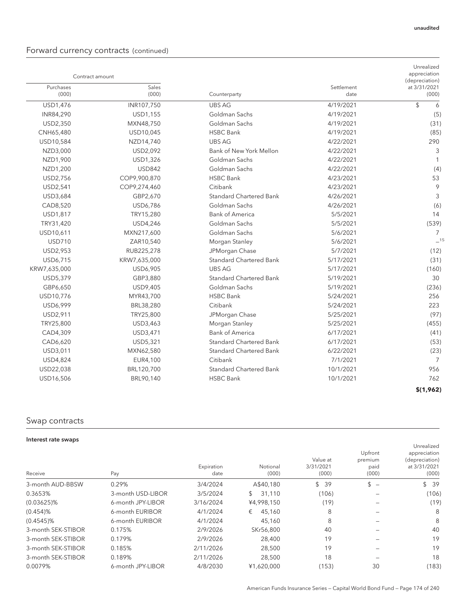# Forward currency contracts (continued)

| Contract amount    |                |                                |                    | Unrealized<br>appreciation<br>(depreciation) |
|--------------------|----------------|--------------------------------|--------------------|----------------------------------------------|
| Purchases<br>(000) | Sales<br>(000) | Counterparty                   | Settlement<br>date | at 3/31/2021<br>(000)                        |
| USD1,476           | INR107,750     | <b>UBS AG</b>                  | 4/19/2021          | $\mathfrak{L}$<br>6                          |
| INR84,290          | USD1,155       | Goldman Sachs                  | 4/19/2021          | (5)                                          |
| USD2,350           | MXN48,750      | Goldman Sachs                  | 4/19/2021          | (31)                                         |
| CNH65,480          | USD10,045      | <b>HSBC Bank</b>               | 4/19/2021          | (85)                                         |
| USD10,584          | NZD14,740      | <b>UBS AG</b>                  | 4/22/2021          | 290                                          |
| NZD3,000           | USD2,092       | Bank of New York Mellon        | 4/22/2021          | 3                                            |
| NZD1,900           | USD1,326       | Goldman Sachs                  | 4/22/2021          | $\mathbf{1}$                                 |
| NZD1,200           | <b>USD842</b>  | Goldman Sachs                  | 4/22/2021          | (4)                                          |
| USD2,756           | COP9,900,870   | <b>HSBC Bank</b>               | 4/23/2021          | 53                                           |
| USD2,541           | COP9,274,460   | Citibank                       | 4/23/2021          | 9                                            |
| USD3,684           | GBP2,670       | <b>Standard Chartered Bank</b> | 4/26/2021          | 3                                            |
| CAD8,520           | USD6,786       | Goldman Sachs                  | 4/26/2021          | (6)                                          |
| USD1,817           | TRY15,280      | <b>Bank of America</b>         | 5/5/2021           | 14                                           |
| TRY31,420          | USD4,246       | Goldman Sachs                  | 5/5/2021           | (539)                                        |
| USD10,611          | MXN217,600     | Goldman Sachs                  | 5/6/2021           | 7                                            |
| <b>USD710</b>      | ZAR10,540      | Morgan Stanley                 | 5/6/2021           | $-15$                                        |
| USD2,953           | RUB225,278     | JPMorgan Chase                 | 5/7/2021           | (12)                                         |
| USD6,715           | KRW7,635,000   | <b>Standard Chartered Bank</b> | 5/17/2021          | (31)                                         |
| KRW7,635,000       | USD6,905       | <b>UBS AG</b>                  | 5/17/2021          | (160)                                        |
| USD5,379           | GBP3,880       | <b>Standard Chartered Bank</b> | 5/19/2021          | 30                                           |
| GBP6,650           | USD9,405       | Goldman Sachs                  | 5/19/2021          | (236)                                        |
| USD10,776          | MYR43,700      | <b>HSBC Bank</b>               | 5/24/2021          | 256                                          |
| USD6,999           | BRL38,280      | Citibank                       | 5/24/2021          | 223                                          |
| USD2,911           | TRY25,800      | JPMorgan Chase                 | 5/25/2021          | (97)                                         |
| TRY25,800          | USD3,463       | Morgan Stanley                 | 5/25/2021          | (455)                                        |
| CAD4,309           | USD3,471       | <b>Bank of America</b>         | 6/17/2021          | (41)                                         |
| CAD6,620           | USD5,321       | <b>Standard Chartered Bank</b> | 6/17/2021          | (53)                                         |
| USD3,011           | MXN62,580      | <b>Standard Chartered Bank</b> | 6/22/2021          | (23)                                         |
| USD4,824           | EUR4,100       | Citibank                       | 7/1/2021           | $\overline{7}$                               |
| USD22,038          | BRL120,700     | <b>Standard Chartered Bank</b> | 10/1/2021          | 956                                          |
| USD16,506          | BRL90,140      | <b>HSBC Bank</b>               | 10/1/2021          | 762                                          |

### **\$(1,962)**

# Swap contracts

#### Interest rate swaps

| interest rate swaps<br>Receive | Pay               | Expiration<br>date | Notional<br>(000) | Value at<br>3/31/2021<br>(000) | Upfront<br>premium<br>paid<br>(000) | Unrealized<br>appreciation<br>(depreciation)<br>at 3/31/2021<br>(000) |
|--------------------------------|-------------------|--------------------|-------------------|--------------------------------|-------------------------------------|-----------------------------------------------------------------------|
| 3-month AUD-BBSW               | 0.29%             | 3/4/2024           | A\$40.180         | \$<br>39                       | \$                                  | \$<br>39                                                              |
| 0.3653%                        | 3-month USD-LIBOR | 3/5/2024           | \$<br>31.110      | (106)                          |                                     | (106)                                                                 |
| $(0.03625)\%$                  | 6-month JPY-LIBOR | 3/16/2024          | ¥4,998,150        | (19)                           |                                     | (19)                                                                  |
| $(0.454)$ %                    | 6-month EURIBOR   | 4/1/2024           | €<br>45,160       | 8                              |                                     | 8                                                                     |
| $(0.4545)\%$                   | 6-month EURIBOR   | 4/1/2024           | 45,160            | 8                              |                                     | 8                                                                     |
| 3-month SEK-STIBOR             | 0.175%            | 2/9/2026           | SKr56,800         | 40                             |                                     | 40                                                                    |
| 3-month SEK-STIBOR             | 0.179%            | 2/9/2026           | 28,400            | 19                             |                                     | 19                                                                    |
| 3-month SEK-STIBOR             | 0.185%            | 2/11/2026          | 28,500            | 19                             |                                     | 19                                                                    |
| 3-month SEK-STIBOR             | 0.189%            | 2/11/2026          | 28,500            | 18                             | -                                   | 18                                                                    |
| 0.0079%                        | 6-month JPY-LIBOR | 4/8/2030           | ¥1,620,000        | (153)                          | 30                                  | (183)                                                                 |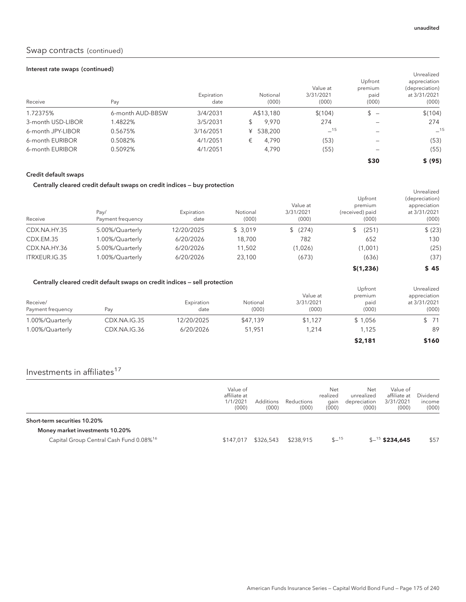## Swap contracts (continued)

#### Interest rate swaps (continued)

|                   |                  | Expiration | Notional     | Value at<br>3/31/2021 | Upfront<br>premium<br>paid     | Unrealized<br>appreciation<br>(depreciation)<br>at 3/31/2021 |
|-------------------|------------------|------------|--------------|-----------------------|--------------------------------|--------------------------------------------------------------|
| Receive           | Pay              | date       | (000)        | (000)                 | (000)                          | (000)                                                        |
| 1.72375%          | 6-month AUD-BBSW | 3/4/2031   | A\$13,180    | \$(104)               | \$<br>$\overline{\phantom{a}}$ | \$(104)                                                      |
| 3-month USD-LIBOR | .4822%           | 3/5/2031   | 9.970<br>\$  | 274                   |                                | 274                                                          |
| 6-month JPY-LIBOR | 0.5675%          | 3/16/2051  | 538,200<br>¥ | $-15$                 |                                | $-15$                                                        |
| 6-month EURIBOR   | 0.5082%          | 4/1/2051   | 4.790<br>€   | (53)                  |                                | (53)                                                         |
| 6-month EURIBOR   | 0.5092%          | 4/1/2051   | 4,790        | (55)                  |                                | (55)                                                         |
|                   |                  |            |              |                       | \$30                           | \$ (95)                                                      |

### Credit default swaps

## Centrally cleared credit default swaps on credit indices — buy protection

| Receive       | Pay/<br>Payment frequency | Expiration<br>date | Notional<br>(000) | Value at<br>3/31/2021<br>(000) | Upfront<br>premium<br>(received) paid<br>(000) | Unrealized<br>(depreciation)<br>appreciation<br>at 3/31/2021<br>(000) |
|---------------|---------------------------|--------------------|-------------------|--------------------------------|------------------------------------------------|-----------------------------------------------------------------------|
| CDX.NA.HY.35  | 5.00%/Quarterly           | 12/20/2025         | \$3,019           | \$(274)                        | (251)                                          | \$ (23)                                                               |
| CDX.EM.35     | 1.00%/Quarterly           | 6/20/2026          | 18,700            | 782                            | 652                                            | 130                                                                   |
| CDX.NA.HY.36  | 5.00%/Quarterly           | 6/20/2026          | 11,502            | (1,026)                        | (1,001)                                        | (25)                                                                  |
| ITRXEUR.IG.35 | 1.00%/Quarterly           | 6/20/2026          | 23,100            | (673)                          | (636)                                          | (37)                                                                  |
|               |                           |                    |                   |                                | \$(1,236)                                      | \$45                                                                  |

#### Centrally cleared credit default swaps on credit indices — sell protection

| Centrally cleared credit delaght swaps on credit mulces – sell protection<br>Receive/ |              | Expiration | Notional | Value at<br>3/31/2021 | Upfront<br>premium<br>paid | Unrealized<br>appreciation<br>at 3/31/2021 |
|---------------------------------------------------------------------------------------|--------------|------------|----------|-----------------------|----------------------------|--------------------------------------------|
| Payment frequency                                                                     | Pav          | date       | (000)    | (000)                 | (000)                      | (000)                                      |
| 1.00%/Quarterly                                                                       | CDX.NA.IG.35 | 12/20/2025 | \$47,139 | \$1.127               | \$1,056                    | \$71                                       |
| 1.00%/Quarterly                                                                       | CDX.NA.IG.36 | 6/20/2026  | 51.951   | 1.214                 | 1,125                      | 89                                         |
|                                                                                       |              |            |          |                       | \$2,181                    | \$160                                      |

# Investments in affiliates $^{17}$

|                                                     | Value of<br>affiliate at<br>1/1/2021<br>(000) | <b>Additions</b><br>(000) | Reductions<br>(000) | Net<br>realized<br>qain<br>(000) | Net<br>unrealized<br>depreciation<br>(000) | Value of<br>affiliate at<br>3/31/2021<br>(000) | Dividend<br>income<br>(000) |
|-----------------------------------------------------|-----------------------------------------------|---------------------------|---------------------|----------------------------------|--------------------------------------------|------------------------------------------------|-----------------------------|
| Short-term securities 10.20%                        |                                               |                           |                     |                                  |                                            |                                                |                             |
| Money market investments 10.20%                     |                                               |                           |                     |                                  |                                            |                                                |                             |
| Capital Group Central Cash Fund 0.08% <sup>16</sup> | \$147,017                                     | \$326,543                 | \$238.915           | $$^{-15}$                        |                                            | $$^{-15}$ \$234.645                            | \$57                        |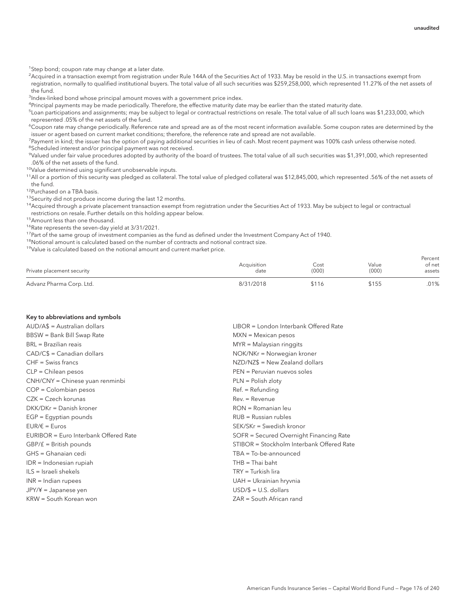<sup>1</sup>Step bond; coupon rate may change at a later date.

 $^2$ Acquired in a transaction exempt from registration under Rule 144A of the Securities Act of 1933. May be resold in the U.S. in transactions exempt from registration, normally to qualified institutional buyers. The total value of all such securities was \$259,258,000, which represented 11.27% of the net assets of the fund.

<sup>3</sup>Index-linked bond whose principal amount moves with a government price index.

<sup>4</sup>Principal payments may be made periodically. Therefore, the effective maturity date may be earlier than the stated maturity date.

5 Loan participations and assignments; may be subject to legal or contractual restrictions on resale. The total value of all such loans was \$1,233,000, which represented .05% of the net assets of the fund.

6 Coupon rate may change periodically. Reference rate and spread are as of the most recent information available. Some coupon rates are determined by the issuer or agent based on current market conditions; therefore, the reference rate and spread are not available.

<sup>7</sup>Payment in kind; the issuer has the option of paying additional securities in lieu of cash. Most recent payment was 100% cash unless otherwise noted. <sup>8</sup>Scheduled interest and/or principal payment was not received.

9 Valued under fair value procedures adopted by authority of the board of trustees. The total value of all such securities was \$1,391,000, which represented .06% of the net assets of the fund.

10Value determined using significant unobservable inputs.

 $11$ All or a portion of this security was pledged as collateral. The total value of pledged collateral was \$12,845,000, which represented .56% of the net assets of the fund.

12Purchased on a TBA basis.

<sup>13</sup> Security did not produce income during the last 12 months.

<sup>14</sup>Acquired through a private placement transaction exempt from registration under the Securities Act of 1933. May be subject to legal or contractual restrictions on resale. Further details on this holding appear below.

15Amount less than one thousand.

<sup>16</sup>Rate represents the seven-day yield at 3/31/2021.

 $17$ Part of the same group of investment companies as the fund as defined under the Investment Company Act of 1940.

<sup>18</sup>Notional amount is calculated based on the number of contracts and notional contract size.

<sup>19</sup>Value is calculated based on the notional amount and current market price.

| Private placement security | Acquisition<br>date | Cost<br>(000) | Value<br>(000) | Percent<br>of net<br>assets |
|----------------------------|---------------------|---------------|----------------|-----------------------------|
| Advanz Pharma Corp. Ltd.   | 8/31/2018           | \$116         | \$155          | .01%                        |

#### Key to abbreviations and symbols

| AUD/A\$ = Australian dollars          | LIBOR = London Interbank Offered Rate     |
|---------------------------------------|-------------------------------------------|
| BBSW = Bank Bill Swap Rate            | $MXN = Mexican$ pesos                     |
| BRL = Brazilian reais                 | $MYR =$ Malaysian ringgits                |
| CAD/C\$ = Canadian dollars            | NOK/NKr = Norwegian kroner                |
| $CHF = Swiss$ francs                  | NZD/NZ\$ = New Zealand dollars            |
| $CLP =$ Chilean pesos                 | PEN = Peruvian nuevos soles               |
| CNH/CNY = Chinese yuan renminbi       | $PLN =$ Polish zloty                      |
| $COP =$ Colombian pesos               | $Ref. = Refunding$                        |
| CZK = Czech korunas                   | $Rev = Revenue$                           |
| DKK/DKr = Danish kroner               | RON = Romanian leu                        |
| $EGP = \text{Equation pounds}$        | $RUB = Russian rubles$                    |
| $EUR/\epsilon = Euros$                | SEK/SKr = Swedish kronor                  |
| EURIBOR = Euro Interbank Offered Rate | SOFR = Secured Overnight Financing Rate   |
| $GBP/f = British pounds$              | STIBOR = Stockholm Interbank Offered Rate |
| GHS = Ghanaian cedi                   | TBA = To-be-announced                     |
| $IDR = Indonesian rupiah$             | $THB = Thai$ baht                         |
| $ILS = Israeli shekels$               | TRY = Turkish lira                        |
| $INR = Indian rupees$                 | UAH = Ukrainian hryvnia                   |
| $JPY/\frac{2}{7}$ = Japanese yen      | $USD/\$ = U.S.$ dollars                   |
| KRW = South Korean won                | ZAR = South African rand                  |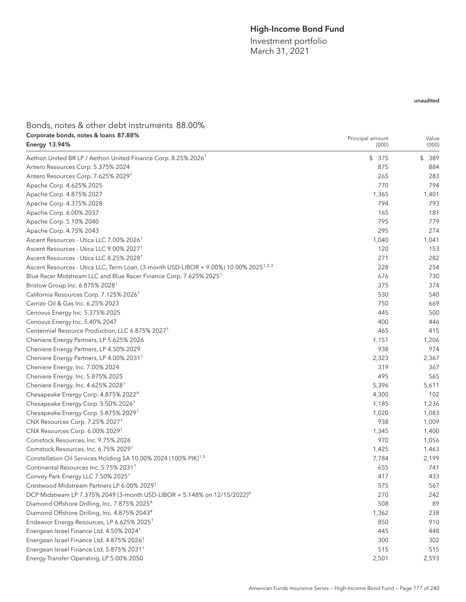# High-Income Bond Fund

Investment portfolio March 31, 2021

## unaudited

| Corporate bonds, notes & loans 87.88%<br>Energy 13.94%                                            | Principal amount<br>(000) | Value<br>(000) |
|---------------------------------------------------------------------------------------------------|---------------------------|----------------|
| Aethon United BR LP / Aethon United Finance Corp. 8.25% 2026 <sup>1</sup>                         | \$375                     | \$<br>- 389    |
| Antero Resources Corp. 5.375% 2024                                                                | 875                       | 884            |
| Antero Resources Corp. 7.625% 2029 <sup>1</sup>                                                   | 265                       | 283            |
| Apache Corp. 4.625% 2025                                                                          | 770                       | 794            |
| Apache Corp. 4.875% 2027                                                                          | 1,365                     | 1,401          |
| Apache Corp. 4.375% 2028                                                                          | 794                       | 793            |
| Apache Corp. 6.00% 2037                                                                           | 165                       | 181            |
| Apache Corp. 5.10% 2040                                                                           | 795                       | 779            |
| Apache Corp. 4.75% 2043                                                                           | 295                       | 274            |
| Ascent Resources - Utica LLC 7.00% 2026 <sup>1</sup>                                              | 1,040                     | 1,041          |
| Ascent Resources - Utica LLC 9.00% 2027 <sup>1</sup>                                              | 120                       | 153            |
| Ascent Resources - Utica LLC 8.25% 2028 <sup>1</sup>                                              | 271                       | 282            |
| Ascent Resources - Utica LLC, Term Loan, (3-month USD-LIBOR + 9.00%) 10.00% 2025 <sup>1,2,3</sup> | 228                       | 254            |
| Blue Racer Midstream LLC and Blue Racer Finance Corp. 7.625% 2025 <sup>1</sup>                    | 676                       | 730            |
| Bristow Group Inc. 6.875% 2028 <sup>1</sup>                                                       | 375                       | 374            |
| California Resources Corp. 7.125% 2026 <sup>1</sup>                                               | 530                       | 540            |
| Carrizo Oil & Gas Inc. 6.25% 2023                                                                 | 750                       | 669            |
| Cenovus Energy Inc. 5.375% 2025                                                                   | 445                       | 500            |
| Cenovus Energy Inc. 5.40% 2047                                                                    | 400                       | 446            |
| Centennial Resource Production, LLC 6.875% 2027 <sup>1</sup>                                      | 465                       | 415            |
| Cheniere Energy Partners, LP 5.625% 2026                                                          | 1,151                     | 1,206          |
| Cheniere Energy Partners, LP 4.50% 2029                                                           | 938                       | 974            |
| Cheniere Energy Partners, LP 4.00% 2031 <sup>1</sup>                                              | 2,323                     | 2,367          |
| Cheniere Energy, Inc. 7.00% 2024                                                                  | 319                       | 367            |
| Cheniere Energy, Inc. 5.875% 2025                                                                 | 495                       | 565            |
| Cheniere Energy, Inc. 4.625% 2028 <sup>1</sup>                                                    | 5,396                     | 5,611          |
| Chesapeake Energy Corp. 4.875% 2022 <sup>4</sup>                                                  | 4,300                     | 102            |
| Chesapeake Energy Corp. 5.50% 2026 <sup>1</sup>                                                   | 1,185                     | 1,236          |
| Chesapeake Energy Corp. 5.875% 2029 <sup>1</sup>                                                  | 1,020                     | 1,083          |
| CNX Resources Corp. 7.25% 2027 <sup>1</sup>                                                       | 938                       | 1,009          |
| CNX Resources Corp. 6.00% 2029 <sup>1</sup>                                                       | 1,345                     | 1,400          |
| Comstock Resources, Inc. 9.75% 2026                                                               | 970                       | 1,056          |
| Comstock Resources, Inc. 6.75% 2029 <sup>1</sup>                                                  | 1,425                     | 1,463          |
| Constellation Oil Services Holding SA 10.00% 2024 (100% PIK) <sup>1,5</sup>                       | 7,784                     | 2,199          |
| Continental Resources Inc. 5.75% 2031 <sup>1</sup>                                                | 655                       | 741            |
| Convey Park Energy LLC 7.50% 2025 <sup>1</sup>                                                    | 417                       | 433            |
| Crestwood Midstream Partners LP 6.00% 2029 <sup>1</sup>                                           | 575                       | 567            |
| DCP Midstream LP 7.375% 2049 (3-month USD-LIBOR + 5.148% on 12/15/2022) <sup>6</sup>              | 270                       | 242            |
| Diamond Offshore Drilling, Inc. 7.875% 2025 <sup>4</sup>                                          | 508                       | 89             |
| Diamond Offshore Drilling, Inc. 4.875% 2043 <sup>4</sup>                                          | 1,362                     | 238            |
| Endeavor Energy Resources, LP 6.625% 2025 <sup>1</sup>                                            | 850                       | 910            |
| Energean Israel Finance Ltd. 4.50% 2024 <sup>1</sup>                                              | 445                       | 448            |
| Energean Israel Finance Ltd. 4.875% 2026 <sup>1</sup>                                             | 300                       | 302            |
| Energean Israel Finance Ltd. 5.875% 2031 <sup>1</sup>                                             | 515                       | 515            |
| Energy Transfer Operating, LP 5.00% 2050                                                          | 2,501                     | 2,593          |

Bonds, notes & other debt instruments 88.00%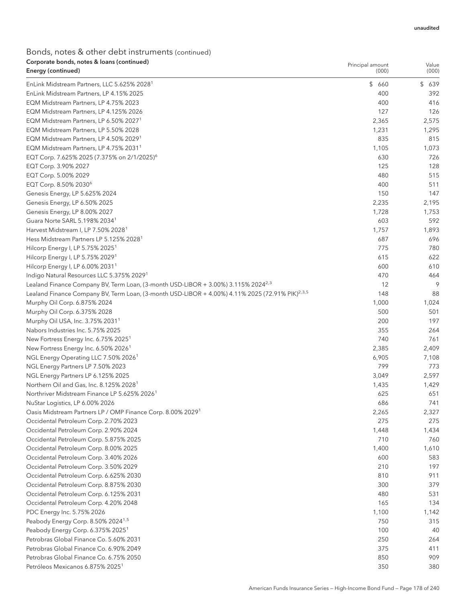| Corporate bonds, notes & Ioans (continued)<br>Energy (continued)                                            | Principal amount<br>(000) |              | Value<br>(000) |              |
|-------------------------------------------------------------------------------------------------------------|---------------------------|--------------|----------------|--------------|
| EnLink Midstream Partners, LLC 5.625% 2028 <sup>1</sup>                                                     |                           | \$660        |                | \$639        |
| EnLink Midstream Partners, LP 4.15% 2025                                                                    |                           | 400          |                | 392          |
| EQM Midstream Partners, LP 4.75% 2023                                                                       |                           | 400          |                | 416          |
| EQM Midstream Partners, LP 4.125% 2026                                                                      |                           | 127          |                | 126          |
| EQM Midstream Partners, LP 6.50% 2027 <sup>1</sup>                                                          |                           | 2,365        |                | 2,575        |
| EQM Midstream Partners, LP 5.50% 2028                                                                       |                           | 1,231        |                | 1,295        |
| EQM Midstream Partners, LP 4.50% 2029 <sup>1</sup>                                                          |                           | 835          |                | 815          |
| EQM Midstream Partners, LP 4.75% 2031 <sup>1</sup>                                                          |                           | 1,105        |                | 1,073        |
| EQT Corp. 7.625% 2025 (7.375% on 2/1/2025) <sup>6</sup>                                                     |                           | 630          |                | 726          |
| EQT Corp. 3.90% 2027                                                                                        |                           | 125          |                | 128          |
| EQT Corp. 5.00% 2029                                                                                        |                           | 480          |                | 515          |
| EQT Corp. 8.50% 2030 <sup>6</sup>                                                                           |                           | 400          |                | 511          |
| Genesis Energy, LP 5.625% 2024                                                                              |                           | 150          |                | 147          |
| Genesis Energy, LP 6.50% 2025                                                                               |                           | 2,235        |                | 2,195        |
| Genesis Energy, LP 8.00% 2027                                                                               |                           | 1,728        |                | 1,753        |
| Guara Norte SARL 5.198% 2034 <sup>1</sup>                                                                   |                           | 603          |                | 592          |
| Harvest Midstream I, LP 7.50% 2028 <sup>1</sup>                                                             |                           | 1,757        |                | 1,893        |
| Hess Midstream Partners LP 5.125% 2028 <sup>1</sup>                                                         |                           | 687          |                | 696          |
| Hilcorp Energy I, LP 5.75% 2025 <sup>1</sup>                                                                |                           | 775          |                | 780          |
| Hilcorp Energy I, LP 5.75% 20291                                                                            |                           | 615          |                | 622          |
| Hilcorp Energy I, LP 6.00% 2031 <sup>1</sup>                                                                |                           | 600          |                | 610          |
| Indigo Natural Resources LLC 5.375% 2029 <sup>1</sup>                                                       |                           | 470          |                | 464          |
| Lealand Finance Company BV, Term Loan, (3-month USD-LIBOR + 3.00%) 3.115% 2024 <sup>2,3</sup>               |                           | 12           |                | 9            |
| Lealand Finance Company BV, Term Loan, (3-month USD-LIBOR + 4.00%) 4.11% 2025 (72.91% PIK) <sup>2.3,5</sup> |                           | 148          |                | 88           |
| Murphy Oil Corp. 6.875% 2024                                                                                |                           | 1,000        |                | 1,024        |
| Murphy Oil Corp. 6.375% 2028                                                                                |                           | 500          |                | 501          |
| Murphy Oil USA, Inc. 3.75% 2031 <sup>1</sup>                                                                |                           | 200          |                | 197          |
| Nabors Industries Inc. 5.75% 2025                                                                           |                           | 355          |                | 264          |
| New Fortress Energy Inc. 6.75% 2025 <sup>1</sup>                                                            |                           | 740          |                | 761          |
| New Fortress Energy Inc. 6.50% 2026 <sup>1</sup>                                                            |                           | 2,385        |                | 2,409        |
| NGL Energy Operating LLC 7.50% 2026 <sup>1</sup>                                                            |                           | 6,905        |                | 7,108        |
| NGL Energy Partners LP 7.50% 2023                                                                           |                           | 799          |                | 773          |
| NGL Energy Partners LP 6.125% 2025                                                                          |                           | 3,049        |                | 2,597        |
| Northern Oil and Gas, Inc. 8.125% 2028 <sup>1</sup>                                                         |                           | 1,435        |                | 1,429        |
| Northriver Midstream Finance LP 5.625% 2026 <sup>1</sup>                                                    |                           | 625          |                | 651          |
| NuStar Logistics, LP 6.00% 2026                                                                             |                           | 686          |                | 741          |
| Oasis Midstream Partners LP / OMP Finance Corp. 8.00% 2029 <sup>1</sup>                                     |                           |              |                |              |
| Occidental Petroleum Corp. 2.70% 2023                                                                       |                           | 2,265<br>275 |                | 2,327<br>275 |
|                                                                                                             |                           |              |                |              |
| Occidental Petroleum Corp. 2.90% 2024<br>Occidental Petroleum Corp. 5.875% 2025                             |                           | 1,448<br>710 |                | 1,434<br>760 |
|                                                                                                             |                           |              |                |              |
| Occidental Petroleum Corp. 8.00% 2025                                                                       |                           | 1,400        |                | 1,610        |
| Occidental Petroleum Corp. 3.40% 2026                                                                       |                           | 600          |                | 583          |
| Occidental Petroleum Corp. 3.50% 2029                                                                       |                           | 210          |                | 197          |
| Occidental Petroleum Corp. 6.625% 2030                                                                      |                           | 810          |                | 911          |
| Occidental Petroleum Corp. 8.875% 2030                                                                      |                           | 300          |                | 379          |
| Occidental Petroleum Corp. 6.125% 2031                                                                      |                           | 480          |                | 531          |
| Occidental Petroleum Corp. 4.20% 2048                                                                       |                           | 165          |                | 134          |
| PDC Energy Inc. 5.75% 2026                                                                                  |                           | 1,100        |                | 1,142        |
| Peabody Energy Corp. 8.50% 2024 <sup>1,5</sup>                                                              |                           | 750          |                | 315          |
| Peabody Energy Corp. 6.375% 2025 <sup>1</sup>                                                               |                           | 100          |                | 40           |
| Petrobras Global Finance Co. 5.60% 2031                                                                     |                           | 250          |                | 264          |
| Petrobras Global Finance Co. 6.90% 2049                                                                     |                           | 375          |                | 411          |
| Petrobras Global Finance Co. 6.75% 2050                                                                     |                           | 850          |                | 909          |
| Petróleos Mexicanos 6.875% 2025 <sup>1</sup>                                                                |                           | 350          |                | 380          |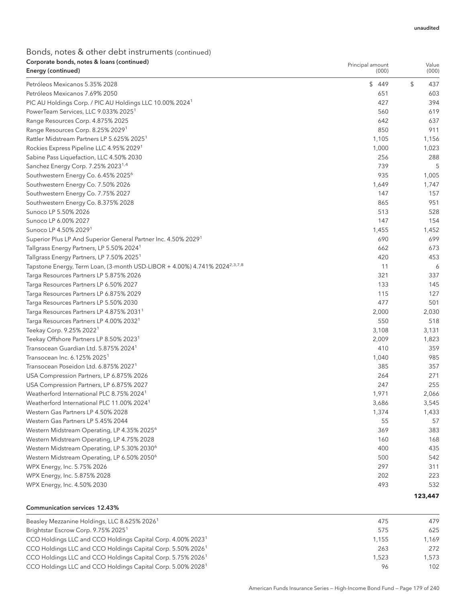Communication services 12.43%

| \$<br>\$449<br>Petróleos Mexicanos 5.35% 2028<br>437<br>Petróleos Mexicanos 7.69% 2050<br>651<br>603<br>PIC AU Holdings Corp. / PIC AU Holdings LLC 10.00% 2024 <sup>1</sup><br>427<br>394<br>PowerTeam Services, LLC 9.033% 2025 <sup>1</sup><br>560<br>619<br>Range Resources Corp. 4.875% 2025<br>642<br>637<br>850<br>911<br>Range Resources Corp. 8.25% 2029 <sup>1</sup><br>Rattler Midstream Partners LP 5.625% 2025 <sup>1</sup><br>1,105<br>1,156<br>Rockies Express Pipeline LLC 4.95% 2029 <sup>1</sup><br>1,000<br>1,023<br>256<br>288<br>Sabine Pass Liquefaction, LLC 4.50% 2030<br>5<br>Sanchez Energy Corp. 7.25% 2023 <sup>1,4</sup><br>739<br>935<br>Southwestern Energy Co. 6.45% 2025 <sup>6</sup><br>1,005<br>Southwestern Energy Co. 7.50% 2026<br>1,649<br>1,747<br>Southwestern Energy Co. 7.75% 2027<br>147<br>157<br>865<br>951<br>Southwestern Energy Co. 8.375% 2028<br>513<br>Sunoco LP 5.50% 2026<br>528<br>Sunoco LP 6.00% 2027<br>147<br>154<br>Sunoco LP 4.50% 20291<br>1,455<br>1,452<br>690<br>699<br>Superior Plus LP And Superior General Partner Inc. 4.50% 2029 <sup>1</sup><br>662<br>673<br>Tallgrass Energy Partners, LP 5.50% 2024 <sup>1</sup><br>Tallgrass Energy Partners, LP 7.50% 2025 <sup>1</sup><br>420<br>453<br>Tapstone Energy, Term Loan, (3-month USD-LIBOR + 4.00%) 4.741% 2024 <sup>2,3,7,8</sup><br>11<br>6<br>321<br>337<br>Targa Resources Partners LP 5.875% 2026<br>Targa Resources Partners LP 6.50% 2027<br>133<br>145<br>Targa Resources Partners LP 6.875% 2029<br>115<br>127<br>477<br>Targa Resources Partners LP 5.50% 2030<br>501<br>Targa Resources Partners LP 4.875% 2031 <sup>1</sup><br>2,000<br>2,030<br>550<br>518<br>Targa Resources Partners LP 4.00% 2032 <sup>1</sup><br>Teekay Corp. 9.25% 2022 <sup>1</sup><br>3,108<br>3,131<br>Teekay Offshore Partners LP 8.50% 2023 <sup>1</sup><br>2,009<br>1,823<br>Transocean Guardian Ltd. 5.875% 2024 <sup>1</sup><br>410<br>359<br>Transocean Inc. 6.125% 2025 <sup>1</sup><br>1,040<br>985<br>Transocean Poseidon Ltd. 6.875% 2027 <sup>1</sup><br>385<br>357<br>USA Compression Partners, LP 6.875% 2026<br>264<br>271<br>247<br>255<br>USA Compression Partners, LP 6.875% 2027<br>1,971<br>Weatherford International PLC 8.75% 2024 <sup>1</sup><br>2,066<br>3,686<br>3,545<br>Weatherford International PLC 11.00% 2024 <sup>1</sup><br>Western Gas Partners LP 4.50% 2028<br>1,374<br>1,433<br>Western Gas Partners LP 5.45% 2044<br>57<br>55<br>383<br>Western Midstream Operating, LP 4.35% 2025 <sup>6</sup><br>369<br>Western Midstream Operating, LP 4.75% 2028<br>168<br>160<br>435<br>Western Midstream Operating, LP 5.30% 2030 <sup>6</sup><br>400<br>Western Midstream Operating, LP 6.50% 2050 <sup>6</sup><br>500<br>542<br>WPX Energy, Inc. 5.75% 2026<br>297<br>311<br>WPX Energy, Inc. 5.875% 2028<br>202<br>223<br>WPX Energy, Inc. 4.50% 2030<br>493<br>532 | Corporate bonds, notes & Ioans (continued)<br>Energy (continued) | Principal amount<br>(000) | Value<br>(000) |
|------------------------------------------------------------------------------------------------------------------------------------------------------------------------------------------------------------------------------------------------------------------------------------------------------------------------------------------------------------------------------------------------------------------------------------------------------------------------------------------------------------------------------------------------------------------------------------------------------------------------------------------------------------------------------------------------------------------------------------------------------------------------------------------------------------------------------------------------------------------------------------------------------------------------------------------------------------------------------------------------------------------------------------------------------------------------------------------------------------------------------------------------------------------------------------------------------------------------------------------------------------------------------------------------------------------------------------------------------------------------------------------------------------------------------------------------------------------------------------------------------------------------------------------------------------------------------------------------------------------------------------------------------------------------------------------------------------------------------------------------------------------------------------------------------------------------------------------------------------------------------------------------------------------------------------------------------------------------------------------------------------------------------------------------------------------------------------------------------------------------------------------------------------------------------------------------------------------------------------------------------------------------------------------------------------------------------------------------------------------------------------------------------------------------------------------------------------------------------------------------------------------------------------------------------------------------------------------------------------------------------------------------------------------------------------------------------------------------------------------------------------------------------------------------------------------------------------------------------------------------------------------------------------------|------------------------------------------------------------------|---------------------------|----------------|
|                                                                                                                                                                                                                                                                                                                                                                                                                                                                                                                                                                                                                                                                                                                                                                                                                                                                                                                                                                                                                                                                                                                                                                                                                                                                                                                                                                                                                                                                                                                                                                                                                                                                                                                                                                                                                                                                                                                                                                                                                                                                                                                                                                                                                                                                                                                                                                                                                                                                                                                                                                                                                                                                                                                                                                                                                                                                                                                  |                                                                  |                           |                |
|                                                                                                                                                                                                                                                                                                                                                                                                                                                                                                                                                                                                                                                                                                                                                                                                                                                                                                                                                                                                                                                                                                                                                                                                                                                                                                                                                                                                                                                                                                                                                                                                                                                                                                                                                                                                                                                                                                                                                                                                                                                                                                                                                                                                                                                                                                                                                                                                                                                                                                                                                                                                                                                                                                                                                                                                                                                                                                                  |                                                                  |                           |                |
|                                                                                                                                                                                                                                                                                                                                                                                                                                                                                                                                                                                                                                                                                                                                                                                                                                                                                                                                                                                                                                                                                                                                                                                                                                                                                                                                                                                                                                                                                                                                                                                                                                                                                                                                                                                                                                                                                                                                                                                                                                                                                                                                                                                                                                                                                                                                                                                                                                                                                                                                                                                                                                                                                                                                                                                                                                                                                                                  |                                                                  |                           |                |
|                                                                                                                                                                                                                                                                                                                                                                                                                                                                                                                                                                                                                                                                                                                                                                                                                                                                                                                                                                                                                                                                                                                                                                                                                                                                                                                                                                                                                                                                                                                                                                                                                                                                                                                                                                                                                                                                                                                                                                                                                                                                                                                                                                                                                                                                                                                                                                                                                                                                                                                                                                                                                                                                                                                                                                                                                                                                                                                  |                                                                  |                           |                |
|                                                                                                                                                                                                                                                                                                                                                                                                                                                                                                                                                                                                                                                                                                                                                                                                                                                                                                                                                                                                                                                                                                                                                                                                                                                                                                                                                                                                                                                                                                                                                                                                                                                                                                                                                                                                                                                                                                                                                                                                                                                                                                                                                                                                                                                                                                                                                                                                                                                                                                                                                                                                                                                                                                                                                                                                                                                                                                                  |                                                                  |                           |                |
|                                                                                                                                                                                                                                                                                                                                                                                                                                                                                                                                                                                                                                                                                                                                                                                                                                                                                                                                                                                                                                                                                                                                                                                                                                                                                                                                                                                                                                                                                                                                                                                                                                                                                                                                                                                                                                                                                                                                                                                                                                                                                                                                                                                                                                                                                                                                                                                                                                                                                                                                                                                                                                                                                                                                                                                                                                                                                                                  |                                                                  |                           |                |
|                                                                                                                                                                                                                                                                                                                                                                                                                                                                                                                                                                                                                                                                                                                                                                                                                                                                                                                                                                                                                                                                                                                                                                                                                                                                                                                                                                                                                                                                                                                                                                                                                                                                                                                                                                                                                                                                                                                                                                                                                                                                                                                                                                                                                                                                                                                                                                                                                                                                                                                                                                                                                                                                                                                                                                                                                                                                                                                  |                                                                  |                           |                |
|                                                                                                                                                                                                                                                                                                                                                                                                                                                                                                                                                                                                                                                                                                                                                                                                                                                                                                                                                                                                                                                                                                                                                                                                                                                                                                                                                                                                                                                                                                                                                                                                                                                                                                                                                                                                                                                                                                                                                                                                                                                                                                                                                                                                                                                                                                                                                                                                                                                                                                                                                                                                                                                                                                                                                                                                                                                                                                                  |                                                                  |                           |                |
|                                                                                                                                                                                                                                                                                                                                                                                                                                                                                                                                                                                                                                                                                                                                                                                                                                                                                                                                                                                                                                                                                                                                                                                                                                                                                                                                                                                                                                                                                                                                                                                                                                                                                                                                                                                                                                                                                                                                                                                                                                                                                                                                                                                                                                                                                                                                                                                                                                                                                                                                                                                                                                                                                                                                                                                                                                                                                                                  |                                                                  |                           |                |
|                                                                                                                                                                                                                                                                                                                                                                                                                                                                                                                                                                                                                                                                                                                                                                                                                                                                                                                                                                                                                                                                                                                                                                                                                                                                                                                                                                                                                                                                                                                                                                                                                                                                                                                                                                                                                                                                                                                                                                                                                                                                                                                                                                                                                                                                                                                                                                                                                                                                                                                                                                                                                                                                                                                                                                                                                                                                                                                  |                                                                  |                           |                |
|                                                                                                                                                                                                                                                                                                                                                                                                                                                                                                                                                                                                                                                                                                                                                                                                                                                                                                                                                                                                                                                                                                                                                                                                                                                                                                                                                                                                                                                                                                                                                                                                                                                                                                                                                                                                                                                                                                                                                                                                                                                                                                                                                                                                                                                                                                                                                                                                                                                                                                                                                                                                                                                                                                                                                                                                                                                                                                                  |                                                                  |                           |                |
|                                                                                                                                                                                                                                                                                                                                                                                                                                                                                                                                                                                                                                                                                                                                                                                                                                                                                                                                                                                                                                                                                                                                                                                                                                                                                                                                                                                                                                                                                                                                                                                                                                                                                                                                                                                                                                                                                                                                                                                                                                                                                                                                                                                                                                                                                                                                                                                                                                                                                                                                                                                                                                                                                                                                                                                                                                                                                                                  |                                                                  |                           |                |
|                                                                                                                                                                                                                                                                                                                                                                                                                                                                                                                                                                                                                                                                                                                                                                                                                                                                                                                                                                                                                                                                                                                                                                                                                                                                                                                                                                                                                                                                                                                                                                                                                                                                                                                                                                                                                                                                                                                                                                                                                                                                                                                                                                                                                                                                                                                                                                                                                                                                                                                                                                                                                                                                                                                                                                                                                                                                                                                  |                                                                  |                           |                |
|                                                                                                                                                                                                                                                                                                                                                                                                                                                                                                                                                                                                                                                                                                                                                                                                                                                                                                                                                                                                                                                                                                                                                                                                                                                                                                                                                                                                                                                                                                                                                                                                                                                                                                                                                                                                                                                                                                                                                                                                                                                                                                                                                                                                                                                                                                                                                                                                                                                                                                                                                                                                                                                                                                                                                                                                                                                                                                                  |                                                                  |                           |                |
|                                                                                                                                                                                                                                                                                                                                                                                                                                                                                                                                                                                                                                                                                                                                                                                                                                                                                                                                                                                                                                                                                                                                                                                                                                                                                                                                                                                                                                                                                                                                                                                                                                                                                                                                                                                                                                                                                                                                                                                                                                                                                                                                                                                                                                                                                                                                                                                                                                                                                                                                                                                                                                                                                                                                                                                                                                                                                                                  |                                                                  |                           |                |
|                                                                                                                                                                                                                                                                                                                                                                                                                                                                                                                                                                                                                                                                                                                                                                                                                                                                                                                                                                                                                                                                                                                                                                                                                                                                                                                                                                                                                                                                                                                                                                                                                                                                                                                                                                                                                                                                                                                                                                                                                                                                                                                                                                                                                                                                                                                                                                                                                                                                                                                                                                                                                                                                                                                                                                                                                                                                                                                  |                                                                  |                           |                |
|                                                                                                                                                                                                                                                                                                                                                                                                                                                                                                                                                                                                                                                                                                                                                                                                                                                                                                                                                                                                                                                                                                                                                                                                                                                                                                                                                                                                                                                                                                                                                                                                                                                                                                                                                                                                                                                                                                                                                                                                                                                                                                                                                                                                                                                                                                                                                                                                                                                                                                                                                                                                                                                                                                                                                                                                                                                                                                                  |                                                                  |                           |                |
|                                                                                                                                                                                                                                                                                                                                                                                                                                                                                                                                                                                                                                                                                                                                                                                                                                                                                                                                                                                                                                                                                                                                                                                                                                                                                                                                                                                                                                                                                                                                                                                                                                                                                                                                                                                                                                                                                                                                                                                                                                                                                                                                                                                                                                                                                                                                                                                                                                                                                                                                                                                                                                                                                                                                                                                                                                                                                                                  |                                                                  |                           |                |
|                                                                                                                                                                                                                                                                                                                                                                                                                                                                                                                                                                                                                                                                                                                                                                                                                                                                                                                                                                                                                                                                                                                                                                                                                                                                                                                                                                                                                                                                                                                                                                                                                                                                                                                                                                                                                                                                                                                                                                                                                                                                                                                                                                                                                                                                                                                                                                                                                                                                                                                                                                                                                                                                                                                                                                                                                                                                                                                  |                                                                  |                           |                |
|                                                                                                                                                                                                                                                                                                                                                                                                                                                                                                                                                                                                                                                                                                                                                                                                                                                                                                                                                                                                                                                                                                                                                                                                                                                                                                                                                                                                                                                                                                                                                                                                                                                                                                                                                                                                                                                                                                                                                                                                                                                                                                                                                                                                                                                                                                                                                                                                                                                                                                                                                                                                                                                                                                                                                                                                                                                                                                                  |                                                                  |                           |                |
|                                                                                                                                                                                                                                                                                                                                                                                                                                                                                                                                                                                                                                                                                                                                                                                                                                                                                                                                                                                                                                                                                                                                                                                                                                                                                                                                                                                                                                                                                                                                                                                                                                                                                                                                                                                                                                                                                                                                                                                                                                                                                                                                                                                                                                                                                                                                                                                                                                                                                                                                                                                                                                                                                                                                                                                                                                                                                                                  |                                                                  |                           |                |
|                                                                                                                                                                                                                                                                                                                                                                                                                                                                                                                                                                                                                                                                                                                                                                                                                                                                                                                                                                                                                                                                                                                                                                                                                                                                                                                                                                                                                                                                                                                                                                                                                                                                                                                                                                                                                                                                                                                                                                                                                                                                                                                                                                                                                                                                                                                                                                                                                                                                                                                                                                                                                                                                                                                                                                                                                                                                                                                  |                                                                  |                           |                |
|                                                                                                                                                                                                                                                                                                                                                                                                                                                                                                                                                                                                                                                                                                                                                                                                                                                                                                                                                                                                                                                                                                                                                                                                                                                                                                                                                                                                                                                                                                                                                                                                                                                                                                                                                                                                                                                                                                                                                                                                                                                                                                                                                                                                                                                                                                                                                                                                                                                                                                                                                                                                                                                                                                                                                                                                                                                                                                                  |                                                                  |                           |                |
|                                                                                                                                                                                                                                                                                                                                                                                                                                                                                                                                                                                                                                                                                                                                                                                                                                                                                                                                                                                                                                                                                                                                                                                                                                                                                                                                                                                                                                                                                                                                                                                                                                                                                                                                                                                                                                                                                                                                                                                                                                                                                                                                                                                                                                                                                                                                                                                                                                                                                                                                                                                                                                                                                                                                                                                                                                                                                                                  |                                                                  |                           |                |
|                                                                                                                                                                                                                                                                                                                                                                                                                                                                                                                                                                                                                                                                                                                                                                                                                                                                                                                                                                                                                                                                                                                                                                                                                                                                                                                                                                                                                                                                                                                                                                                                                                                                                                                                                                                                                                                                                                                                                                                                                                                                                                                                                                                                                                                                                                                                                                                                                                                                                                                                                                                                                                                                                                                                                                                                                                                                                                                  |                                                                  |                           |                |
|                                                                                                                                                                                                                                                                                                                                                                                                                                                                                                                                                                                                                                                                                                                                                                                                                                                                                                                                                                                                                                                                                                                                                                                                                                                                                                                                                                                                                                                                                                                                                                                                                                                                                                                                                                                                                                                                                                                                                                                                                                                                                                                                                                                                                                                                                                                                                                                                                                                                                                                                                                                                                                                                                                                                                                                                                                                                                                                  |                                                                  |                           |                |
|                                                                                                                                                                                                                                                                                                                                                                                                                                                                                                                                                                                                                                                                                                                                                                                                                                                                                                                                                                                                                                                                                                                                                                                                                                                                                                                                                                                                                                                                                                                                                                                                                                                                                                                                                                                                                                                                                                                                                                                                                                                                                                                                                                                                                                                                                                                                                                                                                                                                                                                                                                                                                                                                                                                                                                                                                                                                                                                  |                                                                  |                           |                |
|                                                                                                                                                                                                                                                                                                                                                                                                                                                                                                                                                                                                                                                                                                                                                                                                                                                                                                                                                                                                                                                                                                                                                                                                                                                                                                                                                                                                                                                                                                                                                                                                                                                                                                                                                                                                                                                                                                                                                                                                                                                                                                                                                                                                                                                                                                                                                                                                                                                                                                                                                                                                                                                                                                                                                                                                                                                                                                                  |                                                                  |                           |                |
|                                                                                                                                                                                                                                                                                                                                                                                                                                                                                                                                                                                                                                                                                                                                                                                                                                                                                                                                                                                                                                                                                                                                                                                                                                                                                                                                                                                                                                                                                                                                                                                                                                                                                                                                                                                                                                                                                                                                                                                                                                                                                                                                                                                                                                                                                                                                                                                                                                                                                                                                                                                                                                                                                                                                                                                                                                                                                                                  |                                                                  |                           |                |
|                                                                                                                                                                                                                                                                                                                                                                                                                                                                                                                                                                                                                                                                                                                                                                                                                                                                                                                                                                                                                                                                                                                                                                                                                                                                                                                                                                                                                                                                                                                                                                                                                                                                                                                                                                                                                                                                                                                                                                                                                                                                                                                                                                                                                                                                                                                                                                                                                                                                                                                                                                                                                                                                                                                                                                                                                                                                                                                  |                                                                  |                           |                |
|                                                                                                                                                                                                                                                                                                                                                                                                                                                                                                                                                                                                                                                                                                                                                                                                                                                                                                                                                                                                                                                                                                                                                                                                                                                                                                                                                                                                                                                                                                                                                                                                                                                                                                                                                                                                                                                                                                                                                                                                                                                                                                                                                                                                                                                                                                                                                                                                                                                                                                                                                                                                                                                                                                                                                                                                                                                                                                                  |                                                                  |                           |                |
|                                                                                                                                                                                                                                                                                                                                                                                                                                                                                                                                                                                                                                                                                                                                                                                                                                                                                                                                                                                                                                                                                                                                                                                                                                                                                                                                                                                                                                                                                                                                                                                                                                                                                                                                                                                                                                                                                                                                                                                                                                                                                                                                                                                                                                                                                                                                                                                                                                                                                                                                                                                                                                                                                                                                                                                                                                                                                                                  |                                                                  |                           |                |
|                                                                                                                                                                                                                                                                                                                                                                                                                                                                                                                                                                                                                                                                                                                                                                                                                                                                                                                                                                                                                                                                                                                                                                                                                                                                                                                                                                                                                                                                                                                                                                                                                                                                                                                                                                                                                                                                                                                                                                                                                                                                                                                                                                                                                                                                                                                                                                                                                                                                                                                                                                                                                                                                                                                                                                                                                                                                                                                  |                                                                  |                           |                |
|                                                                                                                                                                                                                                                                                                                                                                                                                                                                                                                                                                                                                                                                                                                                                                                                                                                                                                                                                                                                                                                                                                                                                                                                                                                                                                                                                                                                                                                                                                                                                                                                                                                                                                                                                                                                                                                                                                                                                                                                                                                                                                                                                                                                                                                                                                                                                                                                                                                                                                                                                                                                                                                                                                                                                                                                                                                                                                                  |                                                                  |                           |                |
|                                                                                                                                                                                                                                                                                                                                                                                                                                                                                                                                                                                                                                                                                                                                                                                                                                                                                                                                                                                                                                                                                                                                                                                                                                                                                                                                                                                                                                                                                                                                                                                                                                                                                                                                                                                                                                                                                                                                                                                                                                                                                                                                                                                                                                                                                                                                                                                                                                                                                                                                                                                                                                                                                                                                                                                                                                                                                                                  |                                                                  |                           |                |
|                                                                                                                                                                                                                                                                                                                                                                                                                                                                                                                                                                                                                                                                                                                                                                                                                                                                                                                                                                                                                                                                                                                                                                                                                                                                                                                                                                                                                                                                                                                                                                                                                                                                                                                                                                                                                                                                                                                                                                                                                                                                                                                                                                                                                                                                                                                                                                                                                                                                                                                                                                                                                                                                                                                                                                                                                                                                                                                  |                                                                  |                           |                |
|                                                                                                                                                                                                                                                                                                                                                                                                                                                                                                                                                                                                                                                                                                                                                                                                                                                                                                                                                                                                                                                                                                                                                                                                                                                                                                                                                                                                                                                                                                                                                                                                                                                                                                                                                                                                                                                                                                                                                                                                                                                                                                                                                                                                                                                                                                                                                                                                                                                                                                                                                                                                                                                                                                                                                                                                                                                                                                                  |                                                                  |                           |                |
|                                                                                                                                                                                                                                                                                                                                                                                                                                                                                                                                                                                                                                                                                                                                                                                                                                                                                                                                                                                                                                                                                                                                                                                                                                                                                                                                                                                                                                                                                                                                                                                                                                                                                                                                                                                                                                                                                                                                                                                                                                                                                                                                                                                                                                                                                                                                                                                                                                                                                                                                                                                                                                                                                                                                                                                                                                                                                                                  |                                                                  |                           |                |
|                                                                                                                                                                                                                                                                                                                                                                                                                                                                                                                                                                                                                                                                                                                                                                                                                                                                                                                                                                                                                                                                                                                                                                                                                                                                                                                                                                                                                                                                                                                                                                                                                                                                                                                                                                                                                                                                                                                                                                                                                                                                                                                                                                                                                                                                                                                                                                                                                                                                                                                                                                                                                                                                                                                                                                                                                                                                                                                  |                                                                  |                           |                |
|                                                                                                                                                                                                                                                                                                                                                                                                                                                                                                                                                                                                                                                                                                                                                                                                                                                                                                                                                                                                                                                                                                                                                                                                                                                                                                                                                                                                                                                                                                                                                                                                                                                                                                                                                                                                                                                                                                                                                                                                                                                                                                                                                                                                                                                                                                                                                                                                                                                                                                                                                                                                                                                                                                                                                                                                                                                                                                                  |                                                                  |                           |                |
|                                                                                                                                                                                                                                                                                                                                                                                                                                                                                                                                                                                                                                                                                                                                                                                                                                                                                                                                                                                                                                                                                                                                                                                                                                                                                                                                                                                                                                                                                                                                                                                                                                                                                                                                                                                                                                                                                                                                                                                                                                                                                                                                                                                                                                                                                                                                                                                                                                                                                                                                                                                                                                                                                                                                                                                                                                                                                                                  |                                                                  |                           |                |
|                                                                                                                                                                                                                                                                                                                                                                                                                                                                                                                                                                                                                                                                                                                                                                                                                                                                                                                                                                                                                                                                                                                                                                                                                                                                                                                                                                                                                                                                                                                                                                                                                                                                                                                                                                                                                                                                                                                                                                                                                                                                                                                                                                                                                                                                                                                                                                                                                                                                                                                                                                                                                                                                                                                                                                                                                                                                                                                  |                                                                  |                           |                |
|                                                                                                                                                                                                                                                                                                                                                                                                                                                                                                                                                                                                                                                                                                                                                                                                                                                                                                                                                                                                                                                                                                                                                                                                                                                                                                                                                                                                                                                                                                                                                                                                                                                                                                                                                                                                                                                                                                                                                                                                                                                                                                                                                                                                                                                                                                                                                                                                                                                                                                                                                                                                                                                                                                                                                                                                                                                                                                                  |                                                                  |                           |                |
|                                                                                                                                                                                                                                                                                                                                                                                                                                                                                                                                                                                                                                                                                                                                                                                                                                                                                                                                                                                                                                                                                                                                                                                                                                                                                                                                                                                                                                                                                                                                                                                                                                                                                                                                                                                                                                                                                                                                                                                                                                                                                                                                                                                                                                                                                                                                                                                                                                                                                                                                                                                                                                                                                                                                                                                                                                                                                                                  |                                                                  |                           |                |
|                                                                                                                                                                                                                                                                                                                                                                                                                                                                                                                                                                                                                                                                                                                                                                                                                                                                                                                                                                                                                                                                                                                                                                                                                                                                                                                                                                                                                                                                                                                                                                                                                                                                                                                                                                                                                                                                                                                                                                                                                                                                                                                                                                                                                                                                                                                                                                                                                                                                                                                                                                                                                                                                                                                                                                                                                                                                                                                  |                                                                  |                           |                |

**123,447**

| Beasley Mezzanine Holdings, LLC 8.625% 2026 <sup>1</sup>                | 475   | 479   |
|-------------------------------------------------------------------------|-------|-------|
| Brightstar Escrow Corp. 9.75% 2025 <sup>1</sup>                         | 575   | 625   |
| CCO Holdings LLC and CCO Holdings Capital Corp. 4.00% 2023 <sup>1</sup> | 1.155 | 1.169 |
| CCO Holdings LLC and CCO Holdings Capital Corp. 5.50% 2026 <sup>1</sup> | 263   | 272   |
| CCO Holdings LLC and CCO Holdings Capital Corp. 5.75% 2026 <sup>1</sup> | 1.523 | 1.573 |
| CCO Holdings LLC and CCO Holdings Capital Corp. 5.00% 2028 <sup>1</sup> | 96    | 102   |
|                                                                         |       |       |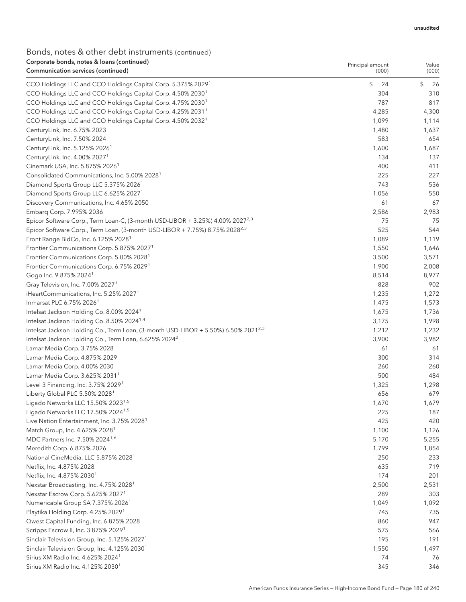| Corporate bonds, notes & loans (continued)                                                     | Principal amount<br>(000) | Value    |
|------------------------------------------------------------------------------------------------|---------------------------|----------|
| Communication services (continued)                                                             |                           | (000)    |
| CCO Holdings LLC and CCO Holdings Capital Corp. 5.375% 2029 <sup>1</sup>                       | \$<br>24                  | \$<br>26 |
| CCO Holdings LLC and CCO Holdings Capital Corp. 4.50% 2030 <sup>1</sup>                        | 304                       | 310      |
| CCO Holdings LLC and CCO Holdings Capital Corp. 4.75% 2030 <sup>1</sup>                        | 787                       | 817      |
| CCO Holdings LLC and CCO Holdings Capital Corp. 4.25% 2031 <sup>1</sup>                        | 4,285                     | 4,300    |
| CCO Holdings LLC and CCO Holdings Capital Corp. 4.50% 2032 <sup>1</sup>                        | 1,099                     | 1,114    |
| CenturyLink, Inc. 6.75% 2023                                                                   | 1,480                     | 1,637    |
| CenturyLink, Inc. 7.50% 2024                                                                   | 583                       | 654      |
| CenturyLink, Inc. 5.125% 2026 <sup>1</sup>                                                     | 1,600                     | 1,687    |
| CenturyLink, Inc. 4.00% 2027 <sup>1</sup>                                                      | 134                       | 137      |
| Cinemark USA, Inc. 5.875% 2026 <sup>1</sup>                                                    | 400                       | 411      |
| Consolidated Communications, Inc. 5.00% 2028 <sup>1</sup>                                      | 225                       | 227      |
| Diamond Sports Group LLC 5.375% 2026 <sup>1</sup>                                              | 743                       | 536      |
| Diamond Sports Group LLC 6.625% 2027 <sup>1</sup>                                              | 1,056                     | 550      |
| Discovery Communications, Inc. 4.65% 2050                                                      | 61                        | 67       |
| Embarg Corp. 7.995% 2036                                                                       | 2,586                     | 2,983    |
| Epicor Software Corp., Term Loan-C, (3-month USD-LIBOR + 3.25%) 4.00% 2027 <sup>2,3</sup>      | 75                        | 75       |
| Epicor Software Corp., Term Loan, (3-month USD-LIBOR + 7.75%) 8.75% 2028 <sup>2,3</sup>        | 525                       | 544      |
| Front Range BidCo, Inc. 6.125% 2028 <sup>1</sup>                                               | 1,089                     | 1,119    |
| Frontier Communications Corp. 5.875% 2027 <sup>1</sup>                                         | 1,550                     | 1,646    |
| Frontier Communications Corp. 5.00% 2028 <sup>1</sup>                                          | 3,500                     | 3,571    |
| Frontier Communications Corp. 6.75% 2029 <sup>1</sup>                                          | 1,900                     | 2,008    |
| Gogo Inc. 9.875% 2024 <sup>1</sup>                                                             | 8,514                     | 8,977    |
| Gray Television, Inc. 7.00% 2027 <sup>1</sup>                                                  | 828                       | 902      |
| iHeartCommunications, Inc. 5.25% 2027 <sup>1</sup>                                             | 1,235                     | 1,272    |
| Inmarsat PLC 6.75% 2026 <sup>1</sup>                                                           | 1,475                     | 1,573    |
| Intelsat Jackson Holding Co. 8.00% 2024 <sup>1</sup>                                           | 1,675                     | 1,736    |
| Intelsat Jackson Holding Co. 8.50% 2024 <sup>1,4</sup>                                         | 3,175                     | 1,998    |
| Intelsat Jackson Holding Co., Term Loan, (3-month USD-LIBOR + 5.50%) 6.50% 2021 <sup>2,3</sup> | 1,212                     | 1,232    |
| Intelsat Jackson Holding Co., Term Loan, 6.625% 2024 <sup>2</sup>                              | 3,900                     | 3,982    |
| Lamar Media Corp. 3.75% 2028                                                                   | 61                        | 61       |
| Lamar Media Corp. 4.875% 2029                                                                  | 300                       | 314      |
| Lamar Media Corp. 4.00% 2030                                                                   | 260                       | 260      |
| Lamar Media Corp. 3.625% 2031 <sup>1</sup>                                                     | 500                       | 484      |
| Level 3 Financing, Inc. 3.75% 2029 <sup>1</sup>                                                | 1,325                     | 1,298    |
| Liberty Global PLC 5.50% 2028 <sup>1</sup>                                                     | 656                       | 679      |
| Ligado Networks LLC 15.50% 2023 <sup>1,5</sup>                                                 | 1,670                     | 1,679    |
| Ligado Networks LLC 17.50% 2024 <sup>1,5</sup>                                                 | 225                       | 187      |
| Live Nation Entertainment, Inc. 3.75% 2028 <sup>1</sup>                                        | 425                       | 420      |
| Match Group, Inc. 4.625% 2028 <sup>1</sup>                                                     | 1,100                     | 1,126    |
| MDC Partners Inc. 7.50% 2024 <sup>1,6</sup>                                                    | 5,170                     | 5,255    |
| Meredith Corp. 6.875% 2026                                                                     | 1,799                     | 1,854    |
| National CineMedia, LLC 5.875% 2028 <sup>1</sup>                                               | 250                       | 233      |
| Netflix, Inc. 4.875% 2028                                                                      | 635                       | 719      |
| Netflix, Inc. 4.875% 2030 <sup>1</sup>                                                         | 174                       | 201      |
| Nexstar Broadcasting, Inc. 4.75% 2028 <sup>1</sup>                                             | 2,500                     | 2,531    |
| Nexstar Escrow Corp. 5.625% 2027 <sup>1</sup>                                                  | 289                       | 303      |
| Numericable Group SA 7.375% 2026 <sup>1</sup>                                                  | 1,049                     | 1,092    |
| Playtika Holding Corp. 4.25% 2029 <sup>1</sup>                                                 | 745                       | 735      |
| Qwest Capital Funding, Inc. 6.875% 2028                                                        | 860                       | 947      |
| Scripps Escrow II, Inc. 3.875% 2029 <sup>1</sup>                                               | 575                       | 566      |
| Sinclair Television Group, Inc. 5.125% 2027 <sup>1</sup>                                       | 195                       | 191      |
| Sinclair Television Group, Inc. 4.125% 2030 <sup>1</sup>                                       | 1,550                     | 1,497    |
| Sirius XM Radio Inc. 4.625% 2024 <sup>1</sup>                                                  | 74                        | 76       |
| Sirius XM Radio Inc. 4.125% 2030 <sup>1</sup>                                                  | 345                       | 346      |
|                                                                                                |                           |          |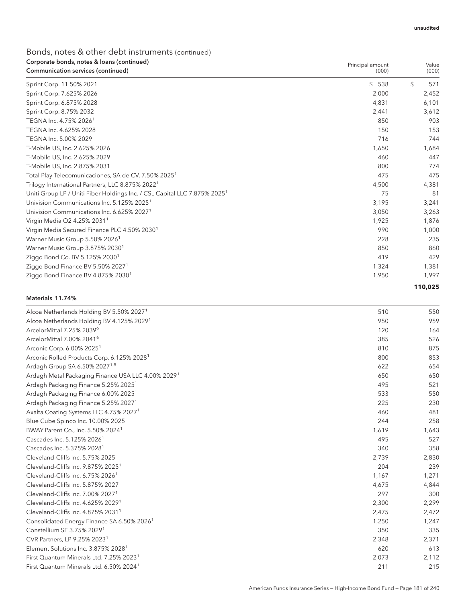Value

Principal amount

# Bonds, notes & other debt instruments (continued) Corporate bonds, notes & loans (continued)

| Communication services (continued)                                                    | (000) | (000)     |
|---------------------------------------------------------------------------------------|-------|-----------|
| Sprint Corp. 11.50% 2021                                                              | \$538 | \$<br>571 |
| Sprint Corp. 7.625% 2026                                                              | 2,000 | 2,452     |
| Sprint Corp. 6.875% 2028                                                              | 4,831 | 6,101     |
| Sprint Corp. 8.75% 2032                                                               | 2,441 | 3,612     |
| TEGNA Inc. 4.75% 2026 <sup>1</sup>                                                    | 850   | 903       |
| TEGNA Inc. 4.625% 2028                                                                | 150   | 153       |
| TEGNA Inc. 5.00% 2029                                                                 | 716   | 744       |
| T-Mobile US, Inc. 2.625% 2026                                                         | 1,650 | 1,684     |
| T-Mobile US, Inc. 2.625% 2029                                                         | 460   | 447       |
| T-Mobile US, Inc. 2.875% 2031                                                         | 800   | 774       |
| Total Play Telecomunicaciones, SA de CV, 7.50% 2025 <sup>1</sup>                      | 475   | 475       |
| Trilogy International Partners, LLC 8.875% 2022 <sup>1</sup>                          | 4,500 | 4,381     |
| Uniti Group LP / Uniti Fiber Holdings Inc. / CSL Capital LLC 7.875% 2025 <sup>1</sup> | 75    | 81        |
| Univision Communications Inc. 5.125% 2025 <sup>1</sup>                                | 3,195 | 3,241     |
| Univision Communications Inc. 6.625% 2027 <sup>1</sup>                                | 3,050 | 3,263     |
| Virgin Media O2 4.25% 2031 <sup>1</sup>                                               | 1,925 | 1,876     |
| Virgin Media Secured Finance PLC 4.50% 2030 <sup>1</sup>                              | 990   | 1,000     |
| Warner Music Group 5.50% 2026 <sup>1</sup>                                            | 228   | 235       |
| Warner Music Group 3.875% 2030 <sup>1</sup>                                           | 850   | 860       |
| Ziggo Bond Co. BV 5.125% 2030 <sup>1</sup>                                            | 419   | 429       |
| Ziggo Bond Finance BV 5.50% 2027 <sup>1</sup>                                         | 1,324 | 1,381     |
| Ziggo Bond Finance BV 4.875% 2030 <sup>1</sup>                                        | 1,950 | 1,997     |
|                                                                                       |       | 110,025   |

### Materials 11.74%

| Alcoa Netherlands Holding BV 5.50% 2027 <sup>1</sup>   | 510   | 550   |
|--------------------------------------------------------|-------|-------|
| Alcoa Netherlands Holding BV 4.125% 2029 <sup>1</sup>  | 950   | 959   |
| ArcelorMittal 7.25% 2039 <sup>6</sup>                  | 120   | 164   |
| ArcelorMittal 7.00% 2041 <sup>6</sup>                  | 385   | 526   |
| Arconic Corp. 6.00% 2025 <sup>1</sup>                  | 810   | 875   |
| Arconic Rolled Products Corp. 6.125% 2028 <sup>1</sup> | 800   | 853   |
| Ardagh Group SA 6.50% 2027 <sup>1,5</sup>              | 622   | 654   |
| Ardagh Metal Packaging Finance USA LLC 4.00% 2029      | 650   | 650   |
| Ardagh Packaging Finance 5.25% 2025 <sup>1</sup>       | 495   | 521   |
| Ardagh Packaging Finance 6.00% 2025 <sup>1</sup>       | 533   | 550   |
| Ardagh Packaging Finance 5.25% 2027 <sup>1</sup>       | 225   | 230   |
| Axalta Coating Systems LLC 4.75% 2027 <sup>1</sup>     | 460   | 481   |
| Blue Cube Spinco Inc. 10.00% 2025                      | 244   | 258   |
| BWAY Parent Co., Inc. 5.50% 2024 <sup>1</sup>          | 1,619 | 1,643 |
| Cascades Inc. 5.125% 2026 <sup>1</sup>                 | 495   | 527   |
| Cascades Inc. 5.375% 2028 <sup>1</sup>                 | 340   | 358   |
| Cleveland-Cliffs Inc. 5.75% 2025                       | 2,739 | 2,830 |
| Cleveland-Cliffs Inc. 9.875% 2025 <sup>1</sup>         | 204   | 239   |
| Cleveland-Cliffs Inc. 6.75% 2026 <sup>1</sup>          | 1,167 | 1,271 |
| Cleveland-Cliffs Inc. 5.875% 2027                      | 4,675 | 4,844 |
| Cleveland-Cliffs Inc. 7.00% 2027 <sup>1</sup>          | 297   | 300   |
| Cleveland-Cliffs Inc. 4.625% 2029 <sup>1</sup>         | 2,300 | 2,299 |
| Cleveland-Cliffs Inc. 4.875% 2031 <sup>1</sup>         | 2,475 | 2,472 |
| Consolidated Energy Finance SA 6.50% 2026 <sup>1</sup> | 1,250 | 1,247 |
| Constellium SE 3.75% 2029 <sup>1</sup>                 | 350   | 335   |
| CVR Partners, LP 9.25% 2023 <sup>1</sup>               | 2,348 | 2,371 |
| Element Solutions Inc. 3.875% 2028 <sup>1</sup>        | 620   | 613   |
| First Quantum Minerals Ltd. 7.25% 2023 <sup>1</sup>    | 2,073 | 2,112 |
| First Quantum Minerals Ltd. 6.50% 2024 <sup>1</sup>    | 211   | 215   |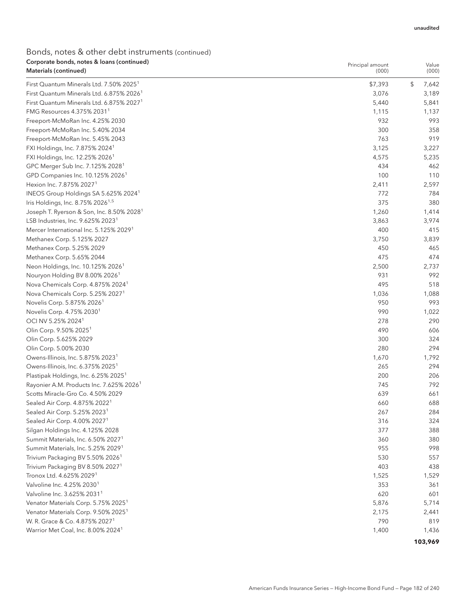| Corporate bonds, notes & Ioans (continued)<br>Principal amount<br>Materials (continued) | (000)   | Value<br>(000) |
|-----------------------------------------------------------------------------------------|---------|----------------|
| First Quantum Minerals Ltd. 7.50% 2025 <sup>1</sup>                                     | \$7,393 | \$<br>7,642    |
| First Quantum Minerals Ltd. 6.875% 2026 <sup>1</sup>                                    | 3,076   | 3,189          |
| First Quantum Minerals Ltd. 6.875% 2027 <sup>1</sup>                                    | 5,440   | 5,841          |
| FMG Resources 4.375% 2031 <sup>1</sup>                                                  | 1,115   | 1,137          |
| Freeport-McMoRan Inc. 4.25% 2030                                                        | 932     | 993            |
| Freeport-McMoRan Inc. 5.40% 2034                                                        | 300     | 358            |
| Freeport-McMoRan Inc. 5.45% 2043                                                        | 763     | 919            |
| FXI Holdings, Inc. 7.875% 2024 <sup>1</sup>                                             | 3,125   | 3,227          |
| FXI Holdings, Inc. 12.25% 2026 <sup>1</sup>                                             | 4,575   | 5,235          |
| GPC Merger Sub Inc. 7.125% 2028 <sup>1</sup>                                            | 434     | 462            |
| GPD Companies Inc. 10.125% 2026 <sup>1</sup>                                            | 100     | 110            |
| Hexion Inc. 7.875% 2027 <sup>1</sup>                                                    | 2,411   | 2,597          |
| INEOS Group Holdings SA 5.625% 2024 <sup>1</sup>                                        | 772     | 784            |
| Iris Holdings, Inc. 8.75% 2026 <sup>1,5</sup>                                           | 375     | 380            |
| Joseph T. Ryerson & Son, Inc. 8.50% 2028 <sup>1</sup>                                   | 1,260   | 1,414          |
| LSB Industries, Inc. 9.625% 2023 <sup>1</sup>                                           | 3,863   | 3,974          |
| Mercer International Inc. 5.125% 2029 <sup>1</sup>                                      | 400     | 415            |
| Methanex Corp. 5.125% 2027                                                              | 3,750   | 3,839          |
| Methanex Corp. 5.25% 2029                                                               | 450     | 465            |
| Methanex Corp. 5.65% 2044                                                               | 475     | 474            |
| Neon Holdings, Inc. 10.125% 2026 <sup>1</sup>                                           | 2,500   | 2,737          |
| Nouryon Holding BV 8.00% 2026 <sup>1</sup>                                              | 931     | 992            |
| Nova Chemicals Corp. 4.875% 2024 <sup>1</sup>                                           | 495     | 518            |
| Nova Chemicals Corp. 5.25% 2027 <sup>1</sup>                                            | 1,036   | 1,088          |
| Novelis Corp. 5.875% 2026 <sup>1</sup>                                                  | 950     | 993            |
| Novelis Corp. 4.75% 2030 <sup>1</sup>                                                   | 990     | 1,022          |
| OCI NV 5.25% 2024 <sup>1</sup>                                                          | 278     | 290            |
| Olin Corp. 9.50% 2025 <sup>1</sup>                                                      | 490     | 606            |
| Olin Corp. 5.625% 2029                                                                  | 300     | 324            |
| Olin Corp. 5.00% 2030                                                                   | 280     | 294            |
| Owens-Illinois, Inc. 5.875% 2023 <sup>1</sup>                                           | 1,670   | 1,792          |
| Owens-Illinois, Inc. 6.375% 2025 <sup>1</sup>                                           | 265     | 294            |
| Plastipak Holdings, Inc. 6.25% 2025 <sup>1</sup>                                        | 200     | 206            |
| Rayonier A.M. Products Inc. 7.625% 2026 <sup>1</sup>                                    | 745     | 792            |
| Scotts Miracle-Gro Co. 4.50% 2029                                                       | 639     | 661            |
| Sealed Air Corp. 4.875% 2022 <sup>1</sup>                                               | 660     | 688            |
| Sealed Air Corp. 5.25% 2023 <sup>1</sup>                                                | 267     | 284            |
| Sealed Air Corp. 4.00% 2027 <sup>1</sup>                                                | 316     | 324            |
| Silgan Holdings Inc. 4.125% 2028                                                        | 377     | 388            |
| Summit Materials, Inc. 6.50% 2027 <sup>1</sup>                                          | 360     | 380            |
| Summit Materials, Inc. 5.25% 2029 <sup>1</sup>                                          | 955     | 998            |
| Trivium Packaging BV 5.50% 2026 <sup>1</sup>                                            | 530     | 557            |
| Trivium Packaging BV 8.50% 2027 <sup>1</sup>                                            | 403     | 438            |
| Tronox Ltd. 4.625% 2029 <sup>1</sup>                                                    | 1,525   | 1,529          |
| Valvoline Inc. 4.25% 2030 <sup>1</sup>                                                  | 353     | 361            |
| Valvoline Inc. 3.625% 2031 <sup>1</sup>                                                 | 620     | 601            |
| Venator Materials Corp. 5.75% 2025 <sup>1</sup>                                         | 5,876   | 5,714          |
| Venator Materials Corp. 9.50% 2025 <sup>1</sup>                                         | 2,175   | 2,441          |
| W. R. Grace & Co. 4.875% 2027 <sup>1</sup>                                              | 790     | 819            |
| Warrior Met Coal, Inc. 8.00% 2024 <sup>1</sup>                                          | 1,400   | 1,436          |
|                                                                                         |         | 103,969        |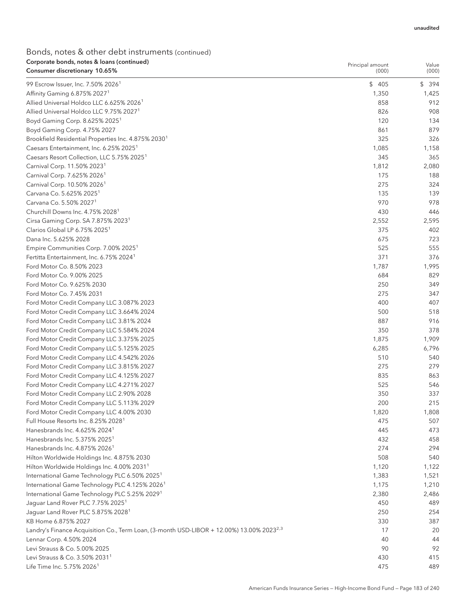| \$394<br>99 Escrow Issuer, Inc. 7.50% 2026 <sup>1</sup><br>\$405<br>Affinity Gaming 6.875% 2027 <sup>1</sup><br>1,350<br>1,425<br>Allied Universal Holdco LLC 6.625% 2026 <sup>1</sup><br>858<br>912<br>826<br>908<br>Allied Universal Holdco LLC 9.75% 2027 <sup>1</sup><br>120<br>134<br>Boyd Gaming Corp. 8.625% 2025 <sup>1</sup><br>879<br>861<br>Boyd Gaming Corp. 4.75% 2027<br>325<br>326<br>Brookfield Residential Properties Inc. 4.875% 2030 <sup>1</sup><br>Caesars Entertainment, Inc. 6.25% 2025 <sup>1</sup><br>1,085<br>1,158<br>365<br>Caesars Resort Collection, LLC 5.75% 2025 <sup>1</sup><br>345<br>Carnival Corp. 11.50% 2023 <sup>1</sup><br>1,812<br>2,080<br>Carnival Corp. 7.625% 2026 <sup>1</sup><br>175<br>188<br>275<br>Carnival Corp. 10.50% 2026 <sup>1</sup><br>324<br>139<br>Carvana Co. 5.625% 2025 <sup>1</sup><br>135<br>Carvana Co. 5.50% 2027 <sup>1</sup><br>970<br>978<br>Churchill Downs Inc. 4.75% 2028 <sup>1</sup><br>430<br>446<br>Cirsa Gaming Corp. SA 7.875% 2023 <sup>1</sup><br>2,552<br>2,595<br>Clarios Global LP 6.75% 2025 <sup>1</sup><br>375<br>402<br>Dana Inc. 5.625% 2028<br>675<br>723<br>Empire Communities Corp. 7.00% 2025 <sup>1</sup><br>525<br>555<br>371<br>376<br>Fertitta Entertainment, Inc. 6.75% 2024 <sup>1</sup><br>Ford Motor Co. 8.50% 2023<br>1,787<br>1,995<br>Ford Motor Co. 9.00% 2025<br>684<br>829<br>349<br>Ford Motor Co. 9.625% 2030<br>250<br>Ford Motor Co. 7.45% 2031<br>275<br>347<br>407<br>Ford Motor Credit Company LLC 3.087% 2023<br>400<br>500<br>518<br>Ford Motor Credit Company LLC 3.664% 2024<br>887<br>916<br>Ford Motor Credit Company LLC 3.81% 2024<br>350<br>378<br>Ford Motor Credit Company LLC 5.584% 2024<br>1,875<br>1,909<br>Ford Motor Credit Company LLC 3.375% 2025<br>6,285<br>6,796<br>Ford Motor Credit Company LLC 5.125% 2025<br>510<br>540<br>Ford Motor Credit Company LLC 4.542% 2026<br>275<br>279<br>Ford Motor Credit Company LLC 3.815% 2027<br>835<br>863<br>Ford Motor Credit Company LLC 4.125% 2027<br>525<br>546<br>Ford Motor Credit Company LLC 4.271% 2027<br>350<br>337<br>Ford Motor Credit Company LLC 2.90% 2028<br>200<br>215<br>Ford Motor Credit Company LLC 5.113% 2029<br>Ford Motor Credit Company LLC 4.00% 2030<br>1,820<br>1,808<br>Full House Resorts Inc. 8.25% 2028 <sup>1</sup><br>475<br>507<br>Hanesbrands Inc. 4.625% 2024 <sup>1</sup><br>473<br>445<br>Hanesbrands Inc. 5.375% 2025 <sup>1</sup><br>432<br>458<br>Hanesbrands Inc. 4.875% 2026 <sup>1</sup><br>274<br>294<br>Hilton Worldwide Holdings Inc. 4.875% 2030<br>508<br>540<br>Hilton Worldwide Holdings Inc. 4.00% 2031 <sup>1</sup><br>1,120<br>1,122<br>International Game Technology PLC 6.50% 2025 <sup>1</sup><br>1,383<br>1,521<br>International Game Technology PLC 4.125% 2026 <sup>1</sup><br>1,175<br>1,210<br>International Game Technology PLC 5.25% 2029 <sup>1</sup><br>2,380<br>2,486<br>Jaguar Land Rover PLC 7.75% 2025 <sup>1</sup><br>489<br>450<br>Jaguar Land Rover PLC 5.875% 2028 <sup>1</sup><br>250<br>254<br>KB Home 6.875% 2027<br>330<br>387<br>Landry's Finance Acquisition Co., Term Loan, (3-month USD-LIBOR + 12.00%) 13.00% 2023 <sup>2,3</sup><br>20<br>17<br>44<br>Lennar Corp. 4.50% 2024<br>40<br>Levi Strauss & Co. 5.00% 2025<br>92<br>90<br>Levi Strauss & Co. 3.50% 2031 <sup>1</sup><br>430<br>415<br>Life Time Inc. 5.75% 2026 <sup>1</sup><br>475<br>489 | Corporate bonds, notes & Ioans (continued)<br>Consumer discretionary 10.65% | Principal amount<br>(000) | Value<br>(000) |
|------------------------------------------------------------------------------------------------------------------------------------------------------------------------------------------------------------------------------------------------------------------------------------------------------------------------------------------------------------------------------------------------------------------------------------------------------------------------------------------------------------------------------------------------------------------------------------------------------------------------------------------------------------------------------------------------------------------------------------------------------------------------------------------------------------------------------------------------------------------------------------------------------------------------------------------------------------------------------------------------------------------------------------------------------------------------------------------------------------------------------------------------------------------------------------------------------------------------------------------------------------------------------------------------------------------------------------------------------------------------------------------------------------------------------------------------------------------------------------------------------------------------------------------------------------------------------------------------------------------------------------------------------------------------------------------------------------------------------------------------------------------------------------------------------------------------------------------------------------------------------------------------------------------------------------------------------------------------------------------------------------------------------------------------------------------------------------------------------------------------------------------------------------------------------------------------------------------------------------------------------------------------------------------------------------------------------------------------------------------------------------------------------------------------------------------------------------------------------------------------------------------------------------------------------------------------------------------------------------------------------------------------------------------------------------------------------------------------------------------------------------------------------------------------------------------------------------------------------------------------------------------------------------------------------------------------------------------------------------------------------------------------------------------------------------------------------------------------------------------------------------------------------------------------------------------------------------------------------------------------------------------------------------------------------------------------------------------------------------------------------------------------------------------------------|-----------------------------------------------------------------------------|---------------------------|----------------|
|                                                                                                                                                                                                                                                                                                                                                                                                                                                                                                                                                                                                                                                                                                                                                                                                                                                                                                                                                                                                                                                                                                                                                                                                                                                                                                                                                                                                                                                                                                                                                                                                                                                                                                                                                                                                                                                                                                                                                                                                                                                                                                                                                                                                                                                                                                                                                                                                                                                                                                                                                                                                                                                                                                                                                                                                                                                                                                                                                                                                                                                                                                                                                                                                                                                                                                                                                                                                                              |                                                                             |                           |                |
|                                                                                                                                                                                                                                                                                                                                                                                                                                                                                                                                                                                                                                                                                                                                                                                                                                                                                                                                                                                                                                                                                                                                                                                                                                                                                                                                                                                                                                                                                                                                                                                                                                                                                                                                                                                                                                                                                                                                                                                                                                                                                                                                                                                                                                                                                                                                                                                                                                                                                                                                                                                                                                                                                                                                                                                                                                                                                                                                                                                                                                                                                                                                                                                                                                                                                                                                                                                                                              |                                                                             |                           |                |
|                                                                                                                                                                                                                                                                                                                                                                                                                                                                                                                                                                                                                                                                                                                                                                                                                                                                                                                                                                                                                                                                                                                                                                                                                                                                                                                                                                                                                                                                                                                                                                                                                                                                                                                                                                                                                                                                                                                                                                                                                                                                                                                                                                                                                                                                                                                                                                                                                                                                                                                                                                                                                                                                                                                                                                                                                                                                                                                                                                                                                                                                                                                                                                                                                                                                                                                                                                                                                              |                                                                             |                           |                |
|                                                                                                                                                                                                                                                                                                                                                                                                                                                                                                                                                                                                                                                                                                                                                                                                                                                                                                                                                                                                                                                                                                                                                                                                                                                                                                                                                                                                                                                                                                                                                                                                                                                                                                                                                                                                                                                                                                                                                                                                                                                                                                                                                                                                                                                                                                                                                                                                                                                                                                                                                                                                                                                                                                                                                                                                                                                                                                                                                                                                                                                                                                                                                                                                                                                                                                                                                                                                                              |                                                                             |                           |                |
|                                                                                                                                                                                                                                                                                                                                                                                                                                                                                                                                                                                                                                                                                                                                                                                                                                                                                                                                                                                                                                                                                                                                                                                                                                                                                                                                                                                                                                                                                                                                                                                                                                                                                                                                                                                                                                                                                                                                                                                                                                                                                                                                                                                                                                                                                                                                                                                                                                                                                                                                                                                                                                                                                                                                                                                                                                                                                                                                                                                                                                                                                                                                                                                                                                                                                                                                                                                                                              |                                                                             |                           |                |
|                                                                                                                                                                                                                                                                                                                                                                                                                                                                                                                                                                                                                                                                                                                                                                                                                                                                                                                                                                                                                                                                                                                                                                                                                                                                                                                                                                                                                                                                                                                                                                                                                                                                                                                                                                                                                                                                                                                                                                                                                                                                                                                                                                                                                                                                                                                                                                                                                                                                                                                                                                                                                                                                                                                                                                                                                                                                                                                                                                                                                                                                                                                                                                                                                                                                                                                                                                                                                              |                                                                             |                           |                |
|                                                                                                                                                                                                                                                                                                                                                                                                                                                                                                                                                                                                                                                                                                                                                                                                                                                                                                                                                                                                                                                                                                                                                                                                                                                                                                                                                                                                                                                                                                                                                                                                                                                                                                                                                                                                                                                                                                                                                                                                                                                                                                                                                                                                                                                                                                                                                                                                                                                                                                                                                                                                                                                                                                                                                                                                                                                                                                                                                                                                                                                                                                                                                                                                                                                                                                                                                                                                                              |                                                                             |                           |                |
|                                                                                                                                                                                                                                                                                                                                                                                                                                                                                                                                                                                                                                                                                                                                                                                                                                                                                                                                                                                                                                                                                                                                                                                                                                                                                                                                                                                                                                                                                                                                                                                                                                                                                                                                                                                                                                                                                                                                                                                                                                                                                                                                                                                                                                                                                                                                                                                                                                                                                                                                                                                                                                                                                                                                                                                                                                                                                                                                                                                                                                                                                                                                                                                                                                                                                                                                                                                                                              |                                                                             |                           |                |
|                                                                                                                                                                                                                                                                                                                                                                                                                                                                                                                                                                                                                                                                                                                                                                                                                                                                                                                                                                                                                                                                                                                                                                                                                                                                                                                                                                                                                                                                                                                                                                                                                                                                                                                                                                                                                                                                                                                                                                                                                                                                                                                                                                                                                                                                                                                                                                                                                                                                                                                                                                                                                                                                                                                                                                                                                                                                                                                                                                                                                                                                                                                                                                                                                                                                                                                                                                                                                              |                                                                             |                           |                |
|                                                                                                                                                                                                                                                                                                                                                                                                                                                                                                                                                                                                                                                                                                                                                                                                                                                                                                                                                                                                                                                                                                                                                                                                                                                                                                                                                                                                                                                                                                                                                                                                                                                                                                                                                                                                                                                                                                                                                                                                                                                                                                                                                                                                                                                                                                                                                                                                                                                                                                                                                                                                                                                                                                                                                                                                                                                                                                                                                                                                                                                                                                                                                                                                                                                                                                                                                                                                                              |                                                                             |                           |                |
|                                                                                                                                                                                                                                                                                                                                                                                                                                                                                                                                                                                                                                                                                                                                                                                                                                                                                                                                                                                                                                                                                                                                                                                                                                                                                                                                                                                                                                                                                                                                                                                                                                                                                                                                                                                                                                                                                                                                                                                                                                                                                                                                                                                                                                                                                                                                                                                                                                                                                                                                                                                                                                                                                                                                                                                                                                                                                                                                                                                                                                                                                                                                                                                                                                                                                                                                                                                                                              |                                                                             |                           |                |
|                                                                                                                                                                                                                                                                                                                                                                                                                                                                                                                                                                                                                                                                                                                                                                                                                                                                                                                                                                                                                                                                                                                                                                                                                                                                                                                                                                                                                                                                                                                                                                                                                                                                                                                                                                                                                                                                                                                                                                                                                                                                                                                                                                                                                                                                                                                                                                                                                                                                                                                                                                                                                                                                                                                                                                                                                                                                                                                                                                                                                                                                                                                                                                                                                                                                                                                                                                                                                              |                                                                             |                           |                |
|                                                                                                                                                                                                                                                                                                                                                                                                                                                                                                                                                                                                                                                                                                                                                                                                                                                                                                                                                                                                                                                                                                                                                                                                                                                                                                                                                                                                                                                                                                                                                                                                                                                                                                                                                                                                                                                                                                                                                                                                                                                                                                                                                                                                                                                                                                                                                                                                                                                                                                                                                                                                                                                                                                                                                                                                                                                                                                                                                                                                                                                                                                                                                                                                                                                                                                                                                                                                                              |                                                                             |                           |                |
|                                                                                                                                                                                                                                                                                                                                                                                                                                                                                                                                                                                                                                                                                                                                                                                                                                                                                                                                                                                                                                                                                                                                                                                                                                                                                                                                                                                                                                                                                                                                                                                                                                                                                                                                                                                                                                                                                                                                                                                                                                                                                                                                                                                                                                                                                                                                                                                                                                                                                                                                                                                                                                                                                                                                                                                                                                                                                                                                                                                                                                                                                                                                                                                                                                                                                                                                                                                                                              |                                                                             |                           |                |
|                                                                                                                                                                                                                                                                                                                                                                                                                                                                                                                                                                                                                                                                                                                                                                                                                                                                                                                                                                                                                                                                                                                                                                                                                                                                                                                                                                                                                                                                                                                                                                                                                                                                                                                                                                                                                                                                                                                                                                                                                                                                                                                                                                                                                                                                                                                                                                                                                                                                                                                                                                                                                                                                                                                                                                                                                                                                                                                                                                                                                                                                                                                                                                                                                                                                                                                                                                                                                              |                                                                             |                           |                |
|                                                                                                                                                                                                                                                                                                                                                                                                                                                                                                                                                                                                                                                                                                                                                                                                                                                                                                                                                                                                                                                                                                                                                                                                                                                                                                                                                                                                                                                                                                                                                                                                                                                                                                                                                                                                                                                                                                                                                                                                                                                                                                                                                                                                                                                                                                                                                                                                                                                                                                                                                                                                                                                                                                                                                                                                                                                                                                                                                                                                                                                                                                                                                                                                                                                                                                                                                                                                                              |                                                                             |                           |                |
|                                                                                                                                                                                                                                                                                                                                                                                                                                                                                                                                                                                                                                                                                                                                                                                                                                                                                                                                                                                                                                                                                                                                                                                                                                                                                                                                                                                                                                                                                                                                                                                                                                                                                                                                                                                                                                                                                                                                                                                                                                                                                                                                                                                                                                                                                                                                                                                                                                                                                                                                                                                                                                                                                                                                                                                                                                                                                                                                                                                                                                                                                                                                                                                                                                                                                                                                                                                                                              |                                                                             |                           |                |
|                                                                                                                                                                                                                                                                                                                                                                                                                                                                                                                                                                                                                                                                                                                                                                                                                                                                                                                                                                                                                                                                                                                                                                                                                                                                                                                                                                                                                                                                                                                                                                                                                                                                                                                                                                                                                                                                                                                                                                                                                                                                                                                                                                                                                                                                                                                                                                                                                                                                                                                                                                                                                                                                                                                                                                                                                                                                                                                                                                                                                                                                                                                                                                                                                                                                                                                                                                                                                              |                                                                             |                           |                |
|                                                                                                                                                                                                                                                                                                                                                                                                                                                                                                                                                                                                                                                                                                                                                                                                                                                                                                                                                                                                                                                                                                                                                                                                                                                                                                                                                                                                                                                                                                                                                                                                                                                                                                                                                                                                                                                                                                                                                                                                                                                                                                                                                                                                                                                                                                                                                                                                                                                                                                                                                                                                                                                                                                                                                                                                                                                                                                                                                                                                                                                                                                                                                                                                                                                                                                                                                                                                                              |                                                                             |                           |                |
|                                                                                                                                                                                                                                                                                                                                                                                                                                                                                                                                                                                                                                                                                                                                                                                                                                                                                                                                                                                                                                                                                                                                                                                                                                                                                                                                                                                                                                                                                                                                                                                                                                                                                                                                                                                                                                                                                                                                                                                                                                                                                                                                                                                                                                                                                                                                                                                                                                                                                                                                                                                                                                                                                                                                                                                                                                                                                                                                                                                                                                                                                                                                                                                                                                                                                                                                                                                                                              |                                                                             |                           |                |
|                                                                                                                                                                                                                                                                                                                                                                                                                                                                                                                                                                                                                                                                                                                                                                                                                                                                                                                                                                                                                                                                                                                                                                                                                                                                                                                                                                                                                                                                                                                                                                                                                                                                                                                                                                                                                                                                                                                                                                                                                                                                                                                                                                                                                                                                                                                                                                                                                                                                                                                                                                                                                                                                                                                                                                                                                                                                                                                                                                                                                                                                                                                                                                                                                                                                                                                                                                                                                              |                                                                             |                           |                |
|                                                                                                                                                                                                                                                                                                                                                                                                                                                                                                                                                                                                                                                                                                                                                                                                                                                                                                                                                                                                                                                                                                                                                                                                                                                                                                                                                                                                                                                                                                                                                                                                                                                                                                                                                                                                                                                                                                                                                                                                                                                                                                                                                                                                                                                                                                                                                                                                                                                                                                                                                                                                                                                                                                                                                                                                                                                                                                                                                                                                                                                                                                                                                                                                                                                                                                                                                                                                                              |                                                                             |                           |                |
|                                                                                                                                                                                                                                                                                                                                                                                                                                                                                                                                                                                                                                                                                                                                                                                                                                                                                                                                                                                                                                                                                                                                                                                                                                                                                                                                                                                                                                                                                                                                                                                                                                                                                                                                                                                                                                                                                                                                                                                                                                                                                                                                                                                                                                                                                                                                                                                                                                                                                                                                                                                                                                                                                                                                                                                                                                                                                                                                                                                                                                                                                                                                                                                                                                                                                                                                                                                                                              |                                                                             |                           |                |
|                                                                                                                                                                                                                                                                                                                                                                                                                                                                                                                                                                                                                                                                                                                                                                                                                                                                                                                                                                                                                                                                                                                                                                                                                                                                                                                                                                                                                                                                                                                                                                                                                                                                                                                                                                                                                                                                                                                                                                                                                                                                                                                                                                                                                                                                                                                                                                                                                                                                                                                                                                                                                                                                                                                                                                                                                                                                                                                                                                                                                                                                                                                                                                                                                                                                                                                                                                                                                              |                                                                             |                           |                |
|                                                                                                                                                                                                                                                                                                                                                                                                                                                                                                                                                                                                                                                                                                                                                                                                                                                                                                                                                                                                                                                                                                                                                                                                                                                                                                                                                                                                                                                                                                                                                                                                                                                                                                                                                                                                                                                                                                                                                                                                                                                                                                                                                                                                                                                                                                                                                                                                                                                                                                                                                                                                                                                                                                                                                                                                                                                                                                                                                                                                                                                                                                                                                                                                                                                                                                                                                                                                                              |                                                                             |                           |                |
|                                                                                                                                                                                                                                                                                                                                                                                                                                                                                                                                                                                                                                                                                                                                                                                                                                                                                                                                                                                                                                                                                                                                                                                                                                                                                                                                                                                                                                                                                                                                                                                                                                                                                                                                                                                                                                                                                                                                                                                                                                                                                                                                                                                                                                                                                                                                                                                                                                                                                                                                                                                                                                                                                                                                                                                                                                                                                                                                                                                                                                                                                                                                                                                                                                                                                                                                                                                                                              |                                                                             |                           |                |
|                                                                                                                                                                                                                                                                                                                                                                                                                                                                                                                                                                                                                                                                                                                                                                                                                                                                                                                                                                                                                                                                                                                                                                                                                                                                                                                                                                                                                                                                                                                                                                                                                                                                                                                                                                                                                                                                                                                                                                                                                                                                                                                                                                                                                                                                                                                                                                                                                                                                                                                                                                                                                                                                                                                                                                                                                                                                                                                                                                                                                                                                                                                                                                                                                                                                                                                                                                                                                              |                                                                             |                           |                |
|                                                                                                                                                                                                                                                                                                                                                                                                                                                                                                                                                                                                                                                                                                                                                                                                                                                                                                                                                                                                                                                                                                                                                                                                                                                                                                                                                                                                                                                                                                                                                                                                                                                                                                                                                                                                                                                                                                                                                                                                                                                                                                                                                                                                                                                                                                                                                                                                                                                                                                                                                                                                                                                                                                                                                                                                                                                                                                                                                                                                                                                                                                                                                                                                                                                                                                                                                                                                                              |                                                                             |                           |                |
|                                                                                                                                                                                                                                                                                                                                                                                                                                                                                                                                                                                                                                                                                                                                                                                                                                                                                                                                                                                                                                                                                                                                                                                                                                                                                                                                                                                                                                                                                                                                                                                                                                                                                                                                                                                                                                                                                                                                                                                                                                                                                                                                                                                                                                                                                                                                                                                                                                                                                                                                                                                                                                                                                                                                                                                                                                                                                                                                                                                                                                                                                                                                                                                                                                                                                                                                                                                                                              |                                                                             |                           |                |
|                                                                                                                                                                                                                                                                                                                                                                                                                                                                                                                                                                                                                                                                                                                                                                                                                                                                                                                                                                                                                                                                                                                                                                                                                                                                                                                                                                                                                                                                                                                                                                                                                                                                                                                                                                                                                                                                                                                                                                                                                                                                                                                                                                                                                                                                                                                                                                                                                                                                                                                                                                                                                                                                                                                                                                                                                                                                                                                                                                                                                                                                                                                                                                                                                                                                                                                                                                                                                              |                                                                             |                           |                |
|                                                                                                                                                                                                                                                                                                                                                                                                                                                                                                                                                                                                                                                                                                                                                                                                                                                                                                                                                                                                                                                                                                                                                                                                                                                                                                                                                                                                                                                                                                                                                                                                                                                                                                                                                                                                                                                                                                                                                                                                                                                                                                                                                                                                                                                                                                                                                                                                                                                                                                                                                                                                                                                                                                                                                                                                                                                                                                                                                                                                                                                                                                                                                                                                                                                                                                                                                                                                                              |                                                                             |                           |                |
|                                                                                                                                                                                                                                                                                                                                                                                                                                                                                                                                                                                                                                                                                                                                                                                                                                                                                                                                                                                                                                                                                                                                                                                                                                                                                                                                                                                                                                                                                                                                                                                                                                                                                                                                                                                                                                                                                                                                                                                                                                                                                                                                                                                                                                                                                                                                                                                                                                                                                                                                                                                                                                                                                                                                                                                                                                                                                                                                                                                                                                                                                                                                                                                                                                                                                                                                                                                                                              |                                                                             |                           |                |
|                                                                                                                                                                                                                                                                                                                                                                                                                                                                                                                                                                                                                                                                                                                                                                                                                                                                                                                                                                                                                                                                                                                                                                                                                                                                                                                                                                                                                                                                                                                                                                                                                                                                                                                                                                                                                                                                                                                                                                                                                                                                                                                                                                                                                                                                                                                                                                                                                                                                                                                                                                                                                                                                                                                                                                                                                                                                                                                                                                                                                                                                                                                                                                                                                                                                                                                                                                                                                              |                                                                             |                           |                |
|                                                                                                                                                                                                                                                                                                                                                                                                                                                                                                                                                                                                                                                                                                                                                                                                                                                                                                                                                                                                                                                                                                                                                                                                                                                                                                                                                                                                                                                                                                                                                                                                                                                                                                                                                                                                                                                                                                                                                                                                                                                                                                                                                                                                                                                                                                                                                                                                                                                                                                                                                                                                                                                                                                                                                                                                                                                                                                                                                                                                                                                                                                                                                                                                                                                                                                                                                                                                                              |                                                                             |                           |                |
|                                                                                                                                                                                                                                                                                                                                                                                                                                                                                                                                                                                                                                                                                                                                                                                                                                                                                                                                                                                                                                                                                                                                                                                                                                                                                                                                                                                                                                                                                                                                                                                                                                                                                                                                                                                                                                                                                                                                                                                                                                                                                                                                                                                                                                                                                                                                                                                                                                                                                                                                                                                                                                                                                                                                                                                                                                                                                                                                                                                                                                                                                                                                                                                                                                                                                                                                                                                                                              |                                                                             |                           |                |
|                                                                                                                                                                                                                                                                                                                                                                                                                                                                                                                                                                                                                                                                                                                                                                                                                                                                                                                                                                                                                                                                                                                                                                                                                                                                                                                                                                                                                                                                                                                                                                                                                                                                                                                                                                                                                                                                                                                                                                                                                                                                                                                                                                                                                                                                                                                                                                                                                                                                                                                                                                                                                                                                                                                                                                                                                                                                                                                                                                                                                                                                                                                                                                                                                                                                                                                                                                                                                              |                                                                             |                           |                |
|                                                                                                                                                                                                                                                                                                                                                                                                                                                                                                                                                                                                                                                                                                                                                                                                                                                                                                                                                                                                                                                                                                                                                                                                                                                                                                                                                                                                                                                                                                                                                                                                                                                                                                                                                                                                                                                                                                                                                                                                                                                                                                                                                                                                                                                                                                                                                                                                                                                                                                                                                                                                                                                                                                                                                                                                                                                                                                                                                                                                                                                                                                                                                                                                                                                                                                                                                                                                                              |                                                                             |                           |                |
|                                                                                                                                                                                                                                                                                                                                                                                                                                                                                                                                                                                                                                                                                                                                                                                                                                                                                                                                                                                                                                                                                                                                                                                                                                                                                                                                                                                                                                                                                                                                                                                                                                                                                                                                                                                                                                                                                                                                                                                                                                                                                                                                                                                                                                                                                                                                                                                                                                                                                                                                                                                                                                                                                                                                                                                                                                                                                                                                                                                                                                                                                                                                                                                                                                                                                                                                                                                                                              |                                                                             |                           |                |
|                                                                                                                                                                                                                                                                                                                                                                                                                                                                                                                                                                                                                                                                                                                                                                                                                                                                                                                                                                                                                                                                                                                                                                                                                                                                                                                                                                                                                                                                                                                                                                                                                                                                                                                                                                                                                                                                                                                                                                                                                                                                                                                                                                                                                                                                                                                                                                                                                                                                                                                                                                                                                                                                                                                                                                                                                                                                                                                                                                                                                                                                                                                                                                                                                                                                                                                                                                                                                              |                                                                             |                           |                |
|                                                                                                                                                                                                                                                                                                                                                                                                                                                                                                                                                                                                                                                                                                                                                                                                                                                                                                                                                                                                                                                                                                                                                                                                                                                                                                                                                                                                                                                                                                                                                                                                                                                                                                                                                                                                                                                                                                                                                                                                                                                                                                                                                                                                                                                                                                                                                                                                                                                                                                                                                                                                                                                                                                                                                                                                                                                                                                                                                                                                                                                                                                                                                                                                                                                                                                                                                                                                                              |                                                                             |                           |                |
|                                                                                                                                                                                                                                                                                                                                                                                                                                                                                                                                                                                                                                                                                                                                                                                                                                                                                                                                                                                                                                                                                                                                                                                                                                                                                                                                                                                                                                                                                                                                                                                                                                                                                                                                                                                                                                                                                                                                                                                                                                                                                                                                                                                                                                                                                                                                                                                                                                                                                                                                                                                                                                                                                                                                                                                                                                                                                                                                                                                                                                                                                                                                                                                                                                                                                                                                                                                                                              |                                                                             |                           |                |
|                                                                                                                                                                                                                                                                                                                                                                                                                                                                                                                                                                                                                                                                                                                                                                                                                                                                                                                                                                                                                                                                                                                                                                                                                                                                                                                                                                                                                                                                                                                                                                                                                                                                                                                                                                                                                                                                                                                                                                                                                                                                                                                                                                                                                                                                                                                                                                                                                                                                                                                                                                                                                                                                                                                                                                                                                                                                                                                                                                                                                                                                                                                                                                                                                                                                                                                                                                                                                              |                                                                             |                           |                |
|                                                                                                                                                                                                                                                                                                                                                                                                                                                                                                                                                                                                                                                                                                                                                                                                                                                                                                                                                                                                                                                                                                                                                                                                                                                                                                                                                                                                                                                                                                                                                                                                                                                                                                                                                                                                                                                                                                                                                                                                                                                                                                                                                                                                                                                                                                                                                                                                                                                                                                                                                                                                                                                                                                                                                                                                                                                                                                                                                                                                                                                                                                                                                                                                                                                                                                                                                                                                                              |                                                                             |                           |                |
|                                                                                                                                                                                                                                                                                                                                                                                                                                                                                                                                                                                                                                                                                                                                                                                                                                                                                                                                                                                                                                                                                                                                                                                                                                                                                                                                                                                                                                                                                                                                                                                                                                                                                                                                                                                                                                                                                                                                                                                                                                                                                                                                                                                                                                                                                                                                                                                                                                                                                                                                                                                                                                                                                                                                                                                                                                                                                                                                                                                                                                                                                                                                                                                                                                                                                                                                                                                                                              |                                                                             |                           |                |
|                                                                                                                                                                                                                                                                                                                                                                                                                                                                                                                                                                                                                                                                                                                                                                                                                                                                                                                                                                                                                                                                                                                                                                                                                                                                                                                                                                                                                                                                                                                                                                                                                                                                                                                                                                                                                                                                                                                                                                                                                                                                                                                                                                                                                                                                                                                                                                                                                                                                                                                                                                                                                                                                                                                                                                                                                                                                                                                                                                                                                                                                                                                                                                                                                                                                                                                                                                                                                              |                                                                             |                           |                |
|                                                                                                                                                                                                                                                                                                                                                                                                                                                                                                                                                                                                                                                                                                                                                                                                                                                                                                                                                                                                                                                                                                                                                                                                                                                                                                                                                                                                                                                                                                                                                                                                                                                                                                                                                                                                                                                                                                                                                                                                                                                                                                                                                                                                                                                                                                                                                                                                                                                                                                                                                                                                                                                                                                                                                                                                                                                                                                                                                                                                                                                                                                                                                                                                                                                                                                                                                                                                                              |                                                                             |                           |                |
|                                                                                                                                                                                                                                                                                                                                                                                                                                                                                                                                                                                                                                                                                                                                                                                                                                                                                                                                                                                                                                                                                                                                                                                                                                                                                                                                                                                                                                                                                                                                                                                                                                                                                                                                                                                                                                                                                                                                                                                                                                                                                                                                                                                                                                                                                                                                                                                                                                                                                                                                                                                                                                                                                                                                                                                                                                                                                                                                                                                                                                                                                                                                                                                                                                                                                                                                                                                                                              |                                                                             |                           |                |
|                                                                                                                                                                                                                                                                                                                                                                                                                                                                                                                                                                                                                                                                                                                                                                                                                                                                                                                                                                                                                                                                                                                                                                                                                                                                                                                                                                                                                                                                                                                                                                                                                                                                                                                                                                                                                                                                                                                                                                                                                                                                                                                                                                                                                                                                                                                                                                                                                                                                                                                                                                                                                                                                                                                                                                                                                                                                                                                                                                                                                                                                                                                                                                                                                                                                                                                                                                                                                              |                                                                             |                           |                |
|                                                                                                                                                                                                                                                                                                                                                                                                                                                                                                                                                                                                                                                                                                                                                                                                                                                                                                                                                                                                                                                                                                                                                                                                                                                                                                                                                                                                                                                                                                                                                                                                                                                                                                                                                                                                                                                                                                                                                                                                                                                                                                                                                                                                                                                                                                                                                                                                                                                                                                                                                                                                                                                                                                                                                                                                                                                                                                                                                                                                                                                                                                                                                                                                                                                                                                                                                                                                                              |                                                                             |                           |                |
|                                                                                                                                                                                                                                                                                                                                                                                                                                                                                                                                                                                                                                                                                                                                                                                                                                                                                                                                                                                                                                                                                                                                                                                                                                                                                                                                                                                                                                                                                                                                                                                                                                                                                                                                                                                                                                                                                                                                                                                                                                                                                                                                                                                                                                                                                                                                                                                                                                                                                                                                                                                                                                                                                                                                                                                                                                                                                                                                                                                                                                                                                                                                                                                                                                                                                                                                                                                                                              |                                                                             |                           |                |
|                                                                                                                                                                                                                                                                                                                                                                                                                                                                                                                                                                                                                                                                                                                                                                                                                                                                                                                                                                                                                                                                                                                                                                                                                                                                                                                                                                                                                                                                                                                                                                                                                                                                                                                                                                                                                                                                                                                                                                                                                                                                                                                                                                                                                                                                                                                                                                                                                                                                                                                                                                                                                                                                                                                                                                                                                                                                                                                                                                                                                                                                                                                                                                                                                                                                                                                                                                                                                              |                                                                             |                           |                |
|                                                                                                                                                                                                                                                                                                                                                                                                                                                                                                                                                                                                                                                                                                                                                                                                                                                                                                                                                                                                                                                                                                                                                                                                                                                                                                                                                                                                                                                                                                                                                                                                                                                                                                                                                                                                                                                                                                                                                                                                                                                                                                                                                                                                                                                                                                                                                                                                                                                                                                                                                                                                                                                                                                                                                                                                                                                                                                                                                                                                                                                                                                                                                                                                                                                                                                                                                                                                                              |                                                                             |                           |                |
|                                                                                                                                                                                                                                                                                                                                                                                                                                                                                                                                                                                                                                                                                                                                                                                                                                                                                                                                                                                                                                                                                                                                                                                                                                                                                                                                                                                                                                                                                                                                                                                                                                                                                                                                                                                                                                                                                                                                                                                                                                                                                                                                                                                                                                                                                                                                                                                                                                                                                                                                                                                                                                                                                                                                                                                                                                                                                                                                                                                                                                                                                                                                                                                                                                                                                                                                                                                                                              |                                                                             |                           |                |
|                                                                                                                                                                                                                                                                                                                                                                                                                                                                                                                                                                                                                                                                                                                                                                                                                                                                                                                                                                                                                                                                                                                                                                                                                                                                                                                                                                                                                                                                                                                                                                                                                                                                                                                                                                                                                                                                                                                                                                                                                                                                                                                                                                                                                                                                                                                                                                                                                                                                                                                                                                                                                                                                                                                                                                                                                                                                                                                                                                                                                                                                                                                                                                                                                                                                                                                                                                                                                              |                                                                             |                           |                |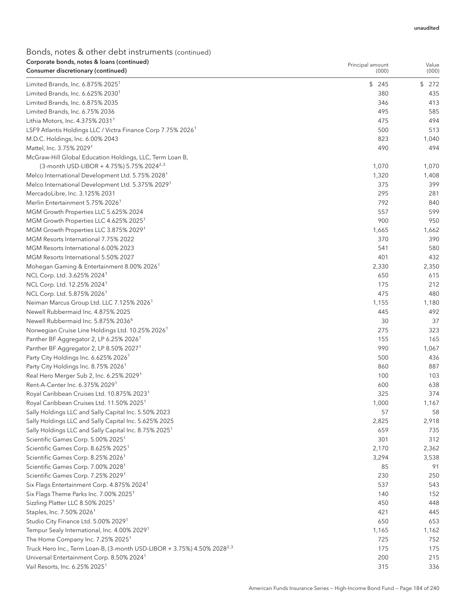| Corporate bonds, notes & Ioans (continued)<br>Consumer discretionary (continued)    | Principal amount<br>(000) | Value<br>(000) |
|-------------------------------------------------------------------------------------|---------------------------|----------------|
| Limited Brands, Inc. 6.875% 2025 <sup>1</sup>                                       | \$245                     | \$<br>272      |
| Limited Brands, Inc. 6.625% 2030 <sup>1</sup>                                       | 380                       | 435            |
| Limited Brands, Inc. 6.875% 2035                                                    | 346                       | 413            |
| Limited Brands, Inc. 6.75% 2036                                                     | 495                       | 585            |
| Lithia Motors, Inc. 4.375% 2031 <sup>1</sup>                                        | 475                       | 494            |
| LSF9 Atlantis Holdings LLC / Victra Finance Corp 7.75% 2026 <sup>1</sup>            | 500                       | 513            |
| M.D.C. Holdings, Inc. 6.00% 2043                                                    | 823                       | 1,040          |
| Mattel, Inc. 3.75% 2029 <sup>1</sup>                                                | 490                       | 494            |
| McGraw-Hill Global Education Holdings, LLC, Term Loan B,                            |                           |                |
| (3-month USD-LIBOR + 4.75%) 5.75% 2024 <sup>2,3</sup>                               | 1,070                     | 1,070          |
| Melco International Development Ltd. 5.75% 2028 <sup>1</sup>                        | 1,320                     | 1,408          |
| Melco International Development Ltd. 5.375% 2029 <sup>1</sup>                       | 375                       | 399            |
| MercadoLibre, Inc. 3.125% 2031                                                      | 295                       | 281            |
| Merlin Entertainment 5.75% 2026 <sup>1</sup>                                        | 792                       | 840            |
| MGM Growth Properties LLC 5.625% 2024                                               | 557                       | 599            |
| MGM Growth Properties LLC 4.625% 2025 <sup>1</sup>                                  | 900                       | 950            |
| MGM Growth Properties LLC 3.875% 2029 <sup>1</sup>                                  | 1,665                     | 1,662          |
| MGM Resorts International 7.75% 2022                                                | 370                       | 390            |
| MGM Resorts International 6.00% 2023                                                | 541                       | 580            |
| MGM Resorts International 5.50% 2027                                                | 401                       | 432            |
| Mohegan Gaming & Entertainment 8.00% 2026 <sup>1</sup>                              | 2,330                     | 2,350          |
| NCL Corp. Ltd. 3.625% 2024 <sup>1</sup>                                             | 650                       | 615            |
| NCL Corp. Ltd. 12.25% 2024 <sup>1</sup>                                             | 175                       | 212            |
| NCL Corp. Ltd. 5.875% 2026 <sup>1</sup>                                             | 475                       | 480            |
| Neiman Marcus Group Ltd. LLC 7.125% 2026 <sup>1</sup>                               | 1,155                     | 1,180          |
| Newell Rubbermaid Inc. 4.875% 2025                                                  | 445                       | 492            |
| Newell Rubbermaid Inc. 5.875% 2036 <sup>6</sup>                                     | 30                        | 37             |
| Norwegian Cruise Line Holdings Ltd. 10.25% 2026 <sup>1</sup>                        | 275                       | 323            |
| Panther BF Aggregator 2, LP 6.25% 2026 <sup>1</sup>                                 | 155                       | 165            |
| Panther BF Aggregator 2, LP 8.50% 2027 <sup>1</sup>                                 | 990                       | 1,067          |
| Party City Holdings Inc. 6.625% 2026 <sup>1</sup>                                   | 500                       | 436            |
| Party City Holdings Inc. 8.75% 2026 <sup>1</sup>                                    | 860                       | 887            |
| Real Hero Merger Sub 2, Inc. 6.25% 2029 <sup>1</sup>                                | 100                       | 103            |
| Rent-A-Center Inc. 6.375% 2029 <sup>1</sup>                                         | 600                       | 638            |
| Royal Caribbean Cruises Ltd. 10.875% 2023 <sup>1</sup>                              | 325                       | 374            |
| Royal Caribbean Cruises Ltd. 11.50% 2025 <sup>1</sup>                               | 1,000                     | 1,167          |
| Sally Holdings LLC and Sally Capital Inc. 5.50% 2023                                | 57                        | 58             |
| Sally Holdings LLC and Sally Capital Inc. 5.625% 2025                               | 2,825                     | 2,918          |
| Sally Holdings LLC and Sally Capital Inc. 8.75% 2025 <sup>1</sup>                   | 659                       | 735            |
| Scientific Games Corp. 5.00% 2025 <sup>1</sup>                                      | 301                       | 312            |
| Scientific Games Corp. 8.625% 2025 <sup>1</sup>                                     | 2,170                     | 2,362          |
| Scientific Games Corp. 8.25% 2026 <sup>1</sup>                                      | 3,294                     | 3,538          |
| Scientific Games Corp. 7.00% 2028 <sup>1</sup>                                      | 85                        | 91             |
| Scientific Games Corp. 7.25% 2029 <sup>1</sup>                                      | 230                       | 250            |
| Six Flags Entertainment Corp. 4.875% 2024 <sup>1</sup>                              | 537                       | 543            |
| Six Flags Theme Parks Inc. 7.00% 2025 <sup>1</sup>                                  | 140                       | 152            |
| Sizzling Platter LLC 8.50% 2025 <sup>1</sup>                                        | 450                       | 448            |
| Staples, Inc. 7.50% 2026 <sup>1</sup>                                               | 421                       | 445            |
| Studio City Finance Ltd. 5.00% 2029 <sup>1</sup>                                    | 650                       | 653            |
| Tempur Sealy International, Inc. 4.00% 2029 <sup>1</sup>                            | 1,165                     | 1,162          |
| The Home Company Inc. 7.25% 2025 <sup>1</sup>                                       | 725                       | 752            |
| Truck Hero Inc., Term Loan-B, (3-month USD-LIBOR + 3.75%) 4.50% 2028 <sup>2,3</sup> | 175                       | 175            |
| Universal Entertainment Corp. 8.50% 2024 <sup>1</sup>                               | 200                       | 215            |
| Vail Resorts, Inc. 6.25% 2025 <sup>1</sup>                                          | 315                       | 336            |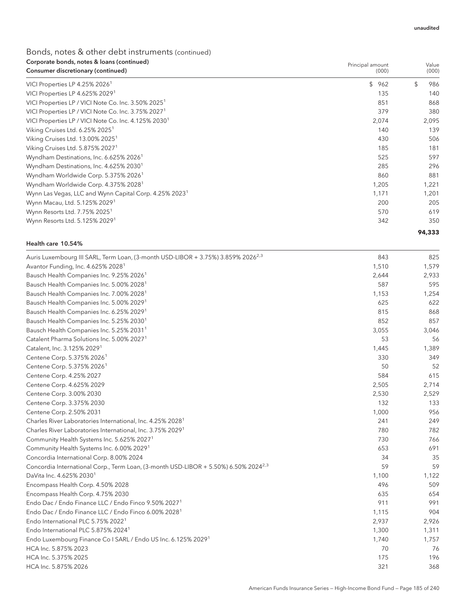| Corporate bonds, notes & Ioans (continued)                         | Principal amount | Value     |  |
|--------------------------------------------------------------------|------------------|-----------|--|
| Consumer discretionary (continued)                                 | (000)            | (000)     |  |
| VICI Properties LP 4.25% 2026 <sup>1</sup>                         | \$<br>962        | \$<br>986 |  |
| VICI Properties LP 4.625% 2029 <sup>1</sup>                        | 135              | 140       |  |
| VICI Properties LP / VICI Note Co. Inc. 3.50% 2025 <sup>1</sup>    | 851              | 868       |  |
| VICI Properties LP / VICI Note Co. Inc. 3.75% 2027 <sup>1</sup>    | 379              | 380       |  |
| VICI Properties LP / VICI Note Co. Inc. 4.125% 2030 <sup>1</sup>   | 2,074            | 2,095     |  |
| Viking Cruises Ltd. 6.25% 2025 <sup>1</sup>                        | 140              | 139       |  |
| Viking Cruises Ltd. 13.00% 2025 <sup>1</sup>                       | 430              | 506       |  |
| Viking Cruises Ltd. 5.875% 2027 <sup>1</sup>                       | 185              | 181       |  |
| Wyndham Destinations, Inc. 6.625% 2026 <sup>1</sup>                | 525              | 597       |  |
| Wyndham Destinations, Inc. 4.625% 2030 <sup>1</sup>                | 285              | 296       |  |
| Wyndham Worldwide Corp. 5.375% 2026 <sup>1</sup>                   | 860              | 881       |  |
| Wyndham Worldwide Corp. 4.375% 2028 <sup>1</sup>                   | 1,205            | 1,221     |  |
| Wynn Las Vegas, LLC and Wynn Capital Corp. 4.25% 2023 <sup>1</sup> | 1,171            | 1,201     |  |
| Wynn Macau, Ltd. 5.125% 2029 <sup>1</sup>                          | 200              | 205       |  |
| Wynn Resorts Ltd. 7.75% 2025 <sup>1</sup>                          | 570              | 619       |  |
| Wynn Resorts Ltd. 5.125% 2029 <sup>1</sup>                         | 342              | 350       |  |
|                                                                    |                  | 94,333    |  |

#### Health care 10.54%

| Auris Luxembourg III SARL, Term Loan, (3-month USD-LIBOR + 3.75%) 3.859% 2026 <sup>2,3</sup>    | 843   | 825   |
|-------------------------------------------------------------------------------------------------|-------|-------|
| Avantor Funding, Inc. 4.625% 2028 <sup>1</sup>                                                  | 1,510 | 1,579 |
| Bausch Health Companies Inc. 9.25% 2026 <sup>1</sup>                                            | 2,644 | 2,933 |
| Bausch Health Companies Inc. 5.00% 2028 <sup>1</sup>                                            | 587   | 595   |
| Bausch Health Companies Inc. 7.00% 2028 <sup>1</sup>                                            | 1,153 | 1,254 |
| Bausch Health Companies Inc. 5.00% 2029 <sup>1</sup>                                            | 625   | 622   |
| Bausch Health Companies Inc. 6.25% 2029 <sup>1</sup>                                            | 815   | 868   |
| Bausch Health Companies Inc. 5.25% 2030 <sup>1</sup>                                            | 852   | 857   |
| Bausch Health Companies Inc. 5.25% 2031 <sup>1</sup>                                            | 3,055 | 3,046 |
| Catalent Pharma Solutions Inc. 5.00% 2027 <sup>1</sup>                                          | 53    | 56    |
| Catalent, Inc. 3.125% 2029 <sup>1</sup>                                                         | 1,445 | 1,389 |
| Centene Corp. 5.375% 2026 <sup>1</sup>                                                          | 330   | 349   |
| Centene Corp. 5.375% 2026 <sup>1</sup>                                                          | 50    | 52    |
| Centene Corp. 4.25% 2027                                                                        | 584   | 615   |
| Centene Corp. 4.625% 2029                                                                       | 2,505 | 2,714 |
| Centene Corp. 3.00% 2030                                                                        | 2,530 | 2,529 |
| Centene Corp. 3.375% 2030                                                                       | 132   | 133   |
| Centene Corp. 2.50% 2031                                                                        | 1,000 | 956   |
| Charles River Laboratories International, Inc. 4.25% 2028 <sup>1</sup>                          | 241   | 249   |
| Charles River Laboratories International, Inc. 3.75% 2029 <sup>1</sup>                          | 780   | 782   |
| Community Health Systems Inc. 5.625% 2027 <sup>1</sup>                                          | 730   | 766   |
| Community Health Systems Inc. 6.00% 2029 <sup>1</sup>                                           | 653   | 691   |
| Concordia International Corp. 8.00% 2024                                                        | 34    | 35    |
| Concordia International Corp., Term Loan, (3-month USD-LIBOR + 5.50%) 6.50% 2024 <sup>2,3</sup> | 59    | 59    |
| DaVita Inc. 4.625% 2030 <sup>1</sup>                                                            | 1,100 | 1,122 |
| Encompass Health Corp. 4.50% 2028                                                               | 496   | 509   |
| Encompass Health Corp. 4.75% 2030                                                               | 635   | 654   |
| Endo Dac / Endo Finance LLC / Endo Finco 9.50% 2027 <sup>1</sup>                                | 911   | 991   |
| Endo Dac / Endo Finance LLC / Endo Finco 6.00% 2028 <sup>1</sup>                                | 1,115 | 904   |
| Endo International PLC 5.75% 2022 <sup>1</sup>                                                  | 2,937 | 2,926 |
| Endo International PLC 5.875% 2024 <sup>1</sup>                                                 | 1,300 | 1,311 |
| Endo Luxembourg Finance Co I SARL / Endo US Inc. 6.125% 2029 <sup>1</sup>                       | 1,740 | 1,757 |
| HCA Inc. 5.875% 2023                                                                            | 70    | 76    |
| HCA Inc. 5.375% 2025                                                                            | 175   | 196   |
| HCA Inc. 5.875% 2026                                                                            | 321   | 368   |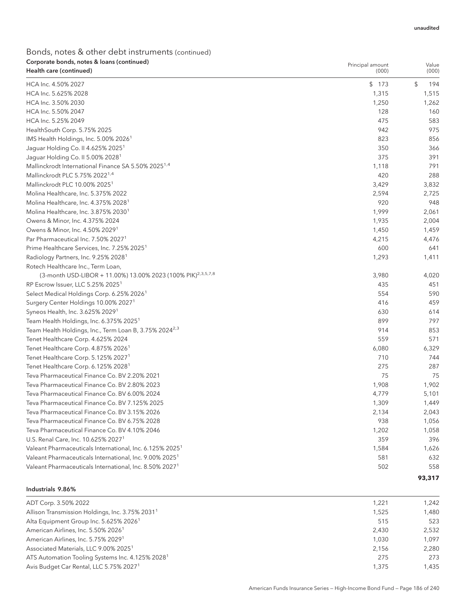| Corporate bonds, notes & loans (continued)<br>Health care (continued)    | Principal amount<br>(000) | Value<br>(000) |
|--------------------------------------------------------------------------|---------------------------|----------------|
| HCA Inc. 4.50% 2027                                                      | \$173                     | \$<br>194      |
| HCA Inc. 5.625% 2028                                                     | 1,315                     | 1,515          |
| HCA Inc. 3.50% 2030                                                      | 1,250                     | 1,262          |
| HCA Inc. 5.50% 2047                                                      | 128                       | 160            |
| HCA Inc. 5.25% 2049                                                      | 475                       | 583            |
| HealthSouth Corp. 5.75% 2025                                             | 942                       | 975            |
| IMS Health Holdings, Inc. 5.00% 2026 <sup>1</sup>                        | 823                       | 856            |
| Jaguar Holding Co. II 4.625% 2025 <sup>1</sup>                           | 350                       | 366            |
| Jaguar Holding Co. II 5.00% 2028 <sup>1</sup>                            | 375                       | 391            |
| Mallinckrodt International Finance SA 5.50% 2025 <sup>1,4</sup>          | 1,118                     | 791            |
| Mallinckrodt PLC 5.75% 2022 <sup>1,4</sup>                               | 420                       | 288            |
| Mallinckrodt PLC 10.00% 2025 <sup>1</sup>                                | 3,429                     | 3,832          |
| Molina Healthcare, Inc. 5.375% 2022                                      | 2,594                     | 2,725          |
| Molina Healthcare, Inc. 4.375% 2028 <sup>1</sup>                         | 920                       | 948            |
| Molina Healthcare, Inc. 3.875% 2030 <sup>1</sup>                         | 1,999                     | 2,061          |
| Owens & Minor, Inc. 4.375% 2024                                          | 1,935                     | 2,004          |
| Owens & Minor, Inc. 4.50% 2029 <sup>1</sup>                              | 1,450                     | 1,459          |
| Par Pharmaceutical Inc. 7.50% 2027 <sup>1</sup>                          | 4,215                     | 4,476          |
| Prime Healthcare Services, Inc. 7.25% 2025 <sup>1</sup>                  | 600                       | 641            |
| Radiology Partners, Inc. 9.25% 2028 <sup>1</sup>                         | 1,293                     | 1,411          |
| Rotech Healthcare Inc., Term Loan,                                       |                           |                |
| (3-month USD-LIBOR + 11.00%) 13.00% 2023 (100% PIK) <sup>2,3,5,7,8</sup> | 3,980                     | 4,020          |
| RP Escrow Issuer, LLC 5.25% 2025 <sup>1</sup>                            | 435                       | 451            |
| Select Medical Holdings Corp. 6.25% 2026 <sup>1</sup>                    | 554                       | 590            |
| Surgery Center Holdings 10.00% 2027 <sup>1</sup>                         | 416                       | 459            |
| Syneos Health, Inc. 3.625% 2029 <sup>1</sup>                             | 630                       | 614            |
| Team Health Holdings, Inc. 6.375% 2025 <sup>1</sup>                      | 899                       | 797            |
| Team Health Holdings, Inc., Term Loan B, 3.75% 2024 <sup>2,3</sup>       | 914                       | 853            |
| Tenet Healthcare Corp. 4.625% 2024                                       | 559                       | 571            |
| Tenet Healthcare Corp. 4.875% 2026 <sup>1</sup>                          | 6,080                     | 6,329          |
| Tenet Healthcare Corp. 5.125% 2027 <sup>1</sup>                          | 710                       | 744            |
| Tenet Healthcare Corp. 6.125% 2028 <sup>1</sup>                          | 275                       | 287            |
| Teva Pharmaceutical Finance Co. BV 2.20% 2021                            | 75                        | 75             |
| Teva Pharmaceutical Finance Co. BV 2.80% 2023                            | 1,908                     | 1,902          |
| Teva Pharmaceutical Finance Co. BV 6.00% 2024                            | 4,779                     | 5,101          |
| Teva Pharmaceutical Finance Co. BV 7.125% 2025                           | 1,309                     | 1,449          |
| Teva Pharmaceutical Finance Co. BV 3.15% 2026                            | 2,134                     | 2,043          |
| Teva Pharmaceutical Finance Co. BV 6.75% 2028                            | 938                       | 1,056          |
| Teva Pharmaceutical Finance Co. BV 4.10% 2046                            | 1,202                     | 1,058          |
| U.S. Renal Care, Inc. 10.625% 2027 <sup>1</sup>                          | 359                       | 396            |
| Valeant Pharmaceuticals International, Inc. 6.125% 2025 <sup>1</sup>     | 1,584                     | 1,626          |
| Valeant Pharmaceuticals International, Inc. 9.00% 2025 <sup>1</sup>      | 581                       | 632            |
| Valeant Pharmaceuticals International, Inc. 8.50% 2027 <sup>1</sup>      | 502                       | 558            |
|                                                                          |                           | 93,317         |

#### Industrials 9.86%

| ADT Corp. 3.50% 2022                                         | 1.221 | 1.242 |
|--------------------------------------------------------------|-------|-------|
| Allison Transmission Holdings, Inc. 3.75% 2031 <sup>1</sup>  | 1.525 | 1.480 |
| Alta Equipment Group Inc. 5.625% 2026 <sup>1</sup>           | 515   | 523   |
| American Airlines, Inc. 5.50% 2026 <sup>1</sup>              | 2.430 | 2,532 |
| American Airlines, Inc. 5.75% 2029 <sup>1</sup>              | 1.030 | 1.097 |
| Associated Materials, LLC 9.00% 2025 <sup>1</sup>            | 2.156 | 2.280 |
| ATS Automation Tooling Systems Inc. 4.125% 2028 <sup>1</sup> | 275   | 273   |
| Avis Budget Car Rental, LLC 5.75% 2027 <sup>1</sup>          | 1.375 | 1.435 |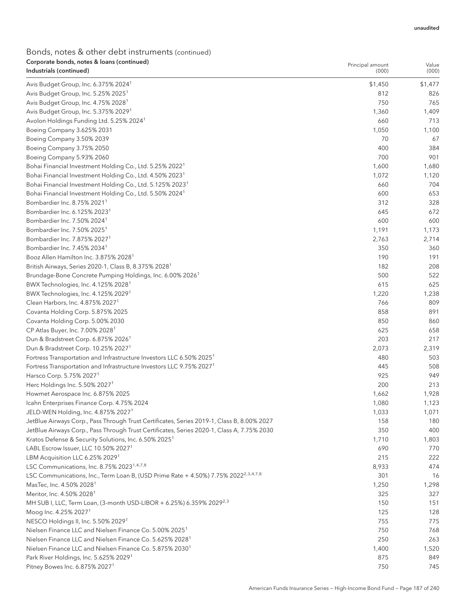| Corporate bonds, notes & Ioans (continued)<br>Industrials (continued)                                                    | Principal amount<br>(000) | Value<br>(000) |
|--------------------------------------------------------------------------------------------------------------------------|---------------------------|----------------|
|                                                                                                                          | \$1,450                   |                |
| Avis Budget Group, Inc. 6.375% 2024 <sup>1</sup>                                                                         | 812                       | \$1,477        |
| Avis Budget Group, Inc. 5.25% 2025 <sup>1</sup><br>Avis Budget Group, Inc. 4.75% 2028 <sup>1</sup>                       | 750                       | 826<br>765     |
| Avis Budget Group, Inc. 5.375% 2029 <sup>1</sup>                                                                         | 1,360                     | 1,409          |
| Avolon Holdings Funding Ltd. 5.25% 2024 <sup>1</sup>                                                                     | 660                       | 713            |
| Boeing Company 3.625% 2031                                                                                               | 1,050                     | 1,100          |
| Boeing Company 3.50% 2039                                                                                                | 70                        | 67             |
| Boeing Company 3.75% 2050                                                                                                | 400                       | 384            |
| Boeing Company 5.93% 2060                                                                                                | 700                       | 901            |
| Bohai Financial Investment Holding Co., Ltd. 5.25% 2022 <sup>1</sup>                                                     | 1,600                     | 1,680          |
| Bohai Financial Investment Holding Co., Ltd. 4.50% 2023 <sup>1</sup>                                                     | 1,072                     | 1,120          |
| Bohai Financial Investment Holding Co., Ltd. 5.125% 2023 <sup>1</sup>                                                    | 660                       | 704            |
| Bohai Financial Investment Holding Co., Ltd. 5.50% 2024 <sup>1</sup>                                                     | 600                       | 653            |
| Bombardier Inc. 8.75% 2021 <sup>1</sup>                                                                                  | 312                       | 328            |
| Bombardier Inc. 6.125% 2023 <sup>1</sup>                                                                                 | 645                       | 672            |
| Bombardier Inc. 7.50% 2024 <sup>1</sup>                                                                                  | 600                       | 600            |
| Bombardier Inc. 7.50% 2025 <sup>1</sup>                                                                                  | 1,191                     | 1,173          |
| Bombardier Inc. 7.875% 2027 <sup>1</sup>                                                                                 | 2,763                     | 2,714          |
| Bombardier Inc. 7.45% 2034 <sup>1</sup>                                                                                  | 350                       | 360            |
| Booz Allen Hamilton Inc. 3.875% 2028 <sup>1</sup>                                                                        | 190                       | 191            |
| British Airways, Series 2020-1, Class B, 8.375% 2028 <sup>1</sup>                                                        | 182                       | 208            |
| Brundage-Bone Concrete Pumping Holdings, Inc. 6.00% 2026 <sup>1</sup>                                                    | 500                       | 522            |
| BWX Technologies, Inc. 4.125% 2028 <sup>1</sup>                                                                          | 615                       | 625            |
| BWX Technologies, Inc. 4.125% 2029 <sup>1</sup>                                                                          | 1,220                     | 1,238          |
| Clean Harbors, Inc. 4.875% 2027 <sup>1</sup>                                                                             | 766                       | 809            |
| Covanta Holding Corp. 5.875% 2025                                                                                        | 858                       | 891            |
| Covanta Holding Corp. 5.00% 2030                                                                                         | 850                       | 860            |
|                                                                                                                          | 625                       | 658            |
| CP Atlas Buyer, Inc. 7.00% 2028 <sup>1</sup>                                                                             | 203                       | 217            |
| Dun & Bradstreet Corp. 6.875% 2026 <sup>1</sup>                                                                          |                           |                |
| Dun & Bradstreet Corp. 10.25% 2027 <sup>1</sup>                                                                          | 2,073                     | 2,319          |
| Fortress Transportation and Infrastructure Investors LLC 6.50% 2025 <sup>1</sup>                                         | 480                       | 503            |
| Fortress Transportation and Infrastructure Investors LLC 9.75% 2027 <sup>1</sup><br>Harsco Corp. 5.75% 2027 <sup>1</sup> | 445                       | 508            |
|                                                                                                                          | 925<br>200                | 949<br>213     |
| Herc Holdings Inc. 5.50% 2027 <sup>1</sup>                                                                               |                           |                |
| Howmet Aerospace Inc. 6.875% 2025                                                                                        | 1,662                     | 1,928          |
| Icahn Enterprises Finance Corp. 4.75% 2024                                                                               | 1,080                     | 1,123          |
| JELD-WEN Holding, Inc. 4.875% 2027 <sup>1</sup>                                                                          | 1,033                     | 1,071          |
| JetBlue Airways Corp., Pass Through Trust Certificates, Series 2019-1, Class B, 8.00% 2027                               | 158                       | 180            |
| JetBlue Airways Corp., Pass Through Trust Certificates, Series 2020-1, Class A, 7.75% 2030                               | 350                       | 400            |
| Kratos Defense & Security Solutions, Inc. 6.50% 2025 <sup>1</sup>                                                        | 1,710                     | 1,803          |
| LABL Escrow Issuer, LLC 10.50% 2027 <sup>1</sup>                                                                         | 690                       | 770            |
| LBM Acquisition LLC 6.25% 2029 <sup>1</sup>                                                                              | 215                       | 222            |
| LSC Communications, Inc. 8.75% 2023 <sup>1,4,7,8</sup>                                                                   | 8,933                     | 474            |
| LSC Communications, Inc., Term Loan B, (USD Prime Rate + 4.50%) 7.75% 2022 <sup>2,3,4,7,8</sup>                          | 301                       | 16             |
| MasTec, Inc. 4.50% 2028 <sup>1</sup>                                                                                     | 1,250                     | 1,298          |
| Meritor, Inc. 4.50% 2028 <sup>1</sup>                                                                                    | 325                       | 327            |
| MH SUB I, LLC, Term Loan, (3-month USD-LIBOR + 6.25%) 6.359% 2029 <sup>2,3</sup>                                         | 150                       | 151            |
| Moog Inc. 4.25% 2027 <sup>1</sup>                                                                                        | 125                       | 128            |
| NESCO Holdings II, Inc. 5.50% 2029 <sup>1</sup>                                                                          | 755                       | 775            |
| Nielsen Finance LLC and Nielsen Finance Co. 5.00% 2025 <sup>1</sup>                                                      | 750                       | 768            |
| Nielsen Finance LLC and Nielsen Finance Co. 5.625% 2028 <sup>1</sup>                                                     | 250                       | 263            |
| Nielsen Finance LLC and Nielsen Finance Co. 5.875% 2030 <sup>1</sup>                                                     | 1,400                     | 1,520          |
| Park River Holdings, Inc. 5.625% 2029 <sup>1</sup>                                                                       | 875                       | 849            |
| Pitney Bowes Inc. 6.875% 2027 <sup>1</sup>                                                                               | 750                       | 745            |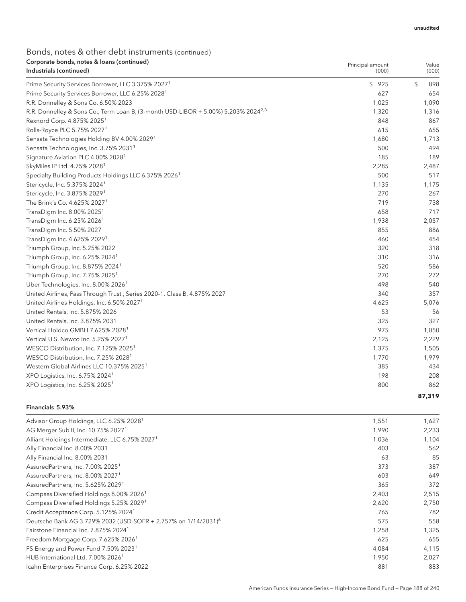| Corporate bonds, notes & Ioans (continued)<br>Industrials (continued)                          | Principal amount<br>(000) | Value<br>(000) |
|------------------------------------------------------------------------------------------------|---------------------------|----------------|
| Prime Security Services Borrower, LLC 3.375% 2027 <sup>1</sup>                                 | \$925                     | \$<br>898      |
| Prime Security Services Borrower, LLC 6.25% 2028 <sup>1</sup>                                  | 627                       | 654            |
| R.R. Donnelley & Sons Co. 6.50% 2023                                                           | 1,025                     | 1,090          |
| R.R. Donnelley & Sons Co., Term Loan B, (3-month USD-LIBOR + 5.00%) 5.203% 2024 <sup>2,3</sup> | 1,320                     | 1,316          |
| Rexnord Corp. 4.875% 2025 <sup>1</sup>                                                         | 848                       | 867            |
| Rolls-Royce PLC 5.75% 2027 <sup>1</sup>                                                        | 615                       | 655            |
| Sensata Technologies Holding BV 4.00% 20291                                                    | 1,680                     | 1,713          |
| Sensata Technologies, Inc. 3.75% 2031 <sup>1</sup>                                             | 500                       | 494            |
| Signature Aviation PLC 4.00% 2028 <sup>1</sup>                                                 | 185                       | 189            |
| SkyMiles IP Ltd. 4.75% 2028 <sup>1</sup>                                                       | 2,285                     | 2,487          |
| Specialty Building Products Holdings LLC 6.375% 2026 <sup>1</sup>                              | 500                       | 517            |
| Stericycle, Inc. 5.375% 2024 <sup>1</sup>                                                      | 1,135                     | 1,175          |
| Stericycle, Inc. 3.875% 2029 <sup>1</sup>                                                      | 270                       | 267            |
| The Brink's Co. 4.625% 2027 <sup>1</sup>                                                       | 719                       | 738            |
| TransDigm Inc. 8.00% 2025 <sup>1</sup>                                                         | 658                       | 717            |
| TransDigm Inc. 6.25% 2026 <sup>1</sup>                                                         | 1,938                     | 2,057          |
| TransDigm Inc. 5.50% 2027                                                                      | 855                       | 886            |
| TransDigm Inc. 4.625% 2029 <sup>1</sup>                                                        | 460                       | 454            |
| Triumph Group, Inc. 5.25% 2022                                                                 | 320                       | 318            |
| Triumph Group, Inc. 6.25% 2024 <sup>1</sup>                                                    | 310                       | 316            |
| Triumph Group, Inc. 8.875% 2024 <sup>1</sup>                                                   | 520                       | 586            |
| Triumph Group, Inc. 7.75% 2025 <sup>1</sup>                                                    | 270                       | 272            |
| Uber Technologies, Inc. 8.00% 2026 <sup>1</sup>                                                | 498                       | 540            |
| United Airlines, Pass Through Trust, Series 2020-1, Class B, 4.875% 2027                       | 340                       | 357            |
| United Airlines Holdings, Inc. 6.50% 2027 <sup>1</sup>                                         | 4,625                     | 5,076          |
| United Rentals, Inc. 5.875% 2026                                                               | 53                        | 56             |
| United Rentals, Inc. 3.875% 2031                                                               | 325                       | 327            |
| Vertical Holdco GMBH 7.625% 2028 <sup>1</sup>                                                  | 975                       | 1,050          |
| Vertical U.S. Newco Inc. 5.25% 2027 <sup>1</sup>                                               | 2,125                     | 2,229          |
| WESCO Distribution, Inc. 7.125% 2025 <sup>1</sup>                                              | 1,375                     | 1,505          |
| WESCO Distribution, Inc. 7.25% 2028 <sup>1</sup>                                               | 1,770                     | 1,979          |
| Western Global Airlines LLC 10.375% 2025 <sup>1</sup>                                          | 385                       | 434            |
| XPO Logistics, Inc. 6.75% 2024 <sup>1</sup>                                                    | 198                       | 208            |
| XPO Logistics, Inc. 6.25% 2025 <sup>1</sup>                                                    | 800                       | 862            |
|                                                                                                |                           | 87,319         |

### Financials 5.93%

| Advisor Group Holdings, LLC 6.25% 2028 <sup>1</sup>                        | 1,551 | 1,627 |
|----------------------------------------------------------------------------|-------|-------|
| AG Merger Sub II, Inc. 10.75% 2027 <sup>1</sup>                            | 1,990 | 2,233 |
| Alliant Holdings Intermediate, LLC 6.75% 2027 <sup>1</sup>                 | 1,036 | 1,104 |
| Ally Financial Inc. 8.00% 2031                                             | 403   | 562   |
| Ally Financial Inc. 8.00% 2031                                             | 63    | 85    |
| AssuredPartners, Inc. 7.00% 2025 <sup>1</sup>                              | 373   | 387   |
| AssuredPartners, Inc. 8.00% 2027 <sup>1</sup>                              | 603   | 649   |
| AssuredPartners, Inc. 5.625% 2029 <sup>1</sup>                             | 365   | 372   |
| Compass Diversified Holdings 8.00% 2026 <sup>1</sup>                       | 2,403 | 2,515 |
| Compass Diversified Holdings 5.25% 2029 <sup>1</sup>                       | 2,620 | 2,750 |
| Credit Acceptance Corp. 5.125% 2024 <sup>1</sup>                           | 765   | 782   |
| Deutsche Bank AG 3.729% 2032 (USD-SOFR + 2.757% on 1/14/2031) <sup>6</sup> | 575   | 558   |
| Fairstone Financial Inc. 7.875% 2024 <sup>1</sup>                          | 1,258 | 1,325 |
| Freedom Mortgage Corp. 7.625% 2026 <sup>1</sup>                            | 625   | 655   |
| FS Energy and Power Fund 7.50% 2023 <sup>1</sup>                           | 4,084 | 4,115 |
| HUB International Ltd. 7.00% 2026 <sup>1</sup>                             | 1.950 | 2,027 |
| Icahn Enterprises Finance Corp. 6.25% 2022                                 | 881   | 883   |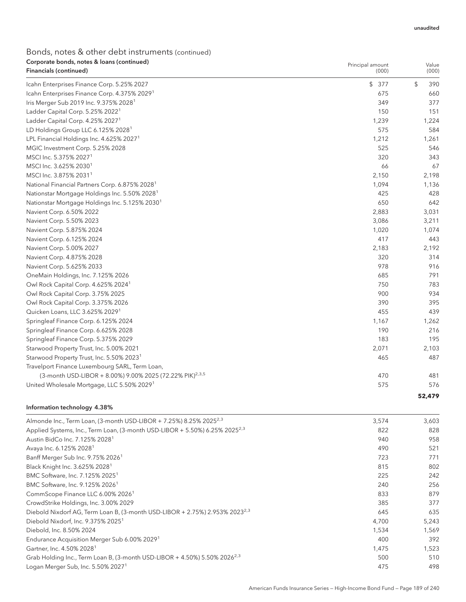| Corporate bonds, notes & loans (continued)<br>Financials (continued) | Principal amount<br>(000) | Value<br>(000) |
|----------------------------------------------------------------------|---------------------------|----------------|
| Icahn Enterprises Finance Corp. 5.25% 2027                           | \$377                     | \$<br>390      |
| Icahn Enterprises Finance Corp. 4.375% 2029 <sup>1</sup>             | 675                       | 660            |
| Iris Merger Sub 2019 Inc. 9.375% 2028 <sup>1</sup>                   | 349                       | 377            |
| Ladder Capital Corp. 5.25% 2022 <sup>1</sup>                         | 150                       | 151            |
| Ladder Capital Corp. 4.25% 2027 <sup>1</sup>                         | 1,239                     | 1,224          |
| LD Holdings Group LLC 6.125% 2028 <sup>1</sup>                       | 575                       | 584            |
| LPL Financial Holdings Inc. 4.625% 2027 <sup>1</sup>                 | 1,212                     | 1,261          |
| MGIC Investment Corp. 5.25% 2028                                     | 525                       | 546            |
| MSCI Inc. 5.375% 2027 <sup>1</sup>                                   | 320                       | 343            |
| MSCI Inc. 3.625% 2030 <sup>1</sup>                                   | 66                        | 67             |
| MSCI Inc. 3.875% 2031 <sup>1</sup>                                   | 2,150                     | 2,198          |
| National Financial Partners Corp. 6.875% 2028 <sup>1</sup>           | 1,094                     | 1,136          |
| Nationstar Mortgage Holdings Inc. 5.50% 2028 <sup>1</sup>            | 425                       | 428            |
| Nationstar Mortgage Holdings Inc. 5.125% 2030 <sup>1</sup>           | 650                       | 642            |
| Navient Corp. 6.50% 2022                                             | 2,883                     | 3,031          |
| Navient Corp. 5.50% 2023                                             | 3,086                     | 3,211          |
| Navient Corp. 5.875% 2024                                            | 1,020                     | 1,074          |
| Navient Corp. 6.125% 2024                                            | 417                       | 443            |
| Navient Corp. 5.00% 2027                                             | 2,183                     | 2,192          |
| Navient Corp. 4.875% 2028                                            | 320                       | 314            |
| Navient Corp. 5.625% 2033                                            | 978                       | 916            |
| OneMain Holdings, Inc. 7.125% 2026                                   | 685                       | 791            |
| Owl Rock Capital Corp. 4.625% 2024 <sup>1</sup>                      | 750                       | 783            |
| Owl Rock Capital Corp. 3.75% 2025                                    | 900                       | 934            |
| Owl Rock Capital Corp. 3.375% 2026                                   | 390                       | 395            |
| Quicken Loans, LLC 3.625% 2029 <sup>1</sup>                          | 455                       | 439            |
| Springleaf Finance Corp. 6.125% 2024                                 | 1,167                     | 1,262          |
| Springleaf Finance Corp. 6.625% 2028                                 | 190                       | 216            |
| Springleaf Finance Corp. 5.375% 2029                                 | 183                       | 195            |
| Starwood Property Trust, Inc. 5.00% 2021                             | 2,071                     | 2,103          |
| Starwood Property Trust, Inc. 5.50% 2023 <sup>1</sup>                | 465                       | 487            |
| Travelport Finance Luxembourg SARL, Term Loan,                       |                           |                |
| (3-month USD-LIBOR + 8.00%) 9.00% 2025 (72.22% PIK) <sup>2,3,5</sup> | 470                       | 481            |
| United Wholesale Mortgage, LLC 5.50% 2029 <sup>1</sup>               | 575                       | 576            |
|                                                                      |                           | 52,479         |

### Information technology 4.38%

| Almonde Inc., Term Loan, (3-month USD-LIBOR + 7.25%) 8.25% 2025 <sup>2,3</sup>          | 3,574 | 3,603 |
|-----------------------------------------------------------------------------------------|-------|-------|
| Applied Systems, Inc., Term Loan, (3-month USD-LIBOR + 5.50%) 6.25% 2025 <sup>2,3</sup> | 822   | 828   |
| Austin BidCo Inc. 7.125% 2028 <sup>1</sup>                                              | 940   | 958   |
| Avaya Inc. 6.125% 2028 <sup>1</sup>                                                     | 490   | 521   |
| Banff Merger Sub Inc. 9.75% 2026 <sup>1</sup>                                           | 723   | 771   |
| Black Knight Inc. 3.625% 2028 <sup>1</sup>                                              | 815   | 802   |
| BMC Software, Inc. 7.125% 2025 <sup>1</sup>                                             | 225   | 242   |
| BMC Software, Inc. 9.125% 2026 <sup>1</sup>                                             | 240   | 256   |
| CommScope Finance LLC 6.00% 2026 <sup>1</sup>                                           | 833   | 879   |
| CrowdStrike Holdings, Inc. 3.00% 2029                                                   | 385   | 377   |
| Diebold Nixdorf AG, Term Loan B, (3-month USD-LIBOR + 2.75%) 2.953% 2023 <sup>2,3</sup> | 645   | 635   |
| Diebold Nixdorf, Inc. 9.375% 2025 <sup>1</sup>                                          | 4,700 | 5,243 |
| Diebold, Inc. 8.50% 2024                                                                | 1,534 | 1,569 |
| Endurance Acquisition Merger Sub 6.00% 2029 <sup>1</sup>                                | 400   | 392   |
| Gartner, Inc. 4.50% 2028 <sup>1</sup>                                                   | 1,475 | 1,523 |
| Grab Holding Inc., Term Loan B, (3-month USD-LIBOR + 4.50%) 5.50% 2026 <sup>2,3</sup>   | 500   | 510   |
| Logan Merger Sub, Inc. 5.50% 2027 <sup>1</sup>                                          | 475   | 498   |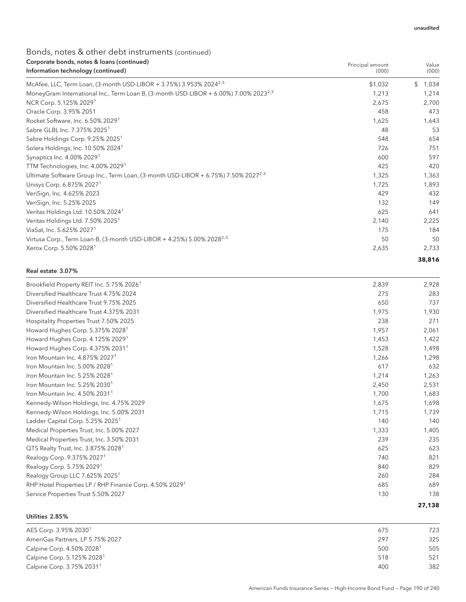| Corporate bonds, notes & loans (continued)<br>Information technology (continued)                 | Principal amount<br>(000) | Value<br>(000) |
|--------------------------------------------------------------------------------------------------|---------------------------|----------------|
| McAfee, LLC, Term Loan, (3-month USD-LIBOR + 3.75%) 3.953% 2024 <sup>2,3</sup>                   | \$1,032                   | 1,034<br>\$    |
| MoneyGram International Inc., Term Loan B, (3-month USD-LIBOR + 6.00%) 7.00% 2023 <sup>2,3</sup> | 1,213                     | 1,214          |
| NCR Corp. 5.125% 2029 <sup>1</sup>                                                               | 2,675                     | 2,700          |
| Oracle Corp. 3.95% 2051                                                                          | 458                       | 473            |
| Rocket Software, Inc. 6.50% 2029 <sup>1</sup>                                                    | 1,625                     | 1,643          |
| Sabre GLBL Inc. 7.375% 2025 <sup>1</sup>                                                         | 48                        | 53             |
| Sabre Holdings Corp. 9.25% 2025 <sup>1</sup>                                                     | 548                       | 654            |
| Solera Holdings, Inc. 10.50% 2024 <sup>1</sup>                                                   | 726                       | 751            |
| Synaptics Inc. 4.00% 2029 <sup>1</sup>                                                           | 600                       | 597            |
| TTM Technologies, Inc. 4.00% 2029 <sup>1</sup>                                                   | 425                       | 420            |
| Ultimate Software Group Inc., Term Loan, (3-month USD-LIBOR + 6.75%) 7.50% 2027 <sup>2,3</sup>   | 1,325                     | 1,363          |
| Unisys Corp. 6.875% 2027 <sup>1</sup>                                                            | 1,725                     | 1,893          |
| VeriSign, Inc. 4.625% 2023                                                                       | 429                       | 432            |
| VeriSign, Inc. 5.25% 2025                                                                        | 132                       | 149            |
| Veritas Holdings Ltd. 10.50% 2024 <sup>1</sup>                                                   | 625                       | 641            |
| Veritas Holdings Ltd. 7.50% 2025 <sup>1</sup>                                                    | 2,140                     | 2,225          |
| ViaSat, Inc. 5.625% 2027 <sup>1</sup>                                                            | 175                       | 184            |
| Virtusa Corp., Term Loan-B, (3-month USD-LIBOR + 4.25%) 5.00% 2028 <sup>2,3</sup>                | 50                        | 50             |
| Xerox Corp. 5.50% 2028 <sup>1</sup>                                                              | 2,635                     | 2,733          |
|                                                                                                  |                           | 38,816         |

### Real estate 3.07%

| Brookfield Property REIT Inc. 5.75% 2026 <sup>1</sup>               | 2,839 | 2,928  |
|---------------------------------------------------------------------|-------|--------|
| Diversified Healthcare Trust 4.75% 2024                             | 275   | 283    |
| Diversified Healthcare Trust 9.75% 2025                             | 650   | 737    |
| Diversified Healthcare Trust 4.375% 2031                            | 1,975 | 1,930  |
| Hospitality Properties Trust 7.50% 2025                             | 238   | 271    |
| Howard Hughes Corp. 5.375% 2028 <sup>1</sup>                        | 1,957 | 2,061  |
| Howard Hughes Corp. 4.125% 2029 <sup>1</sup>                        | 1,453 | 1,422  |
| Howard Hughes Corp. 4.375% 2031 <sup>1</sup>                        | 1,528 | 1,498  |
| Iron Mountain Inc. 4.875% 2027 <sup>1</sup>                         | 1,266 | 1,298  |
| Iron Mountain Inc. 5.00% 2028 <sup>1</sup>                          | 617   | 632    |
| Iron Mountain Inc. 5.25% 2028 <sup>1</sup>                          | 1,214 | 1,263  |
| Iron Mountain Inc. 5.25% 2030 <sup>1</sup>                          | 2,450 | 2,531  |
| Iron Mountain Inc. 4.50% 2031 <sup>1</sup>                          | 1,700 | 1,683  |
| Kennedy-Wilson Holdings, Inc. 4.75% 2029                            | 1,675 | 1,698  |
| Kennedy-Wilson Holdings, Inc. 5.00% 2031                            | 1,715 | 1,739  |
| Ladder Capital Corp. 5.25% 2025 <sup>1</sup>                        | 140   | 140    |
| Medical Properties Trust, Inc. 5.00% 2027                           | 1,333 | 1,405  |
| Medical Properties Trust, Inc. 3.50% 2031                           | 239   | 235    |
| QTS Realty Trust, Inc. 3.875% 2028 <sup>1</sup>                     | 625   | 623    |
| Realogy Corp. 9.375% 2027 <sup>1</sup>                              | 740   | 821    |
| Realogy Corp. 5.75% 2029 <sup>1</sup>                               | 840   | 829    |
| Realogy Group LLC 7.625% 2025 <sup>1</sup>                          | 260   | 284    |
| RHP Hotel Properties LP / RHP Finance Corp. 4.50% 2029 <sup>1</sup> | 685   | 689    |
| Service Properties Trust 5.50% 2027                                 | 130   | 138    |
|                                                                     |       | 27,138 |

| Utilities 2.85%                        |     |     |
|----------------------------------------|-----|-----|
| AES Corp. 3.95% 2030 <sup>1</sup>      | 675 | 723 |
| AmeriGas Partners, LP 5.75% 2027       | 297 | 325 |
| Calpine Corp. 4.50% 2028 <sup>1</sup>  | 500 | 505 |
| Calpine Corp. 5.125% 2028 <sup>1</sup> | 518 | 521 |
| Calpine Corp. 3.75% 2031 <sup>1</sup>  | 400 | 382 |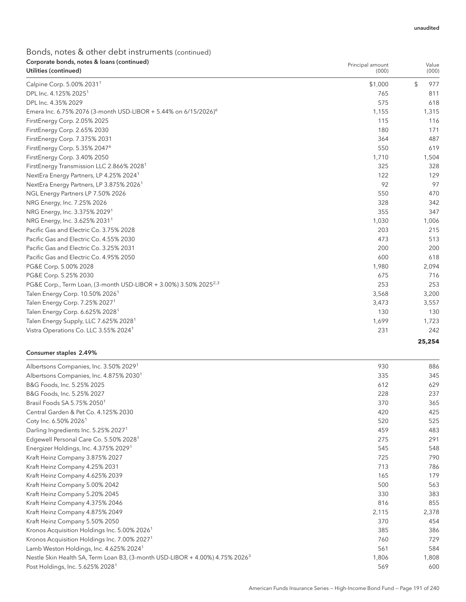# Bonds, notes & other debt instruments (continued) Corporate bonds, notes & loans (continued)

| Corporate bonds, notes & Ioans (continued)<br>Utilities (continued)          | Principal amount<br>(000) | Value<br>(000) |
|------------------------------------------------------------------------------|---------------------------|----------------|
| Calpine Corp. 5.00% 2031 <sup>1</sup>                                        | \$1,000                   | \$<br>977      |
| DPL Inc. 4.125% 2025 <sup>1</sup>                                            | 765                       | 811            |
| DPL Inc. 4.35% 2029                                                          | 575                       | 618            |
| Emera Inc. 6.75% 2076 (3-month USD-LIBOR + 5.44% on 6/15/2026) <sup>6</sup>  | 1,155                     | 1,315          |
| FirstEnergy Corp. 2.05% 2025                                                 | 115                       | 116            |
| FirstEnergy Corp. 2.65% 2030                                                 | 180                       | 171            |
| FirstEnergy Corp. 7.375% 2031                                                | 364                       | 487            |
| FirstEnergy Corp. 5.35% 2047 <sup>6</sup>                                    | 550                       | 619            |
| FirstEnergy Corp. 3.40% 2050                                                 | 1,710                     | 1,504          |
| FirstEnergy Transmission LLC 2.866% 2028 <sup>1</sup>                        | 325                       | 328            |
| NextEra Energy Partners, LP 4.25% 2024 <sup>1</sup>                          | 122                       | 129            |
| NextEra Energy Partners, LP 3.875% 2026 <sup>1</sup>                         | 92                        | 97             |
| NGL Energy Partners LP 7.50% 2026                                            | 550                       | 470            |
| NRG Energy, Inc. 7.25% 2026                                                  | 328                       | 342            |
| NRG Energy, Inc. 3.375% 2029 <sup>1</sup>                                    | 355                       | 347            |
| NRG Energy, Inc. 3.625% 2031 <sup>1</sup>                                    | 1,030                     | 1,006          |
| Pacific Gas and Electric Co. 3.75% 2028                                      | 203                       | 215            |
| Pacific Gas and Electric Co. 4.55% 2030                                      | 473                       | 513            |
| Pacific Gas and Electric Co. 3.25% 2031                                      | 200                       | 200            |
| Pacific Gas and Electric Co. 4.95% 2050                                      | 600                       | 618            |
| PG&E Corp. 5.00% 2028                                                        | 1,980                     | 2,094          |
| PG&E Corp. 5.25% 2030                                                        | 675                       | 716            |
| PG&E Corp., Term Loan, (3-month USD-LIBOR + 3.00%) 3.50% 2025 <sup>2,3</sup> | 253                       | 253            |
| Talen Energy Corp. 10.50% 2026 <sup>1</sup>                                  | 3,568                     | 3,200          |
| Talen Energy Corp. 7.25% 2027 <sup>1</sup>                                   | 3,473                     | 3,557          |
| Talen Energy Corp. 6.625% 2028 <sup>1</sup>                                  | 130                       | 130            |
| Talen Energy Supply, LLC 7.625% 2028 <sup>1</sup>                            | 1,699                     | 1,723          |
| Vistra Operations Co. LLC 3.55% 2024 <sup>1</sup>                            | 231                       | 242            |
|                                                                              |                           | 25,254         |

#### Consumer staples 2.49%

| Albertsons Companies, Inc. 3.50% 2029 <sup>1</sup>                                       | 930   | 886   |
|------------------------------------------------------------------------------------------|-------|-------|
| Albertsons Companies, Inc. 4.875% 2030 <sup>1</sup>                                      | 335   | 345   |
| B&G Foods, Inc. 5.25% 2025                                                               | 612   | 629   |
| B&G Foods, Inc. 5.25% 2027                                                               | 228   | 237   |
| Brasil Foods SA 5.75% 2050 <sup>1</sup>                                                  | 370   | 365   |
| Central Garden & Pet Co. 4.125% 2030                                                     | 420   | 425   |
| Coty Inc. 6.50% 2026 <sup>1</sup>                                                        | 520   | 525   |
| Darling Ingredients Inc. 5.25% 2027 <sup>1</sup>                                         | 459   | 483   |
| Edgewell Personal Care Co. 5.50% 2028 <sup>1</sup>                                       | 275   | 291   |
| Energizer Holdings, Inc. 4.375% 2029 <sup>1</sup>                                        | 545   | 548   |
| Kraft Heinz Company 3.875% 2027                                                          | 725   | 790   |
| Kraft Heinz Company 4.25% 2031                                                           | 713   | 786   |
| Kraft Heinz Company 4.625% 2039                                                          | 165   | 179   |
| Kraft Heinz Company 5.00% 2042                                                           | 500   | 563   |
| Kraft Heinz Company 5.20% 2045                                                           | 330   | 383   |
| Kraft Heinz Company 4.375% 2046                                                          | 816   | 855   |
| Kraft Heinz Company 4.875% 2049                                                          | 2,115 | 2,378 |
| Kraft Heinz Company 5.50% 2050                                                           | 370   | 454   |
| Kronos Acquisition Holdings Inc. 5.00% 2026 <sup>1</sup>                                 | 385   | 386   |
| Kronos Acquisition Holdings Inc. 7.00% 2027 <sup>1</sup>                                 | 760   | 729   |
| Lamb Weston Holdings, Inc. 4.625% 2024 <sup>1</sup>                                      | 561   | 584   |
| Nestle Skin Health SA, Term Loan B3, (3-month USD-LIBOR + 4.00%) 4.75% 2026 <sup>3</sup> | 1,806 | 1,808 |
| Post Holdings, Inc. 5.625% 2028 <sup>1</sup>                                             | 569   | 600   |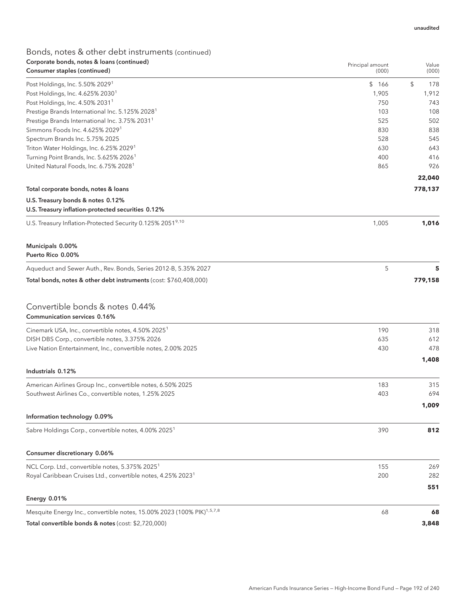| Corporate bonds, notes & loans (continued)<br>Consumer staples (continued)         | Principal amount<br>(000) | Value<br>(000)    |
|------------------------------------------------------------------------------------|---------------------------|-------------------|
| Post Holdings, Inc. 5.50% 2029 <sup>1</sup>                                        | \$166                     | $\sqrt{2}$<br>178 |
| Post Holdings, Inc. 4.625% 2030 <sup>1</sup>                                       | 1,905                     | 1,912             |
| Post Holdings, Inc. 4.50% 2031 <sup>1</sup>                                        | 750                       | 743               |
| Prestige Brands International Inc. 5.125% 2028 <sup>1</sup>                        | 103                       | 108               |
| Prestige Brands International Inc. 3.75% 2031 <sup>1</sup>                         | 525                       | 502               |
| Simmons Foods Inc. 4.625% 20291                                                    | 830                       | 838               |
| Spectrum Brands Inc. 5.75% 2025                                                    | 528                       | 545               |
| Triton Water Holdings, Inc. 6.25% 2029 <sup>1</sup>                                | 630                       | 643               |
| Turning Point Brands, Inc. 5.625% 2026 <sup>1</sup>                                | 400                       | 416               |
| United Natural Foods, Inc. 6.75% 2028 <sup>1</sup>                                 | 865                       | 926               |
|                                                                                    |                           | 22,040            |
| Total corporate bonds, notes & loans                                               |                           | 778,137           |
| U.S. Treasury bonds & notes 0.12%                                                  |                           |                   |
| U.S. Treasury inflation-protected securities 0.12%                                 |                           |                   |
| U.S. Treasury Inflation-Protected Security 0.125% 20519,10                         | 1,005                     | 1,016             |
| Municipals 0.00%<br>Puerto Rico 0.00%                                              |                           |                   |
| Aqueduct and Sewer Auth., Rev. Bonds, Series 2012-B, 5.35% 2027                    | 5                         | 5                 |
| Total bonds, notes & other debt instruments (cost: \$760,408,000)                  |                           | 779,158           |
| Convertible bonds & notes 0.44%<br>Communication services 0.16%                    |                           |                   |
| Cinemark USA, Inc., convertible notes, 4.50% 2025 <sup>1</sup>                     | 190                       | 318               |
| DISH DBS Corp., convertible notes, 3.375% 2026                                     | 635                       | 612               |
| Live Nation Entertainment, Inc., convertible notes, 2.00% 2025                     | 430                       | 478               |
|                                                                                    |                           | 1,408             |
| Industrials 0.12%                                                                  |                           |                   |
| American Airlines Group Inc., convertible notes, 6.50% 2025                        | 183                       | 315               |
| Southwest Airlines Co., convertible notes, 1.25% 2025                              | 403                       | 694               |
|                                                                                    |                           | 1,009             |
| Information technology 0.09%                                                       |                           |                   |
| Sabre Holdings Corp., convertible notes, 4.00% 2025 <sup>1</sup>                   | 390                       | 812               |
| Consumer discretionary 0.06%                                                       |                           |                   |
| NCL Corp. Ltd., convertible notes, 5.375% 2025 <sup>1</sup>                        | 155                       | 269               |
| Royal Caribbean Cruises Ltd., convertible notes, 4.25% 2023 <sup>1</sup>           | 200                       | 282               |
|                                                                                    |                           | 551               |
| Energy 0.01%                                                                       |                           |                   |
| Mesquite Energy Inc., convertible notes, 15.00% 2023 (100% PIK) <sup>1,5,7,8</sup> | 68                        | 68                |
| Total convertible bonds & notes (cost: \$2,720,000)                                |                           | 3,848             |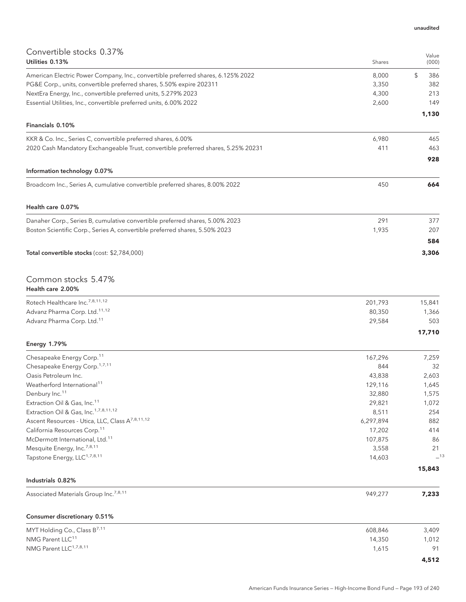| Convertible stocks 0.37%<br>Utilities 0.13%                                       | Shares    | Value<br>(000)              |
|-----------------------------------------------------------------------------------|-----------|-----------------------------|
| American Electric Power Company, Inc., convertible preferred shares, 6.125% 2022  | 8,000     | \$<br>386                   |
| PG&E Corp., units, convertible preferred shares, 5.50% expire 202311              | 3,350     | 382                         |
| NextEra Energy, Inc., convertible preferred units, 5.279% 2023                    | 4,300     | 213                         |
| Essential Utilities, Inc., convertible preferred units, 6.00% 2022                | 2,600     | 149                         |
|                                                                                   |           | 1,130                       |
| Financials 0.10%                                                                  |           |                             |
| KKR & Co. Inc., Series C, convertible preferred shares, 6.00%                     | 6,980     | 465                         |
| 2020 Cash Mandatory Exchangeable Trust, convertible preferred shares, 5.25% 20231 | 411       | 463                         |
|                                                                                   |           | 928                         |
| Information technology 0.07%                                                      |           |                             |
| Broadcom Inc., Series A, cumulative convertible preferred shares, 8.00% 2022      | 450       | 664                         |
| Health care 0.07%                                                                 |           |                             |
| Danaher Corp., Series B, cumulative convertible preferred shares, 5.00% 2023      | 291       | 377                         |
| Boston Scientific Corp., Series A, convertible preferred shares, 5.50% 2023       | 1,935     | 207                         |
|                                                                                   |           | 584                         |
| Total convertible stocks (cost: \$2,784,000)                                      |           | 3,306                       |
| Common stocks 5.47%<br>Health care 2.00%                                          |           |                             |
| Rotech Healthcare Inc. <sup>7,8,11,12</sup>                                       | 201,793   | 15,841                      |
| Advanz Pharma Corp. Ltd. <sup>11,12</sup>                                         | 80,350    | 1,366                       |
| Advanz Pharma Corp. Ltd. <sup>11</sup>                                            | 29,584    | 503                         |
|                                                                                   |           | 17,710                      |
| Energy 1.79%                                                                      |           |                             |
| Chesapeake Energy Corp. <sup>11</sup>                                             | 167,296   | 7,259                       |
| Chesapeake Energy Corp. <sup>1,7,11</sup>                                         | 844       | 32                          |
| Oasis Petroleum Inc.                                                              | 43,838    | 2,603                       |
| Weatherford International <sup>11</sup>                                           | 129,116   | 1,645                       |
| Denbury Inc. <sup>11</sup>                                                        | 32,880    | 1,575                       |
| Extraction Oil & Gas, Inc. <sup>11</sup>                                          | 29,821    | 1,072                       |
| Extraction Oil & Gas, Inc. <sup>1,7,8,11,12</sup>                                 | 8,511     | 254                         |
| Ascent Resources - Utica, LLC, Class A <sup>7,8,11,12</sup>                       | 6,297,894 | 882                         |
| California Resources Corp. <sup>11</sup>                                          | 17,202    | 414                         |
| McDermott International, Ltd. <sup>11</sup>                                       | 107,875   | 86                          |
| Mesquite Energy, Inc. <sup>7,8,11</sup>                                           | 3,558     | 21                          |
| Tapstone Energy, LLC <sup>1,7,8,11</sup>                                          | 14,603    | $\overline{\phantom{0}}$ 13 |
| Industrials 0.82%                                                                 |           | 15,843                      |
| Associated Materials Group Inc. <sup>7,8,11</sup>                                 | 949,277   | 7,233                       |
| Consumer discretionary 0.51%                                                      |           |                             |

|                                          |         | 4,512 |
|------------------------------------------|---------|-------|
| NMG Parent LLC <sup>1,7,8,11</sup>       | 1.615   | 91    |
| NMG Parent LLC <sup>11</sup>             | 14,350  | 1.012 |
| MYT Holding Co., Class B <sup>7,11</sup> | 608.846 | 3,409 |
|                                          |         |       |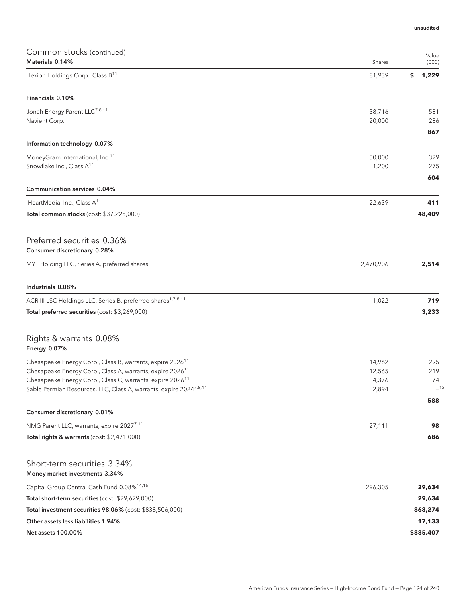| Common stocks (continued)<br>Materials 0.14%                             | Shares    | Value<br>(000) |
|--------------------------------------------------------------------------|-----------|----------------|
| Hexion Holdings Corp., Class B <sup>11</sup>                             | 81,939    | \$<br>1,229    |
|                                                                          |           |                |
| Financials 0.10%                                                         |           |                |
| Jonah Energy Parent LLC <sup>7,8,11</sup>                                | 38,716    | 581            |
| Navient Corp.                                                            | 20,000    | 286            |
| Information technology 0.07%                                             |           | 867            |
| MoneyGram International, Inc. <sup>11</sup>                              | 50,000    | 329            |
| Snowflake Inc., Class A <sup>11</sup>                                    | 1,200     | 275            |
|                                                                          |           | 604            |
| Communication services 0.04%                                             |           |                |
| iHeartMedia, Inc., Class A <sup>11</sup>                                 | 22,639    | 411            |
| Total common stocks (cost: \$37,225,000)                                 |           | 48,409         |
| Preferred securities 0.36%                                               |           |                |
| Consumer discretionary 0.28%                                             |           |                |
| MYT Holding LLC, Series A, preferred shares                              | 2,470,906 | 2,514          |
| Industrials 0.08%                                                        |           |                |
| ACR III LSC Holdings LLC, Series B, preferred shares <sup>1,7,8,11</sup> | 1,022     | 719            |
| Total preferred securities (cost: \$3,269,000)                           |           | 3,233          |
| Rights & warrants 0.08%<br>Energy 0.07%                                  |           |                |
| Chesapeake Energy Corp., Class B, warrants, expire 2026 <sup>11</sup>    | 14,962    | 295            |
| Chesapeake Energy Corp., Class A, warrants, expire 2026 <sup>11</sup>    | 12,565    | 219            |
| Chesapeake Energy Corp., Class C, warrants, expire 2026 <sup>11</sup>    | 4,376     | 74<br>$-13$    |
| Sable Permian Resources, LLC, Class A, warrants, expire 20247,8,11       | 2,894     | 588            |
| Consumer discretionary 0.01%                                             |           |                |
| NMG Parent LLC, warrants, expire 20277,11                                | 27,111    | 98             |
| Total rights & warrants (cost: \$2,471,000)                              |           | 686            |
| Short-term securities 3.34%<br>Money market investments 3.34%            |           |                |
| Capital Group Central Cash Fund 0.08% <sup>14,15</sup>                   | 296,305   | 29,634         |
| Total short-term securities (cost: \$29,629,000)                         |           | 29,634         |
| Total investment securities 98.06% (cost: \$838,506,000)                 |           | 868,274        |
| Other assets less liabilities 1.94%                                      |           | 17,133         |
| Net assets 100.00%                                                       |           | \$885,407      |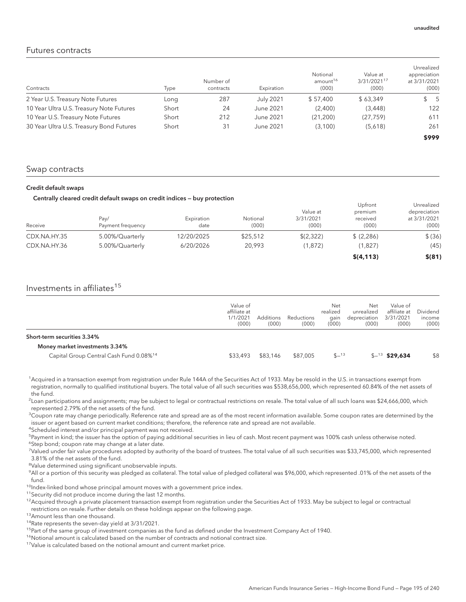Unrealized

Upfront

### Futures contracts

| Contracts                                | Type  | Number of<br>contracts | Expiration       | Notional<br>amount <sup>16</sup><br>(000) | Value at<br>3/31/2021 <sup>17</sup><br>(000) | Unrealized<br>appreciation<br>at 3/31/2021<br>(000) |
|------------------------------------------|-------|------------------------|------------------|-------------------------------------------|----------------------------------------------|-----------------------------------------------------|
| 2 Year U.S. Treasury Note Futures        | Long  | 287                    | <b>July 2021</b> | \$57,400                                  | \$63.349                                     | $\frac{1}{5}$ 5                                     |
| 10 Year Ultra U.S. Treasury Note Futures | Short | 24                     | June 2021        | (2,400)                                   | (3,448)                                      | 122                                                 |
| 10 Year U.S. Treasury Note Futures       | Short | 212                    | June 2021        | (21, 200)                                 | (27, 759)                                    | 611                                                 |
| 30 Year Ultra U.S. Treasury Bond Futures | Short | 31                     | June 2021        | (3,100)                                   | (5,618)                                      | 261                                                 |
|                                          |       |                        |                  |                                           |                                              | \$999                                               |

### Swap contracts

#### Credit default swaps

#### Centrally cleared credit default swaps on credit indices — buy protection

|              | Pay/              | Expiration | Notional | Value at<br>3/31/2021 | UPITONE<br>premium<br>received | uniealized<br>depreciation<br>at 3/31/2021 |
|--------------|-------------------|------------|----------|-----------------------|--------------------------------|--------------------------------------------|
| Receive      | Payment frequency | date       | (000)    | (000)                 | (000)                          | (000)                                      |
| CDX.NA.HY.35 | 5.00%/Quarterly   | 12/20/2025 | \$25,512 | \$(2,322)             | \$(2,286)                      | \$ (36)                                    |
| CDX.NA.HY.36 | 5.00%/Quarterly   | 6/20/2026  | 20.993   | (1,872)               | (1,827)                        | (45)                                       |
|              |                   |            |          |                       | \$(4, 113)                     | \$(81)                                     |

## Investments in affiliates<sup>15</sup>

|                                                     | Value of<br>affiliate at<br>1/1/2021<br>(000) | <b>Additions</b><br>(000) | Reductions<br>(000) | Net<br>realized<br>qain<br>(000) | Net<br>unrealized<br>depreciation<br>(000) | Value of<br>affiliate at<br>3/31/2021<br>(000) | Dividend<br>income<br>(000) |
|-----------------------------------------------------|-----------------------------------------------|---------------------------|---------------------|----------------------------------|--------------------------------------------|------------------------------------------------|-----------------------------|
| Short-term securities 3.34%                         |                                               |                           |                     |                                  |                                            |                                                |                             |
| Money market investments 3.34%                      |                                               |                           |                     |                                  |                                            |                                                |                             |
| Capital Group Central Cash Fund 0.08% <sup>14</sup> | \$33,493                                      | \$83,146                  | \$87,005            | $$^{-13}$                        |                                            | $$^{-13}$ \$29.634                             | \$8                         |

<sup>1</sup>Acquired in a transaction exempt from registration under Rule 144A of the Securities Act of 1933. May be resold in the U.S. in transactions exempt from registration, normally to qualified institutional buyers. The total value of all such securities was \$538,656,000, which represented 60.84% of the net assets of the fund.

 $^2$ Loan participations and assignments; may be subject to legal or contractual restrictions on resale. The total value of all such loans was \$24,666,000, which represented 2.79% of the net assets of the fund.

 $^3$ Coupon rate may change periodically. Reference rate and spread are as of the most recent information available. Some coupon rates are determined by the issuer or agent based on current market conditions; therefore, the reference rate and spread are not available.

4 Scheduled interest and/or principal payment was not received.

<sup>5</sup>Payment in kind; the issuer has the option of paying additional securities in lieu of cash. Most recent payment was 100% cash unless otherwise noted. <sup>6</sup>Step bond; coupon rate may change at a later date.

7 Valued under fair value procedures adopted by authority of the board of trustees. The total value of all such securities was \$33,745,000, which represented 3.81% of the net assets of the fund.

<sup>8</sup>Value determined using significant unobservable inputs.

9 All or a portion of this security was pledged as collateral. The total value of pledged collateral was \$96,000, which represented .01% of the net assets of the fund.

<sup>10</sup>Index-linked bond whose principal amount moves with a government price index.

<sup>11</sup> Security did not produce income during the last 12 months.

 $12$ Acquired through a private placement transaction exempt from registration under the Securities Act of 1933. May be subject to legal or contractual restrictions on resale. Further details on these holdings appear on the following page.

13Amount less than one thousand.

<sup>14</sup>Rate represents the seven-day yield at 3/31/2021.

<sup>15</sup>Part of the same group of investment companies as the fund as defined under the Investment Company Act of 1940.

<sup>16</sup>Notional amount is calculated based on the number of contracts and notional contract size.

<sup>17</sup>Value is calculated based on the notional amount and current market price.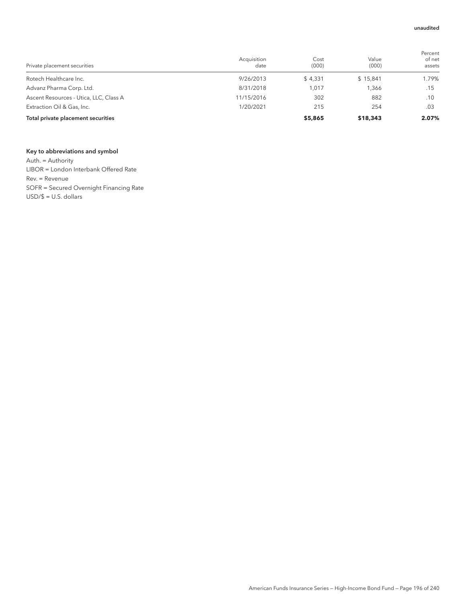| Private placement securities           | Acquisition<br>date | Cost<br>(000) | Value<br>(000) | Percent<br>of net<br>assets |
|----------------------------------------|---------------------|---------------|----------------|-----------------------------|
| Rotech Healthcare Inc.                 | 9/26/2013           | \$4,331       | \$15.841       | 1.79%                       |
| Advanz Pharma Corp. Ltd.               | 8/31/2018           | 1,017         | 1.366          | .15                         |
| Ascent Resources - Utica, LLC, Class A | 11/15/2016          | 302           | 882            | .10                         |
| Extraction Oil & Gas, Inc.             | 1/20/2021           | 215           | 254            | .03                         |
| Total private placement securities     |                     | \$5,865       | \$18,343       | 2.07%                       |

### Key to abbreviations and symbol

Auth. = Authority LIBOR = London Interbank Offered Rate Rev. = Revenue SOFR = Secured Overnight Financing Rate USD/\$ = U.S. dollars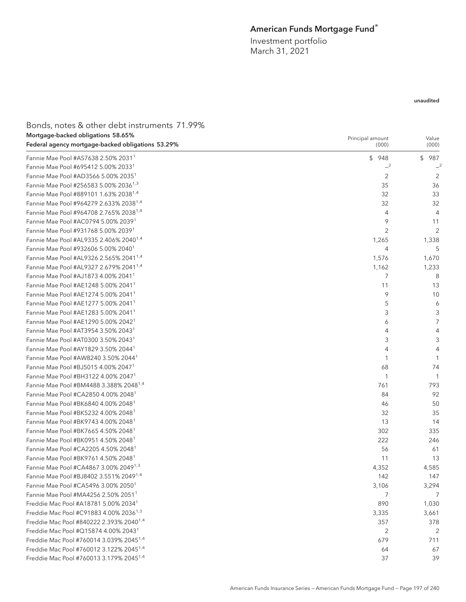## American Funds Mortgage Fund®

Investment portfolio March 31, 2021

### unaudited

| Mortgage-backed obligations 58.65%                  | Principal amount | Value          |
|-----------------------------------------------------|------------------|----------------|
| Federal agency mortgage-backed obligations 53.29%   | (000)            | (000)          |
| Fannie Mae Pool #AS7638 2.50% 2031 <sup>1</sup>     | \$948            | \$987          |
| Fannie Mae Pool #695412 5.00% 2033                  | $-2$             | $-2$           |
| Fannie Mae Pool #AD3566 5.00% 2035 <sup>1</sup>     | 2                | $\overline{2}$ |
| Fannie Mae Pool #256583 5.00% 2036 <sup>1,3</sup>   | 35               | 36             |
| Fannie Mae Pool #889101 1.63% 2038 <sup>1,4</sup>   | 32               | 33             |
| Fannie Mae Pool #964279 2.633% 2038 <sup>1,4</sup>  | 32               | 32             |
| Fannie Mae Pool #964708 2.765% 2038 <sup>1,4</sup>  | 4                | $\overline{4}$ |
| Fannie Mae Pool #AC0794 5.00% 2039 <sup>1</sup>     | 9                | 11             |
| Fannie Mae Pool #931768 5.00% 20391                 | 2                | $\overline{c}$ |
| Fannie Mae Pool #AL9335 2.406% 2040 <sup>1,4</sup>  | 1,265            | 1,338          |
| Fannie Mae Pool #932606 5.00% 2040 <sup>1</sup>     | 4                | 5              |
| Fannie Mae Pool #AL9326 2.565% 2041 <sup>1,4</sup>  | 1,576            | 1,670          |
| Fannie Mae Pool #AL9327 2.679% 2041 <sup>1,4</sup>  | 1,162            | 1,233          |
| Fannie Mae Pool #AJ1873 4.00% 2041 <sup>1</sup>     | 7                | 8              |
| Fannie Mae Pool #AE1248 5.00% 2041 <sup>1</sup>     | 11               | 13             |
| Fannie Mae Pool #AE1274 5.00% 2041 <sup>1</sup>     | 9                | 10             |
| Fannie Mae Pool #AE1277 5.00% 2041 <sup>1</sup>     | 5                | 6              |
| Fannie Mae Pool #AE1283 5.00% 2041 <sup>1</sup>     | 3                | 3              |
| Fannie Mae Pool #AE1290 5.00% 2042 <sup>1</sup>     | 6                | 7              |
| Fannie Mae Pool #AT3954 3.50% 2043 <sup>1</sup>     | 4                | $\overline{4}$ |
| Fannie Mae Pool #AT0300 3.50% 2043 <sup>1</sup>     | 3                | 3              |
| Fannie Mae Pool #AY1829 3.50% 2044 <sup>1</sup>     | 4                | 4              |
| Fannie Mae Pool #AW8240 3.50% 2044 <sup>1</sup>     | 1                | 1              |
| Fannie Mae Pool #BJ5015 4.00% 2047 <sup>1</sup>     | 68               | 74             |
| Fannie Mae Pool #BH3122 4.00% 2047 <sup>1</sup>     | 1                | 1              |
| Fannie Mae Pool #BM4488 3.388% 2048 <sup>1,4</sup>  | 761              | 793            |
| Fannie Mae Pool #CA2850 4.00% 2048                  | 84               | 92             |
| Fannie Mae Pool #BK6840 4.00% 2048 <sup>1</sup>     | 46               | 50             |
| Fannie Mae Pool #BK5232 4.00% 2048 <sup>1</sup>     | 32               | 35             |
| Fannie Mae Pool #BK9743 4.00% 2048 <sup>1</sup>     | 13               | 14             |
| Fannie Mae Pool #BK7665 4.50% 2048 <sup>1</sup>     | 302              | 335            |
| Fannie Mae Pool #BK0951 4.50% 2048 <sup>1</sup>     | 222              | 246            |
| Fannie Mae Pool #CA2205 4.50% 2048 <sup>1</sup>     | 56               | 61             |
| Fannie Mae Pool #BK9761 4.50% 2048 <sup>1</sup>     | 11               | 13             |
| Fannie Mae Pool #CA4867 3.00% 2049 <sup>1,3</sup>   | 4,352            | 4,585          |
| Fannie Mae Pool #BJ8402 3.551% 2049 <sup>1,4</sup>  | 142              | 147            |
| Fannie Mae Pool #CA5496 3.00% 20501                 | 3,106            | 3,294          |
| Fannie Mae Pool #MA4256 2.50% 2051 <sup>1</sup>     | 7                | 7              |
| Freddie Mac Pool #A18781 5.00% 2034 <sup>1</sup>    | 890              | 1,030          |
| Freddie Mac Pool #C91883 4.00% 2036 <sup>1,3</sup>  | 3,335            | 3,661          |
| Freddie Mac Pool #840222 2.393% 2040 <sup>1,4</sup> | 357              | 378            |
| Freddie Mac Pool #Q15874 4.00% 2043 <sup>1</sup>    | 2                | $\overline{2}$ |
| Freddie Mac Pool #760014 3.039% 2045 <sup>1,4</sup> | 679              | 711            |
| Freddie Mac Pool #760012 3.122% 2045 <sup>1,4</sup> | 64               | 67             |
| Freddie Mac Pool #760013 3.179% 2045 <sup>1,4</sup> | 37               | 39             |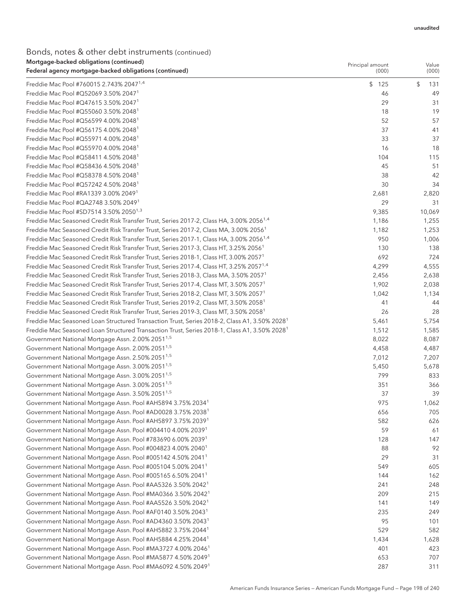### Bonds, notes & other debt instruments (continued) Mortgage-backed obligations (continued)

| Mortgage-backed obligations (continued)<br>Federal agency mortgage-backed obligations (continued)                                                  | Principal amount<br>(000) | Value<br>(000) |
|----------------------------------------------------------------------------------------------------------------------------------------------------|---------------------------|----------------|
|                                                                                                                                                    |                           |                |
| Freddie Mac Pool #760015 2.743% 2047 <sup>1,4</sup>                                                                                                | \$125                     | \$<br>131      |
| Freddie Mac Pool #Q52069 3.50% 2047 <sup>1</sup>                                                                                                   | 46                        | 49             |
| Freddie Mac Pool #Q47615 3.50% 2047 <sup>1</sup>                                                                                                   | 29                        | 31             |
| Freddie Mac Pool #Q55060 3.50% 2048 <sup>1</sup>                                                                                                   | 18                        | 19             |
| Freddie Mac Pool #Q56599 4.00% 2048 <sup>1</sup>                                                                                                   | 52                        | 57             |
| Freddie Mac Pool #Q56175 4.00% 2048 <sup>1</sup>                                                                                                   | 37                        | 41             |
| Freddie Mac Pool #Q55971 4.00% 2048 <sup>1</sup>                                                                                                   | 33                        | 37             |
| Freddie Mac Pool #Q55970 4.00% 2048 <sup>1</sup>                                                                                                   | 16                        | 18             |
| Freddie Mac Pool #Q58411 4.50% 2048 <sup>1</sup>                                                                                                   | 104                       | 115            |
| Freddie Mac Pool #Q58436 4.50% 2048 <sup>1</sup>                                                                                                   | 45                        | 51             |
| Freddie Mac Pool #Q58378 4.50% 2048 <sup>1</sup>                                                                                                   | 38                        | 42             |
| Freddie Mac Pool #Q57242 4.50% 2048 <sup>1</sup>                                                                                                   | 30                        | 34             |
| Freddie Mac Pool #RA1339 3.00% 2049 <sup>1</sup>                                                                                                   | 2,681                     | 2,820          |
| Freddie Mac Pool #QA2748 3.50% 2049 <sup>1</sup>                                                                                                   | 29                        | 31             |
| Freddie Mac Pool #SD7514 3.50% 2050 <sup>1,3</sup>                                                                                                 | 9,385                     | 10,069         |
| Freddie Mac Seasoned Credit Risk Transfer Trust, Series 2017-2, Class HA, 3.00% 2056 <sup>1,4</sup>                                                | 1,186                     | 1,255          |
| Freddie Mac Seasoned Credit Risk Transfer Trust, Series 2017-2, Class MA, 3.00% 2056 <sup>1</sup>                                                  | 1,182                     | 1,253          |
| Freddie Mac Seasoned Credit Risk Transfer Trust, Series 2017-1, Class HA, 3.00% 2056 <sup>1,4</sup>                                                | 950                       | 1,006          |
| Freddie Mac Seasoned Credit Risk Transfer Trust, Series 2017-3, Class HT, 3.25% 2056 <sup>1</sup>                                                  | 130                       | 138            |
| Freddie Mac Seasoned Credit Risk Transfer Trust, Series 2018-1, Class HT, 3.00% 2057 <sup>1</sup>                                                  | 692                       | 724            |
| Freddie Mac Seasoned Credit Risk Transfer Trust, Series 2017-4, Class HT, 3.25% 2057 <sup>1,4</sup>                                                | 4,299                     | 4,555          |
| Freddie Mac Seasoned Credit Risk Transfer Trust, Series 2018-3, Class MA, 3.50% 2057 <sup>1</sup>                                                  | 2,456                     | 2,638          |
| Freddie Mac Seasoned Credit Risk Transfer Trust, Series 2017-4, Class MT, 3.50% 2057 <sup>1</sup>                                                  | 1,902                     | 2,038          |
| Freddie Mac Seasoned Credit Risk Transfer Trust, Series 2018-2, Class MT, 3.50% 2057 <sup>1</sup>                                                  | 1,042                     | 1,134          |
| Freddie Mac Seasoned Credit Risk Transfer Trust, Series 2019-2, Class MT, 3.50% 2058 <sup>1</sup>                                                  | 41                        | 44             |
| Freddie Mac Seasoned Credit Risk Transfer Trust, Series 2019-3, Class MT, 3.50% 2058 <sup>1</sup>                                                  | 26                        | 28             |
| Freddie Mac Seasoned Loan Structured Transaction Trust, Series 2018-2, Class A1, 3.50% 2028 <sup>1</sup>                                           | 5,461                     | 5,754          |
| Freddie Mac Seasoned Loan Structured Transaction Trust, Series 2018-1, Class A1, 3.50% 2028 <sup>1</sup>                                           | 1,512                     | 1,585          |
| Government National Mortgage Assn. 2.00% 2051 <sup>1,5</sup>                                                                                       | 8,022                     | 8,087          |
| Government National Mortgage Assn. 2.00% 2051 <sup>1,5</sup>                                                                                       | 4,458                     | 4,487          |
| Government National Mortgage Assn. 2.50% 2051 <sup>1,5</sup>                                                                                       | 7,012                     | 7,207          |
| Government National Mortgage Assn. 3.00% 2051 <sup>1,5</sup>                                                                                       | 5,450                     | 5,678          |
| Government National Mortgage Assn. 3.00% 2051 <sup>1,5</sup>                                                                                       | 799                       | 833            |
| Government National Mortgage Assn. 3.00% 2051 <sup>1,5</sup>                                                                                       | 351                       | 366            |
| Government National Mortgage Assn. 3.50% 2051 <sup>1,5</sup>                                                                                       | 37                        | 39             |
| Government National Mortgage Assn. Pool #AH5894 3.75% 2034 <sup>1</sup>                                                                            | 975                       | 1,062          |
| Government National Mortgage Assn. Pool #AD0028 3.75% 2038 <sup>1</sup>                                                                            | 656                       | 705            |
| Government National Mortgage Assn. Pool #AH5897 3.75% 2039 <sup>1</sup>                                                                            | 582                       | 626            |
| Government National Mortgage Assn. Pool #004410 4.00% 2039 <sup>1</sup>                                                                            | 59                        | 61             |
| Government National Mortgage Assn. Pool #783690 6.00% 2039 <sup>1</sup>                                                                            | 128                       | 147            |
| Government National Mortgage Assn. Pool #004823 4.00% 2040 <sup>1</sup>                                                                            | 88                        | 92             |
| Government National Mortgage Assn. Pool #005142 4.50% 2041 <sup>1</sup>                                                                            | 29                        | 31             |
| Government National Mortgage Assn. Pool #005104 5.00% 2041 <sup>1</sup>                                                                            | 549                       | 605            |
| Government National Mortgage Assn. Pool #005165 6.50% 2041 <sup>1</sup>                                                                            | 144                       | 162<br>248     |
| Government National Mortgage Assn. Pool #AA5326 3.50% 2042 <sup>1</sup>                                                                            | 241                       |                |
| Government National Mortgage Assn. Pool #MA0366 3.50% 2042 <sup>1</sup>                                                                            | 209                       | 215<br>149     |
| Government National Mortgage Assn. Pool #AA5526 3.50% 2042 <sup>1</sup>                                                                            | 141<br>235                | 249            |
| Government National Mortgage Assn. Pool #AF0140 3.50% 2043 <sup>1</sup>                                                                            |                           |                |
| Government National Mortgage Assn. Pool #AD4360 3.50% 2043 <sup>1</sup>                                                                            | 95<br>529                 | 101<br>582     |
| Government National Mortgage Assn. Pool #AH5882 3.75% 2044 <sup>1</sup>                                                                            |                           |                |
| Government National Mortgage Assn. Pool #AH5884 4.25% 2044 <sup>1</sup>                                                                            | 1,434<br>401              | 1,628<br>423   |
| Government National Mortgage Assn. Pool #MA3727 4.00% 2046 <sup>1</sup><br>Government National Mortgage Assn. Pool #MA5877 4.50% 2049 <sup>1</sup> | 653                       | 707            |
| Government National Mortgage Assn. Pool #MA6092 4.50% 2049 <sup>1</sup>                                                                            | 287                       | 311            |
|                                                                                                                                                    |                           |                |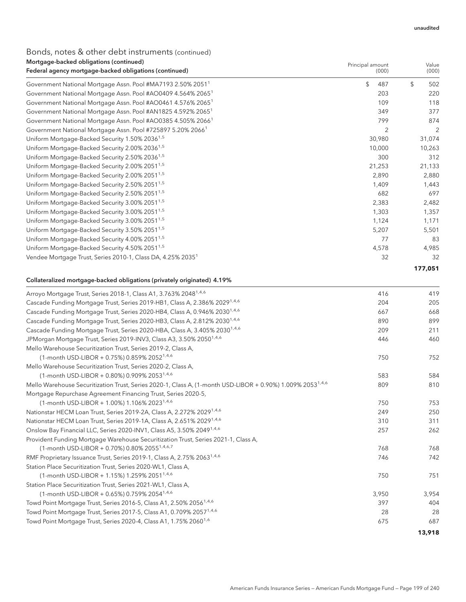## Bonds, notes & other debt instruments (continued) Mortgage-backed obligations (continued)

| Federal agency mortgage-backed obligations (continued)                                                                 | (000)     | (000)          |
|------------------------------------------------------------------------------------------------------------------------|-----------|----------------|
| Government National Mortgage Assn. Pool #MA7193 2.50% 2051 <sup>1</sup>                                                | \$<br>487 | \$<br>502      |
| Government National Mortgage Assn. Pool #AO0409 4.564% 2065 <sup>1</sup>                                               | 203       | 220            |
| Government National Mortgage Assn. Pool #AO0461 4.576% 2065 <sup>1</sup>                                               | 109       | 118            |
| Government National Mortgage Assn. Pool #AN1825 4.592% 2065 <sup>1</sup>                                               | 349       | 377            |
| Government National Mortgage Assn. Pool #AO0385 4.505% 2066 <sup>1</sup>                                               | 799       | 874            |
| Government National Mortgage Assn. Pool #725897 5.20% 2066 <sup>1</sup>                                                | 2         | $\overline{2}$ |
| Uniform Mortgage-Backed Security 1.50% 2036 <sup>1,5</sup>                                                             | 30,980    | 31,074         |
| Uniform Mortgage-Backed Security 2.00% 2036 <sup>1,5</sup>                                                             | 10,000    | 10,263         |
| Uniform Mortgage-Backed Security 2.50% 2036 <sup>1,5</sup>                                                             | 300       | 312            |
| Uniform Mortgage-Backed Security 2.00% 2051 <sup>1,5</sup>                                                             | 21,253    | 21,133         |
| Uniform Mortgage-Backed Security 2.00% 2051 <sup>1,5</sup>                                                             | 2,890     | 2,880          |
| Uniform Mortgage-Backed Security 2.50% 2051 <sup>1,5</sup>                                                             | 1,409     | 1,443          |
| Uniform Mortgage-Backed Security 2.50% 2051 <sup>1,5</sup>                                                             | 682       | 697            |
| Uniform Mortgage-Backed Security 3.00% 2051 <sup>1,5</sup>                                                             | 2,383     | 2,482          |
| Uniform Mortgage-Backed Security 3.00% 2051 <sup>1,5</sup>                                                             | 1,303     | 1,357          |
| Uniform Mortgage-Backed Security 3.00% 2051 <sup>1,5</sup>                                                             | 1,124     | 1,171          |
| Uniform Mortgage-Backed Security 3.50% 2051 <sup>1,5</sup>                                                             | 5,207     | 5,501          |
| Uniform Mortgage-Backed Security 4.00% 2051 <sup>1,5</sup>                                                             | 77        | 83             |
| Uniform Mortgage-Backed Security 4.50% 2051 <sup>1,5</sup>                                                             | 4,578     | 4,985          |
| Vendee Mortgage Trust, Series 2010-1, Class DA, 4.25% 2035 <sup>1</sup>                                                | 32        | 32             |
|                                                                                                                        |           | 177,051        |
| Collateralized mortgage-backed obligations (privately originated) 4.19%                                                |           |                |
| Arroyo Mortgage Trust, Series 2018-1, Class A1, 3.763% 2048 <sup>1,4,6</sup>                                           | 416       | 419            |
| Cascade Funding Mortgage Trust, Series 2019-HB1, Class A, 2.386% 2029 <sup>1,4,6</sup>                                 | 204       | 205            |
| Cascade Funding Mortgage Trust, Series 2020-HB4, Class A, 0.946% 2030 <sup>1,4,6</sup>                                 | 667       | 668            |
| Cascade Funding Mortgage Trust, Series 2020-HB3, Class A, 2.812% 2030 <sup>1,4,6</sup>                                 | 890       | 899            |
| Cascade Funding Mortgage Trust, Series 2020-HBA, Class A, 3.405% 2030 <sup>1,4,6</sup>                                 | 209       | 211            |
| JPMorgan Mortgage Trust, Series 2019-INV3, Class A3, 3.50% 2050 <sup>1,4,6</sup>                                       | 446       | 460            |
| Mello Warehouse Securitization Trust, Series 2019-2, Class A,                                                          |           |                |
| (1-month USD-LIBOR + 0.75%) 0.859% 2052 <sup>1,4,6</sup>                                                               | 750       | 752            |
| Mello Warehouse Securitization Trust, Series 2020-2, Class A,                                                          |           |                |
| (1-month USD-LIBOR + 0.80%) 0.909% 2053 <sup>1,4,6</sup>                                                               | 583       | 584            |
| Mello Warehouse Securitization Trust, Series 2020-1, Class A, (1-month USD-LIBOR + 0.90%) 1.009% 2053 <sup>1,4,6</sup> | 809       | 810            |
| Mortgage Repurchase Agreement Financing Trust, Series 2020-5,                                                          |           |                |
| (1-month USD-LIBOR + 1.00%) 1.106% 2023 <sup>1,4,6</sup>                                                               | 750       | 753            |
| Nationstar HECM Loan Trust, Series 2019-2A, Class A, 2.272% 2029 <sup>1,4,6</sup>                                      | 249       | 250            |
| Nationstar HECM Loan Trust, Series 2019-1A, Class A, 2.651% 2029 <sup>1,4,6</sup>                                      | 310       | 311            |
| Onslow Bay Financial LLC, Series 2020-INV1, Class A5, 3.50% 2049 <sup>1,4,6</sup>                                      | 257       | 262            |
| Provident Funding Mortgage Warehouse Securitization Trust, Series 2021-1, Class A,                                     |           |                |
| (1-month USD-LIBOR + 0.70%) 0.80% 2055 <sup>1,4,6,7</sup>                                                              | 768       | 768            |
| RMF Proprietary Issuance Trust, Series 2019-1, Class A, 2.75% 2063 <sup>1,4,6</sup>                                    | 746       | 742            |
| Station Place Securitization Trust, Series 2020-WL1, Class A,                                                          |           |                |
| (1-month USD-LIBOR + 1.15%) 1.259% 2051 <sup>1,4,6</sup>                                                               | 750       | 751            |
| Station Place Securitization Trust, Series 2021-WL1, Class A,                                                          |           |                |
| (1-month USD-LIBOR + 0.65%) 0.759% 2054 <sup>1,4,6</sup>                                                               | 3,950     | 3,954          |
| Towd Point Mortgage Trust, Series 2016-5, Class A1, 2.50% 2056 <sup>1,4,6</sup>                                        | 397       | 404            |
| Towd Point Mortgage Trust, Series 2017-5, Class A1, 0.709% 2057 <sup>1,4,6</sup>                                       | 28        | 28             |
|                                                                                                                        |           | 687            |
| Towd Point Mortgage Trust, Series 2020-4, Class A1, 1.75% 2060 <sup>1,6</sup>                                          | 675       |                |

**13,918**

Value

Principal amount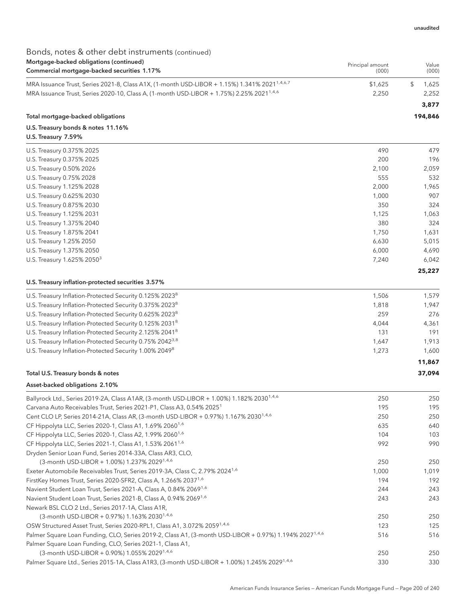| Bonds, notes & other debt instruments (continued) |
|---------------------------------------------------|
| Mortgage-backed obligations (continued)           |
| Commercial mortgage-backed securities 1.17%       |

| MRA Issuance Trust, Series 2021-8, Class A1X, (1-month USD-LIBOR + 1.15%) 1.341% 2021 <sup>1,4,6,7</sup>           | \$1,625 | \$<br>1,625 |
|--------------------------------------------------------------------------------------------------------------------|---------|-------------|
| MRA Issuance Trust, Series 2020-10, Class A, (1-month USD-LIBOR + 1.75%) 2.25% 2021 <sup>1,4,6</sup>               | 2,250   | 2,252       |
|                                                                                                                    |         | 3,877       |
| Total mortgage-backed obligations                                                                                  |         | 194,846     |
| U.S. Treasury bonds & notes 11.16%<br>U.S. Treasury 7.59%                                                          |         |             |
| U.S. Treasury 0.375% 2025                                                                                          | 490     | 479         |
| U.S. Treasury 0.375% 2025                                                                                          | 200     | 196         |
| U.S. Treasury 0.50% 2026                                                                                           | 2,100   | 2,059       |
| U.S. Treasury 0.75% 2028                                                                                           | 555     | 532         |
| U.S. Treasury 1.125% 2028                                                                                          | 2,000   | 1,965       |
| U.S. Treasury 0.625% 2030                                                                                          | 1,000   | 907         |
| U.S. Treasury 0.875% 2030                                                                                          | 350     | 324         |
| U.S. Treasury 1.125% 2031                                                                                          | 1,125   | 1,063       |
| U.S. Treasury 1.375% 2040                                                                                          | 380     | 324         |
| U.S. Treasury 1.875% 2041                                                                                          | 1,750   | 1,631       |
| U.S. Treasury 1.25% 2050                                                                                           | 6,630   | 5,015       |
| U.S. Treasury 1.375% 2050                                                                                          | 6,000   | 4,690       |
| U.S. Treasury 1.625% 20503                                                                                         | 7,240   | 6,042       |
|                                                                                                                    |         | 25,227      |
| U.S. Treasury inflation-protected securities 3.57%                                                                 |         |             |
| U.S. Treasury Inflation-Protected Security 0.125% 2023 <sup>8</sup>                                                | 1,506   | 1,579       |
| U.S. Treasury Inflation-Protected Security 0.375% 2023 <sup>8</sup>                                                | 1,818   | 1,947       |
| U.S. Treasury Inflation-Protected Security 0.625% 2023 <sup>8</sup>                                                | 259     | 276         |
| U.S. Treasury Inflation-Protected Security 0.125% 20318                                                            | 4,044   | 4,361       |
| U.S. Treasury Inflation-Protected Security 2.125% 2041 <sup>8</sup>                                                | 131     | 191         |
| U.S. Treasury Inflation-Protected Security 0.75% 2042 <sup>3,8</sup>                                               | 1,647   | 1,913       |
| U.S. Treasury Inflation-Protected Security 1.00% 2049 <sup>8</sup>                                                 | 1,273   | 1,600       |
|                                                                                                                    |         | 11,867      |
| Total U.S. Treasury bonds & notes                                                                                  |         | 37,094      |
| Asset-backed obligations 2.10%                                                                                     |         |             |
| Ballyrock Ltd., Series 2019-2A, Class A1AR, (3-month USD-LIBOR + 1.00%) 1.182% 2030 <sup>1,4,6</sup>               | 250     | 250         |
| Carvana Auto Receivables Trust, Series 2021-P1, Class A3, 0.54% 2025 <sup>1</sup>                                  | 195     | 195         |
| Cent CLO LP, Series 2014-21A, Class AR, (3-month USD-LIBOR + 0.97%) 1.167% 2030 <sup>1,4,6</sup>                   | 250     | 250         |
| CF Hippolyta LLC, Series 2020-1, Class A1, 1.69% 2060 <sup>1,6</sup>                                               | 635     | 640         |
| CF Hippolyta LLC, Series 2020-1, Class A2, 1.99% 2060 <sup>1,6</sup>                                               | 104     | 103         |
| CF Hippolyta LLC, Series 2021-1, Class A1, 1.53% 2061 <sup>1,6</sup>                                               | 992     | 990         |
| Dryden Senior Loan Fund, Series 2014-33A, Class AR3, CLO,                                                          |         |             |
| (3-month USD-LIBOR + 1.00%) 1.237% 2029 <sup>1,4,6</sup>                                                           | 250     | 250         |
| Exeter Automobile Receivables Trust, Series 2019-3A, Class C, 2.79% 2024 <sup>1,6</sup>                            | 1,000   | 1,019       |
| FirstKey Homes Trust, Series 2020-SFR2, Class A, 1.266% 2037 <sup>1,6</sup>                                        | 194     | 192         |
| Navient Student Loan Trust, Series 2021-A, Class A, 0.84% 2069 <sup>1,6</sup>                                      | 244     | 243         |
| Navient Student Loan Trust, Series 2021-B, Class A, 0.94% 2069 <sup>1,6</sup>                                      | 243     | 243         |
| Newark BSL CLO 2 Ltd., Series 2017-1A, Class A1R,                                                                  |         |             |
| (3-month USD-LIBOR + 0.97%) 1.163% 2030 <sup>1,4,6</sup>                                                           | 250     | 250         |
| OSW Structured Asset Trust, Series 2020-RPL1, Class A1, 3.072% 20591,4,6                                           | 123     | 125         |
| Palmer Square Loan Funding, CLO, Series 2019-2, Class A1, (3-month USD-LIBOR + 0.97%) 1.194% 2027 <sup>1,4,6</sup> | 516     | 516         |
| Palmer Square Loan Funding, CLO, Series 2021-1, Class A1,                                                          |         |             |
| (3-month USD-LIBOR + 0.90%) 1.055% 2029 <sup>1,4,6</sup>                                                           | 250     | 250         |
| Palmer Square Ltd., Series 2015-1A, Class A1R3, (3-month USD-LIBOR + 1.00%) 1.245% 2029 <sup>1,4,6</sup>           | 330     | 330         |

Value (000)

Principal amount (000)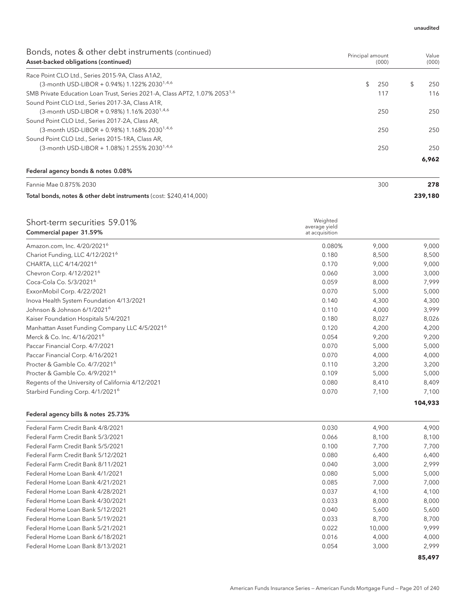| Bonds, notes & other debt instruments (continued)<br>Asset-backed obligations (continued) | Principal amount<br>(000) |     | Value<br>(000) |  |
|-------------------------------------------------------------------------------------------|---------------------------|-----|----------------|--|
| Race Point CLO Ltd., Series 2015-9A, Class A1A2,                                          |                           |     |                |  |
| (3-month USD-LIBOR + 0.94%) 1.122% 2030 <sup>1,4,6</sup>                                  | $\mathbb{S}^-$            | 250 | \$<br>250      |  |
| SMB Private Education Loan Trust, Series 2021-A, Class APT2, 1.07% 2053 <sup>1,6</sup>    |                           | 117 | 116            |  |
| Sound Point CLO Ltd., Series 2017-3A, Class A1R,                                          |                           |     |                |  |
| (3-month USD-LIBOR + 0.98%) 1.16% 2030 <sup>1,4,6</sup>                                   |                           | 250 | 250            |  |
| Sound Point CLO Ltd., Series 2017-2A, Class AR,                                           |                           |     |                |  |
| (3-month USD-LIBOR + 0.98%) 1.168% 2030 <sup>1,4,6</sup>                                  |                           | 250 | 250            |  |
| Sound Point CLO Ltd., Series 2015-1RA, Class AR,                                          |                           |     |                |  |
| (3-month USD-LIBOR + 1.08%) 1.255% 2030 <sup>1,4,6</sup>                                  |                           | 250 | 250            |  |
|                                                                                           |                           |     | 6,962          |  |

### Federal agency bonds & notes 0.08%

Fannie Mae 0.875% 2030 300 **278**

### Total bonds, notes & other debt instruments (cost: \$240,414,000) **239,180**

| Short-term securities 59.01%<br>Commercial paper 31.59%   | Weighted<br>average yield<br>at acquisition |       |         |
|-----------------------------------------------------------|---------------------------------------------|-------|---------|
| Amazon.com, Inc. 4/20/2021 <sup>6</sup>                   | 0.080%                                      | 9,000 | 9,000   |
| Chariot Funding, LLC 4/12/2021 <sup>6</sup>               | 0.180                                       | 8,500 | 8,500   |
| CHARTA, LLC 4/14/2021 <sup>6</sup>                        | 0.170                                       | 9,000 | 9,000   |
| Chevron Corp. 4/12/2021 <sup>6</sup>                      | 0.060                                       | 3,000 | 3,000   |
| Coca-Cola Co. 5/3/2021 <sup>6</sup>                       | 0.059                                       | 8,000 | 7,999   |
| ExxonMobil Corp. 4/22/2021                                | 0.070                                       | 5,000 | 5,000   |
| Inova Health System Foundation 4/13/2021                  | 0.140                                       | 4,300 | 4,300   |
| Johnson & Johnson 6/1/2021 <sup>6</sup>                   | 0.110                                       | 4,000 | 3,999   |
| Kaiser Foundation Hospitals 5/4/2021                      | 0.180                                       | 8,027 | 8,026   |
| Manhattan Asset Funding Company LLC 4/5/2021 <sup>6</sup> | 0.120                                       | 4,200 | 4,200   |
| Merck & Co. Inc. 4/16/2021 <sup>6</sup>                   | 0.054                                       | 9,200 | 9,200   |
| Paccar Financial Corp. 4/7/2021                           | 0.070                                       | 5,000 | 5,000   |
| Paccar Financial Corp. 4/16/2021                          | 0.070                                       | 4,000 | 4,000   |
| Procter & Gamble Co. 4/7/2021 <sup>6</sup>                | 0.110                                       | 3,200 | 3,200   |
| Procter & Gamble Co. 4/9/2021 <sup>6</sup>                | 0.109                                       | 5,000 | 5,000   |
| Regents of the University of California 4/12/2021         | 0.080                                       | 8,410 | 8,409   |
| Starbird Funding Corp. 4/1/2021 <sup>6</sup>              | 0.070                                       | 7,100 | 7,100   |
|                                                           |                                             |       | 104,933 |

### Federal agency bills & notes 25.73%

| Federal Farm Credit Bank 5/3/2021<br>0.066<br>8,100<br>Federal Farm Credit Bank 5/5/2021<br>0.100<br>7.700<br>Federal Farm Credit Bank 5/12/2021<br>0.080<br>6.400<br>Federal Farm Credit Bank 8/11/2021<br>0.040<br>3.000 | Federal Farm Credit Bank 4/8/2021 | 0.030 | 4,900 | 4,900 |
|----------------------------------------------------------------------------------------------------------------------------------------------------------------------------------------------------------------------------|-----------------------------------|-------|-------|-------|
|                                                                                                                                                                                                                            |                                   |       |       | 8,100 |
|                                                                                                                                                                                                                            |                                   |       |       | 7,700 |
|                                                                                                                                                                                                                            |                                   |       |       | 6,400 |
|                                                                                                                                                                                                                            |                                   |       |       | 2,999 |
| 0.080<br>Federal Home Loan Bank 4/1/2021<br>5,000                                                                                                                                                                          |                                   |       |       | 5,000 |
| Federal Home Loan Bank 4/21/2021<br>0.085<br>7,000                                                                                                                                                                         |                                   |       |       | 7,000 |
| Federal Home Loan Bank 4/28/2021<br>0.037<br>4.100                                                                                                                                                                         |                                   |       |       | 4,100 |
| Federal Home Loan Bank 4/30/2021<br>0.033<br>8.000                                                                                                                                                                         |                                   |       |       | 8,000 |
| Federal Home Loan Bank 5/12/2021<br>0.040<br>5,600                                                                                                                                                                         |                                   |       |       | 5,600 |
| Federal Home Loan Bank 5/19/2021<br>0.033<br>8.700                                                                                                                                                                         |                                   |       |       | 8,700 |
| Federal Home Loan Bank 5/21/2021<br>0.022<br>10.000                                                                                                                                                                        |                                   |       |       | 9,999 |
| Federal Home Loan Bank 6/18/2021<br>0.016<br>4.000                                                                                                                                                                         |                                   |       |       | 4,000 |
| Federal Home Loan Bank 8/13/2021<br>3,000<br>0.054                                                                                                                                                                         |                                   |       |       | 2,999 |

#### **85,497**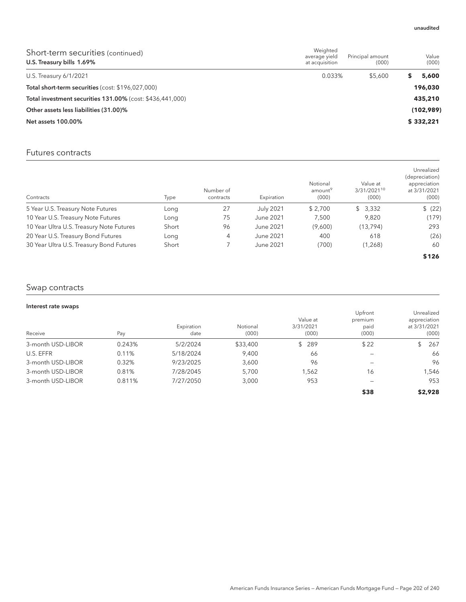| Short-term securities (continued)<br>U.S. Treasury bills 1.69% | Weighted<br>average yield<br>at acquisition | Principal amount<br>(000) |   | Value<br>(000) |
|----------------------------------------------------------------|---------------------------------------------|---------------------------|---|----------------|
| U.S. Treasury 6/1/2021                                         | 0.033%                                      | \$5,600                   | S | 5,600          |
| Total short-term securities (cost: \$196,027,000)              |                                             |                           |   | 196,030        |
| Total investment securities 131.00% (cost: \$436.441.000)      |                                             |                           |   | 435,210        |
| Other assets less liabilities (31.00)%                         |                                             |                           |   | (102,989)      |
| <b>Net assets 100.00%</b>                                      |                                             |                           |   | \$332,221      |

### Futures contracts

|                                          |       |                        |                  |                                          |                                  | Unrealized                                              |
|------------------------------------------|-------|------------------------|------------------|------------------------------------------|----------------------------------|---------------------------------------------------------|
| Contracts                                | Type  | Number of<br>contracts | Expiration       | Notional<br>amount <sup>9</sup><br>(000) | Value at<br>3/31/202110<br>(000) | (depreciation)<br>appreciation<br>at 3/31/2021<br>(000) |
| 5 Year U.S. Treasury Note Futures        | Long  | 27                     | <b>July 2021</b> | \$2.700                                  | \$3,332                          | \$ (22)                                                 |
| 10 Year U.S. Treasury Note Futures       | Long  | 75                     | June 2021        | 7,500                                    | 9,820                            | (179)                                                   |
| 10 Year Ultra U.S. Treasury Note Futures | Short | 96                     | June 2021        | (9,600)                                  | (13, 794)                        | 293                                                     |
| 20 Year U.S. Treasury Bond Futures       | Long  | 4                      | June 2021        | 400                                      | 618                              | (26)                                                    |
| 30 Year Ultra U.S. Treasury Bond Futures | Short |                        | June 2021        | (700)                                    | (1,268)                          | 60                                                      |
|                                          |       |                        |                  |                                          |                                  | \$126                                                   |

## Swap contracts

| Interest rate swaps |        |                    |                   |                                |    |                                     |                              |                     |
|---------------------|--------|--------------------|-------------------|--------------------------------|----|-------------------------------------|------------------------------|---------------------|
| Receive             | Pay    | Expiration<br>date | Notional<br>(000) | Value at<br>3/31/2021<br>(000) |    | Upfront<br>premium<br>paid<br>(000) | appreciation<br>at 3/31/2021 | Unrealized<br>(000) |
| 3-month USD-LIBOR   | 0.243% | 5/2/2024           | \$33,400          | \$289                          |    | \$22                                | \$                           | 267                 |
| U.S. EFFR           | 0.11%  | 5/18/2024          | 9.400             |                                | 66 |                                     |                              | 66                  |
| 3-month USD-LIBOR   | 0.32%  | 9/23/2025          | 3.600             |                                | 96 |                                     |                              | 96                  |
| 3-month USD-LIBOR   | 0.81%  | 7/28/2045          | 5.700             | 1,562                          |    | 16                                  |                              | 1,546               |
| 3-month USD-LIBOR   | 0.811% | 7/27/2050          | 3,000             | 953                            |    |                                     |                              | 953                 |
|                     |        |                    |                   |                                |    | \$38                                |                              | \$2,928             |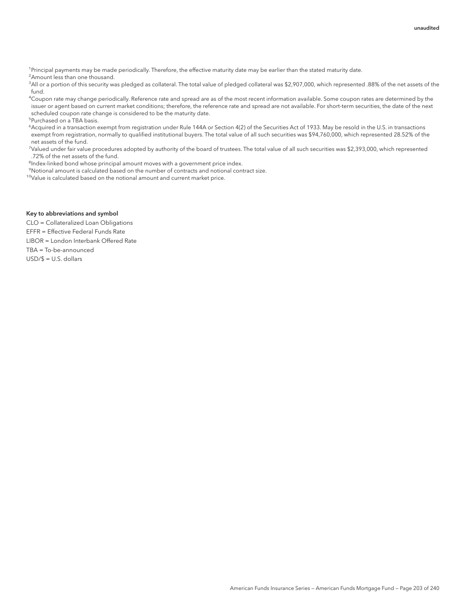<sup>1</sup>Principal payments may be made periodically. Therefore, the effective maturity date may be earlier than the stated maturity date. <sup>2</sup> Amount less than one thousand.

 $^3$ All or a portion of this security was pledged as collateral. The total value of pledged collateral was \$2,907,000, which represented .88% of the net assets of the fund.

4 Coupon rate may change periodically. Reference rate and spread are as of the most recent information available. Some coupon rates are determined by the issuer or agent based on current market conditions; therefore, the reference rate and spread are not available. For short-term securities, the date of the next scheduled coupon rate change is considered to be the maturity date.

5 Purchased on a TBA basis.

6 Acquired in a transaction exempt from registration under Rule 144A or Section 4(2) of the Securities Act of 1933. May be resold in the U.S. in transactions exempt from registration, normally to qualified institutional buyers. The total value of all such securities was \$94,760,000, which represented 28.52% of the net assets of the fund.

7 Valued under fair value procedures adopted by authority of the board of trustees. The total value of all such securities was \$2,393,000, which represented .72% of the net assets of the fund.

<sup>8</sup>Index-linked bond whose principal amount moves with a government price index.

9 Notional amount is calculated based on the number of contracts and notional contract size.

<sup>10</sup>Value is calculated based on the notional amount and current market price.

#### Key to abbreviations and symbol

CLO = Collateralized Loan Obligations EFFR = Effective Federal Funds Rate LIBOR = London Interbank Offered Rate TBA = To-be-announced USD/\$ = U.S. dollars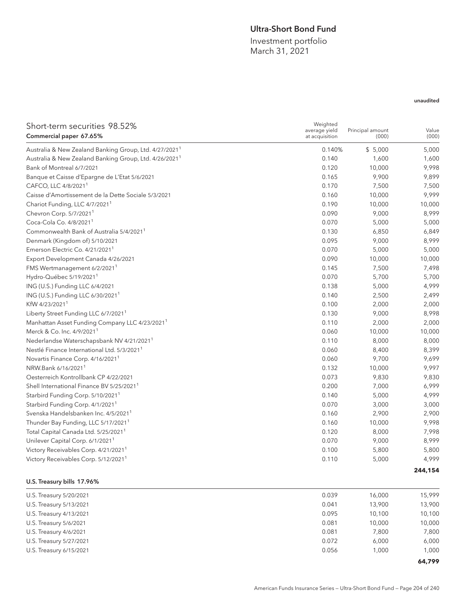## Ultra-Short Bond Fund

Investment portfolio March 31, 2021

### unaudited

| Short-term securities 98.52%<br>Commercial paper 67.65%            | Weighted<br>average yield<br>at acquisition | Principal amount<br>(000) | Value<br>(000) |
|--------------------------------------------------------------------|---------------------------------------------|---------------------------|----------------|
| Australia & New Zealand Banking Group, Ltd. 4/27/2021 <sup>1</sup> | 0.140%                                      | \$5,000                   | 5,000          |
| Australia & New Zealand Banking Group, Ltd. 4/26/2021 <sup>1</sup> | 0.140                                       | 1,600                     | 1,600          |
| Bank of Montreal 6/7/2021                                          | 0.120                                       | 10,000                    | 9,998          |
| Banque et Caisse d'Epargne de L'Etat 5/6/2021                      | 0.165                                       | 9,900                     | 9,899          |
| CAFCO, LLC 4/8/2021 <sup>1</sup>                                   | 0.170                                       | 7,500                     | 7,500          |
| Caisse d'Amortissement de la Dette Sociale 5/3/2021                | 0.160                                       | 10,000                    | 9,999          |
| Chariot Funding, LLC 4/7/2021 <sup>1</sup>                         | 0.190                                       | 10,000                    | 10,000         |
| Chevron Corp. 5/7/2021 <sup>1</sup>                                | 0.090                                       | 9,000                     | 8,999          |
| Coca-Cola Co. 4/8/2021 <sup>1</sup>                                | 0.070                                       | 5,000                     | 5,000          |
| Commonwealth Bank of Australia 5/4/2021 <sup>1</sup>               | 0.130                                       | 6,850                     | 6,849          |
| Denmark (Kingdom of) 5/10/2021                                     | 0.095                                       | 9,000                     | 8,999          |
| Emerson Electric Co. 4/21/2021 <sup>1</sup>                        | 0.070                                       | 5,000                     | 5,000          |
| Export Development Canada 4/26/2021                                | 0.090                                       | 10,000                    | 10,000         |
| FMS Wertmanagement 6/2/2021 <sup>1</sup>                           | 0.145                                       | 7,500                     | 7,498          |
| Hydro-Québec 5/19/2021 <sup>1</sup>                                | 0.070                                       | 5,700                     | 5,700          |
| ING (U.S.) Funding LLC 6/4/2021                                    | 0.138                                       | 5,000                     | 4,999          |
| ING (U.S.) Funding LLC 6/30/2021 <sup>1</sup>                      | 0.140                                       | 2,500                     | 2,499          |
| KfW 4/23/2021 <sup>1</sup>                                         | 0.100                                       | 2,000                     | 2,000          |
| Liberty Street Funding LLC 6/7/2021 <sup>1</sup>                   | 0.130                                       | 9,000                     | 8,998          |
| Manhattan Asset Funding Company LLC 4/23/2021 <sup>1</sup>         | 0.110                                       | 2,000                     | 2,000          |
| Merck & Co. Inc. 4/9/2021 <sup>1</sup>                             | 0.060                                       | 10,000                    | 10,000         |
| Nederlandse Waterschapsbank NV 4/21/2021 <sup>1</sup>              | 0.110                                       | 8,000                     | 8,000          |
| Nestlé Finance International Ltd. 5/3/2021 <sup>1</sup>            | 0.060                                       | 8,400                     | 8,399          |
| Novartis Finance Corp. 4/16/2021 <sup>1</sup>                      | 0.060                                       | 9,700                     | 9,699          |
| NRW.Bank 6/16/2021 <sup>1</sup>                                    | 0.132                                       | 10,000                    | 9,997          |
| Oesterreich Kontrollbank CP 4/22/2021                              | 0.073                                       | 9,830                     | 9,830          |
| Shell International Finance BV 5/25/2021 <sup>1</sup>              | 0.200                                       | 7,000                     | 6,999          |
| Starbird Funding Corp. 5/10/2021 <sup>1</sup>                      | 0.140                                       | 5,000                     | 4,999          |
| Starbird Funding Corp. 4/1/2021 <sup>1</sup>                       | 0.070                                       | 3,000                     | 3,000          |
| Svenska Handelsbanken Inc. 4/5/2021 <sup>1</sup>                   | 0.160                                       | 2,900                     | 2,900          |
| Thunder Bay Funding, LLC 5/17/2021 <sup>1</sup>                    | 0.160                                       | 10,000                    | 9,998          |
| Total Capital Canada Ltd. 5/25/2021 <sup>1</sup>                   | 0.120                                       | 8,000                     | 7,998          |
| Unilever Capital Corp. 6/1/2021 <sup>1</sup>                       | 0.070                                       | 9,000                     | 8,999          |
| Victory Receivables Corp. 4/21/2021 <sup>1</sup>                   | 0.100                                       | 5,800                     | 5,800          |
| Victory Receivables Corp. 5/12/2021 <sup>1</sup>                   | 0.110                                       | 5,000                     | 4,999          |
|                                                                    |                                             |                           | 244,154        |
| U.S. Treasury bills 17.96%                                         |                                             |                           |                |
| U.S. Treasury 5/20/2021                                            | 0.039                                       | 16,000                    | 15,999         |
| U.S. Treasury 5/13/2021                                            | 0.041                                       | 13,900                    | 13,900         |
| U.S. Treasury 4/13/2021                                            | 0.095                                       | 10,100                    | 10,100         |
| U.S. Treasury 5/6/2021                                             | 0.081                                       | 10,000                    | 10,000         |

- U.S. Treasury 4/6/2021 7,800 7,800
- U.S. Treasury 5/27/2021 6,000 6,000 6,000
- U.S. Treasury 6/15/2021 1,000 1,000

**64,799**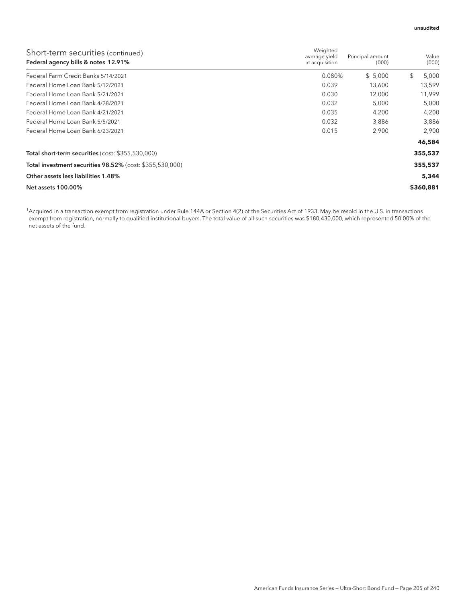| Short-term securities (continued)<br>Federal agency bills & notes 12.91% | Weighted<br>average yield<br>at acquisition | Principal amount<br>(000) | Value<br>(000) |
|--------------------------------------------------------------------------|---------------------------------------------|---------------------------|----------------|
| Federal Farm Credit Banks 5/14/2021                                      | 0.080%                                      | \$5,000                   | \$<br>5,000    |
| Federal Home Loan Bank 5/12/2021                                         | 0.039                                       | 13,600                    | 13,599         |
| Federal Home Loan Bank 5/21/2021                                         | 0.030                                       | 12,000                    | 11,999         |
| Federal Home Loan Bank 4/28/2021                                         | 0.032                                       | 5,000                     | 5,000          |
| Federal Home Loan Bank 4/21/2021                                         | 0.035                                       | 4,200                     | 4,200          |
| Federal Home Loan Bank 5/5/2021                                          | 0.032                                       | 3.886                     | 3,886          |
| Federal Home Loan Bank 6/23/2021                                         | 0.015                                       | 2,900                     | 2,900          |
|                                                                          |                                             |                           | 46,584         |
| Total short-term securities (cost: \$355,530,000)                        |                                             |                           | 355,537        |
| Total investment securities 98.52% (cost: \$355,530,000)                 |                                             |                           | 355,537        |
| Other assets less liabilities 1.48%                                      |                                             |                           | 5,344          |
| Net assets 100.00%                                                       |                                             |                           | \$360,881      |

1 Acquired in a transaction exempt from registration under Rule 144A or Section 4(2) of the Securities Act of 1933. May be resold in the U.S. in transactions exempt from registration, normally to qualified institutional buyers. The total value of all such securities was \$180,430,000, which represented 50.00% of the net assets of the fund.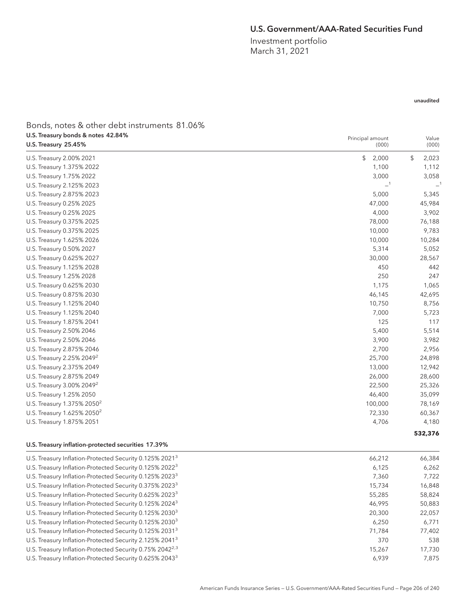### U.S. Government/AAA-Rated Securities Fund

Investment portfolio March 31, 2021

#### unaudited

**532,376**

# Bonds, notes & other debt instruments 81.06% U.S. Treasury bonds & notes 42.84%

| U.S. Treasury bonds & notes 42.84%<br><b>U.S. Treasury 25.45%</b> | Principal amount<br>(000) | Value<br>(000) |
|-------------------------------------------------------------------|---------------------------|----------------|
| U.S. Treasury 2.00% 2021                                          | \$<br>2,000               | \$<br>2,023    |
| U.S. Treasury 1.375% 2022                                         | 1,100                     | 1,112          |
| U.S. Treasury 1.75% 2022                                          | 3,000                     | 3,058          |
| U.S. Treasury 2.125% 2023                                         | $-1$                      | $-1$           |
| U.S. Treasury 2.875% 2023                                         | 5,000                     | 5,345          |
| U.S. Treasury 0.25% 2025                                          | 47,000                    | 45,984         |
| U.S. Treasury 0.25% 2025                                          | 4,000                     | 3,902          |
| U.S. Treasury 0.375% 2025                                         | 78,000                    | 76,188         |
| U.S. Treasury 0.375% 2025                                         | 10,000                    | 9,783          |
| U.S. Treasury 1.625% 2026                                         | 10,000                    | 10,284         |
| U.S. Treasury 0.50% 2027                                          | 5,314                     | 5,052          |
| U.S. Treasury 0.625% 2027                                         | 30,000                    | 28,567         |
| U.S. Treasury 1.125% 2028                                         | 450                       | 442            |
| U.S. Treasury 1.25% 2028                                          | 250                       | 247            |
| U.S. Treasury 0.625% 2030                                         | 1,175                     | 1,065          |
| U.S. Treasury 0.875% 2030                                         | 46,145                    | 42,695         |
| U.S. Treasury 1.125% 2040                                         | 10,750                    | 8,756          |
| U.S. Treasury 1.125% 2040                                         | 7,000                     | 5,723          |
| U.S. Treasury 1.875% 2041                                         | 125                       | 117            |
| U.S. Treasury 2.50% 2046                                          | 5,400                     | 5,514          |
| U.S. Treasury 2.50% 2046                                          | 3,900                     | 3,982          |
| U.S. Treasury 2.875% 2046                                         | 2,700                     | 2,956          |
| U.S. Treasury 2.25% 2049 <sup>2</sup>                             | 25,700                    | 24,898         |
| U.S. Treasury 2.375% 2049                                         | 13,000                    | 12,942         |
| U.S. Treasury 2.875% 2049                                         | 26,000                    | 28,600         |
| U.S. Treasury 3.00% 2049 <sup>2</sup>                             | 22,500                    | 25,326         |
| U.S. Treasury 1.25% 2050                                          | 46,400                    | 35,099         |
| U.S. Treasury 1.375% 2050 <sup>2</sup>                            | 100,000                   | 78,169         |
| U.S. Treasury 1.625% 2050 <sup>2</sup>                            | 72,330                    | 60,367         |
| U.S. Treasury 1.875% 2051                                         | 4,706                     | 4,180          |

#### U.S. Treasury inflation-protected securities 17.39%

| U.S. Treasury Inflation-Protected Security 0.125% 2021 <sup>3</sup>  | 66,212 | 66,384 |
|----------------------------------------------------------------------|--------|--------|
| U.S. Treasury Inflation-Protected Security 0.125% 2022 <sup>3</sup>  | 6,125  | 6,262  |
| U.S. Treasury Inflation-Protected Security 0.125% 2023 <sup>3</sup>  | 7,360  | 7,722  |
| U.S. Treasury Inflation-Protected Security 0.375% 2023 <sup>3</sup>  | 15,734 | 16,848 |
| U.S. Treasury Inflation-Protected Security 0.625% 2023 <sup>3</sup>  | 55,285 | 58,824 |
| U.S. Treasury Inflation-Protected Security 0.125% 2024 <sup>3</sup>  | 46.995 | 50,883 |
| U.S. Treasury Inflation-Protected Security 0.125% 2030 <sup>3</sup>  | 20,300 | 22,057 |
| U.S. Treasury Inflation-Protected Security 0.125% 2030 <sup>3</sup>  | 6,250  | 6,771  |
| U.S. Treasury Inflation-Protected Security 0.125% 2031 <sup>3</sup>  | 71,784 | 77,402 |
| U.S. Treasury Inflation-Protected Security 2.125% 2041 <sup>3</sup>  | 370    | 538    |
| U.S. Treasury Inflation-Protected Security 0.75% 2042 <sup>2,3</sup> | 15.267 | 17,730 |
| U.S. Treasury Inflation-Protected Security 0.625% 2043 <sup>3</sup>  | 6,939  | 7.875  |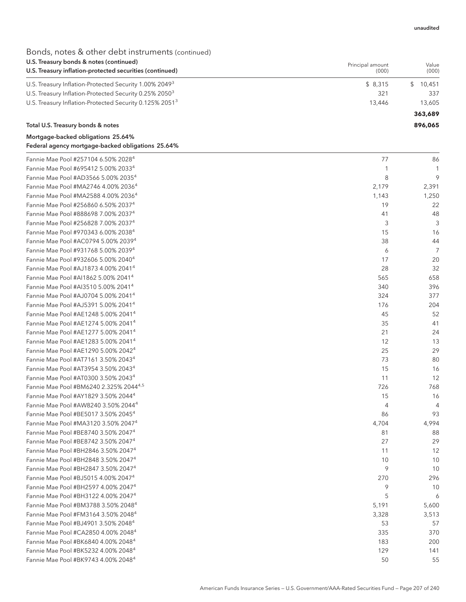# Bonds, notes & other debt instruments (continued)

| U.S. Treasury bonds & notes (continued)<br>U.S. Treasury inflation-protected securities (continued) | Principal amount<br>(000) | Value<br>(000) |
|-----------------------------------------------------------------------------------------------------|---------------------------|----------------|
| U.S. Treasury Inflation-Protected Security 1.00% 2049 <sup>3</sup>                                  | \$8,315                   | \$10.451       |
| U.S. Treasury Inflation-Protected Security 0.25% 2050 <sup>3</sup>                                  | 321                       | 337            |
| U.S. Treasury Inflation-Protected Security 0.125% 2051 <sup>3</sup>                                 | 13.446                    | 13.605         |
|                                                                                                     |                           | 363,689        |
| Total U.S. Treasury bonds & notes                                                                   |                           | 896,065        |

### Mortgage-backed obligations 25.64% Federal agency mortgage-backed obligations 25.64%

| Fannie Mae Pool #257104 6.50% 2028 <sup>4</sup>    | 77             | 86    |
|----------------------------------------------------|----------------|-------|
| Fannie Mae Pool #695412 5.00% 2033 <sup>4</sup>    | 1              | 1     |
| Fannie Mae Pool #AD3566 5.00% 2035 <sup>4</sup>    | 8              | 9     |
| Fannie Mae Pool #MA2746 4.00% 2036 <sup>4</sup>    | 2,179          | 2,391 |
| Fannie Mae Pool #MA2588 4.00% 2036 <sup>4</sup>    | 1,143          | 1,250 |
| Fannie Mae Pool #256860 6.50% 2037 <sup>4</sup>    | 19             | 22    |
| Fannie Mae Pool #888698 7.00% 2037 <sup>4</sup>    | 41             | 48    |
| Fannie Mae Pool #256828 7.00% 2037 <sup>4</sup>    | 3              | 3     |
| Fannie Mae Pool #970343 6.00% 2038 <sup>4</sup>    | 15             | 16    |
| Fannie Mae Pool #AC0794 5.00% 2039 <sup>4</sup>    | 38             | 44    |
| Fannie Mae Pool #931768 5.00% 2039 <sup>4</sup>    | 6              | 7     |
| Fannie Mae Pool #932606 5.00% 2040 <sup>4</sup>    | 17             | 20    |
| Fannie Mae Pool #AJ1873 4.00% 2041 <sup>4</sup>    | 28             | 32    |
| Fannie Mae Pool #AI1862 5.00% 2041 <sup>4</sup>    | 565            | 658   |
| Fannie Mae Pool #AI3510 5.00% 2041 <sup>4</sup>    | 340            | 396   |
| Fannie Mae Pool #AJ0704 5.00% 2041 <sup>4</sup>    | 324            | 377   |
| Fannie Mae Pool #AJ5391 5.00% 2041 <sup>4</sup>    | 176            | 204   |
| Fannie Mae Pool #AE1248 5.00% 2041 <sup>4</sup>    | 45             | 52    |
| Fannie Mae Pool #AE1274 5.00% 2041 <sup>4</sup>    | 35             | 41    |
| Fannie Mae Pool #AE1277 5.00% 2041 <sup>4</sup>    | 21             | 24    |
| Fannie Mae Pool #AE1283 5.00% 2041 <sup>4</sup>    | 12             | 13    |
| Fannie Mae Pool #AE1290 5.00% 2042 <sup>4</sup>    | 25             | 29    |
| Fannie Mae Pool #AT7161 3.50% 2043 <sup>4</sup>    | 73             | 80    |
| Fannie Mae Pool #AT3954 3.50% 2043 <sup>4</sup>    | 15             | 16    |
| Fannie Mae Pool #AT0300 3.50% 2043 <sup>4</sup>    | 11             | 12    |
| Fannie Mae Pool #BM6240 2.325% 2044 <sup>4,5</sup> | 726            | 768   |
| Fannie Mae Pool #AY1829 3.50% 2044 <sup>4</sup>    | 15             | 16    |
| Fannie Mae Pool #AW8240 3.50% 2044 <sup>4</sup>    | $\overline{4}$ | 4     |
| Fannie Mae Pool #BE5017 3.50% 2045 <sup>4</sup>    | 86             | 93    |
| Fannie Mae Pool #MA3120 3.50% 2047 <sup>4</sup>    | 4,704          | 4,994 |
| Fannie Mae Pool #BE8740 3.50% 2047 <sup>4</sup>    | 81             | 88    |
| Fannie Mae Pool #BE8742 3.50% 2047 <sup>4</sup>    | 27             | 29    |
| Fannie Mae Pool #BH2846 3.50% 2047 <sup>4</sup>    | 11             | 12    |
| Fannie Mae Pool #BH2848 3.50% 2047 <sup>4</sup>    | 10             | 10    |
| Fannie Mae Pool #BH2847 3.50% 2047 <sup>4</sup>    | 9              | 10    |
| Fannie Mae Pool #BJ5015 4.00% 2047 <sup>4</sup>    | 270            | 296   |
| Fannie Mae Pool #BH2597 4.00% 2047 <sup>4</sup>    | 9              | 10    |
| Fannie Mae Pool #BH3122 4.00% 2047 <sup>4</sup>    | 5              | 6     |
| Fannie Mae Pool #BM3788 3.50% 2048 <sup>4</sup>    | 5,191          | 5,600 |
| Fannie Mae Pool #FM3164 3.50% 2048 <sup>4</sup>    | 3,328          | 3,513 |
| Fannie Mae Pool #BJ4901 3.50% 2048 <sup>4</sup>    | 53             | 57    |
| Fannie Mae Pool #CA2850 4.00% 2048 <sup>4</sup>    | 335            | 370   |
| Fannie Mae Pool #BK6840 4.00% 2048 <sup>4</sup>    | 183            | 200   |
| Fannie Mae Pool #BK5232 4.00% 2048 <sup>4</sup>    | 129            | 141   |
| Fannie Mae Pool #BK9743 4.00% 2048 <sup>4</sup>    | 50             | 55    |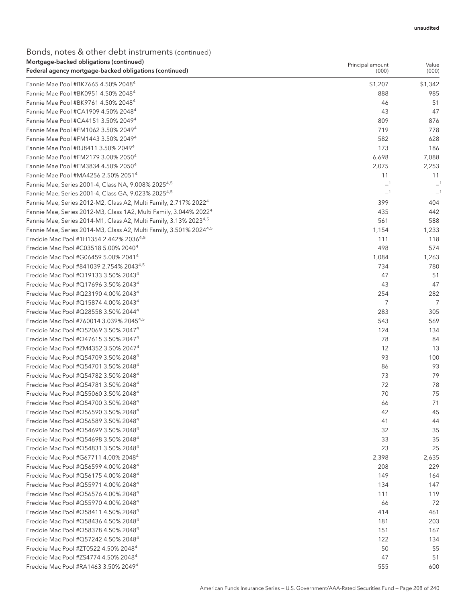### Bonds, notes & other debt instruments (continued) Mortgage-backed obligations (continued)

| Mortgage-backed obligations (continued)                                        | Principal amount | Value   |
|--------------------------------------------------------------------------------|------------------|---------|
| Federal agency mortgage-backed obligations (continued)                         | (000)            | (000)   |
| Fannie Mae Pool #BK7665 4.50% 2048 <sup>4</sup>                                | \$1,207          | \$1,342 |
| Fannie Mae Pool #BK0951 4.50% 2048 <sup>4</sup>                                | 888              | 985     |
| Fannie Mae Pool #BK9761 4.50% 2048 <sup>4</sup>                                | 46               | 51      |
| Fannie Mae Pool #CA1909 4.50% 2048 <sup>4</sup>                                | 43               | 47      |
| Fannie Mae Pool #CA4151 3.50% 2049 <sup>4</sup>                                | 809              | 876     |
| Fannie Mae Pool #FM1062 3.50% 2049 <sup>4</sup>                                | 719              | 778     |
| Fannie Mae Pool #FM1443 3.50% 2049 <sup>4</sup>                                | 582              | 628     |
| Fannie Mae Pool #BJ8411 3.50% 2049 <sup>4</sup>                                | 173              | 186     |
| Fannie Mae Pool #FM2179 3.00% 2050 <sup>4</sup>                                | 6,698            | 7,088   |
| Fannie Mae Pool #FM3834 4.50% 2050 <sup>4</sup>                                | 2,075            | 2,253   |
| Fannie Mae Pool #MA4256 2.50% 2051 <sup>4</sup>                                | 11               | 11      |
| Fannie Mae, Series 2001-4, Class NA, 9.008% 2025 <sup>4,5</sup>                | $-1$             | $-1$    |
| Fannie Mae, Series 2001-4, Class GA, 9.023% 2025 <sup>4,5</sup>                | $-1$             |         |
| Fannie Mae, Series 2012-M2, Class A2, Multi Family, 2.717% 2022 <sup>4</sup>   | 399              | 404     |
| Fannie Mae, Series 2012-M3, Class 1A2, Multi Family, 3.044% 2022 <sup>4</sup>  | 435              | 442     |
| Fannie Mae, Series 2014-M1, Class A2, Multi Family, 3.13% 20234,5              | 561              | 588     |
| Fannie Mae, Series 2014-M3, Class A2, Multi Family, 3.501% 2024 <sup>4,5</sup> | 1,154            | 1,233   |
| Freddie Mac Pool #1H1354 2.442% 20364,5                                        | 111              | 118     |
| Freddie Mac Pool #C03518 5.00% 2040 <sup>4</sup>                               | 498              | 574     |
| Freddie Mac Pool #G06459 5.00% 2041 <sup>4</sup>                               | 1,084            | 1,263   |
| Freddie Mac Pool #841039 2.754% 2043 <sup>4,5</sup>                            | 734              | 780     |
| Freddie Mac Pool #Q19133 3.50% 2043 <sup>4</sup>                               | 47               | 51      |
| Freddie Mac Pool #Q17696 3.50% 2043 <sup>4</sup>                               | 43               | 47      |
| Freddie Mac Pool #Q23190 4.00% 2043 <sup>4</sup>                               | 254              | 282     |
| Freddie Mac Pool #Q15874 4.00% 2043 <sup>4</sup>                               | 7                | 7       |
| Freddie Mac Pool #Q28558 3.50% 2044 <sup>4</sup>                               | 283              | 305     |
| Freddie Mac Pool #760014 3.039% 2045 <sup>4,5</sup>                            | 543              | 569     |
| Freddie Mac Pool #Q52069 3.50% 2047 <sup>4</sup>                               | 124              | 134     |
| Freddie Mac Pool #Q47615 3.50% 2047 <sup>4</sup>                               | 78               | 84      |
| Freddie Mac Pool #ZM4352 3.50% 2047 <sup>4</sup>                               | 12               | 13      |
| Freddie Mac Pool #Q54709 3.50% 2048 <sup>4</sup>                               | 93               | 100     |
| Freddie Mac Pool #Q54701 3.50% 2048 <sup>4</sup>                               | 86               | 93      |
| Freddie Mac Pool #Q54782 3.50% 2048 <sup>4</sup>                               | 73               | 79      |
| Freddie Mac Pool #Q54781 3.50% 2048 <sup>4</sup>                               | 72               | 78      |
| Freddie Mac Pool #Q55060 3.50% 2048 <sup>4</sup>                               | 70               | 75      |
| Freddie Mac Pool #Q54700 3.50% 2048 <sup>4</sup>                               | 66               | 71      |
| Freddie Mac Pool #Q56590 3.50% 2048 <sup>4</sup>                               | 42               | 45      |
| Freddie Mac Pool #Q56589 3.50% 2048 <sup>4</sup>                               | 41               | 44      |
| Freddie Mac Pool #Q54699 3.50% 2048 <sup>4</sup>                               | 32               | 35      |
| Freddie Mac Pool #Q54698 3.50% 2048 <sup>4</sup>                               | 33               | 35      |
| Freddie Mac Pool #Q54831 3.50% 2048 <sup>4</sup>                               | 23               | 25      |
| Freddie Mac Pool #G67711 4.00% 2048 <sup>4</sup>                               | 2,398            | 2,635   |
| Freddie Mac Pool #Q56599 4.00% 2048 <sup>4</sup>                               | 208              | 229     |
| Freddie Mac Pool #Q56175 4.00% 2048 <sup>4</sup>                               | 149              | 164     |
| Freddie Mac Pool #Q55971 4.00% 2048 <sup>4</sup>                               | 134              | 147     |
| Freddie Mac Pool #Q56576 4.00% 2048 <sup>4</sup>                               | 111              | 119     |
| Freddie Mac Pool #Q55970 4.00% 2048 <sup>4</sup>                               | 66               | 72      |
| Freddie Mac Pool #Q58411 4.50% 2048 <sup>4</sup>                               | 414              | 461     |
| Freddie Mac Pool #Q58436 4.50% 2048 <sup>4</sup>                               | 181              | 203     |
| Freddie Mac Pool #Q58378 4.50% 2048 <sup>4</sup>                               | 151              | 167     |
| Freddie Mac Pool #Q57242 4.50% 2048 <sup>4</sup>                               | 122              | 134     |
| Freddie Mac Pool #ZT0522 4.50% 2048 <sup>4</sup>                               | 50               | 55      |
| Freddie Mac Pool #ZS4774 4.50% 2048 <sup>4</sup>                               | 47               | 51      |
| Freddie Mac Pool #RA1463 3.50% 2049 <sup>4</sup>                               | 555              | 600     |
|                                                                                |                  |         |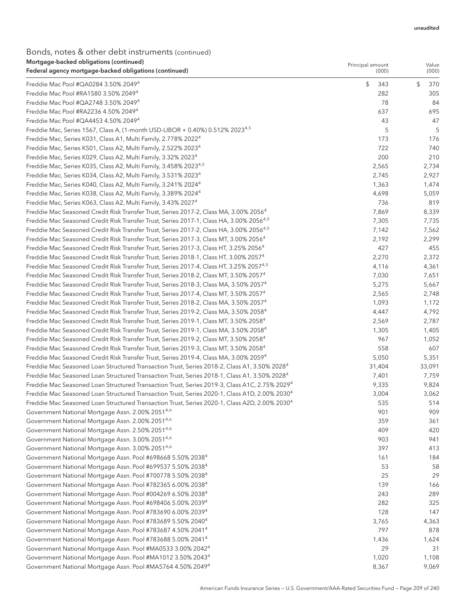### Bonds, notes & other debt instruments (continued) Mortgage-backed obligations (continued)

| mongage backed obligations (continued)<br>Federal agency mortgage-backed obligations (continued)          | Principal amount<br>(000) | Value<br>(000) |
|-----------------------------------------------------------------------------------------------------------|---------------------------|----------------|
| Freddie Mac Pool #QA0284 3.50% 2049 <sup>4</sup>                                                          | \$<br>343                 | \$<br>370      |
| Freddie Mac Pool #RA1580 3.50% 2049 <sup>4</sup>                                                          | 282                       | 305            |
| Freddie Mac Pool #QA2748 3.50% 2049 <sup>4</sup>                                                          | 78                        | 84             |
| Freddie Mac Pool #RA2236 4.50% 2049 <sup>4</sup>                                                          | 637                       | 695            |
| Freddie Mac Pool #QA4453 4.50% 2049 <sup>4</sup>                                                          | 43                        | 47             |
| Freddie Mac, Series 1567, Class A, (1-month USD-LIBOR + 0.40%) 0.512% 2023 <sup>4,5</sup>                 | 5                         | 5              |
| Freddie Mac, Series K031, Class A1, Multi Family, 2.778% 2022 <sup>4</sup>                                | 173                       | 176            |
| Freddie Mac, Series KS01, Class A2, Multi Family, 2.522% 2023 <sup>4</sup>                                | 722                       | 740            |
| Freddie Mac, Series K029, Class A2, Multi Family, 3.32% 2023 <sup>4</sup>                                 | 200                       | 210            |
| Freddie Mac, Series K035, Class A2, Multi Family, 3.458% 2023 <sup>4,5</sup>                              | 2,565                     | 2,734          |
| Freddie Mac, Series K034, Class A2, Multi Family, 3.531% 2023 <sup>4</sup>                                | 2,745                     | 2,927          |
| Freddie Mac, Series K040, Class A2, Multi Family, 3.241% 2024 <sup>4</sup>                                | 1,363                     | 1,474          |
| Freddie Mac, Series K038, Class A2, Multi Family, 3.389% 2024 <sup>4</sup>                                | 4,698                     | 5,059          |
| Freddie Mac, Series K063, Class A2, Multi Family, 3.43% 2027 <sup>4</sup>                                 | 736                       | 819            |
| Freddie Mac Seasoned Credit Risk Transfer Trust, Series 2017-2, Class MA, 3.00% 2056 <sup>4</sup>         | 7,869                     | 8,339          |
| Freddie Mac Seasoned Credit Risk Transfer Trust, Series 2017-1, Class HA, 3.00% 2056 <sup>4,5</sup>       | 7,305                     | 7,735          |
| Freddie Mac Seasoned Credit Risk Transfer Trust, Series 2017-2, Class HA, 3.00% 2056 <sup>4,5</sup>       | 7,142                     | 7,562          |
| Freddie Mac Seasoned Credit Risk Transfer Trust, Series 2017-3, Class MT, 3.00% 2056 <sup>4</sup>         | 2,192                     | 2,299          |
| Freddie Mac Seasoned Credit Risk Transfer Trust, Series 2017-3, Class HT, 3.25% 2056 <sup>4</sup>         | 427                       | 455            |
| Freddie Mac Seasoned Credit Risk Transfer Trust, Series 2018-1, Class HT, 3.00% 2057 <sup>4</sup>         | 2,270                     | 2,372          |
| Freddie Mac Seasoned Credit Risk Transfer Trust, Series 2017-4, Class HT, 3.25% 2057 <sup>4,5</sup>       | 4,116                     | 4,361          |
| Freddie Mac Seasoned Credit Risk Transfer Trust, Series 2018-2, Class MT, 3.50% 2057 <sup>4</sup>         | 7,030                     | 7,651          |
| Freddie Mac Seasoned Credit Risk Transfer Trust, Series 2018-3, Class MA, 3.50% 2057 <sup>4</sup>         | 5,275                     | 5,667          |
| Freddie Mac Seasoned Credit Risk Transfer Trust, Series 2017-4, Class MT, 3.50% 2057 <sup>4</sup>         | 2,565                     | 2,748          |
| Freddie Mac Seasoned Credit Risk Transfer Trust, Series 2018-2, Class MA, 3.50% 2057 <sup>4</sup>         | 1,093                     | 1,172          |
| Freddie Mac Seasoned Credit Risk Transfer Trust, Series 2019-2, Class MA, 3.50% 2058 <sup>4</sup>         | 4,447                     | 4,792          |
| Freddie Mac Seasoned Credit Risk Transfer Trust, Series 2019-1, Class MT, 3.50% 2058 <sup>4</sup>         | 2,569                     | 2,787          |
| Freddie Mac Seasoned Credit Risk Transfer Trust, Series 2019-1, Class MA, 3.50% 2058 <sup>4</sup>         | 1,305                     | 1,405          |
| Freddie Mac Seasoned Credit Risk Transfer Trust, Series 2019-2, Class MT, 3.50% 2058 <sup>4</sup>         | 967                       | 1,052          |
| Freddie Mac Seasoned Credit Risk Transfer Trust, Series 2019-3, Class MT, 3.50% 2058 <sup>4</sup>         | 558                       | 607            |
| Freddie Mac Seasoned Credit Risk Transfer Trust, Series 2019-4, Class MA, 3.00% 2059 <sup>4</sup>         | 5,050                     | 5,351          |
| Freddie Mac Seasoned Loan Structured Transaction Trust, Series 2018-2, Class A1, 3.50% 2028 <sup>4</sup>  | 31,404                    | 33,091         |
| Freddie Mac Seasoned Loan Structured Transaction Trust, Series 2018-1, Class A1, 3.50% 2028 <sup>4</sup>  | 7,401                     | 7,759          |
| Freddie Mac Seasoned Loan Structured Transaction Trust, Series 2019-3, Class A1C, 2.75% 2029 <sup>4</sup> | 9,335                     | 9,824          |
| Freddie Mac Seasoned Loan Structured Transaction Trust, Series 2020-1, Class A1D, 2.00% 2030 <sup>4</sup> | 3,004                     | 3,062          |
| Freddie Mac Seasoned Loan Structured Transaction Trust, Series 2020-1, Class A2D, 2.00% 2030 <sup>4</sup> | 535                       | 514            |
| Government National Mortgage Assn. 2.00% 20514,6                                                          | 901                       | 909            |
| Government National Mortgage Assn. 2.00% 20514,6                                                          | 359                       | 361            |
| Government National Mortgage Assn. 2.50% 2051 <sup>4,6</sup>                                              | 409                       | 420            |
| Government National Mortgage Assn. 3.00% 2051 <sup>4,6</sup>                                              | 903                       | 941            |
| Government National Mortgage Assn. 3.00% 2051 <sup>4,6</sup>                                              | 397                       | 413            |
| Government National Mortgage Assn. Pool #698668 5.50% 2038 <sup>4</sup>                                   | 161                       | 184            |
| Government National Mortgage Assn. Pool #699537 5.50% 2038 <sup>4</sup>                                   | 53                        | 58             |
| Government National Mortgage Assn. Pool #700778 5.50% 2038 <sup>4</sup>                                   | 25                        | 29             |
| Government National Mortgage Assn. Pool #782365 6.00% 2038 <sup>4</sup>                                   | 139                       | 166            |
| Government National Mortgage Assn. Pool #004269 6.50% 2038 <sup>4</sup>                                   | 243                       | 289            |
| Government National Mortgage Assn. Pool #698406 5.00% 2039 <sup>4</sup>                                   | 282                       | 325            |
| Government National Mortgage Assn. Pool #783690 6.00% 2039 <sup>4</sup>                                   | 128                       | 147            |
| Government National Mortgage Assn. Pool #783689 5.50% 2040 <sup>4</sup>                                   | 3,765                     | 4,363          |
| Government National Mortgage Assn. Pool #783687 4.50% 2041 <sup>4</sup>                                   | 797                       | 878            |
| Government National Mortgage Assn. Pool #783688 5.00% 2041 <sup>4</sup>                                   | 1,436                     | 1,624          |
| Government National Mortgage Assn. Pool #MA0533 3.00% 2042 <sup>4</sup>                                   | 29                        | 31             |
| Government National Mortgage Assn. Pool #MA1012 3.50% 2043 <sup>4</sup>                                   | 1,020                     | 1,108          |
| Government National Mortgage Assn. Pool #MA5764 4.50% 2049 <sup>4</sup>                                   | 8,367                     | 9,069          |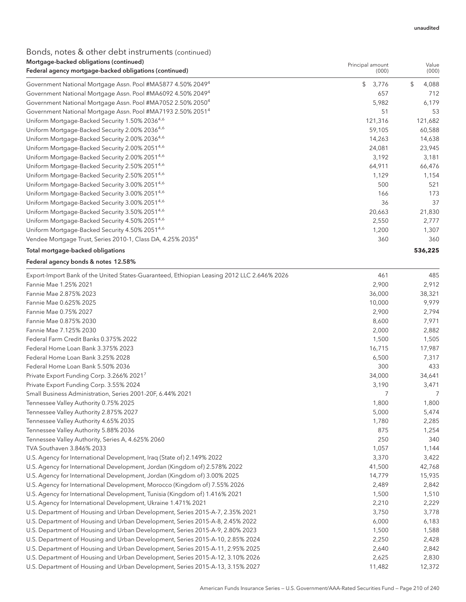## Bonds, notes & other debt instruments (continued)

| Mortgage-backed obligations (continued)                                 | Principal amount        | Value       |  |
|-------------------------------------------------------------------------|-------------------------|-------------|--|
| Federal agency mortgage-backed obligations (continued)                  | (000)                   | (000)       |  |
| Government National Mortgage Assn. Pool #MA5877 4.50% 2049 <sup>4</sup> | $\mathfrak{L}$<br>3,776 | \$<br>4,088 |  |
| Government National Mortgage Assn. Pool #MA6092 4.50% 2049 <sup>4</sup> | 657                     | 712         |  |
| Government National Mortgage Assn. Pool #MA7052 2.50% 2050 <sup>4</sup> | 5,982                   | 6,179       |  |
| Government National Mortgage Assn. Pool #MA7193 2.50% 2051 <sup>4</sup> | 51                      | 53          |  |
| Uniform Mortgage-Backed Security 1.50% 2036 <sup>4,6</sup>              | 121,316                 | 121,682     |  |
| Uniform Mortgage-Backed Security 2.00% 2036 <sup>4,6</sup>              | 59,105                  | 60,588      |  |
| Uniform Mortgage-Backed Security 2.00% 2036 <sup>4,6</sup>              | 14,263                  | 14,638      |  |
| Uniform Mortgage-Backed Security 2.00% 20514,6                          | 24,081                  | 23,945      |  |
| Uniform Mortgage-Backed Security 2.00% 20514,6                          | 3,192                   | 3,181       |  |
| Uniform Mortgage-Backed Security 2.50% 2051 <sup>4,6</sup>              | 64,911                  | 66,476      |  |
| Uniform Mortgage-Backed Security 2.50% 2051 <sup>4,6</sup>              | 1,129                   | 1,154       |  |
| Uniform Mortgage-Backed Security 3.00% 20514,6                          | 500                     | 521         |  |
| Uniform Mortgage-Backed Security 3.00% 2051 <sup>4,6</sup>              | 166                     | 173         |  |
| Uniform Mortgage-Backed Security 3.00% 20514,6                          | 36                      | 37          |  |
| Uniform Mortgage-Backed Security 3.50% 20514,6                          | 20,663                  | 21,830      |  |
| Uniform Mortgage-Backed Security 4.50% 20514,6                          | 2,550                   | 2,777       |  |
| Uniform Mortgage-Backed Security 4.50% 2051 <sup>4,6</sup>              | 1,200                   | 1,307       |  |
| Vendee Mortgage Trust, Series 2010-1, Class DA, 4.25% 2035 <sup>4</sup> | 360                     | 360         |  |
| Total mortgage-backed obligations                                       |                         | 536,225     |  |

### Federal agency bonds & notes 12.58%

| Export-Import Bank of the United States-Guaranteed, Ethiopian Leasing 2012 LLC 2.646% 2026 | 461    | 485    |
|--------------------------------------------------------------------------------------------|--------|--------|
| Fannie Mae 1.25% 2021                                                                      | 2,900  | 2,912  |
| Fannie Mae 2.875% 2023                                                                     | 36,000 | 38,321 |
| Fannie Mae 0.625% 2025                                                                     | 10,000 | 9,979  |
| Fannie Mae 0.75% 2027                                                                      | 2,900  | 2,794  |
| Fannie Mae 0.875% 2030                                                                     | 8,600  | 7,971  |
| Fannie Mae 7.125% 2030                                                                     | 2,000  | 2,882  |
| Federal Farm Credit Banks 0.375% 2022                                                      | 1,500  | 1,505  |
| Federal Home Loan Bank 3.375% 2023                                                         | 16,715 | 17,987 |
| Federal Home Loan Bank 3.25% 2028                                                          | 6,500  | 7,317  |
| Federal Home Loan Bank 5.50% 2036                                                          | 300    | 433    |
| Private Export Funding Corp. 3.266% 2021 <sup>7</sup>                                      | 34,000 | 34,641 |
| Private Export Funding Corp. 3.55% 2024                                                    | 3,190  | 3,471  |
| Small Business Administration, Series 2001-20F, 6.44% 2021                                 | 7      | 7      |
| Tennessee Valley Authority 0.75% 2025                                                      | 1,800  | 1,800  |
| Tennessee Valley Authority 2.875% 2027                                                     | 5,000  | 5,474  |
| Tennessee Valley Authority 4.65% 2035                                                      | 1,780  | 2,285  |
| Tennessee Valley Authority 5.88% 2036                                                      | 875    | 1,254  |
| Tennessee Valley Authority, Series A, 4.625% 2060                                          | 250    | 340    |
| TVA Southaven 3.846% 2033                                                                  | 1,057  | 1,144  |
| U.S. Agency for International Development, Iraq (State of) 2.149% 2022                     | 3,370  | 3,422  |
| U.S. Agency for International Development, Jordan (Kingdom of) 2.578% 2022                 | 41,500 | 42,768 |
| U.S. Agency for International Development, Jordan (Kingdom of) 3.00% 2025                  | 14,779 | 15,935 |
| U.S. Agency for International Development, Morocco (Kingdom of) 7.55% 2026                 | 2,489  | 2,842  |
| U.S. Agency for International Development, Tunisia (Kingdom of) 1.416% 2021                | 1,500  | 1,510  |
| U.S. Agency for International Development, Ukraine 1.471% 2021                             | 2,210  | 2,229  |
| U.S. Department of Housing and Urban Development, Series 2015-A-7, 2.35% 2021              | 3,750  | 3,778  |
| U.S. Department of Housing and Urban Development, Series 2015-A-8, 2.45% 2022              | 6,000  | 6,183  |
| U.S. Department of Housing and Urban Development, Series 2015-A-9, 2.80% 2023              | 1,500  | 1,588  |
| U.S. Department of Housing and Urban Development, Series 2015-A-10, 2.85% 2024             | 2,250  | 2,428  |
| U.S. Department of Housing and Urban Development, Series 2015-A-11, 2.95% 2025             | 2,640  | 2,842  |
| U.S. Department of Housing and Urban Development, Series 2015-A-12, 3.10% 2026             | 2,625  | 2,830  |
| U.S. Department of Housing and Urban Development, Series 2015-A-13, 3.15% 2027             | 11,482 | 12,372 |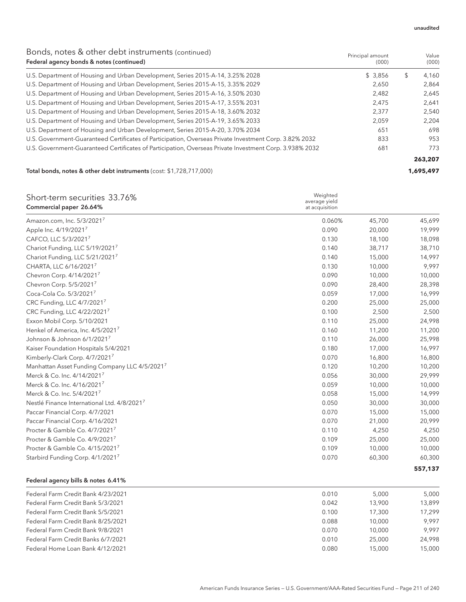### Bonds, notes & other debt instruments (continued) Federal agency bonds & notes (continued)

| <u>DONIGO, NOtos &amp; Othor Gobernstranionts (commuca)</u><br>Federal agency bonds & notes (continued) | Principal amount<br>(000) | Value<br>(000) |         |
|---------------------------------------------------------------------------------------------------------|---------------------------|----------------|---------|
| U.S. Department of Housing and Urban Development, Series 2015-A-14, 3.25% 2028                          | \$3,856                   | \$             | 4,160   |
| U.S. Department of Housing and Urban Development, Series 2015-A-15, 3.35% 2029                          | 2,650                     |                | 2,864   |
| U.S. Department of Housing and Urban Development, Series 2015-A-16, 3.50% 2030                          | 2,482                     |                | 2,645   |
| U.S. Department of Housing and Urban Development, Series 2015-A-17, 3.55% 2031                          | 2.475                     |                | 2,641   |
| U.S. Department of Housing and Urban Development, Series 2015-A-18, 3.60% 2032                          | 2.377                     |                | 2,540   |
| U.S. Department of Housing and Urban Development, Series 2015-A-19, 3.65% 2033                          | 2.059                     |                | 2,204   |
| U.S. Department of Housing and Urban Development, Series 2015-A-20, 3.70% 2034                          | 651                       |                | 698     |
| U.S. Government-Guaranteed Certificates of Participation, Overseas Private Investment Corp. 3.82% 2032  | 833                       |                | 953     |
| U.S. Government-Guaranteed Certificates of Participation, Overseas Private Investment Corp. 3.938% 2032 | 681                       |                | 773     |
|                                                                                                         |                           |                | 263,207 |

### Total bonds, notes & other debt instruments (cost: \$1,728,717,000) **1,695,497**

| Short-term securities 33.76%                  | Weighted                        |        |         |
|-----------------------------------------------|---------------------------------|--------|---------|
| Commercial paper 26.64%                       | average yield<br>at acquisition |        |         |
| Amazon.com, Inc. 5/3/20217                    | 0.060%                          | 45,700 | 45,699  |
| Apple Inc. 4/19/2021 <sup>7</sup>             | 0.090                           | 20,000 | 19,999  |
| CAFCO, LLC 5/3/2021 <sup>7</sup>              | 0.130                           | 18,100 | 18,098  |
| Chariot Funding, LLC 5/19/20217               | 0.140                           | 38,717 | 38,710  |
| Chariot Funding, LLC 5/21/20217               | 0.140                           | 15,000 | 14,997  |
| CHARTA, LLC 6/16/20217                        | 0.130                           | 10,000 | 9,997   |
| Chevron Corp. 4/14/20217                      | 0.090                           | 10,000 | 10,000  |
| Chevron Corp. 5/5/20217                       | 0.090                           | 28,400 | 28,398  |
| Coca-Cola Co. 5/3/2021 <sup>7</sup>           | 0.059                           | 17,000 | 16,999  |
| CRC Funding, LLC 4/7/20217                    | 0.200                           | 25,000 | 25,000  |
| CRC Funding, LLC 4/22/2021 <sup>7</sup>       | 0.100                           | 2,500  | 2,500   |
| Exxon Mobil Corp. 5/10/2021                   | 0.110                           | 25,000 | 24,998  |
| Henkel of America, Inc. 4/5/2021 <sup>7</sup> | 0.160                           | 11,200 | 11,200  |
| Johnson & Johnson 6/1/2021 <sup>7</sup>       | 0.110                           | 26,000 | 25,998  |
| Kaiser Foundation Hospitals 5/4/2021          | 0.180                           | 17,000 | 16,997  |
| Kimberly-Clark Corp. 4/7/2021 <sup>7</sup>    | 0.070                           | 16,800 | 16,800  |
| Manhattan Asset Funding Company LLC 4/5/20217 | 0.120                           | 10,200 | 10,200  |
| Merck & Co. Inc. 4/14/2021 <sup>7</sup>       | 0.056                           | 30,000 | 29,999  |
| Merck & Co. Inc. 4/16/20217                   | 0.059                           | 10,000 | 10,000  |
| Merck & Co. Inc. 5/4/20217                    | 0.058                           | 15,000 | 14,999  |
| Nestlé Finance International Ltd. 4/8/20217   | 0.050                           | 30,000 | 30,000  |
| Paccar Financial Corp. 4/7/2021               | 0.070                           | 15,000 | 15,000  |
| Paccar Financial Corp. 4/16/2021              | 0.070                           | 21,000 | 20,999  |
| Procter & Gamble Co. 4/7/2021 <sup>7</sup>    | 0.110                           | 4,250  | 4,250   |
| Procter & Gamble Co. 4/9/2021 <sup>7</sup>    | 0.109                           | 25,000 | 25,000  |
| Procter & Gamble Co. 4/15/2021 <sup>7</sup>   | 0.109                           | 10,000 | 10,000  |
| Starbird Funding Corp. 4/1/2021 <sup>7</sup>  | 0.070                           | 60,300 | 60,300  |
|                                               |                                 |        | 557,137 |

### Federal agency bills & notes 6.41%

| Federal Farm Credit Bank 4/23/2021 | 0.010 | 5.000  | 5.000  |
|------------------------------------|-------|--------|--------|
| Federal Farm Credit Bank 5/3/2021  | 0.042 | 13,900 | 13.899 |
| Federal Farm Credit Bank 5/5/2021  | 0.100 | 17,300 | 17.299 |
| Federal Farm Credit Bank 8/25/2021 | 0.088 | 10.000 | 9.997  |
| Federal Farm Credit Bank 9/8/2021  | 0.070 | 10.000 | 9.997  |
| Federal Farm Credit Banks 6/7/2021 | 0.010 | 25.000 | 24.998 |
| Federal Home Loan Bank 4/12/2021   | 0.080 | 15,000 | 15,000 |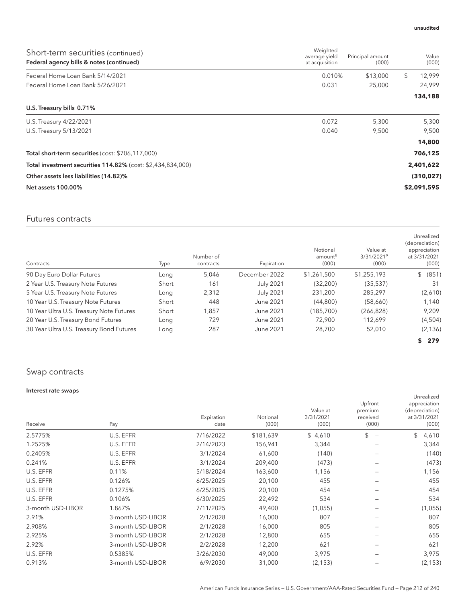| Short-term securities (continued)<br>Federal agency bills & notes (continued) | Weighted<br>average yield<br>at acquisition | Principal amount<br>(000) | Value<br>(000) |
|-------------------------------------------------------------------------------|---------------------------------------------|---------------------------|----------------|
| Federal Home Loan Bank 5/14/2021                                              | 0.010%                                      | \$13,000                  | \$<br>12,999   |
| Federal Home Loan Bank 5/26/2021                                              | 0.031                                       | 25,000                    | 24,999         |
|                                                                               |                                             |                           | 134,188        |
| U.S. Treasury bills 0.71%                                                     |                                             |                           |                |
| U.S. Treasury 4/22/2021                                                       | 0.072                                       | 5,300                     | 5,300          |
| U.S. Treasury 5/13/2021                                                       | 0.040                                       | 9.500                     | 9,500          |
|                                                                               |                                             |                           | 14,800         |
| Total short-term securities (cost: \$706,117,000)                             |                                             |                           | 706,125        |
| Total investment securities 114.82% (cost: \$2,434,834,000)                   |                                             |                           | 2,401,622      |
| Other assets less liabilities (14.82)%                                        |                                             |                           | (310, 027)     |
| <b>Net assets 100.00%</b>                                                     |                                             |                           | \$2,091,595    |

## Futures contracts

| Contracts                                | Type  | Number of<br>contracts | Expiration       | Notional<br>amount <sup>8</sup><br>(000) | Value at<br>3/31/20219<br>(000) | Unrealized<br>(depreciation)<br>appreciation<br>at 3/31/2021<br>(000) |
|------------------------------------------|-------|------------------------|------------------|------------------------------------------|---------------------------------|-----------------------------------------------------------------------|
| 90 Day Euro Dollar Futures               | Long  | 5.046                  | December 2022    | \$1,261,500                              | \$1,255,193                     | \$ (851)                                                              |
| 2 Year U.S. Treasury Note Futures        | Short | 161                    | <b>July 2021</b> | (32,200)                                 | (35,537)                        | 31                                                                    |
| 5 Year U.S. Treasury Note Futures        | Long  | 2,312                  | <b>July 2021</b> | 231,200                                  | 285,297                         | (2,610)                                                               |
| 10 Year U.S. Treasury Note Futures       | Short | 448                    | June 2021        | (44,800)                                 | (58,660)                        | 1.140                                                                 |
| 10 Year Ultra U.S. Treasury Note Futures | Short | 1,857                  | June 2021        | (185, 700)                               | (266, 828)                      | 9,209                                                                 |
| 20 Year U.S. Treasury Bond Futures       | Long  | 729                    | June 2021        | 72.900                                   | 112.699                         | (4,504)                                                               |
| 30 Year Ultra U.S. Treasury Bond Futures | Long  | 287                    | June 2021        | 28,700                                   | 52,010                          | (2, 136)                                                              |
|                                          |       |                        |                  |                                          |                                 | 279<br>\$                                                             |

## Swap contracts

| Receive           | Pay               | Expiration<br>date | Notional<br>(000) | Value at<br>3/31/2021<br>(000) | Upfront<br>premium<br>received<br>(000) | Unrealized<br>appreciation<br>(depreciation)<br>at 3/31/2021<br>(000) |
|-------------------|-------------------|--------------------|-------------------|--------------------------------|-----------------------------------------|-----------------------------------------------------------------------|
| 2.5775%           | U.S. EFFR         | 7/16/2022          | \$181,639         | \$4,610                        | \$<br>$\overline{\phantom{a}}$          | \$<br>4,610                                                           |
| 1.2525%           | U.S. EFFR         | 2/14/2023          | 156,941           | 3,344                          |                                         | 3,344                                                                 |
| 0.2405%           | U.S. EFFR         | 3/1/2024           | 61,600            | (140)                          |                                         | (140)                                                                 |
| 0.241%            | U.S. EFFR         | 3/1/2024           | 209,400           | (473)                          |                                         | (473)                                                                 |
| U.S. EFFR         | 0.11%             | 5/18/2024          | 163,600           | 1,156                          |                                         | 1,156                                                                 |
| U.S. EFFR         | 0.126%            | 6/25/2025          | 20,100            | 455                            |                                         | 455                                                                   |
| U.S. EFFR         | 0.1275%           | 6/25/2025          | 20,100            | 454                            |                                         | 454                                                                   |
| U.S. EFFR         | 0.106%            | 6/30/2025          | 22,492            | 534                            |                                         | 534                                                                   |
| 3-month USD-LIBOR | 1.867%            | 7/11/2025          | 49,400            | (1,055)                        |                                         | (1,055)                                                               |
| 2.91%             | 3-month USD-LIBOR | 2/1/2028           | 16,000            | 807                            |                                         | 807                                                                   |
| 2.908%            | 3-month USD-LIBOR | 2/1/2028           | 16,000            | 805                            |                                         | 805                                                                   |
| 2.925%            | 3-month USD-LIBOR | 2/1/2028           | 12,800            | 655                            |                                         | 655                                                                   |
| 2.92%             | 3-month USD-LIBOR | 2/2/2028           | 12,200            | 621                            |                                         | 621                                                                   |
| U.S. EFFR         | 0.5385%           | 3/26/2030          | 49,000            | 3,975                          |                                         | 3,975                                                                 |
| 0.913%            | 3-month USD-LIBOR | 6/9/2030           | 31,000            | (2, 153)                       |                                         | (2, 153)                                                              |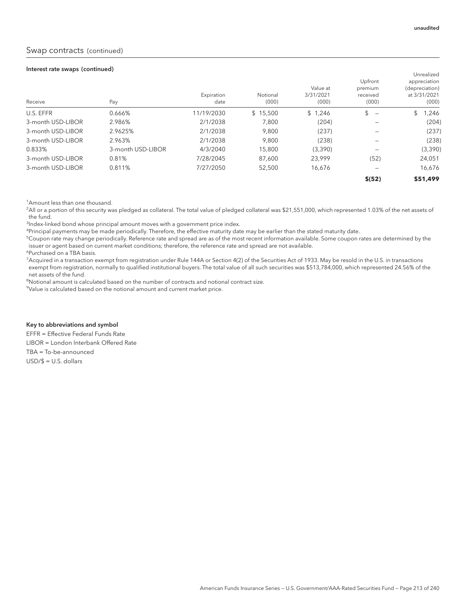### Swap contracts (continued)

#### Interest rate swaps (continued)

| . .<br>Receive    |                   | Expiration<br>date | Notional<br>(000) | Value at<br>3/31/2021<br>(000) | Upfront<br>premium<br>received<br>(000) | Unrealized<br>appreciation<br>(depreciation)<br>at 3/31/2021 |
|-------------------|-------------------|--------------------|-------------------|--------------------------------|-----------------------------------------|--------------------------------------------------------------|
|                   | Pay               |                    |                   |                                |                                         | (000)                                                        |
| U.S. EFFR         | 0.666%            | 11/19/2030         | \$15.500          | \$1.246                        | \$<br>$\overline{\phantom{m}}$          | \$<br>,246                                                   |
| 3-month USD-LIBOR | 2.986%            | 2/1/2038           | 7,800             | (204)                          |                                         | (204)                                                        |
| 3-month USD-LIBOR | 2.9625%           | 2/1/2038           | 9,800             | (237)                          |                                         | (237)                                                        |
| 3-month USD-LIBOR | 2.963%            | 2/1/2038           | 9.800             | (238)                          |                                         | (238)                                                        |
| 0.833%            | 3-month USD-LIBOR | 4/3/2040           | 15,800            | (3,390)                        |                                         | (3,390)                                                      |
| 3-month USD-LIBOR | 0.81%             | 7/28/2045          | 87,600            | 23.999                         | (52)                                    | 24,051                                                       |
| 3-month USD-LIBOR | 0.811%            | 7/27/2050          | 52,500            | 16,676                         |                                         | 16,676                                                       |
|                   |                   |                    |                   |                                | \$(52)                                  | \$51,499                                                     |

<sup>1</sup> Amount less than one thousand.

 $^2$ All or a portion of this security was pledged as collateral. The total value of pledged collateral was \$21,551,000, which represented 1.03% of the net assets of the fund.

<sup>3</sup>Index-linked bond whose principal amount moves with a government price index.

<sup>4</sup>Principal payments may be made periodically. Therefore, the effective maturity date may be earlier than the stated maturity date.

5 Coupon rate may change periodically. Reference rate and spread are as of the most recent information available. Some coupon rates are determined by the issuer or agent based on current market conditions; therefore, the reference rate and spread are not available.

6 Purchased on a TBA basis.

7 Acquired in a transaction exempt from registration under Rule 144A or Section 4(2) of the Securities Act of 1933. May be resold in the U.S. in transactions exempt from registration, normally to qualified institutional buyers. The total value of all such securities was \$513,784,000, which represented 24.56% of the net assets of the fund.

<sup>8</sup>Notional amount is calculated based on the number of contracts and notional contract size.

9 Value is calculated based on the notional amount and current market price.

#### Key to abbreviations and symbol

EFFR = Effective Federal Funds Rate LIBOR = London Interbank Offered Rate TBA = To-be-announced USD/\$ = U.S. dollars

American Funds Insurance Series — U.S. Government/AAA-Rated Securities Fund — Page 213 of 240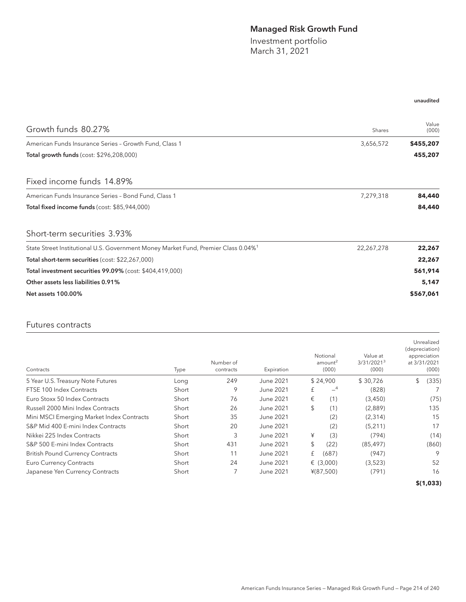### Managed Risk Growth Fund

Investment portfolio March 31, 2021

# Growth funds 80.27% Shares Shares Shares Shares Shares Shares Shares Shares Shares Shares Shares Shares Shares Value (000) American Funds Insurance Series - Growth Fund, Class 1 3,656,572 **\$455,207** Total growth funds (cost: \$296,208,000) **455,207** Fixed income funds 14.89% American Funds Insurance Series - Bond Fund, Class 1 **7,279,318 84,440** Total fixed income funds (cost: \$85,944,000) **84,440** Short-term securities 3.93% State Street Institutional U.S. Government Money Market Fund, Premier Class 0.04%1 22,267,278 **22,267** Total short-term securities (cost: \$22,267,000) **22,267**

Total investment securities 99.09% (cost: \$404,419,000) **561,914** Other assets less liabilities 0.91% **5,147** Net assets 100.00% **\$567,061**

### Futures contracts

| Contracts                                 | Type  | Number of<br>contracts | Expiration       | Notional<br>amount <sup>2</sup><br>(000) | Value at<br>3/31/2021 <sup>3</sup><br>(000) | Unrealized<br>(depreciation)<br>appreciation<br>at 3/31/2021<br>(000) |
|-------------------------------------------|-------|------------------------|------------------|------------------------------------------|---------------------------------------------|-----------------------------------------------------------------------|
| 5 Year U.S. Treasury Note Futures         | Long  | 249                    | June 2021        | \$24,900                                 | \$30,726                                    | \$<br>(335)                                                           |
| FTSE 100 Index Contracts                  | Short | 9                      | June 2021        | $-4$<br>£                                | (828)                                       |                                                                       |
| Euro Stoxx 50 Index Contracts             | Short | 76                     | June 2021        | €<br>(1)                                 | (3,450)                                     | (75)                                                                  |
| Russell 2000 Mini Index Contracts         | Short | 26                     | <b>June 2021</b> | \$<br>(1)                                | (2,889)                                     | 135                                                                   |
| Mini MSCI Emerging Market Index Contracts | Short | 35                     | June 2021        | (2)                                      | (2,314)                                     | 15                                                                    |
| S&P Mid 400 E-mini Index Contracts        | Short | 20                     | June 2021        | (2)                                      | (5,211)                                     | 17                                                                    |
| Nikkei 225 Index Contracts                | Short | 3                      | <b>June 2021</b> | ¥<br>(3)                                 | (794)                                       | (14)                                                                  |
| S&P 500 E-mini Index Contracts            | Short | 431                    | June 2021        | \$<br>(22)                               | (85, 497)                                   | (860)                                                                 |
| <b>British Pound Currency Contracts</b>   | Short | 11                     | June 2021        | £<br>(687)                               | (947)                                       | 9                                                                     |
| <b>Euro Currency Contracts</b>            | Short | 24                     | June 2021        | € $(3,000)$                              | (3,523)                                     | 52                                                                    |
| Japanese Yen Currency Contracts           | Short | 7                      | June 2021        | $*(87,500)$                              | (791)                                       | 16                                                                    |
|                                           |       |                        |                  |                                          |                                             | \$(1,033)                                                             |

unaudited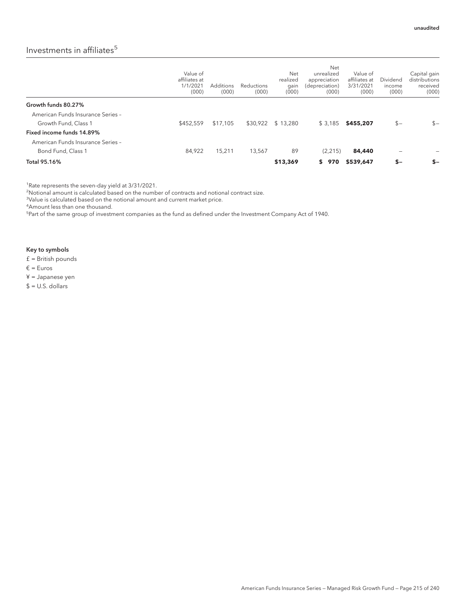## Investments in affiliates $5$

|                                   | Value of<br>affiliates at<br>1/1/2021<br>(000) | <b>Additions</b><br>(000) | Reductions<br>(000) | Net<br>realized<br>gain<br>(000) | Net<br>unrealized<br>appreciation<br>(depreciation)<br>(000) | Value of<br>affiliates at<br>3/31/2021<br>(000) | Dividend<br>income<br>(000) | Capital gain<br>distributions<br>received<br>(000) |
|-----------------------------------|------------------------------------------------|---------------------------|---------------------|----------------------------------|--------------------------------------------------------------|-------------------------------------------------|-----------------------------|----------------------------------------------------|
| Growth funds 80.27%               |                                                |                           |                     |                                  |                                                              |                                                 |                             |                                                    |
| American Funds Insurance Series - |                                                |                           |                     |                                  |                                                              |                                                 |                             |                                                    |
| Growth Fund, Class 1              | \$452,559                                      | \$17,105                  | \$30,922            | \$13,280                         | \$3,185                                                      | \$455,207                                       | $S -$                       | $S -$                                              |
| Fixed income funds 14.89%         |                                                |                           |                     |                                  |                                                              |                                                 |                             |                                                    |
| American Funds Insurance Series - |                                                |                           |                     |                                  |                                                              |                                                 |                             |                                                    |
| Bond Fund, Class 1                | 84,922                                         | 15.211                    | 13.567              | 89                               | (2,215)                                                      | 84,440                                          | $\overline{\phantom{a}}$    |                                                    |
| Total 95.16%                      |                                                |                           |                     | \$13,369                         | S.<br>970                                                    | \$539,647                                       | $S-$                        | $S-$                                               |

<sup>1</sup>Rate represents the seven-day yield at 3/31/2021.

 $\overline{a}$ Notional amount is calculated based on the number of contracts and notional contract size.

<sup>3</sup>Value is calculated based on the notional amount and current market price.

4 Amount less than one thousand.

<sup>5</sup>Part of the same group of investment companies as the fund as defined under the Investment Company Act of 1940.

#### Key to symbols

£ = British pounds

€ = Euros

¥ = Japanese yen

 $$ = U.S.$  dollars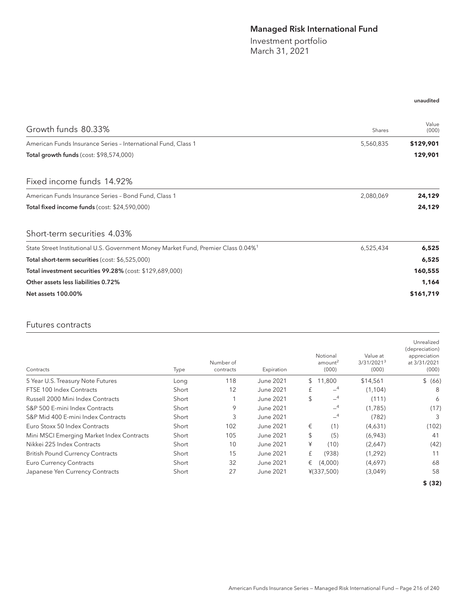## Managed Risk International Fund

Investment portfolio March 31, 2021

| Growth funds 80.33%                                                                            | Shares    | Value<br>(000) |
|------------------------------------------------------------------------------------------------|-----------|----------------|
| American Funds Insurance Series - International Fund, Class 1                                  | 5,560,835 | \$129,901      |
| <b>Total growth funds (cost: \$98,574,000)</b>                                                 |           | 129,901        |
| Fixed income funds 14.92%                                                                      |           |                |
| American Funds Insurance Series - Bond Fund, Class 1                                           | 2,080,069 | 24,129         |
| Total fixed income funds (cost: \$24,590,000)                                                  |           | 24,129         |
| Short-term securities 4.03%                                                                    |           |                |
| State Street Institutional U.S. Government Money Market Fund, Premier Class 0.04% <sup>1</sup> | 6,525,434 | 6,525          |
| Total short-term securities (cost: \$6,525,000)                                                |           | 6,525          |
| Total investment securities 99.28% (cost: \$129,689,000)                                       |           | 160,555        |
| Other assets less liabilities 0.72%                                                            |           | 1,164          |
| <b>Net assets 100.00%</b>                                                                      |           | \$161,719      |

### Futures contracts

| Contracts                                 | Type  | Number of<br>contracts | Expiration |    | Notional<br>amount <sup>2</sup><br>(000) | Value at<br>3/31/2021 <sup>3</sup><br>(000) | Unrealized<br>(depreciation)<br>appreciation<br>at 3/31/2021<br>(000) |
|-------------------------------------------|-------|------------------------|------------|----|------------------------------------------|---------------------------------------------|-----------------------------------------------------------------------|
| 5 Year U.S. Treasury Note Futures         | Long  | 118                    | June 2021  | \$ | 11,800                                   | \$14,561                                    | \$ (66)                                                               |
| FTSE 100 Index Contracts                  | Short | 12                     | June 2021  |    | $-4$                                     | (1, 104)                                    | 8                                                                     |
| Russell 2000 Mini Index Contracts         | Short |                        | June 2021  | \$ | $-4$                                     | (111)                                       | 6                                                                     |
| S&P 500 E-mini Index Contracts            | Short | 9                      | June 2021  |    | $-4$                                     | (1,785)                                     | (17)                                                                  |
| S&P Mid 400 E-mini Index Contracts        | Short | 3                      | June 2021  |    | $-4$                                     | (782)                                       | 3                                                                     |
| Euro Stoxx 50 Index Contracts             | Short | 102                    | June 2021  | €  | (1)                                      | (4,631)                                     | (102)                                                                 |
| Mini MSCI Emerging Market Index Contracts | Short | 105                    | June 2021  | \$ | (5)                                      | (6,943)                                     | 41                                                                    |
| Nikkei 225 Index Contracts                | Short | 10                     | June 2021  | ¥  | (10)                                     | (2,647)                                     | (42)                                                                  |
| <b>British Pound Currency Contracts</b>   | Short | 15                     | June 2021  | £  | (938)                                    | (1, 292)                                    | 11                                                                    |
| Euro Currency Contracts                   | Short | 32                     | June 2021  | €  | (4,000)                                  | (4,697)                                     | 68                                                                    |
| Japanese Yen Currency Contracts           | Short | 27                     | June 2021  |    | ¥(337,500)                               | (3,049)                                     | 58                                                                    |
|                                           |       |                        |            |    |                                          |                                             | \$ (32)                                                               |

unaudited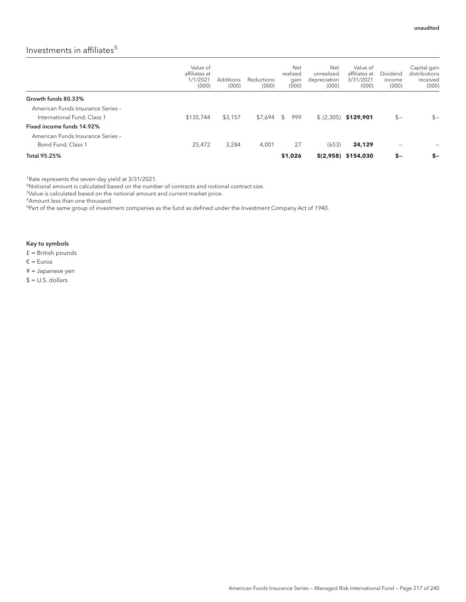## Investments in affiliates $5$

|                                   | Value of<br>affiliates at<br>1/1/2021<br>(000) | Additions<br>(000) | <b>Reductions</b><br>(000) | Net<br>realized<br>gain<br>(000) | Net<br>unrealized<br>depreciation<br>(000) | Value of<br>affiliates at<br>3/31/2021<br>(000) | Dividend<br>income<br>(000) | Capital gain<br>distributions<br>received<br>(000) |
|-----------------------------------|------------------------------------------------|--------------------|----------------------------|----------------------------------|--------------------------------------------|-------------------------------------------------|-----------------------------|----------------------------------------------------|
| Growth funds 80.33%               |                                                |                    |                            |                                  |                                            |                                                 |                             |                                                    |
| American Funds Insurance Series - |                                                |                    |                            |                                  |                                            |                                                 |                             |                                                    |
| International Fund, Class 1       | \$135,744                                      | \$3,157            | \$7.694                    | 999<br>\$                        |                                            | $$ (2,305)$ \$129,901                           | $s-$                        | $s-$                                               |
| Fixed income funds 14.92%         |                                                |                    |                            |                                  |                                            |                                                 |                             |                                                    |
| American Funds Insurance Series - |                                                |                    |                            |                                  |                                            |                                                 |                             |                                                    |
| Bond Fund, Class 1                | 25,472                                         | 3,284              | 4,001                      | 27                               | (653)                                      | 24,129                                          | $\overline{\phantom{a}}$    |                                                    |
| Total 95.25%                      |                                                |                    |                            | \$1,026                          |                                            | $$(2,958)$ \$154,030                            | $S-$                        | $S-$                                               |

<sup>1</sup>Rate represents the seven-day yield at 3/31/2021.

 $\overline{a}$ Notional amount is calculated based on the number of contracts and notional contract size.

<sup>3</sup>Value is calculated based on the notional amount and current market price.

4 Amount less than one thousand.

<sup>5</sup>Part of the same group of investment companies as the fund as defined under the Investment Company Act of 1940.

#### Key to symbols

£ = British pounds

€ = Euros

#### ¥ = Japanese yen

 $$ = U.S.$  dollars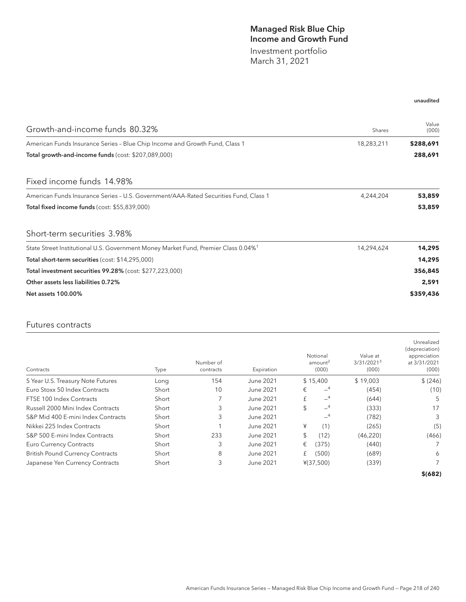### Managed Risk Blue Chip Income and Growth Fund

Investment portfolio March 31, 2021

| Growth-and-income funds 80.32%                                                                 | Shares     | value<br>(000) |  |  |  |  |  |
|------------------------------------------------------------------------------------------------|------------|----------------|--|--|--|--|--|
| American Funds Insurance Series - Blue Chip Income and Growth Fund, Class 1                    | 18,283,211 | \$288,691      |  |  |  |  |  |
| Total growth-and-income funds (cost: \$207,089,000)                                            |            |                |  |  |  |  |  |
| Fixed income funds 14.98%                                                                      |            |                |  |  |  |  |  |
| American Funds Insurance Series - U.S. Government/AAA-Rated Securities Fund, Class 1           | 4,244,204  | 53,859         |  |  |  |  |  |
| Total fixed income funds (cost: \$55,839,000)                                                  |            | 53,859         |  |  |  |  |  |
| Short-term securities 3.98%                                                                    |            |                |  |  |  |  |  |
| State Street Institutional U.S. Government Money Market Fund, Premier Class 0.04% <sup>1</sup> | 14,294,624 | 14,295         |  |  |  |  |  |
| Total short-term securities (cost: \$14,295,000)                                               |            | 14,295         |  |  |  |  |  |
| Total investment securities 99.28% (cost: \$277,223,000)                                       |            | 356,845        |  |  |  |  |  |
| Other assets less liabilities 0.72%                                                            |            | 2,591          |  |  |  |  |  |
| <b>Net assets 100.00%</b>                                                                      |            | \$359,436      |  |  |  |  |  |

### Futures contracts

| Contracts                               | Type  | Number of<br>contracts | Expiration | Notional<br>amount <sup>2</sup><br>(000) | Value at<br>3/31/2021 <sup>3</sup><br>(000) | Unrealized<br>(depreciation)<br>appreciation<br>at 3/31/2021<br>(000) |
|-----------------------------------------|-------|------------------------|------------|------------------------------------------|---------------------------------------------|-----------------------------------------------------------------------|
| 5 Year U.S. Treasury Note Futures       | Long  | 154                    | June 2021  | \$15,400                                 | \$19,003                                    | \$(246)                                                               |
| Euro Stoxx 50 Index Contracts           | Short | 10                     | June 2021  | $-4$<br>€                                | (454)                                       | (10)                                                                  |
| FTSE 100 Index Contracts                | Short |                        | June 2021  | $-4$<br>£                                | (644)                                       | 5                                                                     |
| Russell 2000 Mini Index Contracts       | Short | 3                      | June 2021  | \$<br>$-4$                               | (333)                                       | 17                                                                    |
| S&P Mid 400 E-mini Index Contracts      | Short | 3                      | June 2021  | $-4$                                     | (782)                                       | 3                                                                     |
| Nikkei 225 Index Contracts              | Short |                        | June 2021  | ¥<br>(1)                                 | (265)                                       | (5)                                                                   |
| S&P 500 E-mini Index Contracts          | Short | 233                    | June 2021  | \$<br>(12)                               | (46, 220)                                   | (466)                                                                 |
| <b>Euro Currency Contracts</b>          | Short | 3                      | June 2021  | €<br>(375)                               | (440)                                       |                                                                       |
| <b>British Pound Currency Contracts</b> | Short | 8                      | June 2021  | (500)<br>£                               | (689)                                       | 6                                                                     |
| Japanese Yen Currency Contracts         | Short | 3                      | June 2021  | $*(37,500)$                              | (339)                                       |                                                                       |
|                                         |       |                        |            |                                          |                                             | \$ (682)                                                              |

unaudited

Value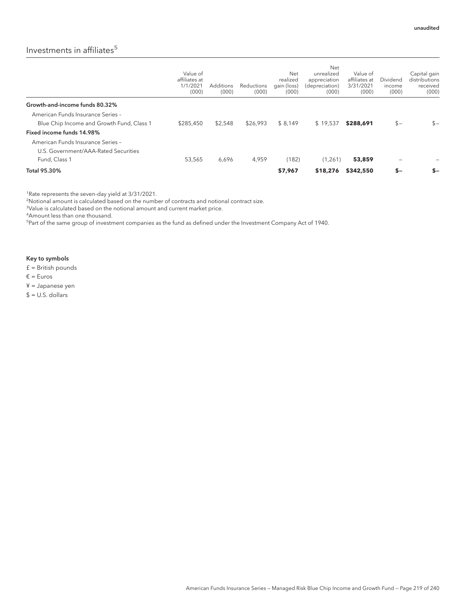### Investments in affiliates $5$

|                                           | Value of<br>affiliates at<br>1/1/2021<br>(000) | <b>Additions</b><br>(000) | Reductions<br>(000) | Net<br>realized<br>gain (loss)<br>(000) | Net<br>unrealized<br>appreciation<br>(depreciation)<br>(000) | Value of<br>affiliates at<br>3/31/2021<br>(000) | Dividend<br>income<br>(000) | Capital gain<br>distributions<br>received<br>(000) |
|-------------------------------------------|------------------------------------------------|---------------------------|---------------------|-----------------------------------------|--------------------------------------------------------------|-------------------------------------------------|-----------------------------|----------------------------------------------------|
| Growth-and-income funds 80.32%            |                                                |                           |                     |                                         |                                                              |                                                 |                             |                                                    |
| American Funds Insurance Series -         |                                                |                           |                     |                                         |                                                              |                                                 |                             |                                                    |
| Blue Chip Income and Growth Fund, Class 1 | \$285,450                                      | \$2,548                   | \$26,993            | \$8,149                                 | \$19,537                                                     | \$288,691                                       | $s-$                        | $S -$                                              |
| Fixed income funds 14.98%                 |                                                |                           |                     |                                         |                                                              |                                                 |                             |                                                    |
| American Funds Insurance Series -         |                                                |                           |                     |                                         |                                                              |                                                 |                             |                                                    |
| U.S. Government/AAA-Rated Securities      |                                                |                           |                     |                                         |                                                              |                                                 |                             |                                                    |
| Fund, Class 1                             | 53,565                                         | 6,696                     | 4,959               | (182)                                   | (1,261)                                                      | 53,859                                          | -                           |                                                    |
| Total 95.30%                              |                                                |                           |                     | \$7,967                                 | \$18,276                                                     | \$342,550                                       | $S-$                        | $S-$                                               |

<sup>1</sup>Rate represents the seven-day yield at 3/31/2021.

<sup>2</sup>Notional amount is calculated based on the number of contracts and notional contract size.

<sup>3</sup>Value is calculated based on the notional amount and current market price.

4 Amount less than one thousand.

<sup>5</sup>Part of the same group of investment companies as the fund as defined under the Investment Company Act of 1940.

#### Key to symbols

£ = British pounds

€ = Euros

¥ = Japanese yen

 $$ = U.S.$  dollars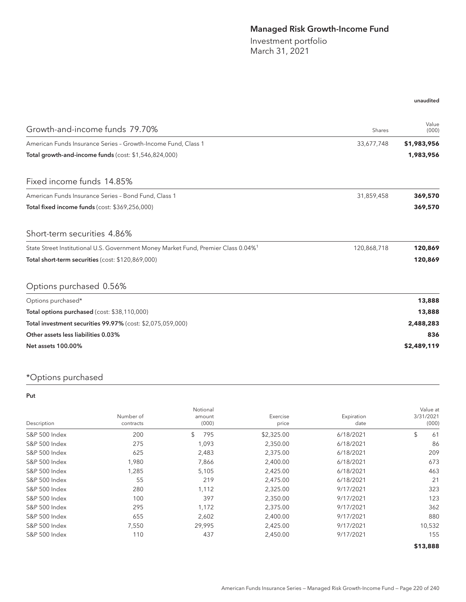## Managed Risk Growth-Income Fund

Investment portfolio March 31, 2021

| Growth-and-income funds 79.70%                                                                 | Shares      | Value<br>(000) |  |
|------------------------------------------------------------------------------------------------|-------------|----------------|--|
| American Funds Insurance Series - Growth-Income Fund, Class 1                                  | 33,677,748  | \$1,983,956    |  |
| Total growth-and-income funds (cost: \$1,546,824,000)                                          |             | 1,983,956      |  |
| Fixed income funds 14.85%                                                                      |             |                |  |
| American Funds Insurance Series - Bond Fund, Class 1                                           | 31,859,458  | 369,570        |  |
| Total fixed income funds (cost: \$369,256,000)                                                 |             | 369,570        |  |
| Short-term securities 4.86%                                                                    |             |                |  |
| State Street Institutional U.S. Government Money Market Fund, Premier Class 0.04% <sup>1</sup> | 120,868,718 | 120,869        |  |
| Total short-term securities (cost: \$120,869,000)                                              |             | 120,869        |  |
| Options purchased 0.56%                                                                        |             |                |  |
| Options purchased*                                                                             |             | 13,888         |  |
| Total options purchased (cost: \$38,110,000)                                                   |             | 13,888         |  |
| Total investment securities 99.97% (cost: \$2,075,059,000)                                     |             | 2,488,283      |  |
| Other assets less liabilities 0.03%                                                            |             | 836            |  |

### \*Options purchased

#### Put

| Description              | Number of<br>contracts | Notional<br>amount<br>(000) | Exercise<br>price | Expiration<br>date | Value at<br>3/31/2021<br>(000) |
|--------------------------|------------------------|-----------------------------|-------------------|--------------------|--------------------------------|
| S&P 500 Index            | 200                    | \$<br>795                   | \$2,325.00        | 6/18/2021          | \$<br>61                       |
| S&P 500 Index            | 275                    | 1,093                       | 2,350.00          | 6/18/2021          | 86                             |
| <b>S&amp;P 500 Index</b> | 625                    | 2,483                       | 2,375.00          | 6/18/2021          | 209                            |
| S&P 500 Index            | 1,980                  | 7,866                       | 2,400.00          | 6/18/2021          | 673                            |
| <b>S&amp;P 500 Index</b> | 1,285                  | 5,105                       | 2,425.00          | 6/18/2021          | 463                            |
| <b>S&amp;P 500 Index</b> | 55                     | 219                         | 2,475.00          | 6/18/2021          | 21                             |
| <b>S&amp;P 500 Index</b> | 280                    | 1,112                       | 2,325.00          | 9/17/2021          | 323                            |
| <b>S&amp;P 500 Index</b> | 100                    | 397                         | 2,350.00          | 9/17/2021          | 123                            |
| S&P 500 Index            | 295                    | 1,172                       | 2,375.00          | 9/17/2021          | 362                            |
| S&P 500 Index            | 655                    | 2,602                       | 2,400.00          | 9/17/2021          | 880                            |
| S&P 500 Index            | 7,550                  | 29,995                      | 2,425.00          | 9/17/2021          | 10,532                         |
| S&P 500 Index            | 110                    | 437                         | 2,450.00          | 9/17/2021          | 155                            |
|                          |                        |                             |                   |                    | \$13,888                       |

Net assets 100.00% **\$2,489,119**

American Funds Insurance Series — Managed Risk Growth-Income Fund — Page 220 of 240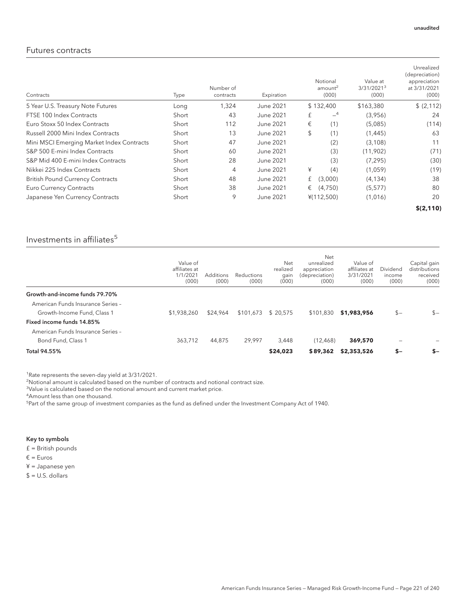### Futures contracts

| Contracts                                 | Type  | Number of<br>contracts | Expiration | Notional<br>amount <sup>2</sup><br>(000) | Value at<br>3/31/2021 <sup>3</sup><br>(000) | Unrealized<br>(depreciation)<br>appreciation<br>at 3/31/2021<br>(000) |
|-------------------------------------------|-------|------------------------|------------|------------------------------------------|---------------------------------------------|-----------------------------------------------------------------------|
| 5 Year U.S. Treasury Note Futures         | Long  | 1,324                  | June 2021  | \$132,400                                | \$163,380                                   | \$(2, 112)                                                            |
| FTSE 100 Index Contracts                  | Short | 43                     | June 2021  | $-4$<br>£                                | (3,956)                                     | 24                                                                    |
| Euro Stoxx 50 Index Contracts             | Short | 112                    | June 2021  | €<br>(1)                                 | (5,085)                                     | (114)                                                                 |
| Russell 2000 Mini Index Contracts         | Short | 13                     | June 2021  | \$<br>(1)                                | (1, 445)                                    | 63                                                                    |
| Mini MSCI Emerging Market Index Contracts | Short | 47                     | June 2021  | (2)                                      | (3, 108)                                    | 11                                                                    |
| S&P 500 E-mini Index Contracts            | Short | 60                     | June 2021  | (3)                                      | (11,902)                                    | (71)                                                                  |
| S&P Mid 400 E-mini Index Contracts        | Short | 28                     | June 2021  | (3)                                      | (7, 295)                                    | (30)                                                                  |
| Nikkei 225 Index Contracts                | Short | 4                      | June 2021  | ¥<br>(4)                                 | (1,059)                                     | (19)                                                                  |
| <b>British Pound Currency Contracts</b>   | Short | 48                     | June 2021  | (3,000)<br>£                             | (4, 134)                                    | 38                                                                    |
| Euro Currency Contracts                   | Short | 38                     | June 2021  | (4,750)<br>€                             | (5, 577)                                    | 80                                                                    |
| Japanese Yen Currency Contracts           | Short | 9                      | June 2021  | ¥(112,500)                               | (1,016)                                     | 20                                                                    |
|                                           |       |                        |            |                                          |                                             | \$(2, 110)                                                            |

# Investments in affiliates $^5$

|                                                         | Value of<br>affiliates at<br>1/1/2021<br>(000) | Additions<br>(000) | Reductions<br>(000) | Net<br>realized<br>gain<br>(000) | Net<br>unrealized<br>appreciation<br>(depreciation)<br>(000) | Value of<br>affiliates at<br>3/31/2021<br>(000) | Dividend<br>income<br>(000) | Capital gain<br>distributions<br>received<br>(000) |
|---------------------------------------------------------|------------------------------------------------|--------------------|---------------------|----------------------------------|--------------------------------------------------------------|-------------------------------------------------|-----------------------------|----------------------------------------------------|
| Growth-and-income funds 79.70%                          |                                                |                    |                     |                                  |                                                              |                                                 |                             |                                                    |
| American Funds Insurance Series -                       |                                                |                    |                     |                                  |                                                              |                                                 |                             |                                                    |
| Growth-Income Fund, Class 1                             | \$1,938,260                                    | \$24,964           | \$101,673           | \$20,575                         | \$101,830                                                    | \$1,983,956                                     | $S -$                       | $S -$                                              |
| Fixed income funds 14.85%                               |                                                |                    |                     |                                  |                                                              |                                                 |                             |                                                    |
| American Funds Insurance Series -<br>Bond Fund, Class 1 | 363.712                                        | 44,875             | 29.997              | 3,448                            | (12.468)                                                     | 369,570                                         | $\overline{\phantom{a}}$    |                                                    |
| Total 94.55%                                            |                                                |                    |                     | \$24,023                         | \$89,362                                                     | \$2,353,526                                     | $S-$                        | $S-$                                               |

<sup>1</sup>Rate represents the seven-day yield at 3/31/2021.

<sup>2</sup>Notional amount is calculated based on the number of contracts and notional contract size.

<sup>3</sup>Value is calculated based on the notional amount and current market price.

4 Amount less than one thousand.

<sup>5</sup>Part of the same group of investment companies as the fund as defined under the Investment Company Act of 1940.

#### Key to symbols

£ = British pounds

- € = Euros
- ¥ = Japanese yen
- $$ = U.S.$  dollars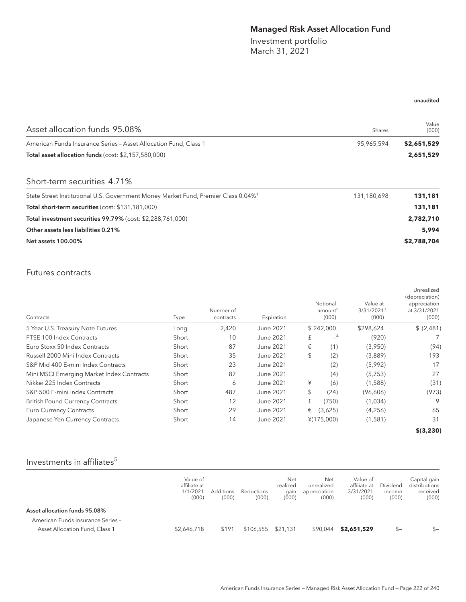# Managed Risk Asset Allocation Fund

Investment portfolio March 31, 2021

# unaudited

| Asset allocation funds 95.08%                                                                  | Shares      | Value<br>(000) |
|------------------------------------------------------------------------------------------------|-------------|----------------|
| American Funds Insurance Series - Asset Allocation Fund, Class 1                               | 95,965,594  | \$2,651,529    |
| Total asset allocation funds (cost: \$2,157,580,000)                                           |             | 2,651,529      |
| Short-term securities 4.71%                                                                    |             |                |
| State Street Institutional U.S. Government Money Market Fund, Premier Class 0.04% <sup>1</sup> | 131,180,698 | 131,181        |
| Total short-term securities (cost: \$131,181,000)                                              |             | 131,181        |
| Total investment securities 99.79% (cost: \$2,288,761,000)                                     |             | 2,782,710      |
| Other assets less liabilities 0.21%                                                            |             | 5.994          |
| <b>Net assets 100.00%</b>                                                                      |             | \$2,788,704    |

### Futures contracts

| Contracts                                 | Type  | Number of<br>contracts | Expiration |           | Notional<br>amount <sup>2</sup><br>(000) | Value at<br>3/31/2021 <sup>3</sup><br>(000) | Unrealized<br>(depreciation)<br>appreciation<br>at 3/31/2021<br>(000) |
|-------------------------------------------|-------|------------------------|------------|-----------|------------------------------------------|---------------------------------------------|-----------------------------------------------------------------------|
| 5 Year U.S. Treasury Note Futures         | Long  | 2,420                  | June 2021  | \$242,000 |                                          | \$298,624                                   | \$(2,481)                                                             |
| FTSE 100 Index Contracts                  | Short | 10                     | June 2021  | £         | $-4$                                     | (920)                                       |                                                                       |
| Euro Stoxx 50 Index Contracts             | Short | 87                     | June 2021  | €         | (1)                                      | (3,950)                                     | (94)                                                                  |
| Russell 2000 Mini Index Contracts         | Short | 35                     | June 2021  | \$        | (2)                                      | (3,889)                                     | 193                                                                   |
| S&P Mid 400 E-mini Index Contracts        | Short | 23                     | June 2021  |           | (2)                                      | (5,992)                                     | 17                                                                    |
| Mini MSCI Emerging Market Index Contracts | Short | 87                     | June 2021  |           | (4)                                      | (5,753)                                     | 27                                                                    |
| Nikkei 225 Index Contracts                | Short | 6                      | June 2021  | ¥         | (6)                                      | (1,588)                                     | (31)                                                                  |
| S&P 500 E-mini Index Contracts            | Short | 487                    | June 2021  | \$        | (24)                                     | (96,606)                                    | (973)                                                                 |
| <b>British Pound Currency Contracts</b>   | Short | 12                     | June 2021  | £         | (750)                                    | (1,034)                                     | 9                                                                     |
| <b>Euro Currency Contracts</b>            | Short | 29                     | June 2021  | €         | (3,625)                                  | (4,256)                                     | 65                                                                    |
| Japanese Yen Currency Contracts           | Short | 14                     | June 2021  |           | $*(175,000)$                             | (1,581)                                     | 31                                                                    |
|                                           |       |                        |            |           |                                          |                                             | \$ (3, 230)                                                           |

# Investments in affiliates<sup>5</sup>

|                                                                     | Value of<br>affiliate at<br>1/1/2021<br>(000) | <b>Additions</b><br>(000) | Reductions<br>(000) | Net<br>realized<br>qain<br>(000) | Net<br>unrealized<br>appreciation<br>(000) | Value of<br>affiliate at<br>3/31/2021<br>(000) | Dividend<br>income<br>(000) | Capital gain<br>distributions<br>received<br>(000) |
|---------------------------------------------------------------------|-----------------------------------------------|---------------------------|---------------------|----------------------------------|--------------------------------------------|------------------------------------------------|-----------------------------|----------------------------------------------------|
| Asset allocation funds 95.08%                                       |                                               |                           |                     |                                  |                                            |                                                |                             |                                                    |
| American Funds Insurance Series -<br>Asset Allocation Fund, Class 1 | \$2,646,718                                   | \$191                     | \$106,555           | \$21.131                         | \$90.044                                   | \$2,651,529                                    | $S-$                        | $S-$                                               |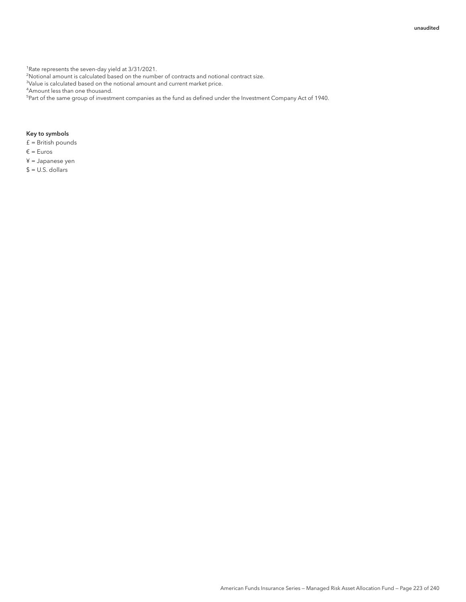<sup>1</sup>Rate represents the seven-day yield at 3/31/2021.

<sup>2</sup>Notional amount is calculated based on the number of contracts and notional contract size.

<sup>3</sup>Value is calculated based on the notional amount and current market price.

4 Amount less than one thousand.

<sup>5</sup>Part of the same group of investment companies as the fund as defined under the Investment Company Act of 1940.

#### Key to symbols

- £ = British pounds
- € = Euros

¥ = Japanese yen

 $$ = U.S.$  dollars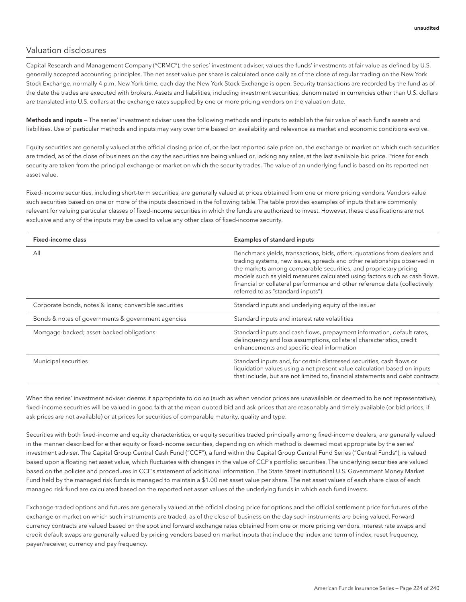### Valuation disclosures

Capital Research and Management Company ("CRMC"), the series' investment adviser, values the funds' investments at fair value as defined by U.S. generally accepted accounting principles. The net asset value per share is calculated once daily as of the close of regular trading on the New York Stock Exchange, normally 4 p.m. New York time, each day the New York Stock Exchange is open. Security transactions are recorded by the fund as of the date the trades are executed with brokers. Assets and liabilities, including investment securities, denominated in currencies other than U.S. dollars are translated into U.S. dollars at the exchange rates supplied by one or more pricing vendors on the valuation date.

Methods and inputs - The series' investment adviser uses the following methods and inputs to establish the fair value of each fund's assets and liabilities. Use of particular methods and inputs may vary over time based on availability and relevance as market and economic conditions evolve.

Equity securities are generally valued at the official closing price of, or the last reported sale price on, the exchange or market on which such securities are traded, as of the close of business on the day the securities are being valued or, lacking any sales, at the last available bid price. Prices for each security are taken from the principal exchange or market on which the security trades. The value of an underlying fund is based on its reported net asset value.

Fixed-income securities, including short-term securities, are generally valued at prices obtained from one or more pricing vendors. Vendors value such securities based on one or more of the inputs described in the following table. The table provides examples of inputs that are commonly relevant for valuing particular classes of fixed-income securities in which the funds are authorized to invest. However, these classifications are not exclusive and any of the inputs may be used to value any other class of fixed-income security.

| Fixed-income class                                     | <b>Examples of standard inputs</b>                                                                                                                                                                                                                                                                                                                                                                                         |
|--------------------------------------------------------|----------------------------------------------------------------------------------------------------------------------------------------------------------------------------------------------------------------------------------------------------------------------------------------------------------------------------------------------------------------------------------------------------------------------------|
| All                                                    | Benchmark yields, transactions, bids, offers, quotations from dealers and<br>trading systems, new issues, spreads and other relationships observed in<br>the markets among comparable securities; and proprietary pricing<br>models such as yield measures calculated using factors such as cash flows,<br>financial or collateral performance and other reference data (collectively<br>referred to as "standard inputs") |
| Corporate bonds, notes & loans; convertible securities | Standard inputs and underlying equity of the issuer                                                                                                                                                                                                                                                                                                                                                                        |
| Bonds & notes of governments & government agencies     | Standard inputs and interest rate volatilities                                                                                                                                                                                                                                                                                                                                                                             |
| Mortgage-backed; asset-backed obligations              | Standard inputs and cash flows, prepayment information, default rates,<br>delinquency and loss assumptions, collateral characteristics, credit<br>enhancements and specific deal information                                                                                                                                                                                                                               |
| Municipal securities                                   | Standard inputs and, for certain distressed securities, cash flows or<br>liquidation values using a net present value calculation based on inputs<br>that include, but are not limited to, financial statements and debt contracts                                                                                                                                                                                         |

When the series' investment adviser deems it appropriate to do so (such as when vendor prices are unavailable or deemed to be not representative), fixed-income securities will be valued in good faith at the mean quoted bid and ask prices that are reasonably and timely available (or bid prices, if ask prices are not available) or at prices for securities of comparable maturity, quality and type.

Securities with both fixed-income and equity characteristics, or equity securities traded principally among fixed-income dealers, are generally valued in the manner described for either equity or fixed-income securities, depending on which method is deemed most appropriate by the series' investment adviser. The Capital Group Central Cash Fund ("CCF"), a fund within the Capital Group Central Fund Series ("Central Funds"), is valued based upon a floating net asset value, which fluctuates with changes in the value of CCF's portfolio securities. The underlying securities are valued based on the policies and procedures in CCF's statement of additional information. The State Street Institutional U.S. Government Money Market Fund held by the managed risk funds is managed to maintain a \$1.00 net asset value per share. The net asset values of each share class of each managed risk fund are calculated based on the reported net asset values of the underlying funds in which each fund invests.

Exchange-traded options and futures are generally valued at the official closing price for options and the official settlement price for futures of the exchange or market on which such instruments are traded, as of the close of business on the day such instruments are being valued. Forward currency contracts are valued based on the spot and forward exchange rates obtained from one or more pricing vendors. Interest rate swaps and credit default swaps are generally valued by pricing vendors based on market inputs that include the index and term of index, reset frequency, payer/receiver, currency and pay frequency.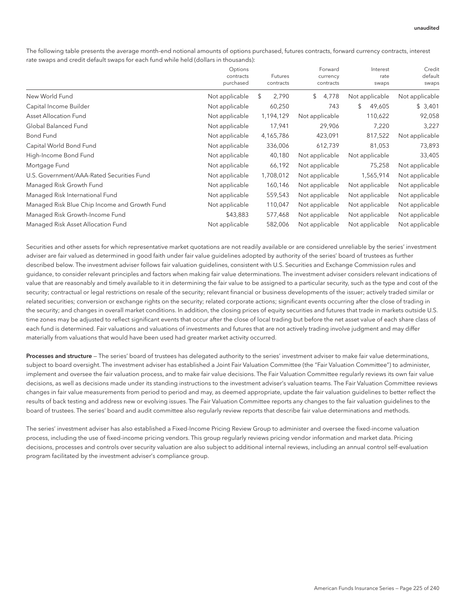The following table presents the average month-end notional amounts of options purchased, futures contracts, forward currency contracts, interest rate swaps and credit default swaps for each fund while held (dollars in thousands):

|                                               | Options<br>contracts<br>purchased | Futures<br>contracts | Forward<br>currency<br>contracts | Interest<br>rate<br>swaps | Credit<br>default<br>swaps |
|-----------------------------------------------|-----------------------------------|----------------------|----------------------------------|---------------------------|----------------------------|
| New World Fund                                | Not applicable                    | 2,790<br>\$          | \$<br>4,778                      | Not applicable            | Not applicable             |
| Capital Income Builder                        | Not applicable                    | 60,250               | 743                              | 49,605<br>\$              | \$3,401                    |
| Asset Allocation Fund                         | Not applicable                    | 1,194,129            | Not applicable                   | 110,622                   | 92,058                     |
| Global Balanced Fund                          | Not applicable                    | 17,941               | 29,906                           | 7,220                     | 3,227                      |
| <b>Bond Fund</b>                              | Not applicable                    | 4,165,786            | 423,091                          | 817,522                   | Not applicable             |
| Capital World Bond Fund                       | Not applicable                    | 336,006              | 612,739                          | 81,053                    | 73,893                     |
| High-Income Bond Fund                         | Not applicable                    | 40,180               | Not applicable                   | Not applicable            | 33,405                     |
| Mortgage Fund                                 | Not applicable                    | 66,192               | Not applicable                   | 75,258                    | Not applicable             |
| U.S. Government/AAA-Rated Securities Fund     | Not applicable                    | 1,708,012            | Not applicable                   | 1,565,914                 | Not applicable             |
| Managed Risk Growth Fund                      | Not applicable                    | 160,146              | Not applicable                   | Not applicable            | Not applicable             |
| Managed Risk International Fund               | Not applicable                    | 559,543              | Not applicable                   | Not applicable            | Not applicable             |
| Managed Risk Blue Chip Income and Growth Fund | Not applicable                    | 110,047              | Not applicable                   | Not applicable            | Not applicable             |
| Managed Risk Growth-Income Fund               | \$43,883                          | 577,468              | Not applicable                   | Not applicable            | Not applicable             |
| Managed Risk Asset Allocation Fund            | Not applicable                    | 582,006              | Not applicable                   | Not applicable            | Not applicable             |

Securities and other assets for which representative market quotations are not readily available or are considered unreliable by the series' investment adviser are fair valued as determined in good faith under fair value guidelines adopted by authority of the series' board of trustees as further described below. The investment adviser follows fair valuation guidelines, consistent with U.S. Securities and Exchange Commission rules and guidance, to consider relevant principles and factors when making fair value determinations. The investment adviser considers relevant indications of value that are reasonably and timely available to it in determining the fair value to be assigned to a particular security, such as the type and cost of the security; contractual or legal restrictions on resale of the security; relevant financial or business developments of the issuer; actively traded similar or related securities; conversion or exchange rights on the security; related corporate actions; significant events occurring after the close of trading in the security; and changes in overall market conditions. In addition, the closing prices of equity securities and futures that trade in markets outside U.S. time zones may be adjusted to reflect significant events that occur after the close of local trading but before the net asset value of each share class of each fund is determined. Fair valuations and valuations of investments and futures that are not actively trading involve judgment and may differ materially from valuations that would have been used had greater market activity occurred.

Processes and structure - The series' board of trustees has delegated authority to the series' investment adviser to make fair value determinations, subject to board oversight. The investment adviser has established a Joint Fair Valuation Committee (the "Fair Valuation Committee") to administer, implement and oversee the fair valuation process, and to make fair value decisions. The Fair Valuation Committee regularly reviews its own fair value decisions, as well as decisions made under its standing instructions to the investment adviser's valuation teams. The Fair Valuation Committee reviews changes in fair value measurements from period to period and may, as deemed appropriate, update the fair valuation guidelines to better reflect the results of back testing and address new or evolving issues. The Fair Valuation Committee reports any changes to the fair valuation guidelines to the board of trustees. The series' board and audit committee also regularly review reports that describe fair value determinations and methods.

The series' investment adviser has also established a Fixed-Income Pricing Review Group to administer and oversee the fixed-income valuation process, including the use of fixed-income pricing vendors. This group regularly reviews pricing vendor information and market data. Pricing decisions, processes and controls over security valuation are also subject to additional internal reviews, including an annual control self-evaluation program facilitated by the investment adviser's compliance group.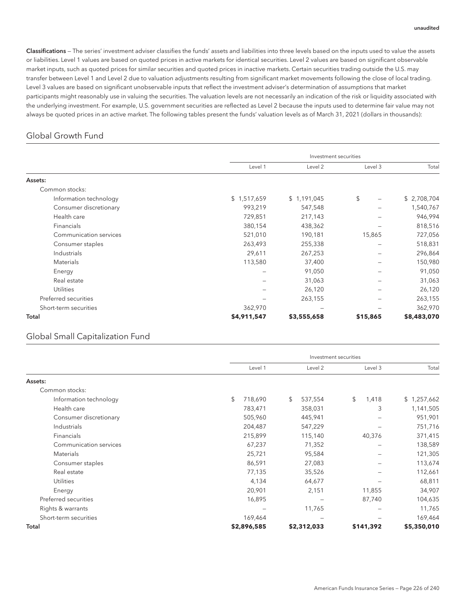Classifications — The series' investment adviser classifies the funds' assets and liabilities into three levels based on the inputs used to value the assets or liabilities. Level 1 values are based on quoted prices in active markets for identical securities. Level 2 values are based on significant observable market inputs, such as quoted prices for similar securities and quoted prices in inactive markets. Certain securities trading outside the U.S. may transfer between Level 1 and Level 2 due to valuation adjustments resulting from significant market movements following the close of local trading. Level 3 values are based on significant unobservable inputs that reflect the investment adviser's determination of assumptions that market participants might reasonably use in valuing the securities. The valuation levels are not necessarily an indication of the risk or liquidity associated with the underlying investment. For example, U.S. government securities are reflected as Level 2 because the inputs used to determine fair value may not always be quoted prices in an active market. The following tables present the funds' valuation levels as of March 31, 2021 (dollars in thousands):

### Global Growth Fund

|                        |             | Investment securities |          |             |
|------------------------|-------------|-----------------------|----------|-------------|
|                        | Level 1     | Level 2               | Level 3  | Total       |
| Assets:                |             |                       |          |             |
| Common stocks:         |             |                       |          |             |
| Information technology | \$1,517,659 | \$1,191,045           | \$       | \$2,708,704 |
| Consumer discretionary | 993,219     | 547,548               |          | 1,540,767   |
| Health care            | 729,851     | 217,143               |          | 946,994     |
| <b>Financials</b>      | 380,154     | 438,362               |          | 818,516     |
| Communication services | 521,010     | 190,181               | 15,865   | 727,056     |
| Consumer staples       | 263,493     | 255,338               |          | 518,831     |
| Industrials            | 29,611      | 267,253               |          | 296,864     |
| Materials              | 113,580     | 37,400                |          | 150,980     |
| Energy                 |             | 91,050                |          | 91,050      |
| Real estate            |             | 31,063                |          | 31,063      |
| <b>Utilities</b>       |             | 26,120                |          | 26,120      |
| Preferred securities   |             | 263,155               |          | 263,155     |
| Short-term securities  | 362,970     |                       |          | 362,970     |
| Total                  | \$4,911,547 | \$3,555,658           | \$15,865 | \$8,483,070 |

### Global Small Capitalization Fund

|                        |               |       |               | Investment securities |   |             |
|------------------------|---------------|-------|---------------|-----------------------|---|-------------|
|                        | Level 1       |       | Level 2       | Level 3               |   | Total       |
| Assets:                |               |       |               |                       |   |             |
| Common stocks:         |               |       |               |                       |   |             |
| Information technology | \$<br>718,690 |       | \$<br>537,554 | \$<br>1,418           |   | \$1,257,662 |
| Health care            | 783,471       |       | 358,031       |                       | 3 | 1,141,505   |
| Consumer discretionary | 505,960       |       | 445,941       |                       |   | 951,901     |
| Industrials            | 204,487       |       | 547,229       |                       |   | 751,716     |
| Financials             | 215,899       |       | 115,140       | 40,376                |   | 371,415     |
| Communication services | 67,237        |       | 71,352        |                       |   | 138,589     |
| Materials              | 25,721        |       | 95,584        |                       |   | 121,305     |
| Consumer staples       | 86,591        |       | 27,083        |                       |   | 113,674     |
| Real estate            | 77,135        |       | 35,526        |                       |   | 112,661     |
| <b>Utilities</b>       |               | 4,134 | 64,677        |                       |   | 68,811      |
| Energy                 | 20,901        |       | 2,151         | 11,855                |   | 34,907      |
| Preferred securities   | 16,895        |       |               | 87,740                |   | 104,635     |
| Rights & warrants      |               |       | 11,765        |                       |   | 11,765      |
| Short-term securities  | 169,464       |       |               |                       |   | 169,464     |
| Total                  | \$2,896,585   |       | \$2,312,033   | \$141,392             |   | \$5,350,010 |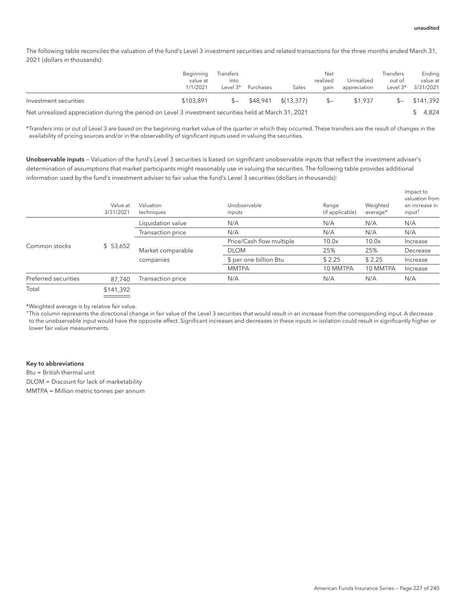The following table reconciles the valuation of the fund's Level 3 investment securities and related transactions for the three months ended March 31, 2021 (dollars in thousands):

|                                                                                                       | Beginning<br>value at<br>1/1/2021 | Transfers<br>into<br>Level 3* | Purchases | Sales               | Net<br>realized<br>qain | Unrealized<br>appreciation | Transfers<br>out of<br>Level $3^*$ | Ending<br>value at<br>3/31/2021 |
|-------------------------------------------------------------------------------------------------------|-----------------------------------|-------------------------------|-----------|---------------------|-------------------------|----------------------------|------------------------------------|---------------------------------|
| Investment securities                                                                                 | \$103.891                         | $S-$                          |           | \$48,941 \$(13,377) |                         | \$1,937                    |                                    | \$141.392                       |
| Not uproglized approxiation during the period on Level 3 investment securities hold at March 31, 2021 |                                   |                               |           |                     |                         |                            |                                    | $A$ 82 $A$                      |

Net unrealized appreciation during the period on Level 3 investment securities held at March 31, 2021 **\$ 4,824** 

\*Transfers into or out of Level 3 are based on the beginning market value of the quarter in which they occurred. These transfers are the result of changes in the availability of pricing sources and/or in the observability of significant inputs used in valuing the securities.

Unobservable inputs — Valuation of the fund's Level 3 securities is based on significant unobservable inputs that reflect the investment adviser's determination of assumptions that market participants might reasonably use in valuing the securities. The following table provides additional information used by the fund's investment adviser to fair value the fund's Level 3 securities (dollars in thousands):

|                      | Value at<br>3/31/2021 | Valuation<br>techniques | Unobservable<br>inputs   | Range<br>(if applicable) | Weighted<br>average* | Impact to<br>valuation from<br>an increase in<br>$input^{\dagger}$ |
|----------------------|-----------------------|-------------------------|--------------------------|--------------------------|----------------------|--------------------------------------------------------------------|
|                      |                       | Liquidation value       | N/A                      | N/A                      | N/A                  | N/A                                                                |
|                      |                       | Transaction price       | N/A                      | N/A                      | N/A                  | N/A                                                                |
|                      |                       |                         | Price/Cash flow multiple | 10.0x                    | 10.0x                | Increase                                                           |
| Common stocks        | \$53,652              | Market comparable       | <b>DLOM</b>              | 25%                      | 25%                  | Decrease                                                           |
|                      |                       | companies               | \$ per one billion Btu   | \$2.25                   | \$2.25               | Increase                                                           |
|                      |                       |                         | <b>MMTPA</b>             | 10 MMTPA                 | 10 MMTPA             | Increase                                                           |
| Preferred securities | 87,740                | Transaction price       | N/A                      | N/A                      | N/A                  | N/A                                                                |
| Total                | \$141,392             |                         |                          |                          |                      |                                                                    |

\*Weighted average is by relative fair value.

† This column represents the directional change in fair value of the Level 3 securities that would result in an increase from the corresponding input. A decrease to the unobservable input would have the opposite effect. Significant increases and decreases in these inputs in isolation could result in significantly higher or lower fair value measurements.

#### Key to abbreviations

Btu = British thermal unit

DLOM = Discount for lack of marketability

MMTPA = Million metric tonnes per annum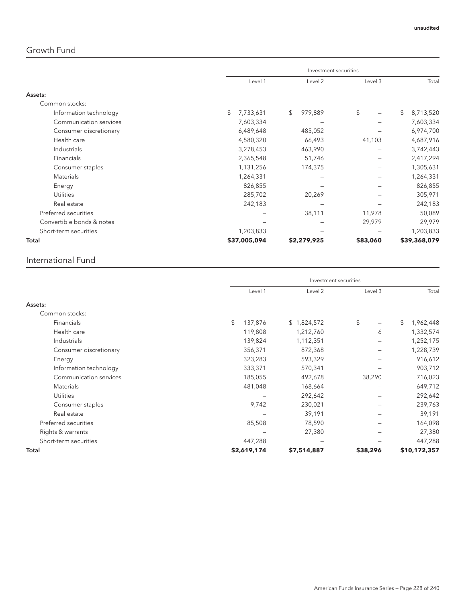# Growth Fund

|                           |                 |         |             | Investment securities |          |                 |
|---------------------------|-----------------|---------|-------------|-----------------------|----------|-----------------|
|                           |                 | Level 1 | Level 2     |                       | Level 3  | Total           |
| Assets:                   |                 |         |             |                       |          |                 |
| Common stocks:            |                 |         |             |                       |          |                 |
| Information technology    | \$<br>7,733,631 | \$      | 979,889     | \$                    |          | \$<br>8,713,520 |
| Communication services    | 7,603,334       |         |             |                       |          | 7,603,334       |
| Consumer discretionary    | 6,489,648       |         | 485,052     |                       |          | 6,974,700       |
| Health care               | 4,580,320       |         | 66,493      |                       | 41,103   | 4,687,916       |
| Industrials               | 3,278,453       |         | 463,990     |                       |          | 3,742,443       |
| Financials                | 2,365,548       |         | 51,746      |                       |          | 2,417,294       |
| Consumer staples          | 1,131,256       |         | 174,375     |                       |          | 1,305,631       |
| Materials                 | 1,264,331       |         |             |                       |          | 1,264,331       |
| Energy                    | 826,855         |         |             |                       |          | 826,855         |
| <b>Utilities</b>          | 285,702         |         | 20,269      |                       |          | 305,971         |
| Real estate               | 242,183         |         |             |                       |          | 242,183         |
| Preferred securities      |                 |         | 38,111      |                       | 11,978   | 50,089          |
| Convertible bonds & notes |                 |         |             |                       | 29,979   | 29,979          |
| Short-term securities     | 1,203,833       |         |             |                       |          | 1,203,833       |
| Total                     | \$37,005,094    |         | \$2,279,925 |                       | \$83,060 | \$39,368,079    |

## International Fund

| Common stocks:<br>Financials<br>Health care<br>Industrials<br>Consumer discretionary<br>Energy<br>Information technology<br>Communication services<br><b>Materials</b><br><b>Utilities</b><br>Consumer staples<br>Real estate<br>Preferred securities<br>Rights & warrants<br>Short-term securities |               | Investment securities |          |                 |  |  |  |  |
|-----------------------------------------------------------------------------------------------------------------------------------------------------------------------------------------------------------------------------------------------------------------------------------------------------|---------------|-----------------------|----------|-----------------|--|--|--|--|
|                                                                                                                                                                                                                                                                                                     | Level 1       | Level 2               | Level 3  | Total           |  |  |  |  |
| Assets:                                                                                                                                                                                                                                                                                             |               |                       |          |                 |  |  |  |  |
|                                                                                                                                                                                                                                                                                                     |               |                       |          |                 |  |  |  |  |
|                                                                                                                                                                                                                                                                                                     | \$<br>137,876 | \$1,824,572           | \$       | \$<br>1,962,448 |  |  |  |  |
|                                                                                                                                                                                                                                                                                                     | 119,808       | 1,212,760             | 6        | 1,332,574       |  |  |  |  |
|                                                                                                                                                                                                                                                                                                     | 139,824       | 1,112,351             |          | 1,252,175       |  |  |  |  |
|                                                                                                                                                                                                                                                                                                     | 356,371       | 872,368               |          | 1,228,739       |  |  |  |  |
|                                                                                                                                                                                                                                                                                                     | 323,283       | 593,329               |          | 916,612         |  |  |  |  |
|                                                                                                                                                                                                                                                                                                     | 333,371       | 570,341               |          | 903,712         |  |  |  |  |
|                                                                                                                                                                                                                                                                                                     | 185,055       | 492,678               | 38,290   | 716,023         |  |  |  |  |
|                                                                                                                                                                                                                                                                                                     | 481,048       | 168,664               |          | 649,712         |  |  |  |  |
|                                                                                                                                                                                                                                                                                                     |               | 292,642               |          | 292,642         |  |  |  |  |
|                                                                                                                                                                                                                                                                                                     | 9,742         | 230,021               |          | 239,763         |  |  |  |  |
|                                                                                                                                                                                                                                                                                                     |               | 39,191                |          | 39,191          |  |  |  |  |
|                                                                                                                                                                                                                                                                                                     | 85,508        | 78,590                |          | 164,098         |  |  |  |  |
|                                                                                                                                                                                                                                                                                                     |               | 27,380                |          | 27,380          |  |  |  |  |
|                                                                                                                                                                                                                                                                                                     | 447,288       |                       |          | 447,288         |  |  |  |  |
| Total                                                                                                                                                                                                                                                                                               | \$2,619,174   | \$7,514,887           | \$38,296 | \$10,172,357    |  |  |  |  |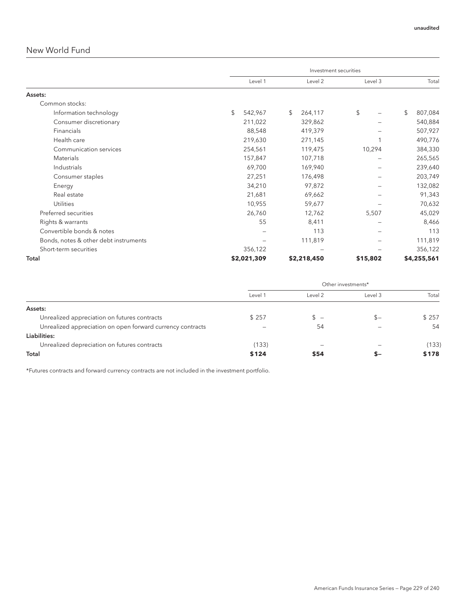# New World Fund

|                                       |               | Investment securities |          |               |
|---------------------------------------|---------------|-----------------------|----------|---------------|
|                                       | Level 1       | Level 2               | Level 3  | Total         |
| Assets:                               |               |                       |          |               |
| Common stocks:                        |               |                       |          |               |
| Information technology                | \$<br>542,967 | \$<br>264,117         | \$       | \$<br>807,084 |
| Consumer discretionary                | 211,022       | 329,862               |          | 540,884       |
| Financials                            | 88,548        | 419,379               |          | 507,927       |
| Health care                           | 219,630       | 271,145               |          | 490,776       |
| Communication services                | 254,561       | 119,475               | 10,294   | 384,330       |
| Materials                             | 157,847       | 107,718               |          | 265,565       |
| Industrials                           | 69,700        | 169,940               |          | 239,640       |
| Consumer staples                      | 27,251        | 176,498               |          | 203,749       |
| Energy                                | 34,210        | 97,872                |          | 132,082       |
| Real estate                           | 21,681        | 69,662                |          | 91,343        |
| Utilities                             | 10,955        | 59,677                |          | 70,632        |
| Preferred securities                  | 26,760        | 12,762                | 5,507    | 45,029        |
| Rights & warrants                     | 55            | 8,411                 |          | 8,466         |
| Convertible bonds & notes             |               | 113                   |          | 113           |
| Bonds, notes & other debt instruments |               | 111,819               |          | 111,819       |
| Short-term securities                 | 356,122       |                       |          | 356,122       |
| Total                                 | \$2,021,309   | \$2,218,450           | \$15,802 | \$4,255,561   |

|                                                            | Other investments*<br>Level 1<br>Level 2<br>Level 3<br>\$257<br>$s -$<br>$S-$<br>54<br>- |      |  | Total |  |  |  |
|------------------------------------------------------------|------------------------------------------------------------------------------------------|------|--|-------|--|--|--|
|                                                            |                                                                                          |      |  |       |  |  |  |
| Assets:                                                    |                                                                                          |      |  |       |  |  |  |
| Unrealized appreciation on futures contracts               |                                                                                          |      |  | \$257 |  |  |  |
| Unrealized appreciation on open forward currency contracts |                                                                                          |      |  | 54    |  |  |  |
| Liabilities:                                               |                                                                                          |      |  |       |  |  |  |
| Unrealized depreciation on futures contracts               | (133)                                                                                    |      |  | (133) |  |  |  |
| Total                                                      | \$124                                                                                    | \$54 |  | \$178 |  |  |  |

\*Futures contracts and forward currency contracts are not included in the investment portfolio.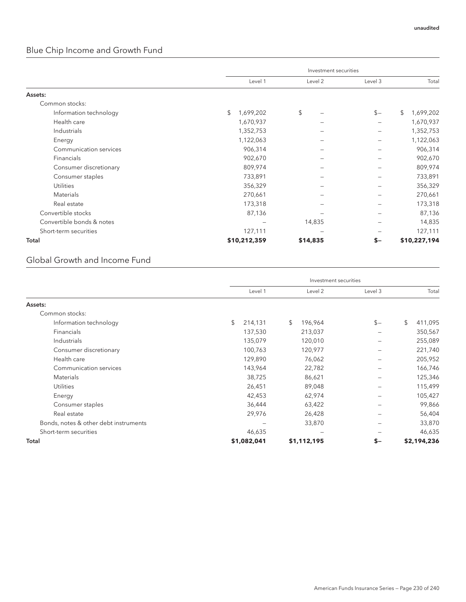# Blue Chip Income and Growth Fund

|                           |               |              |          | Investment securities |         |    |              |  |  |  |
|---------------------------|---------------|--------------|----------|-----------------------|---------|----|--------------|--|--|--|
|                           |               | Level 1      |          | Level 2               | Level 3 |    | Total        |  |  |  |
| Assets:                   |               |              |          |                       |         |    |              |  |  |  |
| Common stocks:            |               |              |          |                       |         |    |              |  |  |  |
| Information technology    | $\mathcal{Z}$ | 1,699,202    | \$       |                       | $$ -$   | \$ | 1,699,202    |  |  |  |
| Health care               |               | 1,670,937    |          |                       |         |    | 1,670,937    |  |  |  |
| Industrials               |               | 1,352,753    |          | —                     |         |    | 1,352,753    |  |  |  |
| Energy                    |               | 1,122,063    |          | —                     |         |    | 1,122,063    |  |  |  |
| Communication services    |               | 906,314      |          | —                     |         |    | 906,314      |  |  |  |
| Financials                |               | 902,670      |          |                       |         |    | 902,670      |  |  |  |
| Consumer discretionary    |               | 809,974      |          | —                     |         |    | 809,974      |  |  |  |
| Consumer staples          |               | 733,891      |          | —                     |         |    | 733,891      |  |  |  |
| <b>Utilities</b>          |               | 356,329      |          | —                     |         |    | 356,329      |  |  |  |
| Materials                 |               | 270,661      |          |                       |         |    | 270,661      |  |  |  |
| Real estate               |               | 173,318      |          |                       |         |    | 173,318      |  |  |  |
| Convertible stocks        |               | 87,136       |          |                       |         |    | 87,136       |  |  |  |
| Convertible bonds & notes |               |              |          | 14,835                |         |    | 14,835       |  |  |  |
| Short-term securities     |               | 127,111      |          | -                     |         |    | 127,111      |  |  |  |
| Total                     |               | \$10,212,359 | \$14,835 |                       | $S-$    |    | \$10,227,194 |  |  |  |

# Global Growth and Income Fund

|                                       |               | Investment securities |         |               |
|---------------------------------------|---------------|-----------------------|---------|---------------|
|                                       | Level 1       | Level 2               | Level 3 | Total         |
| Assets:                               |               |                       |         |               |
| Common stocks:                        |               |                       |         |               |
| Information technology                | \$<br>214,131 | \$<br>196,964         | $$-$    | \$<br>411,095 |
| Financials                            | 137,530       | 213,037               |         | 350,567       |
| Industrials                           | 135,079       | 120,010               |         | 255,089       |
| Consumer discretionary                | 100,763       | 120,977               |         | 221,740       |
| Health care                           | 129,890       | 76,062                |         | 205,952       |
| Communication services                | 143,964       | 22,782                |         | 166,746       |
| Materials                             | 38,725        | 86,621                |         | 125,346       |
| <b>Utilities</b>                      | 26,451        | 89,048                |         | 115,499       |
| Energy                                | 42,453        | 62,974                |         | 105,427       |
| Consumer staples                      | 36,444        | 63,422                |         | 99,866        |
| Real estate                           | 29,976        | 26,428                |         | 56,404        |
| Bonds, notes & other debt instruments |               | 33,870                |         | 33,870        |
| Short-term securities                 | 46,635        |                       |         | 46,635        |
| Total                                 | \$1,082,041   | \$1,112,195           | $S-$    | \$2,194,236   |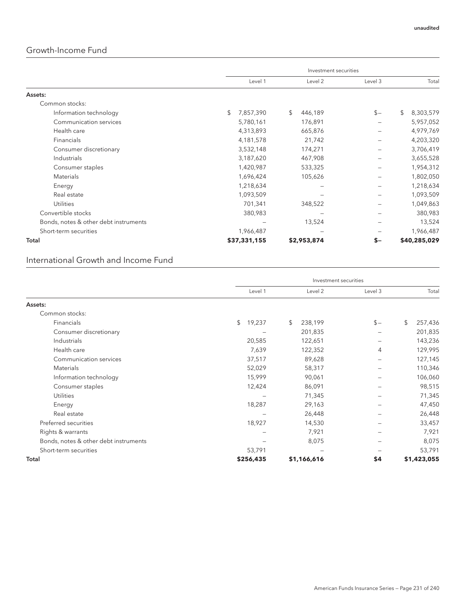# Growth-Income Fund

|                                       |    |              |    | Investment securities |         |              |              |
|---------------------------------------|----|--------------|----|-----------------------|---------|--------------|--------------|
|                                       |    | Level 1      |    | Level 2               | Level 3 |              | Total        |
| Assets:                               |    |              |    |                       |         |              |              |
| Common stocks:                        |    |              |    |                       |         |              |              |
| Information technology                | \$ | 7,857,390    | \$ | 446,189               | $$-$    | $\mathbb{S}$ | 8,303,579    |
| Communication services                |    | 5,780,161    |    | 176,891               |         |              | 5,957,052    |
| Health care                           |    | 4,313,893    |    | 665,876               |         |              | 4,979,769    |
| Financials                            |    | 4,181,578    |    | 21,742                |         |              | 4,203,320    |
| Consumer discretionary                |    | 3,532,148    |    | 174,271               |         |              | 3,706,419    |
| Industrials                           |    | 3,187,620    |    | 467,908               |         |              | 3,655,528    |
| Consumer staples                      |    | 1,420,987    |    | 533,325               |         |              | 1,954,312    |
| <b>Materials</b>                      |    | 1,696,424    |    | 105,626               |         |              | 1,802,050    |
| Energy                                |    | 1,218,634    |    |                       |         |              | 1,218,634    |
| Real estate                           |    | 1,093,509    |    |                       |         |              | 1,093,509    |
| <b>Utilities</b>                      |    | 701,341      |    | 348,522               |         |              | 1,049,863    |
| Convertible stocks                    |    | 380,983      |    |                       |         |              | 380,983      |
| Bonds, notes & other debt instruments |    |              |    | 13,524                |         |              | 13,524       |
| Short-term securities                 |    | 1,966,487    |    |                       |         |              | 1,966,487    |
| Total                                 |    | \$37,331,155 |    | \$2,953,874           | $S-$    |              | \$40,285,029 |

# International Growth and Income Fund

|                                       | Investment securities |                          |               |         |               |
|---------------------------------------|-----------------------|--------------------------|---------------|---------|---------------|
|                                       | Level 1               |                          | Level 2       | Level 3 | Total         |
| Assets:                               |                       |                          |               |         |               |
| Common stocks:                        |                       |                          |               |         |               |
| Financials                            | \$19,237              |                          | \$<br>238,199 | $$ -$   | \$<br>257,436 |
| Consumer discretionary                |                       |                          | 201,835       |         | 201,835       |
| Industrials                           | 20,585                |                          | 122,651       |         | 143,236       |
| Health care                           | 7,639                 |                          | 122,352       | 4       | 129,995       |
| Communication services                | 37,517                |                          | 89,628        |         | 127,145       |
| Materials                             | 52,029                |                          | 58,317        |         | 110,346       |
| Information technology                | 15,999                |                          | 90,061        |         | 106,060       |
| Consumer staples                      | 12,424                |                          | 86,091        |         | 98,515        |
| <b>Utilities</b>                      |                       | $\overline{\phantom{m}}$ | 71,345        |         | 71,345        |
| Energy                                | 18,287                |                          | 29,163        |         | 47,450        |
| Real estate                           |                       |                          | 26,448        |         | 26,448        |
| Preferred securities                  | 18,927                |                          | 14,530        |         | 33,457        |
| Rights & warrants                     |                       |                          | 7,921         |         | 7,921         |
| Bonds, notes & other debt instruments |                       |                          | 8,075         |         | 8,075         |
| Short-term securities                 | 53,791                |                          |               |         | 53,791        |
| Total                                 | \$256,435             |                          | \$1,166,616   | \$4     | \$1,423,055   |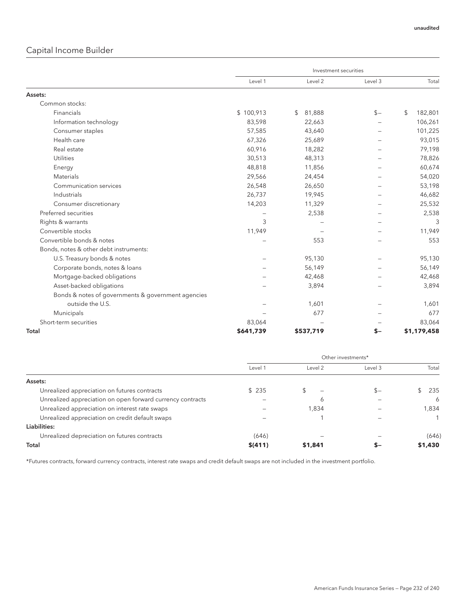# Capital Income Builder

|                                                    |           | Investment securities |         |               |
|----------------------------------------------------|-----------|-----------------------|---------|---------------|
|                                                    | Level 1   | Level 2               | Level 3 | Total         |
| Assets:                                            |           |                       |         |               |
| Common stocks:                                     |           |                       |         |               |
| Financials                                         | \$100,913 | 81,888<br>\$          | $S -$   | \$<br>182,801 |
| Information technology                             | 83,598    | 22,663                |         | 106,261       |
| Consumer staples                                   | 57,585    | 43,640                |         | 101,225       |
| Health care                                        | 67,326    | 25,689                |         | 93,015        |
| Real estate                                        | 60,916    | 18,282                |         | 79,198        |
| Utilities                                          | 30,513    | 48,313                |         | 78,826        |
| Energy                                             | 48,818    | 11,856                |         | 60,674        |
| <b>Materials</b>                                   | 29,566    | 24,454                |         | 54,020        |
| Communication services                             | 26,548    | 26,650                |         | 53,198        |
| Industrials                                        | 26,737    | 19,945                |         | 46,682        |
| Consumer discretionary                             | 14,203    | 11,329                |         | 25,532        |
| Preferred securities                               |           | 2,538                 |         | 2,538         |
| Rights & warrants                                  | 3         |                       |         | 3             |
| Convertible stocks                                 | 11,949    |                       |         | 11,949        |
| Convertible bonds & notes                          |           | 553                   |         | 553           |
| Bonds, notes & other debt instruments:             |           |                       |         |               |
| U.S. Treasury bonds & notes                        |           | 95,130                |         | 95,130        |
| Corporate bonds, notes & loans                     |           | 56,149                |         | 56,149        |
| Mortgage-backed obligations                        |           | 42,468                |         | 42,468        |
| Asset-backed obligations                           |           | 3,894                 |         | 3,894         |
| Bonds & notes of governments & government agencies |           |                       |         |               |
| outside the U.S.                                   |           | 1,601                 |         | 1,601         |
| Municipals                                         |           | 677                   |         | 677           |
| Short-term securities                              | 83,064    |                       |         | 83,064        |
| Total                                              | \$641,739 | \$537,719             | $S-$    | \$1,179,458   |

|                                                            | Other investments* |         |         |         |  |
|------------------------------------------------------------|--------------------|---------|---------|---------|--|
|                                                            | Level 1            | Level 2 | Level 3 | Total   |  |
| Assets:                                                    |                    |         |         |         |  |
| Unrealized appreciation on futures contracts               | \$235              |         | $S-$    | 235     |  |
| Unrealized appreciation on open forward currency contracts |                    | Ô       |         | 6       |  |
| Unrealized appreciation on interest rate swaps             |                    | 1,834   |         | 1.834   |  |
| Unrealized appreciation on credit default swaps            |                    |         |         |         |  |
| Liabilities:                                               |                    |         |         |         |  |
| Unrealized depreciation on futures contracts               | (646)              |         |         | (646)   |  |
| Total                                                      | \$(411)            | \$1,841 |         | \$1,430 |  |

\*Futures contracts, forward currency contracts, interest rate swaps and credit default swaps are not included in the investment portfolio.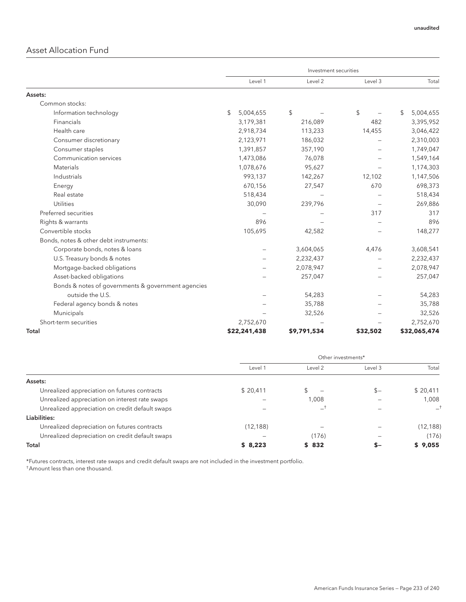# Asset Allocation Fund

|                                                    | Investment securities |              |             |          |                 |
|----------------------------------------------------|-----------------------|--------------|-------------|----------|-----------------|
|                                                    |                       | Level 1      | Level 2     | Level 3  | Total           |
|                                                    |                       |              |             |          |                 |
| Assets:                                            |                       |              |             |          |                 |
| Common stocks:                                     |                       |              |             |          |                 |
| Information technology                             | \$                    | 5,004,655    | \$          | \$       | \$<br>5,004,655 |
| Financials                                         |                       | 3,179,381    | 216,089     | 482      | 3,395,952       |
| Health care                                        |                       | 2,918,734    | 113,233     | 14,455   | 3,046,422       |
| Consumer discretionary                             |                       | 2,123,971    | 186,032     |          | 2,310,003       |
| Consumer staples                                   |                       | 1,391,857    | 357,190     |          | 1,749,047       |
| Communication services                             |                       | 1,473,086    | 76,078      |          | 1,549,164       |
| Materials                                          |                       | 1,078,676    | 95,627      |          | 1,174,303       |
| Industrials                                        |                       | 993,137      | 142,267     | 12,102   | 1,147,506       |
| Energy                                             |                       | 670,156      | 27,547      | 670      | 698,373         |
| Real estate                                        |                       | 518,434      |             |          | 518,434         |
| <b>Utilities</b>                                   |                       | 30,090       | 239,796     |          | 269,886         |
| Preferred securities                               |                       |              |             | 317      | 317             |
| Rights & warrants                                  |                       | 896          |             |          | 896             |
| Convertible stocks                                 |                       | 105,695      | 42,582      |          | 148,277         |
| Bonds, notes & other debt instruments:             |                       |              |             |          |                 |
| Corporate bonds, notes & loans                     |                       |              | 3,604,065   | 4,476    | 3,608,541       |
| U.S. Treasury bonds & notes                        |                       |              | 2,232,437   |          | 2,232,437       |
| Mortgage-backed obligations                        |                       |              | 2,078,947   |          | 2,078,947       |
| Asset-backed obligations                           |                       |              | 257,047     |          | 257,047         |
| Bonds & notes of governments & government agencies |                       |              |             |          |                 |
| outside the U.S.                                   |                       |              | 54,283      |          | 54,283          |
| Federal agency bonds & notes                       |                       |              | 35,788      |          | 35,788          |
| Municipals                                         |                       |              | 32,526      |          | 32,526          |
| Short-term securities                              |                       | 2,752,670    |             |          | 2,752,670       |
| Total                                              |                       | \$22,241,438 | \$9,791,534 | \$32,502 | \$32,065,474    |

|                                                 | Other investments* |                          |         |                |  |
|-------------------------------------------------|--------------------|--------------------------|---------|----------------|--|
|                                                 | Level 1            | Level 2                  | Level 3 | Total          |  |
| Assets:                                         |                    |                          |         |                |  |
| Unrealized appreciation on futures contracts    | \$20.411           | $\overline{\phantom{0}}$ | $S-$    | \$20,411       |  |
| Unrealized appreciation on interest rate swaps  |                    | 1.008                    |         | 1.008          |  |
| Unrealized appreciation on credit default swaps |                    | است                      |         | $\_^{\dagger}$ |  |
| Liabilities:                                    |                    |                          |         |                |  |
| Unrealized depreciation on futures contracts    | (12, 188)          |                          |         | (12, 188)      |  |
| Unrealized depreciation on credit default swaps |                    | (176)                    |         | (176)          |  |
| Total                                           | \$8,223            | \$832                    |         | \$9,055        |  |

\*Futures contracts, interest rate swaps and credit default swaps are not included in the investment portfolio. † Amount less than one thousand.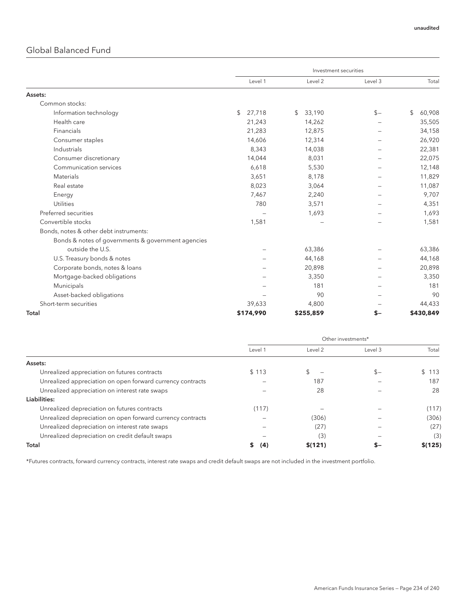# Global Balanced Fund

|                                                    |              | Investment securities    |         |              |
|----------------------------------------------------|--------------|--------------------------|---------|--------------|
|                                                    | Level 1      | Level 2                  | Level 3 | Total        |
| Assets:                                            |              |                          |         |              |
| Common stocks:                                     |              |                          |         |              |
| Information technology                             | 27,718<br>\$ | 33,190<br>$\mathfrak{L}$ | $S -$   | \$<br>60,908 |
| Health care                                        | 21,243       | 14,262                   |         | 35,505       |
| Financials                                         | 21,283       | 12,875                   |         | 34,158       |
| Consumer staples                                   | 14,606       | 12,314                   |         | 26,920       |
| Industrials                                        | 8,343        | 14,038                   |         | 22,381       |
| Consumer discretionary                             | 14,044       | 8,031                    |         | 22,075       |
| Communication services                             | 6,618        | 5,530                    |         | 12,148       |
| <b>Materials</b>                                   | 3,651        | 8,178                    |         | 11,829       |
| Real estate                                        | 8,023        | 3,064                    |         | 11,087       |
| Energy                                             | 7,467        | 2,240                    |         | 9,707        |
| Utilities                                          | 780          | 3,571                    |         | 4,351        |
| Preferred securities                               |              | 1,693                    |         | 1,693        |
| Convertible stocks                                 | 1,581        |                          |         | 1,581        |
| Bonds, notes & other debt instruments:             |              |                          |         |              |
| Bonds & notes of governments & government agencies |              |                          |         |              |
| outside the U.S.                                   |              | 63,386                   |         | 63,386       |
| U.S. Treasury bonds & notes                        |              | 44,168                   |         | 44,168       |
| Corporate bonds, notes & loans                     |              | 20,898                   |         | 20,898       |
| Mortgage-backed obligations                        |              | 3,350                    |         | 3,350        |
| Municipals                                         |              | 181                      |         | 181          |
| Asset-backed obligations                           |              | 90                       |         | 90           |
| Short-term securities                              | 39,633       | 4,800                    |         | 44,433       |
| Total                                              | \$174,990    | \$255,859                | \$–     | \$430,849    |

|                                                            | Other investments* |         |         |         |
|------------------------------------------------------------|--------------------|---------|---------|---------|
|                                                            | Level 1            | Level 2 | Level 3 | Total   |
| Assets:                                                    |                    |         |         |         |
| Unrealized appreciation on futures contracts               | \$113              |         | $S-$    | \$113   |
| Unrealized appreciation on open forward currency contracts |                    | 187     |         | 187     |
| Unrealized appreciation on interest rate swaps             |                    | 28      |         | 28      |
| Liabilities:                                               |                    |         |         |         |
| Unrealized depreciation on futures contracts               | (117)              |         |         | (117)   |
| Unrealized depreciation on open forward currency contracts |                    | (306)   |         | (306)   |
| Unrealized depreciation on interest rate swaps             |                    | (27)    |         | (27)    |
| Unrealized depreciation on credit default swaps            |                    | (3)     |         | (3)     |
| Total                                                      | (4)                | \$(121) |         | \$(125) |

\*Futures contracts, forward currency contracts, interest rate swaps and credit default swaps are not included in the investment portfolio.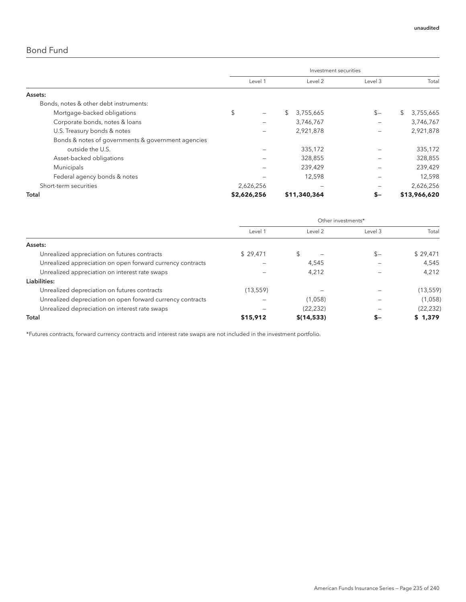### Bond Fund

|                                                    | Investment securities          |                 |         |                 |  |  |
|----------------------------------------------------|--------------------------------|-----------------|---------|-----------------|--|--|
|                                                    | Level 1                        | Level 2         | Level 3 | Total           |  |  |
| Assets:                                            |                                |                 |         |                 |  |  |
| Bonds, notes & other debt instruments:             |                                |                 |         |                 |  |  |
| Mortgage-backed obligations                        | \$<br>$\overline{\phantom{0}}$ | \$<br>3,755,665 | $s-$    | \$<br>3,755,665 |  |  |
| Corporate bonds, notes & loans                     |                                | 3,746,767       |         | 3,746,767       |  |  |
| U.S. Treasury bonds & notes                        |                                | 2,921,878       |         | 2,921,878       |  |  |
| Bonds & notes of governments & government agencies |                                |                 |         |                 |  |  |
| outside the U.S.                                   |                                | 335,172         |         | 335,172         |  |  |
| Asset-backed obligations                           |                                | 328,855         |         | 328,855         |  |  |
| Municipals                                         |                                | 239,429         |         | 239,429         |  |  |
| Federal agency bonds & notes                       |                                | 12,598          |         | 12,598          |  |  |
| Short-term securities                              | 2,626,256                      |                 |         | 2,626,256       |  |  |
| Total                                              | \$2,626,256                    | \$11,340,364    | \$-     | \$13,966,620    |  |  |

|                                                            | Other investments* |             |         |           |
|------------------------------------------------------------|--------------------|-------------|---------|-----------|
|                                                            | Level 1            | Level 2     | Level 3 | Total     |
| Assets:                                                    |                    |             |         |           |
| Unrealized appreciation on futures contracts               | \$29.471           |             | $S-$    | \$29,471  |
| Unrealized appreciation on open forward currency contracts |                    | 4,545       |         | 4.545     |
| Unrealized appreciation on interest rate swaps             |                    | 4,212       |         | 4,212     |
| Liabilities:                                               |                    |             |         |           |
| Unrealized depreciation on futures contracts               | (13, 559)          |             |         | (13, 559) |
| Unrealized depreciation on open forward currency contracts |                    | (1,058)     |         | (1,058)   |
| Unrealized depreciation on interest rate swaps             |                    | (22, 232)   |         | (22, 232) |
| Total                                                      | \$15,912           | \$(14, 533) | s-      | \$1,379   |

\*Futures contracts, forward currency contracts and interest rate swaps are not included in the investment portfolio.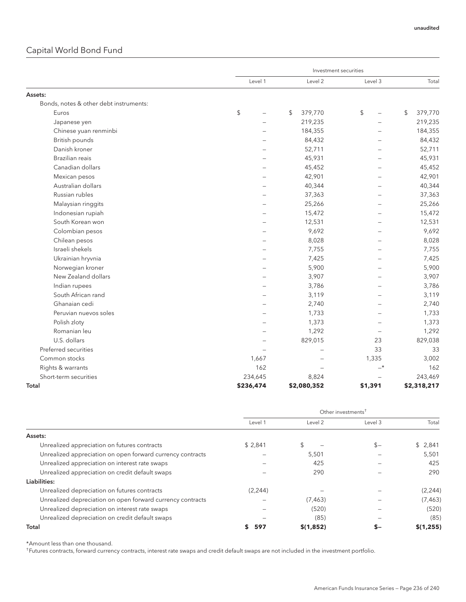# Capital World Bond Fund

| Level 1<br>Level 2<br>Level 3<br>Total<br>Bonds, notes & other debt instruments:<br>\$<br>379,770<br>\$<br>\$<br>\$<br>Euros<br>219,235<br>219,235<br>Japanese yen<br>L,<br>Chinese yuan renminbi<br>184,355<br>184,355<br><b>British pounds</b><br>84,432<br>Danish kroner<br>52,711<br>52,711<br><b>Brazilian reais</b><br>45,931<br>45,931<br>Canadian dollars<br>45,452<br>42,901<br>42,901<br>Mexican pesos<br>Australian dollars<br>40,344<br>40,344<br>Russian rubles<br>37,363<br>37,363<br>Malaysian ringgits<br>25,266<br>Indonesian rupiah<br>15,472<br>12,531<br>South Korean won<br>9,692<br>Colombian pesos<br>8,028<br>Chilean pesos<br>8,028<br>Israeli shekels<br>7,755<br>7,755<br>7,425<br>Ukrainian hryvnia<br>7,425<br>5,900<br>Norwegian kroner<br>New Zealand dollars<br>3,907<br>Indian rupees<br>3,786<br>South African rand<br>3,119<br>3,119<br>Ghanaian cedi<br>2,740<br>1,733<br>Peruvian nuevos soles<br>1,733<br>1,373<br>Polish zloty<br>1,373<br>Romanian leu<br>1,292<br>U.S. dollars<br>829,015<br>23<br>829,038<br>Preferred securities<br>33<br>33<br>Common stocks<br>1,335<br>1,667<br>Rights & warrants<br>162<br>$-*$<br>162<br>$\overline{\phantom{0}}$<br>Short-term securities<br>234,645<br>243,469<br>8,824<br>\$2,080,352<br>\$1,391<br>\$236,474 |         | Investment securities |  |
|--------------------------------------------------------------------------------------------------------------------------------------------------------------------------------------------------------------------------------------------------------------------------------------------------------------------------------------------------------------------------------------------------------------------------------------------------------------------------------------------------------------------------------------------------------------------------------------------------------------------------------------------------------------------------------------------------------------------------------------------------------------------------------------------------------------------------------------------------------------------------------------------------------------------------------------------------------------------------------------------------------------------------------------------------------------------------------------------------------------------------------------------------------------------------------------------------------------------------------------------------------------------------------------------------|---------|-----------------------|--|
| 379,770<br>84,432<br>45,452<br>25,266<br>15,472<br>12,531<br>9,692<br>5,900<br>3,907<br>3,786<br>2,740<br>1,292<br>3,002<br>\$2,318,217                                                                                                                                                                                                                                                                                                                                                                                                                                                                                                                                                                                                                                                                                                                                                                                                                                                                                                                                                                                                                                                                                                                                                          |         |                       |  |
|                                                                                                                                                                                                                                                                                                                                                                                                                                                                                                                                                                                                                                                                                                                                                                                                                                                                                                                                                                                                                                                                                                                                                                                                                                                                                                  | Assets: |                       |  |
|                                                                                                                                                                                                                                                                                                                                                                                                                                                                                                                                                                                                                                                                                                                                                                                                                                                                                                                                                                                                                                                                                                                                                                                                                                                                                                  |         |                       |  |
|                                                                                                                                                                                                                                                                                                                                                                                                                                                                                                                                                                                                                                                                                                                                                                                                                                                                                                                                                                                                                                                                                                                                                                                                                                                                                                  |         |                       |  |
|                                                                                                                                                                                                                                                                                                                                                                                                                                                                                                                                                                                                                                                                                                                                                                                                                                                                                                                                                                                                                                                                                                                                                                                                                                                                                                  |         |                       |  |
|                                                                                                                                                                                                                                                                                                                                                                                                                                                                                                                                                                                                                                                                                                                                                                                                                                                                                                                                                                                                                                                                                                                                                                                                                                                                                                  |         |                       |  |
|                                                                                                                                                                                                                                                                                                                                                                                                                                                                                                                                                                                                                                                                                                                                                                                                                                                                                                                                                                                                                                                                                                                                                                                                                                                                                                  |         |                       |  |
|                                                                                                                                                                                                                                                                                                                                                                                                                                                                                                                                                                                                                                                                                                                                                                                                                                                                                                                                                                                                                                                                                                                                                                                                                                                                                                  |         |                       |  |
|                                                                                                                                                                                                                                                                                                                                                                                                                                                                                                                                                                                                                                                                                                                                                                                                                                                                                                                                                                                                                                                                                                                                                                                                                                                                                                  |         |                       |  |
|                                                                                                                                                                                                                                                                                                                                                                                                                                                                                                                                                                                                                                                                                                                                                                                                                                                                                                                                                                                                                                                                                                                                                                                                                                                                                                  |         |                       |  |
|                                                                                                                                                                                                                                                                                                                                                                                                                                                                                                                                                                                                                                                                                                                                                                                                                                                                                                                                                                                                                                                                                                                                                                                                                                                                                                  |         |                       |  |
|                                                                                                                                                                                                                                                                                                                                                                                                                                                                                                                                                                                                                                                                                                                                                                                                                                                                                                                                                                                                                                                                                                                                                                                                                                                                                                  |         |                       |  |
|                                                                                                                                                                                                                                                                                                                                                                                                                                                                                                                                                                                                                                                                                                                                                                                                                                                                                                                                                                                                                                                                                                                                                                                                                                                                                                  |         |                       |  |
|                                                                                                                                                                                                                                                                                                                                                                                                                                                                                                                                                                                                                                                                                                                                                                                                                                                                                                                                                                                                                                                                                                                                                                                                                                                                                                  |         |                       |  |
|                                                                                                                                                                                                                                                                                                                                                                                                                                                                                                                                                                                                                                                                                                                                                                                                                                                                                                                                                                                                                                                                                                                                                                                                                                                                                                  |         |                       |  |
|                                                                                                                                                                                                                                                                                                                                                                                                                                                                                                                                                                                                                                                                                                                                                                                                                                                                                                                                                                                                                                                                                                                                                                                                                                                                                                  |         |                       |  |
|                                                                                                                                                                                                                                                                                                                                                                                                                                                                                                                                                                                                                                                                                                                                                                                                                                                                                                                                                                                                                                                                                                                                                                                                                                                                                                  |         |                       |  |
|                                                                                                                                                                                                                                                                                                                                                                                                                                                                                                                                                                                                                                                                                                                                                                                                                                                                                                                                                                                                                                                                                                                                                                                                                                                                                                  |         |                       |  |
|                                                                                                                                                                                                                                                                                                                                                                                                                                                                                                                                                                                                                                                                                                                                                                                                                                                                                                                                                                                                                                                                                                                                                                                                                                                                                                  |         |                       |  |
|                                                                                                                                                                                                                                                                                                                                                                                                                                                                                                                                                                                                                                                                                                                                                                                                                                                                                                                                                                                                                                                                                                                                                                                                                                                                                                  |         |                       |  |
|                                                                                                                                                                                                                                                                                                                                                                                                                                                                                                                                                                                                                                                                                                                                                                                                                                                                                                                                                                                                                                                                                                                                                                                                                                                                                                  |         |                       |  |
|                                                                                                                                                                                                                                                                                                                                                                                                                                                                                                                                                                                                                                                                                                                                                                                                                                                                                                                                                                                                                                                                                                                                                                                                                                                                                                  |         |                       |  |
|                                                                                                                                                                                                                                                                                                                                                                                                                                                                                                                                                                                                                                                                                                                                                                                                                                                                                                                                                                                                                                                                                                                                                                                                                                                                                                  |         |                       |  |
|                                                                                                                                                                                                                                                                                                                                                                                                                                                                                                                                                                                                                                                                                                                                                                                                                                                                                                                                                                                                                                                                                                                                                                                                                                                                                                  |         |                       |  |
|                                                                                                                                                                                                                                                                                                                                                                                                                                                                                                                                                                                                                                                                                                                                                                                                                                                                                                                                                                                                                                                                                                                                                                                                                                                                                                  |         |                       |  |
|                                                                                                                                                                                                                                                                                                                                                                                                                                                                                                                                                                                                                                                                                                                                                                                                                                                                                                                                                                                                                                                                                                                                                                                                                                                                                                  |         |                       |  |
|                                                                                                                                                                                                                                                                                                                                                                                                                                                                                                                                                                                                                                                                                                                                                                                                                                                                                                                                                                                                                                                                                                                                                                                                                                                                                                  |         |                       |  |
|                                                                                                                                                                                                                                                                                                                                                                                                                                                                                                                                                                                                                                                                                                                                                                                                                                                                                                                                                                                                                                                                                                                                                                                                                                                                                                  |         |                       |  |
|                                                                                                                                                                                                                                                                                                                                                                                                                                                                                                                                                                                                                                                                                                                                                                                                                                                                                                                                                                                                                                                                                                                                                                                                                                                                                                  |         |                       |  |
|                                                                                                                                                                                                                                                                                                                                                                                                                                                                                                                                                                                                                                                                                                                                                                                                                                                                                                                                                                                                                                                                                                                                                                                                                                                                                                  |         |                       |  |
|                                                                                                                                                                                                                                                                                                                                                                                                                                                                                                                                                                                                                                                                                                                                                                                                                                                                                                                                                                                                                                                                                                                                                                                                                                                                                                  |         |                       |  |
|                                                                                                                                                                                                                                                                                                                                                                                                                                                                                                                                                                                                                                                                                                                                                                                                                                                                                                                                                                                                                                                                                                                                                                                                                                                                                                  |         |                       |  |
|                                                                                                                                                                                                                                                                                                                                                                                                                                                                                                                                                                                                                                                                                                                                                                                                                                                                                                                                                                                                                                                                                                                                                                                                                                                                                                  |         |                       |  |
|                                                                                                                                                                                                                                                                                                                                                                                                                                                                                                                                                                                                                                                                                                                                                                                                                                                                                                                                                                                                                                                                                                                                                                                                                                                                                                  | Total   |                       |  |

|                                                            | Other investments <sup>+</sup> |           |         |           |
|------------------------------------------------------------|--------------------------------|-----------|---------|-----------|
|                                                            | Level 1                        | Level 2   | Level 3 | Total     |
| Assets:                                                    |                                |           |         |           |
| Unrealized appreciation on futures contracts               | \$2,841                        |           | $S -$   | \$2,841   |
| Unrealized appreciation on open forward currency contracts |                                | 5,501     |         | 5,501     |
| Unrealized appreciation on interest rate swaps             |                                | 425       |         | 425       |
| Unrealized appreciation on credit default swaps            |                                | 290       |         | 290       |
| Liabilities:                                               |                                |           |         |           |
| Unrealized depreciation on futures contracts               | (2, 244)                       |           |         | (2, 244)  |
| Unrealized depreciation on open forward currency contracts |                                | (7, 463)  |         | (7, 463)  |
| Unrealized depreciation on interest rate swaps             |                                | (520)     |         | (520)     |
| Unrealized depreciation on credit default swaps            |                                | (85)      |         | (85)      |
| Total                                                      | 597                            | \$(1,852) |         | \$(1,255) |

\*Amount less than one thousand.

† Futures contracts, forward currency contracts, interest rate swaps and credit default swaps are not included in the investment portfolio.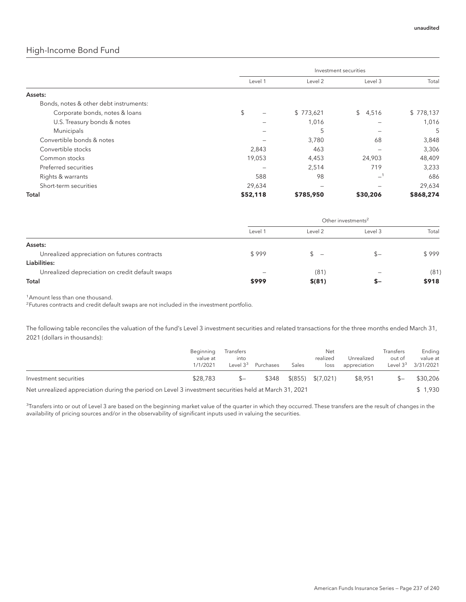### High-Income Bond Fund

|                                        | Investment securities |                          |          |           |  |
|----------------------------------------|-----------------------|--------------------------|----------|-----------|--|
|                                        | Level 1               | Level 2                  | Level 3  | Total     |  |
| Assets:                                |                       |                          |          |           |  |
| Bonds, notes & other debt instruments: |                       |                          |          |           |  |
| Corporate bonds, notes & loans         | \$                    | \$773,621                | \$4,516  | \$778,137 |  |
| U.S. Treasury bonds & notes            |                       | 1,016                    |          | 1,016     |  |
| Municipals                             |                       | 5                        |          | 5         |  |
| Convertible bonds & notes              |                       | 3,780                    | 68       | 3,848     |  |
| Convertible stocks                     | 2,843                 | 463                      |          | 3,306     |  |
| Common stocks                          | 19,053                | 4,453                    | 24,903   | 48,409    |  |
| Preferred securities                   |                       | 2,514                    | 719      | 3,233     |  |
| Rights & warrants                      | 588                   | 98                       | $-1$     | 686       |  |
| Short-term securities                  | 29,634                | $\overline{\phantom{0}}$ |          | 29,634    |  |
| Total                                  | \$52,118              | \$785,950                | \$30,206 | \$868,274 |  |

|                                                 | Other investments <sup>2</sup> |                          |         |       |  |
|-------------------------------------------------|--------------------------------|--------------------------|---------|-------|--|
|                                                 | Level 1<br>Level 2             |                          | Level 3 | Total |  |
| Assets:                                         |                                |                          |         |       |  |
| Unrealized appreciation on futures contracts    | \$999                          | $\overline{\phantom{a}}$ | $S-$    | \$999 |  |
| Liabilities:                                    |                                |                          |         |       |  |
| Unrealized depreciation on credit default swaps |                                | (81)                     | -       | (81)  |  |
| Total                                           | \$999                          | \$ (81)                  | $-$     | \$918 |  |

<sup>1</sup> Amount less than one thousand.

<sup>2</sup> Futures contracts and credit default swaps are not included in the investment portfolio.

The following table reconciles the valuation of the fund's Level 3 investment securities and related transactions for the three months ended March 31, 2021 (dollars in thousands):

|                                                                                              | Beginning<br>value at<br>1/1/2021 | Transfers<br>into<br>Level $3^3$ | Purchases | Sales | Net<br>realized<br>loss | Unrealized<br>appreciation | Transfers<br>out of<br>Level $3^3$ | Ending<br>value at<br>3/31/2021 |
|----------------------------------------------------------------------------------------------|-----------------------------------|----------------------------------|-----------|-------|-------------------------|----------------------------|------------------------------------|---------------------------------|
| Investment securities                                                                        | \$28,783                          |                                  | \$348     |       | $$(855) \quad $(7,021)$ | \$8,951                    |                                    | \$30,206                        |
| The consideration of the contract development of the consequence of the later March 04, 0004 |                                   |                                  |           |       |                         |                            |                                    | $^{\circ}$ 1 0 2 0              |

Net unrealized appreciation during the period on Level 3 investment securities held at March 31, 2021 \$ 1,930

 $^3$ Transfers into or out of Level 3 are based on the beginning market value of the quarter in which they occurred. These transfers are the result of changes in the availability of pricing sources and/or in the observability of significant inputs used in valuing the securities.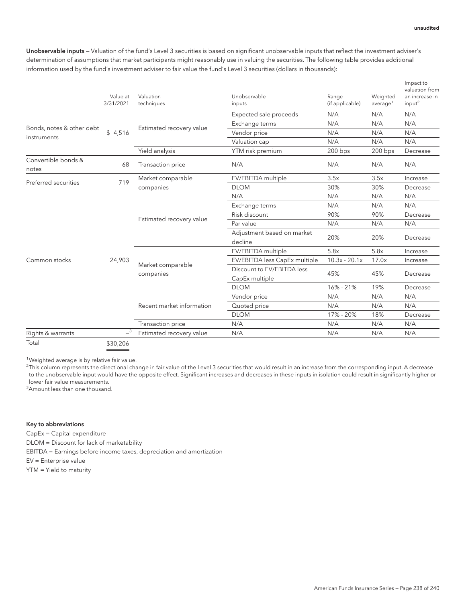Unobservable inputs — Valuation of the fund's Level 3 securities is based on significant unobservable inputs that reflect the investment adviser's determination of assumptions that market participants might reasonably use in valuing the securities. The following table provides additional information used by the fund's investment adviser to fair value the fund's Level 3 securities (dollars in thousands):

|                                          | Value at<br>3/31/2021      | Valuation<br>techniques   | Unobservable<br>inputs                | Range<br>(if applicable) | Weighted<br>average <sup>1</sup> | Impact to<br>valuation from<br>an increase in<br>input <sup>2</sup> |
|------------------------------------------|----------------------------|---------------------------|---------------------------------------|--------------------------|----------------------------------|---------------------------------------------------------------------|
|                                          |                            |                           | Expected sale proceeds                | N/A                      | N/A                              | N/A                                                                 |
|                                          |                            |                           | Exchange terms                        | N/A                      | N/A                              | N/A                                                                 |
| Bonds, notes & other debt<br>instruments | \$4,516                    | Estimated recovery value  | Vendor price                          | N/A                      | N/A                              | N/A                                                                 |
|                                          |                            |                           | Valuation cap                         | N/A                      | N/A                              | N/A                                                                 |
|                                          |                            | Yield analysis            | YTM risk premium                      | $200$ bps                | 200 bps                          | Decrease                                                            |
| Convertible bonds &<br>notes             | 68                         | Transaction price         | N/A                                   | N/A                      | N/A                              | N/A                                                                 |
|                                          |                            | Market comparable         | EV/EBITDA multiple                    | 3.5x                     | 3.5x                             | Increase                                                            |
| Preferred securities                     | 719                        | companies                 | <b>DLOM</b>                           | 30%                      | 30%                              | Decrease                                                            |
|                                          | 24,903                     | Estimated recovery value  | N/A                                   | N/A                      | N/A                              | N/A                                                                 |
|                                          |                            |                           | Exchange terms                        | N/A                      | N/A                              | N/A                                                                 |
|                                          |                            |                           | Risk discount                         | 90%                      | 90%                              | Decrease                                                            |
|                                          |                            |                           | Par value                             | N/A                      | N/A                              | N/A                                                                 |
|                                          |                            |                           | Adjustment based on market<br>decline | 20%                      | 20%                              | Decrease                                                            |
|                                          |                            |                           | EV/EBITDA multiple                    | 5.8x                     | 5.8x                             | Increase                                                            |
| Common stocks                            |                            |                           | EV/EBITDA less CapEx multiple         | $10.3x - 20.1x$          | 17.0x                            | Increase                                                            |
|                                          |                            | Market comparable         | Discount to EV/EBITDA less            | 45%                      |                                  | Decrease                                                            |
|                                          |                            | companies                 | CapEx multiple                        |                          | 45%                              |                                                                     |
|                                          |                            |                           | <b>DLOM</b>                           | 16% - 21%                | 19%                              | Decrease                                                            |
|                                          |                            |                           | Vendor price                          | N/A                      | N/A                              | N/A                                                                 |
|                                          |                            | Recent market information | Quoted price                          | N/A                      | N/A                              | N/A                                                                 |
|                                          |                            |                           | <b>DLOM</b>                           | 17% - 20%                | 18%                              | Decrease                                                            |
|                                          |                            | Transaction price         | N/A                                   | N/A                      | N/A                              | N/A                                                                 |
| Rights & warrants                        | $\overline{\phantom{0}}^3$ | Estimated recovery value  | N/A                                   | N/A                      | N/A                              | N/A                                                                 |
|                                          |                            |                           |                                       |                          |                                  |                                                                     |

Total \$30,206

<sup>1</sup>Weighted average is by relative fair value.

 $^2$ This column represents the directional change in fair value of the Level 3 securities that would result in an increase from the corresponding input. A decrease to the unobservable input would have the opposite effect. Significant increases and decreases in these inputs in isolation could result in significantly higher or lower fair value measurements.

<sup>3</sup> Amount less than one thousand.

#### Key to abbreviations

CapEx = Capital expenditure DLOM = Discount for lack of marketability EBITDA = Earnings before income taxes, depreciation and amortization EV = Enterprise value YTM = Yield to maturity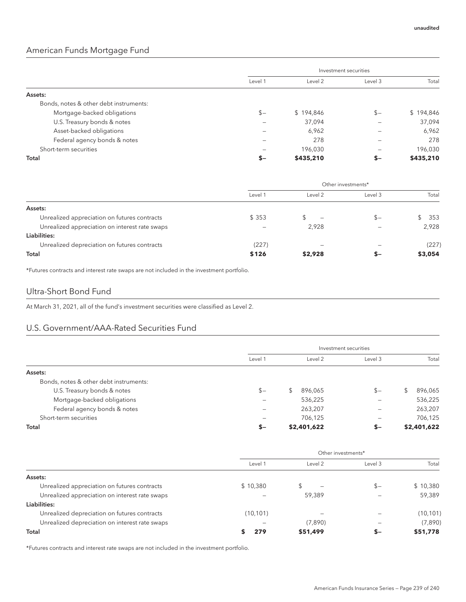### American Funds Mortgage Fund

|                                        | Investment securities |           |         |           |  |
|----------------------------------------|-----------------------|-----------|---------|-----------|--|
|                                        | Level 1               | Level 2   | Level 3 | Total     |  |
| Assets:                                |                       |           |         |           |  |
| Bonds, notes & other debt instruments: |                       |           |         |           |  |
| Mortgage-backed obligations            | $s-$                  | \$194,846 | $S -$   | \$194,846 |  |
| U.S. Treasury bonds & notes            |                       | 37,094    |         | 37,094    |  |
| Asset-backed obligations               |                       | 6,962     |         | 6,962     |  |
| Federal agency bonds & notes           |                       | 278       |         | 278       |  |
| Short-term securities                  |                       | 196,030   |         | 196,030   |  |
| Total                                  | $S-$                  | \$435,210 | S-      | \$435,210 |  |

|                                                | Other investments* |                          |         |         |  |
|------------------------------------------------|--------------------|--------------------------|---------|---------|--|
|                                                | Level 1            | Level 2                  | Level 3 | Total   |  |
| Assets:                                        |                    |                          |         |         |  |
| Unrealized appreciation on futures contracts   | \$353              | $\overline{\phantom{m}}$ | $S-$    | 353     |  |
| Unrealized appreciation on interest rate swaps |                    | 2,928                    |         | 2,928   |  |
| Liabilities:                                   |                    |                          |         |         |  |
| Unrealized depreciation on futures contracts   | (227)              | -                        |         | (227)   |  |
| Total                                          | \$126              | \$2,928                  | s-      | \$3,054 |  |

\*Futures contracts and interest rate swaps are not included in the investment portfolio.

### Ultra-Short Bond Fund

At March 31, 2021, all of the fund's investment securities were classified as Level 2.

### U.S. Government/AAA-Rated Securities Fund

|                                        | Investment securities |             |         |                |  |
|----------------------------------------|-----------------------|-------------|---------|----------------|--|
|                                        | Level 1               | Level 2     | Level 3 | Total          |  |
| Assets:                                |                       |             |         |                |  |
| Bonds, notes & other debt instruments: |                       |             |         |                |  |
| U.S. Treasury bonds & notes            | $S -$                 | 896,065     | $S -$   | 896,065<br>\$. |  |
| Mortgage-backed obligations            |                       | 536,225     |         | 536,225        |  |
| Federal agency bonds & notes           |                       | 263,207     |         | 263,207        |  |
| Short-term securities                  |                       | 706.125     |         | 706,125        |  |
| Total                                  | $S-$                  | \$2,401,622 | \$–     | \$2,401,622    |  |

|                                                | Other investments* |          |         |           |  |
|------------------------------------------------|--------------------|----------|---------|-----------|--|
|                                                | Level 1<br>Level 2 |          | Level 3 | Total     |  |
| Assets:                                        |                    |          |         |           |  |
| Unrealized appreciation on futures contracts   | \$10.380           | S.       | $S-$    | \$10,380  |  |
| Unrealized appreciation on interest rate swaps |                    | 59,389   |         | 59,389    |  |
| Liabilities:                                   |                    |          |         |           |  |
| Unrealized depreciation on futures contracts   | (10, 101)          |          |         | (10, 101) |  |
| Unrealized depreciation on interest rate swaps |                    | (7,890)  |         | (7,890)   |  |
| Total                                          | 279                | \$51,499 | s–      | \$51,778  |  |

\*Futures contracts and interest rate swaps are not included in the investment portfolio.